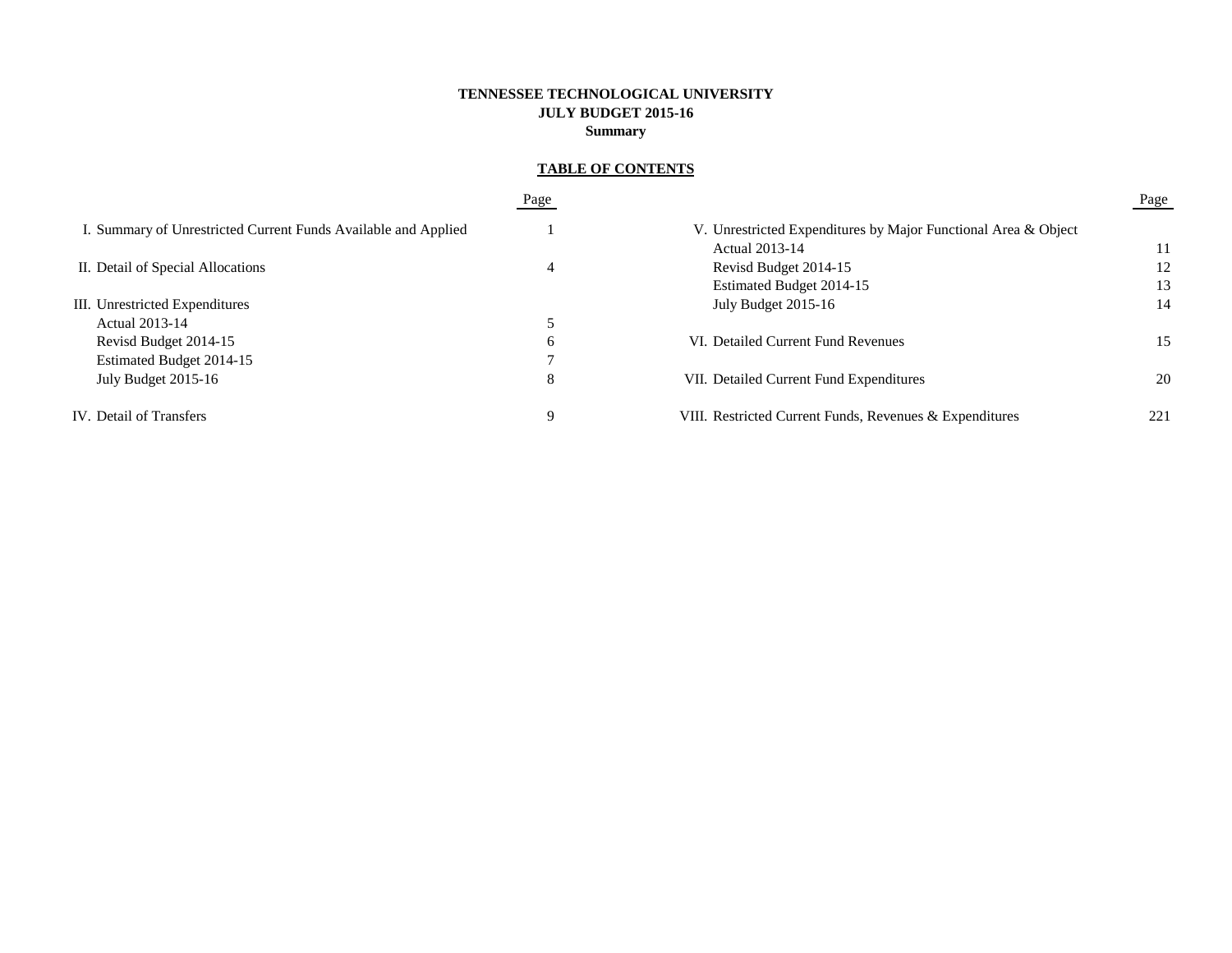# **TENNESSEE TECHNOLOGICAL UNIVERSITY JULY BUDGET 2015-16 Summary**

# **TABLE OF CONTENTS**

|                                                                | Page |                                                                | Page |
|----------------------------------------------------------------|------|----------------------------------------------------------------|------|
| I. Summary of Unrestricted Current Funds Available and Applied |      | V. Unrestricted Expenditures by Major Functional Area & Object |      |
|                                                                |      | Actual 2013-14                                                 | 11   |
| II. Detail of Special Allocations                              | 4    | Revisd Budget 2014-15                                          | 12   |
|                                                                |      | Estimated Budget 2014-15                                       | 13   |
| III. Unrestricted Expenditures                                 |      | July Budget 2015-16                                            | 14   |
| <b>Actual 2013-14</b>                                          |      |                                                                |      |
| Revisd Budget 2014-15                                          | b    | VI. Detailed Current Fund Revenues                             | 15   |
| Estimated Budget 2014-15                                       |      |                                                                |      |
| July Budget 2015-16                                            | 8    | VII. Detailed Current Fund Expenditures                        | 20   |
| IV. Detail of Transfers                                        |      | VIII. Restricted Current Funds, Revenues & Expenditures        | 221  |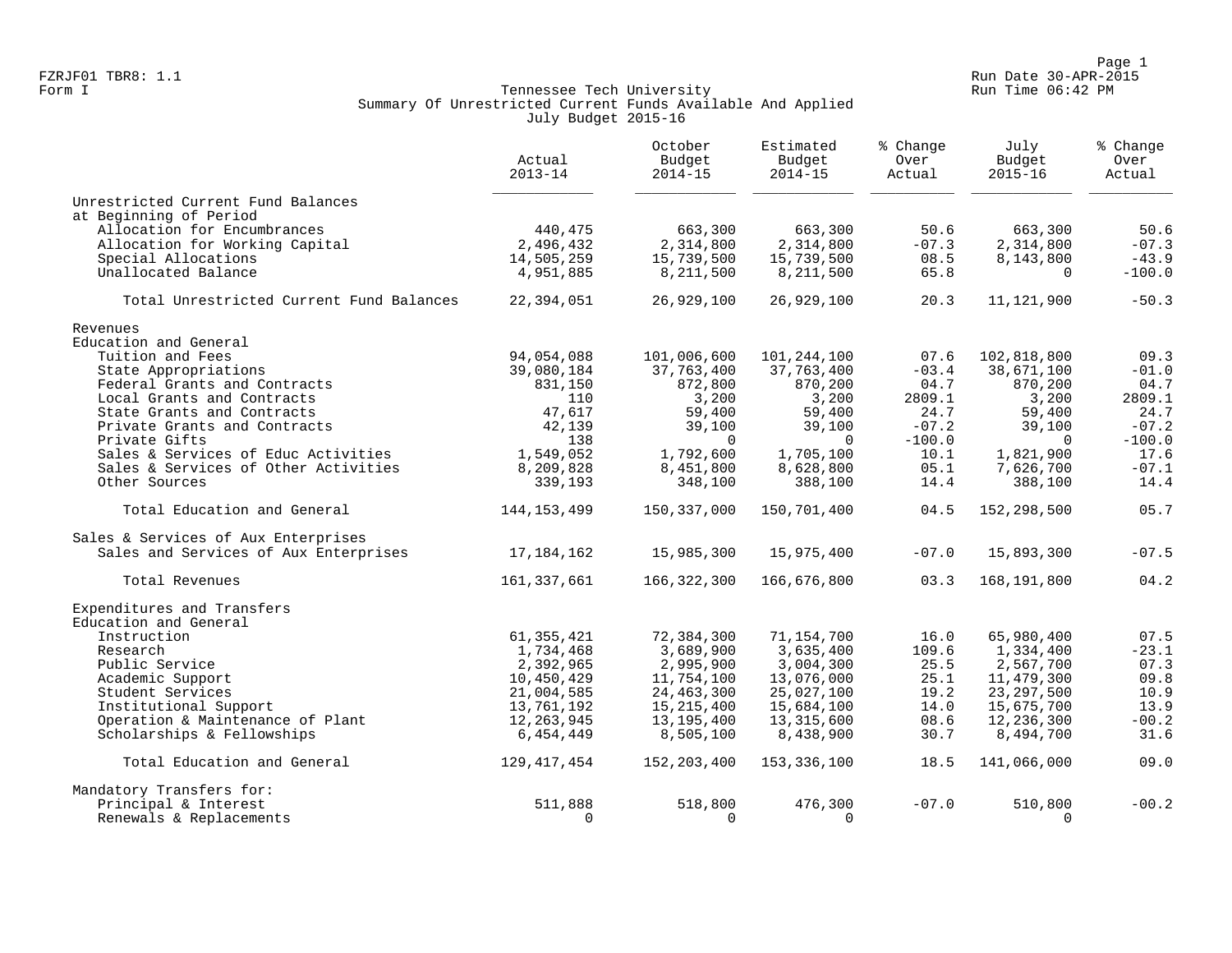Page 1<br>Run Date 30-APR-2015 Run Date 30-APR-2015 FZRJF01 TBR8: 1.1 Run Date 30-APR-2015

## Form I Government Communication of the Communication of Tennessee Tech University Communication Run Time 06:42 PM Summary Of Unrestricted Current Funds Available And Applied July Budget 2015-16

|                                            | Actual<br>$2013 - 14$   | October<br>Budget<br>$2014 - 15$ | Estimated<br>Budget<br>$2014 - 15$ | % Change<br>Over<br>Actual | July<br>Budget<br>$2015 - 16$ | % Change<br>Over<br>Actual |
|--------------------------------------------|-------------------------|----------------------------------|------------------------------------|----------------------------|-------------------------------|----------------------------|
| Unrestricted Current Fund Balances         |                         |                                  |                                    |                            |                               |                            |
| at Beginning of Period                     |                         |                                  |                                    |                            |                               | 50.6                       |
| Allocation for Encumbrances                | 440,475                 | 663,300                          | 663,300                            | 50.6                       | 663,300                       |                            |
| Allocation for Working Capital             | 2,496,432               | 2,314,800                        | 2,314,800                          | $-07.3$                    | 2,314,800                     | $-07.3$<br>$-43.9$         |
| Special Allocations<br>Unallocated Balance | 14,505,259<br>4,951,885 | 15,739,500<br>8,211,500          | 15,739,500<br>8,211,500            | 08.5<br>65.8               | 8,143,800<br>$\Omega$         | $-100.0$                   |
|                                            |                         |                                  |                                    |                            |                               |                            |
| Total Unrestricted Current Fund Balances   | 22,394,051              | 26,929,100                       | 26,929,100                         | 20.3                       | 11,121,900                    | $-50.3$                    |
| Revenues                                   |                         |                                  |                                    |                            |                               |                            |
| Education and General                      |                         |                                  |                                    |                            |                               |                            |
| Tuition and Fees                           | 94,054,088              | 101,006,600                      | 101,244,100                        | 07.6                       | 102,818,800                   | 09.3                       |
| State Appropriations                       | 39,080,184              | 37,763,400                       | 37,763,400                         | $-03.4$                    | 38,671,100                    | $-01.0$                    |
| Federal Grants and Contracts               | 831,150                 | 872,800                          | 870,200                            | 04.7                       | 870,200                       | 04.7                       |
| Local Grants and Contracts                 | 110                     | 3,200                            | 3,200                              | 2809.1                     | 3,200                         | 2809.1                     |
| State Grants and Contracts                 | 47,617                  | 59,400                           | 59,400                             | 24.7                       | 59,400                        | 24.7                       |
| Private Grants and Contracts               | 42,139                  | 39,100                           | 39,100                             | $-07.2$                    | 39,100                        | $-07.2$                    |
| Private Gifts                              | 138                     | $\overline{0}$                   | 0                                  | $-100.0$                   | $\Omega$                      | $-100.0$                   |
| Sales & Services of Educ Activities        | 1,549,052               | 1,792,600                        | 1,705,100                          | 10.1                       | 1,821,900                     | 17.6                       |
| Sales & Services of Other Activities       | 8,209,828               | 8,451,800                        | 8,628,800                          | 05.1                       | 7,626,700                     | $-07.1$                    |
| Other Sources                              | 339,193                 | 348,100                          | 388,100                            | 14.4                       | 388,100                       | 14.4                       |
| Total Education and General                | 144, 153, 499           | 150,337,000                      | 150,701,400                        | 04.5                       | 152,298,500                   | 05.7                       |
| Sales & Services of Aux Enterprises        |                         |                                  |                                    |                            |                               |                            |
| Sales and Services of Aux Enterprises      | 17,184,162              | 15,985,300                       | 15,975,400                         | $-07.0$                    | 15,893,300                    | $-07.5$                    |
| Total Revenues                             | 161,337,661             | 166,322,300                      | 166,676,800                        | 03.3                       | 168,191,800                   | 04.2                       |
| Expenditures and Transfers                 |                         |                                  |                                    |                            |                               |                            |
| Education and General                      |                         |                                  |                                    |                            |                               |                            |
| Instruction                                | 61, 355, 421            | 72,384,300                       | 71,154,700                         | 16.0                       | 65,980,400                    | 07.5                       |
| Research                                   | 1,734,468               | 3,689,900                        | 3,635,400                          | 109.6                      | 1,334,400                     | $-23.1$                    |
| Public Service                             | 2,392,965               | 2,995,900                        | 3,004,300                          | 25.5                       | 2,567,700                     | 07.3                       |
| Academic Support                           | 10,450,429              | 11,754,100                       | 13,076,000                         | 25.1                       | 11,479,300                    | 09.8                       |
| Student Services                           | 21,004,585              | 24, 463, 300                     | 25,027,100                         | 19.2                       | 23, 297, 500                  | 10.9                       |
| Institutional Support                      | 13,761,192              | 15, 215, 400                     | 15,684,100                         | 14.0                       | 15,675,700                    | 13.9                       |
| Operation & Maintenance of Plant           | 12,263,945              | 13, 195, 400                     | 13,315,600                         | 08.6                       | 12,236,300                    | $-00.2$                    |
| Scholarships & Fellowships                 | 6,454,449               | 8,505,100                        | 8,438,900                          | 30.7                       | 8,494,700                     | 31.6                       |
| Total Education and General                | 129,417,454             | 152,203,400                      | 153,336,100                        | 18.5                       | 141,066,000                   | 09.0                       |
| Mandatory Transfers for:                   |                         |                                  |                                    |                            |                               |                            |
| Principal & Interest                       | 511,888                 | 518,800                          | 476,300                            | $-07.0$                    | 510,800                       | $-00.2$                    |
| Renewals & Replacements                    | $\Omega$                | $\Omega$                         | $\Omega$                           |                            | $\Omega$                      |                            |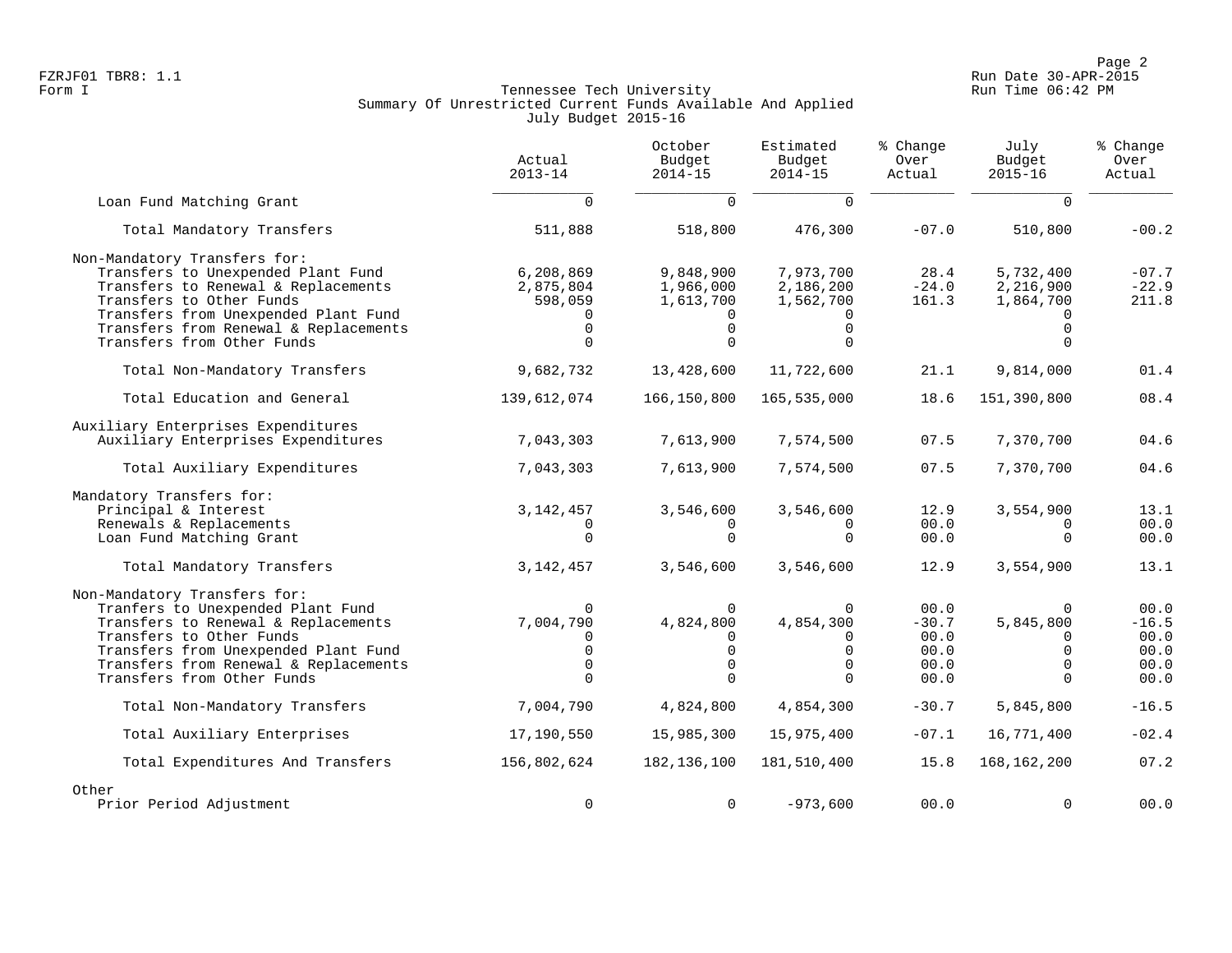Page 2<br>Run Date 30-APR-2015 Run Date 30-APR-2015 FZRJF01 TBR8: 1.1 Run Date 30-APR-2015

## Form I Government Communication of the Communication of Tennessee Tech University Communication Run Time 06:42 PM Summary Of Unrestricted Current Funds Available And Applied July Budget 2015-16

|                                                                                                                                                                                                                                                      | Actual<br>$2013 - 14$                                                       | October<br>Budget<br>$2014 - 15$                                         | Estimated<br>Budget<br>$2014 - 15$                                | % Change<br>Over<br>Actual                      | July<br>Budget<br>$2015 - 16$                                         | % Change<br>Over<br>Actual                      |
|------------------------------------------------------------------------------------------------------------------------------------------------------------------------------------------------------------------------------------------------------|-----------------------------------------------------------------------------|--------------------------------------------------------------------------|-------------------------------------------------------------------|-------------------------------------------------|-----------------------------------------------------------------------|-------------------------------------------------|
| Loan Fund Matching Grant                                                                                                                                                                                                                             | $\Omega$                                                                    | $\Omega$                                                                 | $\Omega$                                                          |                                                 | $\Omega$                                                              |                                                 |
| Total Mandatory Transfers                                                                                                                                                                                                                            | 511,888                                                                     | 518,800                                                                  | 476,300                                                           | $-07.0$                                         | 510,800                                                               | $-00.2$                                         |
| Non-Mandatory Transfers for:<br>Transfers to Unexpended Plant Fund<br>Transfers to Renewal & Replacements<br>Transfers to Other Funds<br>Transfers from Unexpended Plant Fund<br>Transfers from Renewal & Replacements<br>Transfers from Other Funds | 6,208,869<br>2,875,804<br>598,059<br>$\Omega$<br>$\Omega$                   | 9,848,900<br>1,966,000<br>1,613,700<br>$\mathbf 0$<br>$\Omega$           | 7,973,700<br>2,186,200<br>1,562,700<br>$\mathbf 0$<br>$\Omega$    | 28.4<br>$-24.0$<br>161.3                        | 5,732,400<br>2,216,900<br>1,864,700<br>$\Omega$                       | $-07.7$<br>$-22.9$<br>211.8                     |
| Total Non-Mandatory Transfers                                                                                                                                                                                                                        | 9,682,732                                                                   | 13,428,600                                                               | 11,722,600                                                        | 21.1                                            | 9,814,000                                                             | 01.4                                            |
| Total Education and General                                                                                                                                                                                                                          | 139,612,074                                                                 | 166,150,800                                                              | 165,535,000                                                       | 18.6                                            | 151,390,800                                                           | 08.4                                            |
| Auxiliary Enterprises Expenditures<br>Auxiliary Enterprises Expenditures                                                                                                                                                                             | 7,043,303                                                                   | 7,613,900                                                                | 7,574,500                                                         | 07.5                                            | 7,370,700                                                             | 04.6                                            |
| Total Auxiliary Expenditures                                                                                                                                                                                                                         | 7,043,303                                                                   | 7,613,900                                                                | 7,574,500                                                         | 07.5                                            | 7,370,700                                                             | 04.6                                            |
| Mandatory Transfers for:<br>Principal & Interest<br>Renewals & Replacements<br>Loan Fund Matching Grant                                                                                                                                              | 3, 142, 457<br>$\Omega$<br>$\Omega$                                         | 3,546,600<br>$\Omega$<br>$\Omega$                                        | 3,546,600<br>0<br>$\Omega$                                        | 12.9<br>00.0<br>00.0                            | 3,554,900<br>$\Omega$<br>$\Omega$                                     | 13.1<br>00.0<br>00.0                            |
| Total Mandatory Transfers                                                                                                                                                                                                                            | 3, 142, 457                                                                 | 3,546,600                                                                | 3,546,600                                                         | 12.9                                            | 3,554,900                                                             | 13.1                                            |
| Non-Mandatory Transfers for:<br>Tranfers to Unexpended Plant Fund<br>Transfers to Renewal & Replacements<br>Transfers to Other Funds<br>Transfers from Unexpended Plant Fund<br>Transfers from Renewal & Replacements<br>Transfers from Other Funds  | $\Omega$<br>7,004,790<br>$\Omega$<br>$\overline{0}$<br>$\Omega$<br>$\Omega$ | $\Omega$<br>4,824,800<br>$\Omega$<br>$\mathbf 0$<br>$\Omega$<br>$\Omega$ | $\Omega$<br>4,854,300<br>0<br>$\mathbf 0$<br>$\Omega$<br>$\Omega$ | 00.0<br>$-30.7$<br>00.0<br>00.0<br>00.0<br>00.0 | $\Omega$<br>5,845,800<br>$\Omega$<br>$\Omega$<br>$\Omega$<br>$\Omega$ | 00.0<br>$-16.5$<br>00.0<br>00.0<br>00.0<br>00.0 |
| Total Non-Mandatory Transfers                                                                                                                                                                                                                        | 7,004,790                                                                   | 4,824,800                                                                | 4,854,300                                                         | $-30.7$                                         | 5,845,800                                                             | $-16.5$                                         |
| Total Auxiliary Enterprises                                                                                                                                                                                                                          | 17,190,550                                                                  | 15,985,300                                                               | 15,975,400                                                        | $-07.1$                                         | 16,771,400                                                            | $-02.4$                                         |
| Total Expenditures And Transfers                                                                                                                                                                                                                     | 156,802,624                                                                 | 182,136,100                                                              | 181,510,400                                                       | 15.8                                            | 168, 162, 200                                                         | 07.2                                            |
| Other<br>Prior Period Adjustment                                                                                                                                                                                                                     | $\mathbf 0$                                                                 | $\Omega$                                                                 | $-973,600$                                                        | 00.0                                            | $\Omega$                                                              | 00.0                                            |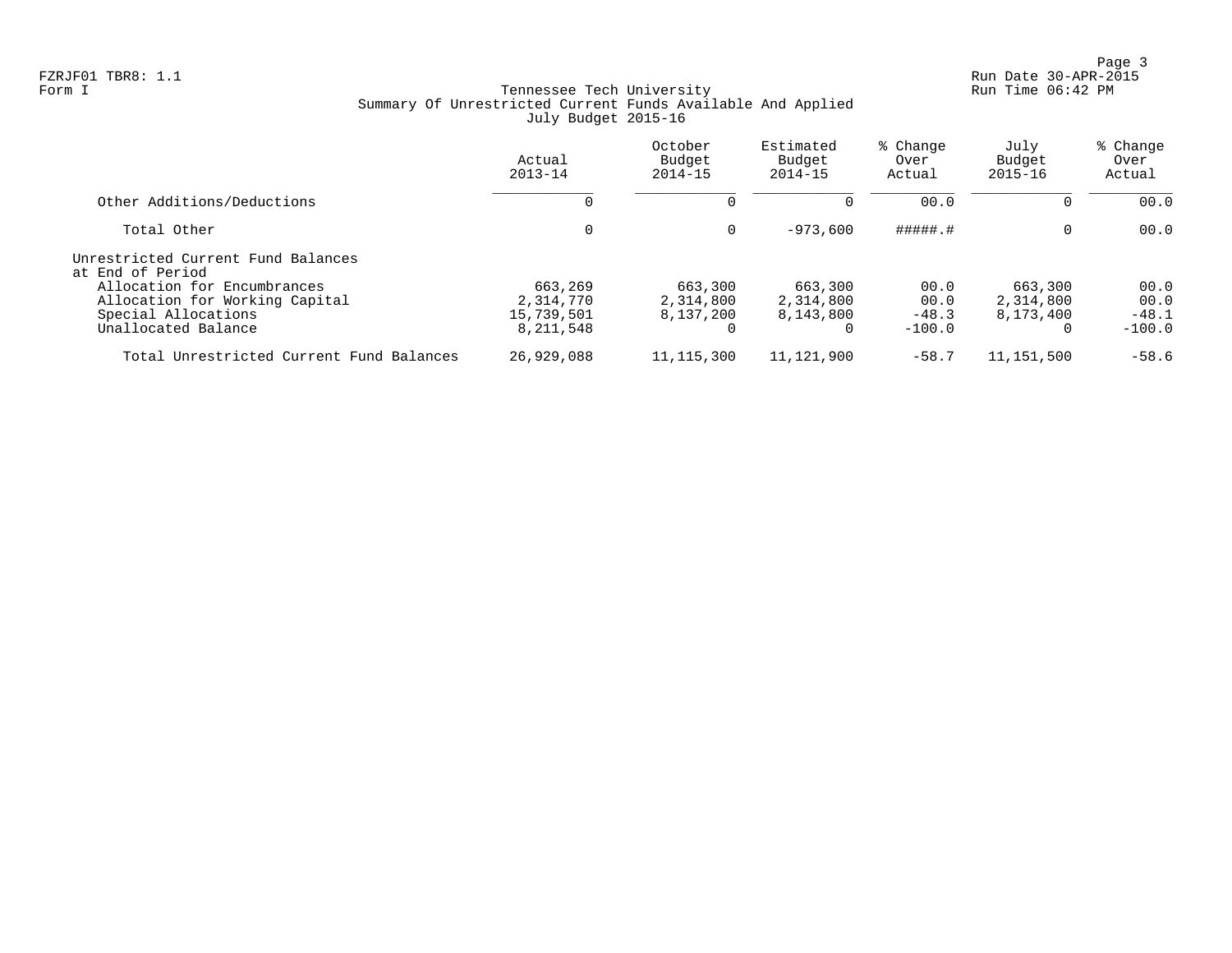Page 3<br>Run Date 30-APR-2015 Run Date 30-APR-2015

## Form I Government Communication of the Communication of Tennessee Tech University Communication Run Time 06:42 PM Summary Of Unrestricted Current Funds Available And Applied July Budget 2015-16

|                                                                                                             | Actual<br>$2013 - 14$                           | October<br>Budget<br>$2014 - 15$  | Estimated<br>Budget<br>$2014 - 15$     | % Change<br>Over<br>Actual          | July<br>Budget<br>$2015 - 16$                 | % Change<br>Over<br>Actual          |
|-------------------------------------------------------------------------------------------------------------|-------------------------------------------------|-----------------------------------|----------------------------------------|-------------------------------------|-----------------------------------------------|-------------------------------------|
| Other Additions/Deductions                                                                                  |                                                 |                                   |                                        | 00.0                                | $\Omega$                                      | 00.0                                |
| Total Other                                                                                                 | 0                                               | $\Omega$                          | $-973.600$                             | #####.#                             | $\mathbf 0$                                   | 00.0                                |
| Unrestricted Current Fund Balances<br>at End of Period                                                      |                                                 |                                   |                                        |                                     |                                               |                                     |
| Allocation for Encumbrances<br>Allocation for Working Capital<br>Special Allocations<br>Unallocated Balance | 663,269<br>2,314,770<br>15,739,501<br>8,211,548 | 663,300<br>2,314,800<br>8,137,200 | 663,300<br>2,314,800<br>8,143,800<br>0 | 00.0<br>00.0<br>$-48.3$<br>$-100.0$ | 663,300<br>2,314,800<br>8,173,400<br>$\Omega$ | 00.0<br>00.0<br>$-48.1$<br>$-100.0$ |
| Total Unrestricted Current Fund Balances                                                                    | 26,929,088                                      | 11, 115, 300                      | 11,121,900                             | $-58.7$                             | 11,151,500                                    | $-58.6$                             |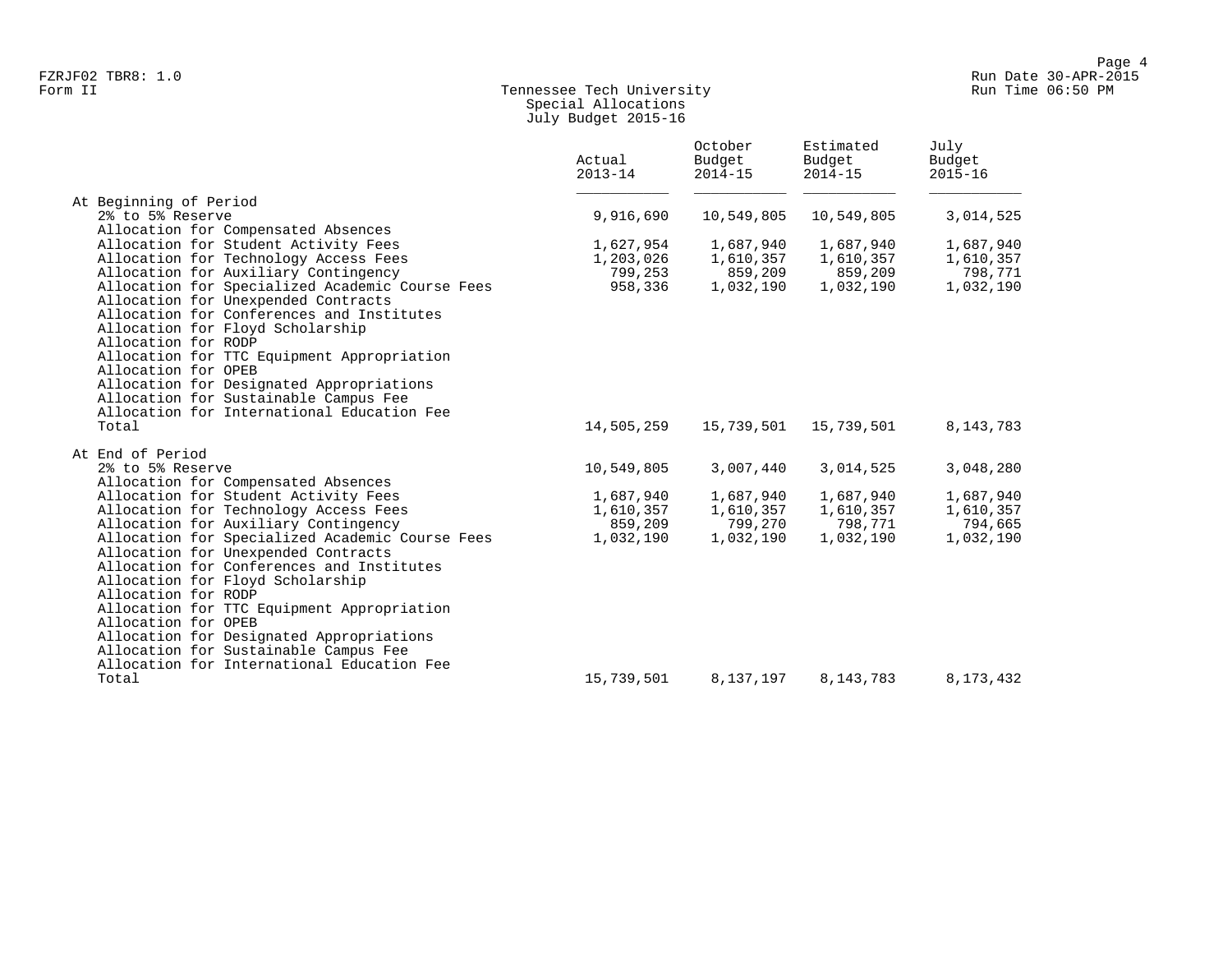## Form II Tennessee Tech University Run Time 06:50 PM Special Allocations July Budget 2015-16

|                                                                                     | Actual<br>$2013 - 14$ | October<br>Budget<br>$2014 - 15$ | Estimated<br>Budget<br>$2014 - 15$ | July<br>Budget<br>$2015 - 16$ |
|-------------------------------------------------------------------------------------|-----------------------|----------------------------------|------------------------------------|-------------------------------|
| At Beginning of Period                                                              |                       |                                  |                                    |                               |
| 2% to 5% Reserve                                                                    | 9,916,690             | 10,549,805                       | 10,549,805                         | 3,014,525                     |
| Allocation for Compensated Absences                                                 |                       |                                  |                                    |                               |
| Allocation for Student Activity Fees                                                | 1,627,954             | 1,687,940                        | 1,687,940                          | 1,687,940                     |
| Allocation for Technology Access Fees                                               | 1,203,026             | 1,610,357                        | 1,610,357                          | 1,610,357                     |
| Allocation for Auxiliary Contingency                                                | 799,253               | 859,209                          | 859,209                            | 798,771                       |
| Allocation for Specialized Academic Course Fees                                     | 958,336               | 1,032,190                        | 1,032,190                          | 1,032,190                     |
| Allocation for Unexpended Contracts                                                 |                       |                                  |                                    |                               |
| Allocation for Conferences and Institutes                                           |                       |                                  |                                    |                               |
| Allocation for Floyd Scholarship                                                    |                       |                                  |                                    |                               |
| Allocation for RODP                                                                 |                       |                                  |                                    |                               |
| Allocation for TTC Equipment Appropriation                                          |                       |                                  |                                    |                               |
| Allocation for OPEB                                                                 |                       |                                  |                                    |                               |
| Allocation for Designated Appropriations                                            |                       |                                  |                                    |                               |
| Allocation for Sustainable Campus Fee                                               |                       |                                  |                                    |                               |
| Allocation for International Education Fee                                          |                       |                                  |                                    |                               |
| Total                                                                               | 14,505,259            | 15,739,501                       | 15,739,501                         | 8, 143, 783                   |
| At End of Period                                                                    |                       |                                  |                                    |                               |
| 2% to 5% Reserve                                                                    | 10,549,805            | 3,007,440                        | 3,014,525                          | 3,048,280                     |
| Allocation for Compensated Absences                                                 |                       |                                  |                                    |                               |
| Allocation for Student Activity Fees                                                | 1,687,940             | 1,687,940                        | 1,687,940                          | 1,687,940                     |
| Allocation for Technology Access Fees                                               | 1,610,357             | 1,610,357                        | 1,610,357                          | 1,610,357                     |
| Allocation for Auxiliary Contingency                                                | 859,209               | 799,270                          | 798,771                            | 794,665                       |
| Allocation for Specialized Academic Course Fees                                     | 1,032,190             | 1,032,190                        | 1,032,190                          | 1,032,190                     |
| Allocation for Unexpended Contracts                                                 |                       |                                  |                                    |                               |
| Allocation for Conferences and Institutes                                           |                       |                                  |                                    |                               |
| Allocation for Floyd Scholarship                                                    |                       |                                  |                                    |                               |
| Allocation for RODP                                                                 |                       |                                  |                                    |                               |
| Allocation for TTC Equipment Appropriation                                          |                       |                                  |                                    |                               |
| Allocation for OPEB                                                                 |                       |                                  |                                    |                               |
| Allocation for Designated Appropriations                                            |                       |                                  |                                    |                               |
| Allocation for Sustainable Campus Fee<br>Allocation for International Education Fee |                       |                                  |                                    |                               |
| Total                                                                               | 15,739,501            | 8,137,197                        | 8,143,783                          | 8,173,432                     |
|                                                                                     |                       |                                  |                                    |                               |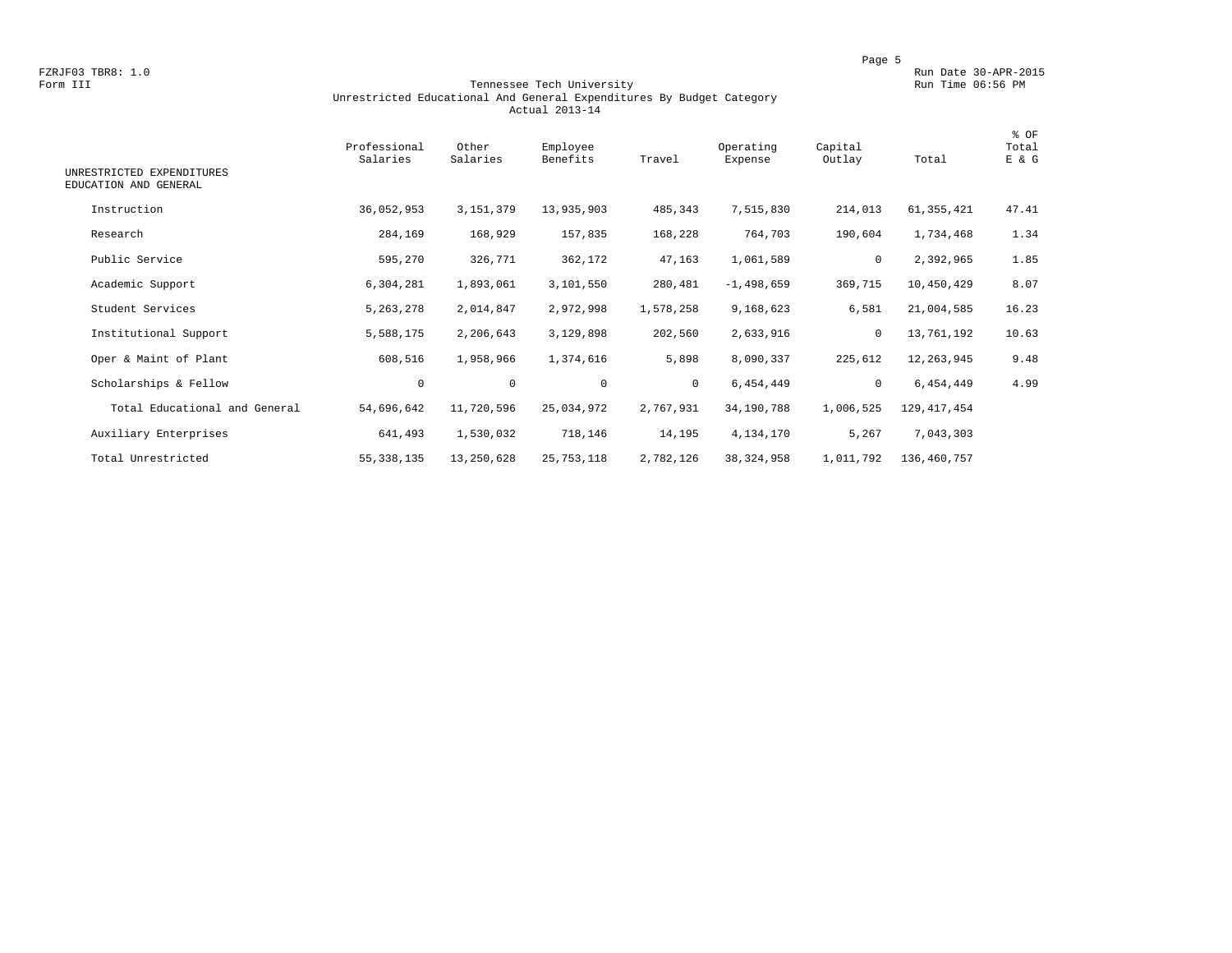#### Form III Tennessee Tech University Run Time 06:56 PM Unrestricted Educational And General Expenditures By Budget Category Actual 2013-14

| UNRESTRICTED EXPENDITURES     | Professional<br>Salaries | Other<br>Salaries | Employee<br>Benefits | Travel       | Operating<br>Expense | Capital<br>Outlay | Total         | % OF<br>Total<br>E & G |
|-------------------------------|--------------------------|-------------------|----------------------|--------------|----------------------|-------------------|---------------|------------------------|
| EDUCATION AND GENERAL         |                          |                   |                      |              |                      |                   |               |                        |
| Instruction                   | 36,052,953               | 3, 151, 379       | 13,935,903           | 485,343      | 7,515,830            | 214,013           | 61,355,421    | 47.41                  |
| Research                      | 284,169                  | 168,929           | 157,835              | 168,228      | 764,703              | 190,604           | 1,734,468     | 1.34                   |
| Public Service                | 595,270                  | 326,771           | 362,172              | 47,163       | 1,061,589            | 0                 | 2,392,965     | 1.85                   |
| Academic Support              | 6,304,281                | 1,893,061         | 3,101,550            | 280,481      | $-1,498,659$         | 369,715           | 10,450,429    | 8.07                   |
| Student Services              | 5, 263, 278              | 2,014,847         | 2,972,998            | 1,578,258    | 9,168,623            | 6,581             | 21,004,585    | 16.23                  |
| Institutional Support         | 5,588,175                | 2,206,643         | 3,129,898            | 202,560      | 2,633,916            | $\mathbf 0$       | 13,761,192    | 10.63                  |
| Oper & Maint of Plant         | 608,516                  | 1,958,966         | 1,374,616            | 5,898        | 8,090,337            | 225,612           | 12,263,945    | 9.48                   |
| Scholarships & Fellow         | $\mathbf 0$              | $\mathbf 0$       | $\mathbf 0$          | $\mathbf{0}$ | 6,454,449            | $\circ$           | 6,454,449     | 4.99                   |
| Total Educational and General | 54,696,642               | 11,720,596        | 25,034,972           | 2,767,931    | 34,190,788           | 1,006,525         | 129, 417, 454 |                        |
| Auxiliary Enterprises         | 641,493                  | 1,530,032         | 718,146              | 14,195       | 4,134,170            | 5,267             | 7,043,303     |                        |
| Total Unrestricted            | 55, 338, 135             | 13,250,628        | 25, 753, 118         | 2,782,126    | 38, 324, 958         | 1,011,792         | 136,460,757   |                        |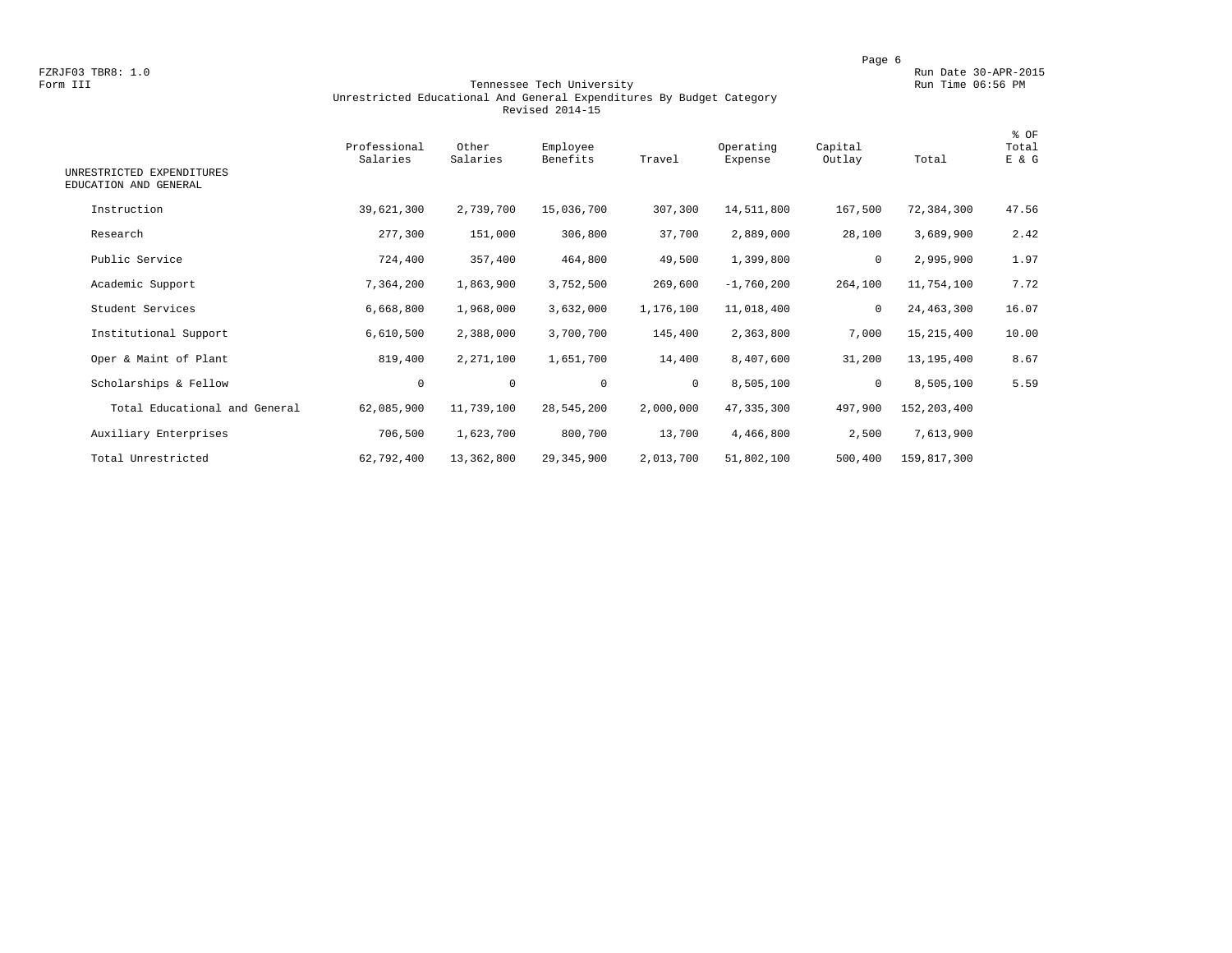#### Form III Tennessee Tech University Run Time 06:56 PM Unrestricted Educational And General Expenditures By Budget Category Revised 2014-15

| UNRESTRICTED EXPENDITURES<br>EDUCATION AND GENERAL | Professional<br>Salaries | Other<br>Salaries | Employee<br>Benefits | Travel    | Operating<br>Expense | Capital<br>Outlay | Total       | % OF<br>Total<br>E & G |
|----------------------------------------------------|--------------------------|-------------------|----------------------|-----------|----------------------|-------------------|-------------|------------------------|
| Instruction                                        | 39,621,300               | 2,739,700         | 15,036,700           | 307,300   | 14,511,800           | 167,500           | 72,384,300  | 47.56                  |
| Research                                           | 277,300                  | 151,000           | 306,800              | 37,700    | 2,889,000            | 28,100            | 3,689,900   | 2.42                   |
| Public Service                                     | 724,400                  | 357,400           | 464,800              | 49,500    | 1,399,800            | $\circ$           | 2,995,900   | 1.97                   |
| Academic Support                                   | 7,364,200                | 1,863,900         | 3,752,500            | 269,600   | $-1,760,200$         | 264,100           | 11,754,100  | 7.72                   |
| Student Services                                   | 6,668,800                | 1,968,000         | 3,632,000            | 1,176,100 | 11,018,400           | 0                 | 24,463,300  | 16.07                  |
| Institutional Support                              | 6,610,500                | 2,388,000         | 3,700,700            | 145,400   | 2,363,800            | 7,000             | 15,215,400  | 10.00                  |
| Oper & Maint of Plant                              | 819,400                  | 2,271,100         | 1,651,700            | 14,400    | 8,407,600            | 31,200            | 13,195,400  | 8.67                   |
| Scholarships & Fellow                              | $\circ$                  | $\mathsf{O}$      | $\mathbf 0$          | $\circ$   | 8,505,100            | $\mathbf 0$       | 8,505,100   | 5.59                   |
| Total Educational and General                      | 62,085,900               | 11,739,100        | 28,545,200           | 2,000,000 | 47,335,300           | 497,900           | 152,203,400 |                        |
| Auxiliary Enterprises                              | 706,500                  | 1,623,700         | 800,700              | 13,700    | 4,466,800            | 2,500             | 7,613,900   |                        |
| Total Unrestricted                                 | 62,792,400               | 13,362,800        | 29,345,900           | 2,013,700 | 51,802,100           | 500,400           | 159,817,300 |                        |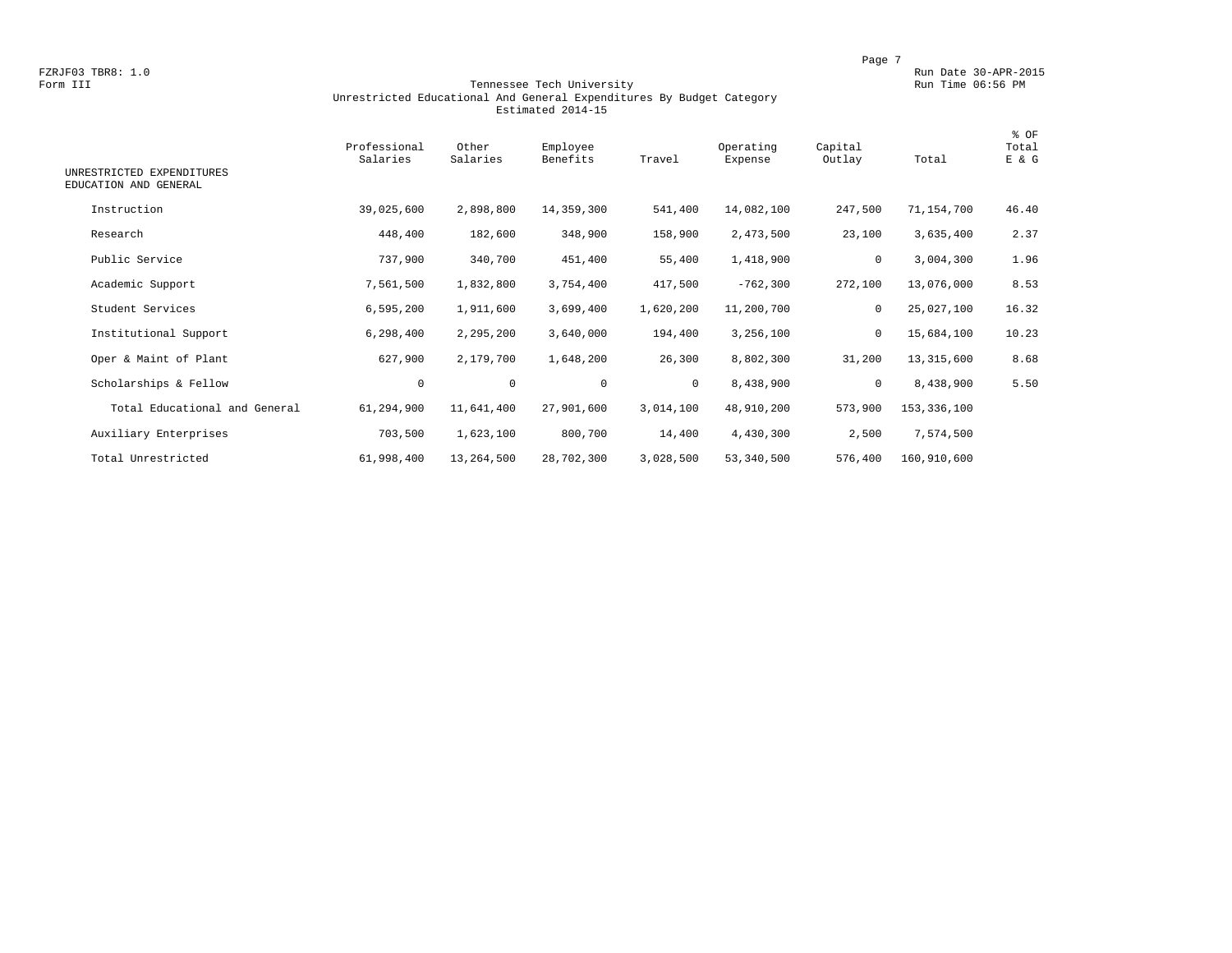#### Form III Tennessee Tech University Run Time 06:56 PM Unrestricted Educational And General Expenditures By Budget Category Estimated 2014-15

| UNRESTRICTED EXPENDITURES<br>EDUCATION AND GENERAL | Professional<br>Salaries | Other<br>Salaries | Employee<br>Benefits | Travel    | Operating<br>Expense | Capital<br>Outlay | Total       | % OF<br>Total<br>E & G |
|----------------------------------------------------|--------------------------|-------------------|----------------------|-----------|----------------------|-------------------|-------------|------------------------|
| Instruction                                        | 39,025,600               | 2,898,800         | 14,359,300           | 541,400   | 14,082,100           | 247,500           | 71,154,700  | 46.40                  |
| Research                                           | 448,400                  | 182,600           | 348,900              | 158,900   | 2,473,500            | 23,100            | 3,635,400   | 2.37                   |
| Public Service                                     | 737,900                  | 340,700           | 451,400              | 55,400    | 1,418,900            | 0                 | 3,004,300   | 1.96                   |
| Academic Support                                   | 7,561,500                | 1,832,800         | 3,754,400            | 417,500   | $-762,300$           | 272,100           | 13,076,000  | 8.53                   |
| Student Services                                   | 6,595,200                | 1,911,600         | 3,699,400            | 1,620,200 | 11,200,700           | 0                 | 25,027,100  | 16.32                  |
| Institutional Support                              | 6,298,400                | 2,295,200         | 3,640,000            | 194,400   | 3,256,100            | 0                 | 15,684,100  | 10.23                  |
| Oper & Maint of Plant                              | 627,900                  | 2,179,700         | 1,648,200            | 26,300    | 8,802,300            | 31,200            | 13,315,600  | 8.68                   |
| Scholarships & Fellow                              | $\circ$                  | $\mathbf 0$       | $\mathbf 0$          | $\circ$   | 8,438,900            | $\mathbf 0$       | 8,438,900   | 5.50                   |
| Total Educational and General                      | 61,294,900               | 11,641,400        | 27,901,600           | 3,014,100 | 48,910,200           | 573,900           | 153,336,100 |                        |
| Auxiliary Enterprises                              | 703,500                  | 1,623,100         | 800,700              | 14,400    | 4,430,300            | 2,500             | 7,574,500   |                        |
| Total Unrestricted                                 | 61,998,400               | 13,264,500        | 28,702,300           | 3,028,500 | 53,340,500           | 576,400           | 160,910,600 |                        |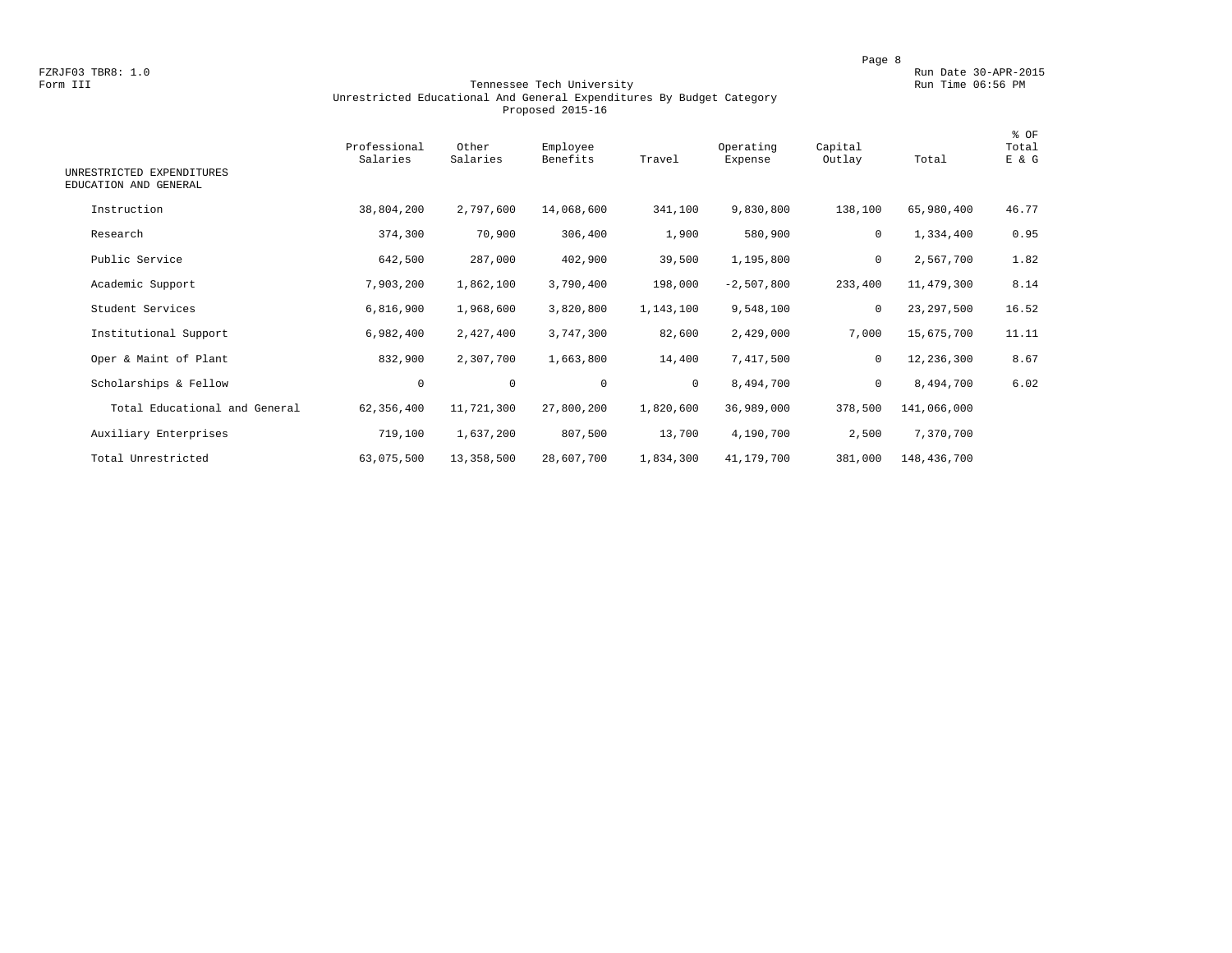#### Form III Tennessee Tech University Run Time 06:56 PM Unrestricted Educational And General Expenditures By Budget Category Proposed 2015-16

| UNRESTRICTED EXPENDITURES<br>EDUCATION AND GENERAL | Professional<br>Salaries | Other<br>Salaries | Employee<br>Benefits | Travel    | Operating<br>Expense | Capital<br>Outlay | Total       | % OF<br>Total<br>E & G |
|----------------------------------------------------|--------------------------|-------------------|----------------------|-----------|----------------------|-------------------|-------------|------------------------|
| Instruction                                        | 38,804,200               | 2,797,600         | 14,068,600           | 341,100   | 9,830,800            | 138,100           | 65,980,400  | 46.77                  |
| Research                                           | 374,300                  | 70,900            | 306,400              | 1,900     | 580,900              | $\mathbf 0$       | 1,334,400   | 0.95                   |
| Public Service                                     | 642,500                  | 287,000           | 402,900              | 39,500    | 1,195,800            | 0                 | 2,567,700   | 1.82                   |
| Academic Support                                   | 7,903,200                | 1,862,100         | 3,790,400            | 198,000   | $-2,507,800$         | 233,400           | 11,479,300  | 8.14                   |
| Student Services                                   | 6,816,900                | 1,968,600         | 3,820,800            | 1,143,100 | 9,548,100            | 0                 | 23,297,500  | 16.52                  |
| Institutional Support                              | 6,982,400                | 2,427,400         | 3,747,300            | 82,600    | 2,429,000            | 7,000             | 15,675,700  | 11.11                  |
| Oper & Maint of Plant                              | 832,900                  | 2,307,700         | 1,663,800            | 14,400    | 7,417,500            | 0                 | 12,236,300  | 8.67                   |
| Scholarships & Fellow                              | $\mathbf 0$              | $\mathbf 0$       | $\mathbf 0$          | $\circ$   | 8,494,700            | 0                 | 8,494,700   | 6.02                   |
| Total Educational and General                      | 62,356,400               | 11,721,300        | 27,800,200           | 1,820,600 | 36,989,000           | 378,500           | 141,066,000 |                        |
| Auxiliary Enterprises                              | 719,100                  | 1,637,200         | 807,500              | 13,700    | 4,190,700            | 2,500             | 7,370,700   |                        |
| Total Unrestricted                                 | 63,075,500               | 13,358,500        | 28,607,700           | 1,834,300 | 41,179,700           | 381,000           | 148,436,700 |                        |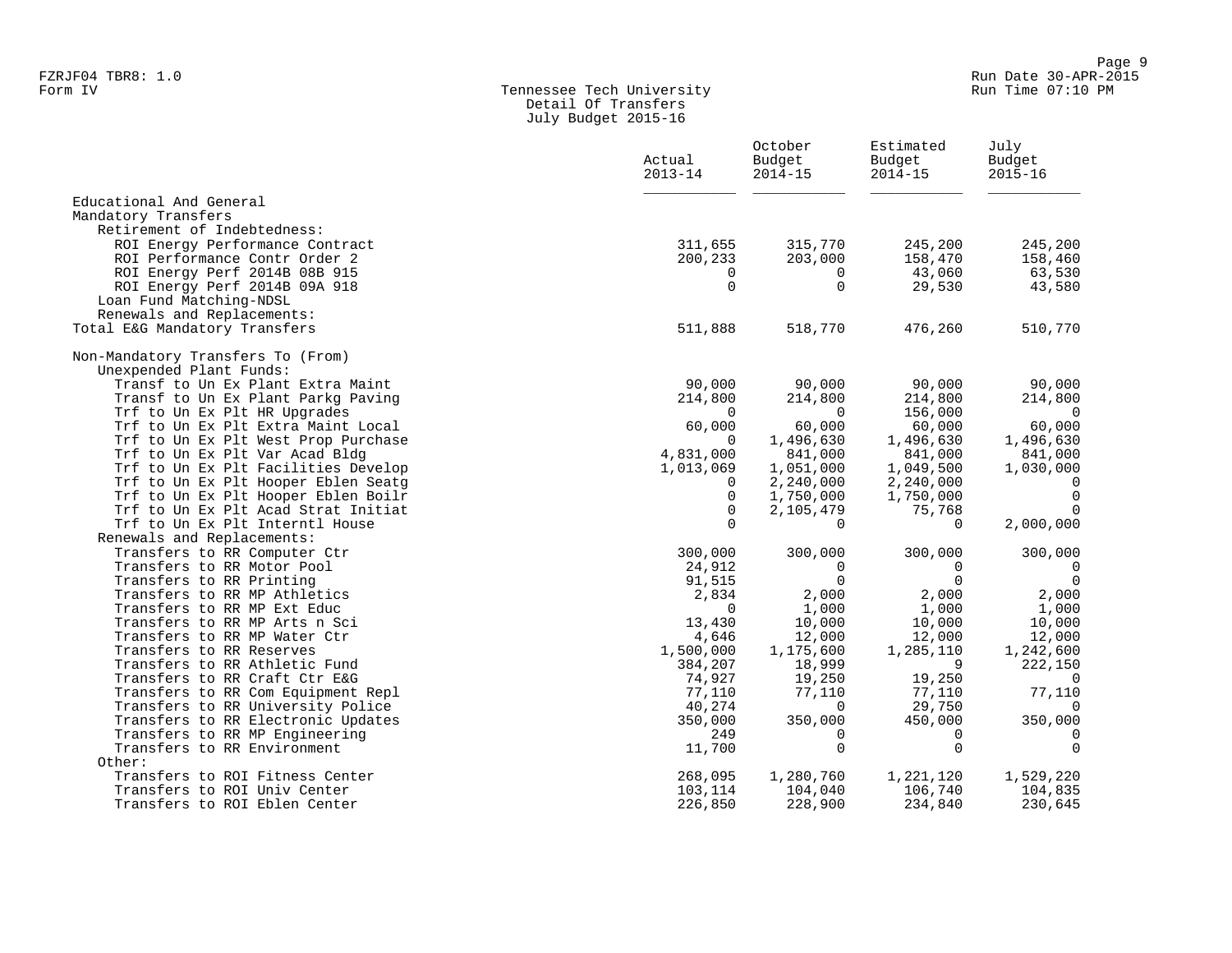#### Form IV Tennessee Tech University Run Time 07:10 PM Detail Of Transfers July Budget 2015-16

|                                                                            | Actual<br>$2013 - 14$ | October<br>Budget<br>$2014 - 15$ | Estimated<br>Budget<br>$2014 - 15$ | July<br>Budget<br>$2015 - 16$ |
|----------------------------------------------------------------------------|-----------------------|----------------------------------|------------------------------------|-------------------------------|
| Educational And General<br>Mandatory Transfers                             |                       |                                  |                                    |                               |
| Retirement of Indebtedness:                                                |                       |                                  |                                    |                               |
| ROI Energy Performance Contract                                            | 311,655               | 315,770                          | 245,200                            | 245,200                       |
| ROI Performance Contr Order 2                                              | 200,233               | 203,000                          | 158,470                            | 158,460                       |
| ROI Energy Perf 2014B 08B 915                                              | $\Omega$              | $\overline{0}$                   | 43,060                             | 63,530                        |
| ROI Energy Perf 2014B 09A 918                                              | $\mathbf 0$           | $\Omega$                         | 29,530                             | 43,580                        |
| Loan Fund Matching-NDSL                                                    |                       |                                  |                                    |                               |
| Renewals and Replacements:                                                 |                       |                                  |                                    |                               |
| Total E&G Mandatory Transfers                                              | 511,888               | 518,770                          | 476,260                            | 510,770                       |
| Non-Mandatory Transfers To (From)                                          |                       |                                  |                                    |                               |
| Unexpended Plant Funds:                                                    |                       |                                  |                                    |                               |
| Transf to Un Ex Plant Extra Maint                                          | 90,000                | 90,000                           | 90,000                             | 90,000                        |
| Transf to Un Ex Plant Parkg Paving                                         | 214,800               | 214,800                          | 214,800                            | 214,800                       |
| Trf to Un Ex Plt HR Upgrades                                               | $\Omega$              | $\Omega$                         | 156,000                            | $\overline{0}$                |
| Trf to Un Ex Plt Extra Maint Local                                         | 60,000                | 60,000                           | 60,000                             | 60,000                        |
| Trf to Un Ex Plt West Prop Purchase                                        | $\Omega$              | 1,496,630                        | 1,496,630                          | 1,496,630                     |
| Trf to Un Ex Plt Var Acad Bldg                                             | 4,831,000             | 841,000                          | 841,000                            | 841,000                       |
| Trf to Un Ex Plt Facilities Develop                                        | 1,013,069             | 1,051,000                        | 1,049,500                          | 1,030,000                     |
| Trf to Un Ex Plt Hooper Eblen Seatq<br>Trf to Un Ex Plt Hooper Eblen Boilr | 0<br>$\Omega$         | 2,240,000                        | 2,240,000                          | $\mathbf 0$<br>$\Omega$       |
| Trf to Un Ex Plt Acad Strat Initiat                                        | $\Omega$              | 1,750,000<br>2,105,479           | 1,750,000<br>75,768                | $\Omega$                      |
| Trf to Un Ex Plt Interntl House                                            | $\Omega$              | $\Omega$                         | $\Omega$                           | 2,000,000                     |
| Renewals and Replacements:                                                 |                       |                                  |                                    |                               |
| Transfers to RR Computer Ctr                                               | 300,000               | 300,000                          | 300,000                            | 300,000                       |
| Transfers to RR Motor Pool                                                 | 24,912                | 0                                | $\Omega$                           | 0                             |
| Transfers to RR Printing                                                   | 91,515                | $\mathbf 0$                      | $\mathbf 0$                        | $\overline{0}$                |
| Transfers to RR MP Athletics                                               | 2,834                 | 2,000                            | 2,000                              | 2,000                         |
| Transfers to RR MP Ext Educ                                                | $\Omega$              | 1,000                            | 1,000                              | 1,000                         |
| Transfers to RR MP Arts n Sci                                              | 13,430                | 10,000                           | 10,000                             | 10,000                        |
| Transfers to RR MP Water Ctr                                               | 4,646                 | 12,000                           | 12,000                             | 12,000                        |
| Transfers to RR Reserves                                                   | 1,500,000             | 1,175,600                        | 1,285,110                          | 1,242,600                     |
| Transfers to RR Athletic Fund                                              | 384,207               | 18,999                           | 9                                  | 222,150                       |
| Transfers to RR Craft Ctr E&G                                              | 74,927                | 19,250                           | 19,250                             | $\overline{0}$                |
| Transfers to RR Com Equipment Repl                                         | 77,110                | 77,110                           | 77,110                             | 77,110                        |
| Transfers to RR University Police                                          | 40,274                | $\Omega$                         | 29,750                             | $\Omega$                      |
| Transfers to RR Electronic Updates                                         | 350,000               | 350,000                          | 450,000                            | 350,000                       |
| Transfers to RR MP Engineering                                             | 249                   | 0                                | $\Omega$                           | $\mathbf 0$                   |
| Transfers to RR Environment                                                | 11,700                | $\Omega$                         | $\Omega$                           | $\Omega$                      |
| Other:                                                                     |                       |                                  |                                    |                               |
| Transfers to ROI Fitness Center                                            | 268,095               | 1,280,760                        | 1,221,120                          | 1,529,220                     |
| Transfers to ROI Univ Center<br>Transfers to ROI Eblen Center              | 103,114<br>226,850    | 104,040<br>228,900               | 106,740<br>234,840                 | 104,835<br>230,645            |
|                                                                            |                       |                                  |                                    |                               |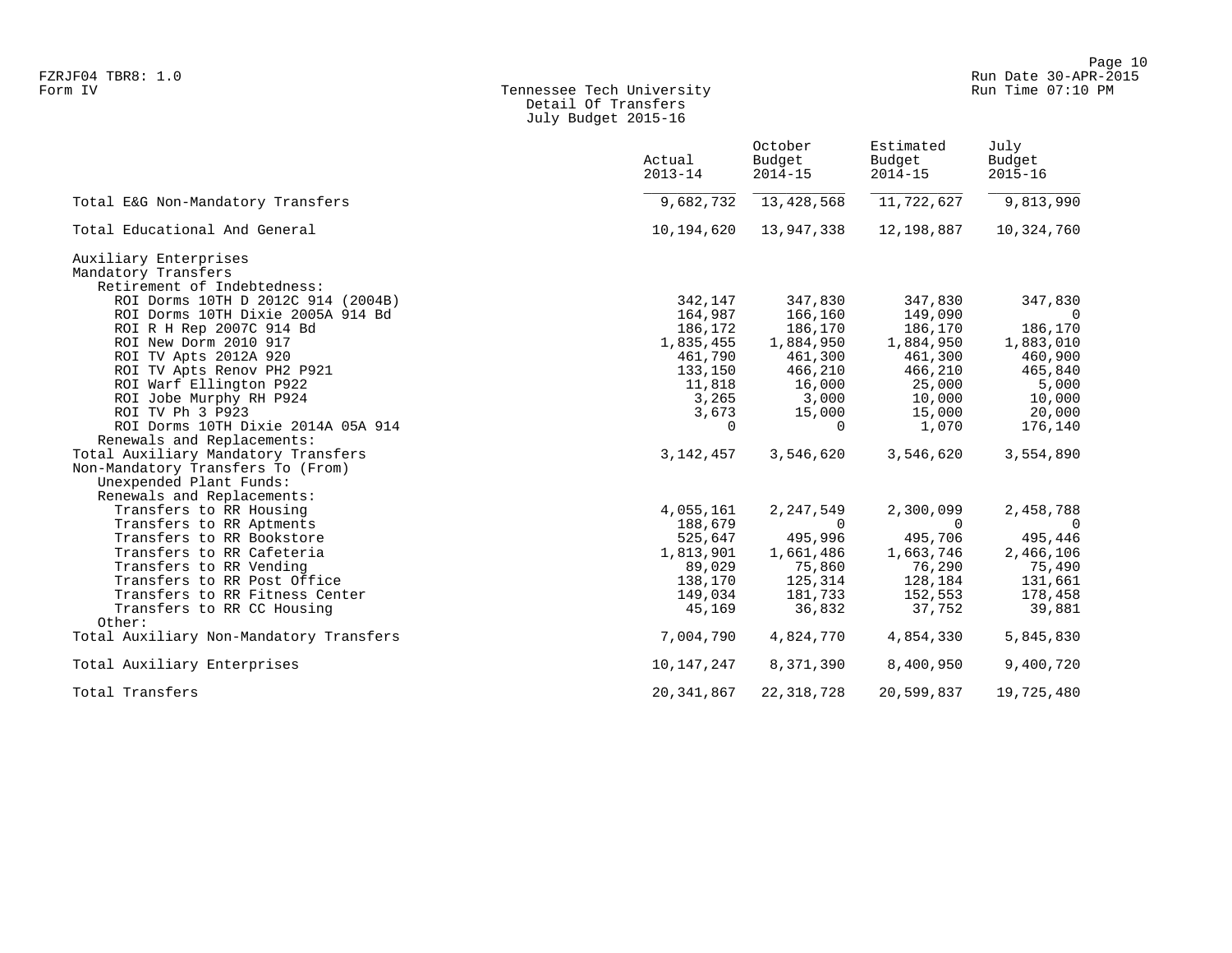## Form IV Tennessee Tech University Run Time 07:10 PM Detail Of Transfers July Budget 2015-16

|                                         | Actual<br>$2013 - 14$ | October<br>Budget<br>$2014 - 15$ | Estimated<br>Budget<br>$2014 - 15$ | July<br>Budget<br>$2015 - 16$ |
|-----------------------------------------|-----------------------|----------------------------------|------------------------------------|-------------------------------|
| Total E&G Non-Mandatory Transfers       |                       | 9,682,732 13,428,568             | 11,722,627                         | 9,813,990                     |
| Total Educational And General           | 10,194,620            | 13,947,338                       | 12,198,887                         | 10,324,760                    |
| Auxiliary Enterprises                   |                       |                                  |                                    |                               |
| Mandatory Transfers                     |                       |                                  |                                    |                               |
| Retirement of Indebtedness:             |                       |                                  |                                    |                               |
| ROI Dorms 10TH D 2012C 914 (2004B)      | 342,147               | 347,830                          | 347,830                            | 347,830                       |
| ROI Dorms 10TH Dixie 2005A 914 Bd       | 164,987               | 166,160                          | 149,090                            | $\overline{0}$                |
| ROI R H Rep 2007C 914 Bd                | 186,172               | 186,170                          | 186,170                            | 186,170                       |
| ROI New Dorm 2010 917                   | 1,835,455             | 1,884,950                        | 1,884,950                          | 1,883,010                     |
| ROI TV Apts 2012A 920                   | 461,790               | 461,300                          | 461,300                            | 460,900                       |
| ROI TV Apts Renov PH2 P921              | 133,150               | 466,210                          | 466,210                            | 465,840                       |
| ROI Warf Ellington P922                 |                       | 11,818    16,000                 | 25,000                             | 5,000                         |
| ROI Jobe Murphy RH P924                 |                       | 3,265 3,000                      | 10,000                             | 10,000                        |
| ROI TV Ph 3 P923                        | 3,673                 | 15,000                           | 15,000                             | 20,000                        |
| ROI Dorms 10TH Dixie 2014A 05A 914      | $\overline{0}$        | $\Omega$                         | 1,070                              | 176,140                       |
| Renewals and Replacements:              |                       |                                  |                                    |                               |
| Total Auxiliary Mandatory Transfers     | 3,142,457             | 3,546,620                        | 3,546,620                          | 3,554,890                     |
| Non-Mandatory Transfers To (From)       |                       |                                  |                                    |                               |
| Unexpended Plant Funds:                 |                       |                                  |                                    |                               |
| Renewals and Replacements:              |                       |                                  |                                    |                               |
| Transfers to RR Housing                 | 4,055,161             | 2,247,549                        | 2,300,099                          | 2,458,788                     |
| Transfers to RR Aptments                | 188,679               | $\overline{0}$                   | $\Omega$                           | $\overline{0}$                |
| Transfers to RR Bookstore               | 525,647               | 495,996                          | 495,706                            | 495,446                       |
| Transfers to RR Cafeteria               | 1,813,901             | 1,661,486                        | 1,663,746                          | 2,466,106                     |
| Transfers to RR Vending                 | 89,029                | 75,860                           | 76,290                             | 75,490                        |
| Transfers to RR Post Office             | 138,170               | 125,314                          | 128,184                            | 131,661                       |
| Transfers to RR Fitness Center          | 149,034               | 181,733                          | 152,553                            | 178,458                       |
| Transfers to RR CC Housing<br>Other:    | 45,169                | 36,832                           | 37,752                             | 39,881                        |
| Total Auxiliary Non-Mandatory Transfers | 7,004,790             | 4,824,770                        | 4,854,330                          | 5,845,830                     |
|                                         |                       |                                  |                                    |                               |
| Total Auxiliary Enterprises             | 10,147,247            | 8,371,390                        | 8,400,950                          | 9,400,720                     |
| Total Transfers                         | 20, 341, 867          | 22, 318, 728                     | 20,599,837                         | 19,725,480                    |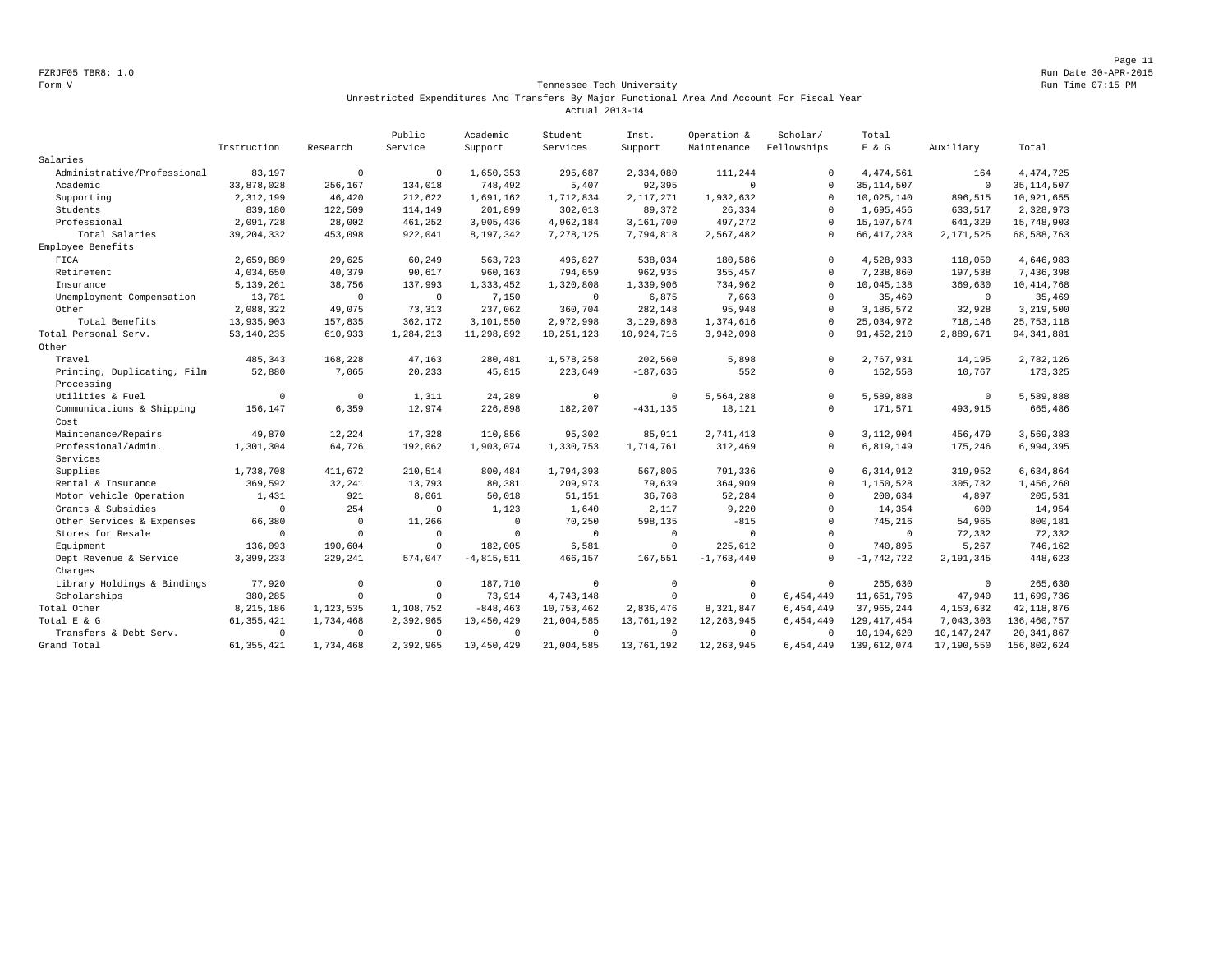Page 11 FZRJF05 TBR8: 1.0 Run Date 30-APR-2015

#### Form V Tennessee Tech University Run Time 07:15 PM Unrestricted Expenditures And Transfers By Major Functional Area And Account For Fiscal Year Actual 2013-14

|                             |              |              | Public      | Academic     | Student      | Inst.          | Operation &  | Scholar/     | Total         |              |               |
|-----------------------------|--------------|--------------|-------------|--------------|--------------|----------------|--------------|--------------|---------------|--------------|---------------|
|                             | Instruction  | Research     | Service     | Support      | Services     | Support        | Maintenance  | Fellowships  | $E$ & $G$     | Auxiliary    | Total         |
| Salaries                    |              |              |             |              |              |                |              |              |               |              |               |
| Administrative/Professional | 83,197       | $\mathbf 0$  | $^{\circ}$  | 1,650,353    | 295,687      | 2,334,080      | 111,244      | $\Omega$     | 4, 474, 561   | 164          | 4, 474, 725   |
| Academic                    | 33,878,028   | 256,167      | 134,018     | 748,492      | 5,407        | 92,395         | $\mathbf 0$  | $\Omega$     | 35, 114, 507  | $\mathbb O$  | 35, 114, 507  |
| Supporting                  | 2,312,199    | 46,420       | 212,622     | 1,691,162    | 1,712,834    | 2,117,271      | 1,932,632    | $\Omega$     | 10,025,140    | 896,515      | 10,921,655    |
| Students                    | 839,180      | 122,509      | 114,149     | 201,899      | 302,013      | 89,372         | 26,334       | $\Omega$     | 1,695,456     | 633,517      | 2,328,973     |
| Professional                | 2,091,728    | 28,002       | 461,252     | 3,905,436    | 4,962,184    | 3,161,700      | 497,272      | $\Omega$     | 15, 107, 574  | 641,329      | 15,748,903    |
| Total Salaries              | 39, 204, 332 | 453,098      | 922,041     | 8,197,342    | 7,278,125    | 7,794,818      | 2,567,482    | $\Omega$     | 66, 417, 238  | 2,171,525    | 68,588,763    |
| Employee Benefits           |              |              |             |              |              |                |              |              |               |              |               |
| FICA                        | 2,659,889    | 29,625       | 60,249      | 563,723      | 496,827      | 538,034        | 180,586      | $\mathbf{0}$ | 4,528,933     | 118,050      | 4,646,983     |
| Retirement                  | 4,034,650    | 40,379       | 90,617      | 960,163      | 794,659      | 962,935        | 355,457      | $\cap$       | 7,238,860     | 197,538      | 7,436,398     |
| Insurance                   | 5,139,261    | 38,756       | 137,993     | 1,333,452    | 1,320,808    | 1,339,906      | 734,962      | $\Omega$     | 10,045,138    | 369,630      | 10, 414, 768  |
| Unemployment Compensation   | 13,781       | $^{\circ}$   | $\mathbf 0$ | 7,150        | $^{\circ}$   | 6,875          | 7,663        | $\mathbf{0}$ | 35,469        | $^{\circ}$   | 35,469        |
| Other                       | 2,088,322    | 49,075       | 73,313      | 237,062      | 360,704      | 282,148        | 95,948       | $\mathbf{0}$ | 3,186,572     | 32,928       | 3,219,500     |
| Total Benefits              | 13,935,903   | 157,835      | 362,172     | 3,101,550    | 2,972,998    | 3,129,898      | 1,374,616    | $\Omega$     | 25,034,972    | 718,146      | 25, 753, 118  |
| Total Personal Serv.        | 53, 140, 235 | 610,933      | 1,284,213   | 11,298,892   | 10, 251, 123 | 10,924,716     | 3,942,098    | $\cap$       | 91, 452, 210  | 2,889,671    | 94, 341, 881  |
| Other                       |              |              |             |              |              |                |              |              |               |              |               |
| Travel                      | 485,343      | 168,228      | 47,163      | 280,481      | 1,578,258    | 202,560        | 5,898        | $\circ$      | 2.767.931     | 14,195       | 2,782,126     |
| Printing, Duplicating, Film | 52,880       | 7,065        | 20,233      | 45,815       | 223,649      | $-187,636$     | 552          | $^{\circ}$   | 162,558       | 10,767       | 173,325       |
| Processing                  |              |              |             |              |              |                |              |              |               |              |               |
| Utilities & Fuel            | $\Omega$     | $^{\circ}$   | 1,311       | 24,289       | $\mathbf 0$  | $\overline{0}$ | 5,564,288    | $\circ$      | 5,589,888     | $\mathbf 0$  | 5,589,888     |
| Communications & Shipping   | 156,147      | 6,359        | 12,974      | 226,898      | 182,207      | $-431, 135$    | 18,121       | 0            | 171,571       | 493,915      | 665,486       |
| Cost                        |              |              |             |              |              |                |              |              |               |              |               |
| Maintenance/Repairs         | 49,870       | 12,224       | 17,328      | 110,856      | 95,302       | 85,911         | 2,741,413    | $\circ$      | 3,112,904     | 456,479      | 3,569,383     |
| Professional/Admin.         | 1,301,304    | 64,726       | 192,062     | 1,903,074    | 1,330,753    | 1,714,761      | 312,469      | $\circ$      | 6,819,149     | 175,246      | 6,994,395     |
| Services                    |              |              |             |              |              |                |              |              |               |              |               |
| Supplies                    | 1,738,708    | 411,672      | 210,514     | 800,484      | 1,794,393    | 567,805        | 791,336      | $\circ$      | 6,314,912     | 319,952      | 6,634,864     |
| Rental & Insurance          | 369,592      | 32,241       | 13,793      | 80,381       | 209,973      | 79,639         | 364,909      | $\circ$      | 1,150,528     | 305,732      | 1,456,260     |
| Motor Vehicle Operation     | 1,431        | 921          | 8,061       | 50,018       | 51,151       | 36,768         | 52,284       | $\mathbf{0}$ | 200,634       | 4,897        | 205,531       |
| Grants & Subsidies          | $\Omega$     | 254          | $\Omega$    | 1,123        | 1,640        | 2,117          | 9,220        | $\Omega$     | 14,354        | 600          | 14,954        |
| Other Services & Expenses   | 66,380       | $\mathbf 0$  | 11,266      | $^{\circ}$   | 70,250       | 598,135        | $-815$       | $\mathbf{0}$ | 745,216       | 54,965       | 800,181       |
| Stores for Resale           | $\mathbf 0$  | $\mathbf{0}$ | $\Omega$    | $\mathbf 0$  | $^{\circ}$   | $\mathbf 0$    | $\mathbf{0}$ | $\mathbf{0}$ | $\mathbf 0$   | 72,332       | 72,332        |
| Equipment                   | 136,093      | 190,604      | $\mathbf 0$ | 182,005      | 6,581        | $\circ$        | 225.612      | $\circ$      | 740,895       | 5,267        | 746,162       |
| Dept Revenue & Service      | 3,399,233    | 229,241      | 574,047     | $-4,815,511$ | 466,157      | 167,551        | $-1,763,440$ | $\Omega$     | $-1,742,722$  | 2,191,345    | 448,623       |
| Charges                     |              |              |             |              |              |                |              |              |               |              |               |
| Library Holdings & Bindings | 77,920       | $\mathbb O$  | $^{\circ}$  | 187,710      | $\mathbf{0}$ | $\circ$        | $\mathbb O$  | $\circ$      | 265,630       | $\mathbb O$  | 265,630       |
| Scholarships                | 380,285      | $\mathbf{0}$ | $\Omega$    | 73,914       | 4,743,148    | $^{\circ}$     | $\mathbf 0$  | 6,454,449    | 11,651,796    | 47,940       | 11,699,736    |
| Total Other                 | 8,215,186    | 1,123,535    | 1,108,752   | $-848, 463$  | 10,753,462   | 2,836,476      | 8,321,847    | 6,454,449    | 37,965,244    | 4, 153, 632  | 42, 118, 876  |
| Total E & G                 | 61, 355, 421 | 1,734,468    | 2,392,965   | 10,450,429   | 21,004,585   | 13,761,192     | 12, 263, 945 | 6,454,449    | 129, 417, 454 | 7,043,303    | 136, 460, 757 |
| Transfers & Debt Serv.      | $\Omega$     | $\mathbf 0$  | $\Omega$    | $^{\circ}$   | $\Omega$     | $\Omega$       | $\Omega$     | $\cap$       | 10,194,620    | 10, 147, 247 | 20, 341, 867  |
| Grand Total                 | 61, 355, 421 | 1,734,468    | 2,392,965   | 10,450,429   | 21,004,585   | 13,761,192     | 12, 263, 945 | 6,454,449    | 139,612,074   | 17,190,550   | 156,802,624   |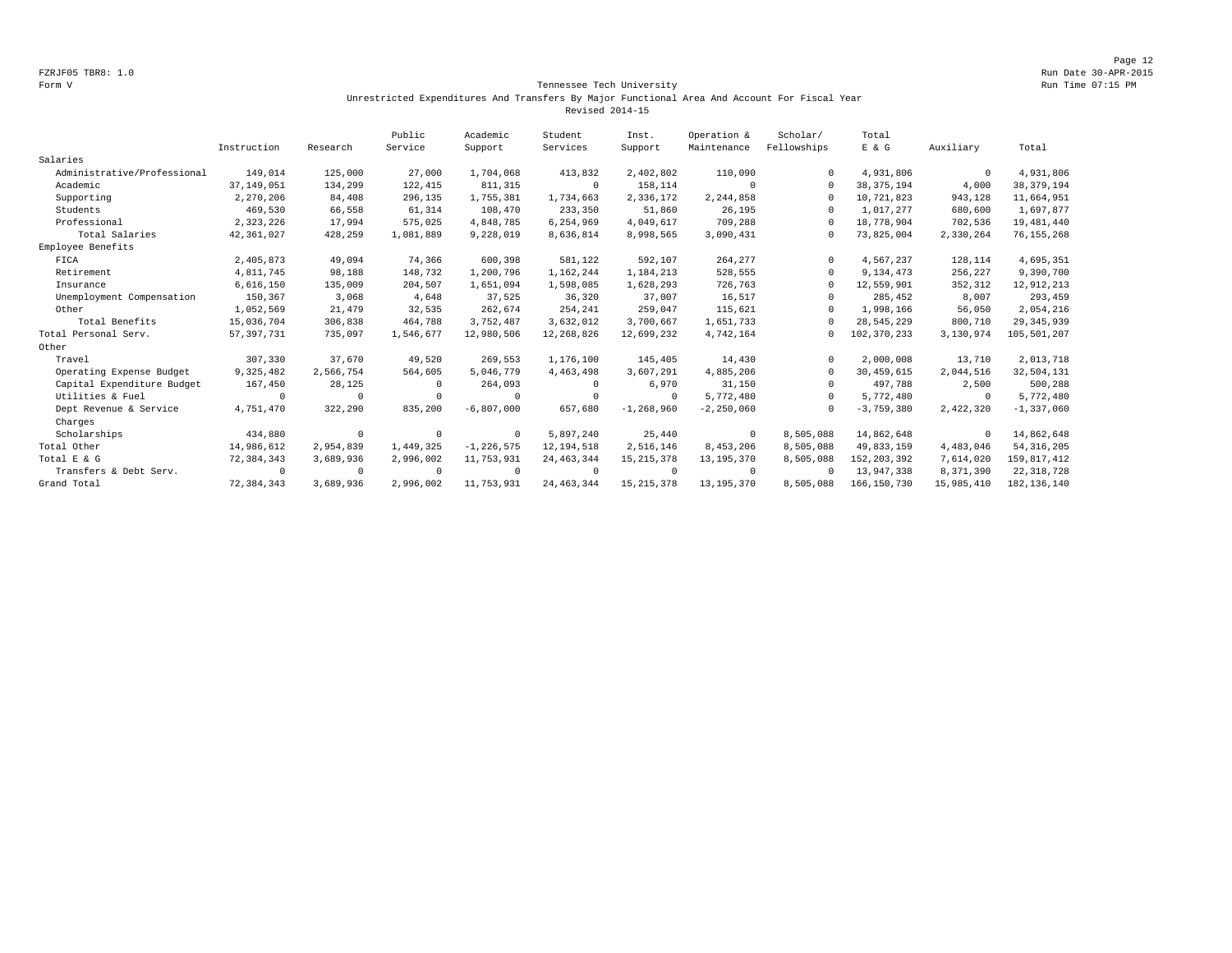#### Form V Tennessee Tech University Run Time 07:15 PM Unrestricted Expenditures And Transfers By Major Functional Area And Account For Fiscal Year Revised 2014-15

|                             |              |            | Public    | Academic       | Student      | Inst.          | Operation &    | Scholar/    | Total         |             |                |
|-----------------------------|--------------|------------|-----------|----------------|--------------|----------------|----------------|-------------|---------------|-------------|----------------|
|                             | Instruction  | Research   | Service   | Support        | Services     | Support        | Maintenance    | Fellowships | E & G         | Auxiliary   | Total          |
| Salaries                    |              |            |           |                |              |                |                |             |               |             |                |
| Administrative/Professional | 149,014      | 125,000    | 27,000    | 1,704,068      | 413,832      | 2,402,802      | 110,090        | $\Omega$    | 4,931,806     | $\mathbf 0$ | 4,931,806      |
| Academic                    | 37, 149, 051 | 134,299    | 122,415   | 811, 315       | $^{\circ}$   | 158,114        | $\Omega$       | $\Omega$    | 38, 375, 194  | 4,000       | 38, 379, 194   |
| Supporting                  | 2,270,206    | 84,408     | 296,135   | 1,755,381      | 1,734,663    | 2,336,172      | 2,244,858      | $\Omega$    | 10,721,823    | 943,128     | 11,664,951     |
| Students                    | 469,530      | 66,558     | 61,314    | 108,470        | 233,350      | 51,860         | 26,195         | $\Omega$    | 1,017,277     | 680,600     | 1,697,877      |
| Professional                | 2,323,226    | 17,994     | 575,025   | 4,848,785      | 6,254,969    | 4,049,617      | 709,288        | $\Omega$    | 18,778,904    | 702,536     | 19, 481, 440   |
| Total Salaries              | 42,361,027   | 428,259    | 1,081,889 | 9,228,019      | 8,636,814    | 8,998,565      | 3,090,431      | 0           | 73,825,004    | 2,330,264   | 76, 155, 268   |
| Employee Benefits           |              |            |           |                |              |                |                |             |               |             |                |
| FICA                        | 2,405,873    | 49,094     | 74,366    | 600,398        | 581,122      | 592,107        | 264,277        | $\Omega$    | 4,567,237     | 128,114     | 4,695,351      |
| Retirement                  | 4,811,745    | 98,188     | 148,732   | 1,200,796      | 1,162,244    | 1,184,213      | 528,555        | $\Omega$    | 9,134,473     | 256,227     | 9,390,700      |
| Insurance                   | 6,616,150    | 135,009    | 204,507   | 1,651,094      | 1,598,085    | 1,628,293      | 726,763        | $\Omega$    | 12,559,901    | 352,312     | 12,912,213     |
| Unemployment Compensation   | 150,367      | 3,068      | 4,648     | 37,525         | 36,320       | 37,007         | 16,517         | $\Omega$    | 285,452       | 8,007       | 293,459        |
| Other                       | 1,052,569    | 21,479     | 32,535    | 262,674        | 254,241      | 259,047        | 115,621        | $\Omega$    | 1,998,166     | 56,050      | 2,054,216      |
| Total Benefits              | 15,036,704   | 306,838    | 464,788   | 3,752,487      | 3,632,012    | 3,700,667      | 1,651,733      | $\Omega$    | 28,545,229    | 800,710     | 29, 345, 939   |
| Total Personal Serv.        | 57, 397, 731 | 735,097    | 1,546,677 | 12,980,506     | 12,268,826   | 12,699,232     | 4,742,164      | 0           | 102, 370, 233 | 3,130,974   | 105,501,207    |
| Other                       |              |            |           |                |              |                |                |             |               |             |                |
| Travel                      | 307,330      | 37,670     | 49,520    | 269,553        | 1,176,100    | 145,405        | 14,430         | $\Omega$    | 2,000,008     | 13,710      | 2,013,718      |
| Operating Expense Budget    | 9,325,482    | 2,566,754  | 564,605   | 5,046,779      | 4, 463, 498  | 3,607,291      | 4,885,206      | $\Omega$    | 30, 459, 615  | 2,044,516   | 32,504,131     |
| Capital Expenditure Budget  | 167,450      | 28,125     |           | 264,093        | $\Omega$     | 6,970          | 31,150         | $\Omega$    | 497.788       | 2,500       | 500,288        |
| Utilities & Fuel            | $\Omega$     | $\Omega$   |           | 0              | $\Omega$     | $^{\circ}$     | 5,772,480      | $\Omega$    | 5,772,480     | $^{\circ}$  | 5,772,480      |
| Dept Revenue & Service      | 4,751,470    | 322,290    | 835,200   | $-6,807,000$   | 657,680      | $-1, 268, 960$ | $-2, 250, 060$ | $\Omega$    | $-3,759,380$  | 2,422,320   | $-1, 337, 060$ |
| Charges                     |              |            |           |                |              |                |                |             |               |             |                |
| Scholarships                | 434,880      | $\circ$    | $\cup$    | $^{\circ}$     | 5,897,240    | 25,440         | $\mathbf 0$    | 8,505,088   | 14,862,648    | 0           | 14,862,648     |
| Total Other                 | 14,986,612   | 2,954,839  | 1,449,325 | $-1, 226, 575$ | 12, 194, 518 | 2,516,146      | 8,453,206      | 8,505,088   | 49,833,159    | 4,483,046   | 54, 316, 205   |
| Total E & G                 | 72,384,343   | 3,689,936  | 2,996,002 | 11,753,931     | 24, 463, 344 | 15, 215, 378   | 13, 195, 370   | 8,505,088   | 152, 203, 392 | 7,614,020   | 159,817,412    |
| Transfers & Debt Serv.      | $\Omega$     | $^{\circ}$ |           | $\mathbf 0$    | $\circ$      | $^{\circ}$     | $^{\circ}$     | $\Omega$    | 13,947,338    | 8,371,390   | 22, 318, 728   |
| Grand Total                 | 72, 384, 343 | 3,689,936  | 2,996,002 | 11,753,931     | 24, 463, 344 | 15, 215, 378   | 13, 195, 370   | 8,505,088   | 166, 150, 730 | 15,985,410  | 182, 136, 140  |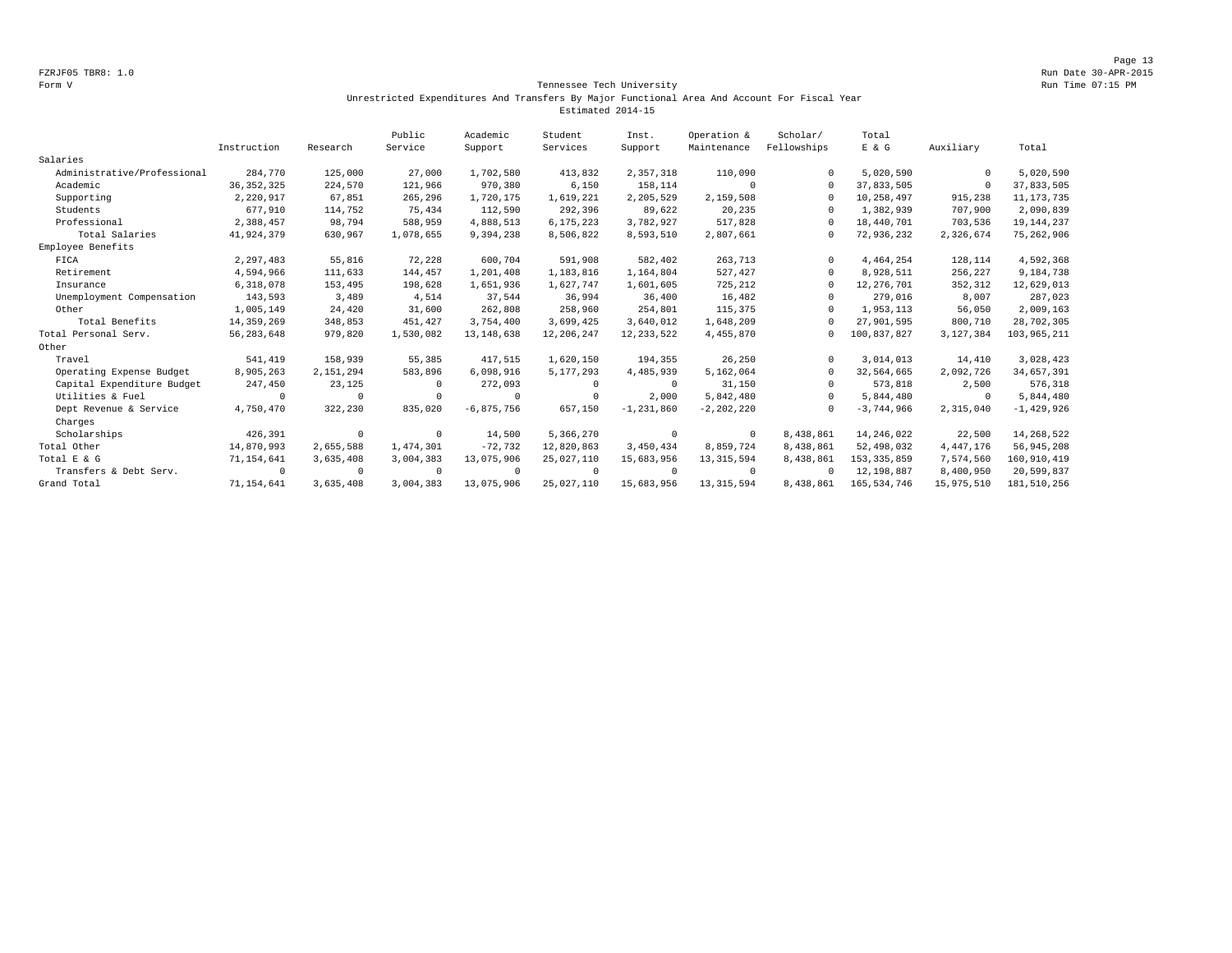#### Form V Tennessee Tech University Run Time 07:15 PM Unrestricted Expenditures And Transfers By Major Functional Area And Account For Fiscal Year Estimated 2014-15

|                             |              |            | Public    | Academic       | Student    | Inst.          | Operation &    | Scholar/    | Total         |              |               |
|-----------------------------|--------------|------------|-----------|----------------|------------|----------------|----------------|-------------|---------------|--------------|---------------|
|                             | Instruction  | Research   | Service   | Support        | Services   | Support        | Maintenance    | Fellowships | E & G         | Auxiliary    | Total         |
| Salaries                    |              |            |           |                |            |                |                |             |               |              |               |
| Administrative/Professional | 284,770      | 125,000    | 27,000    | 1,702,580      | 413,832    | 2,357,318      | 110,090        |             | 5,020,590     | $\mathbf{0}$ | 5,020,590     |
| Academic                    | 36, 352, 325 | 224,570    | 121,966   | 970,380        | 6,150      | 158,114        | $\Omega$       | $\Omega$    | 37,833,505    | $\mathbf{0}$ | 37,833,505    |
| Supporting                  | 2,220,917    | 67,851     | 265,296   | 1,720,175      | 1,619,221  | 2,205,529      | 2,159,508      | $\Omega$    | 10,258,497    | 915,238      | 11, 173, 735  |
| Students                    | 677,910      | 114,752    | 75,434    | 112,590        | 292,396    | 89,622         | 20,235         |             | 1,382,939     | 707,900      | 2,090,839     |
| Professional                | 2,388,457    | 98,794     | 588,959   | 4,888,513      | 6,175,223  | 3,782,927      | 517,828        |             | 18,440,701    | 703,536      | 19, 144, 237  |
| Total Salaries              | 41,924,379   | 630,967    | 1,078,655 | 9,394,238      | 8,506,822  | 8,593,510      | 2,807,661      |             | 72,936,232    | 2,326,674    | 75, 262, 906  |
| Employee Benefits           |              |            |           |                |            |                |                |             |               |              |               |
| FICA                        | 2,297,483    | 55,816     | 72,228    | 600.704        | 591,908    | 582,402        | 263,713        | $\Omega$    | 4,464,254     | 128,114      | 4,592,368     |
| Retirement                  | 4,594,966    | 111,633    | 144,457   | 1,201,408      | 1,183,816  | 1,164,804      | 527,427        | $\Omega$    | 8,928,511     | 256,227      | 9,184,738     |
| Insurance                   | 6,318,078    | 153,495    | 198,628   | 1,651,936      | 1,627,747  | 1,601,605      | 725,212        | $\Omega$    | 12, 276, 701  | 352,312      | 12,629,013    |
| Unemployment Compensation   | 143,593      | 3,489      | 4,514     | 37,544         | 36,994     | 36,400         | 16,482         |             | 279,016       | 8,007        | 287,023       |
| Other                       | 1,005,149    | 24,420     | 31,600    | 262,808        | 258,960    | 254,801        | 115,375        | $\Omega$    | 1,953,113     | 56,050       | 2,009,163     |
| Total Benefits              | 14, 359, 269 | 348,853    | 451,427   | 3,754,400      | 3,699,425  | 3,640,012      | 1,648,209      |             | 27,901,595    | 800,710      | 28,702,305    |
| Total Personal Serv.        | 56, 283, 648 | 979,820    | 1,530,082 | 13, 148, 638   | 12,206,247 | 12, 233, 522   | 4,455,870      | $\Omega$    | 100,837,827   | 3,127,384    | 103,965,211   |
| Other                       |              |            |           |                |            |                |                |             |               |              |               |
| Travel                      | 541,419      | 158,939    | 55,385    | 417,515        | 1,620,150  | 194,355        | 26,250         | $\Omega$    | 3,014,013     | 14,410       | 3,028,423     |
| Operating Expense Budget    | 8,905,263    | 2,151,294  | 583,896   | 6,098,916      | 5,177,293  | 4,485,939      | 5,162,064      | $\Omega$    | 32,564,665    | 2,092,726    | 34,657,391    |
| Capital Expenditure Budget  | 247,450      | 23,125     | $\Omega$  | 272,093        | 0          | $\Omega$       | 31,150         |             | 573,818       | 2,500        | 576,318       |
| Utilities & Fuel            | $\Omega$     | $^{\circ}$ |           | 0              | $^{\circ}$ | 2,000          | 5,842,480      |             | 5,844,480     | $^{\circ}$   | 5,844,480     |
| Dept Revenue & Service      | 4,750,470    | 322,230    | 835,020   | $-6, 875, 756$ | 657,150    | $-1, 231, 860$ | $-2, 202, 220$ | $\Omega$    | $-3,744,966$  | 2,315,040    | $-1,429,926$  |
| Charges                     |              |            |           |                |            |                |                |             |               |              |               |
| Scholarships                | 426,391      | $\circ$    | $\Omega$  | 14,500         | 5,366,270  | $^{\circ}$     | $^{\circ}$     | 8,438,861   | 14,246,022    | 22,500       | 14,268,522    |
| Total Other                 | 14,870,993   | 2,655,588  | 1,474,301 | $-72,732$      | 12,820,863 | 3,450,434      | 8,859,724      | 8,438,861   | 52,498,032    | 4, 447, 176  | 56,945,208    |
| Total E & G                 | 71, 154, 641 | 3,635,408  | 3,004,383 | 13,075,906     | 25,027,110 | 15,683,956     | 13, 315, 594   | 8,438,861   | 153, 335, 859 | 7,574,560    | 160,910,419   |
| Transfers & Debt Serv.      | $\Omega$     | $^{\circ}$ | $\Omega$  | $^{\circ}$     | $^{\circ}$ | $\Omega$       | $^{\circ}$     |             | 12,198,887    | 8,400,950    | 20,599,837    |
| Grand Total                 | 71, 154, 641 | 3,635,408  | 3,004,383 | 13,075,906     | 25,027,110 | 15,683,956     | 13, 315, 594   | 8,438,861   | 165, 534, 746 | 15,975,510   | 181, 510, 256 |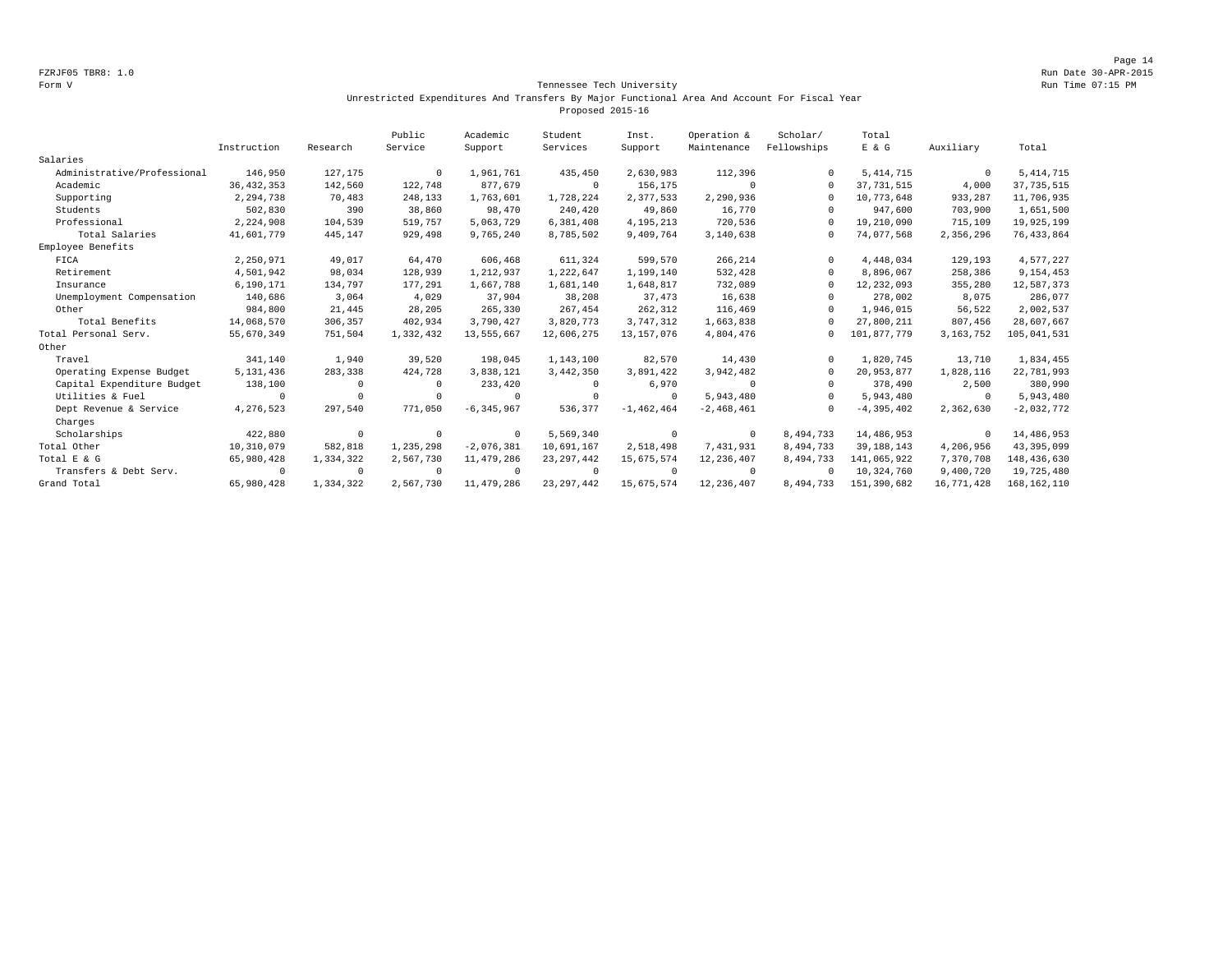Page 14 FZRJF05 TBR8: 1.0 Run Date 30-APR-2015

#### Form V Tennessee Tech University Run Time 07:15 PM Unrestricted Expenditures And Transfers By Major Functional Area And Account For Fiscal Year Proposed 2015-16

|                             |              |            | Public    | Academic       | Student      | Inst.          | Operation &  | Scholar/    | Total          |             |               |
|-----------------------------|--------------|------------|-----------|----------------|--------------|----------------|--------------|-------------|----------------|-------------|---------------|
|                             | Instruction  | Research   | Service   | Support        | Services     | Support        | Maintenance  | Fellowships | $E$ & $G$      | Auxiliary   | Total         |
| Salaries                    |              |            |           |                |              |                |              |             |                |             |               |
| Administrative/Professional | 146,950      | 127,175    | $\Omega$  | 1,961,761      | 435,450      | 2,630,983      | 112,396      | $\Omega$    | 5, 414, 715    | $^{\circ}$  | 5, 414, 715   |
| Academic                    | 36, 432, 353 | 142,560    | 122,748   | 877,679        | $\circ$      | 156,175        | 0            | $\Omega$    | 37, 731, 515   | 4,000       | 37, 735, 515  |
| Supporting                  | 2,294,738    | 70,483     | 248,133   | 1,763,601      | 1,728,224    | 2,377,533      | 2,290,936    |             | 10,773,648     | 933,287     | 11,706,935    |
| Students                    | 502,830      | 390        | 38,860    | 98,470         | 240,420      | 49,860         | 16,770       |             | 947,600        | 703,900     | 1,651,500     |
| Professional                | 2,224,908    | 104,539    | 519,757   | 5,063,729      | 6,381,408    | 4, 195, 213    | 720,536      | $\Omega$    | 19,210,090     | 715,109     | 19,925,199    |
| Total Salaries              | 41,601,779   | 445,147    | 929,498   | 9,765,240      | 8,785,502    | 9,409,764      | 3,140,638    | $\Omega$    | 74,077,568     | 2,356,296   | 76, 433, 864  |
| Employee Benefits           |              |            |           |                |              |                |              |             |                |             |               |
| FICA                        | 2,250,971    | 49,017     | 64,470    | 606,468        | 611,324      | 599,570        | 266,214      | $\Omega$    | 4,448,034      | 129,193     | 4,577,227     |
| Retirement                  | 4,501,942    | 98,034     | 128,939   | 1,212,937      | 1,222,647    | 1,199,140      | 532,428      | $\Omega$    | 8,896,067      | 258,386     | 9,154,453     |
| Insurance                   | 6,190,171    | 134,797    | 177,291   | 1,667,788      | 1,681,140    | 1,648,817      | 732,089      |             | 12, 232, 093   | 355,280     | 12,587,373    |
| Unemployment Compensation   | 140,686      | 3,064      | 4,029     | 37,904         | 38,208       | 37,473         | 16,638       |             | 278,002        | 8,075       | 286,077       |
| Other                       | 984,800      | 21,445     | 28,205    | 265,330        | 267,454      | 262,312        | 116,469      | $\Omega$    | 1,946,015      | 56,522      | 2,002,537     |
| Total Benefits              | 14,068,570   | 306,357    | 402,934   | 3,790,427      | 3,820,773    | 3,747,312      | 1,663,838    |             | 27,800,211     | 807,456     | 28,607,667    |
| Total Personal Serv.        | 55,670,349   | 751,504    | 1,332,432 | 13,555,667     | 12,606,275   | 13, 157, 076   | 4,804,476    | $\Omega$    | 101,877,779    | 3, 163, 752 | 105,041,531   |
| Other                       |              |            |           |                |              |                |              |             |                |             |               |
| Travel                      | 341,140      | 1,940      | 39,520    | 198,045        | 1,143,100    | 82,570         | 14,430       | $\Omega$    | 1,820,745      | 13,710      | 1,834,455     |
| Operating Expense Budget    | 5, 131, 436  | 283,338    | 424,728   | 3,838,121      | 3,442,350    | 3,891,422      | 3,942,482    | $\Omega$    | 20,953,877     | 1,828,116   | 22,781,993    |
| Capital Expenditure Budget  | 138,100      | $\Omega$   |           | 233,420        | 0            | 6,970          | $^{\circ}$   |             | 378,490        | 2,500       | 380,990       |
| Utilities & Fuel            | $\Omega$     | $\Omega$   |           | $^{\circ}$     | $\Omega$     | $^{\circ}$     | 5,943,480    | $\cap$      | 5,943,480      | $^{\circ}$  | 5,943,480     |
| Dept Revenue & Service      | 4,276,523    | 297,540    | 771,050   | $-6, 345, 967$ | 536.377      | $-1, 462, 464$ | $-2,468,461$ | $\cap$      | $-4, 395, 402$ | 2,362,630   | $-2,032,772$  |
| Charges                     |              |            |           |                |              |                |              |             |                |             |               |
| Scholarships                | 422,880      | $^{\circ}$ | $\Omega$  | $^{\circ}$     | 5,569,340    | $^{\circ}$     | $^{\circ}$   | 8,494,733   | 14,486,953     | $\circ$     | 14,486,953    |
| Total Other                 | 10,310,079   | 582,818    | 1,235,298 | $-2,076,381$   | 10,691,167   | 2,518,498      | 7,431,931    | 8,494,733   | 39, 188, 143   | 4,206,956   | 43,395,099    |
| Total E & G                 | 65,980,428   | 1,334,322  | 2,567,730 | 11,479,286     | 23, 297, 442 | 15,675,574     | 12,236,407   | 8,494,733   | 141,065,922    | 7,370,708   | 148,436,630   |
| Transfers & Debt Serv.      | $\Omega$     | $^{\circ}$ | $\Omega$  | $^{\circ}$     | $\circ$      | $\Omega$       | $^{\circ}$   | $\Omega$    | 10,324,760     | 9,400,720   | 19,725,480    |
| Grand Total                 | 65,980,428   | 1,334,322  | 2,567,730 | 11,479,286     | 23, 297, 442 | 15,675,574     | 12,236,407   | 8,494,733   | 151,390,682    | 16,771,428  | 168, 162, 110 |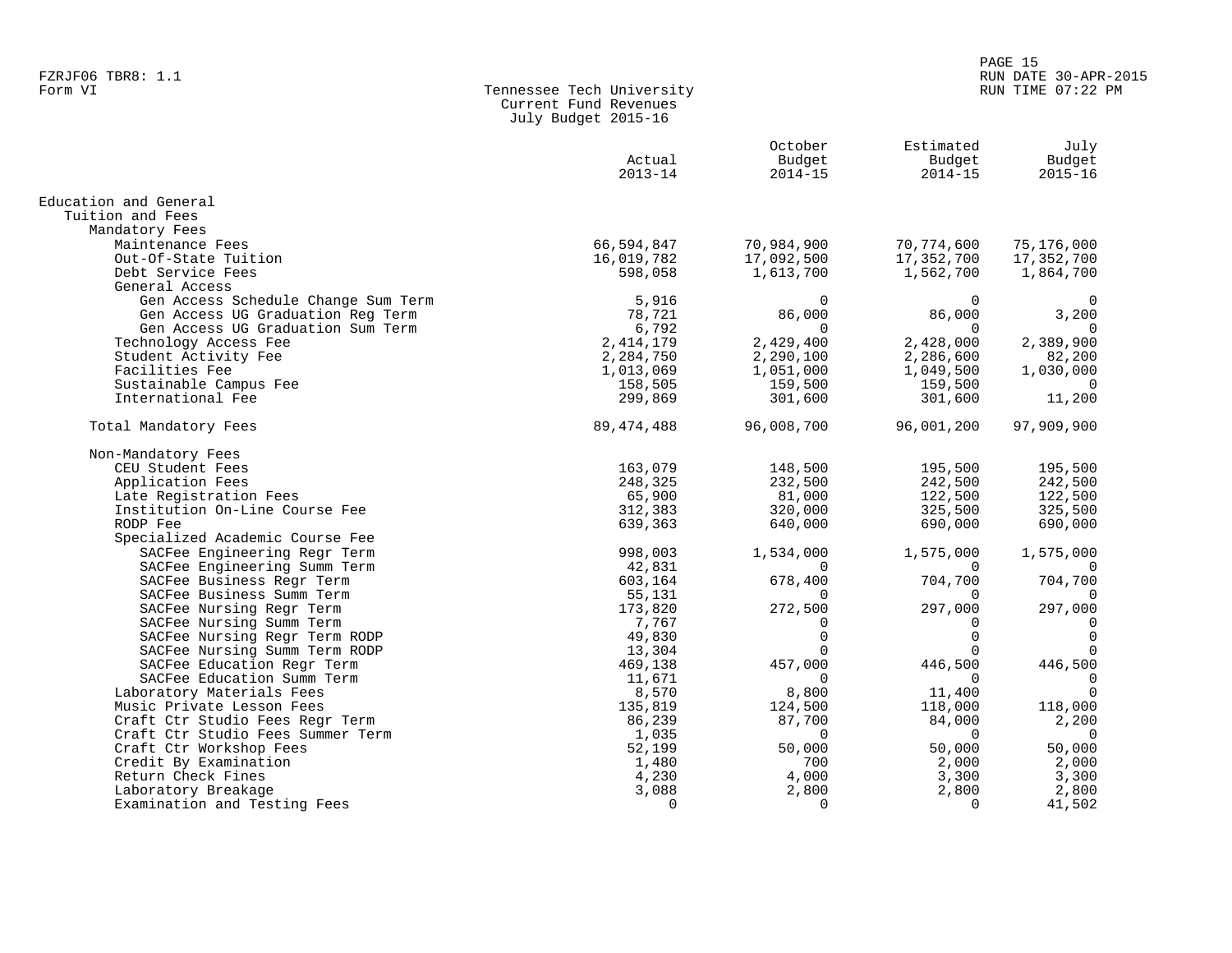# en and the set of the set of the set of the set of the set of the set of the set of the set of the set of the set of the set of the set of the set of the set of the set of the set of the set of the set of the set of the se FZRJF06 TBR8: 1.1 RUN DATE 30-APR-2015

| Tennessee Tech University |
|---------------------------|
| Current Fund Revenues     |
| July Budget 2015-16       |
|                           |

|                                     | Actual<br>$2013 - 14$ | October<br>Budget<br>$2014 - 15$ | Estimated<br>Budget<br>$2014 - 15$ | July<br>Budget<br>$2015 - 16$ |
|-------------------------------------|-----------------------|----------------------------------|------------------------------------|-------------------------------|
| Education and General               |                       |                                  |                                    |                               |
| Tuition and Fees                    |                       |                                  |                                    |                               |
| Mandatory Fees                      |                       |                                  |                                    |                               |
| Maintenance Fees                    | 66,594,847            | 70,984,900                       | 70,774,600                         | 75,176,000                    |
| Out-Of-State Tuition                | 16,019,782            | 17,092,500                       | 17,352,700                         | 17,352,700                    |
| Debt Service Fees                   | 598,058               | 1,613,700                        | 1,562,700                          | 1,864,700                     |
| General Access                      |                       |                                  |                                    |                               |
| Gen Access Schedule Change Sum Term | 5,916                 | $\Omega$                         | $\Omega$                           | 0                             |
| Gen Access UG Graduation Reg Term   | 78,721                | 86,000                           | 86,000                             | 3,200                         |
| Gen Access UG Graduation Sum Term   | 6,792                 |                                  |                                    |                               |
| Technology Access Fee               | 2, 414, 179           | 2,429,400                        | 2,428,000                          | 2,389,900                     |
| Student Activity Fee                | 2,284,750             | 2,290,100                        | 2,286,600                          | 82,200                        |
| Facilities Fee                      | 1,013,069             | 1,051,000                        | 1,049,500                          | 1,030,000                     |
| Sustainable Campus Fee              | 158,505               | 159,500                          | 159,500                            | $\overline{0}$                |
| International Fee                   | 299,869               | 301,600                          | 301,600                            | 11,200                        |
| Total Mandatory Fees                | 89, 474, 488          | 96,008,700                       | 96,001,200                         | 97,909,900                    |
| Non-Mandatory Fees                  |                       |                                  |                                    |                               |
| CEU Student Fees                    | 163,079               | 148,500                          | 195,500                            | 195,500                       |
| Application Fees                    | 248,325               | 232,500                          | 242,500                            | 242,500                       |
| Late Registration Fees              | 65,900                | 81,000                           | 122,500                            | 122,500                       |
| Institution On-Line Course Fee      | 312,383               | 320,000                          | 325,500                            | 325,500                       |
| RODP Fee                            | 639,363               | 640,000                          | 690,000                            | 690,000                       |
| Specialized Academic Course Fee     |                       |                                  |                                    |                               |
| SACFee Engineering Regr Term        | 998,003               | 1,534,000                        | 1,575,000                          | 1,575,000                     |
| SACFee Engineering Summ Term        | 42,831                | $\Omega$                         | $\Omega$                           | 0                             |
| SACFee Business Regr Term           | 603,164               | 678,400                          | 704,700                            | 704,700                       |
| SACFee Business Summ Term           | 55,131                | $\Omega$                         | $\Omega$                           | $\Omega$                      |
| SACFee Nursing Regr Term            | 173,820               | 272,500                          | 297,000                            | 297,000                       |
| SACFee Nursing Summ Term            | 7,767                 | 0                                | $\Omega$                           | $\mathbf 0$                   |
| SACFee Nursing Regr Term RODP       | 49,830                | $\Omega$                         | $\Omega$                           | $\mathbf 0$                   |
| SACFee Nursing Summ Term RODP       | 13,304                | 0                                | $\Omega$                           | $\Omega$                      |
| SACFee Education Regr Term          | 469,138               | 457,000                          | 446,500                            | 446,500                       |
| SACFee Education Summ Term          | 11,671                | $\Omega$                         | $\Omega$                           | $\mathbf 0$                   |
| Laboratory Materials Fees           | 8,570                 | 8,800                            | 11,400                             | $\Omega$                      |
| Music Private Lesson Fees           | 135,819               | 124,500                          | 118,000                            | 118,000                       |
| Craft Ctr Studio Fees Regr Term     | 86,239                | 87,700                           | 84,000                             | 2,200                         |
| Craft Ctr Studio Fees Summer Term   | 1,035                 | $\Omega$                         | $\Omega$                           | $\overline{0}$                |
| Craft Ctr Workshop Fees             | 52,199                | 50,000                           | 50,000                             | 50,000                        |
| Credit By Examination               | 1,480                 | 700                              | 2,000                              | 2,000                         |
| Return Check Fines                  | 4,230                 | 4,000                            | 3,300                              | 3,300                         |
| Laboratory Breakage                 | 3,088                 | 2,800                            | 2,800                              | 2,800                         |
| Examination and Testing Fees        | $\Omega$              | $\Omega$                         | $\Omega$                           | 41,502                        |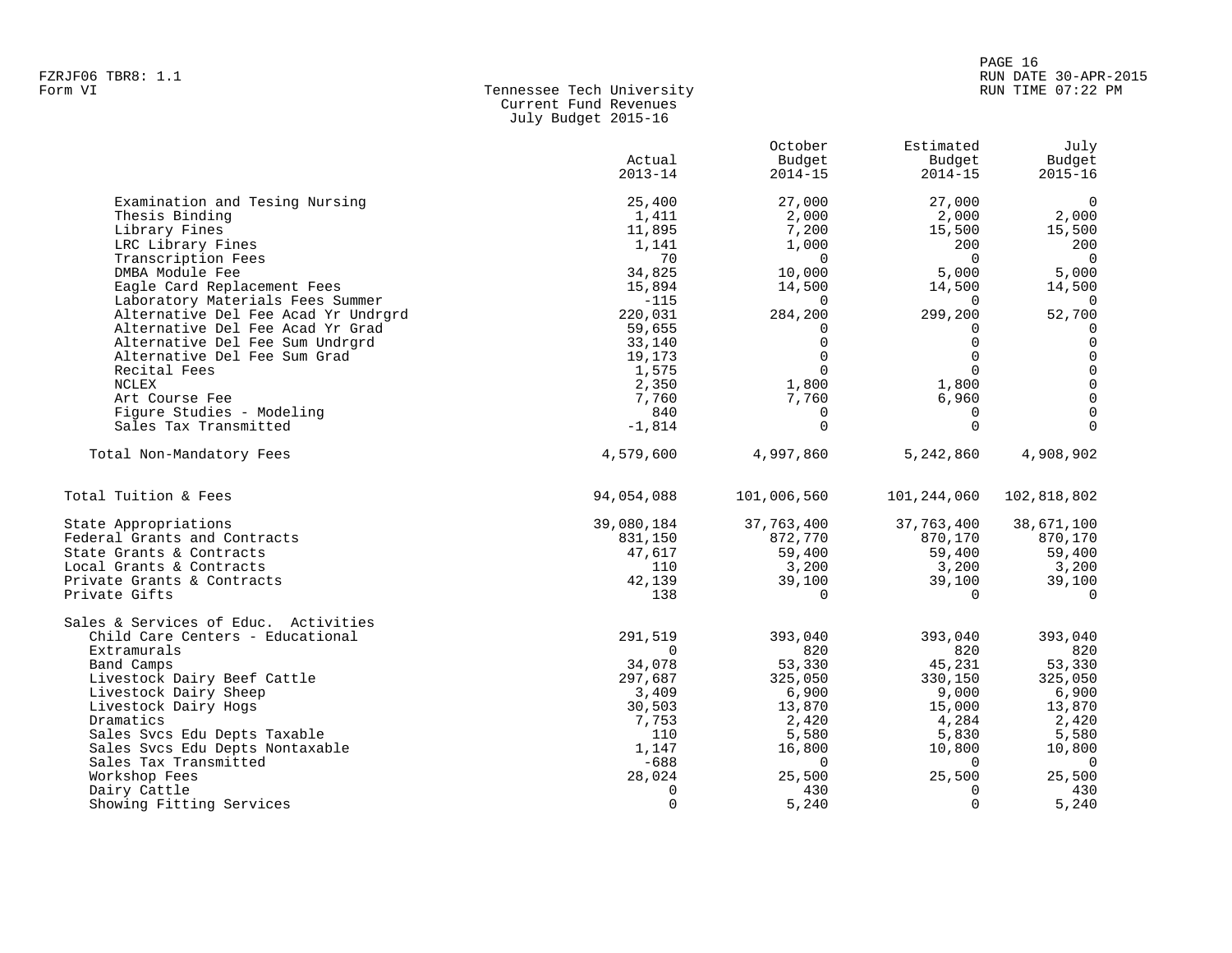#### PAGE 16 FZRJF06 TBR8: 1.1 RUN DATE 30-APR-2015 RUN TIME 07:22 PM

| Form VI | Tennessee Tech University |
|---------|---------------------------|
|         | Current Fund Revenues     |
|         | July Budget 2015-16       |

|                                      | Actual<br>$2013 - 14$ | October<br>Budget<br>$2014 - 15$ | Estimated<br>Budget<br>$2014 - 15$ | July<br>Budget<br>$2015 - 16$ |
|--------------------------------------|-----------------------|----------------------------------|------------------------------------|-------------------------------|
| Examination and Tesing Nursing       | 25,400                | 27,000                           | 27,000                             | $\Omega$                      |
| Thesis Binding                       | 1,411                 | 2,000                            | 2,000                              | 2,000                         |
| Library Fines                        | 11,895                | 7,200                            | 15,500                             | 15,500                        |
| LRC Library Fines                    | 1,141                 | 1,000                            | 200                                | 200                           |
| Transcription Fees                   | 70                    | $\Omega$                         | $\Omega$                           | $\overline{0}$                |
| DMBA Module Fee                      | 34,825                | 10,000                           | 5,000                              | 5,000                         |
| Eagle Card Replacement Fees          | 15,894                | 14,500                           | 14,500                             | 14,500                        |
| Laboratory Materials Fees Summer     | $-115$                | $\Omega$                         | $\Omega$                           | $\overline{0}$                |
| Alternative Del Fee Acad Yr Undrgrd  | 220,031               | 284,200                          | 299,200                            | 52,700                        |
| Alternative Del Fee Acad Yr Grad     | 59,655                | $\Omega$                         | $\Omega$                           | $\mathbf 0$                   |
| Alternative Del Fee Sum Undrgrd      | 33,140                | $\Omega$                         | $\Omega$                           | $\mathbf 0$                   |
| Alternative Del Fee Sum Grad         | 19,173                | $\Omega$                         | $\Omega$                           | $\mathbf 0$                   |
| Recital Fees                         | 1,575                 | $\Omega$                         | $\Omega$                           | $\Omega$                      |
| NCLEX                                | 2,350                 | 1,800                            | 1,800                              | $\Omega$                      |
| Art Course Fee                       | 7,760                 | 7,760                            | 6,960                              | $\mathbf 0$                   |
| Figure Studies - Modeling            | 840                   | $\mathbf 0$                      | $\mathbf 0$                        | $\mathbf 0$                   |
| Sales Tax Transmitted                | $-1,814$              | $\Omega$                         | $\Omega$                           | $\Omega$                      |
| Total Non-Mandatory Fees             | 4,579,600             | 4,997,860                        | 5,242,860                          | 4,908,902                     |
| Total Tuition & Fees                 | 94,054,088            | 101,006,560                      | 101,244,060                        | 102,818,802                   |
| State Appropriations                 | 39,080,184            | 37,763,400                       | 37,763,400                         | 38,671,100                    |
| Federal Grants and Contracts         | 831,150               | 872,770                          | 870,170                            | 870,170                       |
| State Grants & Contracts             | 47,617                | 59,400                           | 59,400                             | 59,400                        |
| Local Grants & Contracts             | 110                   | 3,200                            | 3,200                              | 3,200                         |
| Private Grants & Contracts           | 42,139                | 39,100                           | 39,100                             | 39,100                        |
| Private Gifts                        | 138                   | $\mathbf 0$                      | $\mathbf 0$                        | $\mathbf 0$                   |
| Sales & Services of Educ. Activities |                       |                                  |                                    |                               |
| Child Care Centers - Educational     | 291,519               | 393,040                          | 393,040                            | 393,040                       |
| Extramurals                          | $\Omega$              | 820                              | 820                                | 820                           |
| Band Camps                           | 34,078                | 53,330                           | 45,231                             | 53,330                        |
| Livestock Dairy Beef Cattle          | 297,687               | 325,050                          | 330,150                            | 325,050                       |
| Livestock Dairy Sheep                | 3,409                 | 6,900                            | 9,000                              | 6,900                         |
| Livestock Dairy Hogs                 | 30,503                | 13,870                           | 15,000                             | 13,870                        |
| Dramatics                            | 7,753                 | 2,420                            | 4,284                              | 2,420                         |
| Sales Svcs Edu Depts Taxable         | 110                   | 5,580                            | 5,830                              | 5,580                         |
| Sales Svcs Edu Depts Nontaxable      | 1,147                 | 16,800                           | 10,800                             | 10,800                        |
| Sales Tax Transmitted                | $-688$                | $\mathbf 0$                      | $\Omega$                           | $\overline{0}$                |
| Workshop Fees                        | 28,024                | 25,500                           | 25,500                             | 25,500                        |
| Dairy Cattle                         | $\Omega$              | 430                              | $\Omega$                           | 430                           |
| Showing Fitting Services             | $\Omega$              | 5,240                            | $\Omega$                           | 5,240                         |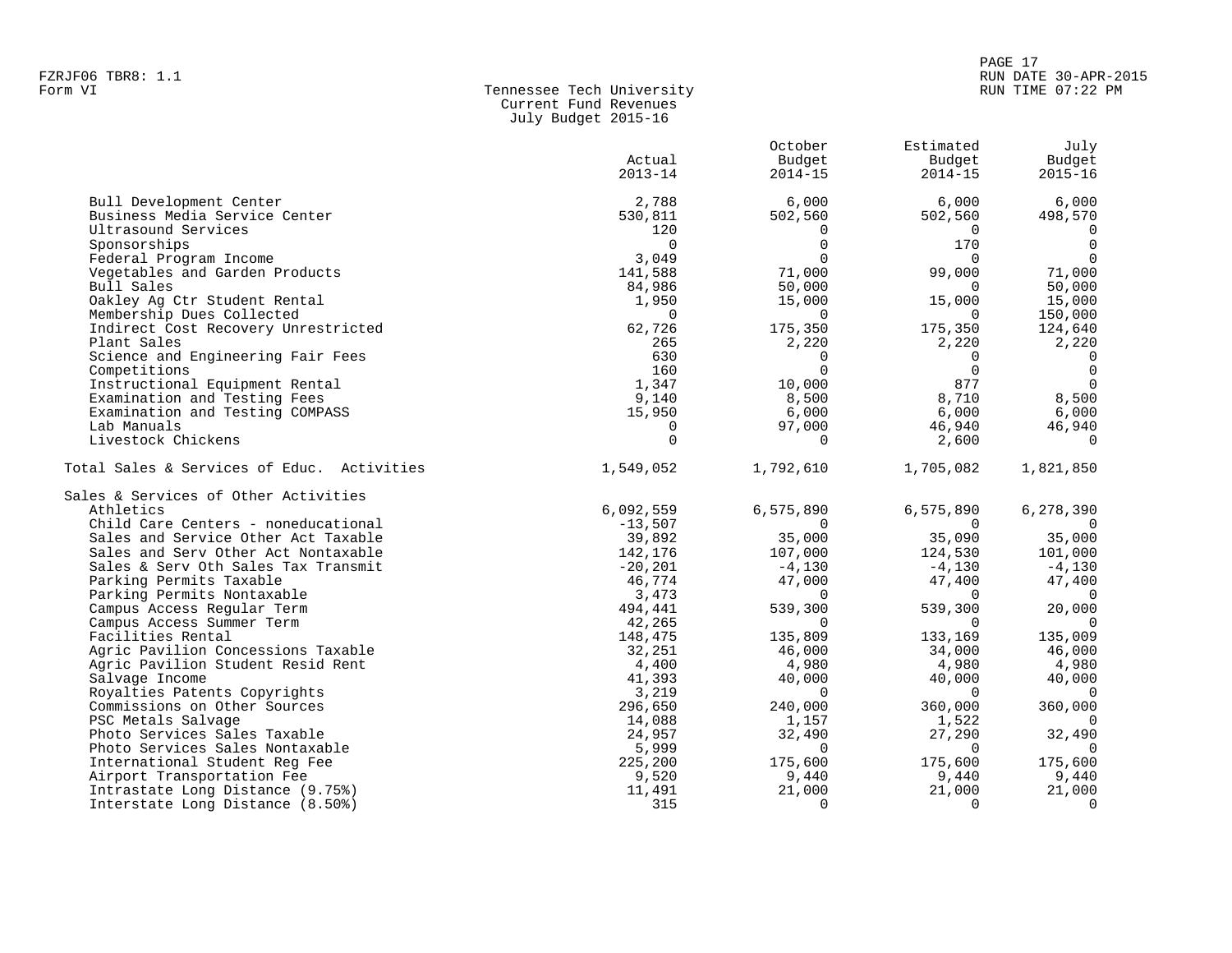| Form VI | Tennessee Tech University |
|---------|---------------------------|
|         | Current Fund Revenues     |
|         | July Budget 2015-16       |

|                                            | Actual<br>$2013 - 14$ | October<br>Budget<br>$2014 - 15$ | Estimated<br>Budget<br>$2014 - 15$ | July<br>Budget<br>$2015 - 16$ |
|--------------------------------------------|-----------------------|----------------------------------|------------------------------------|-------------------------------|
| Bull Development Center                    | 2,788                 | 6,000                            | 6,000                              | 6,000                         |
| Business Media Service Center              | 530,811               | 502,560                          | 502,560                            | 498,570                       |
| Ultrasound Services                        | 120                   | $\Omega$                         | $\overline{0}$                     | $\Omega$                      |
| Sponsorships                               | $\Omega$              | $\Omega$                         | 170                                | $\Omega$                      |
| Federal Program Income                     | 3,049                 | $\Omega$                         | $\Omega$                           | $\Omega$                      |
| Vegetables and Garden Products             | 141,588               | 71,000                           | 99,000                             | 71,000                        |
| Bull Sales                                 | 84,986                | 50,000                           | $\Omega$                           | 50,000                        |
| Oakley Ag Ctr Student Rental               | 1,950                 | 15,000                           | 15,000                             | 15,000                        |
| Membership Dues Collected                  | $\Omega$              | $\Omega$                         | $\Omega$                           | 150,000                       |
| Indirect Cost Recovery Unrestricted        | 62,726                | 175,350                          | 175,350                            | 124,640                       |
| Plant Sales                                | 265                   | 2,220                            | 2,220                              | 2,220                         |
| Science and Engineering Fair Fees          | 630                   | $\Omega$                         | $\mathbf{0}$                       | $\Omega$                      |
| Competitions                               | 160                   | $\Omega$                         | $\Omega$                           | $\Omega$                      |
| Instructional Equipment Rental             | 1,347                 | 10,000                           | 877                                | $\Omega$                      |
| Examination and Testing Fees               | 9,140                 | 8,500                            | 8,710                              | 8,500                         |
| Examination and Testing COMPASS            | 15,950                | 6,000                            | 6,000                              | 6,000                         |
| Lab Manuals                                | $\Omega$              | 97,000                           | 46,940                             | 46,940                        |
| Livestock Chickens                         | $\Omega$              | $\Omega$                         | 2,600                              | $\Omega$                      |
| Total Sales & Services of Educ. Activities | 1,549,052             | 1,792,610                        | 1,705,082                          | 1,821,850                     |
| Sales & Services of Other Activities       |                       |                                  |                                    |                               |
| Athletics                                  | 6,092,559             | 6,575,890                        | 6,575,890                          | 6,278,390                     |
| Child Care Centers - noneducational        | $-13,507$             | $\cap$                           | $\cap$                             | $\cap$                        |
| Sales and Service Other Act Taxable        | 39,892                | 35,000                           | 35,090                             | 35,000                        |
| Sales and Serv Other Act Nontaxable        | 142,176               | 107,000                          | 124,530                            | 101,000                       |
| Sales & Serv Oth Sales Tax Transmit        | $-20, 201$            | $-4,130$                         | $-4,130$                           | $-4,130$                      |
| Parking Permits Taxable                    | 46,774                | 47,000                           | 47,400                             | 47,400                        |
| Parking Permits Nontaxable                 | 3,473                 | $\Omega$                         | $\overline{0}$                     | $\Omega$                      |
| Campus Access Regular Term                 | 494,441               | 539,300                          | 539,300                            | 20,000                        |
| Campus Access Summer Term                  | 42,265                | $\Omega$                         | $\mathbf 0$                        | $\Omega$                      |
| Facilities Rental                          | 148,475               | 135,809                          | 133,169                            | 135,009                       |
| Agric Pavilion Concessions Taxable         | 32,251                | 46,000                           | 34,000                             | 46,000                        |
| Agric Pavilion Student Resid Rent          | 4,400                 | 4,980                            | 4,980                              | 4,980                         |
| Salvage Income                             | 41,393                | 40,000                           | 40,000                             | 40,000                        |
| Royalties Patents Copyrights               | 3,219                 | $\Omega$                         | $\Omega$                           | $\Omega$                      |
| Commissions on Other Sources               | 296,650               | 240,000                          | 360,000                            | 360,000                       |
| PSC Metals Salvage                         | 14,088                | 1,157                            | 1,522                              | $\Omega$                      |
| Photo Services Sales Taxable               | 24,957                | 32,490                           | 27,290                             | 32,490                        |
| Photo Services Sales Nontaxable            | 5,999                 | $\Omega$                         | $\Omega$                           | $\Omega$                      |
| International Student Req Fee              | 225,200               | 175,600                          | 175,600                            | 175,600                       |
| Airport Transportation Fee                 | 9,520                 | 9,440                            | 9,440                              | 9,440                         |
| Intrastate Long Distance (9.75%)           | 11,491                | 21,000                           | 21,000                             | 21,000                        |
| Interstate Long Distance (8.50%)           | 315                   | $\Omega$                         | $\Omega$                           | $\Omega$                      |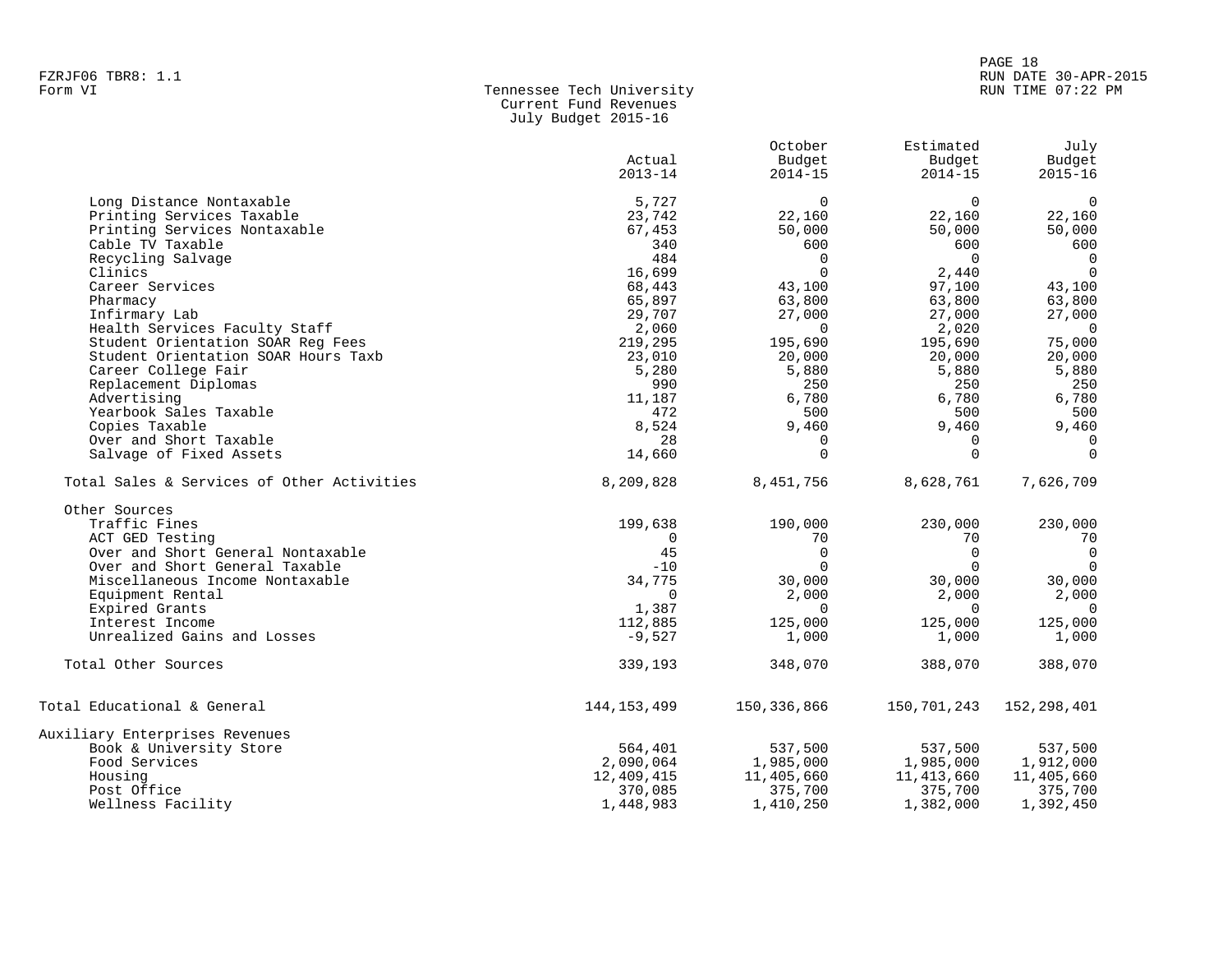| Form VI | Tennessee Tech University |
|---------|---------------------------|
|         | Current Fund Revenues     |
|         | July Budget 2015-16       |

|                                            |               | October      | Estimated      | July           |
|--------------------------------------------|---------------|--------------|----------------|----------------|
|                                            | Actual        | Budget       | Budget         | Budget         |
|                                            | $2013 - 14$   | $2014 - 15$  | $2014 - 15$    | $2015 - 16$    |
| Long Distance Nontaxable                   | 5,727         | $\Omega$     | $\Omega$       | $\overline{0}$ |
| Printing Services Taxable                  | 23,742        | 22,160       | 22,160         | 22,160         |
| Printing Services Nontaxable               | 67,453        | 50,000       | 50,000         | 50,000         |
| Cable TV Taxable                           | 340           | 600          | 600            | 600            |
| Recycling Salvage                          | 484           | $\mathbf 0$  | $\overline{0}$ | $\overline{0}$ |
| Clinics                                    | 16,699        | $\mathbf 0$  | 2,440          | $\overline{0}$ |
| Career Services                            | 68,443        | 43,100       | 97,100         | 43,100         |
| Pharmacy                                   | 65,897        | 63,800       | 63,800         | 63,800         |
| Infirmary Lab                              | 29,707        | 27,000       | 27,000         | 27,000         |
| Health Services Faculty Staff              | 2,060         | $\mathbf{0}$ | 2,020          | $\overline{0}$ |
| Student Orientation SOAR Req Fees          | 219,295       | 195,690      | 195,690        | 75,000         |
| Student Orientation SOAR Hours Taxb        | 23,010        | 20,000       | 20,000         | 20,000         |
| Career College Fair                        | 5,280         | 5,880        | 5,880          | 5,880          |
| Replacement Diplomas                       | 990           | 250          | 250            | 250            |
| Advertising                                | 11,187        | 6,780        | 6,780          | 6,780          |
| Yearbook Sales Taxable                     | 472           | 500          | 500            | 500            |
| Copies Taxable                             | 8,524         | 9,460        | 9,460          | 9,460          |
| Over and Short Taxable                     | 28            | 0            | $\Omega$       | $\mathbf 0$    |
| Salvage of Fixed Assets                    | 14,660        | $\Omega$     | $\Omega$       | $\Omega$       |
| Total Sales & Services of Other Activities | 8,209,828     | 8,451,756    | 8,628,761      | 7,626,709      |
| Other Sources                              |               |              |                |                |
| Traffic Fines                              | 199,638       | 190,000      | 230,000        | 230,000        |
| ACT GED Testing                            | 0             | 70           | 70             | 70             |
| Over and Short General Nontaxable          | 45            | $\mathbf 0$  | $\mathbf 0$    | $\mathbf 0$    |
| Over and Short General Taxable             | $-10$         | $\Omega$     | $\Omega$       | $\overline{0}$ |
| Miscellaneous Income Nontaxable            | 34,775        | 30,000       | 30,000         | 30,000         |
| Equipment Rental                           | $\Omega$      | 2,000        | 2,000          | 2,000          |
| Expired Grants                             | 1,387         | $\Omega$     | $\Omega$       | $\overline{0}$ |
| Interest Income                            | 112,885       | 125,000      | 125,000        | 125,000        |
| Unrealized Gains and Losses                | $-9,527$      | 1,000        | 1,000          | 1,000          |
| Total Other Sources                        | 339,193       | 348,070      | 388,070        | 388,070        |
| Total Educational & General                | 144, 153, 499 | 150,336,866  | 150,701,243    | 152,298,401    |
| Auxiliary Enterprises Revenues             |               |              |                |                |
| Book & University Store                    | 564,401       | 537,500      | 537,500        | 537,500        |
| Food Services                              | 2,090,064     | 1,985,000    | 1,985,000      | 1,912,000      |
| Housing                                    | 12,409,415    | 11,405,660   | 11,413,660     | 11,405,660     |
| Post Office                                | 370,085       | 375,700      | 375,700        | 375,700        |
| Wellness Facility                          | 1,448,983     | 1,410,250    | 1,382,000      | 1,392,450      |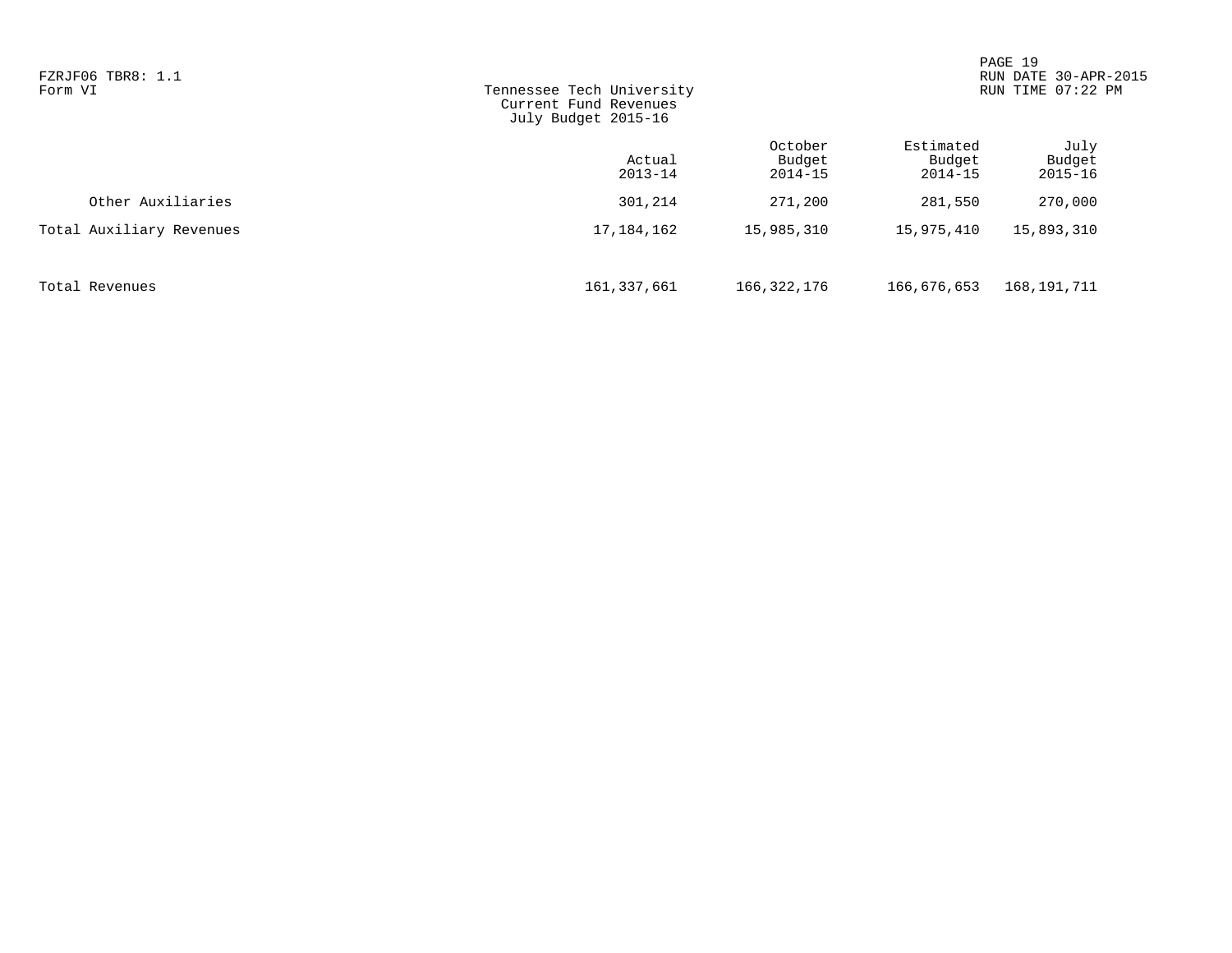| FZRJF06 TBR8: 1.1<br>Form VI | Tennessee Tech University<br>Current Fund Revenues<br>July Budget 2015-16 |                                  |                                    |                               | RUN DATE 30-APR-2015<br>RUN TIME 07:22 PM |
|------------------------------|---------------------------------------------------------------------------|----------------------------------|------------------------------------|-------------------------------|-------------------------------------------|
|                              | Actual<br>$2013 - 14$                                                     | October<br>Budget<br>$2014 - 15$ | Estimated<br>Budget<br>$2014 - 15$ | July<br>Budget<br>$2015 - 16$ |                                           |
| Other Auxiliaries            | 301,214                                                                   | 271,200                          | 281,550                            | 270,000                       |                                           |
| Total Auxiliary Revenues     | 17, 184, 162                                                              | 15,985,310                       | 15,975,410                         | 15,893,310                    |                                           |
| Total Revenues               | 161,337,661                                                               | 166,322,176                      | 166,676,653                        | 168,191,711                   |                                           |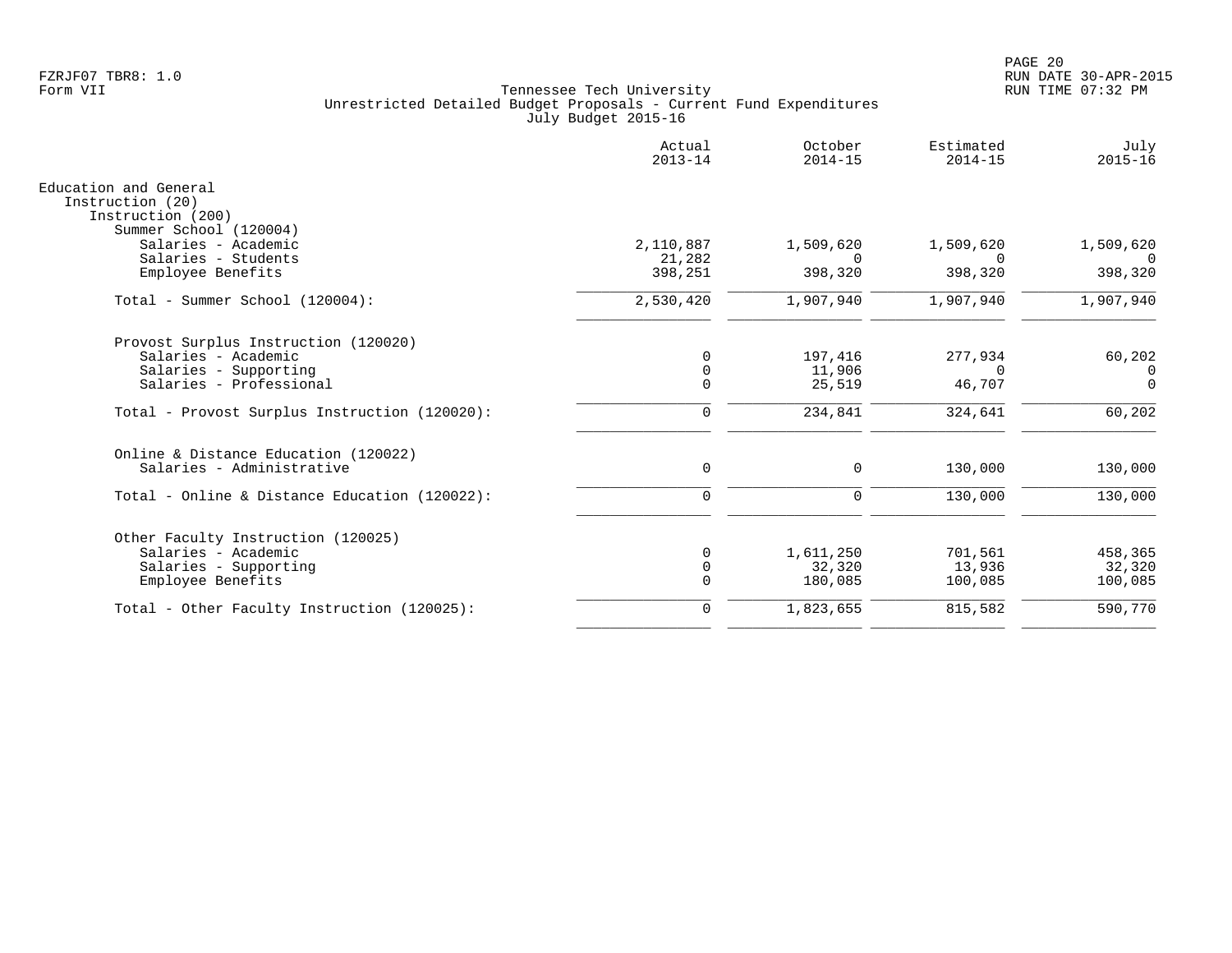|                                                                | Actual<br>$2013 - 14$ | October<br>$2014 - 15$ | Estimated<br>$2014 - 15$ | July<br>$2015 - 16$ |
|----------------------------------------------------------------|-----------------------|------------------------|--------------------------|---------------------|
| Education and General<br>Instruction (20)<br>Instruction (200) |                       |                        |                          |                     |
| Summer School (120004)                                         |                       |                        |                          |                     |
| Salaries - Academic                                            | 2,110,887             | 1,509,620              | 1,509,620                | 1,509,620           |
| Salaries - Students                                            | 21,282                | $\Omega$               | $\Omega$                 | $\Omega$            |
| Employee Benefits                                              | 398,251               | 398,320                | 398,320                  | 398,320             |
| Total - Summer School (120004):                                | 2,530,420             | 1,907,940              | 1,907,940                | 1,907,940           |
| Provost Surplus Instruction (120020)                           |                       |                        |                          |                     |
| Salaries - Academic                                            | $\Omega$              | 197,416                | 277,934                  | 60,202              |
| Salaries - Supporting                                          | 0                     | 11,906                 | $\Omega$                 | $\mathbf{0}$        |
| Salaries - Professional                                        | $\Omega$              | 25,519                 | 46,707                   | $\Omega$            |
| Total - Provost Surplus Instruction (120020):                  | $\mathbf 0$           | 234,841                | 324,641                  | 60,202              |
| Online & Distance Education (120022)                           |                       |                        |                          |                     |
| Salaries - Administrative                                      | $\mathbf 0$           | $\mathbf 0$            | 130,000                  | 130,000             |
| Total - Online & Distance Education (120022):                  | $\Omega$              | $\mathbf 0$            | 130,000                  | 130,000             |
| Other Faculty Instruction (120025)                             |                       |                        |                          |                     |
| Salaries - Academic                                            | $\Omega$              | 1,611,250              | 701,561                  | 458,365             |
| Salaries - Supporting                                          | 0                     | 32,320                 | 13,936                   | 32,320              |
| Employee Benefits                                              | $\Omega$              | 180,085                | 100,085                  | 100,085             |
| Total - Other Faculty Instruction (120025):                    | $\mathbf 0$           | 1,823,655              | 815,582                  | 590,770             |
|                                                                |                       |                        |                          |                     |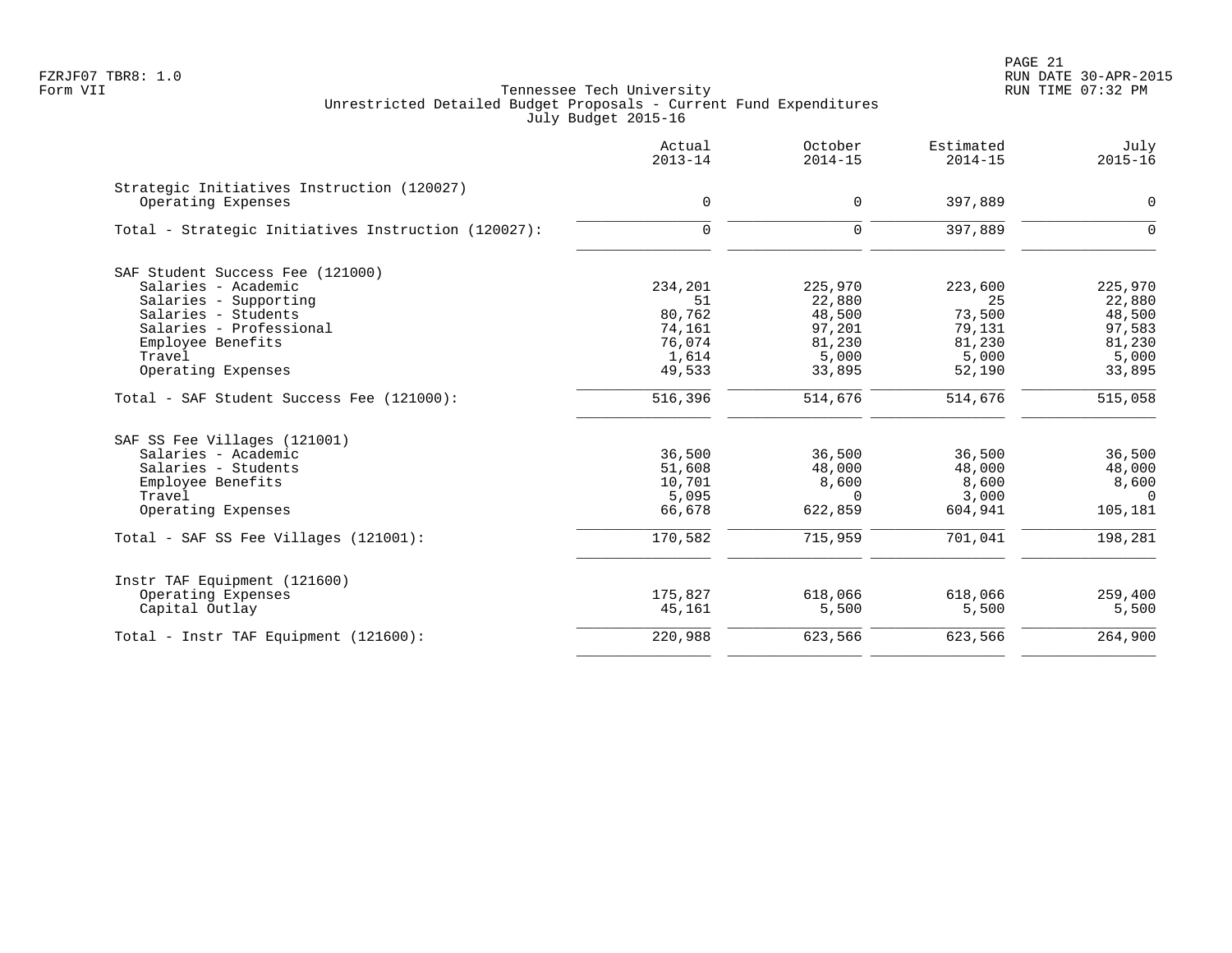PAGE 21 FZRJF07 TBR8: 1.0 RUN DATE 30-APR-2015

|                                                                  | Actual<br>$2013 - 14$ | October<br>$2014 - 15$ | Estimated<br>$2014 - 15$ | July<br>$2015 - 16$ |
|------------------------------------------------------------------|-----------------------|------------------------|--------------------------|---------------------|
| Strategic Initiatives Instruction (120027)<br>Operating Expenses | $\mathbf 0$           | $\Omega$               | 397,889                  | 0                   |
| Total - Strategic Initiatives Instruction (120027):              | $\mathbf 0$           | $\Omega$               | 397,889                  | $\mathbf 0$         |
| SAF Student Success Fee (121000)                                 |                       |                        |                          |                     |
| Salaries - Academic                                              | 234,201               | 225,970                | 223,600                  | 225,970             |
| Salaries - Supporting                                            | 51                    | 22,880                 | 25                       | 22,880              |
| Salaries - Students                                              | 80,762                | 48,500                 | 73,500                   | 48,500              |
| Salaries - Professional                                          | 74,161                | 97,201                 | 79,131                   | 97,583              |
| Employee Benefits                                                | 76,074                | 81,230                 | 81,230                   | 81,230              |
| Travel                                                           | 1,614                 | 5,000                  | 5,000                    | 5,000               |
| Operating Expenses                                               | 49,533                | 33,895                 | 52,190                   | 33,895              |
| Total - SAF Student Success Fee (121000):                        | 516,396               | 514,676                | 514,676                  | 515,058             |
| SAF SS Fee Villages (121001)                                     |                       |                        |                          |                     |
| Salaries - Academic                                              | 36,500                | 36,500                 | 36,500                   | 36,500              |
| Salaries - Students                                              | 51,608                | 48,000                 | 48,000                   | 48,000              |
| Employee Benefits                                                | 10,701                | 8,600                  | 8,600                    | 8,600               |
| Travel                                                           | 5,095                 | $\Omega$               | 3,000                    | $\overline{0}$      |
| Operating Expenses                                               | 66,678                | 622,859                | 604,941                  | 105,181             |
| Total - SAF SS Fee Villages (121001):                            | 170,582               | 715,959                | 701,041                  | 198,281             |
| Instr TAF Equipment (121600)                                     |                       |                        |                          |                     |
| Operating Expenses                                               | 175,827               | 618,066                | 618,066                  | 259,400             |
| Capital Outlay                                                   | 45,161                | 5,500                  | 5,500                    | 5,500               |
| Total - Instr TAF Equipment (121600):                            | 220,988               | 623,566                | 623,566                  | 264,900             |
|                                                                  |                       |                        |                          |                     |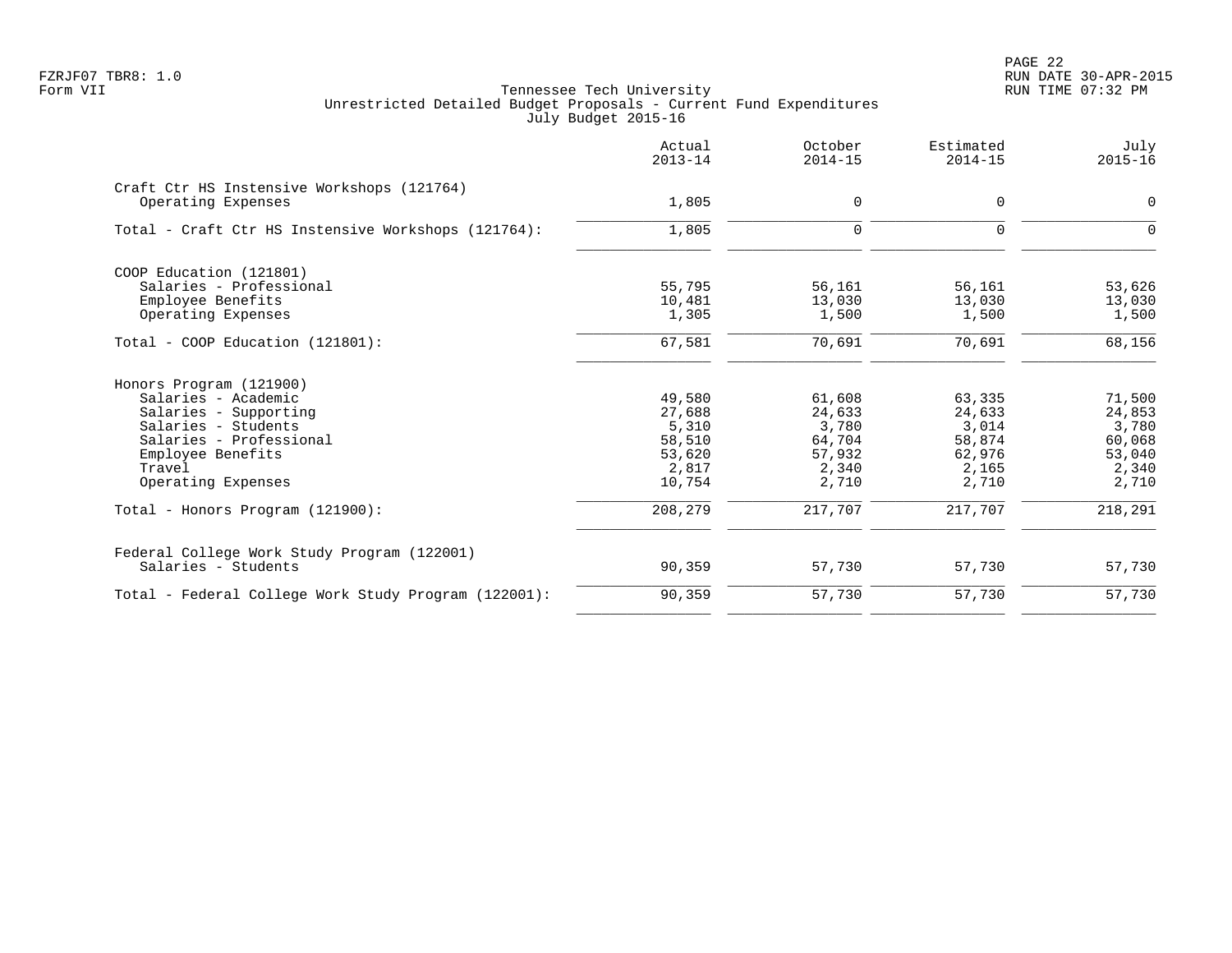|                                                                  | Actual<br>$2013 - 14$ | October<br>$2014 - 15$ | Estimated<br>$2014 - 15$ | July<br>$2015 - 16$ |
|------------------------------------------------------------------|-----------------------|------------------------|--------------------------|---------------------|
| Craft Ctr HS Instensive Workshops (121764)<br>Operating Expenses | 1,805                 | 0                      | 0                        | 0                   |
|                                                                  |                       |                        |                          |                     |
| Total - Craft Ctr HS Instensive Workshops (121764):              | 1,805                 | $\Omega$               | $\Omega$                 | $\Omega$            |
| COOP Education (121801)                                          |                       |                        |                          |                     |
| Salaries - Professional                                          | 55,795                | 56,161                 | 56,161                   | 53,626              |
| Employee Benefits                                                | 10,481                | 13,030                 | 13,030                   | 13,030              |
| Operating Expenses                                               | 1,305                 | 1,500                  | 1,500                    | 1,500               |
| Total - COOP Education (121801):                                 | 67,581                | 70,691                 | 70,691                   | 68,156              |
| Honors Program (121900)                                          |                       |                        |                          |                     |
| Salaries - Academic                                              | 49,580                | 61,608                 | 63,335                   | 71,500              |
| Salaries - Supporting                                            | 27,688                | 24,633                 | 24,633                   | 24,853              |
| Salaries - Students                                              | 5,310                 | 3,780                  | 3,014                    | 3,780               |
| Salaries - Professional                                          | 58,510                | 64,704                 | 58,874                   | 60,068              |
| Employee Benefits                                                | 53,620                | 57,932                 | 62,976                   | 53,040              |
| Travel                                                           | 2,817                 | 2,340                  | 2,165                    | 2,340               |
| Operating Expenses                                               | 10,754                | 2,710                  | 2,710                    | 2,710               |
| Total - Honors Program (121900):                                 | 208,279               | 217,707                | 217,707                  | 218,291             |
| Federal College Work Study Program (122001)                      |                       |                        |                          |                     |
| Salaries - Students                                              | 90,359                | 57,730                 | 57,730                   | 57,730              |
| Total - Federal College Work Study Program (122001):             | 90,359                | 57,730                 | 57,730                   | 57,730              |
|                                                                  |                       |                        |                          |                     |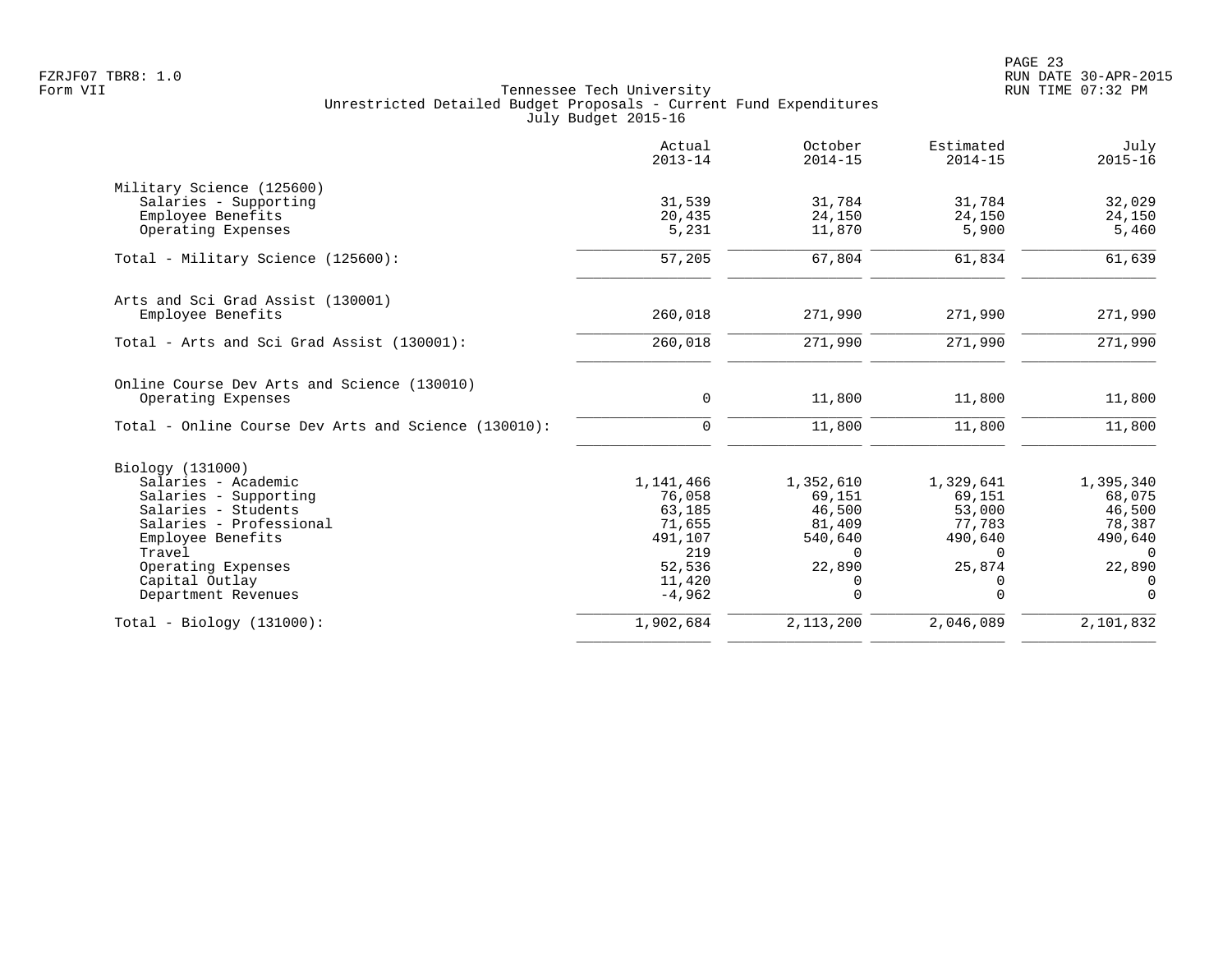|                                                      | Actual<br>$2013 - 14$ | October<br>$2014 - 15$ | Estimated<br>$2014 - 15$ | July<br>$2015 - 16$ |
|------------------------------------------------------|-----------------------|------------------------|--------------------------|---------------------|
| Military Science (125600)                            |                       |                        |                          |                     |
| Salaries - Supporting                                | 31,539                | 31,784                 | 31,784                   | 32,029              |
| Employee Benefits                                    | 20,435                | 24,150                 | 24,150                   | 24,150              |
| Operating Expenses                                   | 5,231                 | 11,870                 | 5,900                    | 5,460               |
| Total - Military Science (125600):                   | 57,205                | 67,804                 | 61,834                   | 61,639              |
| Arts and Sci Grad Assist (130001)                    |                       |                        |                          |                     |
| Employee Benefits                                    | 260,018               | 271,990                | 271,990                  | 271,990             |
| Total - Arts and Sci Grad Assist (130001):           | 260,018               | 271,990                | 271,990                  | 271,990             |
| Online Course Dev Arts and Science (130010)          |                       |                        |                          |                     |
| Operating Expenses                                   | 0                     | 11,800                 | 11,800                   | 11,800              |
| Total - Online Course Dev Arts and Science (130010): | $\mathbf 0$           | 11,800                 | 11,800                   | 11,800              |
| Biology (131000)                                     |                       |                        |                          |                     |
| Salaries - Academic                                  | 1,141,466             | 1,352,610              | 1,329,641                | 1,395,340           |
| Salaries - Supporting                                | 76,058                | 69,151                 | 69,151                   | 68,075              |
| Salaries - Students                                  | 63,185                | 46,500                 | 53,000                   | 46,500              |
| Salaries - Professional                              | 71,655                | 81,409                 | 77,783                   | 78,387              |
| Employee Benefits                                    | 491,107               | 540,640                | 490,640                  | 490,640             |
| Travel                                               | 219                   | $\Omega$               | $\Omega$                 | $\Omega$            |
| Operating Expenses                                   | 52,536                | 22,890                 | 25,874                   | 22,890              |
| Capital Outlay                                       | 11,420                | 0                      | 0                        | $\Omega$            |
| Department Revenues                                  | $-4,962$              | $\Omega$               | $\Omega$                 | $\Omega$            |
| $Total - Biology (131000):$                          | 1,902,684             | 2, 113, 200            | 2,046,089                | 2,101,832           |
|                                                      |                       |                        |                          |                     |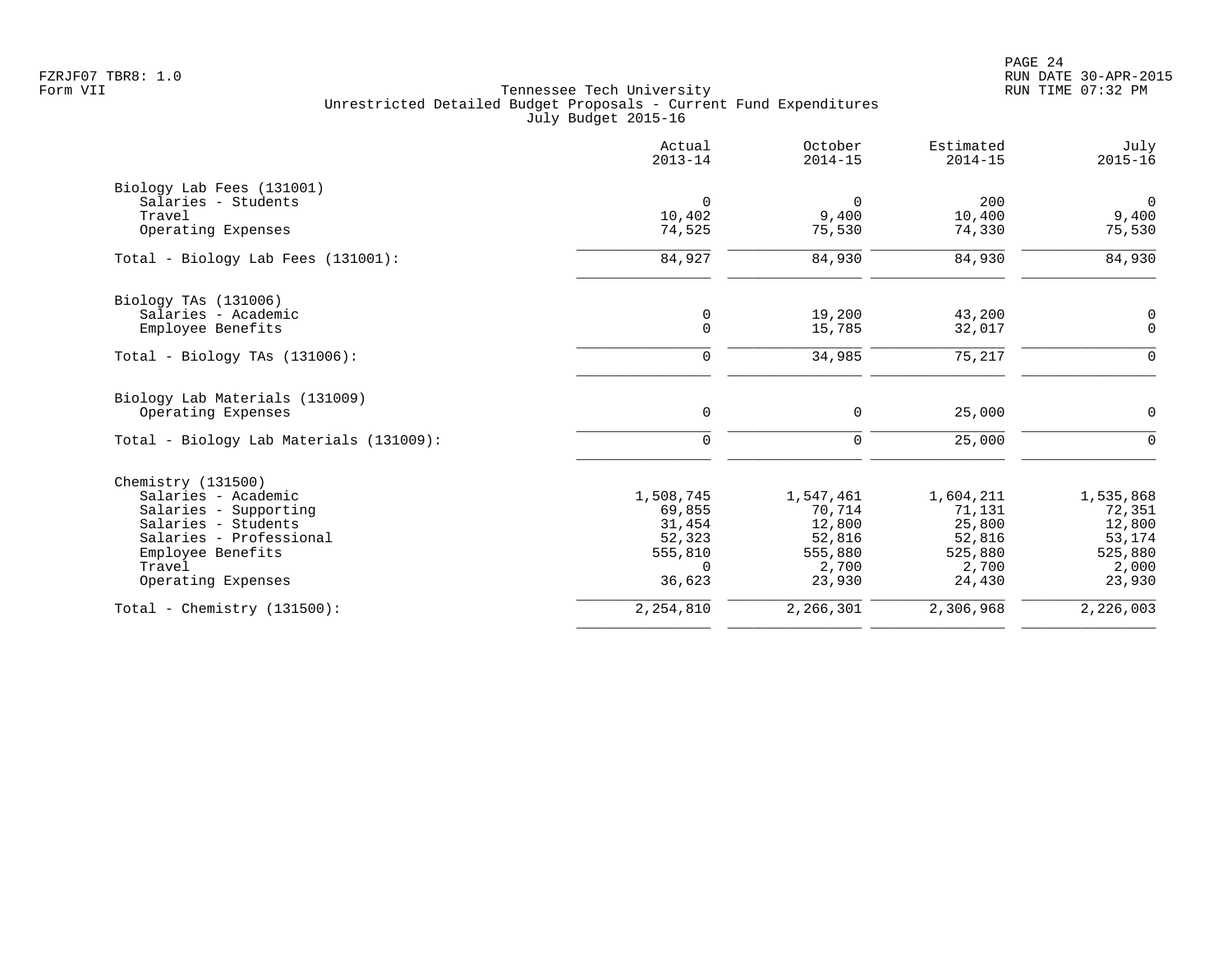PAGE 24 FZRJF07 TBR8: 1.0 RUN DATE 30-APR-2015

|                                         | Actual<br>$2013 - 14$ | October<br>$2014 - 15$ | Estimated<br>$2014 - 15$ | July<br>$2015 - 16$ |
|-----------------------------------------|-----------------------|------------------------|--------------------------|---------------------|
| Biology Lab Fees (131001)               |                       |                        |                          |                     |
| Salaries - Students                     | $\mathbf 0$           | $\overline{0}$         | 200                      | $\overline{0}$      |
| Travel                                  | 10,402                | 9,400                  | 10,400                   | 9,400               |
| Operating Expenses                      | 74,525                | 75,530                 | 74,330                   | 75,530              |
| Total - Biology Lab Fees (131001):      | 84,927                | 84,930                 | 84,930                   | 84,930              |
| Biology TAs (131006)                    |                       |                        |                          |                     |
| Salaries - Academic                     | 0                     | 19,200                 | 43,200                   | 0                   |
| Employee Benefits                       | $\mathbf 0$           | 15,785                 | 32,017                   | $\mathbf 0$         |
| Total - Biology TAs $(131006)$ :        | 0                     | 34,985                 | 75,217                   | $\mathsf{O}$        |
| Biology Lab Materials (131009)          |                       |                        |                          |                     |
| Operating Expenses                      | $\mathbf 0$           | 0                      | 25,000                   | 0                   |
| Total - Biology Lab Materials (131009): | $\mathbf 0$           | $\mathbf 0$            | 25,000                   | $\Omega$            |
| Chemistry (131500)                      |                       |                        |                          |                     |
| Salaries - Academic                     | 1,508,745             | 1,547,461              | 1,604,211                | 1,535,868           |
| Salaries - Supporting                   | 69,855                | 70,714                 | 71,131                   | 72,351              |
| Salaries - Students                     | 31,454                | 12,800                 | 25,800                   | 12,800              |
| Salaries - Professional                 | 52,323                | 52,816                 | 52,816                   | 53,174              |
| Employee Benefits                       | 555,810               | 555,880                | 525,880                  | 525,880             |
| Travel                                  | $\Omega$              | 2,700                  | 2,700                    | 2,000               |
| Operating Expenses                      | 36,623                | 23,930                 | 24,430                   | 23,930              |
| Total - Chemistry $(131500)$ :          | 2,254,810             | 2,266,301              | 2,306,968                | 2,226,003           |
|                                         |                       |                        |                          |                     |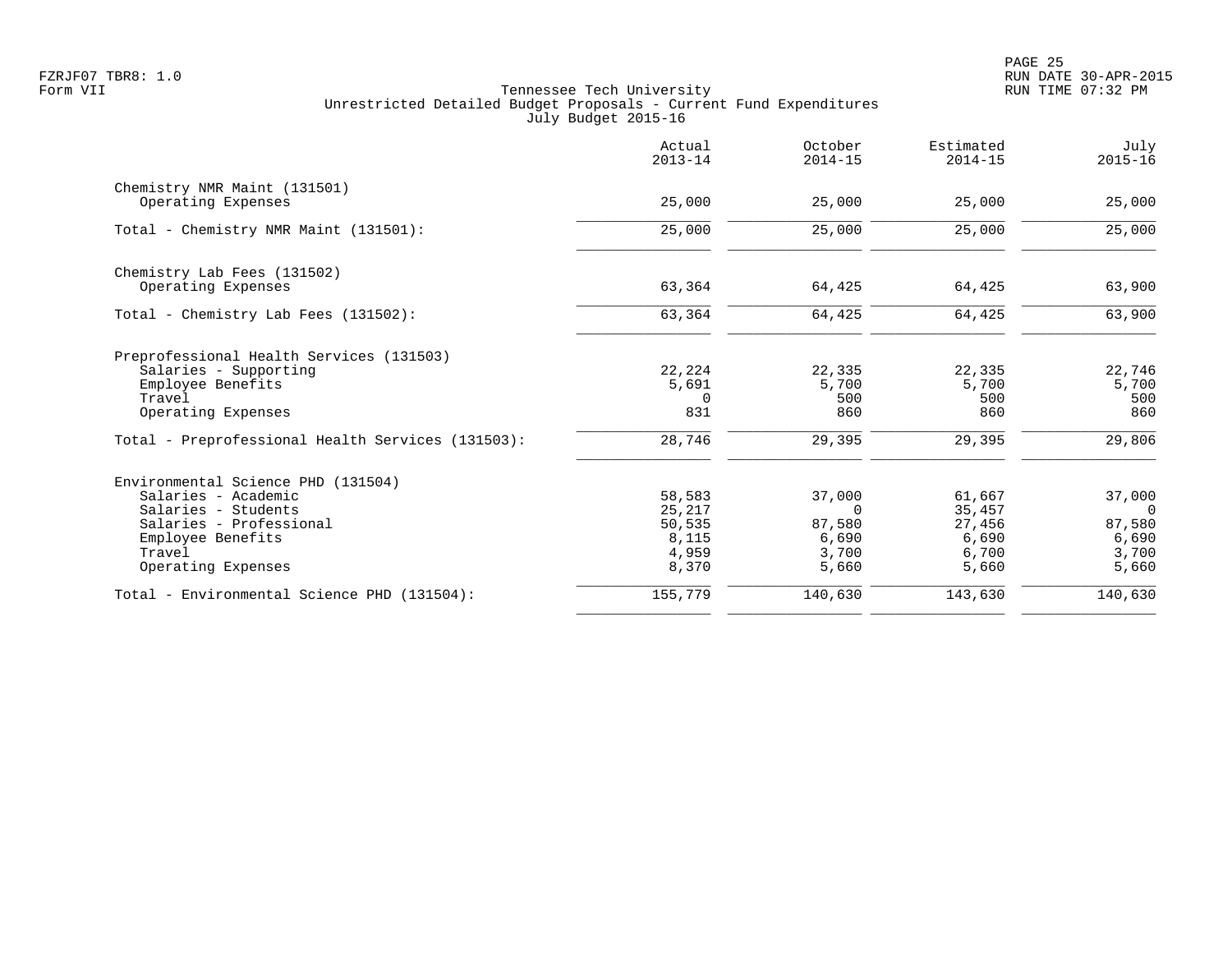|                                                   | Actual<br>$2013 - 14$ | October<br>$2014 - 15$ | Estimated<br>$2014 - 15$ | July<br>$2015 - 16$ |
|---------------------------------------------------|-----------------------|------------------------|--------------------------|---------------------|
| Chemistry NMR Maint (131501)                      |                       |                        |                          |                     |
| Operating Expenses                                | 25,000                | 25,000                 | 25,000                   | 25,000              |
| Total - Chemistry NMR Maint (131501):             | 25,000                | 25,000                 | 25,000                   | 25,000              |
| Chemistry Lab Fees (131502)                       |                       |                        |                          |                     |
| Operating Expenses                                | 63,364                | 64,425                 | 64,425                   | 63,900              |
| Total - Chemistry Lab Fees (131502):              | 63,364                | 64,425                 | 64,425                   | 63,900              |
| Preprofessional Health Services (131503)          |                       |                        |                          |                     |
| Salaries - Supporting                             | 22,224                | 22,335                 | 22,335                   | 22,746              |
| Employee Benefits<br>Travel                       | 5,691<br>$\Omega$     | 5,700<br>500           | 5,700<br>500             | 5,700<br>500        |
| Operating Expenses                                | 831                   | 860                    | 860                      | 860                 |
| Total - Preprofessional Health Services (131503): | 28,746                | 29,395                 | 29,395                   | 29,806              |
| Environmental Science PHD (131504)                |                       |                        |                          |                     |
| Salaries - Academic                               | 58,583                | 37,000                 | 61,667                   | 37,000              |
| Salaries - Students                               | 25,217                | $\Omega$               | 35,457                   | $\overline{0}$      |
| Salaries - Professional                           | 50,535                | 87,580                 | 27,456                   | 87,580              |
| Employee Benefits<br>Travel                       | 8,115<br>4,959        | 6,690<br>3,700         | 6,690<br>6,700           | 6,690<br>3,700      |
| Operating Expenses                                | 8,370                 | 5,660                  | 5,660                    | 5,660               |
| Total - Environmental Science PHD (131504):       | 155,779               | 140,630                | 143,630                  | 140,630             |
|                                                   |                       |                        |                          |                     |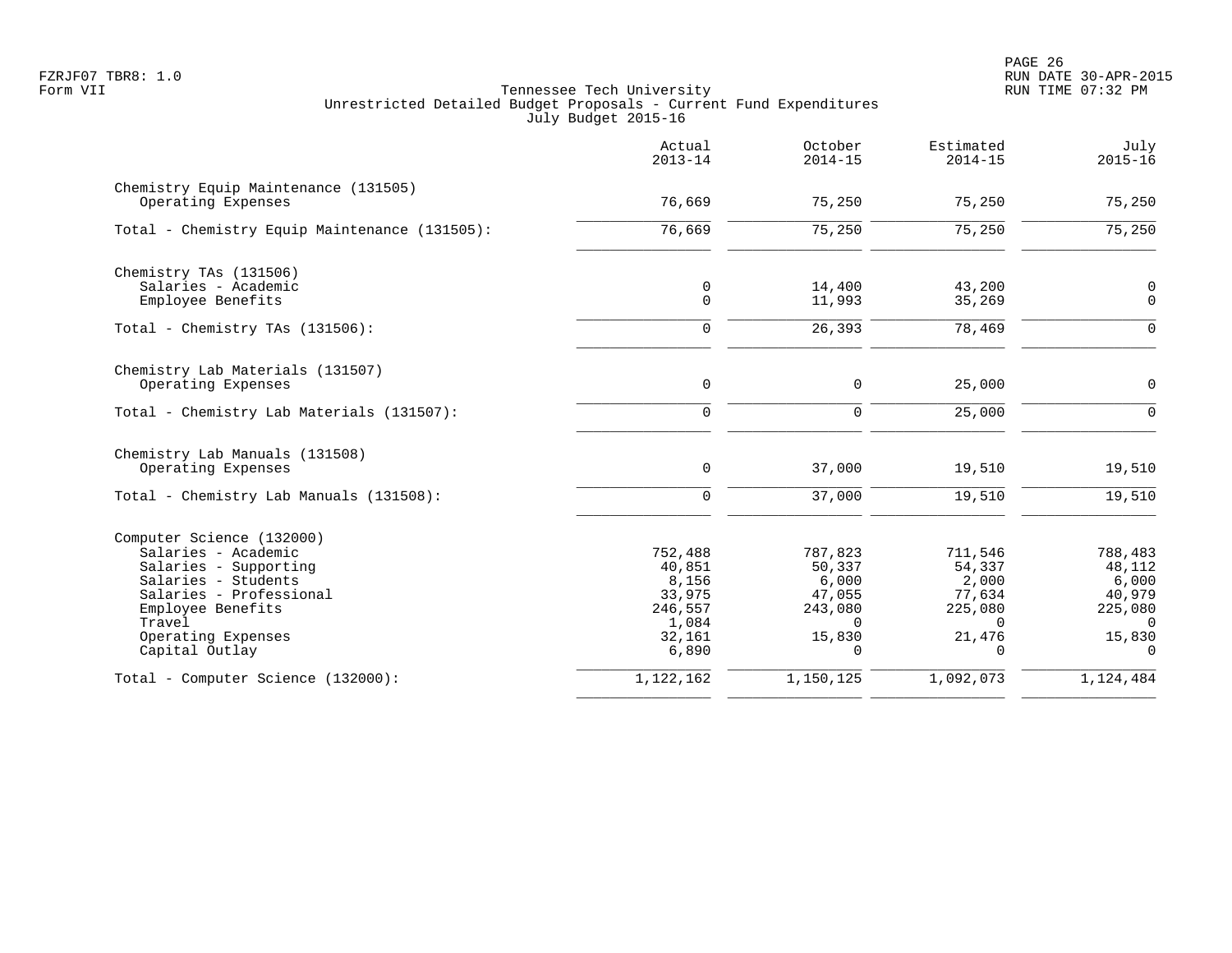|                                                            | Actual<br>$2013 - 14$ | October<br>$2014 - 15$ | Estimated<br>$2014 - 15$ | July<br>$2015 - 16$        |
|------------------------------------------------------------|-----------------------|------------------------|--------------------------|----------------------------|
| Chemistry Equip Maintenance (131505)<br>Operating Expenses | 76,669                | 75,250                 | 75,250                   | 75,250                     |
| Total - Chemistry Equip Maintenance (131505):              | 76,669                | 75,250                 | $\overline{75,250}$      | $\overline{75,250}$        |
| Chemistry TAs (131506)                                     |                       |                        |                          |                            |
| Salaries - Academic<br>Employee Benefits                   | 0<br>$\mathsf{O}$     | 14,400<br>11,993       | 43,200<br>35,269         | $\mathbf 0$<br>$\mathbf 0$ |
| Total - Chemistry TAs $(131506)$ :                         | $\mathbf 0$           | 26,393                 | 78,469                   | $\overline{0}$             |
| Chemistry Lab Materials (131507)                           |                       |                        |                          |                            |
| Operating Expenses                                         | 0                     | 0                      | 25,000                   | $\mathbf 0$                |
| Total - Chemistry Lab Materials (131507):                  | $\mathbf 0$           | $\mathbf 0$            | 25,000                   | $\Omega$                   |
| Chemistry Lab Manuals (131508)<br>Operating Expenses       | 0                     | 37,000                 | 19,510                   | 19,510                     |
| Total - Chemistry Lab Manuals (131508):                    | 0                     | 37,000                 | 19,510                   | 19,510                     |
| Computer Science (132000)                                  |                       |                        |                          |                            |
| Salaries - Academic                                        | 752,488               | 787,823                | 711,546                  | 788,483                    |
| Salaries - Supporting                                      | 40,851                | 50,337                 | 54,337                   | 48,112                     |
| Salaries - Students<br>Salaries - Professional             | 8,156<br>33,975       | 6,000<br>47,055        | 2,000<br>77,634          | 6,000<br>40,979            |
| Employee Benefits                                          | 246,557               | 243,080                | 225,080                  | 225,080                    |
| Travel                                                     | 1,084                 | $\Omega$               | $\Omega$                 | $\Omega$                   |
| Operating Expenses<br>Capital Outlay                       | 32,161<br>6,890       | 15,830<br>$\cap$       | 21,476<br>$\Omega$       | 15,830<br>$\Omega$         |
| Total - Computer Science (132000):                         | 1,122,162             | 1,150,125              | 1,092,073                | 1,124,484                  |
|                                                            |                       |                        |                          |                            |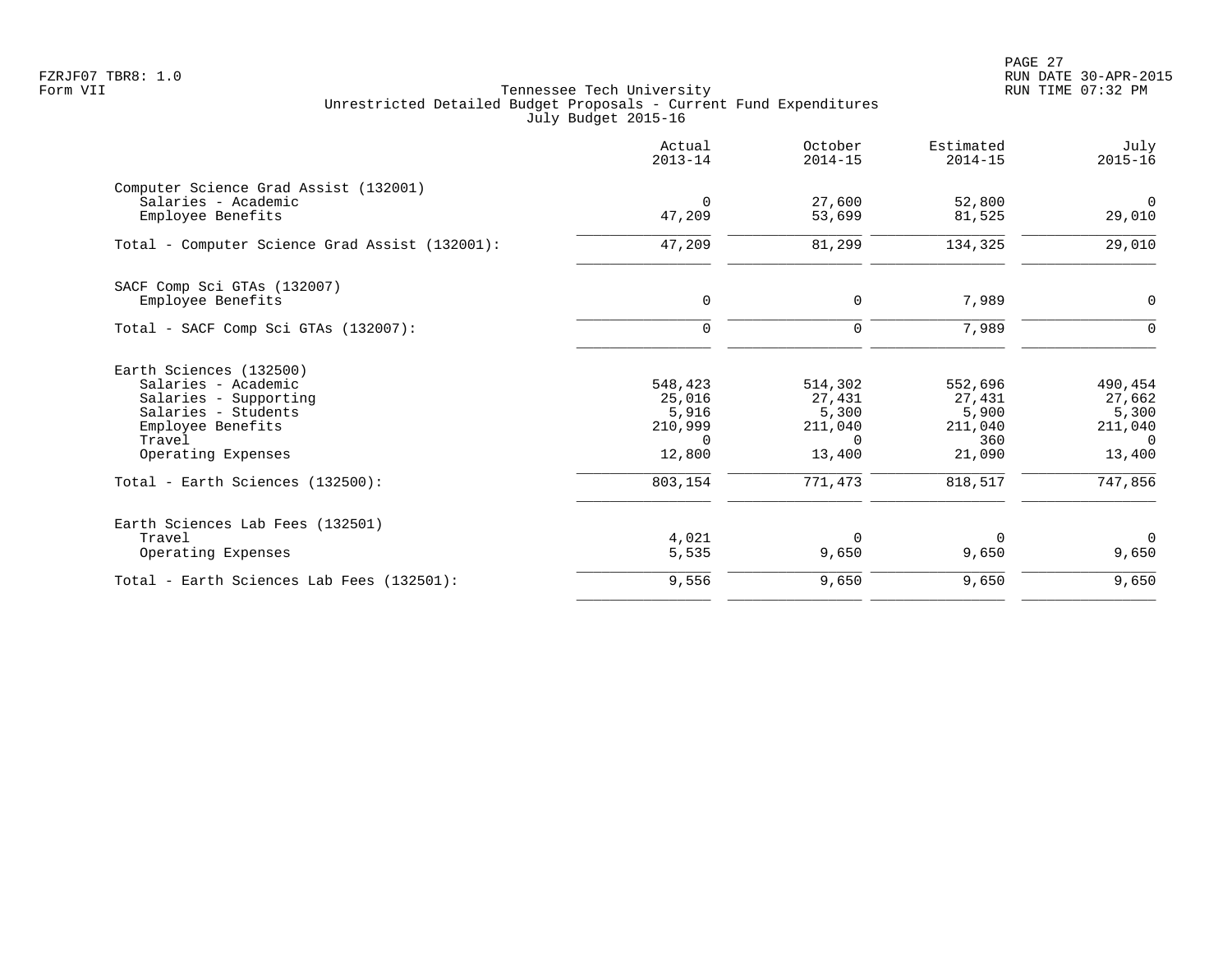PAGE 27 FZRJF07 TBR8: 1.0 RUN DATE 30-APR-2015

|                                                                                                                                                     | Actual<br>$2013 - 14$                                       | October<br>$2014 - 15$                                      | Estimated<br>$2014 - 15$                               | July<br>$2015 - 16$                                         |
|-----------------------------------------------------------------------------------------------------------------------------------------------------|-------------------------------------------------------------|-------------------------------------------------------------|--------------------------------------------------------|-------------------------------------------------------------|
| Computer Science Grad Assist (132001)<br>Salaries - Academic<br>Employee Benefits                                                                   | $\Omega$<br>47,209                                          | 27,600<br>53,699                                            | 52,800<br>81,525                                       | $\Omega$<br>29,010                                          |
| Total - Computer Science Grad Assist (132001):                                                                                                      | 47,209                                                      | 81,299                                                      | 134,325                                                | 29,010                                                      |
| SACF Comp Sci GTAs (132007)<br>Employee Benefits                                                                                                    | 0                                                           | $\mathbf 0$                                                 | 7,989                                                  | 0                                                           |
| Total - SACF Comp Sci GTAs (132007):                                                                                                                | $\Omega$                                                    | $\Omega$                                                    | 7,989                                                  | $\Omega$                                                    |
| Earth Sciences (132500)<br>Salaries - Academic<br>Salaries - Supporting<br>Salaries - Students<br>Employee Benefits<br>Travel<br>Operating Expenses | 548,423<br>25,016<br>5,916<br>210,999<br>$\Omega$<br>12,800 | 514,302<br>27,431<br>5,300<br>211,040<br>$\Omega$<br>13,400 | 552,696<br>27,431<br>5,900<br>211,040<br>360<br>21,090 | 490,454<br>27,662<br>5,300<br>211,040<br>$\Omega$<br>13,400 |
| Total - Earth Sciences (132500):                                                                                                                    | 803,154                                                     | 771,473                                                     | 818,517                                                | 747,856                                                     |
| Earth Sciences Lab Fees (132501)<br>Travel<br>Operating Expenses                                                                                    | 4,021<br>5,535                                              | $\Omega$<br>9,650                                           | $\Omega$<br>9,650                                      | $\Omega$<br>9,650                                           |
| Total - Earth Sciences Lab Fees (132501):                                                                                                           | 9,556                                                       | 9,650                                                       | 9,650                                                  | 9,650                                                       |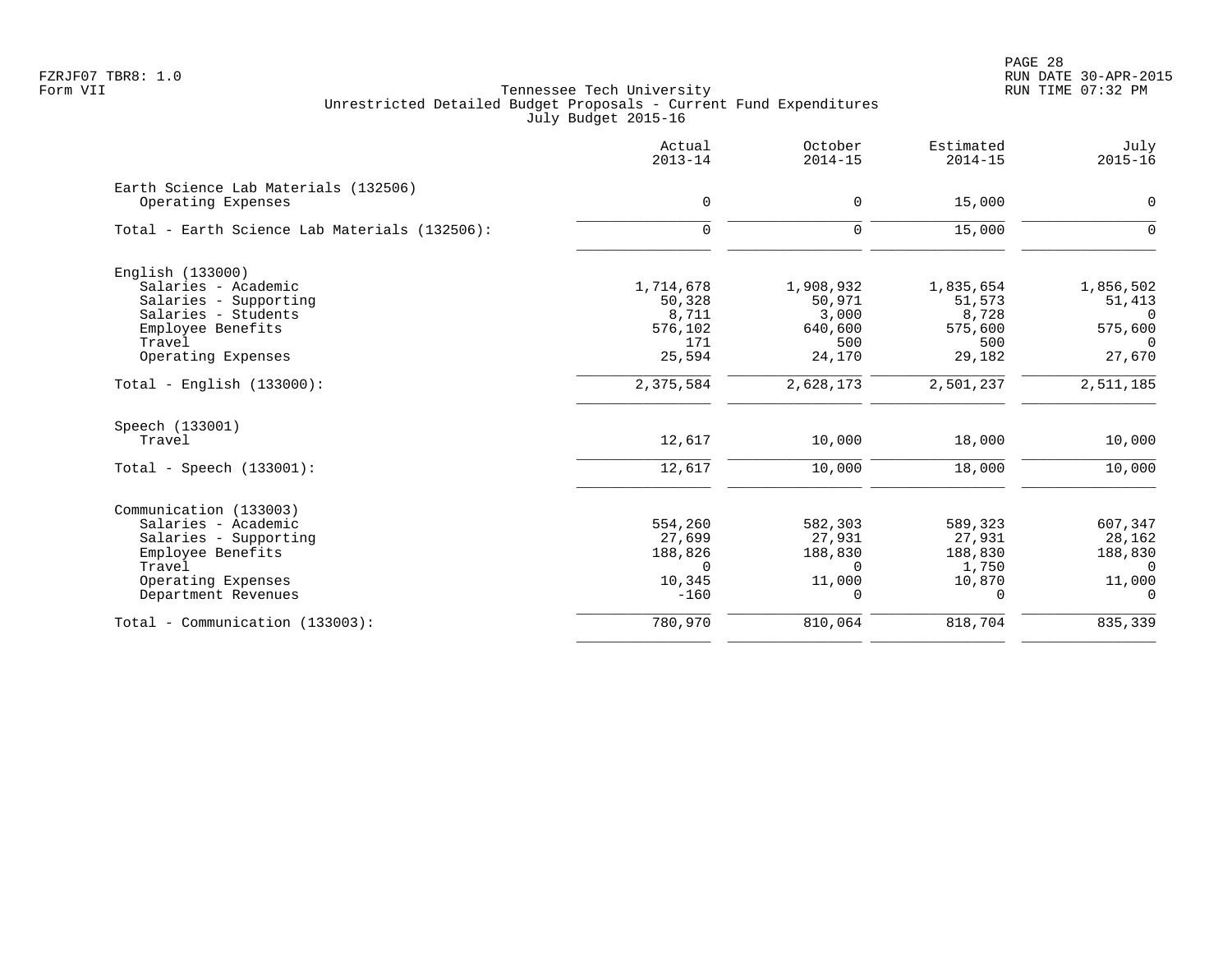|                                                            | Actual<br>$2013 - 14$ | October<br>$2014 - 15$ | Estimated<br>$2014 - 15$ | July<br>$2015 - 16$ |
|------------------------------------------------------------|-----------------------|------------------------|--------------------------|---------------------|
| Earth Science Lab Materials (132506)<br>Operating Expenses | $\mathbf 0$           | 0                      | 15,000                   | $\mathbf 0$         |
| Total - Earth Science Lab Materials (132506):              | $\mathbf 0$           | 0                      | 15,000                   | $\mathbf 0$         |
| English (133000)                                           |                       |                        |                          |                     |
| Salaries - Academic                                        | 1,714,678             | 1,908,932              | 1,835,654                | 1,856,502           |
| Salaries - Supporting                                      | 50,328                | 50,971                 | 51,573                   | 51,413              |
| Salaries - Students                                        | 8,711                 | 3,000                  | 8,728                    | $\Omega$            |
| Employee Benefits                                          | 576,102               | 640,600                | 575,600                  | 575,600             |
| Travel<br>Operating Expenses                               | 171<br>25,594         | 500<br>24,170          | 500<br>29,182            | $\Omega$<br>27,670  |
|                                                            |                       |                        |                          |                     |
| Total - English $(133000)$ :                               | 2,375,584             | 2,628,173              | 2,501,237                | 2,511,185           |
| Speech (133001)                                            |                       |                        |                          |                     |
| Travel                                                     | 12,617                | 10,000                 | 18,000                   | 10,000              |
| Total - Speech $(133001)$ :                                | 12,617                | 10,000                 | 18,000                   | 10,000              |
| Communication (133003)                                     |                       |                        |                          |                     |
| Salaries - Academic                                        | 554,260               | 582,303                | 589,323                  | 607,347             |
| Salaries - Supporting                                      | 27,699                | 27,931                 | 27,931                   | 28,162              |
| Employee Benefits                                          | 188,826               | 188,830                | 188,830                  | 188,830             |
| Travel                                                     | $\Omega$              | $\Omega$               | 1,750                    | $\Omega$            |
| Operating Expenses                                         | 10,345                | 11,000                 | 10,870                   | 11,000              |
| Department Revenues                                        | $-160$                | 0                      | $\Omega$                 | $\Omega$            |
| Total - Communication (133003):                            | 780,970               | 810,064                | 818,704                  | 835,339             |
|                                                            |                       |                        |                          |                     |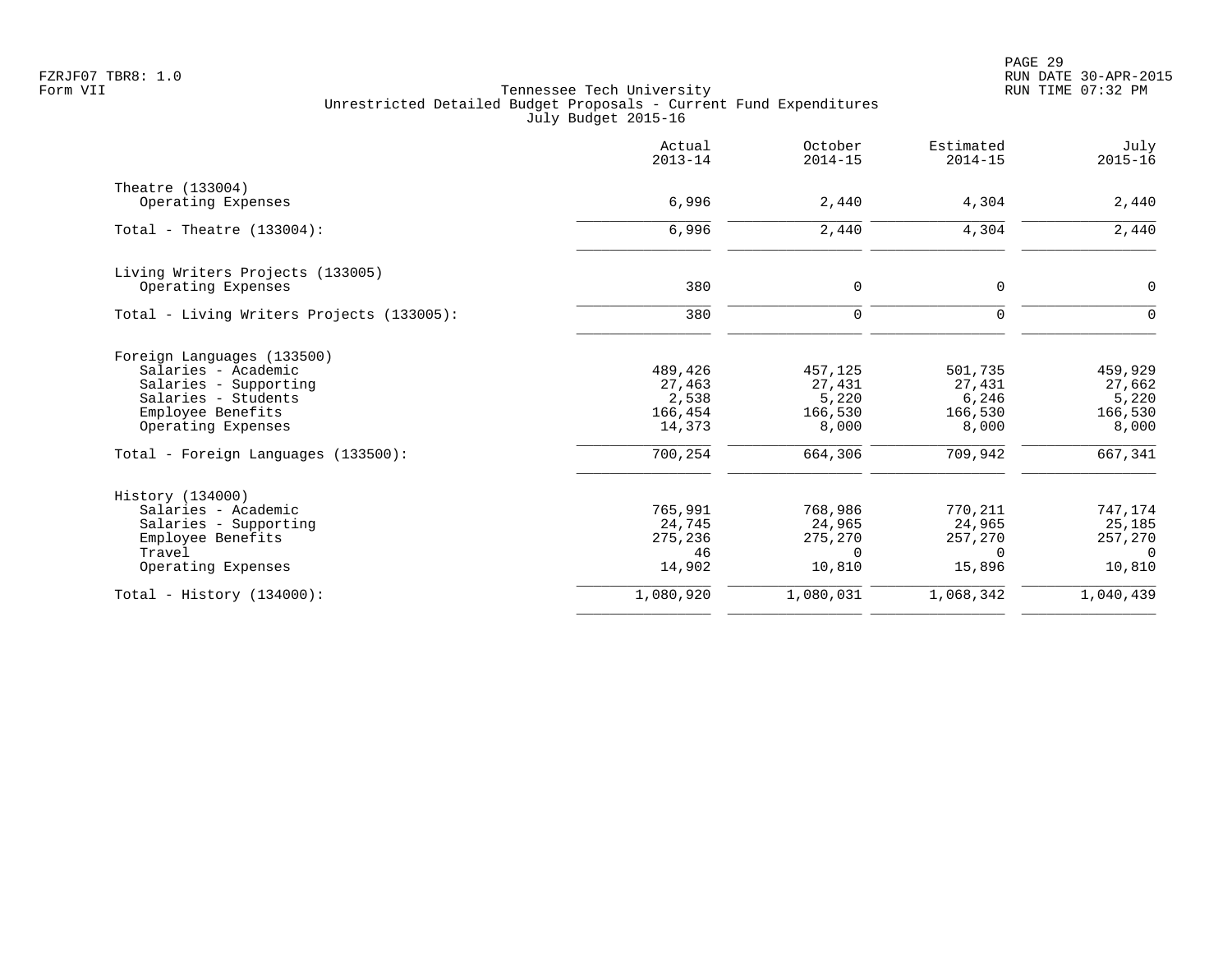|                                           | Actual<br>$2013 - 14$ | October<br>$2014 - 15$ | Estimated<br>$2014 - 15$ | July<br>$2015 - 16$ |
|-------------------------------------------|-----------------------|------------------------|--------------------------|---------------------|
| Theatre (133004)                          |                       |                        |                          |                     |
| Operating Expenses                        | 6,996                 | 2,440                  | 4,304                    | 2,440               |
| Total - Theatre $(133004)$ :              | 6,996                 | 2,440                  | 4,304                    | 2,440               |
| Living Writers Projects (133005)          |                       |                        |                          |                     |
| Operating Expenses                        | 380                   | 0                      | 0                        | 0                   |
| Total - Living Writers Projects (133005): | 380                   | $\mathbf 0$            | $\mathbf 0$              | $\mathbf 0$         |
| Foreign Languages (133500)                |                       |                        |                          |                     |
| Salaries - Academic                       | 489,426               | 457,125                | 501,735                  | 459,929             |
| Salaries - Supporting                     | 27,463                | 27,431                 | 27,431                   | 27,662              |
| Salaries - Students                       | 2,538                 | 5,220                  | 6,246                    | 5,220               |
| Employee Benefits<br>Operating Expenses   | 166,454<br>14,373     | 166,530<br>8,000       | 166,530<br>8,000         | 166,530<br>8,000    |
| Total - Foreign Languages (133500):       | 700,254               | 664,306                | 709,942                  | 667,341             |
| History (134000)                          |                       |                        |                          |                     |
| Salaries - Academic                       | 765,991               | 768,986                | 770,211                  | 747,174             |
| Salaries - Supporting                     | 24,745                | 24,965                 | 24,965                   | 25,185              |
| Employee Benefits                         | 275,236               | 275,270                | 257,270                  | 257,270             |
| Travel                                    | 46                    | $\Omega$               | $\Omega$                 | $\Omega$            |
| Operating Expenses                        | 14,902                | 10,810                 | 15,896                   | 10,810              |
| Total - History $(134000)$ :              | 1,080,920             | 1,080,031              | 1,068,342                | 1,040,439           |
|                                           |                       |                        |                          |                     |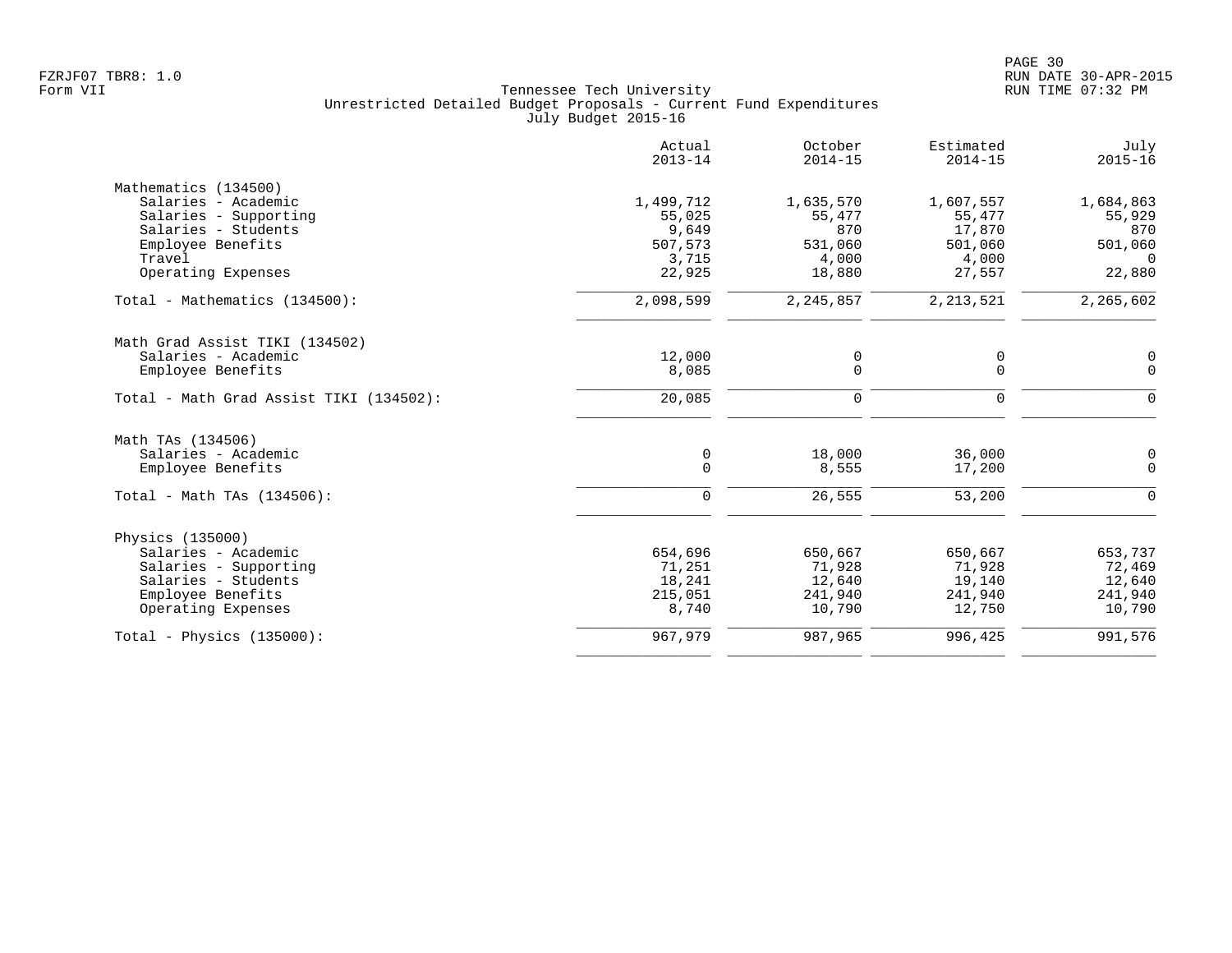|                                         | Actual<br>$2013 - 14$ | October<br>$2014 - 15$ | Estimated<br>$2014 - 15$ | July<br>$2015 - 16$ |
|-----------------------------------------|-----------------------|------------------------|--------------------------|---------------------|
| Mathematics (134500)                    |                       |                        |                          |                     |
| Salaries - Academic                     | 1,499,712             | 1,635,570              | 1,607,557                | 1,684,863           |
| Salaries - Supporting                   | 55,025                | 55,477                 | 55,477                   | 55,929              |
| Salaries - Students                     | 9,649                 | 870                    | 17,870                   | 870                 |
| Employee Benefits                       | 507,573               | 531,060                | 501,060                  | 501,060             |
| Travel                                  | 3,715                 | 4,000                  | 4,000                    | $\Omega$            |
| Operating Expenses                      | 22,925                | 18,880                 | 27,557                   | 22,880              |
| Total - Mathematics (134500):           | 2,098,599             | 2,245,857              | 2, 213, 521              | 2,265,602           |
| Math Grad Assist TIKI (134502)          |                       |                        |                          |                     |
| Salaries - Academic                     | 12,000                | 0                      | 0                        | 0                   |
| Employee Benefits                       | 8,085                 | $\mathbf 0$            | 0                        | $\mathbf 0$         |
| Total - Math Grad Assist TIKI (134502): | 20,085                | $\mathbf 0$            | 0                        | $\mathbf 0$         |
| Math TAs (134506)                       |                       |                        |                          |                     |
| Salaries - Academic                     | 0                     | 18,000                 | 36,000                   | 0                   |
| Employee Benefits                       | $\mathbf 0$           | 8,555                  | 17,200                   | $\mathbf 0$         |
|                                         |                       |                        |                          |                     |
| Total - Math TAs (134506):              | $\mathbf 0$           | 26,555                 | 53,200                   | 0                   |
| Physics (135000)                        |                       |                        |                          |                     |
| Salaries - Academic                     | 654,696               | 650,667                | 650,667                  | 653,737             |
| Salaries - Supporting                   | 71,251                | 71,928                 | 71,928                   | 72,469              |
| Salaries - Students                     | 18,241                | 12,640                 | 19,140                   | 12,640              |
| Employee Benefits                       | 215,051               | 241,940                | 241,940                  | 241,940             |
| Operating Expenses                      | 8,740                 | 10,790                 | 12,750                   | 10,790              |
| Total - Physics $(135000)$ :            | 967,979               | 987,965                | 996,425                  | 991,576             |
|                                         |                       |                        |                          |                     |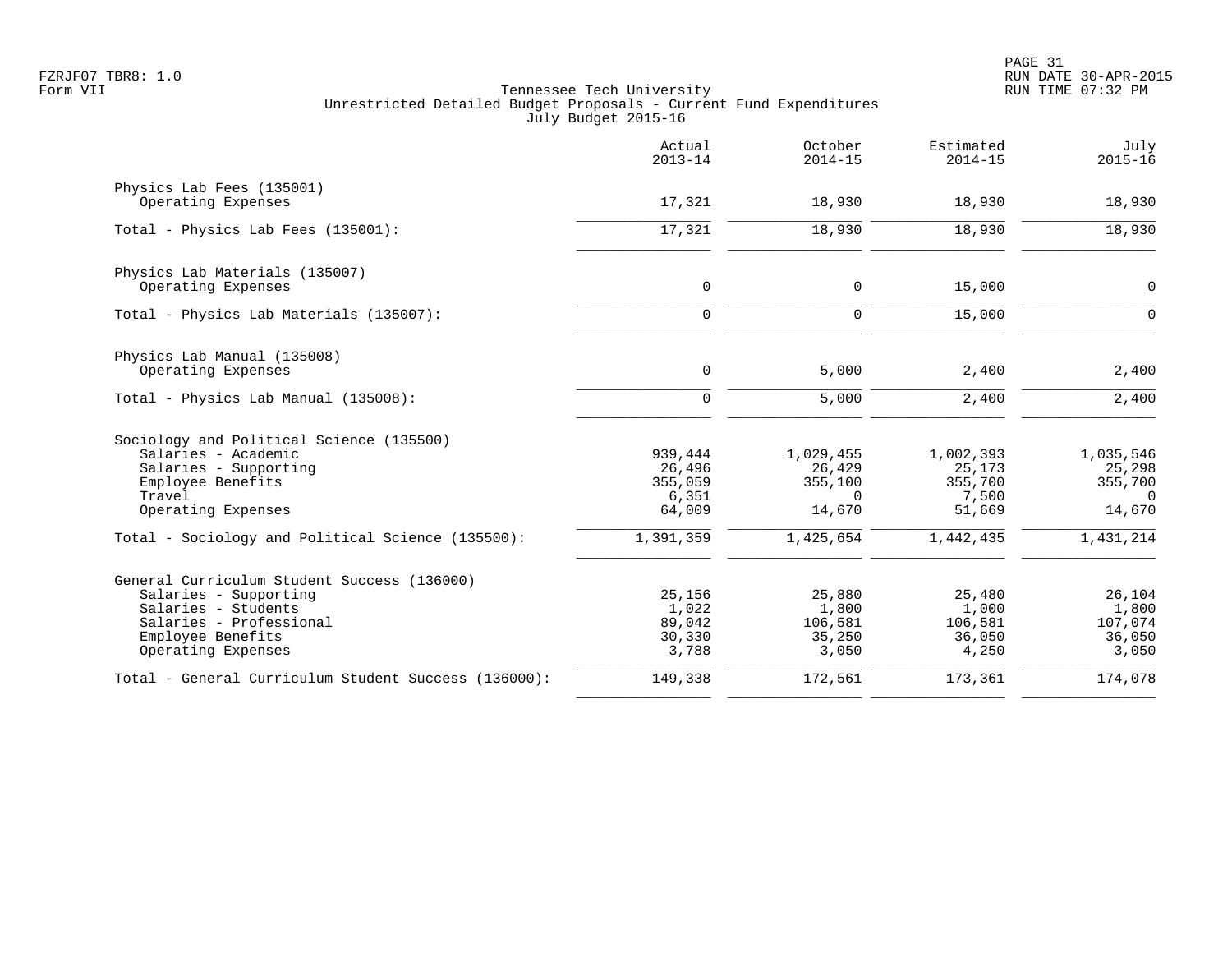|                                                      | Actual<br>$2013 - 14$ | October<br>$2014 - 15$ | Estimated<br>$2014 - 15$ | July<br>$2015 - 16$ |
|------------------------------------------------------|-----------------------|------------------------|--------------------------|---------------------|
| Physics Lab Fees (135001)<br>Operating Expenses      | 17,321                | 18,930                 | 18,930                   | 18,930              |
|                                                      |                       |                        |                          |                     |
| Total - Physics Lab Fees (135001):                   | 17,321                | 18,930                 | 18,930                   | 18,930              |
| Physics Lab Materials (135007)                       |                       |                        |                          |                     |
| Operating Expenses                                   | $\mathbf 0$           | 0                      | 15,000                   | 0                   |
| Total - Physics Lab Materials (135007):              | $\mathbf 0$           | $\mathbf 0$            | 15,000                   | $\overline{0}$      |
| Physics Lab Manual (135008)                          |                       |                        |                          |                     |
| Operating Expenses                                   | 0                     | 5,000                  | 2,400                    | 2,400               |
| Total - Physics Lab Manual (135008):                 | $\Omega$              | 5,000                  | 2,400                    | 2,400               |
| Sociology and Political Science (135500)             |                       |                        |                          |                     |
| Salaries - Academic                                  | 939,444               | 1,029,455              | 1,002,393                | 1,035,546           |
| Salaries - Supporting                                | 26,496                | 26,429                 | 25,173                   | 25,298              |
| Employee Benefits                                    | 355,059               | 355,100                | 355,700                  | 355,700             |
| Travel                                               | 6,351                 | $\Omega$               | 7,500                    | $\Omega$            |
| Operating Expenses                                   | 64,009                | 14,670                 | 51,669                   | 14,670              |
| Total - Sociology and Political Science (135500):    | 1,391,359             | 1,425,654              | 1,442,435                | 1,431,214           |
| General Curriculum Student Success (136000)          |                       |                        |                          |                     |
| Salaries - Supporting                                | 25,156                | 25,880                 | 25,480                   | 26,104              |
| Salaries - Students                                  | 1,022                 | 1,800                  | 1,000                    | 1,800               |
| Salaries - Professional                              | 89,042                | 106,581                | 106,581                  | 107,074             |
| Employee Benefits                                    | 30,330                | 35,250                 | 36,050                   | 36,050              |
| Operating Expenses                                   | 3,788                 | 3,050                  | 4,250                    | 3,050               |
| Total - General Curriculum Student Success (136000): | 149,338               | 172,561                | 173,361                  | 174,078             |
|                                                      |                       |                        |                          |                     |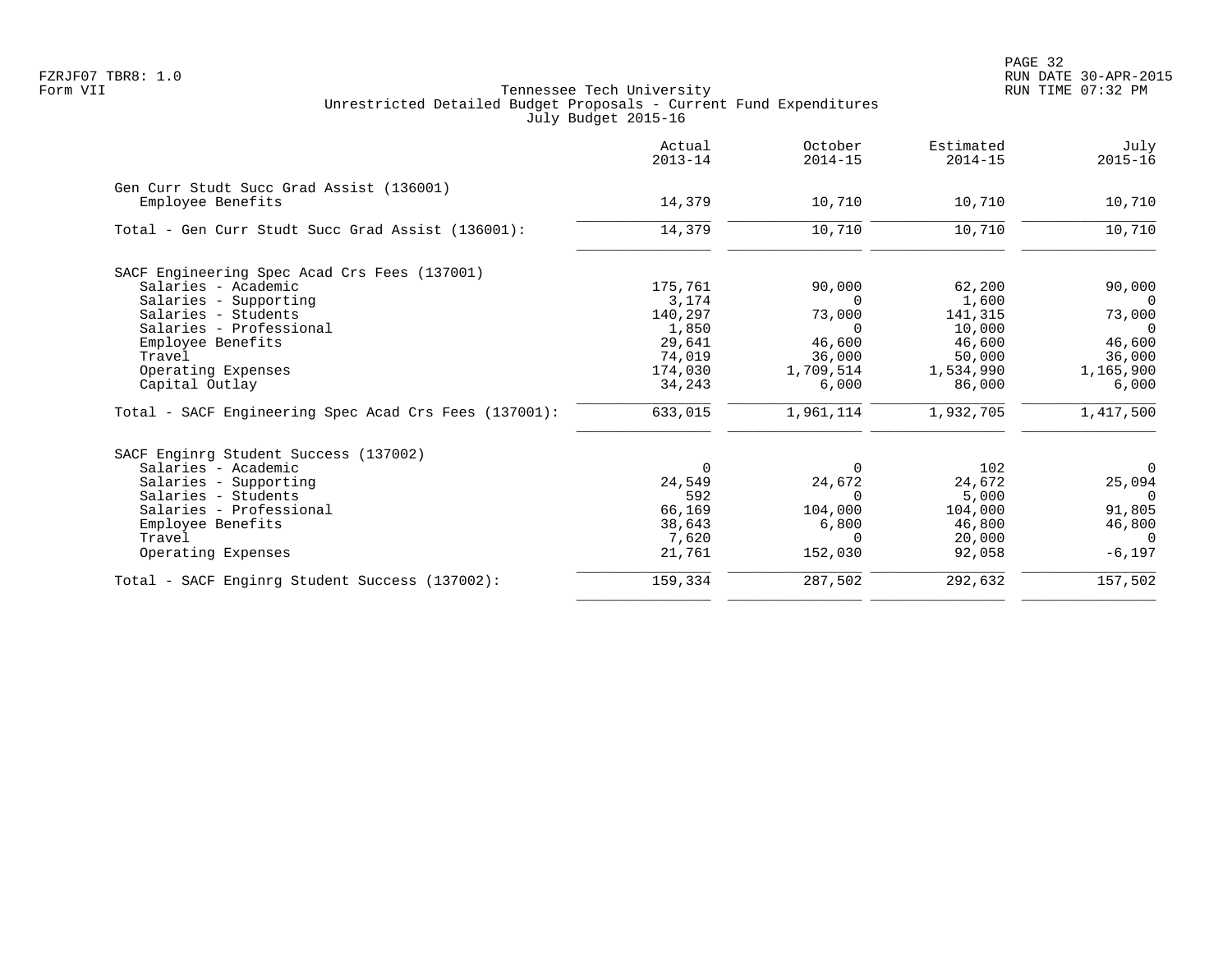|                                                               | Actual<br>$2013 - 14$ | October<br>$2014 - 15$ | Estimated<br>$2014 - 15$ | July<br>$2015 - 16$ |
|---------------------------------------------------------------|-----------------------|------------------------|--------------------------|---------------------|
| Gen Curr Studt Succ Grad Assist (136001)<br>Employee Benefits | 14,379                | 10,710                 | 10,710                   | 10,710              |
|                                                               |                       |                        |                          |                     |
| Total - Gen Curr Studt Succ Grad Assist (136001):             | 14,379                | 10,710                 | 10,710                   | 10,710              |
| SACF Engineering Spec Acad Crs Fees (137001)                  |                       |                        |                          |                     |
| Salaries - Academic                                           | 175,761               | 90,000                 | 62,200                   | 90,000              |
| Salaries - Supporting                                         | 3,174                 | $\Omega$               | 1,600                    | $\Omega$            |
| Salaries - Students                                           | 140,297               | 73,000                 | 141,315                  | 73,000              |
| Salaries - Professional                                       | 1,850                 | $\Omega$               | 10,000                   | $\cap$              |
| Employee Benefits                                             | 29,641                | 46,600                 | 46,600                   | 46,600              |
| Travel                                                        | 74,019                | 36,000                 | 50,000                   | 36,000              |
| Operating Expenses                                            | 174,030               | 1,709,514              | 1,534,990                | 1,165,900           |
| Capital Outlay                                                | 34,243                | 6,000                  | 86,000                   | 6,000               |
| Total - SACF Engineering Spec Acad Crs Fees (137001):         | 633,015               | 1,961,114              | 1,932,705                | 1,417,500           |
| SACF Enginrg Student Success (137002)                         |                       |                        |                          |                     |
| Salaries - Academic                                           | 0                     | $\Omega$               | 102                      | 0                   |
| Salaries - Supporting                                         | 24,549                | 24,672                 | 24,672                   | 25,094              |
| Salaries - Students                                           | 592                   | $\Omega$               | 5,000                    | $\overline{0}$      |
| Salaries - Professional                                       | 66,169                | 104,000                | 104,000                  | 91,805              |
| Employee Benefits                                             | 38,643                | 6,800                  | 46,800                   | 46,800              |
| Travel                                                        | 7,620                 | $\Omega$               | 20,000                   | $\Omega$            |
| Operating Expenses                                            | 21,761                | 152,030                | 92,058                   | $-6,197$            |
| Total - SACF Enginrg Student Success (137002):                | 159,334               | 287,502                | 292,632                  | 157,502             |
|                                                               |                       |                        |                          |                     |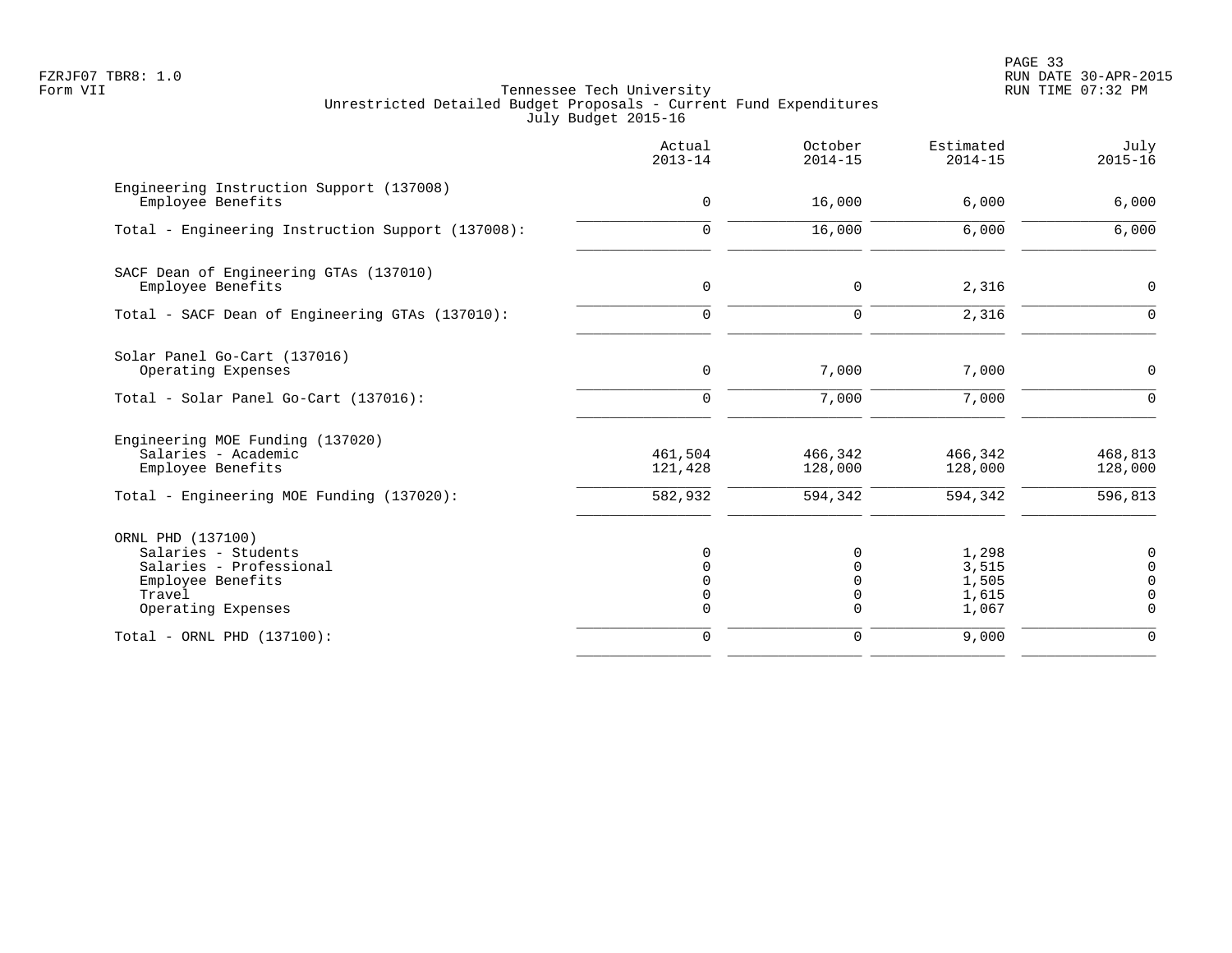PAGE 33 FZRJF07 TBR8: 1.0 RUN DATE 30-APR-2015

|                                                                                                                           | Actual<br>$2013 - 14$         | October<br>$2014 - 15$        | Estimated<br>$2014 - 15$                  | July<br>$2015 - 16$                              |
|---------------------------------------------------------------------------------------------------------------------------|-------------------------------|-------------------------------|-------------------------------------------|--------------------------------------------------|
| Engineering Instruction Support (137008)<br>Employee Benefits                                                             | $\mathbf 0$                   | 16,000                        | 6,000                                     | 6,000                                            |
| Total - Engineering Instruction Support (137008):                                                                         | $\mathbf 0$                   | 16,000                        | 6,000                                     | 6,000                                            |
| SACF Dean of Engineering GTAs (137010)<br>Employee Benefits                                                               | $\mathbf 0$                   | $\mathbf 0$                   | 2,316                                     | $\mathbf 0$                                      |
| Total - SACF Dean of Engineering GTAs (137010):                                                                           | $\Omega$                      | $\mathbf 0$                   | 2,316                                     | $\Omega$                                         |
| Solar Panel Go-Cart (137016)<br>Operating Expenses                                                                        | 0                             | 7,000                         | 7,000                                     | 0                                                |
| Total - Solar Panel Go-Cart (137016):                                                                                     | $\Omega$                      | 7,000                         | 7,000                                     | $\Omega$                                         |
| Engineering MOE Funding (137020)<br>Salaries - Academic<br>Employee Benefits<br>Total - Engineering MOE Funding (137020): | 461,504<br>121,428<br>582,932 | 466,342<br>128,000<br>594,342 | 466,342<br>128,000<br>594,342             | 468,813<br>128,000<br>596,813                    |
| ORNL PHD (137100)<br>Salaries - Students<br>Salaries - Professional<br>Employee Benefits<br>Travel<br>Operating Expenses  | $\Omega$                      | $\Omega$<br>0<br>0            | 1,298<br>3,515<br>1,505<br>1,615<br>1,067 | 0<br>$\mathbf 0$<br>$\Omega$<br>0<br>$\mathbf 0$ |
| Total - ORNL PHD (137100):                                                                                                | 0                             | 0                             | 9,000                                     | $\mathbf 0$                                      |
|                                                                                                                           |                               |                               |                                           |                                                  |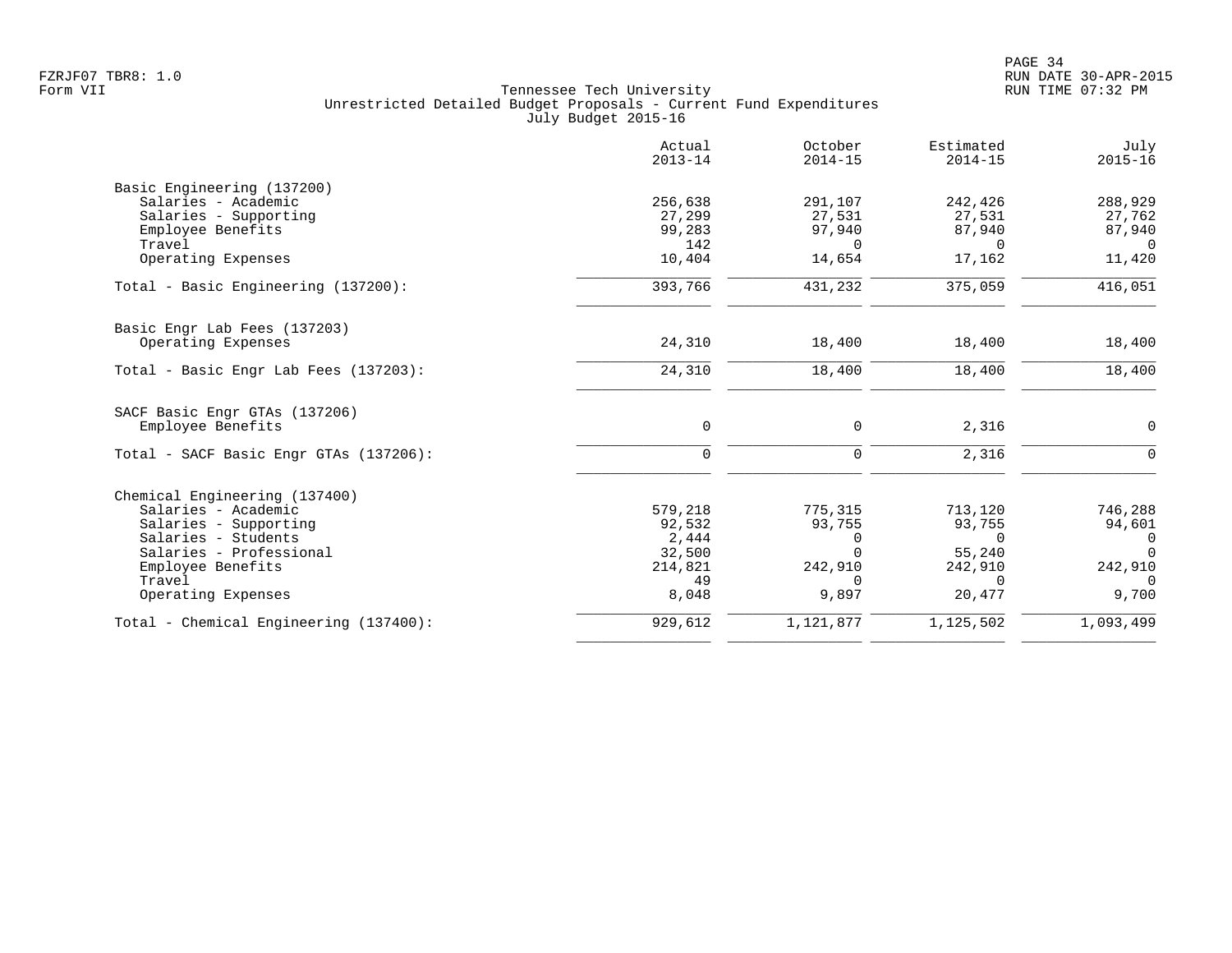|                                        | Actual<br>$2013 - 14$ | October<br>$2014 - 15$ | Estimated<br>$2014 - 15$ | July<br>$2015 - 16$ |
|----------------------------------------|-----------------------|------------------------|--------------------------|---------------------|
| Basic Engineering (137200)             |                       |                        |                          |                     |
| Salaries - Academic                    | 256,638               | 291,107                | 242,426                  | 288,929             |
| Salaries - Supporting                  | 27,299                | 27,531                 | 27,531                   | 27,762              |
| Employee Benefits                      | 99,283                | 97,940                 | 87,940                   | 87,940              |
| Travel                                 | 142                   | $\Omega$               | $\Omega$                 | $\Omega$            |
| Operating Expenses                     | 10,404                | 14,654                 | 17,162                   | 11,420              |
| Total - Basic Engineering (137200):    | 393,766               | 431,232                | 375,059                  | 416,051             |
| Basic Engr Lab Fees (137203)           |                       |                        |                          |                     |
| Operating Expenses                     | 24,310                | 18,400                 | 18,400                   | 18,400              |
| Total - Basic Engr Lab Fees (137203):  | 24,310                | 18,400                 | 18,400                   | 18,400              |
| SACF Basic Engr GTAs (137206)          |                       |                        |                          |                     |
| Employee Benefits                      | $\mathbf 0$           | 0                      | 2,316                    | $\mathbf 0$         |
| Total - SACF Basic Engr GTAs (137206): | $\mathbf 0$           | 0                      | 2,316                    | $\Omega$            |
| Chemical Engineering (137400)          |                       |                        |                          |                     |
| Salaries - Academic                    | 579,218               | 775,315                | 713,120                  | 746,288             |
| Salaries - Supporting                  | 92,532                | 93,755                 | 93,755                   | 94,601              |
| Salaries - Students                    | 2,444                 | 0                      | $\Omega$                 | 0                   |
| Salaries - Professional                | 32,500                | $\Omega$               | 55,240                   | $\Omega$            |
| Employee Benefits                      | 214,821               | 242,910                | 242,910                  | 242,910             |
| Travel                                 | 49                    | $\Omega$               | $\Omega$                 | $\Omega$            |
| Operating Expenses                     | 8,048                 | 9,897                  | 20,477                   | 9,700               |
| Total - Chemical Engineering (137400): | 929,612               | 1,121,877              | 1,125,502                | 1,093,499           |
|                                        |                       |                        |                          |                     |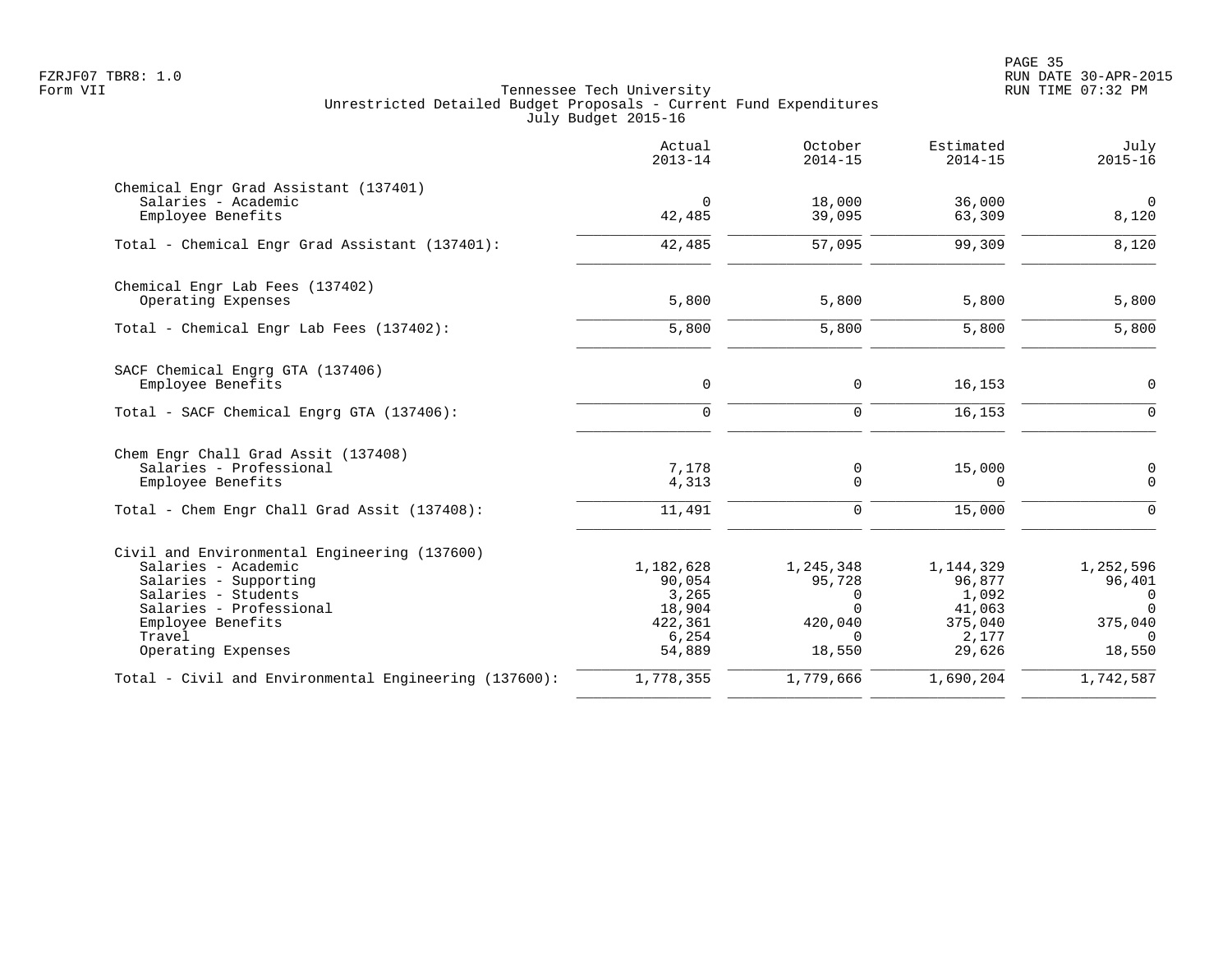PAGE 35 FZRJF07 TBR8: 1.0 RUN DATE 30-APR-2015

|                                                                                                                                                                                                     | Actual<br>$2013 - 14$                                                | October<br>$2014 - 15$                                                | Estimated<br>$2014 - 15$                                             | July<br>$2015 - 16$                                                   |
|-----------------------------------------------------------------------------------------------------------------------------------------------------------------------------------------------------|----------------------------------------------------------------------|-----------------------------------------------------------------------|----------------------------------------------------------------------|-----------------------------------------------------------------------|
| Chemical Engr Grad Assistant (137401)<br>Salaries - Academic<br>Employee Benefits                                                                                                                   | $\mathbf 0$<br>42,485                                                | 18,000<br>39,095                                                      | 36,000<br>63,309                                                     | $\mathbf 0$<br>8,120                                                  |
| Total - Chemical Engr Grad Assistant (137401):                                                                                                                                                      | 42,485                                                               | 57,095                                                                | 99,309                                                               | 8,120                                                                 |
| Chemical Engr Lab Fees (137402)<br>Operating Expenses                                                                                                                                               | 5,800                                                                | 5,800                                                                 | 5,800                                                                | 5,800                                                                 |
| Total - Chemical Engr Lab Fees (137402):                                                                                                                                                            | 5,800                                                                | 5,800                                                                 | 5,800                                                                | 5,800                                                                 |
| SACF Chemical Engrg GTA (137406)<br>Employee Benefits                                                                                                                                               | $\mathbf 0$                                                          | $\mathbf 0$                                                           | 16,153                                                               | $\mathbf 0$                                                           |
| Total - SACF Chemical Engrg GTA (137406):                                                                                                                                                           | $\mathbf 0$                                                          | $\Omega$                                                              | 16,153                                                               | $\Omega$                                                              |
| Chem Engr Chall Grad Assit (137408)<br>Salaries - Professional<br>Employee Benefits                                                                                                                 | 7,178<br>4,313                                                       | 0<br>0                                                                | 15,000<br>$\Omega$                                                   | $\mathbf 0$<br>$\Omega$                                               |
| Total - Chem Engr Chall Grad Assit (137408):                                                                                                                                                        | 11,491                                                               | 0                                                                     | 15,000                                                               | $\mathbf 0$                                                           |
| Civil and Environmental Engineering (137600)<br>Salaries - Academic<br>Salaries - Supporting<br>Salaries - Students<br>Salaries - Professional<br>Employee Benefits<br>Travel<br>Operating Expenses | 1,182,628<br>90,054<br>3,265<br>18,904<br>422,361<br>6,254<br>54,889 | 1,245,348<br>95,728<br>0<br>$\Omega$<br>420,040<br>$\Omega$<br>18,550 | 1,144,329<br>96,877<br>1,092<br>41,063<br>375,040<br>2,177<br>29,626 | 1,252,596<br>96,401<br>0<br>$\Omega$<br>375,040<br>$\Omega$<br>18,550 |
| Total - Civil and Environmental Engineering (137600):                                                                                                                                               | 1,778,355                                                            | 1,779,666                                                             | 1,690,204                                                            | 1,742,587                                                             |
|                                                                                                                                                                                                     |                                                                      |                                                                       |                                                                      |                                                                       |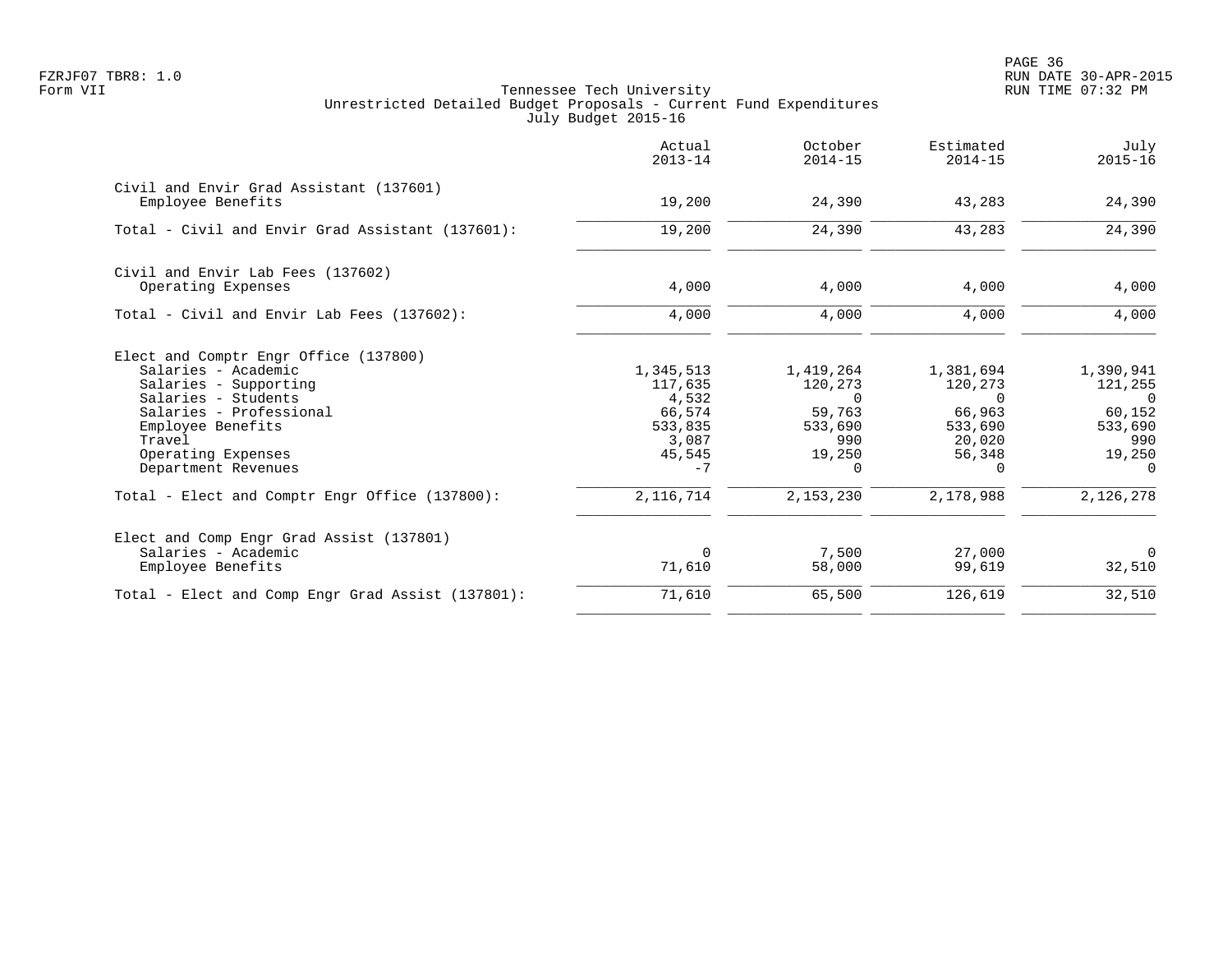en and the state of the state of the state of the state of the state of the state of the state of the state of the state of the state of the state of the state of the state of the state of the state of the state of the sta FZRJF07 TBR8: 1.0 RUN DATE 30-APR-2015

|                                                                                                                                                                                                                     | Actual<br>$2013 - 14$                                                         | October<br>$2014 - 15$                                                      | Estimated<br>$2014 - 15$                                                              | July<br>$2015 - 16$                                                              |
|---------------------------------------------------------------------------------------------------------------------------------------------------------------------------------------------------------------------|-------------------------------------------------------------------------------|-----------------------------------------------------------------------------|---------------------------------------------------------------------------------------|----------------------------------------------------------------------------------|
| Civil and Envir Grad Assistant (137601)<br>Employee Benefits                                                                                                                                                        | 19,200                                                                        | 24,390                                                                      | 43,283                                                                                | 24,390                                                                           |
| Total - Civil and Envir Grad Assistant (137601):                                                                                                                                                                    | 19,200                                                                        | 24,390                                                                      | 43,283                                                                                | 24,390                                                                           |
| Civil and Envir Lab Fees (137602)<br>Operating Expenses                                                                                                                                                             | 4,000                                                                         | 4,000                                                                       | 4,000                                                                                 | 4,000                                                                            |
| Total - Civil and Envir Lab Fees (137602):                                                                                                                                                                          | 4,000                                                                         | 4,000                                                                       | 4,000                                                                                 | 4,000                                                                            |
| Elect and Comptr Engr Office (137800)<br>Salaries - Academic<br>Salaries - Supporting<br>Salaries - Students<br>Salaries - Professional<br>Employee Benefits<br>Travel<br>Operating Expenses<br>Department Revenues | 1,345,513<br>117,635<br>4,532<br>66,574<br>533,835<br>3,087<br>45,545<br>$-7$ | 1,419,264<br>120,273<br>$\Omega$<br>59,763<br>533,690<br>990<br>19,250<br>0 | 1,381,694<br>120,273<br>$\Omega$<br>66,963<br>533,690<br>20,020<br>56,348<br>$\Omega$ | 1,390,941<br>121,255<br>$\cap$<br>60,152<br>533,690<br>990<br>19,250<br>$\Omega$ |
| Total - Elect and Comptr Engr Office (137800):                                                                                                                                                                      | 2, 116, 714                                                                   | 2,153,230                                                                   | 2,178,988                                                                             | 2,126,278                                                                        |
| Elect and Comp Engr Grad Assist (137801)<br>Salaries - Academic<br>Employee Benefits                                                                                                                                | $\Omega$<br>71,610                                                            | 7,500<br>58,000                                                             | 27,000<br>99,619                                                                      | $\Omega$<br>32,510                                                               |
| Total - Elect and Comp Engr Grad Assist (137801):                                                                                                                                                                   | 71,610                                                                        | 65,500                                                                      | 126,619                                                                               | 32,510                                                                           |
|                                                                                                                                                                                                                     |                                                                               |                                                                             |                                                                                       |                                                                                  |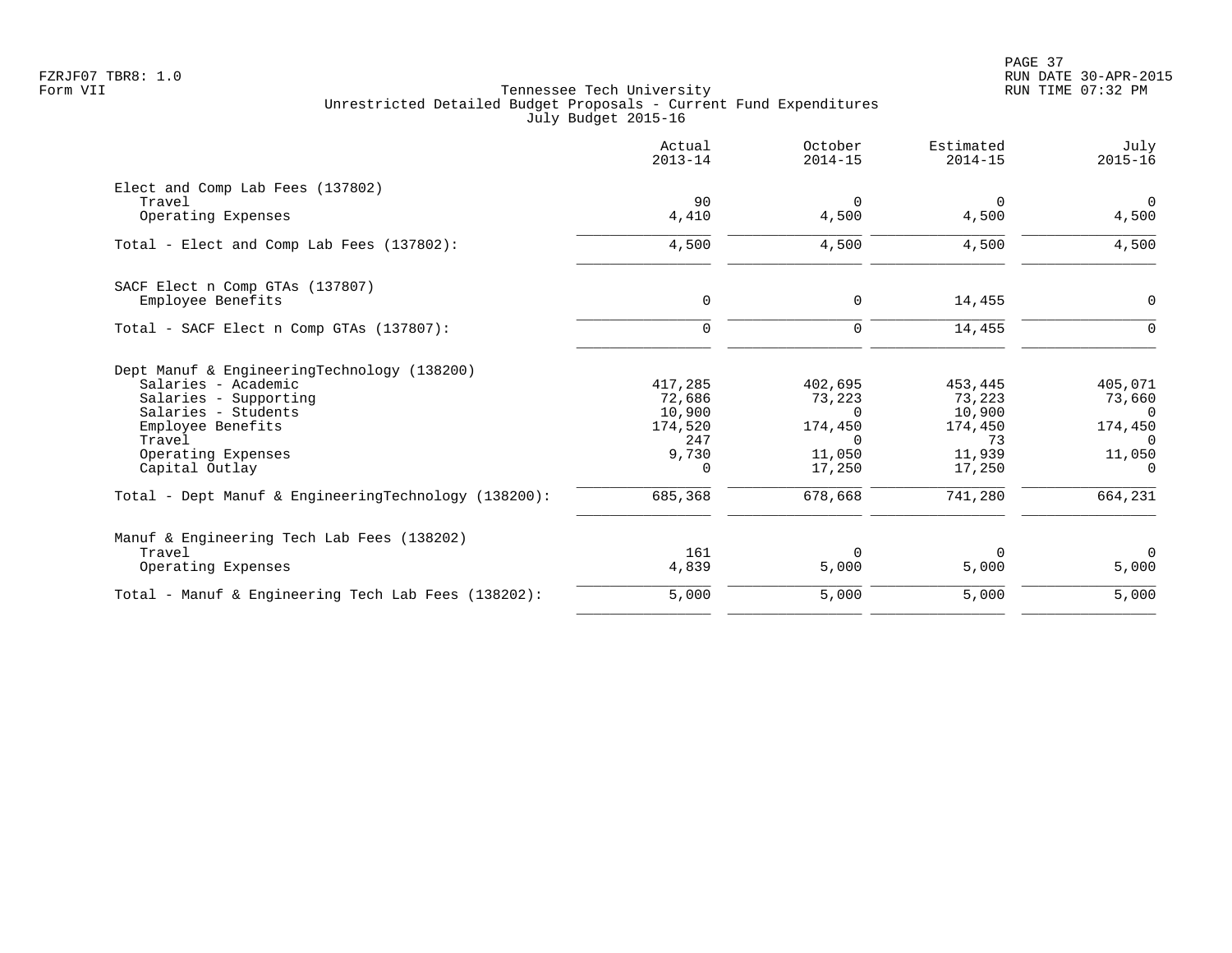|                                                                                                                                                                                           | Actual<br>$2013 - 14$                                       | October<br>$2014 - 15$                                                       | Estimated<br>$2014 - 15$                                         | July<br>$2015 - 16$                                                        |
|-------------------------------------------------------------------------------------------------------------------------------------------------------------------------------------------|-------------------------------------------------------------|------------------------------------------------------------------------------|------------------------------------------------------------------|----------------------------------------------------------------------------|
| Elect and Comp Lab Fees (137802)<br>Travel<br>Operating Expenses                                                                                                                          | 90<br>4,410                                                 | $\Omega$<br>4,500                                                            | 0<br>4,500                                                       | $\overline{0}$<br>4,500                                                    |
| Total - Elect and Comp Lab Fees (137802):                                                                                                                                                 | 4,500                                                       | 4,500                                                                        | 4,500                                                            | 4,500                                                                      |
| SACF Elect n Comp GTAs (137807)<br>Employee Benefits                                                                                                                                      | $\mathbf 0$                                                 | 0                                                                            | 14,455                                                           | $\mathsf{O}$                                                               |
| Total - SACF Elect n Comp GTAs (137807):                                                                                                                                                  | $\mathbf 0$                                                 | 0                                                                            | 14,455                                                           | $\Omega$                                                                   |
| Dept Manuf & EngineeringTechnology (138200)<br>Salaries - Academic<br>Salaries - Supporting<br>Salaries - Students<br>Employee Benefits<br>Travel<br>Operating Expenses<br>Capital Outlay | 417,285<br>72,686<br>10,900<br>174,520<br>247<br>9,730<br>0 | 402,695<br>73,223<br><sup>n</sup><br>174,450<br>$\Omega$<br>11,050<br>17,250 | 453,445<br>73,223<br>10,900<br>174,450<br>73<br>11,939<br>17,250 | 405,071<br>73,660<br>$\Omega$<br>174,450<br>$\Omega$<br>11,050<br>$\Omega$ |
| Total - Dept Manuf & EngineeringTechnology (138200):                                                                                                                                      | 685,368                                                     | 678,668                                                                      | 741,280                                                          | 664,231                                                                    |
| Manuf & Engineering Tech Lab Fees (138202)<br>Travel<br>Operating Expenses                                                                                                                | 161<br>4,839                                                | $\Omega$<br>5,000                                                            | $\Omega$<br>5,000                                                | $\Omega$<br>5,000                                                          |
| Total - Manuf & Engineering Tech Lab Fees (138202):                                                                                                                                       | 5,000                                                       | 5,000                                                                        | 5,000                                                            | 5,000                                                                      |
|                                                                                                                                                                                           |                                                             |                                                                              |                                                                  |                                                                            |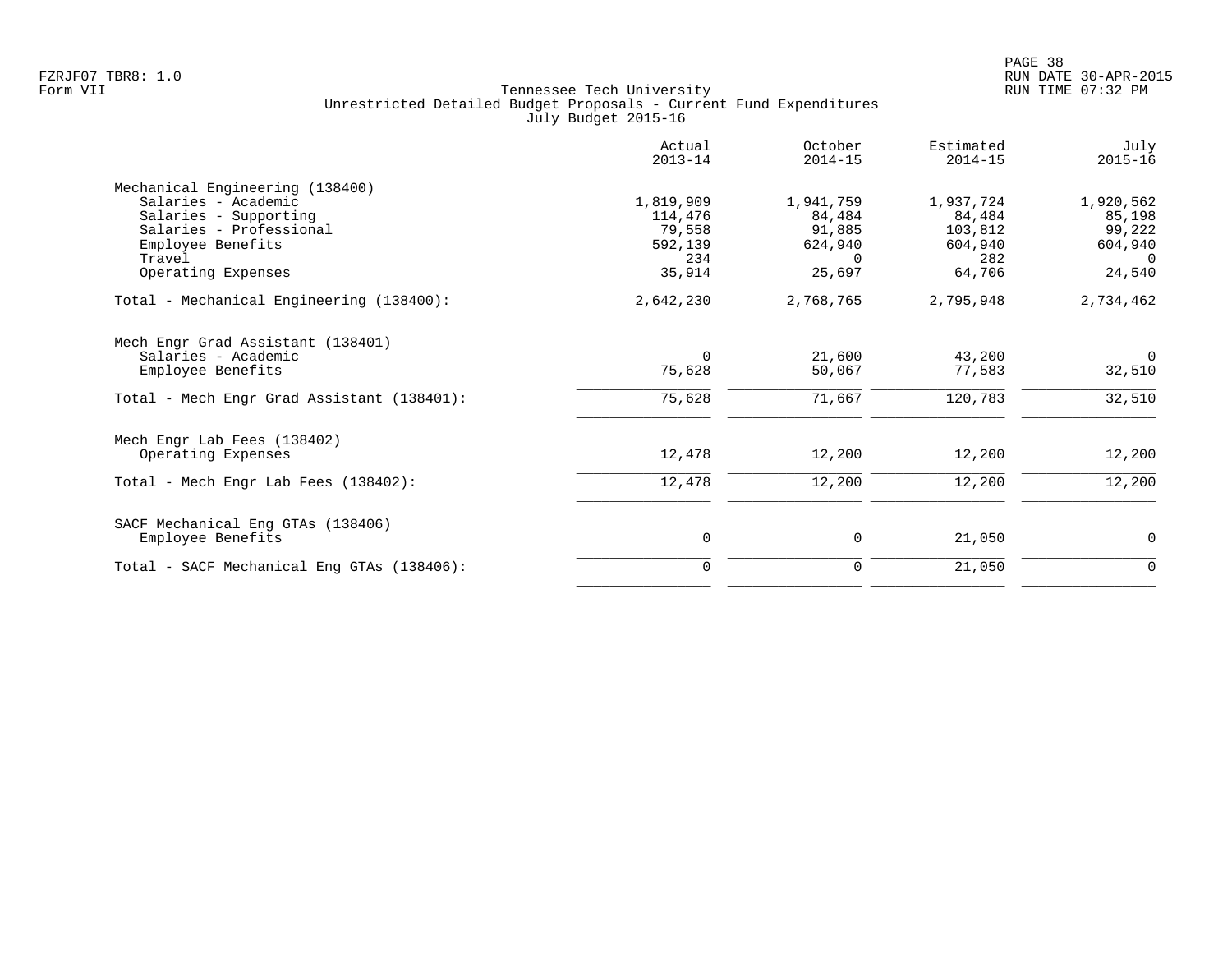|                                            | Actual<br>$2013 - 14$ | October<br>$2014 - 15$ | Estimated<br>$2014 - 15$ | July<br>$2015 - 16$ |
|--------------------------------------------|-----------------------|------------------------|--------------------------|---------------------|
| Mechanical Engineering (138400)            |                       |                        |                          |                     |
| Salaries - Academic                        | 1,819,909             | 1,941,759              | 1,937,724                | 1,920,562           |
| Salaries - Supporting                      | 114,476               | 84,484                 | 84,484                   | 85,198              |
| Salaries - Professional                    | 79,558                | 91,885                 | 103,812                  | 99,222              |
| Employee Benefits                          | 592,139               | 624,940                | 604,940                  | 604,940             |
| Travel                                     | 234                   | $\Omega$               | 282                      | $\Omega$            |
| Operating Expenses                         | 35,914                | 25,697                 | 64,706                   | 24,540              |
| Total - Mechanical Engineering (138400):   | 2,642,230             | 2,768,765              | 2,795,948                | 2,734,462           |
| Mech Engr Grad Assistant (138401)          |                       |                        |                          |                     |
| Salaries - Academic                        | $\Omega$              | 21,600                 | 43,200                   | $\mathbf 0$         |
| Employee Benefits                          | 75,628                | 50,067                 | 77,583                   | 32,510              |
| Total - Mech Engr Grad Assistant (138401): | 75,628                | 71,667                 | 120,783                  | 32,510              |
| Mech Engr Lab Fees (138402)                |                       |                        |                          |                     |
| Operating Expenses                         | 12,478                | 12,200                 | 12,200                   | 12,200              |
| Total - Mech Engr Lab Fees (138402):       | 12,478                | 12,200                 | 12,200                   | 12,200              |
| SACF Mechanical Eng GTAs (138406)          |                       |                        |                          |                     |
| Employee Benefits                          | 0                     | 0                      | 21,050                   | 0                   |
| Total - SACF Mechanical Eng GTAs (138406): | $\Omega$              | 0                      | 21,050                   | 0                   |
|                                            |                       |                        |                          |                     |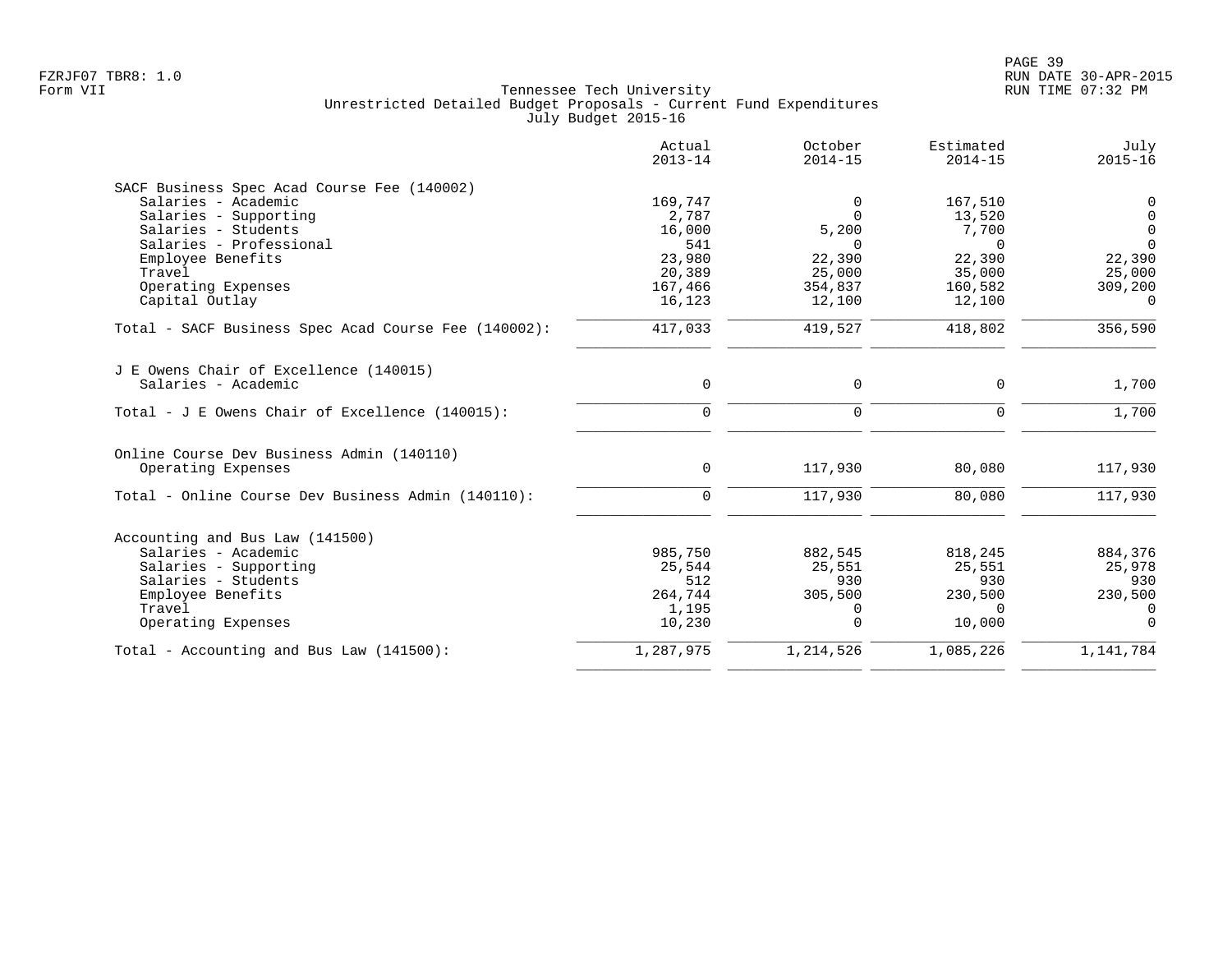|                                                      | Actual<br>$2013 - 14$ | October<br>$2014 - 15$ | Estimated<br>$2014 - 15$ | July<br>$2015 - 16$ |
|------------------------------------------------------|-----------------------|------------------------|--------------------------|---------------------|
| SACF Business Spec Acad Course Fee (140002)          |                       |                        |                          |                     |
| Salaries - Academic                                  | 169,747               | $\Omega$               | 167,510                  | 0                   |
| Salaries - Supporting                                | 2,787                 | $\Omega$               | 13,520                   | $\mathbf 0$         |
| Salaries - Students                                  | 16,000                | 5,200                  | 7,700                    | $\overline{0}$      |
| Salaries - Professional                              | 541                   | $\Omega$               | $\Omega$                 | $\Omega$            |
| Employee Benefits                                    | 23,980                | 22,390                 | 22,390                   | 22,390              |
| Travel                                               | 20,389                | 25,000                 | 35,000                   | 25,000              |
| Operating Expenses                                   | 167,466               | 354,837                | 160,582                  | 309,200             |
| Capital Outlay                                       | 16,123                | 12,100                 | 12,100                   | $\Omega$            |
| Total - SACF Business Spec Acad Course Fee (140002): | 417,033               | 419,527                | 418,802                  | 356, 590            |
| J E Owens Chair of Excellence (140015)               |                       |                        |                          |                     |
| Salaries - Academic                                  | $\mathbf 0$           | 0                      | 0                        | 1,700               |
| Total - J E Owens Chair of Excellence $(140015)$ :   | $\Omega$              | $\Omega$               | $\Omega$                 | 1,700               |
| Online Course Dev Business Admin (140110)            |                       |                        |                          |                     |
| Operating Expenses                                   | $\mathbf 0$           | 117,930                | 80,080                   | 117,930             |
| Total - Online Course Dev Business Admin (140110):   | $\Omega$              | 117,930                | 80,080                   | 117,930             |
| Accounting and Bus Law (141500)                      |                       |                        |                          |                     |
| Salaries - Academic                                  | 985,750               | 882,545                | 818,245                  | 884,376             |
| Salaries - Supporting                                | 25,544                | 25,551                 | 25,551                   | 25,978              |
| Salaries - Students                                  | 512                   | 930                    | 930                      | 930                 |
| Employee Benefits                                    | 264,744               | 305,500                | 230,500                  | 230,500             |
| Travel                                               | 1,195                 | 0                      | $\Omega$                 | $\Omega$            |
| Operating Expenses                                   | 10,230                | $\Omega$               | 10,000                   | $\Omega$            |
| Total - Accounting and Bus Law (141500):             | 1,287,975             | 1,214,526              | 1,085,226                | 1,141,784           |
|                                                      |                       |                        |                          |                     |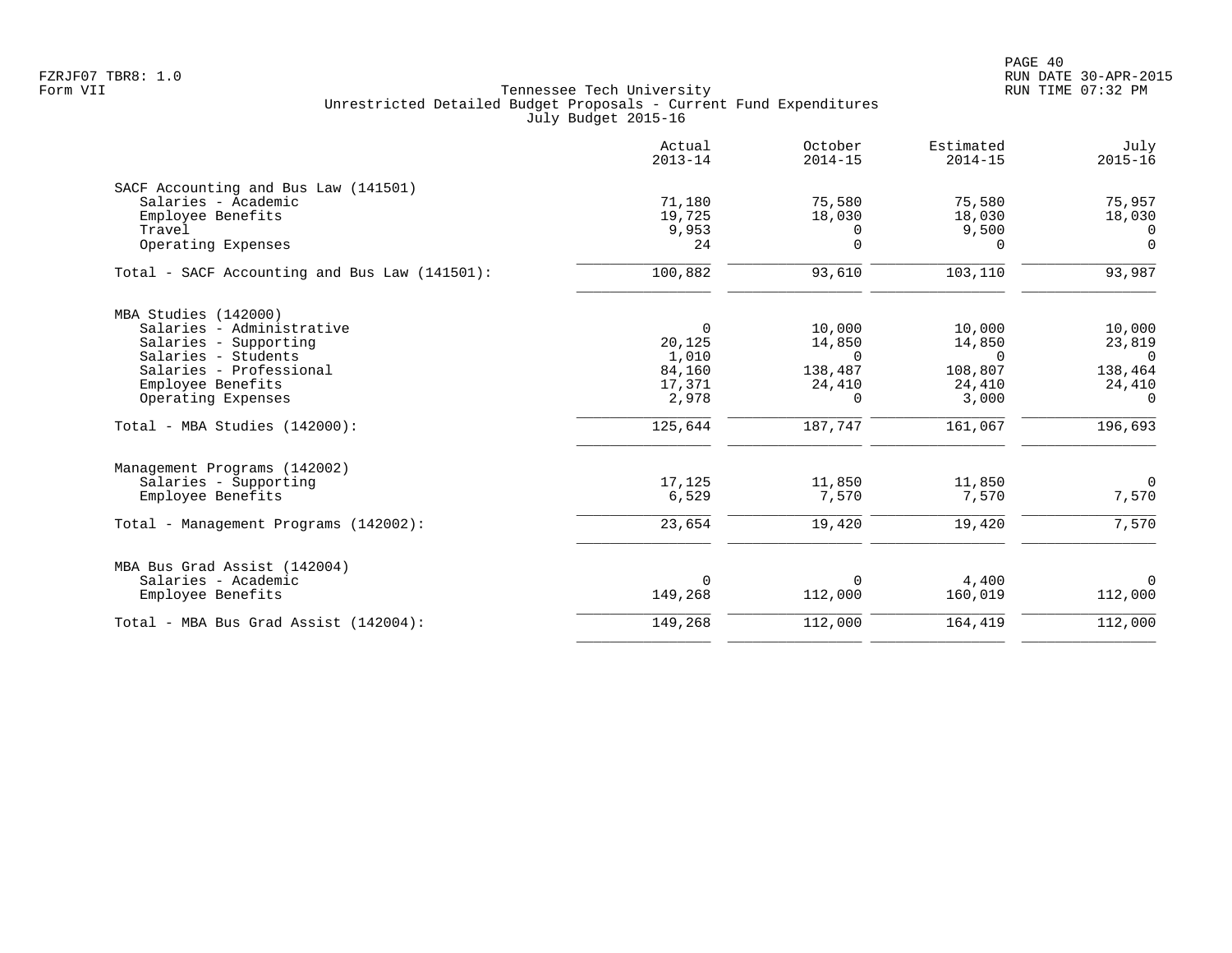|                                               | Actual<br>$2013 - 14$ | October<br>$2014 - 15$ | Estimated<br>$2014 - 15$ | July<br>$2015 - 16$ |
|-----------------------------------------------|-----------------------|------------------------|--------------------------|---------------------|
| SACF Accounting and Bus Law (141501)          |                       |                        |                          |                     |
| Salaries - Academic                           | 71,180                | 75,580                 | 75,580                   | 75,957              |
| Employee Benefits                             | 19,725                | 18,030                 | 18,030                   | 18,030              |
| Travel                                        | 9,953                 | $\Omega$               | 9,500                    | $\Omega$            |
| Operating Expenses                            | 24                    | $\Omega$               | $\Omega$                 | $\Omega$            |
| Total - SACF Accounting and Bus Law (141501): | 100,882               | 93,610                 | 103,110                  | 93,987              |
| MBA Studies (142000)                          |                       |                        |                          |                     |
| Salaries - Administrative                     | $\overline{0}$        | 10,000                 | 10,000                   | 10,000              |
| Salaries - Supporting                         | 20,125                | 14,850                 | 14,850                   | 23,819              |
| Salaries - Students                           | 1,010                 | $\Omega$               | $\Omega$                 | $\Omega$            |
| Salaries - Professional                       | 84,160                | 138,487                | 108,807                  | 138,464             |
| Employee Benefits                             | 17,371                | 24,410                 | 24,410                   | 24,410              |
| Operating Expenses                            | 2,978                 | 0                      | 3,000                    | $\Omega$            |
| Total - MBA Studies (142000):                 | 125,644               | 187,747                | 161,067                  | 196,693             |
| Management Programs (142002)                  |                       |                        |                          |                     |
| Salaries - Supporting                         | 17,125                | 11,850                 | 11,850                   | $\overline{0}$      |
| Employee Benefits                             | 6,529                 | 7,570                  | 7,570                    | 7,570               |
| Total - Management Programs (142002):         | 23,654                | 19,420                 | 19,420                   | 7,570               |
| MBA Bus Grad Assist (142004)                  |                       |                        |                          |                     |
| Salaries - Academic                           | $\Omega$              | $\Omega$               | 4,400                    | $\Omega$            |
| Employee Benefits                             | 149,268               | 112,000                | 160,019                  | 112,000             |
| Total - MBA Bus Grad Assist (142004):         | 149,268               | 112,000                | 164,419                  | 112,000             |
|                                               |                       |                        |                          |                     |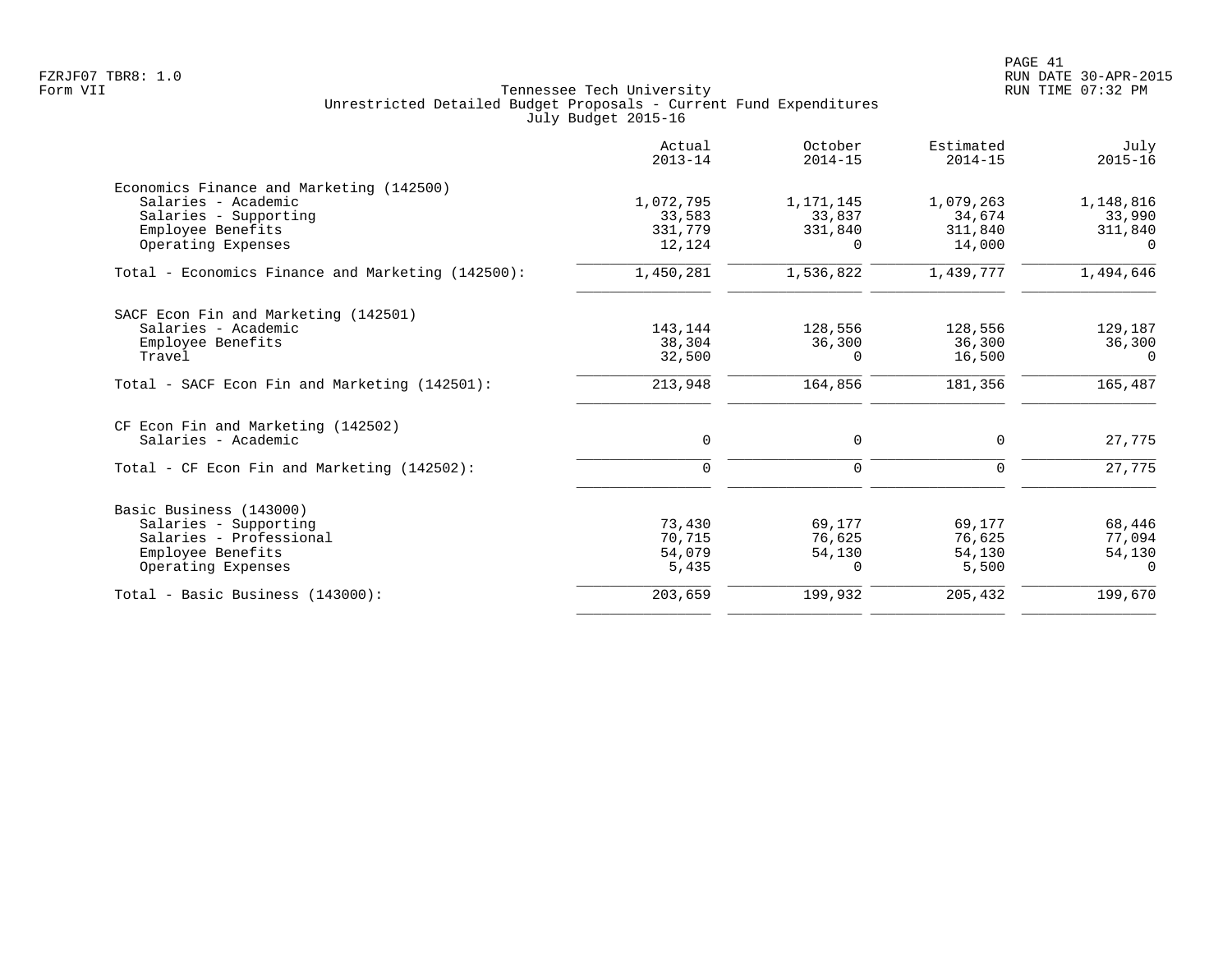|                                                   | Actual<br>$2013 - 14$ | October<br>$2014 - 15$ | Estimated<br>$2014 - 15$ | July<br>$2015 - 16$ |
|---------------------------------------------------|-----------------------|------------------------|--------------------------|---------------------|
| Economics Finance and Marketing (142500)          |                       |                        |                          |                     |
| Salaries - Academic                               | 1,072,795             | 1,171,145              | 1,079,263                | 1,148,816           |
| Salaries - Supporting                             | 33,583                | 33,837                 | 34,674                   | 33,990              |
| Employee Benefits                                 | 331,779               | 331,840                | 311,840                  | 311,840             |
| Operating Expenses                                | 12,124                | $\Omega$               | 14,000                   | $\Omega$            |
| Total - Economics Finance and Marketing (142500): | 1,450,281             | 1,536,822              | 1,439,777                | 1,494,646           |
| SACF Econ Fin and Marketing (142501)              |                       |                        |                          |                     |
| Salaries - Academic                               | 143,144               | 128,556                | 128,556                  | 129,187             |
| Employee Benefits                                 | 38,304                | 36,300                 | 36,300                   | 36,300              |
| Travel                                            | 32,500                | $\Omega$               | 16,500                   | $\Omega$            |
| Total - SACF Econ Fin and Marketing (142501):     | 213,948               | 164,856                | 181,356                  | 165,487             |
| CF Econ Fin and Marketing (142502)                |                       |                        |                          |                     |
| Salaries - Academic                               | $\mathbf 0$           | 0                      | 0                        | 27,775              |
| Total - CF Econ Fin and Marketing (142502):       | $\mathbf 0$           | $\mathbf 0$            | $\Omega$                 | 27,775              |
| Basic Business (143000)                           |                       |                        |                          |                     |
| Salaries - Supporting                             | 73,430                | 69,177                 | 69,177                   | 68,446              |
| Salaries - Professional                           | 70,715                | 76,625                 | 76,625                   | 77,094              |
| Employee Benefits                                 | 54,079                | 54,130                 | 54,130                   | 54,130              |
| Operating Expenses                                | 5,435                 | $\Omega$               | 5,500                    | $\Omega$            |
| Total - Basic Business (143000):                  | 203,659               | 199,932                | 205,432                  | 199,670             |
|                                                   |                       |                        |                          |                     |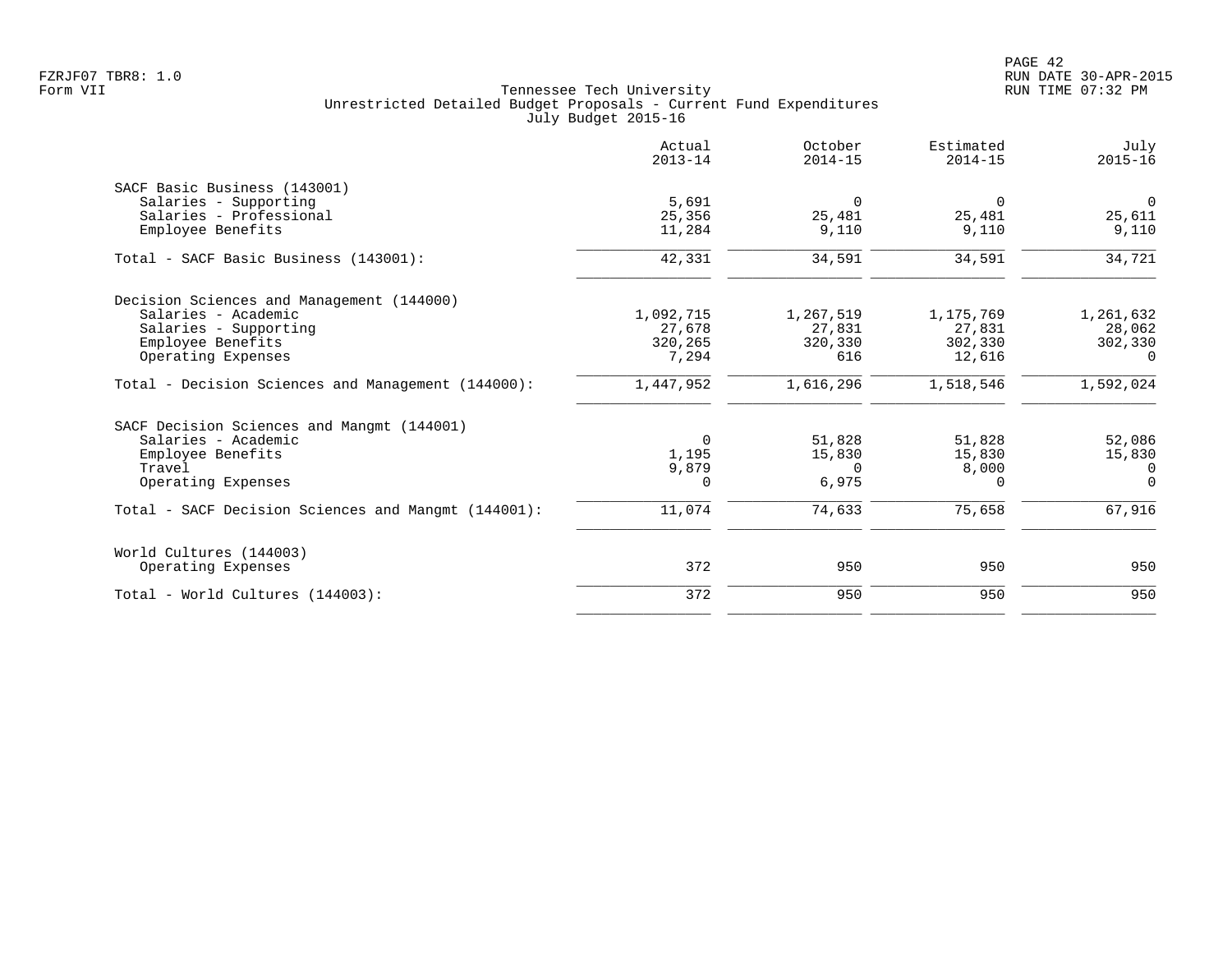|                                                     | Actual<br>$2013 - 14$ | October<br>$2014 - 15$ | Estimated<br>$2014 - 15$ | July<br>$2015 - 16$ |
|-----------------------------------------------------|-----------------------|------------------------|--------------------------|---------------------|
| SACF Basic Business (143001)                        |                       |                        |                          |                     |
| Salaries - Supporting                               | 5,691                 | $\Omega$               | $\Omega$                 | $\overline{0}$      |
| Salaries - Professional                             | 25,356                | 25,481                 | 25,481                   | 25,611              |
| Employee Benefits                                   | 11,284                | 9,110                  | 9,110                    | 9,110               |
| Total - SACF Basic Business (143001):               | 42,331                | 34,591                 | 34,591                   | 34,721              |
| Decision Sciences and Management (144000)           |                       |                        |                          |                     |
| Salaries - Academic                                 | 1,092,715             | 1,267,519              | 1,175,769                | 1,261,632           |
| Salaries - Supporting                               | 27,678                | 27,831                 | 27,831                   | 28,062              |
| Employee Benefits                                   | 320,265               | 320,330                | 302,330                  | 302,330             |
| Operating Expenses                                  | 7,294                 | 616                    | 12,616                   | $\Omega$            |
| Total - Decision Sciences and Management (144000):  | 1,447,952             | 1,616,296              | 1,518,546                | 1,592,024           |
| SACF Decision Sciences and Mangmt (144001)          |                       |                        |                          |                     |
| Salaries - Academic                                 | $\overline{0}$        | 51,828                 | 51,828                   | 52,086              |
| Employee Benefits                                   | 1,195                 | 15,830                 | 15,830                   | 15,830              |
| Travel                                              | 9,879                 | $\Omega$               | 8,000                    | $\Omega$            |
| Operating Expenses                                  | $\Omega$              | 6,975                  | 0                        | $\Omega$            |
| Total - SACF Decision Sciences and Mangmt (144001): | 11,074                | 74,633                 | 75,658                   | 67,916              |
| World Cultures (144003)                             |                       |                        |                          |                     |
| Operating Expenses                                  | 372                   | 950                    | 950                      | 950                 |
| Total - World Cultures (144003):                    | 372                   | 950                    | 950                      | 950                 |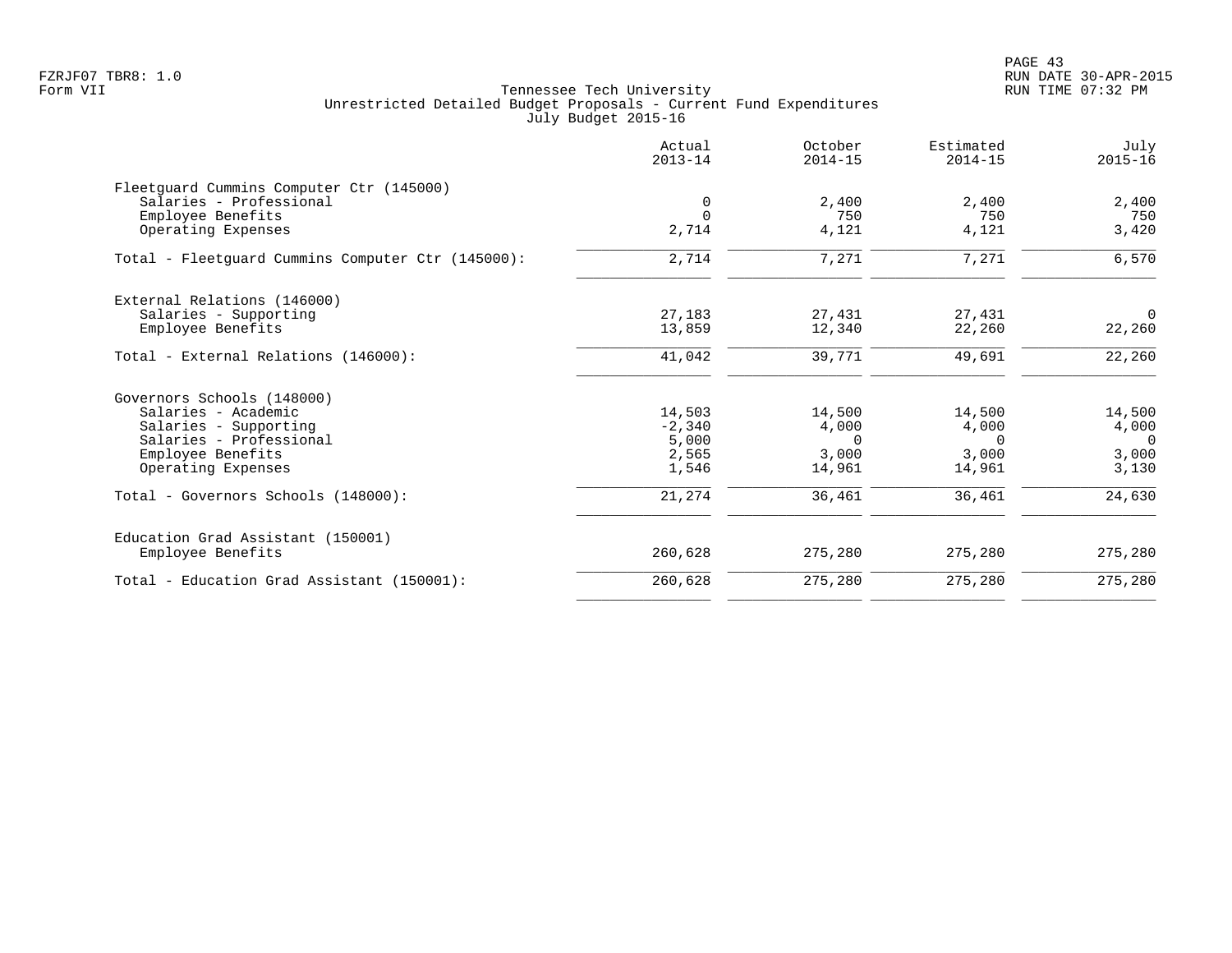PAGE 43 FZRJF07 TBR8: 1.0 RUN DATE 30-APR-2015

|                                                   | Actual<br>$2013 - 14$ | October<br>$2014 - 15$ | Estimated<br>$2014 - 15$ | July<br>$2015 - 16$ |
|---------------------------------------------------|-----------------------|------------------------|--------------------------|---------------------|
| Fleetquard Cummins Computer Ctr (145000)          |                       |                        |                          |                     |
| Salaries - Professional                           | $\mathbf 0$           | 2,400                  | 2,400                    | 2,400               |
| Employee Benefits                                 | $\Omega$              | 750                    | 750                      | 750                 |
| Operating Expenses                                | 2,714                 | 4,121                  | 4,121                    | 3,420               |
| Total - Fleetquard Cummins Computer Ctr (145000): | 2,714                 | 7,271                  | 7,271                    | 6,570               |
| External Relations (146000)                       |                       |                        |                          |                     |
| Salaries - Supporting                             | 27,183                | 27,431                 | 27,431                   | $\overline{0}$      |
| Employee Benefits                                 | 13,859                | 12,340                 | 22,260                   | 22,260              |
| Total - External Relations (146000):              | 41,042                | 39,771                 | 49,691                   | 22,260              |
| Governors Schools (148000)                        |                       |                        |                          |                     |
| Salaries - Academic                               | 14,503                | 14,500                 | 14,500                   | 14,500              |
| Salaries - Supporting                             | $-2,340$              | 4,000                  | 4,000                    | 4,000               |
| Salaries - Professional                           | 5,000                 | $\Omega$               | $\Omega$                 | $\Omega$            |
| Employee Benefits                                 | 2,565                 | 3,000                  | 3,000                    | 3,000               |
| Operating Expenses                                | 1,546                 | 14,961                 | 14,961                   | 3,130               |
| Total - Governors Schools (148000):               | 21,274                | 36,461                 | 36,461                   | 24,630              |
| Education Grad Assistant (150001)                 |                       |                        |                          |                     |
| Employee Benefits                                 | 260,628               | 275,280                | 275,280                  | 275,280             |
| Total - Education Grad Assistant (150001):        | 260,628               | 275,280                | 275,280                  | 275,280             |
|                                                   |                       |                        |                          |                     |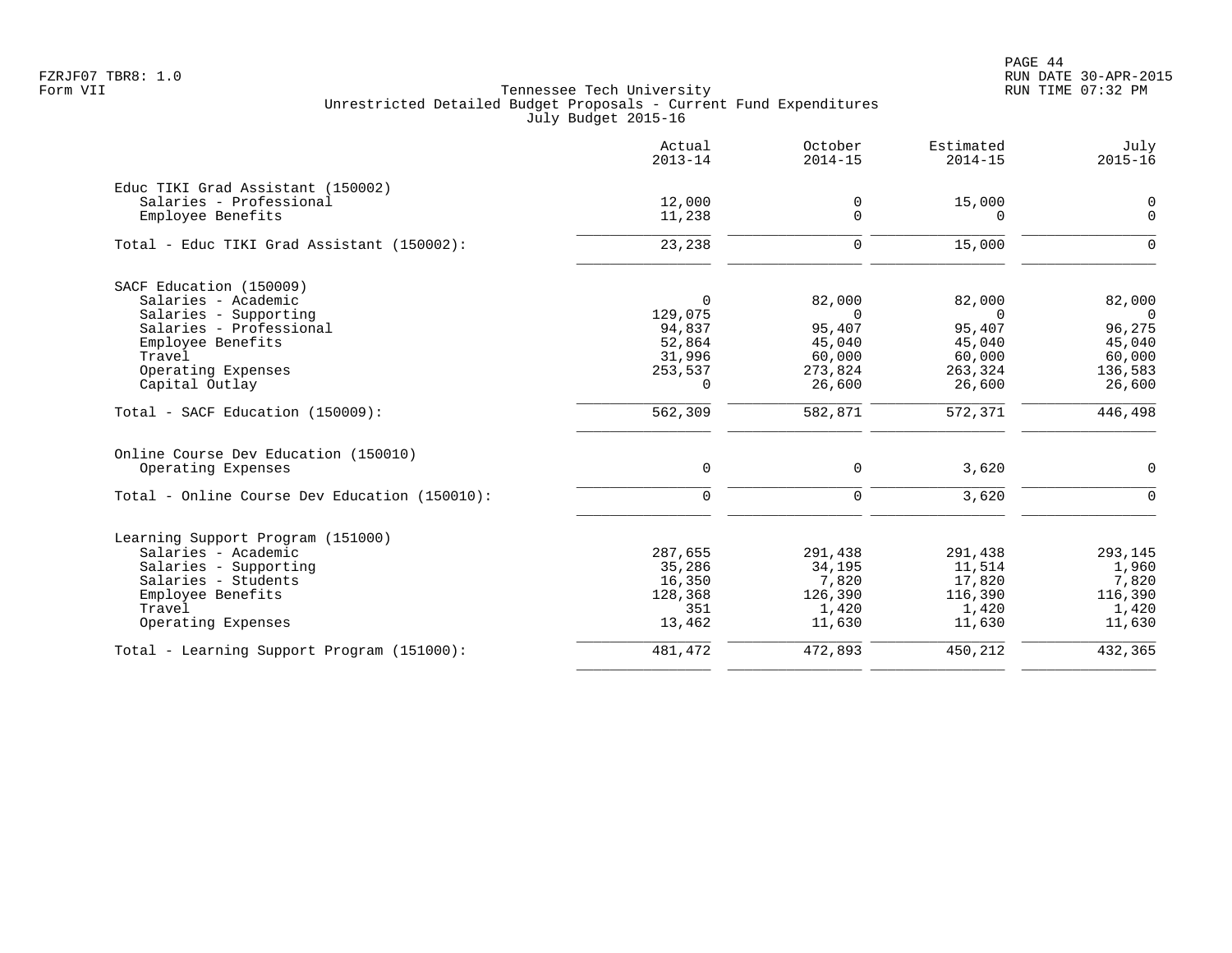PAGE 44 FZRJF07 TBR8: 1.0 RUN DATE 30-APR-2015

|                                               | Actual<br>$2013 - 14$ | October<br>$2014 - 15$ | Estimated<br>$2014 - 15$ | July<br>$2015 - 16$ |
|-----------------------------------------------|-----------------------|------------------------|--------------------------|---------------------|
| Educ TIKI Grad Assistant (150002)             |                       |                        |                          |                     |
| Salaries - Professional                       | 12,000                | 0                      | 15,000                   | 0                   |
| Employee Benefits                             | 11,238                | $\Omega$               | $\Omega$                 | $\Omega$            |
| Total - Educ TIKI Grad Assistant (150002):    | 23,238                | 0                      | 15,000                   | $\Omega$            |
| SACF Education (150009)                       |                       |                        |                          |                     |
| Salaries - Academic                           | $\Omega$              | 82,000                 | 82,000                   | 82,000              |
| Salaries - Supporting                         | 129,075               | $\Omega$               | $\Omega$                 | $\Omega$            |
| Salaries - Professional                       | 94,837                | 95,407                 | 95,407                   | 96,275              |
| Employee Benefits                             | 52,864                | 45,040                 | 45,040                   | 45,040              |
| Travel                                        | 31,996                | 60,000                 | 60,000                   | 60,000              |
| Operating Expenses                            | 253,537               | 273,824                | 263,324                  | 136,583             |
| Capital Outlay                                | $\Omega$              | 26,600                 | 26,600                   | 26,600              |
| Total - SACF Education (150009):              | $\frac{1}{562,309}$   | 582,871                | 572,371                  | 446,498             |
| Online Course Dev Education (150010)          |                       |                        |                          |                     |
| Operating Expenses                            | 0                     | 0                      | 3,620                    | $\mathbf 0$         |
| Total - Online Course Dev Education (150010): | $\Omega$              | $\Omega$               | 3,620                    | $\Omega$            |
| Learning Support Program (151000)             |                       |                        |                          |                     |
| Salaries - Academic                           | 287,655               | 291,438                | 291,438                  | 293,145             |
| Salaries - Supporting                         | 35,286                | 34,195                 | 11,514                   | 1,960               |
| Salaries - Students                           | 16,350                | 7,820                  | 17,820                   | 7,820               |
| Employee Benefits                             | 128,368               | 126,390                | 116,390                  | 116,390             |
| Travel                                        | 351                   | 1,420                  | 1,420                    | 1,420               |
| Operating Expenses                            | 13,462                | 11,630                 | 11,630                   | 11,630              |
| Total - Learning Support Program (151000):    | 481,472               | 472,893                | 450,212                  | 432,365             |
|                                               |                       |                        |                          |                     |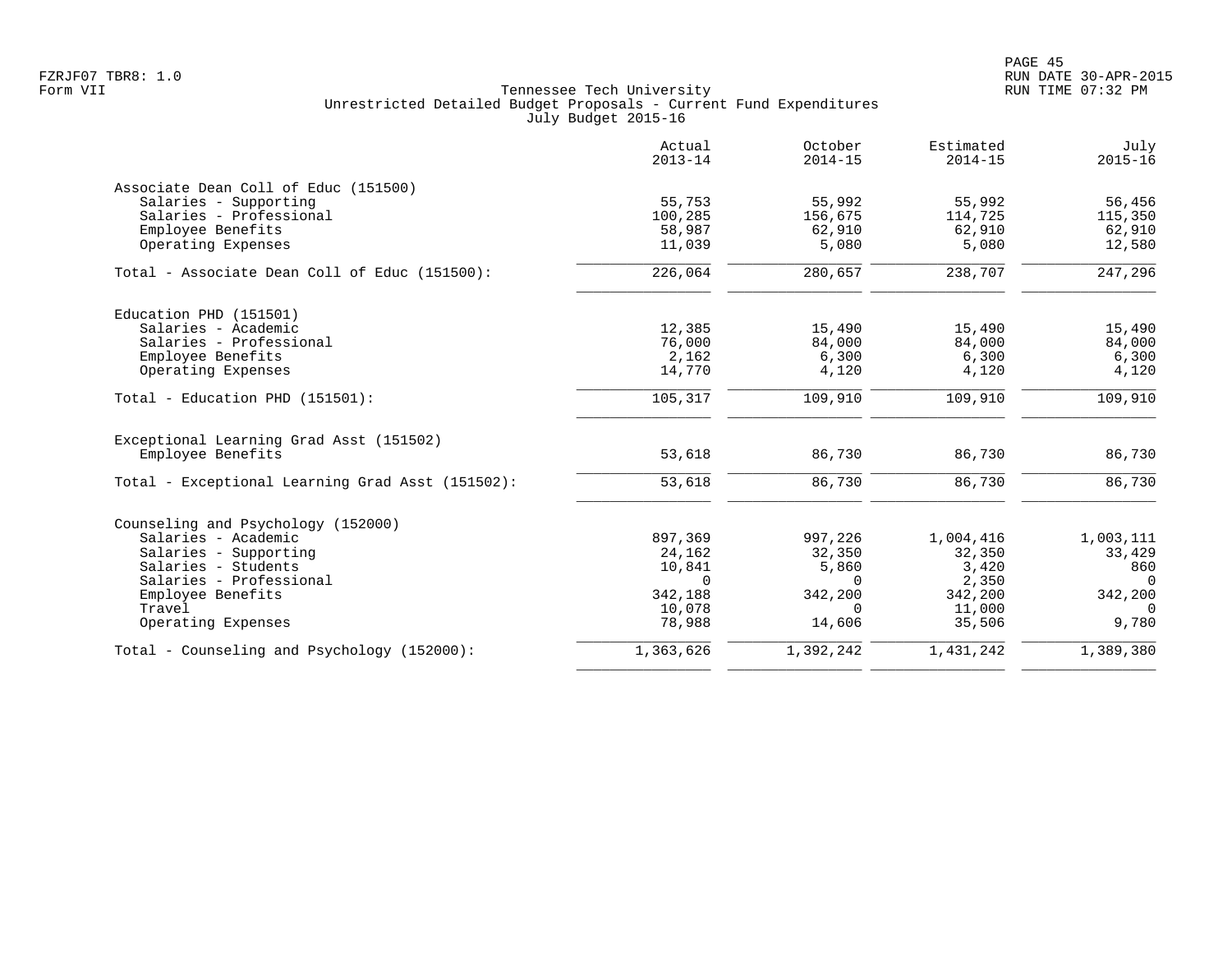|                                                  | Actual<br>$2013 - 14$ | October<br>$2014 - 15$ | Estimated<br>$2014 - 15$ | July<br>$2015 - 16$ |
|--------------------------------------------------|-----------------------|------------------------|--------------------------|---------------------|
| Associate Dean Coll of Educ (151500)             |                       |                        |                          |                     |
| Salaries - Supporting                            | 55,753                | 55,992                 | 55,992                   | 56,456              |
| Salaries - Professional                          | 100,285               | 156,675                | 114,725                  | 115,350             |
| Employee Benefits                                | 58,987                | 62,910                 | 62,910                   | 62,910              |
| Operating Expenses                               | 11,039                | 5,080                  | 5,080                    | 12,580              |
| Total - Associate Dean Coll of Educ (151500):    | 226,064               | 280,657                | 238,707                  | 247,296             |
| Education PHD (151501)                           |                       |                        |                          |                     |
| Salaries - Academic                              | 12,385                | 15,490                 | 15,490                   | 15,490              |
| Salaries - Professional                          | 76,000                | 84,000                 | 84,000                   | 84,000              |
| Employee Benefits                                | 2,162                 | 6,300                  | 6,300                    | 6,300               |
| Operating Expenses                               | 14,770                | 4,120                  | 4,120                    | 4,120               |
| Total - Education PHD (151501):                  | 105,317               | 109,910                | 109,910                  | 109,910             |
| Exceptional Learning Grad Asst (151502)          |                       |                        |                          |                     |
| Employee Benefits                                | 53,618                | 86,730                 | 86,730                   | 86,730              |
| Total - Exceptional Learning Grad Asst (151502): | 53,618                | 86,730                 | 86,730                   | 86,730              |
| Counseling and Psychology (152000)               |                       |                        |                          |                     |
| Salaries - Academic                              | 897,369               | 997,226                | 1,004,416                | 1,003,111           |
| Salaries - Supporting                            | 24,162                | 32,350                 | 32,350                   | 33,429              |
| Salaries - Students                              | 10,841                | 5,860                  | 3,420                    | 860                 |
| Salaries - Professional                          | $\Omega$              | $\Omega$               | 2,350                    | $\Omega$            |
| Employee Benefits                                | 342,188               | 342,200                | 342,200                  | 342,200             |
| Travel                                           | 10,078                | $\Omega$               | 11,000                   | $\Omega$            |
| Operating Expenses                               | 78,988                | 14,606                 | 35,506                   | 9,780               |
| Total - Counseling and Psychology (152000):      | 1,363,626             | 1,392,242              | 1,431,242                | 1,389,380           |
|                                                  |                       |                        |                          |                     |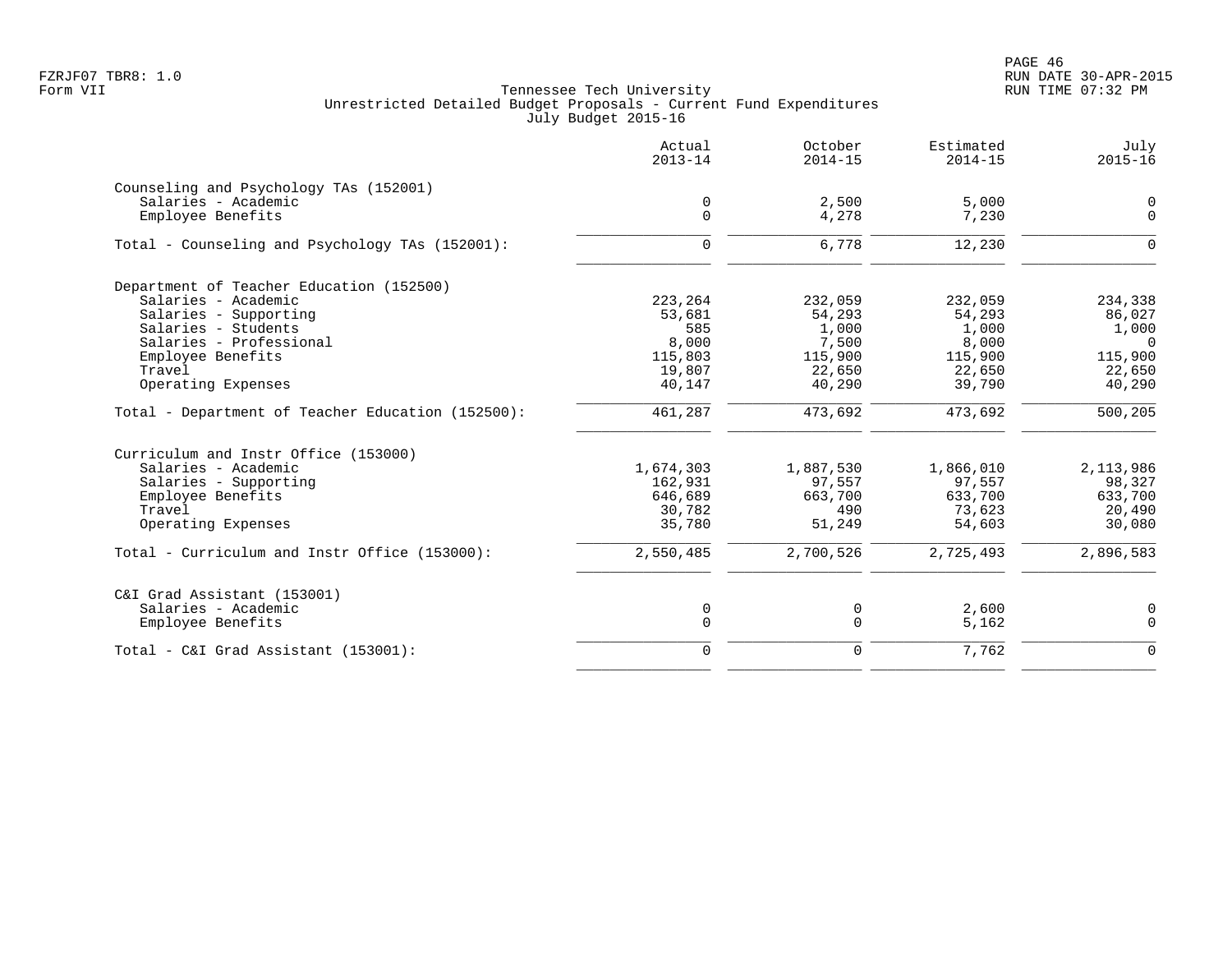PAGE 46 FZRJF07 TBR8: 1.0 RUN DATE 30-APR-2015

|                                                   | Actual<br>$2013 - 14$ | October<br>$2014 - 15$ | Estimated<br>$2014 - 15$ | July<br>$2015 - 16$     |
|---------------------------------------------------|-----------------------|------------------------|--------------------------|-------------------------|
| Counseling and Psychology TAs (152001)            |                       |                        |                          |                         |
| Salaries - Academic<br>Employee Benefits          | 0<br>$\Omega$         | 2,500<br>4,278         | 5,000<br>7,230           | $\mathbf 0$<br>$\Omega$ |
|                                                   |                       |                        |                          |                         |
| Total - Counseling and Psychology TAs (152001):   | $\Omega$              | 6,778                  | 12,230                   | $\Omega$                |
| Department of Teacher Education (152500)          |                       |                        |                          |                         |
| Salaries - Academic                               | 223,264               | 232,059                | 232,059                  | 234,338                 |
| Salaries - Supporting                             | 53,681                | 54,293                 | 54,293                   | 86,027                  |
| Salaries - Students                               | 585                   | 1,000                  | 1,000                    | 1,000                   |
| Salaries - Professional                           | 8,000                 | 7,500                  | 8,000                    | $\Omega$                |
| Employee Benefits                                 | 115,803               | 115,900                | 115,900                  | 115,900                 |
| Travel                                            | 19,807                | 22,650                 | 22,650                   | 22,650                  |
| Operating Expenses                                | 40,147                | 40,290                 | 39,790                   | 40,290                  |
| Total - Department of Teacher Education (152500): | 461,287               | 473,692                | 473,692                  | 500,205                 |
| Curriculum and Instr Office (153000)              |                       |                        |                          |                         |
| Salaries - Academic                               | 1,674,303             | 1,887,530              | 1,866,010                | 2,113,986               |
| Salaries - Supporting                             | 162,931               | 97,557                 | 97,557                   | 98,327                  |
| Employee Benefits                                 | 646,689               | 663,700                | 633,700                  | 633,700                 |
| Travel                                            | 30,782                | 490                    | 73,623                   | 20,490                  |
| Operating Expenses                                | 35,780                | 51,249                 | 54,603                   | 30,080                  |
| Total - Curriculum and Instr Office (153000):     | 2,550,485             | 2,700,526              | 2,725,493                | 2,896,583               |
| C&I Grad Assistant (153001)                       |                       |                        |                          |                         |
| Salaries - Academic                               | 0                     | 0                      | 2,600                    | 0                       |
| Employee Benefits                                 | $\mathbf 0$           | $\mathbf 0$            | 5,162                    | $\mathbf 0$             |
| Total - C&I Grad Assistant (153001):              | $\mathbf 0$           | $\Omega$               | 7,762                    | $\Omega$                |
|                                                   |                       |                        |                          |                         |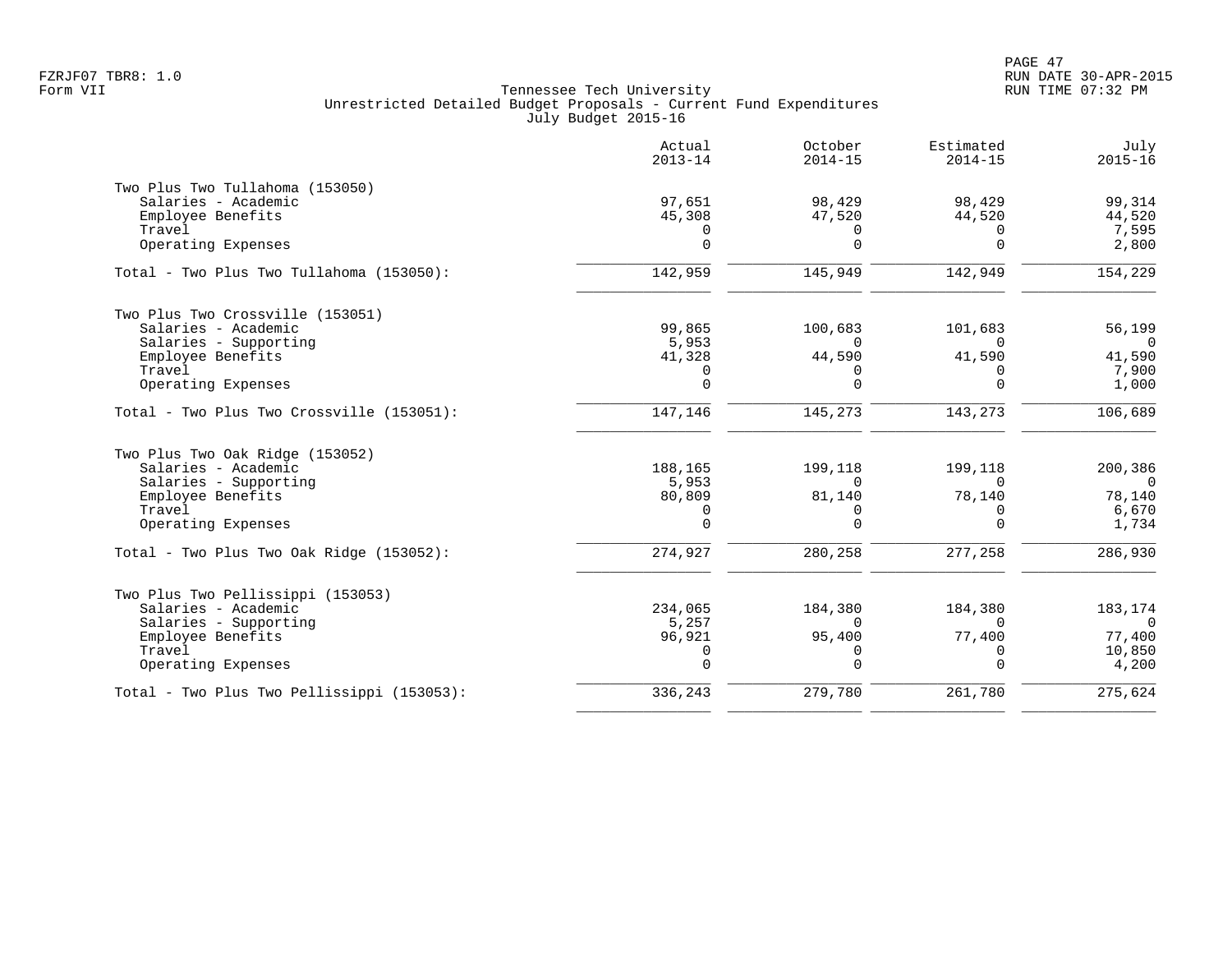|                                            | Actual<br>$2013 - 14$ | October<br>$2014 - 15$ | Estimated<br>$2014 - 15$ | July<br>$2015 - 16$ |
|--------------------------------------------|-----------------------|------------------------|--------------------------|---------------------|
| Two Plus Two Tullahoma (153050)            |                       |                        |                          |                     |
| Salaries - Academic                        | 97,651                | 98,429                 | 98,429                   | 99,314              |
| Employee Benefits                          | 45,308                | 47,520                 | 44,520                   | 44,520              |
| Travel                                     | 0                     | 0                      | 0                        | 7,595               |
| Operating Expenses                         | $\Omega$              | $\Omega$               | $\Omega$                 | 2,800               |
| Total - Two Plus Two Tullahoma (153050):   | 142,959               | 145,949                | 142,949                  | 154,229             |
| Two Plus Two Crossville (153051)           |                       |                        |                          |                     |
| Salaries - Academic                        | 99,865                | 100,683                | 101,683                  | 56,199              |
| Salaries - Supporting                      | 5,953                 | $\Omega$               | $\cap$                   | $\Omega$            |
| Employee Benefits                          | 41,328                | 44,590                 | 41,590                   | 41,590              |
| Travel                                     | 0                     | $\Omega$               | <sup>0</sup>             | 7,900               |
| Operating Expenses                         | $\Omega$              | $\Omega$               | $\Omega$                 | 1,000               |
| Total - Two Plus Two Crossville (153051):  | 147, 146              | 145,273                | 143,273                  | 106,689             |
| Two Plus Two Oak Ridge (153052)            |                       |                        |                          |                     |
| Salaries - Academic                        | 188,165               | 199,118                | 199,118                  | 200,386             |
| Salaries - Supporting                      | 5,953                 | $\Omega$               | $\Omega$                 | $\Omega$            |
| Employee Benefits                          | 80,809                | 81,140                 | 78,140                   | 78,140              |
| Travel                                     | 0                     | $\Omega$               | $\Omega$                 | 6,670               |
| Operating Expenses                         | $\Omega$              | $\Omega$               | $\Omega$                 | 1,734               |
| Total - Two Plus Two Oak Ridge (153052):   | 274,927               | 280,258                | 277,258                  | 286,930             |
| Two Plus Two Pellissippi (153053)          |                       |                        |                          |                     |
| Salaries - Academic                        | 234,065               | 184,380                | 184,380                  | 183,174             |
| Salaries - Supporting                      | 5,257                 | $\Omega$               | $\Omega$                 | $\Omega$            |
| Employee Benefits                          | 96,921                | 95,400                 | 77,400                   | 77,400              |
| Travel                                     | 0                     | $\Omega$               | $\Omega$                 | 10,850              |
| Operating Expenses                         | $\Omega$              | $\Omega$               | $\Omega$                 | 4,200               |
| Total - Two Plus Two Pellissippi (153053): | 336,243               | 279,780                | 261,780                  | 275,624             |
|                                            |                       |                        |                          |                     |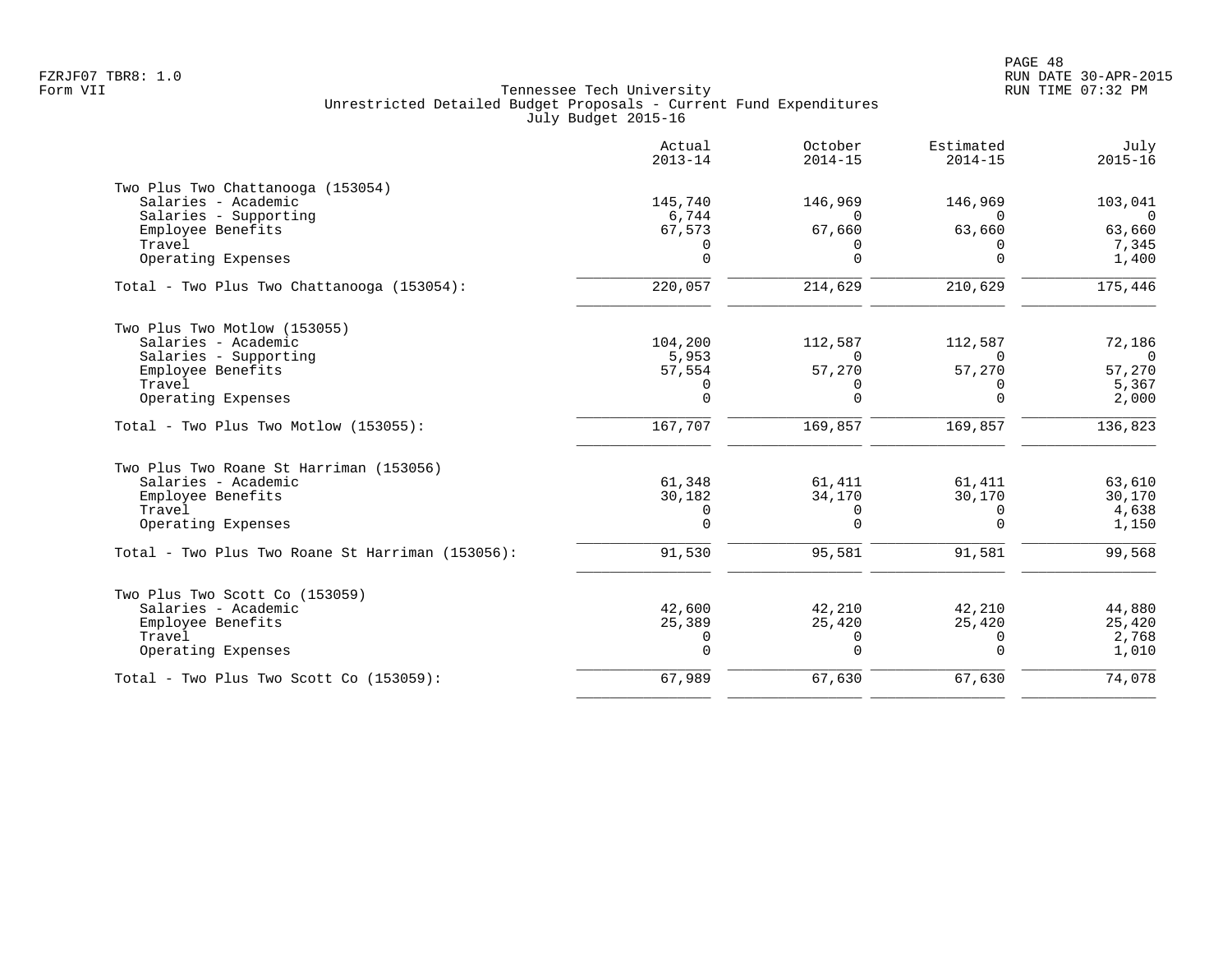|                                                  | Actual<br>$2013 - 14$ | October<br>$2014 - 15$ | Estimated<br>$2014 - 15$ | July<br>$2015 - 16$ |
|--------------------------------------------------|-----------------------|------------------------|--------------------------|---------------------|
| Two Plus Two Chattanooga (153054)                |                       |                        |                          |                     |
| Salaries - Academic                              | 145,740               | 146,969                | 146,969                  | 103,041             |
| Salaries - Supporting                            | 6,744                 | $\Omega$               | $\Omega$                 | $\Omega$            |
| Employee Benefits                                | 67,573                | 67,660                 | 63,660                   | 63,660              |
| Travel<br>Operating Expenses                     | 0<br>$\Omega$         | $\Omega$<br>$\Omega$   | $\Omega$<br>$\Omega$     | 7,345<br>1,400      |
|                                                  |                       |                        |                          |                     |
| Total - Two Plus Two Chattanooga (153054):       | 220,057               | 214,629                | 210,629                  | 175,446             |
| Two Plus Two Motlow (153055)                     |                       |                        |                          |                     |
| Salaries - Academic                              | 104,200               | 112,587                | 112,587                  | 72,186              |
| Salaries - Supporting                            | 5,953                 | $\Omega$               |                          | $\Omega$            |
| Employee Benefits                                | 57,554                | 57,270                 | 57,270                   | 57,270              |
| Travel                                           | 0                     | $\Omega$               | $\Omega$                 | 5,367               |
| Operating Expenses                               | $\mathbf 0$           | $\Omega$               | $\Omega$                 | 2,000               |
| Total - Two Plus Two Motlow (153055):            | 167,707               | 169,857                | 169,857                  | 136,823             |
| Two Plus Two Roane St Harriman (153056)          |                       |                        |                          |                     |
| Salaries - Academic                              | 61,348                | 61,411                 | 61,411                   | 63,610              |
| Employee Benefits                                | 30,182                | 34,170                 | 30,170                   | 30,170              |
| Travel                                           | 0                     | 0                      | $\Omega$                 | 4,638               |
| Operating Expenses                               | $\mathbf 0$           | $\Omega$               | $\Omega$                 | 1,150               |
| Total - Two Plus Two Roane St Harriman (153056): | 91,530                | 95,581                 | 91,581                   | 99,568              |
| Two Plus Two Scott Co (153059)                   |                       |                        |                          |                     |
| Salaries - Academic                              | 42,600                | 42,210                 | 42,210                   | 44,880              |
| Employee Benefits                                | 25,389                | 25,420                 | 25,420                   | 25,420              |
| Travel                                           | 0                     | 0                      | $\Omega$                 | 2,768               |
| Operating Expenses                               | $\Omega$              | $\Omega$               | $\Omega$                 | 1,010               |
| Total - Two Plus Two Scott Co (153059):          | 67,989                | 67,630                 | 67,630                   | 74,078              |
|                                                  |                       |                        |                          |                     |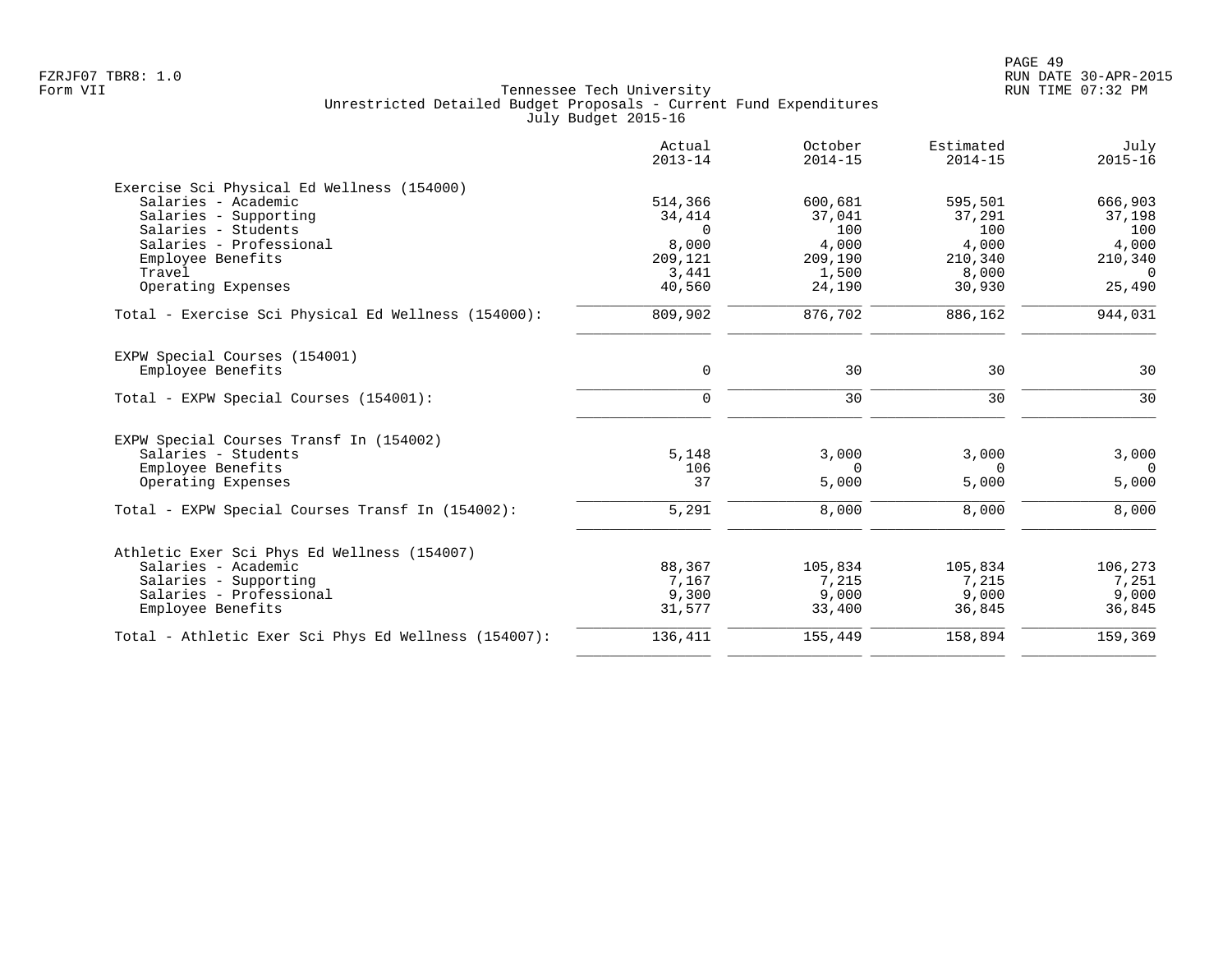| Actual<br>$2013 - 14$ | October<br>$2014 - 15$                                                      | Estimated<br>$2014 - 15$                                               | July<br>$2015 - 16$                                                           |
|-----------------------|-----------------------------------------------------------------------------|------------------------------------------------------------------------|-------------------------------------------------------------------------------|
|                       |                                                                             |                                                                        |                                                                               |
| 514,366               | 600,681                                                                     | 595,501                                                                | 666,903                                                                       |
| 34,414                | 37,041                                                                      | 37,291                                                                 | 37,198                                                                        |
| $\Omega$              | 100                                                                         |                                                                        | 100                                                                           |
|                       |                                                                             |                                                                        | 4,000                                                                         |
|                       |                                                                             |                                                                        | 210,340                                                                       |
|                       |                                                                             |                                                                        | $\Omega$                                                                      |
|                       |                                                                             |                                                                        | 25,490                                                                        |
| 809,902               | 876,702                                                                     | 886,162                                                                | 944,031                                                                       |
|                       |                                                                             |                                                                        |                                                                               |
| $\mathbf 0$           | 30                                                                          | 30                                                                     | 30                                                                            |
|                       |                                                                             |                                                                        | 30                                                                            |
|                       |                                                                             |                                                                        |                                                                               |
|                       |                                                                             |                                                                        |                                                                               |
| 5,148                 | 3,000                                                                       | 3,000                                                                  | 3,000                                                                         |
| 106                   | 0                                                                           | 0                                                                      | $\overline{0}$                                                                |
| 37                    | 5,000                                                                       | 5,000                                                                  | 5,000                                                                         |
| 5,291                 | 8,000                                                                       | 8,000                                                                  | 8,000                                                                         |
|                       |                                                                             |                                                                        |                                                                               |
|                       |                                                                             |                                                                        | 106,273                                                                       |
|                       |                                                                             |                                                                        | 7,251                                                                         |
|                       |                                                                             |                                                                        | 9,000                                                                         |
| 31,577                | 33,400                                                                      | 36,845                                                                 | 36,845                                                                        |
| 136,411               | 155,449                                                                     | 158,894                                                                | 159,369                                                                       |
|                       | 8,000<br>209,121<br>3,441<br>40,560<br>$\Omega$<br>88,367<br>7,167<br>9,300 | 4,000<br>209,190<br>1,500<br>24,190<br>30<br>105,834<br>7,215<br>9,000 | 100<br>4,000<br>210,340<br>8,000<br>30,930<br>30<br>105,834<br>7,215<br>9,000 |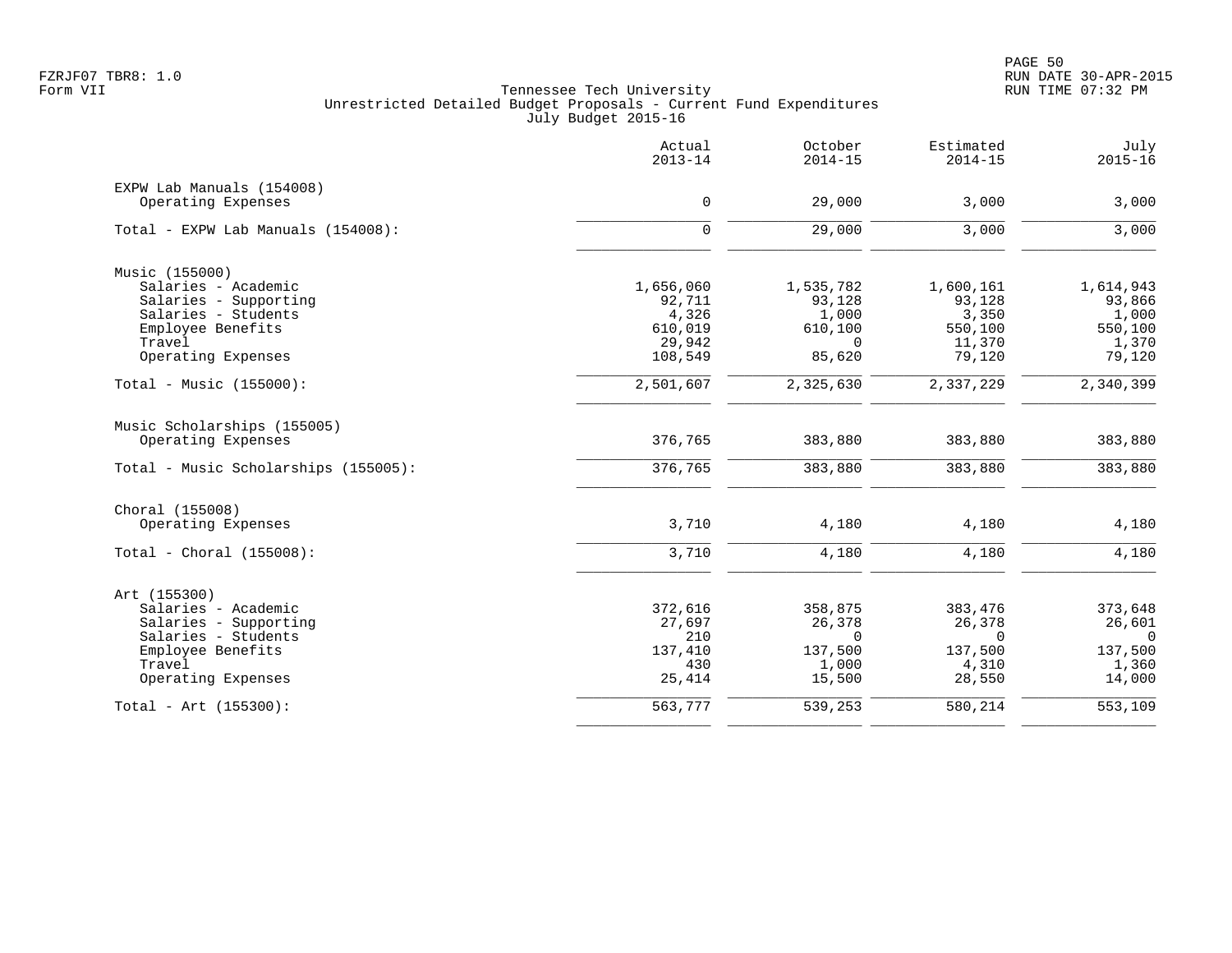|                                                 | Actual<br>$2013 - 14$ | October<br>$2014 - 15$ | Estimated<br>$2014 - 15$ | July<br>$2015 - 16$ |
|-------------------------------------------------|-----------------------|------------------------|--------------------------|---------------------|
| EXPW Lab Manuals (154008)<br>Operating Expenses | 0                     | 29,000                 | 3,000                    | 3,000               |
|                                                 |                       |                        |                          |                     |
| Total - EXPW Lab Manuals (154008):              | 0                     | 29,000                 | 3,000                    | 3,000               |
| Music (155000)                                  |                       |                        |                          |                     |
| Salaries - Academic                             | 1,656,060             | 1,535,782              | 1,600,161                | 1,614,943           |
| Salaries - Supporting                           | 92,711                | 93,128                 | 93,128                   | 93,866              |
| Salaries - Students                             | 4,326                 | 1,000                  | 3,350                    | 1,000               |
| Employee Benefits                               | 610,019               | 610,100                | 550,100                  | 550,100             |
| Travel                                          | 29,942                | $\Omega$               | 11,370                   | 1,370               |
| Operating Expenses                              | 108,549               | 85,620                 | 79,120                   | 79,120              |
| Total - Music $(155000)$ :                      | 2,501,607             | 2,325,630              | 2,337,229                | 2,340,399           |
| Music Scholarships (155005)                     |                       |                        |                          |                     |
| Operating Expenses                              | 376,765               | 383,880                | 383,880                  | 383,880             |
| Total - Music Scholarships (155005):            | 376,765               | 383,880                | 383,880                  | 383,880             |
| Choral (155008)                                 |                       |                        |                          |                     |
| Operating Expenses                              | 3,710                 | 4,180                  | 4,180                    | 4,180               |
| Total - Choral $(155008):$                      | 3,710                 | 4,180                  | 4,180                    | 4,180               |
| Art (155300)                                    |                       |                        |                          |                     |
| Salaries - Academic                             | 372,616               | 358,875                | 383,476                  | 373,648             |
| Salaries - Supporting                           | 27,697                | 26,378                 | 26,378                   | 26,601              |
| Salaries - Students                             | 210                   | $\Omega$               | $\Omega$                 | $\Omega$            |
| Employee Benefits                               | 137,410               | 137,500                | 137,500                  | 137,500             |
| Travel                                          | 430                   | 1,000                  | 4,310                    | 1,360               |
| Operating Expenses                              | 25,414                | 15,500                 | 28,550                   | 14,000              |
| $Total - Art (155300):$                         | 563,777               | 539,253                | 580,214                  | 553,109             |
|                                                 |                       |                        |                          |                     |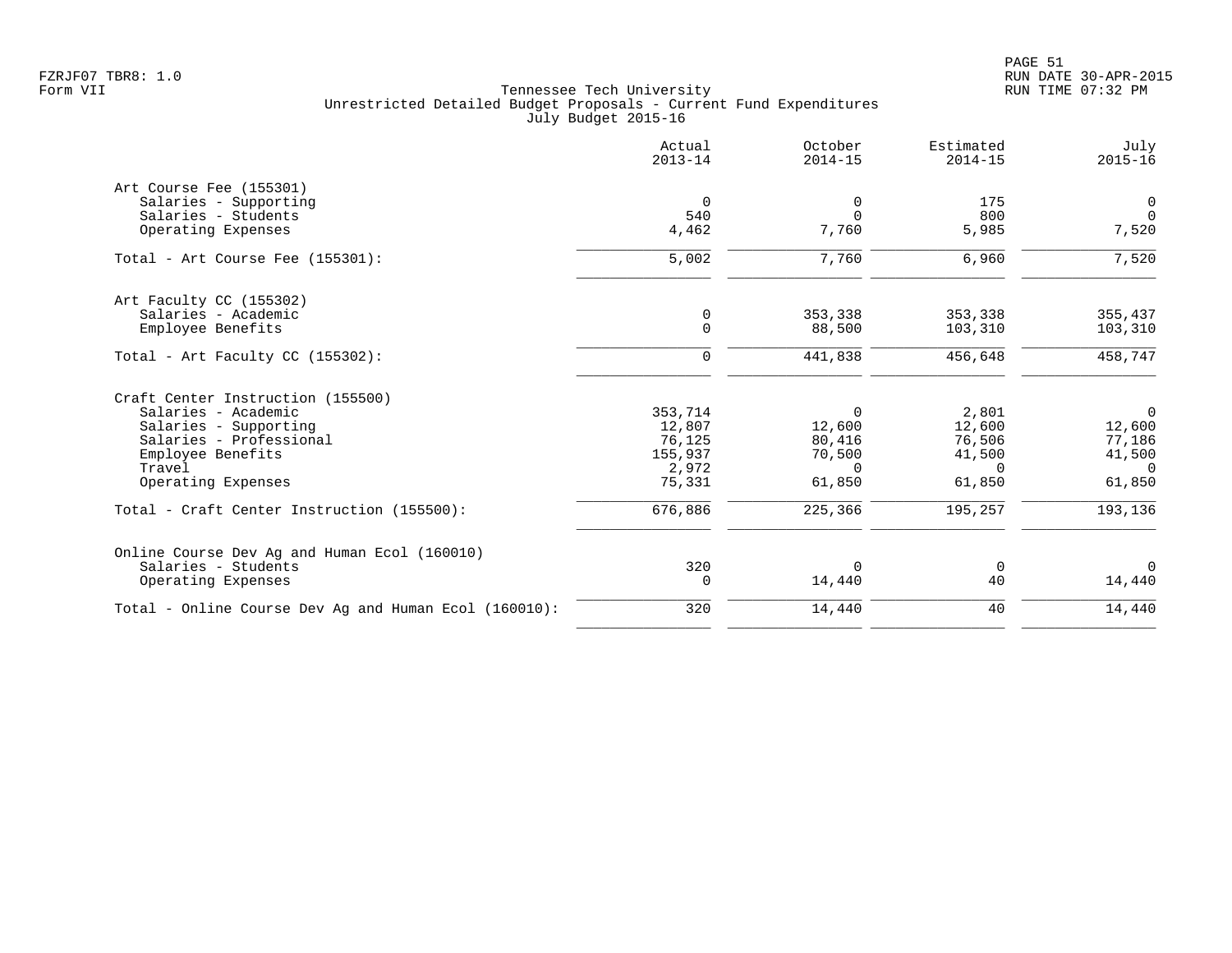|                                                                     | Actual<br>$2013 - 14$ | October<br>$2014 - 15$ | Estimated<br>$2014 - 15$ | July<br>$2015 - 16$ |
|---------------------------------------------------------------------|-----------------------|------------------------|--------------------------|---------------------|
| Art Course Fee (155301)                                             |                       |                        |                          |                     |
| Salaries - Supporting                                               | 0                     | 0                      | 175                      | 0                   |
| Salaries - Students                                                 | 540                   | $\Omega$               | 800                      | $\mathbf 0$         |
| Operating Expenses                                                  | 4,462                 | 7,760                  | 5,985                    | 7,520               |
| Total - Art Course Fee (155301):                                    | 5,002                 | 7,760                  | 6,960                    | 7,520               |
| Art Faculty CC (155302)                                             |                       |                        |                          |                     |
| Salaries - Academic                                                 | 0                     | 353,338                | 353,338                  | 355,437             |
| Employee Benefits                                                   | $\Omega$              | 88,500                 | 103,310                  | 103,310             |
| Total - Art Faculty CC $(155302)$ :                                 | $\mathbf 0$           | 441,838                | 456,648                  | 458,747             |
| Craft Center Instruction (155500)                                   |                       |                        |                          |                     |
| Salaries - Academic                                                 | 353,714               | $\Omega$               | 2,801                    | $\overline{0}$      |
| Salaries - Supporting                                               | 12,807                | 12,600                 | 12,600                   | 12,600              |
| Salaries - Professional                                             | 76,125                | 80,416                 | 76,506                   | 77,186              |
| Employee Benefits                                                   | 155,937               | 70,500                 | 41,500                   | 41,500              |
| Travel                                                              | 2,972                 | $\Omega$               | $\Omega$                 | $\Omega$            |
| Operating Expenses                                                  | 75,331                | 61,850                 | 61,850                   | 61,850              |
| Total - Craft Center Instruction (155500):                          | 676,886               | 225,366                | 195,257                  | 193,136             |
|                                                                     |                       |                        |                          |                     |
| Online Course Dev Ag and Human Ecol (160010)<br>Salaries - Students | 320                   | 0                      | 0                        | $\Omega$            |
| Operating Expenses                                                  | $\mathbf 0$           | 14,440                 | 40                       | 14,440              |
| Total - Online Course Dev Ag and Human Ecol (160010):               | 320                   | 14,440                 | 40                       | 14,440              |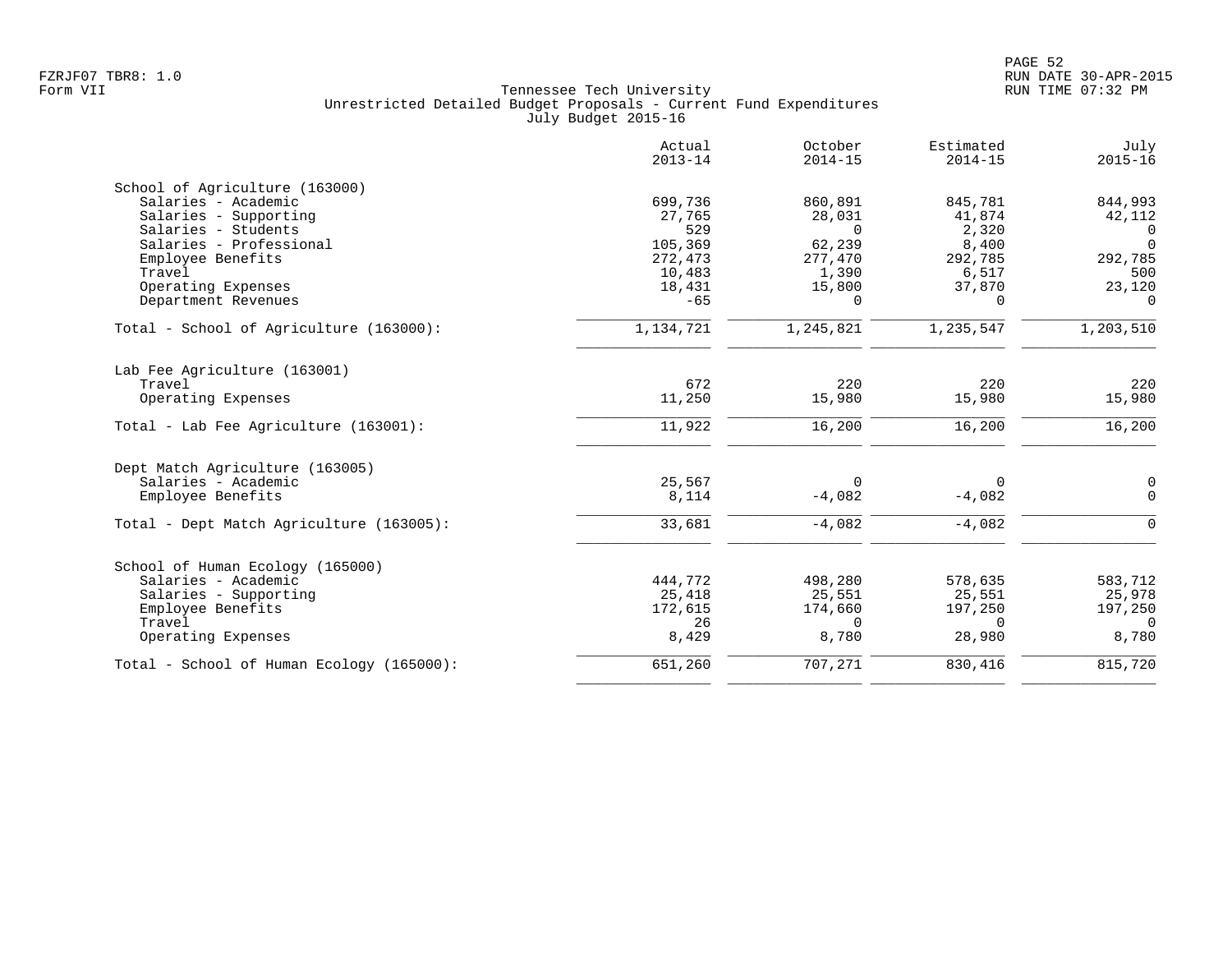|                                           | Actual<br>$2013 - 14$ | October<br>$2014 - 15$ | Estimated<br>$2014 - 15$ | July<br>$2015 - 16$ |
|-------------------------------------------|-----------------------|------------------------|--------------------------|---------------------|
| School of Agriculture (163000)            |                       |                        |                          |                     |
| Salaries - Academic                       | 699,736               | 860,891                | 845,781                  | 844,993             |
| Salaries - Supporting                     | 27,765                | 28,031                 | 41,874                   | 42,112              |
| Salaries - Students                       | 529                   | $\Omega$               | 2,320                    | $\Omega$            |
| Salaries - Professional                   | 105,369               | 62,239                 | 8,400                    | $\Omega$            |
| Employee Benefits                         | 272,473               | 277,470                | 292,785                  | 292,785             |
| Travel                                    | 10,483                | 1,390                  | 6,517                    | 500                 |
| Operating Expenses                        | 18,431                | 15,800                 | 37,870                   | 23,120              |
| Department Revenues                       | $-65$                 | $\Omega$               | $\Omega$                 | $\Omega$            |
| Total - School of Agriculture (163000):   | 1,134,721             | 1,245,821              | 1,235,547                | 1,203,510           |
| Lab Fee Agriculture (163001)              |                       |                        |                          |                     |
| Travel                                    | 672                   | 220                    | 220                      | 220                 |
| Operating Expenses                        | 11,250                | 15,980                 | 15,980                   | 15,980              |
|                                           |                       |                        |                          |                     |
| Total - Lab Fee Agriculture (163001):     | 11,922                | 16,200                 | 16,200                   | 16,200              |
| Dept Match Agriculture (163005)           |                       |                        |                          |                     |
| Salaries - Academic                       | 25,567                | $\Omega$               | $\Omega$                 | $\mathbf 0$         |
| Employee Benefits                         | 8,114                 | $-4,082$               | $-4,082$                 | $\Omega$            |
| Total - Dept Match Agriculture (163005):  | 33,681                | $-4,082$               | $-4,082$                 | $\Omega$            |
| School of Human Ecology (165000)          |                       |                        |                          |                     |
| Salaries - Academic                       | 444,772               | 498,280                | 578,635                  | 583,712             |
| Salaries - Supporting                     | 25,418                | 25,551                 | 25,551                   | 25,978              |
| Employee Benefits                         | 172,615               | 174,660                | 197,250                  | 197,250             |
| Travel                                    | 26                    | $\Omega$               | $\Omega$                 | $\Omega$            |
| Operating Expenses                        | 8,429                 | 8,780                  | 28,980                   | 8,780               |
| Total - School of Human Ecology (165000): | 651,260               | 707,271                | 830,416                  | 815,720             |
|                                           |                       |                        |                          |                     |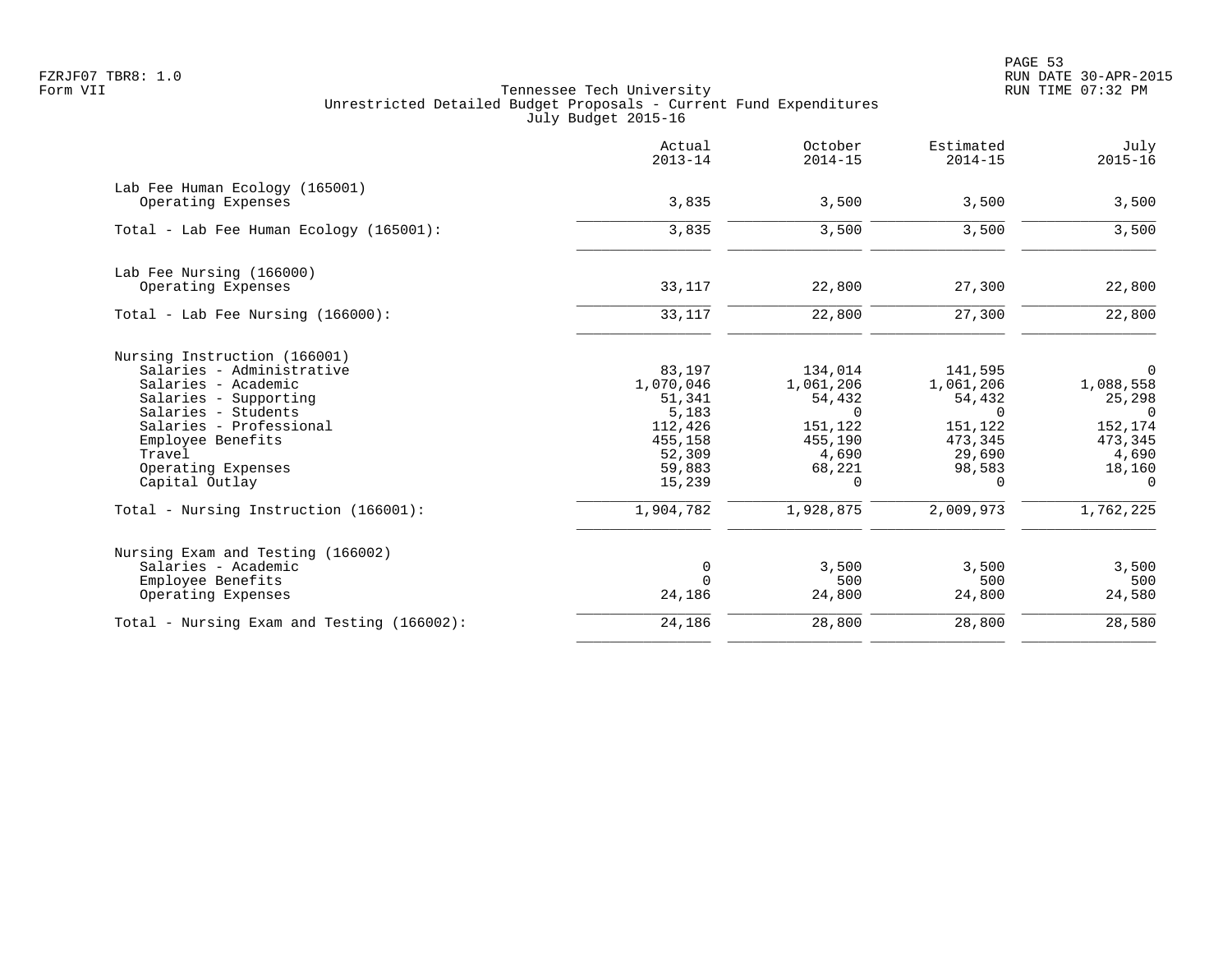PAGE 53 FZRJF07 TBR8: 1.0 RUN DATE 30-APR-2015

|                                                                                                                                                                                                                                    | Actual<br>$2013 - 14$                                                                      | October<br>$2014 - 15$                                                                          | Estimated<br>$2014 - 15$                                                                       | July<br>$2015 - 16$                                                                              |
|------------------------------------------------------------------------------------------------------------------------------------------------------------------------------------------------------------------------------------|--------------------------------------------------------------------------------------------|-------------------------------------------------------------------------------------------------|------------------------------------------------------------------------------------------------|--------------------------------------------------------------------------------------------------|
| Lab Fee Human Ecology (165001)<br>Operating Expenses                                                                                                                                                                               | 3,835                                                                                      | 3,500                                                                                           | 3,500                                                                                          | 3,500                                                                                            |
| Total - Lab Fee Human Ecology (165001):                                                                                                                                                                                            | 3,835                                                                                      | 3,500                                                                                           | 3,500                                                                                          | 3,500                                                                                            |
| Lab Fee Nursing (166000)<br>Operating Expenses                                                                                                                                                                                     | 33,117                                                                                     | 22,800                                                                                          | 27,300                                                                                         | 22,800                                                                                           |
| Total - Lab Fee Nursing $(166000)$ :                                                                                                                                                                                               | 33,117                                                                                     | 22,800                                                                                          | 27,300                                                                                         | 22,800                                                                                           |
| Nursing Instruction (166001)<br>Salaries - Administrative<br>Salaries - Academic<br>Salaries - Supporting<br>Salaries - Students<br>Salaries - Professional<br>Employee Benefits<br>Travel<br>Operating Expenses<br>Capital Outlay | 83,197<br>1,070,046<br>51,341<br>5,183<br>112,426<br>455,158<br>52,309<br>59,883<br>15,239 | 134,014<br>1,061,206<br>54,432<br>$\Omega$<br>151,122<br>455,190<br>4,690<br>68,221<br>$\Omega$ | 141,595<br>1,061,206<br>54,432<br>$\cap$<br>151,122<br>473,345<br>29,690<br>98,583<br>$\Omega$ | $\Omega$<br>1,088,558<br>25,298<br>$\Omega$<br>152,174<br>473,345<br>4,690<br>18,160<br>$\Omega$ |
| Total - Nursing Instruction (166001):                                                                                                                                                                                              | 1,904,782                                                                                  | 1,928,875                                                                                       | 2,009,973                                                                                      | 1,762,225                                                                                        |
| Nursing Exam and Testing (166002)<br>Salaries - Academic<br>Employee Benefits<br>Operating Expenses                                                                                                                                | 0<br>$\Omega$<br>24,186                                                                    | 3,500<br>500<br>24,800                                                                          | 3,500<br>500<br>24,800                                                                         | 3,500<br>500<br>24,580                                                                           |
| Total - Nursing Exam and Testing (166002):                                                                                                                                                                                         | 24,186                                                                                     | 28,800                                                                                          | 28,800                                                                                         | 28,580                                                                                           |
|                                                                                                                                                                                                                                    |                                                                                            |                                                                                                 |                                                                                                |                                                                                                  |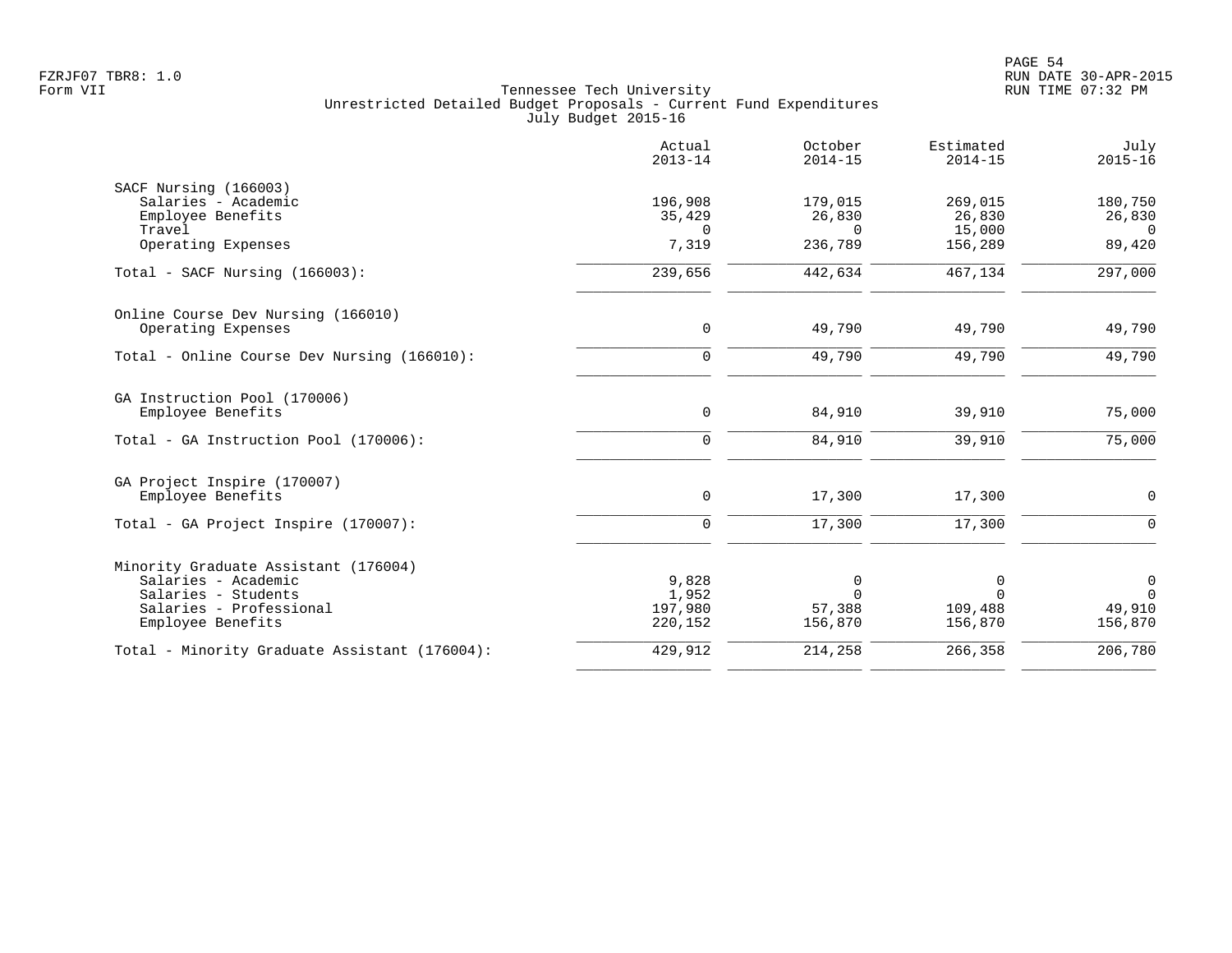|                                               | Actual<br>$2013 - 14$ | October<br>$2014 - 15$ | Estimated<br>$2014 - 15$ | July<br>$2015 - 16$ |
|-----------------------------------------------|-----------------------|------------------------|--------------------------|---------------------|
| SACF Nursing (166003)                         |                       |                        |                          |                     |
| Salaries - Academic                           | 196,908               | 179,015                | 269,015                  | 180,750             |
| Employee Benefits                             | 35,429                | 26,830                 | 26,830                   | 26,830              |
| Travel                                        | $\Omega$              | $\Omega$               | 15,000                   | $\Omega$            |
| Operating Expenses                            | 7,319                 | 236,789                | 156,289                  | 89,420              |
| Total - SACF Nursing (166003):                | 239,656               | 442,634                | 467,134                  | 297,000             |
| Online Course Dev Nursing (166010)            |                       |                        |                          |                     |
| Operating Expenses                            | $\mathbf 0$           | 49,790                 | 49,790                   | 49,790              |
| Total - Online Course Dev Nursing (166010):   | $\mathbf 0$           | 49,790                 | 49,790                   | 49,790              |
| GA Instruction Pool (170006)                  |                       |                        |                          |                     |
| Employee Benefits                             | 0                     | 84,910                 | 39,910                   | 75,000              |
| Total - GA Instruction Pool (170006):         | $\Omega$              | 84,910                 | 39,910                   | 75,000              |
| GA Project Inspire (170007)                   |                       |                        |                          |                     |
| Employee Benefits                             | 0                     | 17,300                 | 17,300                   | 0                   |
| Total - GA Project Inspire (170007):          | 0                     | 17,300                 | 17,300                   | $\Omega$            |
| Minority Graduate Assistant (176004)          |                       |                        |                          |                     |
| Salaries - Academic                           | 9,828                 | 0                      | 0                        | $\mathbf 0$         |
| Salaries - Students                           | 1,952                 | $\Omega$               | $\Omega$                 | $\Omega$            |
| Salaries - Professional                       | 197,980               | 57,388                 | 109,488                  | 49,910              |
| Employee Benefits                             | 220,152               | 156,870                | 156,870                  | 156,870             |
| Total - Minority Graduate Assistant (176004): | 429,912               | 214,258                | 266,358                  | 206,780             |
|                                               |                       |                        |                          |                     |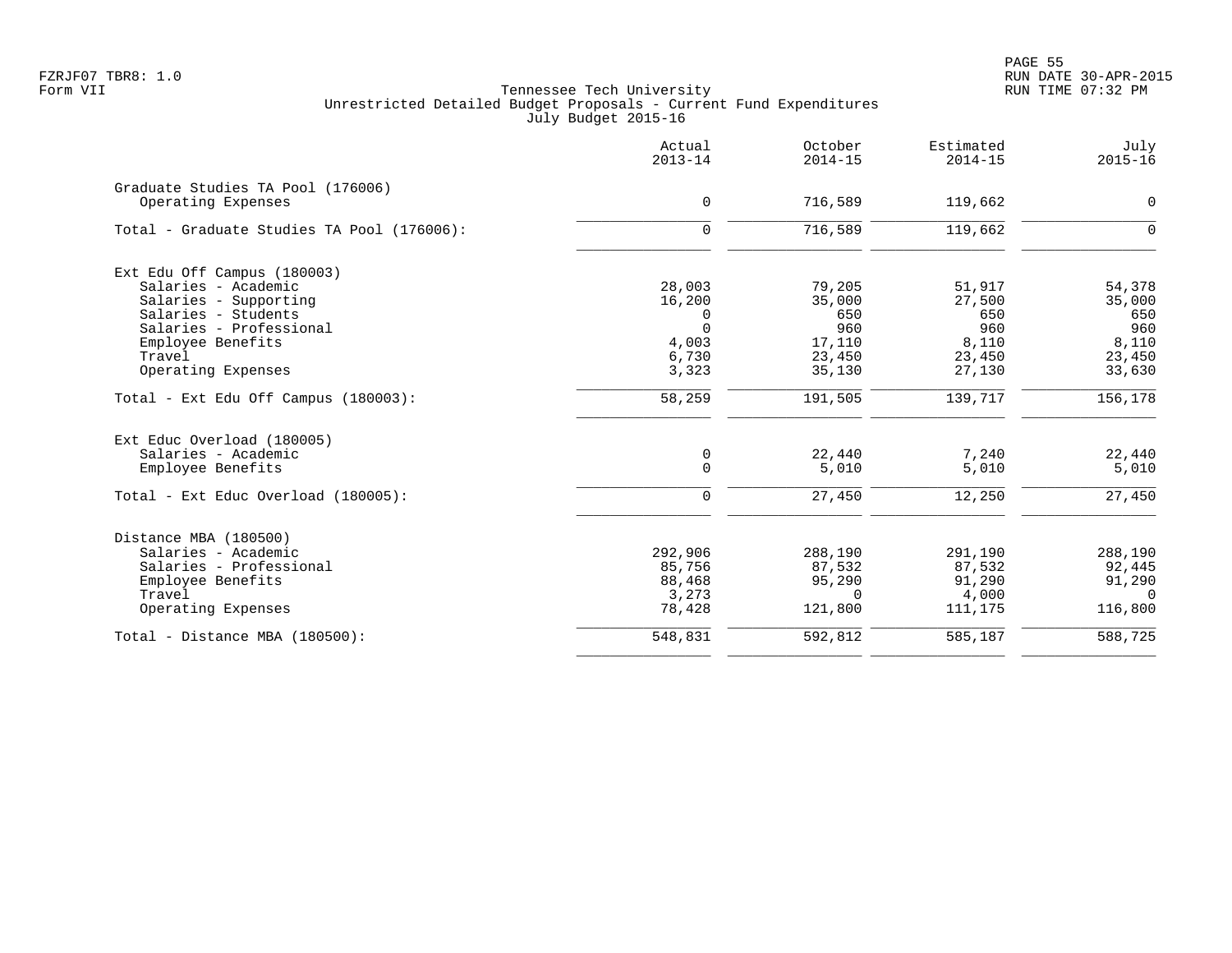|                                                                                                                                                                                    | Actual<br>$2013 - 14$                                        | October<br>$2014 - 15$                                       | Estimated<br>$2014 - 15$                                    | July<br>$2015 - 16$                                         |
|------------------------------------------------------------------------------------------------------------------------------------------------------------------------------------|--------------------------------------------------------------|--------------------------------------------------------------|-------------------------------------------------------------|-------------------------------------------------------------|
| Graduate Studies TA Pool (176006)<br>Operating Expenses                                                                                                                            | $\mathbf 0$                                                  | 716,589                                                      | 119,662                                                     | 0                                                           |
| Total - Graduate Studies TA Pool (176006):                                                                                                                                         | $\mathbf 0$                                                  | 716,589                                                      | 119,662                                                     | $\mathbf 0$                                                 |
| Ext Edu Off Campus (180003)<br>Salaries - Academic<br>Salaries - Supporting<br>Salaries - Students<br>Salaries - Professional<br>Employee Benefits<br>Travel<br>Operating Expenses | 28,003<br>16,200<br>0<br>$\Omega$<br>4,003<br>6,730<br>3,323 | 79,205<br>35,000<br>650<br>960<br>17,110<br>23,450<br>35,130 | 51,917<br>27,500<br>650<br>960<br>8,110<br>23,450<br>27,130 | 54,378<br>35,000<br>650<br>960<br>8,110<br>23,450<br>33,630 |
| Total - Ext Edu Off Campus (180003):                                                                                                                                               | 58,259                                                       | 191,505                                                      | 139,717                                                     | 156,178                                                     |
| Ext Educ Overload (180005)<br>Salaries - Academic<br>Employee Benefits<br>Total - Ext Educ Overload (180005):                                                                      | 0<br>$\mathbf 0$<br>$\mathbf 0$                              | 22,440<br>5,010<br>27,450                                    | 7,240<br>5,010<br>12,250                                    | 22,440<br>5,010<br>27,450                                   |
| Distance MBA (180500)<br>Salaries - Academic<br>Salaries - Professional<br>Employee Benefits<br>Travel<br>Operating Expenses                                                       | 292,906<br>85,756<br>88,468<br>3,273<br>78,428               | 288,190<br>87,532<br>95,290<br>$\Omega$<br>121,800           | 291,190<br>87,532<br>91,290<br>4,000<br>111,175             | 288,190<br>92,445<br>91,290<br>$\Omega$<br>116,800          |
| Total - Distance MBA (180500):                                                                                                                                                     | 548,831                                                      | 592,812                                                      | 585,187                                                     | 588,725                                                     |
|                                                                                                                                                                                    |                                                              |                                                              |                                                             |                                                             |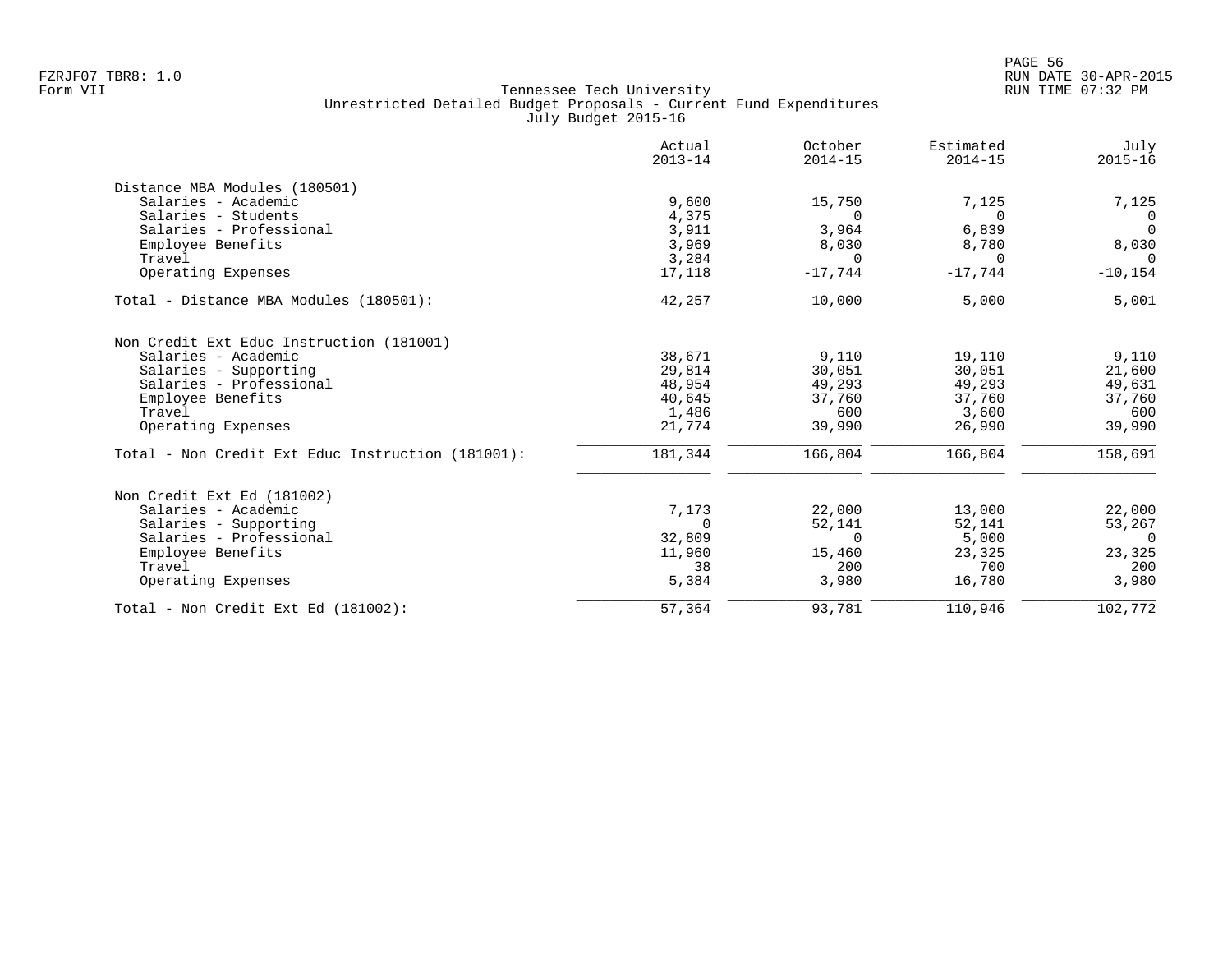|                                                   | Actual<br>$2013 - 14$ | October<br>$2014 - 15$ | Estimated<br>$2014 - 15$ | July<br>$2015 - 16$ |
|---------------------------------------------------|-----------------------|------------------------|--------------------------|---------------------|
| Distance MBA Modules (180501)                     |                       |                        |                          |                     |
| Salaries - Academic                               | 9,600                 | 15,750                 | 7,125                    | 7,125               |
| Salaries - Students                               | 4,375                 | $\Omega$               | $\Omega$                 | $\Omega$            |
| Salaries - Professional                           | 3,911                 | 3,964                  | 6,839                    | $\Omega$            |
| Employee Benefits                                 | 3,969                 | 8,030                  | 8,780                    | 8,030               |
| Travel                                            | 3,284                 | $\Omega$               | $\Omega$                 | $\Omega$            |
| Operating Expenses                                | 17,118                | $-17,744$              | $-17,744$                | $-10, 154$          |
| Total - Distance MBA Modules (180501):            | 42,257                | 10,000                 | 5,000                    | 5,001               |
| Non Credit Ext Educ Instruction (181001)          |                       |                        |                          |                     |
| Salaries - Academic                               | 38,671                | 9,110                  | 19,110                   | 9,110               |
| Salaries - Supporting                             | 29,814                | 30,051                 | 30,051                   | 21,600              |
| Salaries - Professional                           | 48,954                | 49,293                 | 49,293                   | 49,631              |
| Employee Benefits                                 | 40,645                | 37,760                 | 37,760                   | 37,760              |
| Travel                                            | 1,486                 | 600                    | 3,600                    | 600                 |
| Operating Expenses                                | 21,774                | 39,990                 | 26,990                   | 39,990              |
| Total - Non Credit Ext Educ Instruction (181001): | 181,344               | 166,804                | 166,804                  | 158,691             |
| Non Credit Ext Ed (181002)                        |                       |                        |                          |                     |
| Salaries - Academic                               | 7,173                 | 22,000                 | 13,000                   | 22,000              |
| Salaries - Supporting                             | $\Omega$              | 52,141                 | 52,141                   | 53,267              |
| Salaries - Professional                           | 32,809                | $\Omega$               | 5,000                    | $\Omega$            |
| Employee Benefits                                 | 11,960                | 15,460                 | 23,325                   | 23,325              |
| Travel                                            | 38                    | 200                    | 700                      | 200                 |
| Operating Expenses                                | 5,384                 | 3,980                  | 16,780                   | 3,980               |
| Total - Non Credit Ext Ed (181002):               | 57,364                | 93,781                 | 110,946                  | 102,772             |
|                                                   |                       |                        |                          |                     |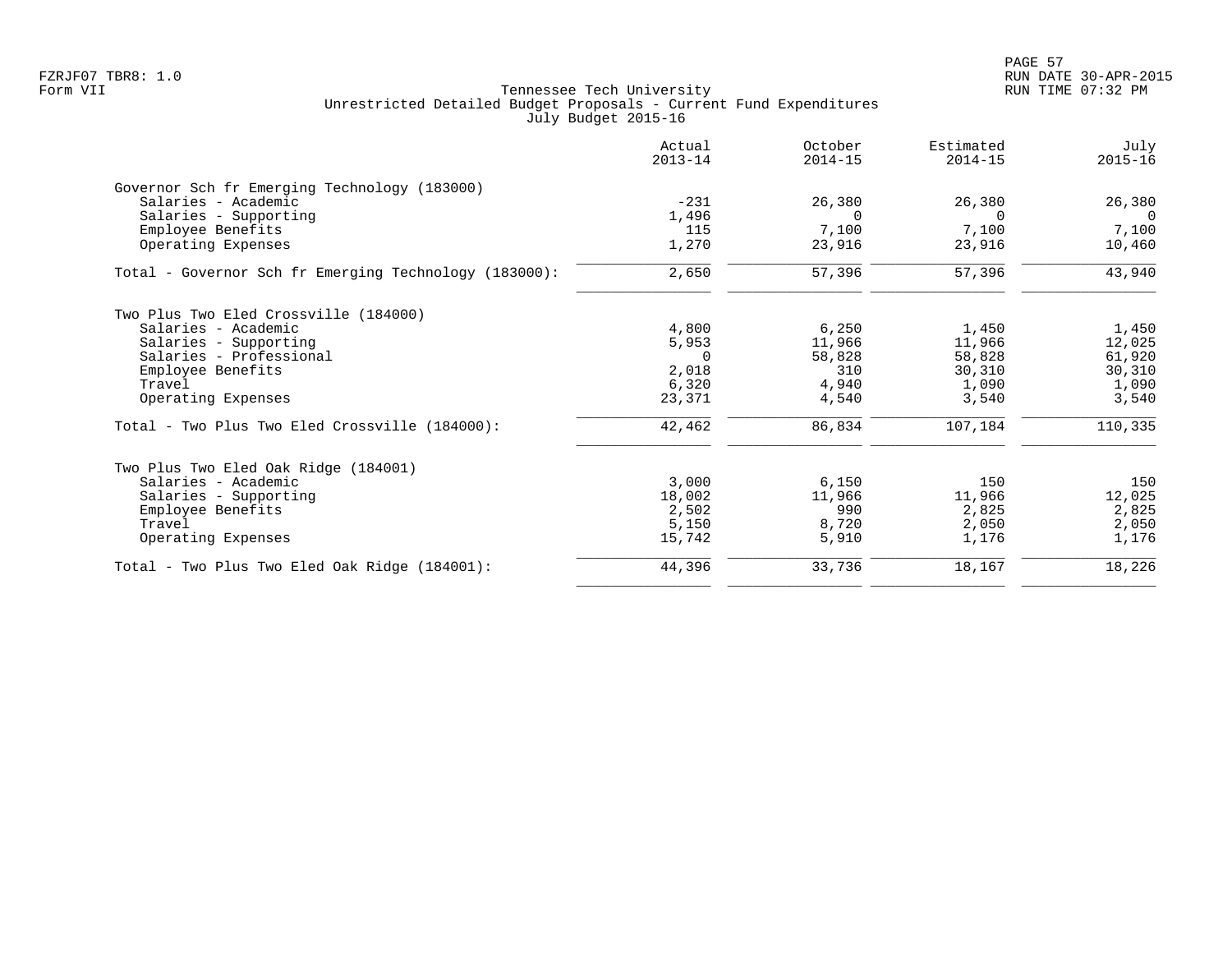|                                                       | Actual<br>$2013 - 14$ | October<br>$2014 - 15$ | Estimated<br>$2014 - 15$ | July<br>$2015 - 16$ |
|-------------------------------------------------------|-----------------------|------------------------|--------------------------|---------------------|
| Governor Sch fr Emerging Technology (183000)          |                       |                        |                          |                     |
| Salaries - Academic                                   | $-231$                | 26,380                 | 26,380                   | 26,380              |
| Salaries - Supporting                                 | 1,496                 |                        |                          | $\Omega$            |
| Employee Benefits                                     | 115                   | 7,100                  | 7,100                    | 7,100               |
| Operating Expenses                                    | 1,270                 | 23,916                 | 23,916                   | 10,460              |
| Total - Governor Sch fr Emerging Technology (183000): | 2,650                 | 57,396                 | 57,396                   | 43,940              |
| Two Plus Two Eled Crossville (184000)                 |                       |                        |                          |                     |
| Salaries - Academic                                   | 4,800                 | 6, 250                 | 1,450                    | 1,450               |
| Salaries - Supporting                                 | 5,953                 | 11,966                 | 11,966                   | 12,025              |
| Salaries - Professional                               | - 0                   | 58,828                 | 58,828                   | 61,920              |
| Employee Benefits                                     | 2,018                 | 310                    | 30,310                   | 30,310              |
| Travel                                                | 6,320                 | 4,940                  | 1,090                    | 1,090               |
| Operating Expenses                                    | 23,371                | 4,540                  | 3,540                    | 3,540               |
| Total - Two Plus Two Eled Crossville (184000):        | 42,462                | 86,834                 | 107,184                  | 110,335             |
| Two Plus Two Eled Oak Ridge (184001)                  |                       |                        |                          |                     |
| Salaries - Academic                                   | 3,000                 | 6,150                  | 150                      | 150                 |
| Salaries - Supporting                                 | 18,002                | 11,966                 | 11,966                   | 12,025              |
| Employee Benefits                                     | 2,502                 | 990                    | 2,825                    | 2,825               |
| Travel                                                | 5,150                 | 8,720                  | 2,050                    | 2,050               |
| Operating Expenses                                    | 15,742                | 5,910                  | 1,176                    | 1,176               |
| Total - Two Plus Two Eled Oak Ridge (184001):         | 44,396                | 33,736                 | 18,167                   | 18,226              |
|                                                       |                       |                        |                          |                     |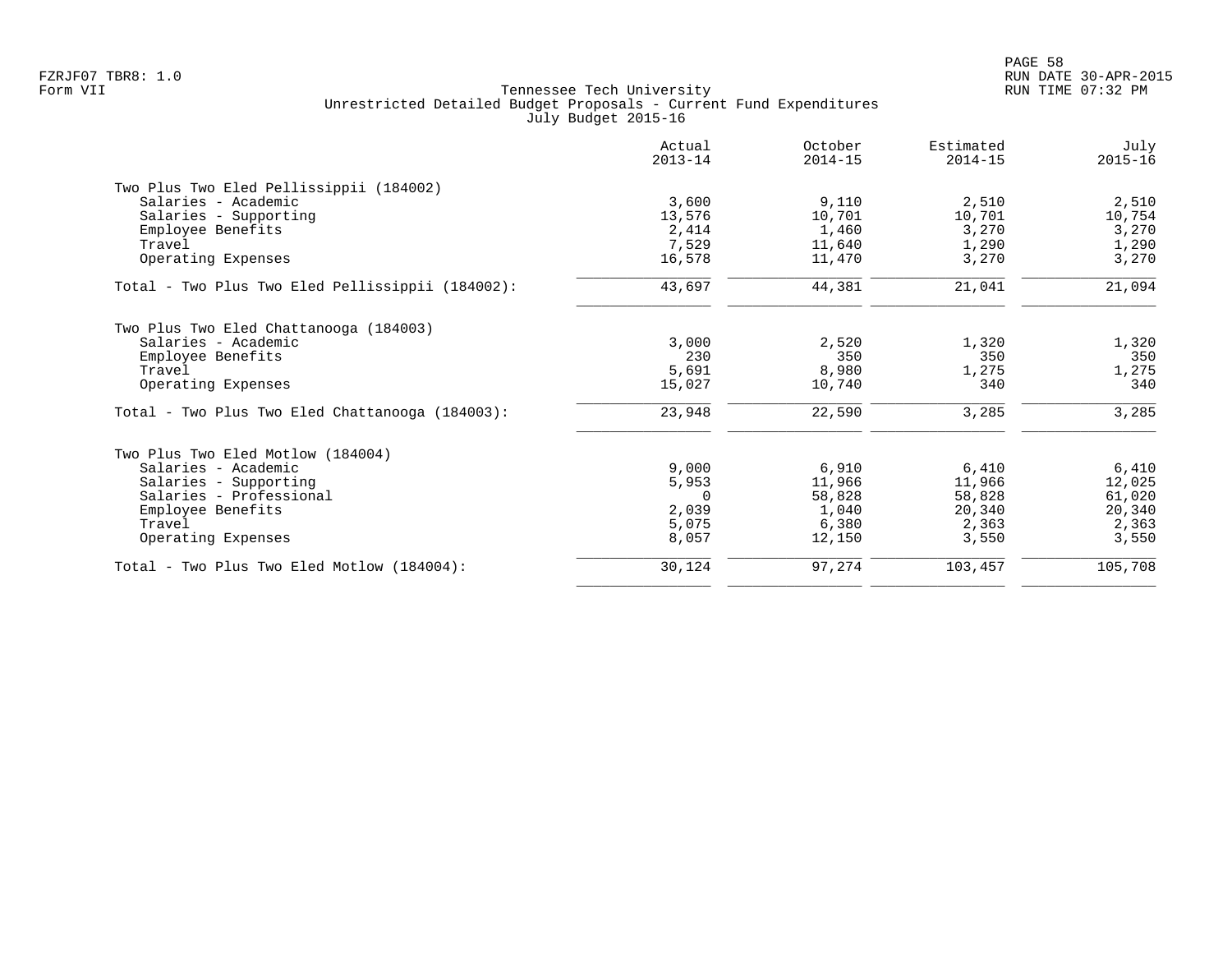|                                                  | Actual<br>$2013 - 14$ | October<br>$2014 - 15$ | Estimated<br>$2014 - 15$ | July<br>$2015 - 16$ |
|--------------------------------------------------|-----------------------|------------------------|--------------------------|---------------------|
| Two Plus Two Eled Pellissippii (184002)          |                       |                        |                          |                     |
| Salaries - Academic                              | 3,600                 | 9,110                  | 2,510                    | 2,510               |
| Salaries - Supporting                            | 13,576                | 10,701                 | 10,701                   | 10,754              |
| Employee Benefits                                | 2,414                 | 1,460                  | 3,270                    | 3,270               |
| Travel                                           | 7,529                 | 11,640                 | 1,290                    | 1,290               |
| Operating Expenses                               | 16,578                | 11,470                 | 3,270                    | 3,270               |
| Total - Two Plus Two Eled Pellissippii (184002): | 43,697                | 44,381                 | 21,041                   | 21,094              |
| Two Plus Two Eled Chattanooga (184003)           |                       |                        |                          |                     |
| Salaries - Academic                              | 3,000                 | 2,520                  | 1,320                    | 1,320               |
| Employee Benefits                                | 230                   | 350                    | 350                      | 350                 |
| Travel                                           | 5,691                 | 8,980                  | 1,275                    | 1,275               |
| Operating Expenses                               | 15,027                | 10,740                 | 340                      | 340                 |
| Total - Two Plus Two Eled Chattanooga (184003):  | 23,948                | 22,590                 | 3,285                    | 3,285               |
| Two Plus Two Eled Motlow (184004)                |                       |                        |                          |                     |
| Salaries - Academic                              | 9.000                 | 6,910                  | 6,410                    | 6,410               |
| Salaries - Supporting                            | 5,953                 | 11,966                 | 11,966                   | 12,025              |
| Salaries - Professional                          | 0                     | 58,828                 | 58,828                   | 61,020              |
| Employee Benefits                                | 2,039                 | 1,040                  | 20,340                   | 20,340              |
| Travel                                           | 5,075                 | 6,380                  | 2,363                    | 2,363               |
| Operating Expenses                               | 8,057                 | 12,150                 | 3,550                    | 3,550               |
| Total - Two Plus Two Eled Motlow (184004):       | 30,124                | 97,274                 | 103,457                  | 105,708             |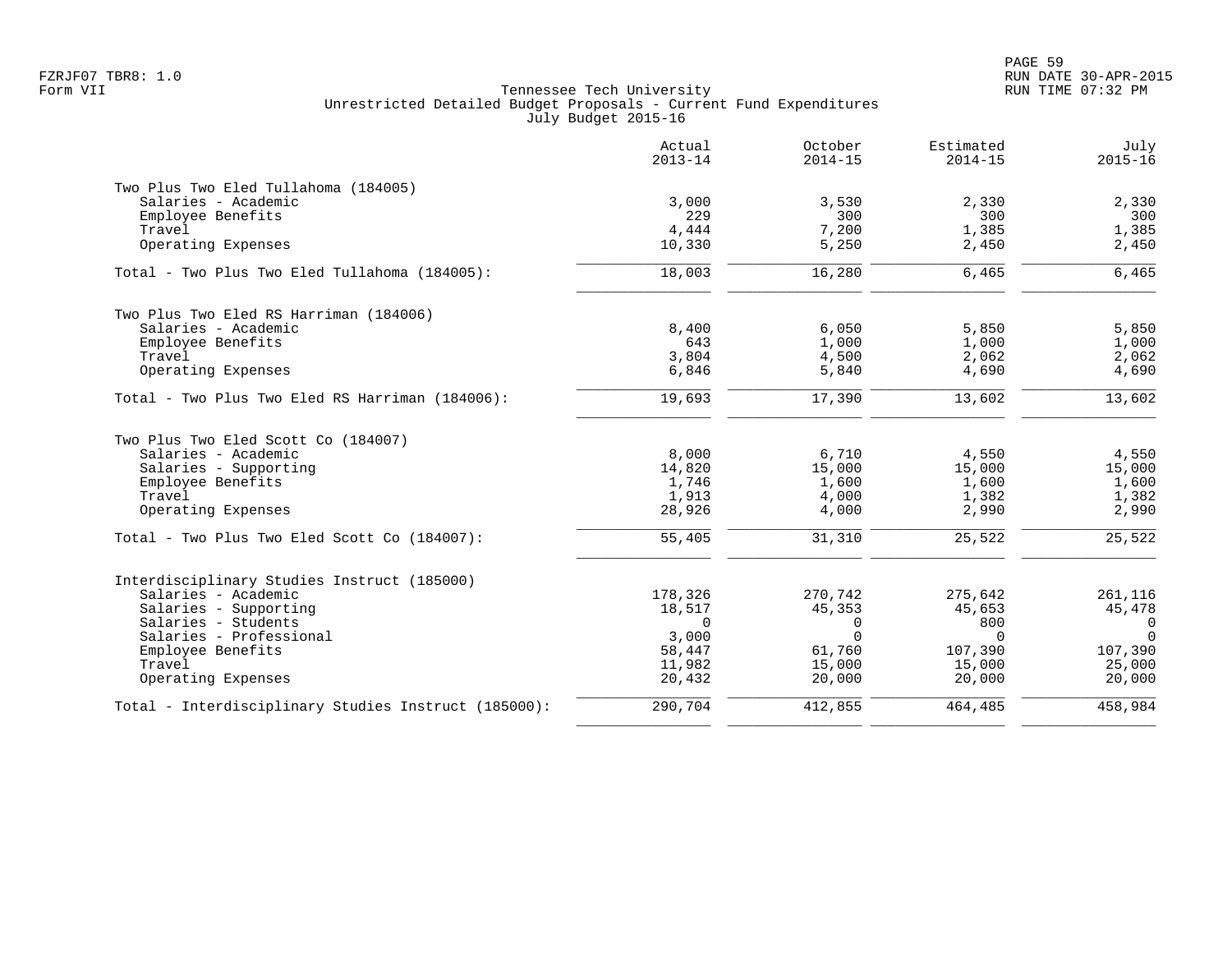|                                                      | Actual<br>$2013 - 14$ | October<br>$2014 - 15$ | Estimated<br>$2014 - 15$ | July<br>$2015 - 16$ |
|------------------------------------------------------|-----------------------|------------------------|--------------------------|---------------------|
| Two Plus Two Eled Tullahoma (184005)                 |                       |                        |                          |                     |
| Salaries - Academic                                  | 3,000                 | 3,530                  | 2,330                    | 2,330               |
| Employee Benefits                                    | 229                   | 300                    | 300                      | 300                 |
| Travel                                               | 4,444                 | 7,200                  | 1,385                    | 1,385               |
| Operating Expenses                                   | 10,330                | 5,250                  | 2,450                    | 2,450               |
| Total - Two Plus Two Eled Tullahoma (184005):        | 18,003                | 16,280                 | 6,465                    | 6,465               |
| Two Plus Two Eled RS Harriman (184006)               |                       |                        |                          |                     |
| Salaries - Academic                                  | 8,400                 | 6,050                  | 5,850                    | 5,850               |
| Employee Benefits                                    | 643                   | 1,000                  | 1,000                    | 1,000               |
| Travel                                               | 3,804                 | 4,500                  | 2,062                    | 2,062               |
| Operating Expenses                                   | 6,846                 | 5,840                  | 4,690                    | 4,690               |
| Total - Two Plus Two Eled RS Harriman (184006):      | 19,693                | 17,390                 | 13,602                   | 13,602              |
| Two Plus Two Eled Scott Co (184007)                  |                       |                        |                          |                     |
| Salaries - Academic                                  | 8,000                 | 6,710                  | 4,550                    | 4,550               |
| Salaries - Supporting                                | 14,820                | 15,000                 | 15,000                   | 15,000              |
| Employee Benefits                                    | 1,746                 | 1,600                  | 1,600                    | 1,600               |
| Travel                                               | 1,913                 | 4,000                  | 1,382                    | 1,382               |
| Operating Expenses                                   | 28,926                | 4,000                  | 2,990                    | 2,990               |
| Total - Two Plus Two Eled Scott Co (184007):         | 55,405                | 31,310                 | 25,522                   | 25,522              |
| Interdisciplinary Studies Instruct (185000)          |                       |                        |                          |                     |
| Salaries - Academic                                  | 178,326               | 270,742                | 275,642                  | 261,116             |
| Salaries - Supporting                                | 18,517                | 45,353                 | 45,653                   | 45,478              |
| Salaries - Students                                  | $\Omega$              | 0                      | 800                      | $\overline{0}$      |
| Salaries - Professional                              | 3,000                 | $\Omega$               | $\Omega$                 | $\Omega$            |
| Employee Benefits                                    | 58,447                | 61,760                 | 107,390                  | 107,390             |
| Travel                                               | 11,982                | 15,000                 | 15,000                   | 25,000              |
| Operating Expenses                                   | 20,432                | 20,000                 | 20,000                   | 20,000              |
| Total - Interdisciplinary Studies Instruct (185000): | 290,704               | 412,855                | 464,485                  | 458,984             |
|                                                      |                       |                        |                          |                     |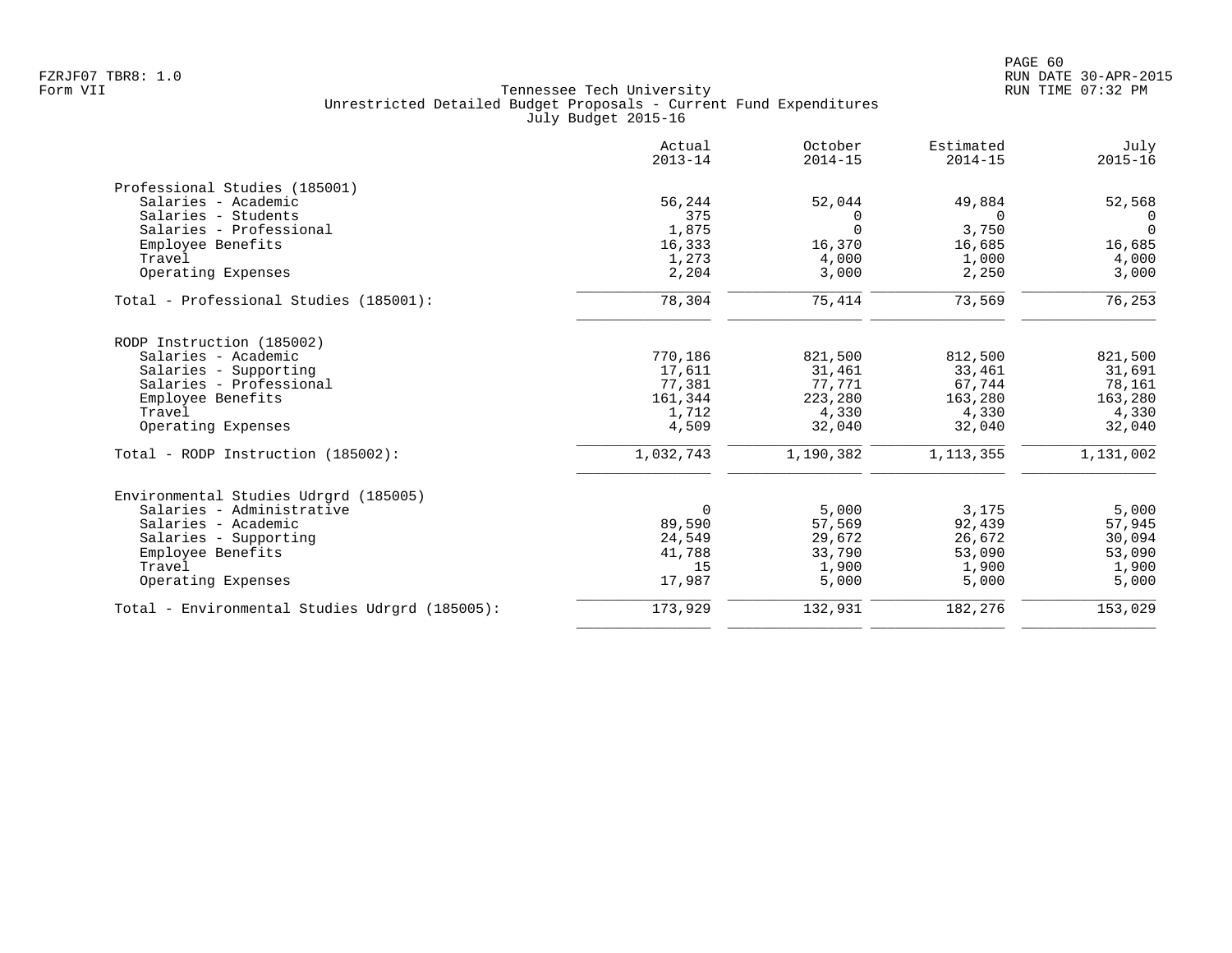|                                                | Actual<br>$2013 - 14$ | October<br>$2014 - 15$ | Estimated<br>$2014 - 15$ | July<br>$2015 - 16$ |
|------------------------------------------------|-----------------------|------------------------|--------------------------|---------------------|
| Professional Studies (185001)                  |                       |                        |                          |                     |
| Salaries - Academic                            | 56,244                | 52,044                 | 49,884                   | 52,568              |
| Salaries - Students                            | 375                   | 0                      | $\Omega$                 | $\Omega$            |
| Salaries - Professional                        | 1,875                 | $\Omega$               | 3,750                    | $\Omega$            |
| Employee Benefits                              | 16,333                | 16,370                 | 16,685                   | 16,685              |
| Travel                                         | 1,273                 | 4,000                  | 1,000                    | 4,000               |
| Operating Expenses                             | 2,204                 | 3,000                  | 2,250                    | 3,000               |
| Total - Professional Studies (185001):         | 78,304                | 75,414                 | 73,569                   | 76,253              |
| RODP Instruction (185002)                      |                       |                        |                          |                     |
| Salaries - Academic                            | 770,186               | 821,500                | 812,500                  | 821,500             |
| Salaries - Supporting                          | 17,611                | 31,461                 | 33,461                   | 31,691              |
| Salaries - Professional                        | 77,381                | 77,771                 | 67,744                   | 78,161              |
| Employee Benefits                              | 161,344               | 223,280                | 163,280                  | 163,280             |
| Travel                                         | 1,712                 | 4,330                  | 4,330                    | 4,330               |
| Operating Expenses                             | 4,509                 | 32,040                 | 32,040                   | 32,040              |
| Total - RODP Instruction (185002):             | 1,032,743             | 1,190,382              | 1, 113, 355              | 1,131,002           |
| Environmental Studies Udrgrd (185005)          |                       |                        |                          |                     |
| Salaries - Administrative                      | $\Omega$              | 5,000                  | 3,175                    | 5,000               |
| Salaries - Academic                            | 89,590                | 57,569                 | 92,439                   | 57,945              |
| Salaries - Supporting                          | 24,549                | 29,672                 | 26,672                   | 30,094              |
| Employee Benefits                              | 41,788                | 33,790                 | 53,090                   | 53,090              |
| Travel                                         | 15                    | 1,900                  | 1,900                    | 1,900               |
| Operating Expenses                             | 17,987                | 5,000                  | 5,000                    | 5,000               |
| Total - Environmental Studies Udrgrd (185005): | 173,929               | 132,931                | 182,276                  | 153,029             |
|                                                |                       |                        |                          |                     |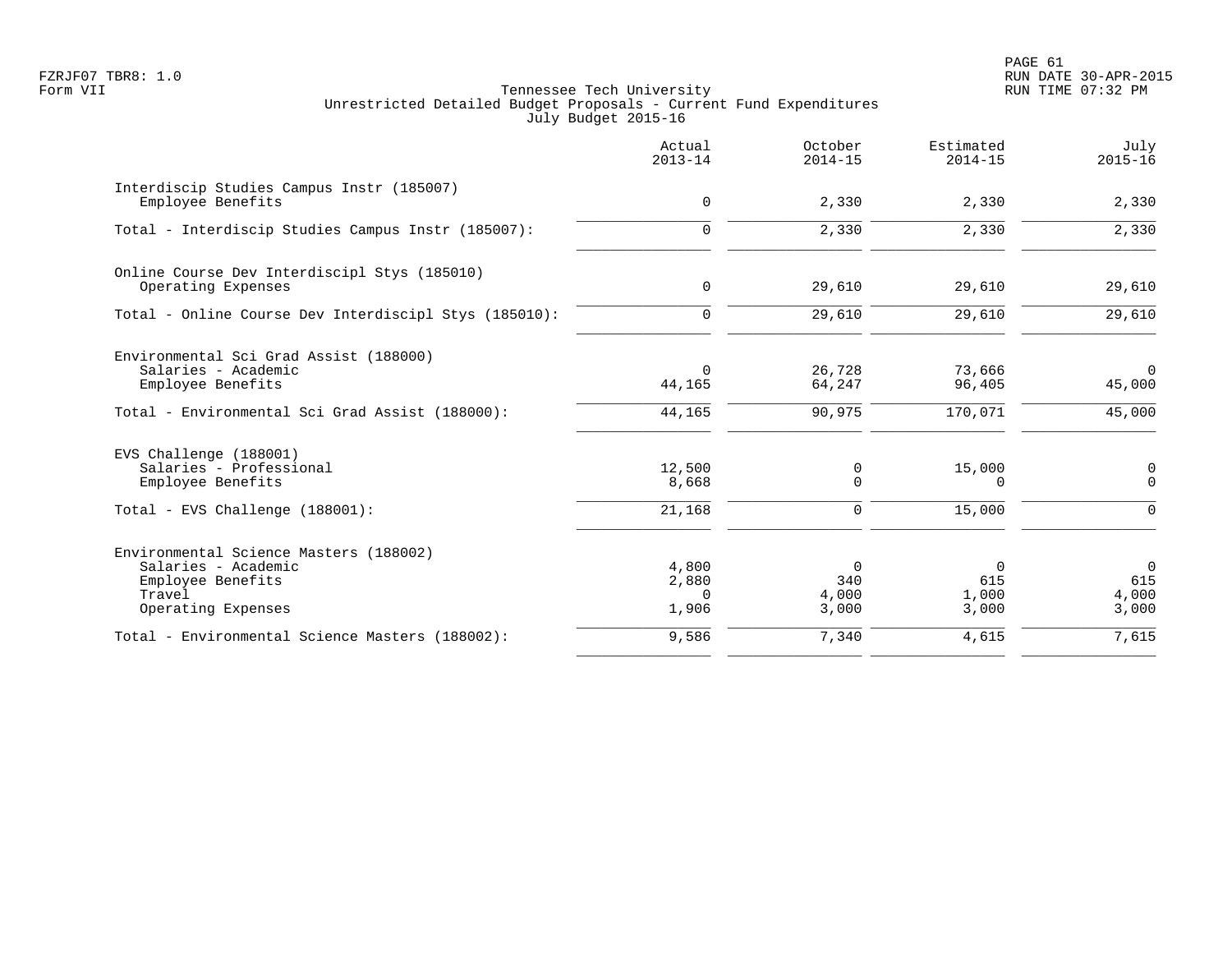PAGE 61 FZRJF07 TBR8: 1.0 RUN DATE 30-APR-2015

|                                                                                                                    | Actual<br>$2013 - 14$               | October<br>$2014 - 15$                  | Estimated<br>$2014 - 15$          | July<br>$2015 - 16$               |
|--------------------------------------------------------------------------------------------------------------------|-------------------------------------|-----------------------------------------|-----------------------------------|-----------------------------------|
| Interdiscip Studies Campus Instr (185007)<br>Employee Benefits                                                     | $\mathbf 0$                         | 2,330                                   | 2,330                             | 2,330                             |
| Total - Interdiscip Studies Campus Instr (185007):                                                                 | $\mathbf 0$                         | 2,330                                   | 2,330                             | 2,330                             |
| Online Course Dev Interdiscipl Stys (185010)<br>Operating Expenses                                                 | 0                                   | 29,610                                  | 29,610                            | 29,610                            |
| Total - Online Course Dev Interdiscipl Stys (185010):                                                              | $\mathbf 0$                         | 29,610                                  | 29,610                            | 29,610                            |
| Environmental Sci Grad Assist (188000)<br>Salaries - Academic<br>Employee Benefits                                 | $\mathbf 0$<br>44,165               | 26,728<br>64,247                        | 73,666<br>96,405                  | $\overline{0}$<br>45,000          |
| Total - Environmental Sci Grad Assist (188000):                                                                    | 44,165                              | 90,975                                  | 170,071                           | 45,000                            |
| EVS Challenge (188001)<br>Salaries - Professional<br>Employee Benefits                                             | 12,500<br>8,668                     | 0<br>$\Omega$                           | 15,000<br>$\Omega$                | 0<br>$\mathbf 0$                  |
| Total - EVS Challenge (188001):                                                                                    | 21,168                              | 0                                       | 15,000                            | $\mathsf{O}$                      |
| Environmental Science Masters (188002)<br>Salaries - Academic<br>Employee Benefits<br>Travel<br>Operating Expenses | 4,800<br>2,880<br>$\Omega$<br>1,906 | $\overline{0}$<br>340<br>4,000<br>3,000 | $\Omega$<br>615<br>1,000<br>3,000 | $\Omega$<br>615<br>4,000<br>3,000 |
| Total - Environmental Science Masters (188002):                                                                    | 9,586                               | 7,340                                   | 4,615                             | 7,615                             |
|                                                                                                                    |                                     |                                         |                                   |                                   |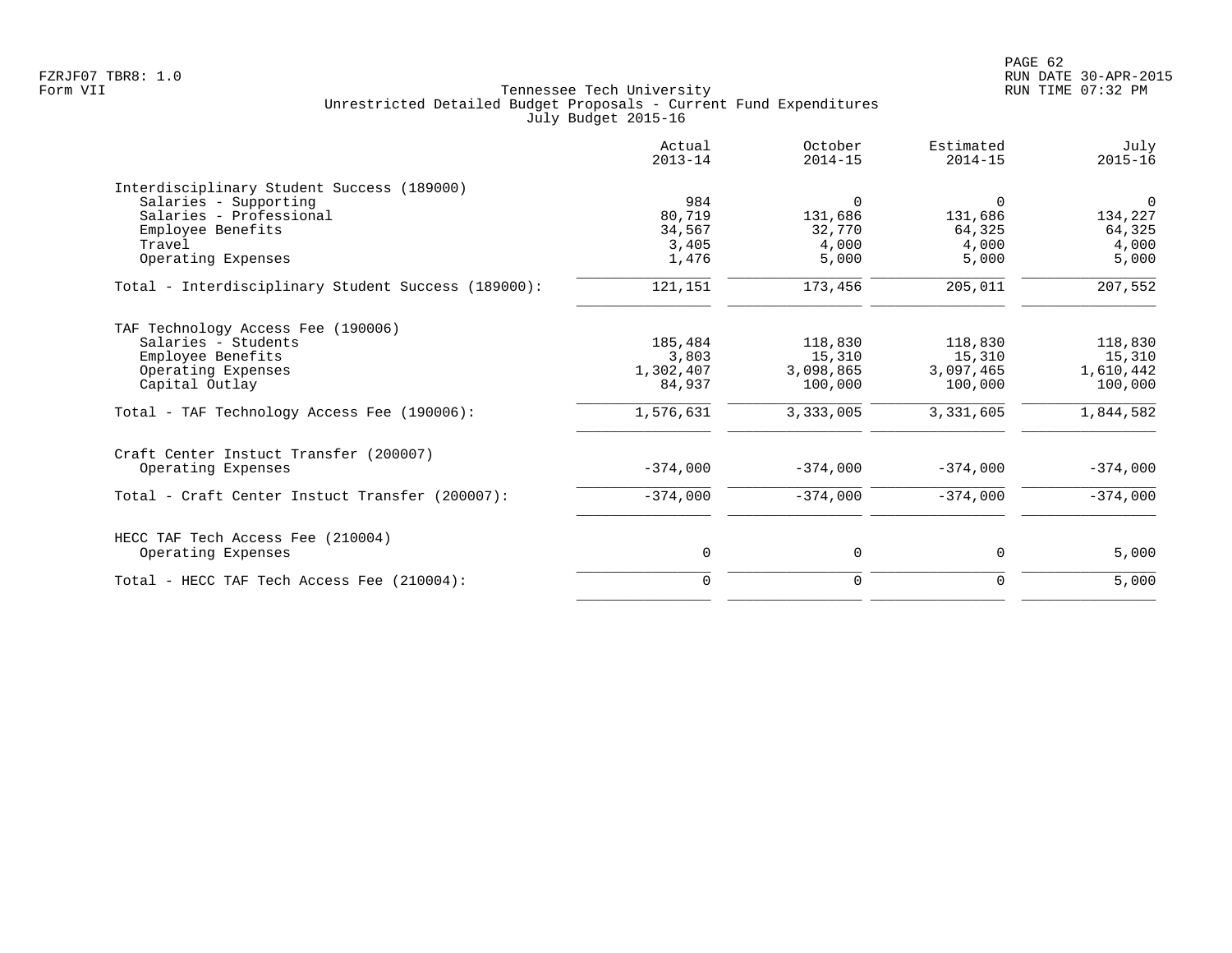|                                                     | Actual<br>$2013 - 14$ | October<br>$2014 - 15$ | Estimated<br>$2014 - 15$ | July<br>$2015 - 16$ |
|-----------------------------------------------------|-----------------------|------------------------|--------------------------|---------------------|
| Interdisciplinary Student Success (189000)          |                       |                        |                          |                     |
| Salaries - Supporting                               | 984                   | $\Omega$               | $\Omega$                 | $\Omega$            |
| Salaries - Professional                             | 80,719                | 131,686                | 131,686                  | 134,227             |
| Employee Benefits                                   | 34,567                | 32,770                 | 64,325                   | 64,325              |
| Travel                                              | 3,405                 | 4,000                  | 4,000                    | 4,000               |
| Operating Expenses                                  | 1,476                 | 5,000                  | 5,000                    | 5,000               |
| Total - Interdisciplinary Student Success (189000): | 121,151               | 173,456                | 205,011                  | 207,552             |
| TAF Technology Access Fee (190006)                  |                       |                        |                          |                     |
| Salaries - Students                                 | 185,484               | 118,830                | 118,830                  | 118,830             |
| Employee Benefits                                   | 3,803                 | 15,310                 | 15,310                   | 15,310              |
| Operating Expenses                                  | 1,302,407             | 3,098,865              | 3,097,465                | 1,610,442           |
| Capital Outlay                                      | 84,937                | 100,000                | 100,000                  | 100,000             |
| Total - TAF Technology Access Fee (190006):         | 1,576,631             | 3,333,005              | 3,331,605                | 1,844,582           |
| Craft Center Instuct Transfer (200007)              |                       |                        |                          |                     |
| Operating Expenses                                  | $-374,000$            | $-374,000$             | $-374,000$               | $-374,000$          |
| Total - Craft Center Instuct Transfer (200007):     | $-374,000$            | $-374,000$             | $-374,000$               | $-374,000$          |
| HECC TAF Tech Access Fee (210004)                   |                       |                        |                          |                     |
| Operating Expenses                                  | 0                     | 0                      | 0                        | 5,000               |
| Total - HECC TAF Tech Access Fee (210004):          | $\mathbf 0$           | 0                      | 0                        | 5,000               |
|                                                     |                       |                        |                          |                     |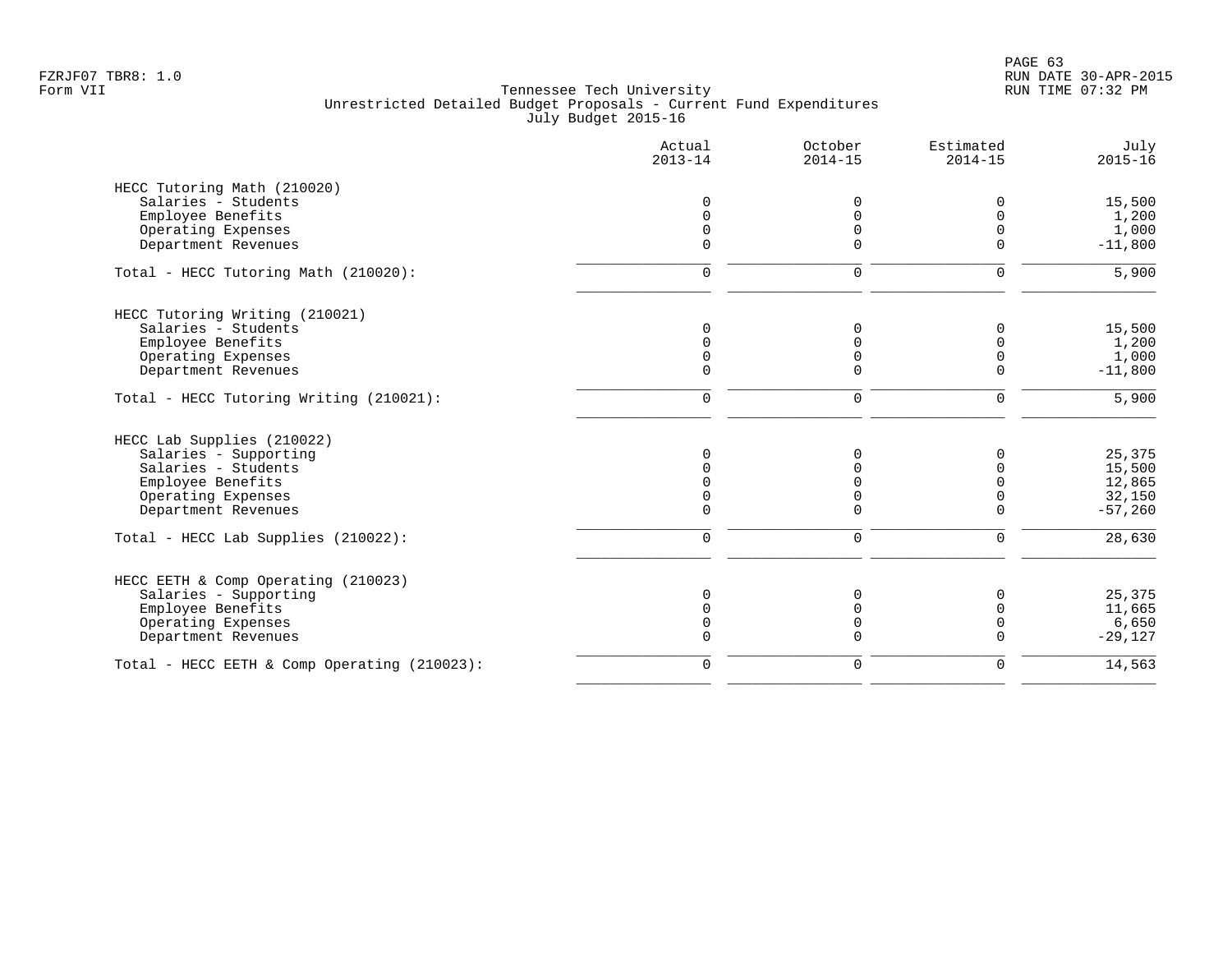|                                              | Actual<br>$2013 - 14$ | October<br>$2014 - 15$ | Estimated<br>$2014 - 15$ | July<br>$2015 - 16$ |
|----------------------------------------------|-----------------------|------------------------|--------------------------|---------------------|
| HECC Tutoring Math (210020)                  |                       |                        |                          |                     |
| Salaries - Students                          | $\Omega$              | $\Omega$               | 0                        | 15,500              |
| Employee Benefits                            |                       |                        | $\Omega$                 | 1,200               |
| Operating Expenses                           | $\Omega$              | 0                      | $\Omega$                 | 1,000               |
| Department Revenues                          | $\Omega$              | $\Omega$               | $\Omega$                 | $-11,800$           |
| Total - HECC Tutoring Math (210020):         | $\mathbf 0$           | $\mathbf 0$            | $\mathbf 0$              | 5,900               |
| HECC Tutoring Writing (210021)               |                       |                        |                          |                     |
| Salaries - Students                          | $\Omega$              | $\Omega$               | $\Omega$                 | 15,500              |
| Employee Benefits                            |                       | 0                      | $\Omega$                 | 1,200               |
| Operating Expenses                           |                       | 0                      | 0                        | 1,000               |
| Department Revenues                          | $\mathbf 0$           | 0                      | $\mathbf 0$              | $-11,800$           |
| Total - HECC Tutoring Writing (210021):      | $\mathbf 0$           | $\mathbf 0$            | $\mathbf 0$              | 5,900               |
| HECC Lab Supplies (210022)                   |                       |                        |                          |                     |
| Salaries - Supporting                        | $\Omega$              | $\Omega$               | 0                        | 25,375              |
| Salaries - Students                          |                       |                        | $\Omega$                 | 15,500              |
| Employee Benefits                            |                       |                        | $\Omega$                 | 12,865              |
| Operating Expenses                           |                       | U                      | 0                        | 32,150              |
| Department Revenues                          | $\Omega$              | $\Omega$               | $\Omega$                 | $-57,260$           |
| Total - HECC Lab Supplies (210022):          | $\mathbf 0$           | $\mathbf 0$            | $\mathbf 0$              | 28,630              |
| HECC EETH & Comp Operating (210023)          |                       |                        |                          |                     |
| Salaries - Supporting                        | $\Omega$              | $\Omega$               | $\Omega$                 | 25,375              |
| Employee Benefits                            |                       |                        | U                        | 11,665              |
| Operating Expenses                           | $\Omega$              | $\Omega$               | $\mathbf 0$              | 6,650               |
| Department Revenues                          | $\Omega$              | $\Omega$               | $\Omega$                 | $-29,127$           |
| Total - HECC EETH & Comp Operating (210023): | $\mathbf 0$           | $\mathbf 0$            | $\mathbf 0$              | 14,563              |
|                                              |                       |                        |                          |                     |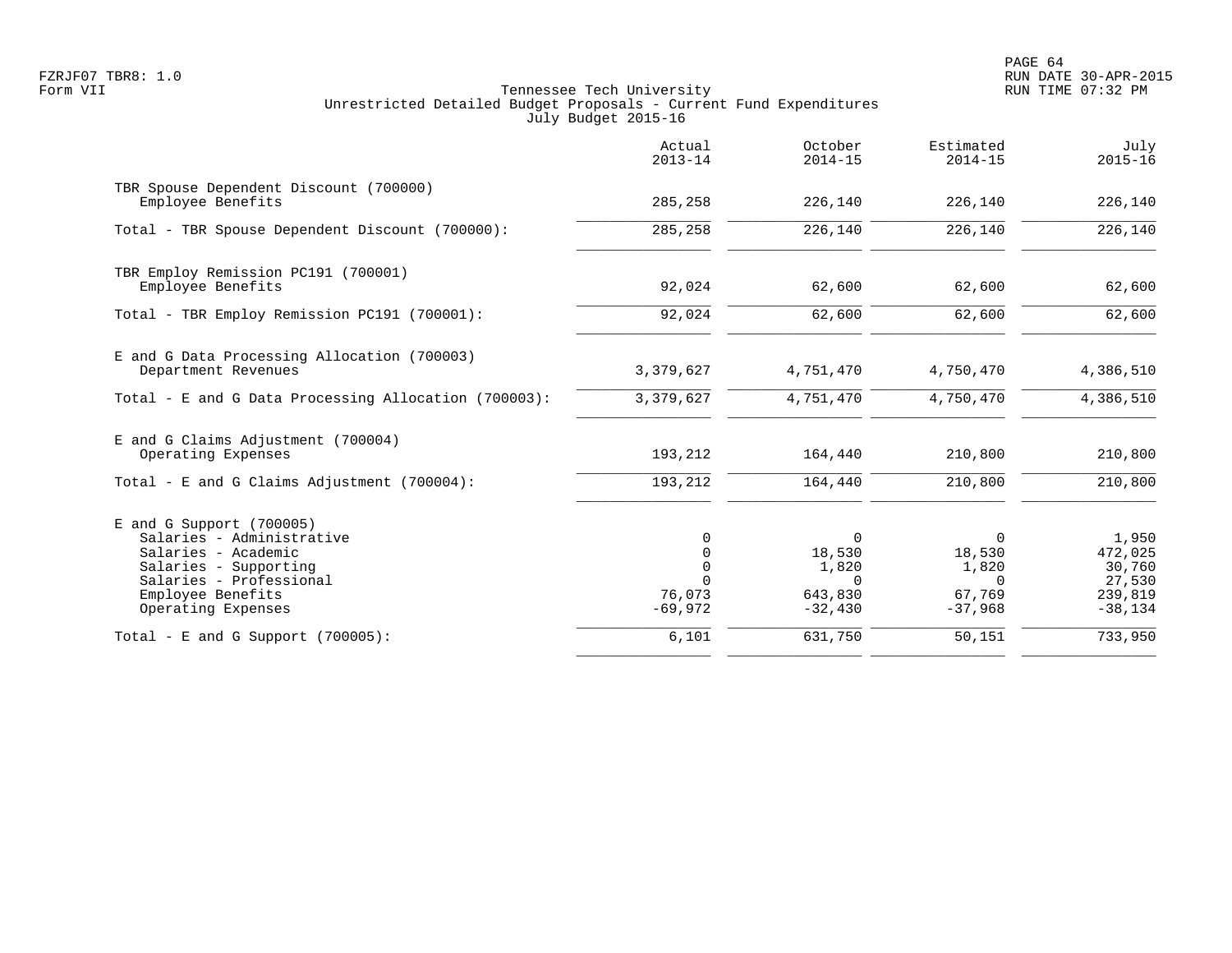|                                                                                                                                                                               | Actual<br>$2013 - 14$                                    | October<br>$2014 - 15$                                          | Estimated<br>$2014 - 15$                         | July<br>$2015 - 16$                                          |
|-------------------------------------------------------------------------------------------------------------------------------------------------------------------------------|----------------------------------------------------------|-----------------------------------------------------------------|--------------------------------------------------|--------------------------------------------------------------|
| TBR Spouse Dependent Discount (700000)<br>Employee Benefits                                                                                                                   | 285,258                                                  | 226,140                                                         | 226,140                                          | 226,140                                                      |
| Total - TBR Spouse Dependent Discount (700000):                                                                                                                               | 285,258                                                  | 226,140                                                         | 226,140                                          | 226,140                                                      |
| TBR Employ Remission PC191 (700001)<br>Employee Benefits                                                                                                                      | 92,024                                                   | 62,600                                                          | 62,600                                           | 62,600                                                       |
| Total - TBR Employ Remission PC191 (700001):                                                                                                                                  | 92,024                                                   | 62,600                                                          | 62,600                                           | 62,600                                                       |
| E and G Data Processing Allocation (700003)<br>Department Revenues                                                                                                            | 3,379,627                                                | 4,751,470                                                       | 4,750,470                                        | 4,386,510                                                    |
| Total - E and G Data Processing Allocation (700003):                                                                                                                          | 3,379,627                                                | 4,751,470                                                       | 4,750,470                                        | 4,386,510                                                    |
| E and G Claims Adjustment (700004)<br>Operating Expenses                                                                                                                      | 193,212                                                  | 164,440                                                         | 210,800                                          | 210,800                                                      |
| Total - E and G Claims Adjustment $(700004)$ :                                                                                                                                | 193,212                                                  | 164,440                                                         | 210,800                                          | 210,800                                                      |
| $E$ and G Support (700005)<br>Salaries - Administrative<br>Salaries - Academic<br>Salaries - Supporting<br>Salaries - Professional<br>Employee Benefits<br>Operating Expenses | 0<br>0<br>$\mathbf 0$<br>$\Omega$<br>76,073<br>$-69,972$ | $\Omega$<br>18,530<br>1,820<br>$\Omega$<br>643,830<br>$-32,430$ | 0<br>18,530<br>1,820<br>0<br>67,769<br>$-37,968$ | 1,950<br>472,025<br>30,760<br>27,530<br>239,819<br>$-38,134$ |
| Total - E and G Support $(700005)$ :                                                                                                                                          | 6,101                                                    | 631,750                                                         | 50,151                                           | 733,950                                                      |
|                                                                                                                                                                               |                                                          |                                                                 |                                                  |                                                              |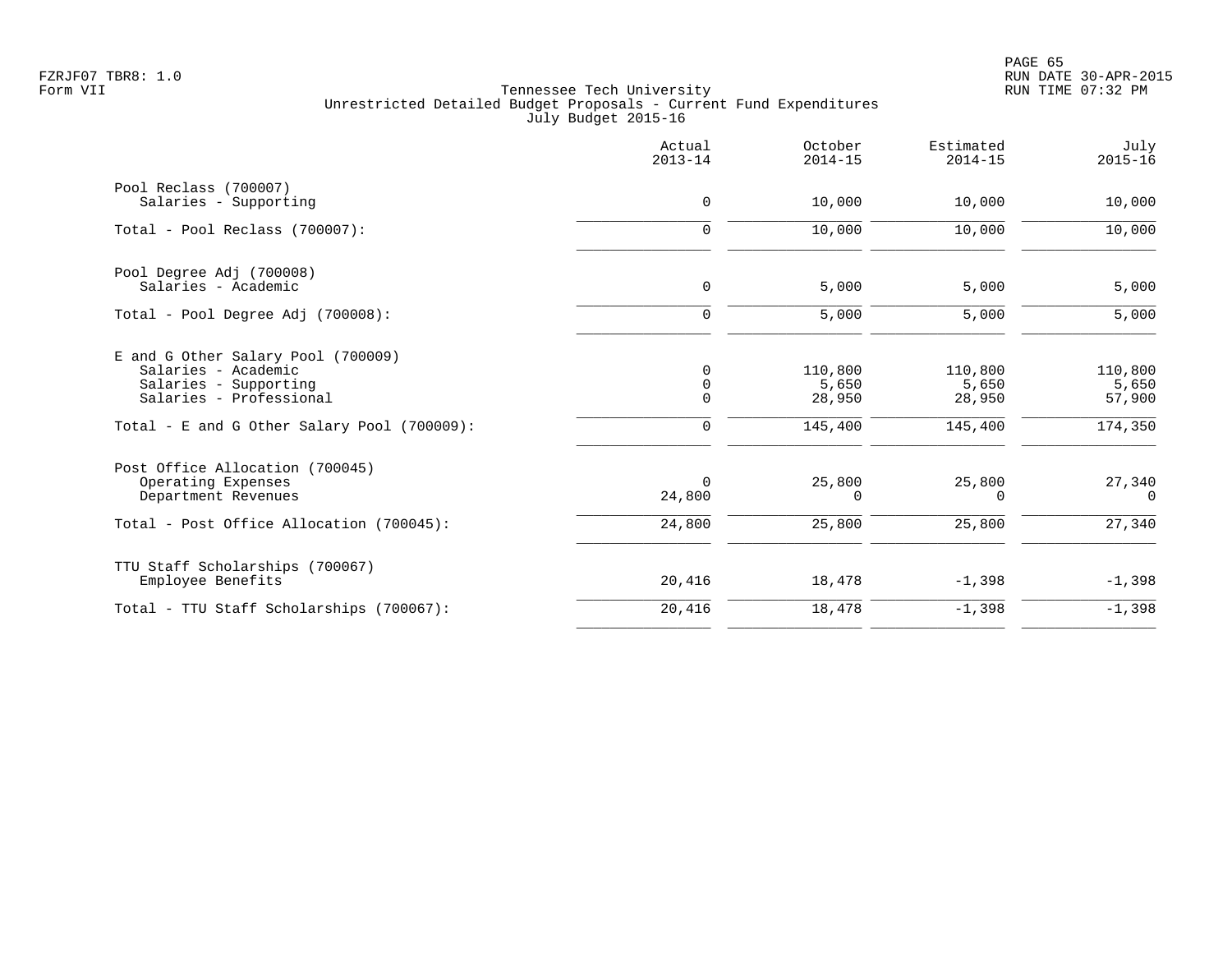PAGE 65 FZRJF07 TBR8: 1.0 RUN DATE 30-APR-2015

|                                                                                                                                                              | Actual<br>$2013 - 14$                          | October<br>$2014 - 15$                | Estimated<br>$2014 - 15$              | July<br>$2015 - 16$                   |
|--------------------------------------------------------------------------------------------------------------------------------------------------------------|------------------------------------------------|---------------------------------------|---------------------------------------|---------------------------------------|
| Pool Reclass (700007)<br>Salaries - Supporting                                                                                                               | $\mathbf 0$                                    | 10,000                                | 10,000                                | 10,000                                |
| Total - Pool Reclass (700007):                                                                                                                               | $\mathbf 0$                                    | 10,000                                | 10,000                                | 10,000                                |
| Pool Degree Adj (700008)<br>Salaries - Academic                                                                                                              | $\mathbf 0$                                    | 5,000                                 | 5,000                                 | 5,000                                 |
| Total - Pool Degree Adj (700008):                                                                                                                            | $\mathbf 0$                                    | 5,000                                 | 5,000                                 | 5,000                                 |
| E and G Other Salary Pool (700009)<br>Salaries - Academic<br>Salaries - Supporting<br>Salaries - Professional<br>Total - E and G Other Salary Pool (700009): | $\mathbf 0$<br>$\mathbf 0$<br>$\mathbf 0$<br>0 | 110,800<br>5,650<br>28,950<br>145,400 | 110,800<br>5,650<br>28,950<br>145,400 | 110,800<br>5,650<br>57,900<br>174,350 |
| Post Office Allocation (700045)<br>Operating Expenses<br>Department Revenues<br>Total - Post Office Allocation (700045):                                     | 0<br>24,800<br>24,800                          | 25,800<br>0<br>25,800                 | 25,800<br>$\Omega$<br>25,800          | 27,340<br>$\Omega$<br>27,340          |
| TTU Staff Scholarships (700067)<br>Employee Benefits                                                                                                         | 20,416                                         | 18,478                                | $-1,398$                              | $-1,398$                              |
| Total - TTU Staff Scholarships (700067):                                                                                                                     | 20,416                                         | 18,478                                | $-1,398$                              | $-1,398$                              |
|                                                                                                                                                              |                                                |                                       |                                       |                                       |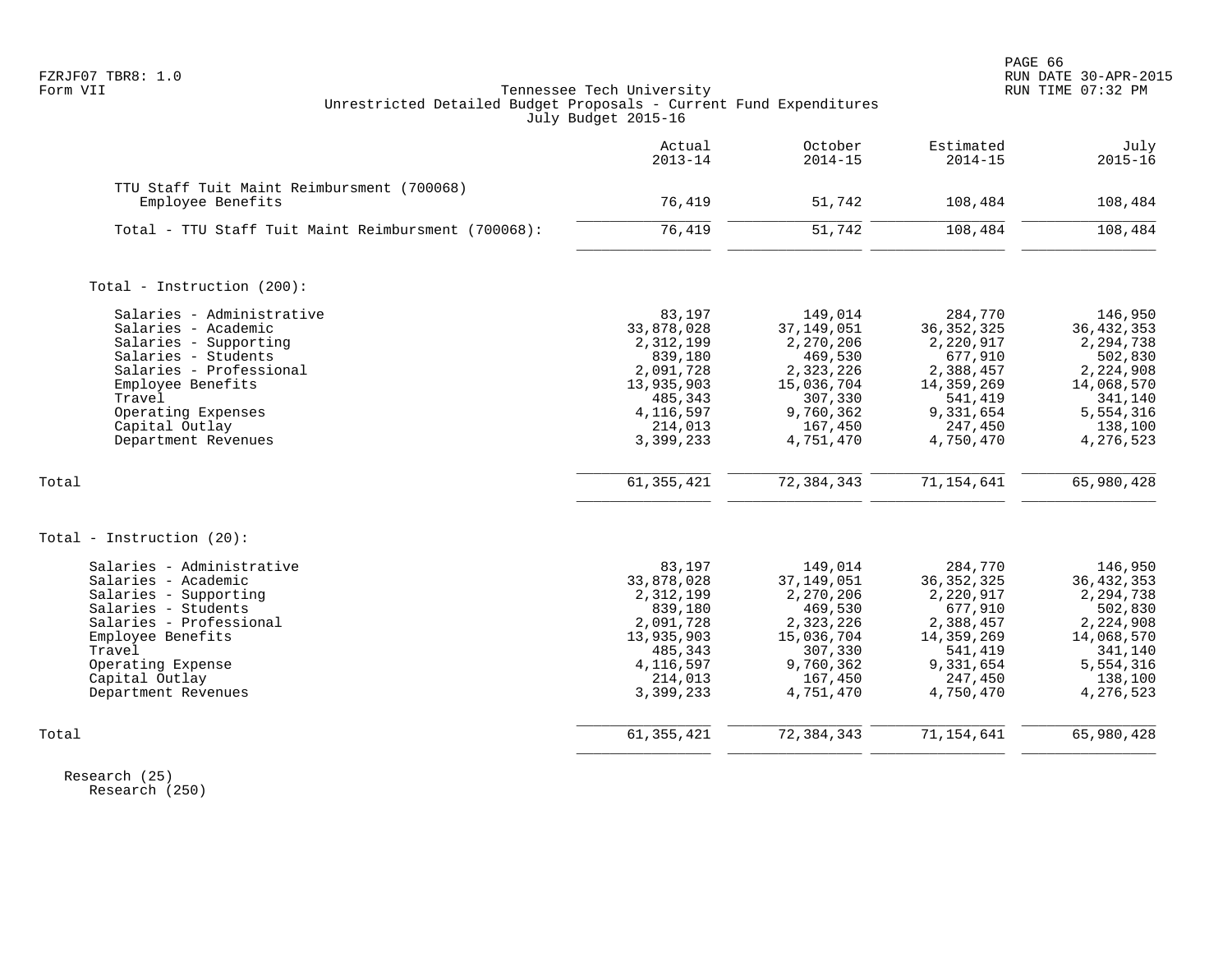|                                                                                                                                                                                                                           | Actual<br>$2013 - 14$                                                                                                     | October<br>$2014 - 15$                                                                                                     | Estimated<br>$2014 - 15$                                                                                                   | July<br>$2015 - 16$                                                                                                          |
|---------------------------------------------------------------------------------------------------------------------------------------------------------------------------------------------------------------------------|---------------------------------------------------------------------------------------------------------------------------|----------------------------------------------------------------------------------------------------------------------------|----------------------------------------------------------------------------------------------------------------------------|------------------------------------------------------------------------------------------------------------------------------|
| TTU Staff Tuit Maint Reimbursment (700068)<br>Employee Benefits                                                                                                                                                           | 76,419                                                                                                                    | 51,742                                                                                                                     | 108,484                                                                                                                    | 108,484                                                                                                                      |
| Total - TTU Staff Tuit Maint Reimbursment (700068):                                                                                                                                                                       | 76,419                                                                                                                    | 51,742                                                                                                                     | 108,484                                                                                                                    | 108,484                                                                                                                      |
| Total - Instruction (200):                                                                                                                                                                                                |                                                                                                                           |                                                                                                                            |                                                                                                                            |                                                                                                                              |
| Salaries - Administrative<br>Salaries - Academic<br>Salaries - Supporting<br>Salaries - Students<br>Salaries - Professional<br>Employee Benefits<br>Travel<br>Operating Expenses<br>Capital Outlay<br>Department Revenues | 83,197<br>33,878,028<br>2,312,199<br>839,180<br>2,091,728<br>13,935,903<br>485,343<br>4,116,597<br>214,013<br>3,399,233   | 149,014<br>37, 149, 051<br>2,270,206<br>469,530<br>2,323,226<br>15,036,704<br>307,330<br>9,760,362<br>167,450<br>4,751,470 | 284,770<br>36, 352, 325<br>2,220,917<br>677,910<br>2,388,457<br>14,359,269<br>541,419<br>9,331,654<br>247,450<br>4,750,470 | 146,950<br>36, 432, 353<br>2,294,738<br>502,830<br>2,224,908<br>14,068,570<br>341,140<br>5,554,316<br>138,100<br>4,276,523   |
| Total                                                                                                                                                                                                                     | 61, 355, 421                                                                                                              | 72, 384, 343                                                                                                               | 71, 154, 641                                                                                                               | 65,980,428                                                                                                                   |
| Total - Instruction $(20)$ :                                                                                                                                                                                              |                                                                                                                           |                                                                                                                            |                                                                                                                            |                                                                                                                              |
| Salaries - Administrative<br>Salaries - Academic<br>Salaries - Supporting<br>Salaries - Students<br>Salaries - Professional<br>Employee Benefits<br>Travel<br>Operating Expense<br>Capital Outlay<br>Department Revenues  | 83,197<br>33,878,028<br>2, 312, 199<br>839,180<br>2,091,728<br>13,935,903<br>485,343<br>4,116,597<br>214,013<br>3,399,233 | 149,014<br>37, 149, 051<br>2,270,206<br>469,530<br>2,323,226<br>15,036,704<br>307,330<br>9,760,362<br>167,450<br>4,751,470 | 284,770<br>36, 352, 325<br>2,220,917<br>677,910<br>2,388,457<br>14,359,269<br>541,419<br>9,331,654<br>247,450<br>4,750,470 | 146,950<br>36, 432, 353<br>2, 294, 738<br>502,830<br>2,224,908<br>14,068,570<br>341,140<br>5,554,316<br>138,100<br>4,276,523 |
| Total                                                                                                                                                                                                                     | 61, 355, 421                                                                                                              | 72, 384, 343                                                                                                               | 71, 154, 641                                                                                                               | 65,980,428                                                                                                                   |

 Research (25) Research (250)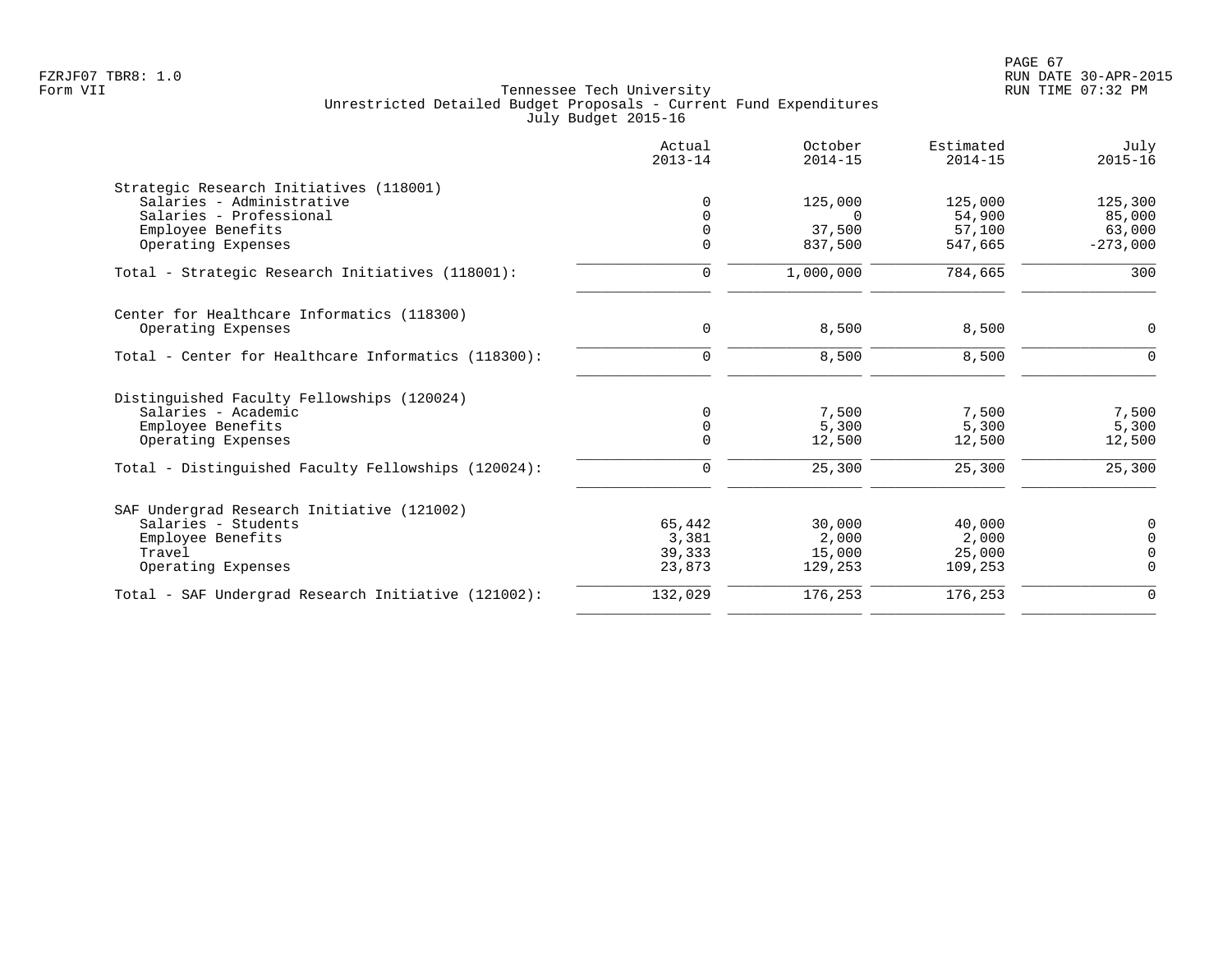|                                                     | Actual<br>$2013 - 14$ | October<br>$2014 - 15$ | Estimated<br>$2014 - 15$ | July<br>$2015 - 16$ |
|-----------------------------------------------------|-----------------------|------------------------|--------------------------|---------------------|
| Strategic Research Initiatives (118001)             |                       |                        |                          |                     |
| Salaries - Administrative                           |                       | 125,000                | 125,000                  | 125,300             |
| Salaries - Professional                             |                       | $\Omega$               | 54,900                   | 85,000              |
| Employee Benefits                                   |                       | 37,500                 | 57,100                   | 63,000              |
| Operating Expenses                                  |                       | 837,500                | 547,665                  | $-273,000$          |
| Total - Strategic Research Initiatives (118001):    | 0                     | 1,000,000              | 784,665                  | 300                 |
| Center for Healthcare Informatics (118300)          |                       |                        |                          |                     |
| Operating Expenses                                  | 0                     | 8,500                  | 8,500                    | $\mathbf 0$         |
| Total - Center for Healthcare Informatics (118300): | $\mathbf 0$           | 8,500                  | 8,500                    | $\Omega$            |
|                                                     |                       |                        |                          |                     |
| Distinguished Faculty Fellowships (120024)          |                       |                        |                          |                     |
| Salaries - Academic                                 | $\Omega$              | 7,500                  | 7,500                    | 7,500               |
| Employee Benefits                                   |                       | 5,300                  | 5,300                    | 5,300               |
| Operating Expenses                                  |                       | 12,500                 | 12,500                   | 12,500              |
| Total - Distinguished Faculty Fellowships (120024): | 0                     | 25,300                 | 25,300                   | 25,300              |
| SAF Undergrad Research Initiative (121002)          |                       |                        |                          |                     |
| Salaries - Students                                 | 65,442                | 30,000                 | 40,000                   | 0                   |
| Employee Benefits                                   | 3,381                 | 2,000                  | 2,000                    | $\mathbf 0$         |
| Travel                                              | 39,333                | 15,000                 | 25,000                   | $\mathbf 0$         |
| Operating Expenses                                  | 23,873                | 129,253                | 109,253                  | $\Omega$            |
| Total - SAF Undergrad Research Initiative (121002): | 132,029               | 176,253                | 176,253                  | $\mathbf 0$         |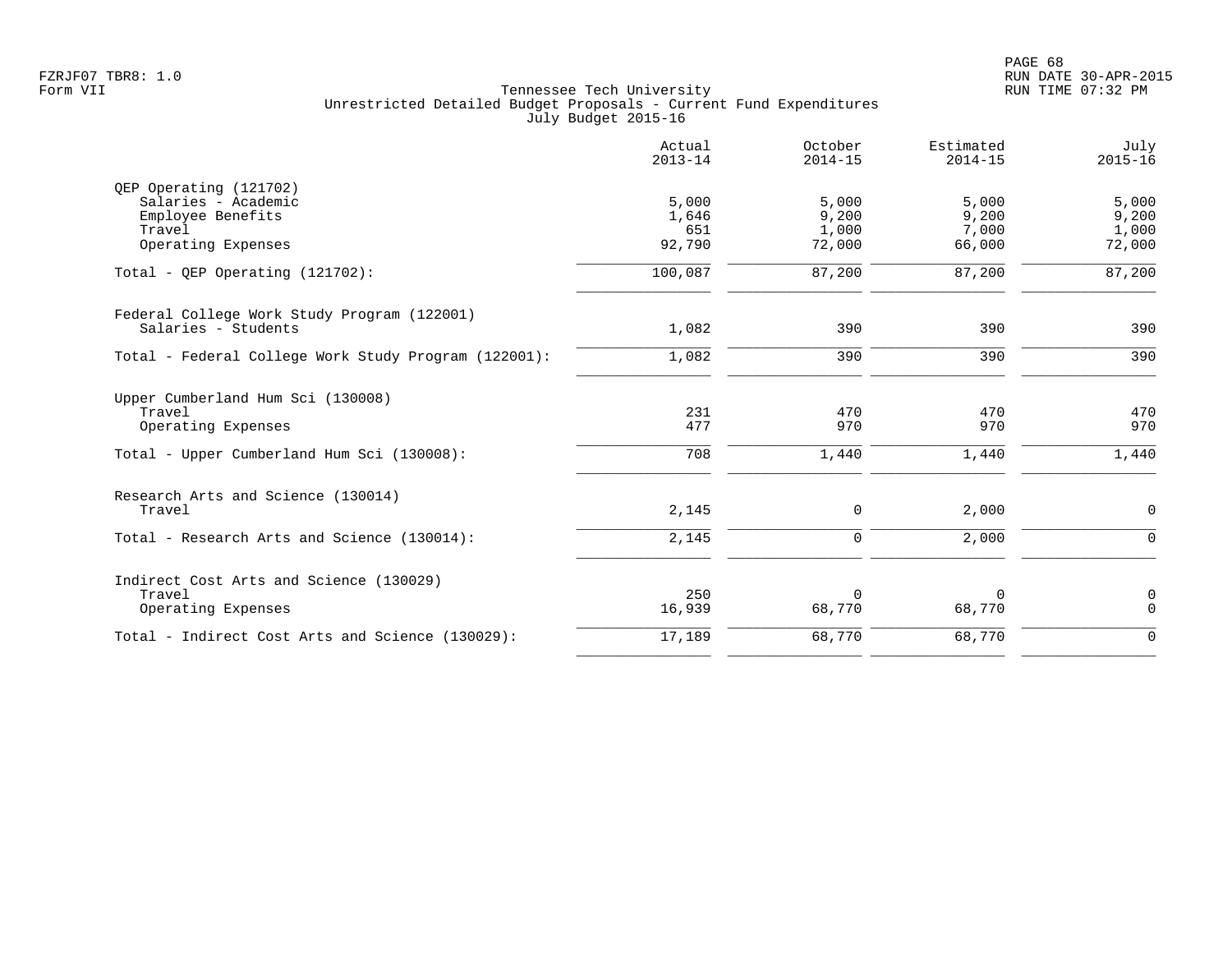|                                                      | Actual<br>$2013 - 14$ | October<br>$2014 - 15$ | Estimated<br>$2014 - 15$ | July<br>$2015 - 16$ |
|------------------------------------------------------|-----------------------|------------------------|--------------------------|---------------------|
| QEP Operating (121702)                               |                       |                        |                          |                     |
| Salaries - Academic                                  | 5,000                 | 5,000                  | 5,000                    | 5,000               |
| Employee Benefits                                    | 1,646                 | 9,200                  | 9,200                    | 9,200               |
| Travel                                               | 651                   | 1,000                  | 7,000                    | 1,000               |
| Operating Expenses                                   | 92,790                | 72,000                 | 66,000                   | 72,000              |
| Total - QEP Operating $(121702)$ :                   | 100,087               | 87,200                 | 87,200                   | 87,200              |
| Federal College Work Study Program (122001)          |                       |                        |                          |                     |
| Salaries - Students                                  | 1,082                 | 390                    | 390                      | 390                 |
| Total - Federal College Work Study Program (122001): | 1,082                 | 390                    | 390                      | 390                 |
| Upper Cumberland Hum Sci (130008)                    |                       |                        |                          |                     |
| Travel                                               | 231                   | 470                    | 470                      | 470                 |
| Operating Expenses                                   | 477                   | 970                    | 970                      | 970                 |
| Total - Upper Cumberland Hum Sci (130008):           | 708                   | 1,440                  | 1,440                    | 1,440               |
| Research Arts and Science (130014)                   |                       |                        |                          |                     |
| Travel                                               | 2,145                 | 0                      | 2,000                    | $\mathsf{O}$        |
| Total - Research Arts and Science (130014):          | 2,145                 | 0                      | 2,000                    | $\mathbf 0$         |
| Indirect Cost Arts and Science (130029)              |                       |                        |                          |                     |
| Travel                                               | 250                   | $\Omega$               | 0                        | $\mathbf 0$         |
| Operating Expenses                                   | 16,939                | 68,770                 | 68,770                   | $\mathbf 0$         |
| Total - Indirect Cost Arts and Science (130029):     | 17,189                | 68,770                 | 68,770                   | $\mathbf 0$         |
|                                                      |                       |                        |                          |                     |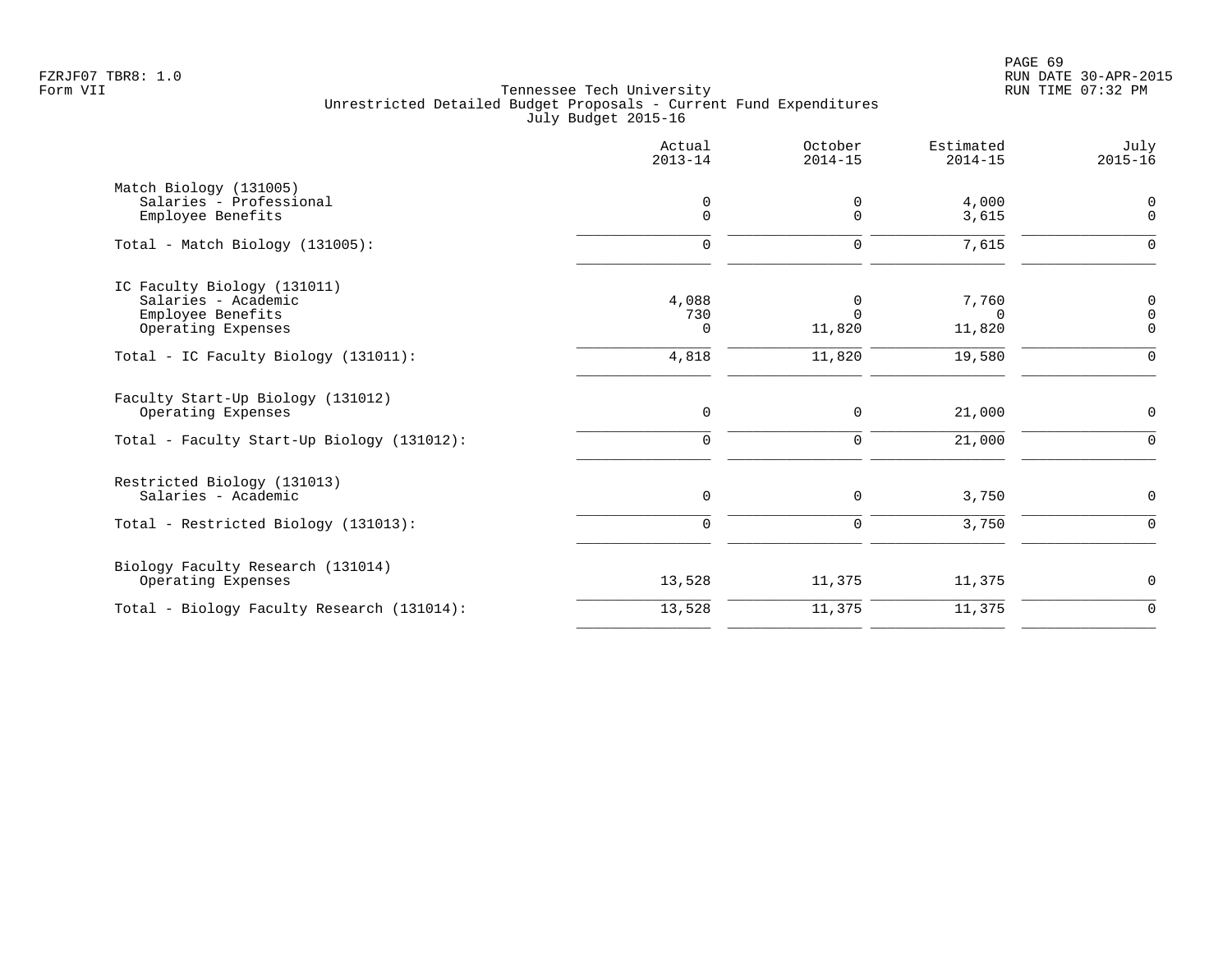|                                                                                                       | Actual<br>$2013 - 14$       | October<br>$2014 - 15$            | Estimated<br>$2014 - 15$    | July<br>$2015 - 16$          |
|-------------------------------------------------------------------------------------------------------|-----------------------------|-----------------------------------|-----------------------------|------------------------------|
| Match Biology (131005)<br>Salaries - Professional<br>Employee Benefits                                | 0<br>$\mathbf 0$            | 0<br>$\Omega$                     | 4,000<br>3,615              | $\Omega$<br>$\overline{0}$   |
| Total - Match Biology (131005):                                                                       | $\mathbf 0$                 | $\mathbf 0$                       | 7,615                       | $\Omega$                     |
| IC Faculty Biology (131011)<br>Salaries - Academic<br>Employee Benefits<br>Operating Expenses         | 4,088<br>730<br>$\Omega$    | $\mathbf 0$<br>$\Omega$<br>11,820 | 7,760<br>$\Omega$<br>11,820 | 0<br>$\Omega$<br>$\mathbf 0$ |
| Total - IC Faculty Biology (131011):                                                                  | 4,818                       | 11,820                            | 19,580                      | $\mathbf 0$                  |
| Faculty Start-Up Biology (131012)<br>Operating Expenses<br>Total - Faculty Start-Up Biology (131012): | $\mathsf{O}$<br>$\mathbf 0$ | 0<br>$\mathbf 0$                  | 21,000<br>21,000            | 0<br>$\Omega$                |
| Restricted Biology (131013)<br>Salaries - Academic                                                    | $\mathbf 0$                 | 0                                 | 3,750                       | 0                            |
| Total - Restricted Biology (131013):                                                                  | $\mathbf 0$                 | $\mathbf 0$                       | 3,750                       | $\mathbf 0$                  |
| Biology Faculty Research (131014)<br>Operating Expenses                                               | 13,528                      | 11,375                            | 11,375                      | 0                            |
| Total - Biology Faculty Research (131014):                                                            | 13,528                      | 11,375                            | 11,375                      | $\mathbf 0$                  |
|                                                                                                       |                             |                                   |                             |                              |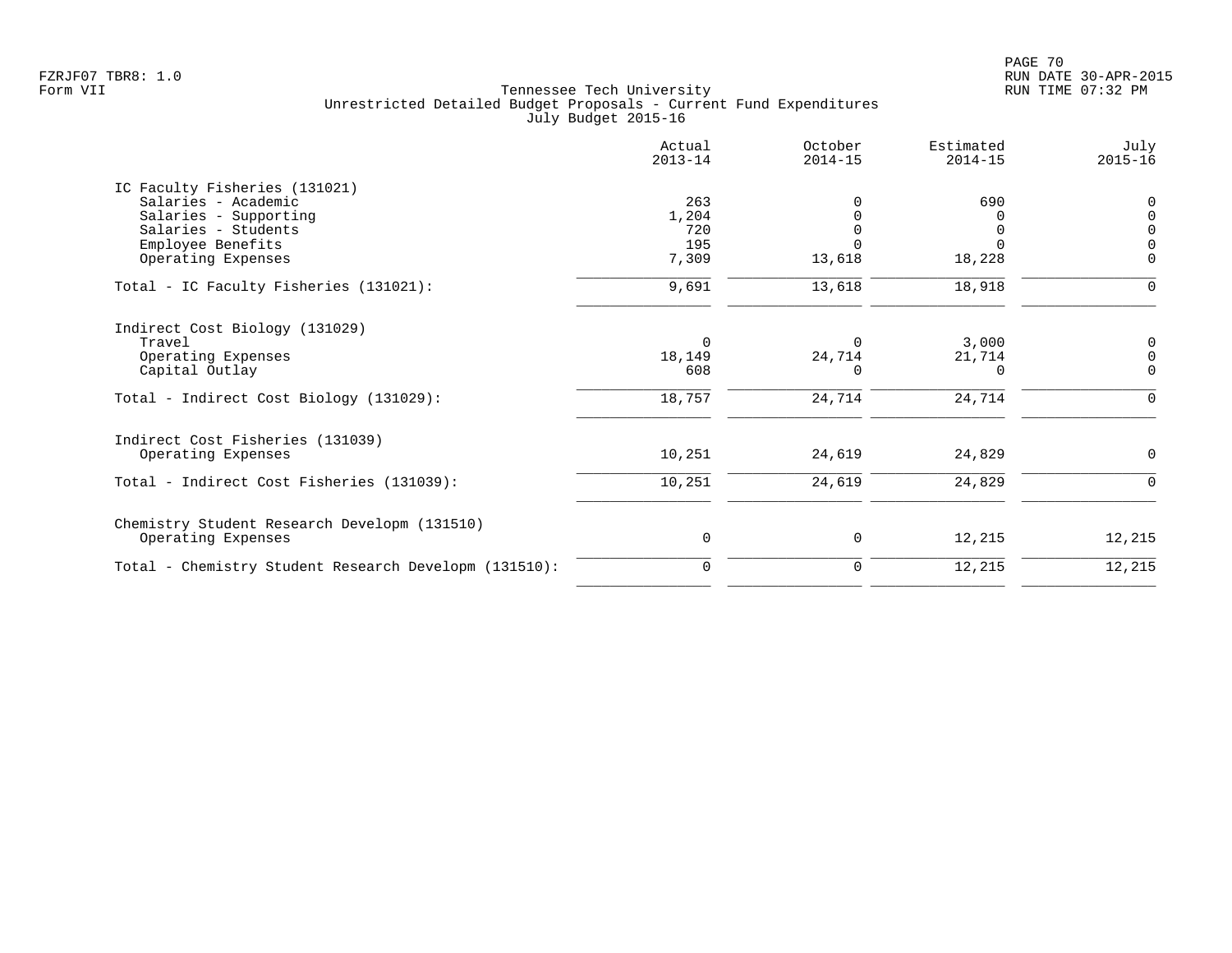| Actual<br>$2013 - 14$ | October<br>$2014 - 15$        | Estimated<br>$2014 - 15$         | July<br>$2015 - 16$                               |
|-----------------------|-------------------------------|----------------------------------|---------------------------------------------------|
|                       |                               |                                  |                                                   |
| 263                   |                               | 690                              | $\Omega$                                          |
| 1,204                 |                               |                                  | $\Omega$                                          |
| 720                   |                               |                                  | $\Omega$                                          |
|                       |                               |                                  |                                                   |
|                       |                               |                                  | $\Omega$                                          |
| 9,691                 | 13,618                        | 18,918                           |                                                   |
|                       |                               |                                  |                                                   |
| $\Omega$              | 0                             |                                  | 0                                                 |
|                       |                               |                                  | $\Omega$                                          |
|                       |                               |                                  | $\Omega$                                          |
| 18,757                | 24,714                        | 24,714                           | $\Omega$                                          |
|                       |                               |                                  |                                                   |
| 10,251                | 24,619                        | 24,829                           | $\Omega$                                          |
| 10,251                | 24,619                        | 24,829                           | $\Omega$                                          |
|                       |                               |                                  |                                                   |
| 0                     | 0                             | 12,215                           | 12,215                                            |
| 0                     | 0                             | 12,215                           | 12,215                                            |
|                       | 195<br>7,309<br>18,149<br>608 | 13,618<br>24,714<br><sup>0</sup> | $\Omega$<br>18,228<br>3,000<br>21,714<br>$\Omega$ |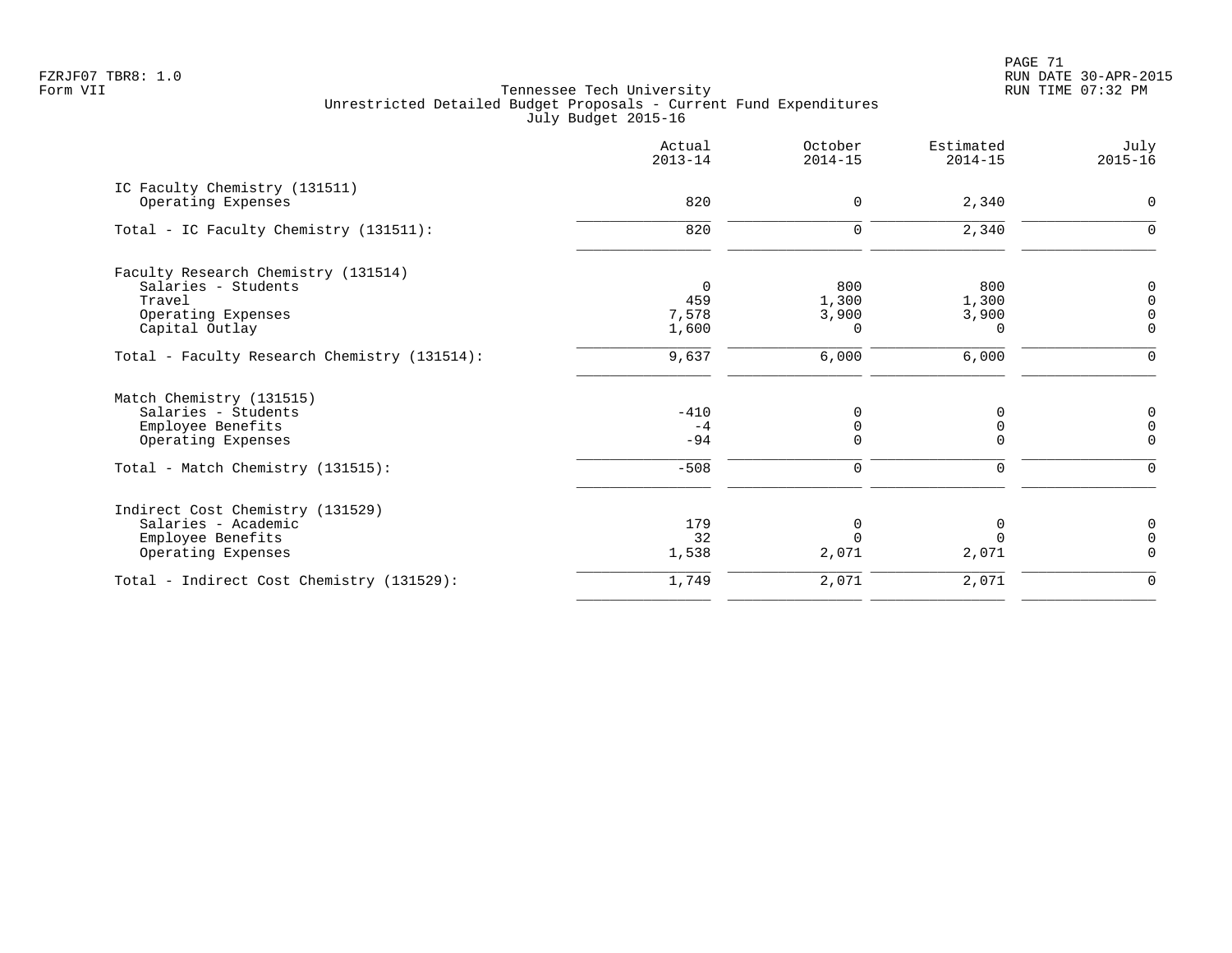PAGE 71 FZRJF07 TBR8: 1.0 RUN DATE 30-APR-2015

|                                                            | Actual<br>$2013 - 14$ | October<br>$2014 - 15$ | Estimated<br>$2014 - 15$ | July<br>$2015 - 16$ |
|------------------------------------------------------------|-----------------------|------------------------|--------------------------|---------------------|
| IC Faculty Chemistry (131511)                              |                       |                        |                          |                     |
| Operating Expenses                                         | 820                   | 0                      | 2,340                    | $\mathbf 0$         |
| Total - IC Faculty Chemistry (131511):                     | 820                   | 0                      | 2,340                    | n                   |
|                                                            |                       |                        |                          |                     |
| Faculty Research Chemistry (131514)<br>Salaries - Students | 0                     | 800                    | 800                      | 0                   |
| Travel                                                     | 459                   | 1,300                  | 1,300                    |                     |
| Operating Expenses                                         | 7,578                 | 3,900                  | 3,900                    | 0                   |
| Capital Outlay                                             | 1,600                 | $\Omega$               | $\Omega$                 | $\Omega$            |
|                                                            |                       |                        |                          |                     |
| Total - Faculty Research Chemistry (131514):               | 9,637                 | 6,000                  | 6,000                    | 0                   |
| Match Chemistry (131515)                                   |                       |                        |                          |                     |
| Salaries - Students                                        | $-410$                | 0                      | O                        | 0                   |
| Employee Benefits                                          | $-4$                  | $\Omega$               | 0                        | $\overline{0}$      |
| Operating Expenses                                         | $-94$                 |                        | $\Omega$                 | $\Omega$            |
| Total - Match Chemistry (131515):                          | $-508$                | 0                      | 0                        | $\Omega$            |
| Indirect Cost Chemistry (131529)                           |                       |                        |                          |                     |
| Salaries - Academic                                        | 179                   | $\Omega$               | 0                        | 0                   |
| Employee Benefits                                          | 32                    |                        | $\Omega$                 | $\Omega$            |
| Operating Expenses                                         | 1,538                 | 2,071                  | 2,071                    | $\Omega$            |
| Total - Indirect Cost Chemistry (131529):                  | 1,749                 | 2,071                  | 2,071                    | $\mathbf 0$         |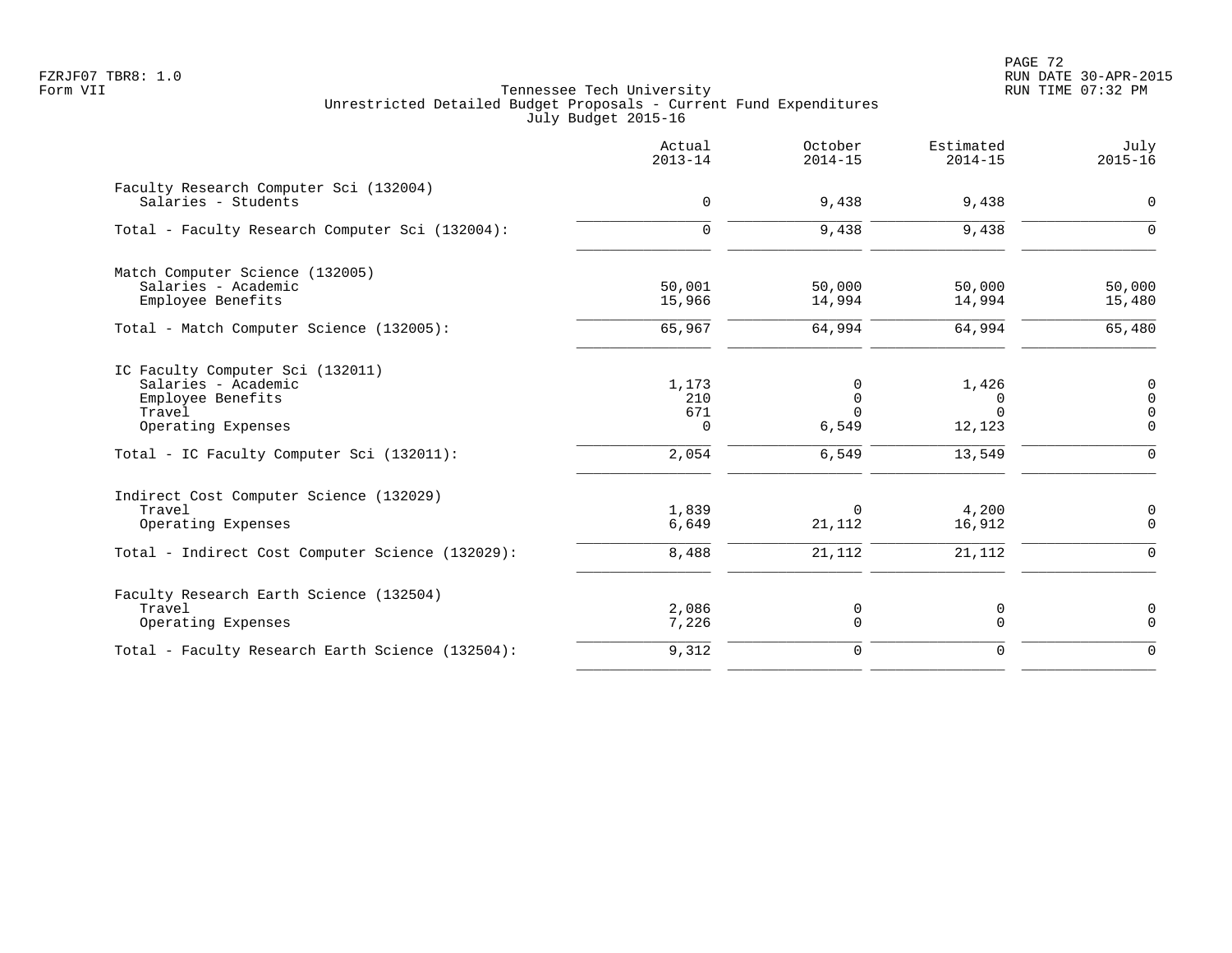PAGE 72 FZRJF07 TBR8: 1.0 RUN DATE 30-APR-2015

|                                                               | Actual<br>$2013 - 14$ | October<br>$2014 - 15$ | Estimated<br>$2014 - 15$ | July<br>$2015 - 16$        |
|---------------------------------------------------------------|-----------------------|------------------------|--------------------------|----------------------------|
| Faculty Research Computer Sci (132004)<br>Salaries - Students | 0                     | 9,438                  | 9,438                    | $\mathbf 0$                |
| Total - Faculty Research Computer Sci (132004):               | $\Omega$              | 9,438                  | 9,438                    | $\Omega$                   |
| Match Computer Science (132005)                               |                       |                        |                          |                            |
| Salaries - Academic<br>Employee Benefits                      | 50,001<br>15,966      | 50,000<br>14,994       | 50,000<br>14,994         | 50,000<br>15,480           |
| Total - Match Computer Science (132005):                      | 65,967                | 64,994                 | 64,994                   | 65,480                     |
| IC Faculty Computer Sci (132011)                              |                       |                        |                          |                            |
| Salaries - Academic                                           | 1,173                 | $\Omega$               | 1,426                    | $\mathbf 0$                |
| Employee Benefits<br>Travel                                   | 210<br>671            | $\Omega$<br>$\Omega$   | $\Omega$<br>$\Omega$     | $\Omega$<br>$\overline{0}$ |
| Operating Expenses                                            | $\Omega$              | 6,549                  | 12,123                   | $\Omega$                   |
| Total - IC Faculty Computer Sci (132011):                     | 2,054                 | 6,549                  | 13,549                   | $\Omega$                   |
| Indirect Cost Computer Science (132029)                       |                       |                        |                          |                            |
| Travel                                                        | 1,839                 | $\Omega$               | 4,200                    | 0                          |
| Operating Expenses                                            | 6,649                 | 21,112                 | 16,912                   | $\mathbf 0$                |
| Total - Indirect Cost Computer Science (132029):              | 8,488                 | 21,112                 | 21,112                   | $\Omega$                   |
| Faculty Research Earth Science (132504)                       |                       |                        |                          |                            |
| Travel                                                        | 2,086                 | 0                      | 0                        | 0                          |
| Operating Expenses                                            | 7,226                 | 0                      | 0                        | $\Omega$                   |
| Total - Faculty Research Earth Science (132504):              | 9,312                 | $\mathbf 0$            | 0                        | $\Omega$                   |
|                                                               |                       |                        |                          |                            |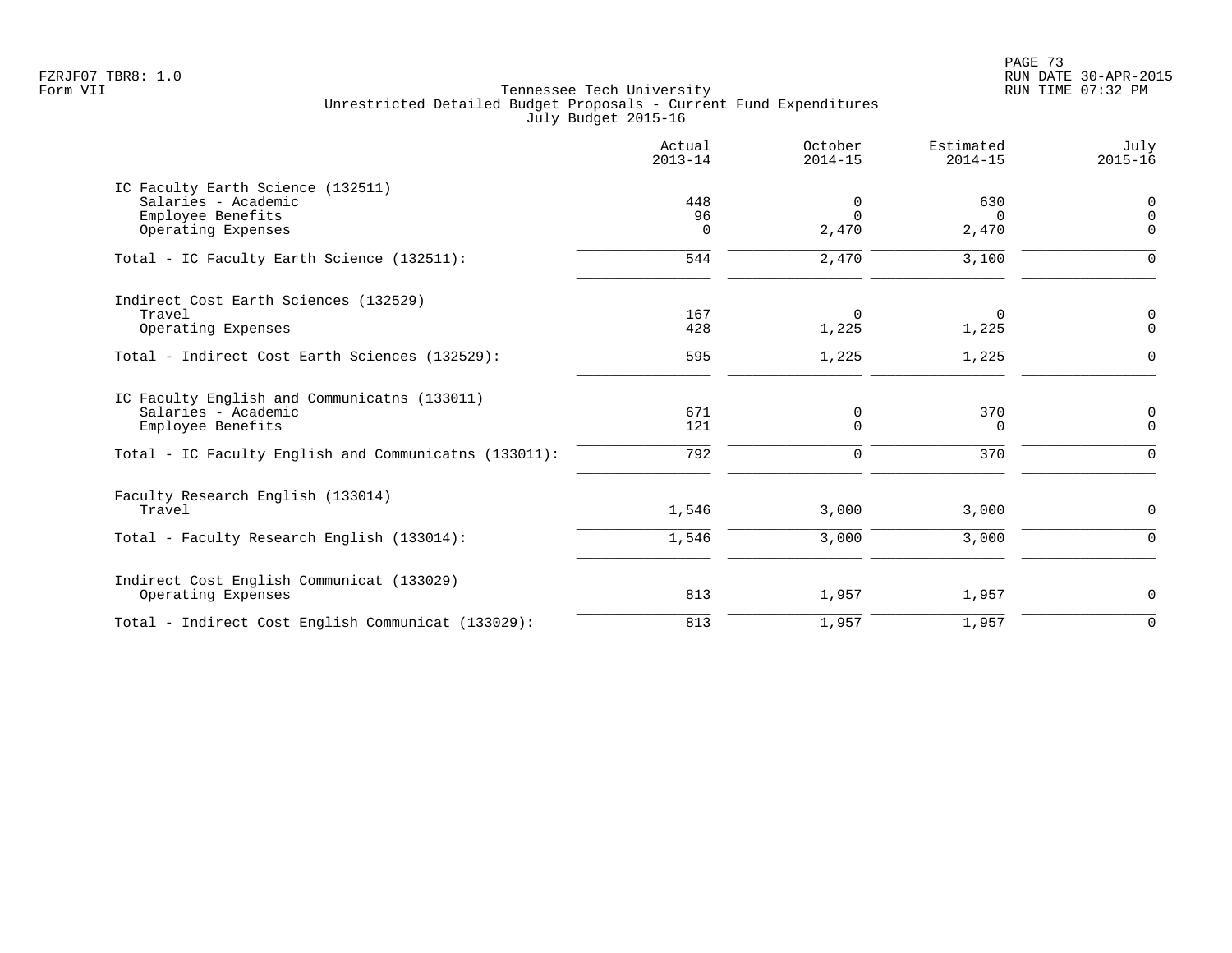|                                                                                                                         | Actual<br>$2013 - 14$       | October<br>$2014 - 15$ | Estimated<br>$2014 - 15$   | July<br>$2015 - 16$             |
|-------------------------------------------------------------------------------------------------------------------------|-----------------------------|------------------------|----------------------------|---------------------------------|
| IC Faculty Earth Science (132511)<br>Salaries - Academic<br>Employee Benefits<br>Operating Expenses                     | 448<br>96<br>$\overline{0}$ | 0<br>$\Omega$<br>2,470 | 630<br>$\Omega$<br>2,470   | 0<br>$\Omega$<br>$\Omega$       |
| Total - IC Faculty Earth Science (132511):                                                                              | 544                         | 2,470                  | 3,100                      | $\Omega$                        |
| Indirect Cost Earth Sciences (132529)<br>Travel<br>Operating Expenses<br>Total - Indirect Cost Earth Sciences (132529): | 167<br>428<br>595           | 0<br>1,225<br>1,225    | $\Omega$<br>1,225<br>1,225 | 0<br>$\overline{0}$<br>$\Omega$ |
| IC Faculty English and Communicatns (133011)<br>Salaries - Academic<br>Employee Benefits                                | 671<br>121                  | 0<br>$\mathbf 0$       | 370<br>0                   | 0<br>$\mathbf 0$                |
| Total - IC Faculty English and Communicatns (133011):                                                                   | 792                         | $\mathbf 0$            | 370                        | $\Omega$                        |
| Faculty Research English (133014)<br>Travel                                                                             | 1,546                       | 3,000                  | 3,000                      | 0                               |
| Total - Faculty Research English (133014):                                                                              | 1,546                       | 3,000                  | 3,000                      | $\mathbf 0$                     |
| Indirect Cost English Communicat (133029)<br>Operating Expenses                                                         | 813                         | 1,957                  | 1,957                      | $\mathbf 0$                     |
| Total - Indirect Cost English Communicat (133029):                                                                      | 813                         | 1,957                  | 1,957                      | $\mathbf 0$                     |
|                                                                                                                         |                             |                        |                            |                                 |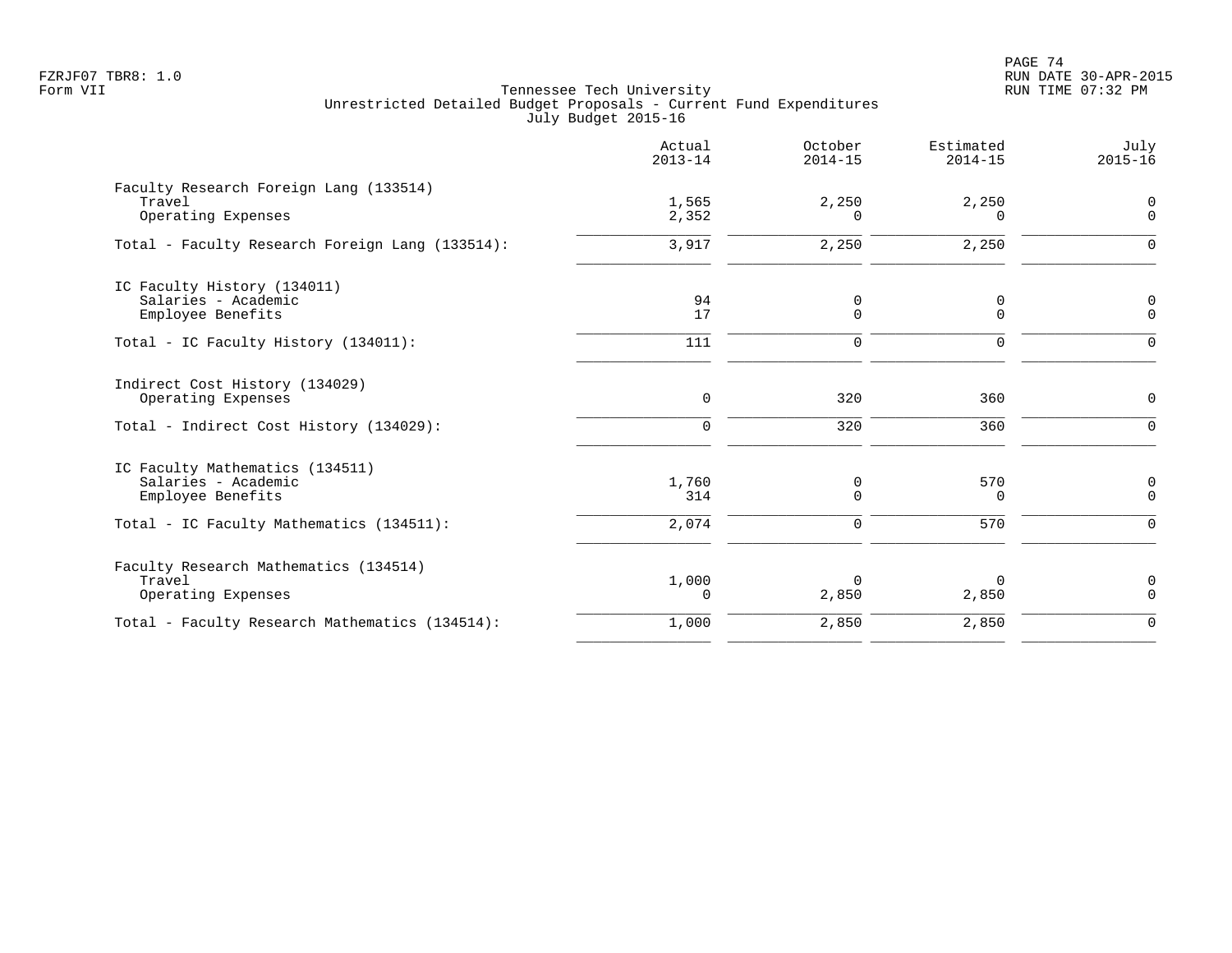PAGE 74 FZRJF07 TBR8: 1.0 RUN DATE 30-APR-2015

|                                                                             | Actual<br>$2013 - 14$ | October<br>$2014 - 15$ | Estimated<br>$2014 - 15$ | July<br>$2015 - 16$        |
|-----------------------------------------------------------------------------|-----------------------|------------------------|--------------------------|----------------------------|
| Faculty Research Foreign Lang (133514)<br>Travel<br>Operating Expenses      | 1,565<br>2,352        | 2,250<br>$\Omega$      | 2,250<br>$\Omega$        | $\mathbf 0$<br>$\mathbf 0$ |
| Total - Faculty Research Foreign Lang (133514):                             | 3,917                 | 2,250                  | 2,250                    | $\Omega$                   |
| IC Faculty History (134011)<br>Salaries - Academic<br>Employee Benefits     | 94<br>17              | 0<br>$\Omega$          | 0<br>$\Omega$            | 0<br>$\Omega$              |
| Total - IC Faculty History (134011):                                        | 111                   | $\mathbf 0$            | $\mathbf 0$              | $\Omega$                   |
| Indirect Cost History (134029)<br>Operating Expenses                        | $\mathbf 0$           | 320                    | 360                      | $\mathbf 0$                |
| Total - Indirect Cost History (134029):                                     | $\mathbf 0$           | 320                    | 360                      | $\Omega$                   |
| IC Faculty Mathematics (134511)<br>Salaries - Academic<br>Employee Benefits | 1,760<br>314          | 0<br>$\Omega$          | 570<br>$\Omega$          | 0<br>$\Omega$              |
| Total - IC Faculty Mathematics (134511):                                    | 2,074                 | 0                      | 570                      | $\Omega$                   |
| Faculty Research Mathematics (134514)<br>Travel<br>Operating Expenses       | 1,000<br>$\Omega$     | $\Omega$<br>2,850      | 0<br>2,850               | $\mathbf 0$<br>$\Omega$    |
| Total - Faculty Research Mathematics (134514):                              | 1,000                 | 2,850                  | 2,850                    | $\mathbf 0$                |
|                                                                             |                       |                        |                          |                            |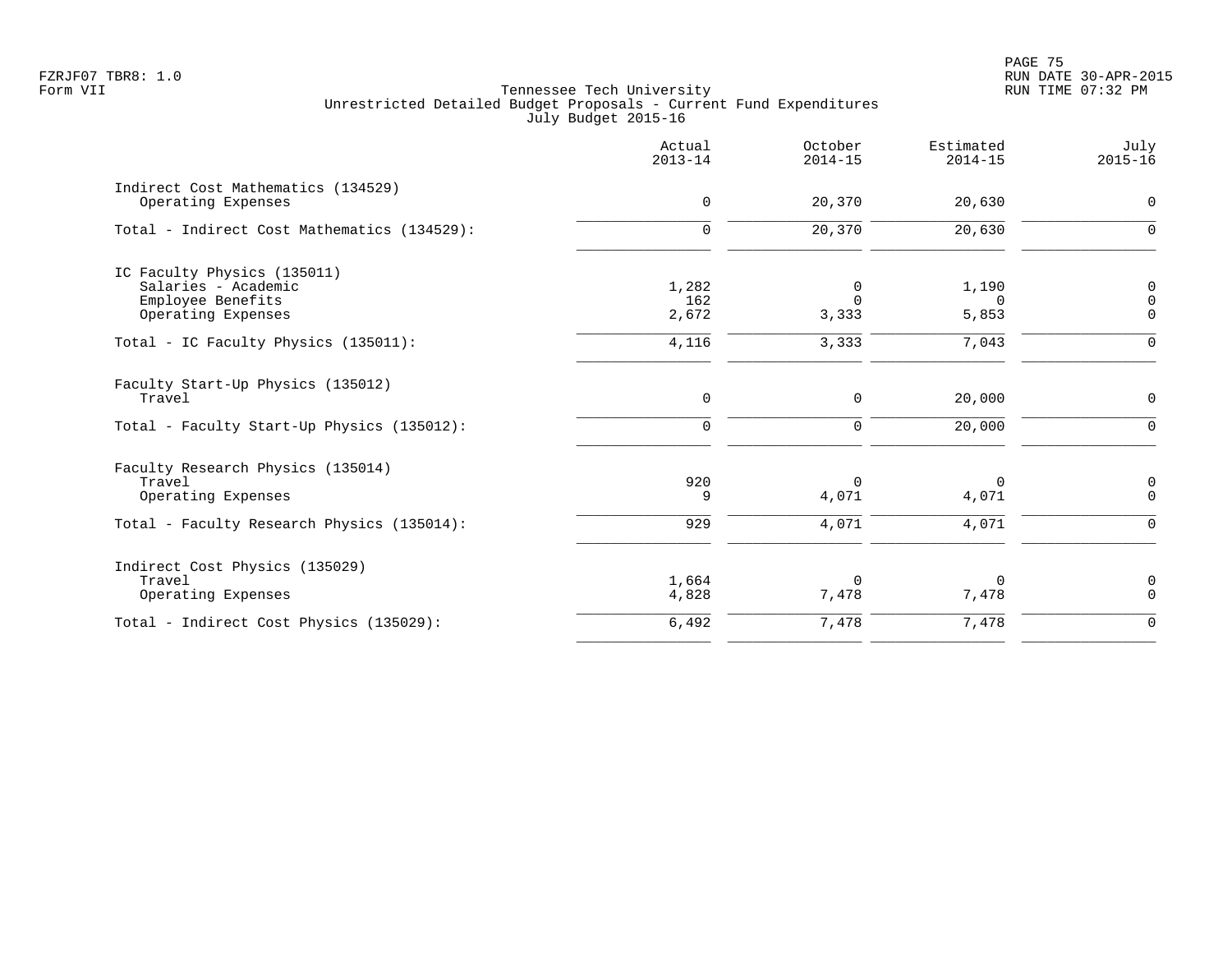|                                                                         | Actual<br>$2013 - 14$ | October<br>$2014 - 15$  | Estimated<br>$2014 - 15$ | July<br>$2015 - 16$        |
|-------------------------------------------------------------------------|-----------------------|-------------------------|--------------------------|----------------------------|
| Indirect Cost Mathematics (134529)<br>Operating Expenses                | $\mathbf 0$           | 20,370                  | 20,630                   | $\mathbf 0$                |
| Total - Indirect Cost Mathematics (134529):                             | $\mathbf 0$           | 20,370                  | 20,630                   | $\mathbf 0$                |
| IC Faculty Physics (135011)<br>Salaries - Academic<br>Employee Benefits | 1,282<br>162          | 0<br>$\Omega$           | 1,190<br>$\Omega$        | 0<br>0                     |
| Operating Expenses<br>Total - IC Faculty Physics (135011):              | 2,672<br>4,116        | 3,333<br>3,333          | 5,853<br>7,043           | $\mathbf 0$<br>$\mathbf 0$ |
| Faculty Start-Up Physics (135012)<br>Travel                             | $\mathbf 0$           | 0                       | 20,000                   | $\mathbf 0$                |
| Total - Faculty Start-Up Physics (135012):                              | $\mathbf 0$           | $\mathbf 0$             | 20,000                   | $\Omega$                   |
| Faculty Research Physics (135014)<br>Travel<br>Operating Expenses       | 920<br>9              | $\mathbf 0$<br>4,071    | $\Omega$<br>4,071        | 0<br>$\Omega$              |
| Total - Faculty Research Physics (135014):                              | 929                   | 4,071                   | 4,071                    | $\Omega$                   |
| Indirect Cost Physics (135029)<br>Travel<br>Operating Expenses          | 1,664<br>4,828        | $\overline{0}$<br>7,478 | $\Omega$<br>7,478        | 0<br>$\mathbf 0$           |
| Total - Indirect Cost Physics (135029):                                 | 6,492                 | 7,478                   | 7,478                    | $\mathbf 0$                |
|                                                                         |                       |                         |                          |                            |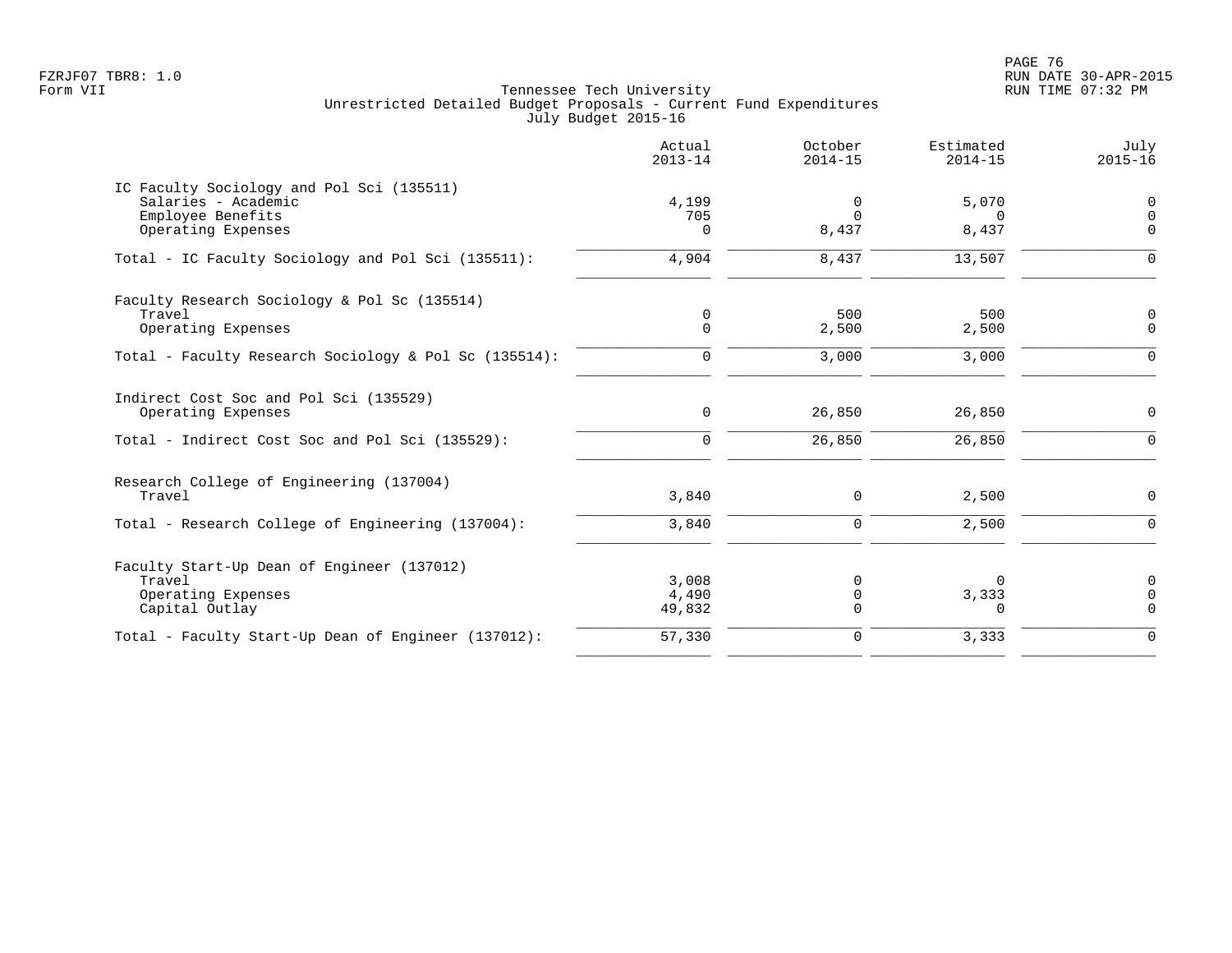en and the set of the set of the set of the set of the set of the set of the set of the set of the set of the set of the set of the set of the set of the set of the set of the set of the set of the set of the set of the se FZRJF07 TBR8: 1.0 RUN DATE 30-APR-2015

|                                                                                       | Actual<br>$2013 - 14$ | October<br>$2014 - 15$ | Estimated<br>$2014 - 15$ | July<br>$2015 - 16$        |
|---------------------------------------------------------------------------------------|-----------------------|------------------------|--------------------------|----------------------------|
| IC Faculty Sociology and Pol Sci (135511)<br>Salaries - Academic<br>Employee Benefits | 4,199<br>705          | 0<br>$\Omega$          | 5,070<br>$\Omega$        | 0<br>$\overline{0}$        |
| Operating Expenses                                                                    | $\Omega$              | 8,437                  | 8,437                    | $\Omega$                   |
| Total - IC Faculty Sociology and Pol Sci (135511):                                    | 4,904                 | 8,437                  | 13,507                   | $\Omega$                   |
| Faculty Research Sociology & Pol Sc (135514)                                          |                       |                        |                          |                            |
| Travel<br>Operating Expenses                                                          | 0<br>$\Omega$         | 500<br>2,500           | 500<br>2,500             | 0<br>$\mathbf 0$           |
| Total - Faculty Research Sociology & Pol Sc (135514):                                 | 0                     | 3,000                  | 3,000                    | $\mathbf 0$                |
| Indirect Cost Soc and Pol Sci (135529)<br>Operating Expenses                          | 0                     | 26,850                 | 26,850                   | 0                          |
| Total - Indirect Cost Soc and Pol Sci (135529):                                       | 0                     | 26,850                 | 26,850                   | $\mathbf 0$                |
| Research College of Engineering (137004)<br>Travel                                    | 3,840                 | 0                      | 2,500                    | $\mathbf 0$                |
| Total - Research College of Engineering (137004):                                     | 3,840                 | 0                      | 2,500                    | $\mathbf 0$                |
| Faculty Start-Up Dean of Engineer (137012)                                            |                       |                        |                          |                            |
| Travel                                                                                | 3,008                 | 0                      | $\Omega$                 | $\mathbf 0$                |
| Operating Expenses<br>Capital Outlay                                                  | 4,490<br>49,832       | 0<br>0                 | 3,333<br>0               | $\mathbf 0$<br>$\mathbf 0$ |
| Total - Faculty Start-Up Dean of Engineer (137012):                                   | 57,330                | 0                      | 3,333                    | $\mathbf 0$                |
|                                                                                       |                       |                        |                          |                            |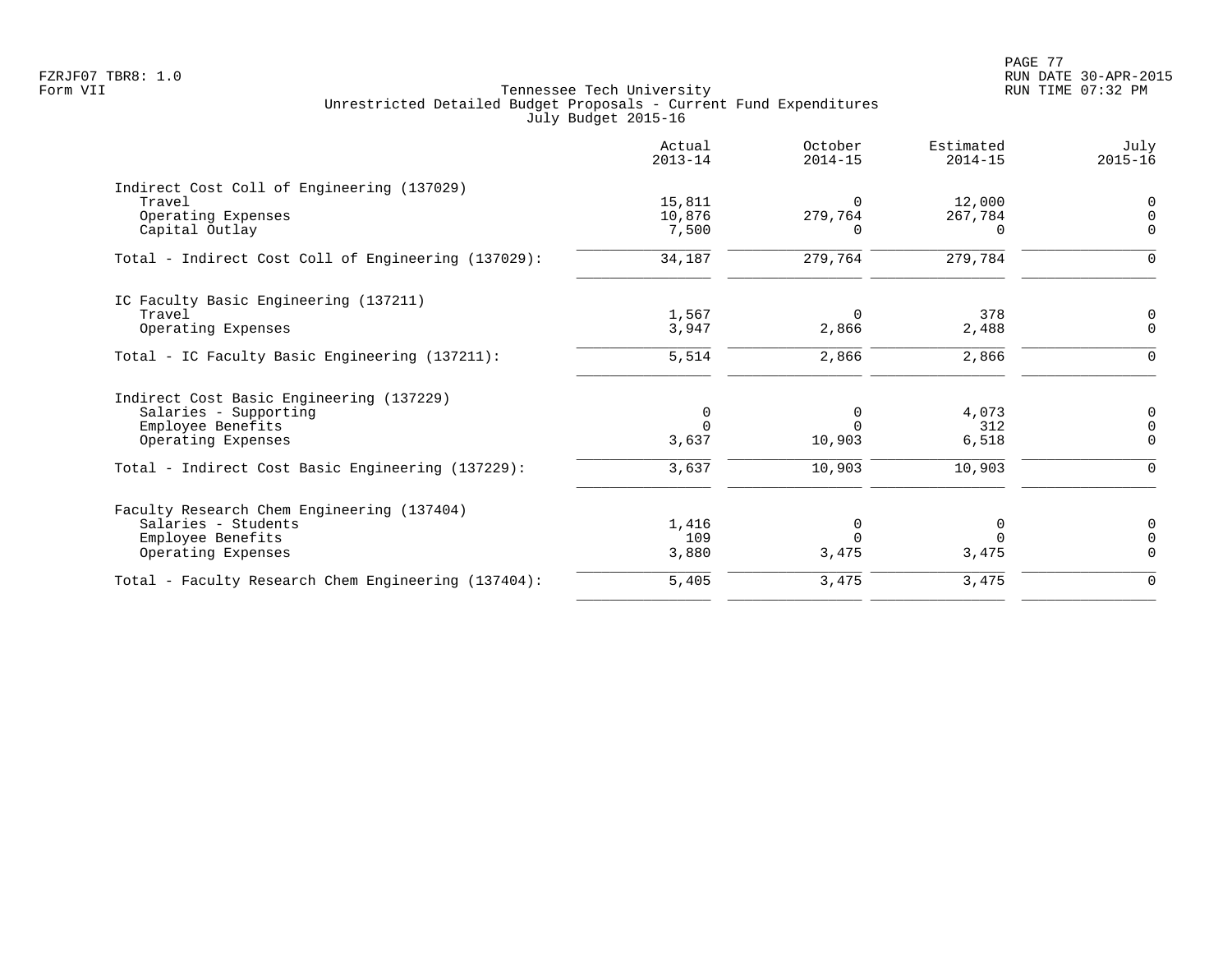| Actual<br>$2013 - 14$ | October<br>$2014 - 15$ | Estimated<br>$2014 - 15$ | July<br>$2015 - 16$ |
|-----------------------|------------------------|--------------------------|---------------------|
|                       |                        |                          |                     |
| 15,811                | $\Omega$               | 12,000                   | $\Omega$            |
| 10,876                | 279,764                | 267,784                  | $\Omega$            |
| 7,500                 | n                      | $\Omega$                 | $\Omega$            |
| 34,187                | 279,764                | 279,784                  | $\mathbf 0$         |
|                       |                        |                          |                     |
| 1,567                 | $\Omega$               | 378                      | 0                   |
| 3,947                 | 2,866                  | 2,488                    | $\Omega$            |
| 5,514                 | 2,866                  | 2,866                    | $\Omega$            |
|                       |                        |                          |                     |
| 0                     | 0                      | 4,073                    | 0                   |
| $\Omega$              | $\Omega$               | 312                      | $\overline{0}$      |
| 3,637                 | 10,903                 | 6,518                    | $\Omega$            |
| 3,637                 | 10,903                 | 10,903                   | $\Omega$            |
|                       |                        |                          |                     |
|                       |                        |                          | 0                   |
| 109                   | $\Omega$               | $\Omega$                 | $\Omega$            |
| 3,880                 | 3,475                  | 3,475                    | $\Omega$            |
| 5,405                 | 3,475                  | 3,475                    | $\mathbf 0$         |
|                       | 1,416                  | 0                        | 0                   |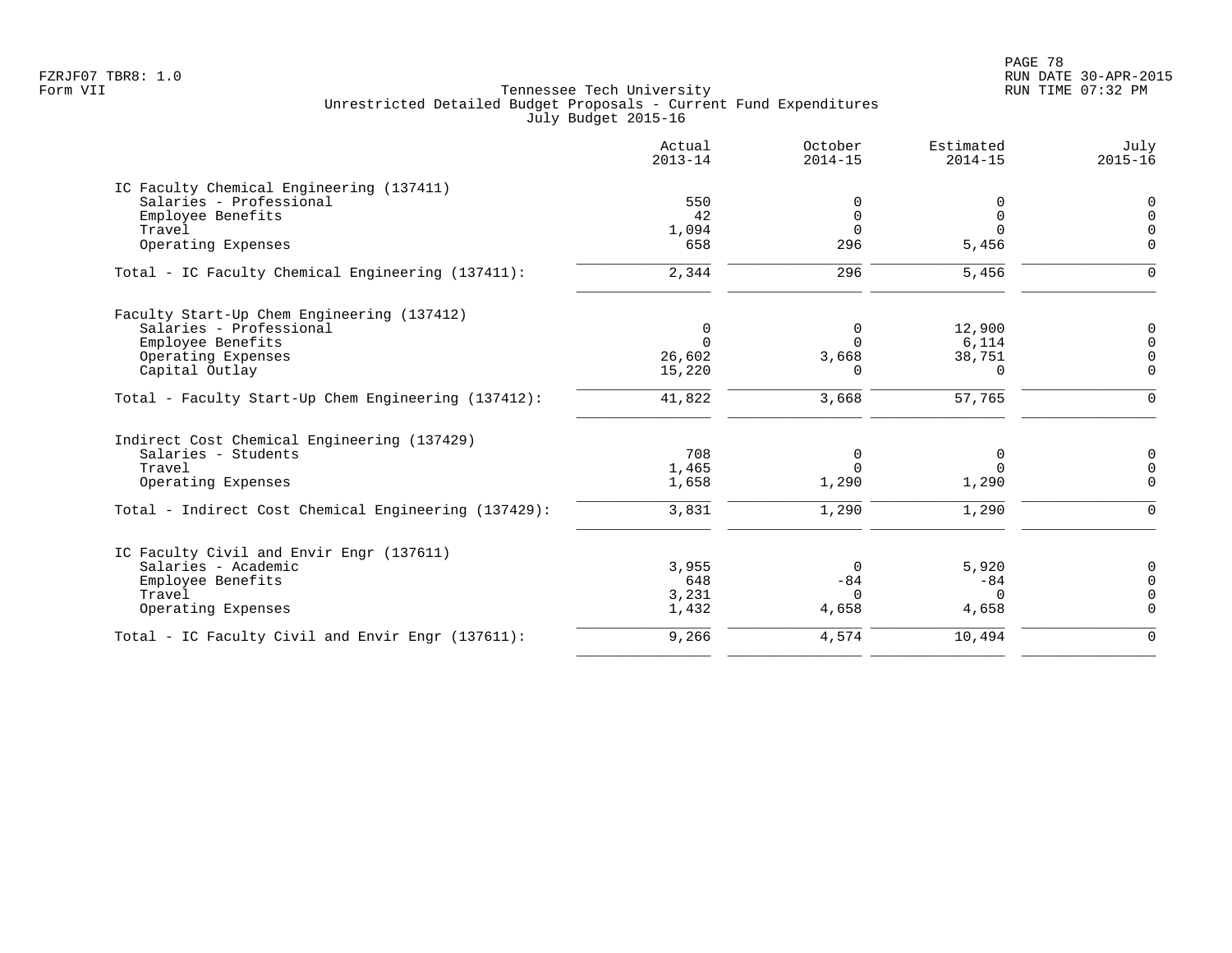PAGE 78 FZRJF07 TBR8: 1.0 RUN DATE 30-APR-2015

|                                                      | Actual<br>$2013 - 14$ | October<br>$2014 - 15$ | Estimated<br>$2014 - 15$ | July<br>$2015 - 16$ |
|------------------------------------------------------|-----------------------|------------------------|--------------------------|---------------------|
| IC Faculty Chemical Engineering (137411)             |                       |                        |                          |                     |
| Salaries - Professional                              | 550                   | 0                      | 0                        | $\mathbf 0$         |
| Employee Benefits                                    | 42                    | 0                      | 0                        | $\Omega$            |
| Travel                                               | 1,094                 | $\Omega$               | $\Omega$                 | $\Omega$            |
| Operating Expenses                                   | 658                   | 296                    | 5,456                    | $\mathbf 0$         |
| Total - IC Faculty Chemical Engineering (137411):    | 2,344                 | 296                    | 5,456                    | $\mathbf 0$         |
| Faculty Start-Up Chem Engineering (137412)           |                       |                        |                          |                     |
| Salaries - Professional                              | 0                     | 0                      | 12,900                   | $\mathbf 0$         |
| Employee Benefits                                    | $\Omega$              | $\Omega$               | 6,114                    | $\Omega$            |
| Operating Expenses                                   | 26,602                | 3,668                  | 38,751                   | $\Omega$            |
| Capital Outlay                                       | 15,220                | 0                      | 0                        | $\mathbf 0$         |
| Total - Faculty Start-Up Chem Engineering (137412):  | 41,822                | 3,668                  | 57,765                   | $\mathbf 0$         |
| Indirect Cost Chemical Engineering (137429)          |                       |                        |                          |                     |
| Salaries - Students                                  | 708                   | 0                      | 0                        | $\mathbf 0$         |
| Travel                                               | 1,465                 | $\Omega$               | $\Omega$                 | $\mathbf 0$         |
| Operating Expenses                                   | 1,658                 | 1,290                  | 1,290                    | $\mathbf 0$         |
| Total - Indirect Cost Chemical Engineering (137429): | 3,831                 | 1,290                  | 1,290                    | $\mathbf 0$         |
| IC Faculty Civil and Envir Engr (137611)             |                       |                        |                          |                     |
| Salaries - Academic                                  | 3,955                 | $\Omega$               | 5,920                    | $\mathbf 0$         |
| Employee Benefits                                    | 648                   | $-84$                  | $-84$                    | $\Omega$            |
| Travel                                               | 3,231                 | $\Omega$               | $\Omega$                 | $\Omega$            |
| Operating Expenses                                   | 1,432                 | 4,658                  | 4,658                    | $\Omega$            |
| Total - IC Faculty Civil and Envir Engr (137611):    | 9,266                 | 4,574                  | 10,494                   | $\Omega$            |
|                                                      |                       |                        |                          |                     |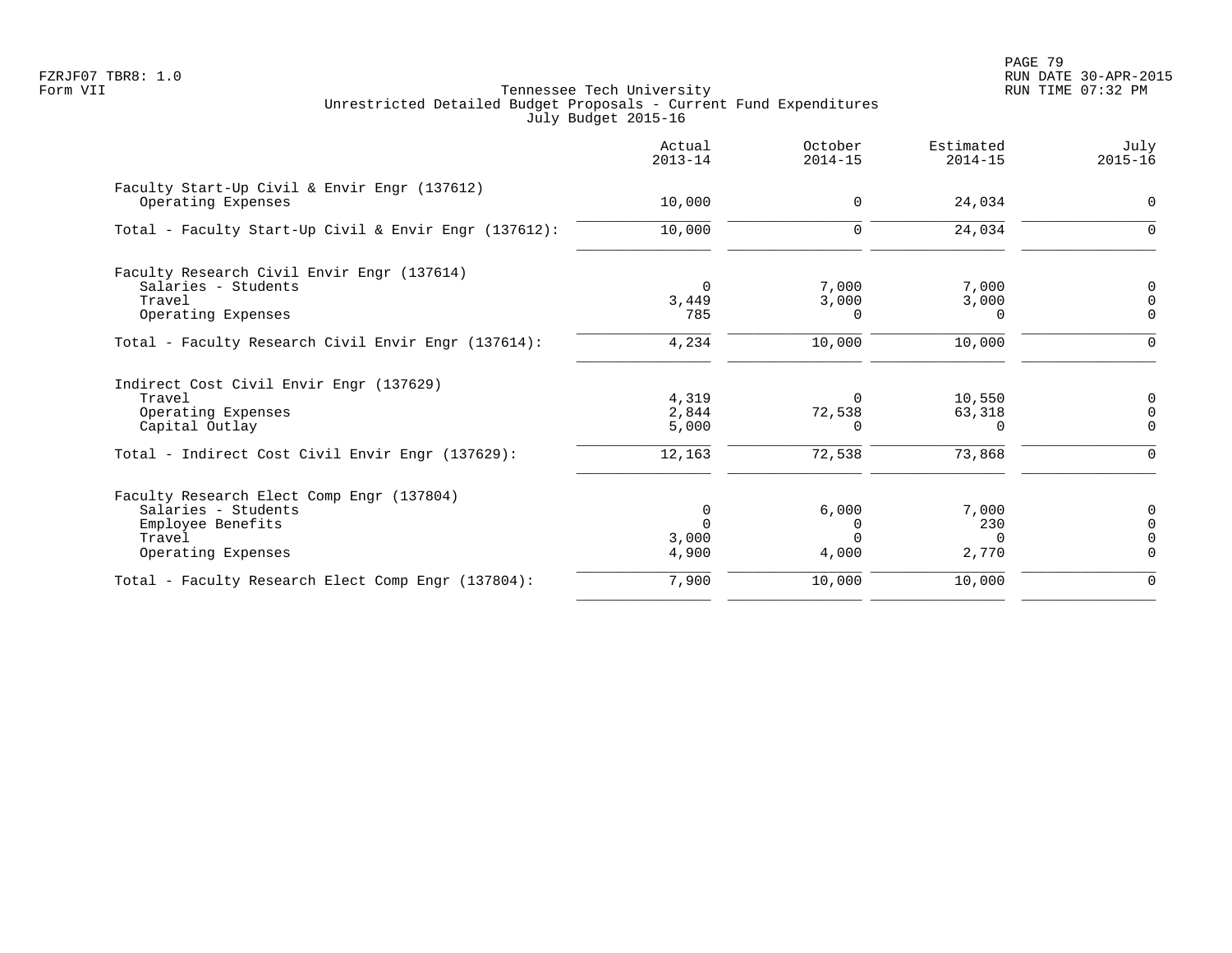PAGE 79 FZRJF07 TBR8: 1.0 RUN DATE 30-APR-2015

| Actual<br>$2013 - 14$ | October<br>$2014 - 15$                     | Estimated<br>$2014 - 15$   | July<br>$2015 - 16$                 |
|-----------------------|--------------------------------------------|----------------------------|-------------------------------------|
| 10,000                | 0                                          | 24,034                     | $\Omega$                            |
| 10,000                | $\Omega$                                   | 24,034                     | ∩                                   |
|                       |                                            |                            |                                     |
|                       |                                            |                            | O                                   |
|                       |                                            |                            | $\Omega$                            |
|                       |                                            |                            |                                     |
| 4,234                 | 10,000                                     | 10,000                     |                                     |
|                       |                                            |                            |                                     |
| 4,319                 | $\Omega$                                   | 10,550                     | ∩                                   |
| 2,844                 | 72,538                                     | 63,318                     |                                     |
| 5,000                 | U                                          | $\Omega$                   | $\Omega$                            |
| 12,163                | 72,538                                     | 73,868                     | ∩                                   |
|                       |                                            |                            |                                     |
| $\Omega$              | 6,000                                      | 7,000                      |                                     |
|                       |                                            | 230                        |                                     |
|                       |                                            | $\Omega$                   |                                     |
|                       | 4,000                                      |                            | $\Omega$                            |
| 7,900                 | 10,000                                     | 10,000                     | 0                                   |
|                       | $\Omega$<br>3,449<br>785<br>3,000<br>4,900 | 7,000<br>3,000<br>$\Omega$ | 7,000<br>3,000<br>$\Omega$<br>2,770 |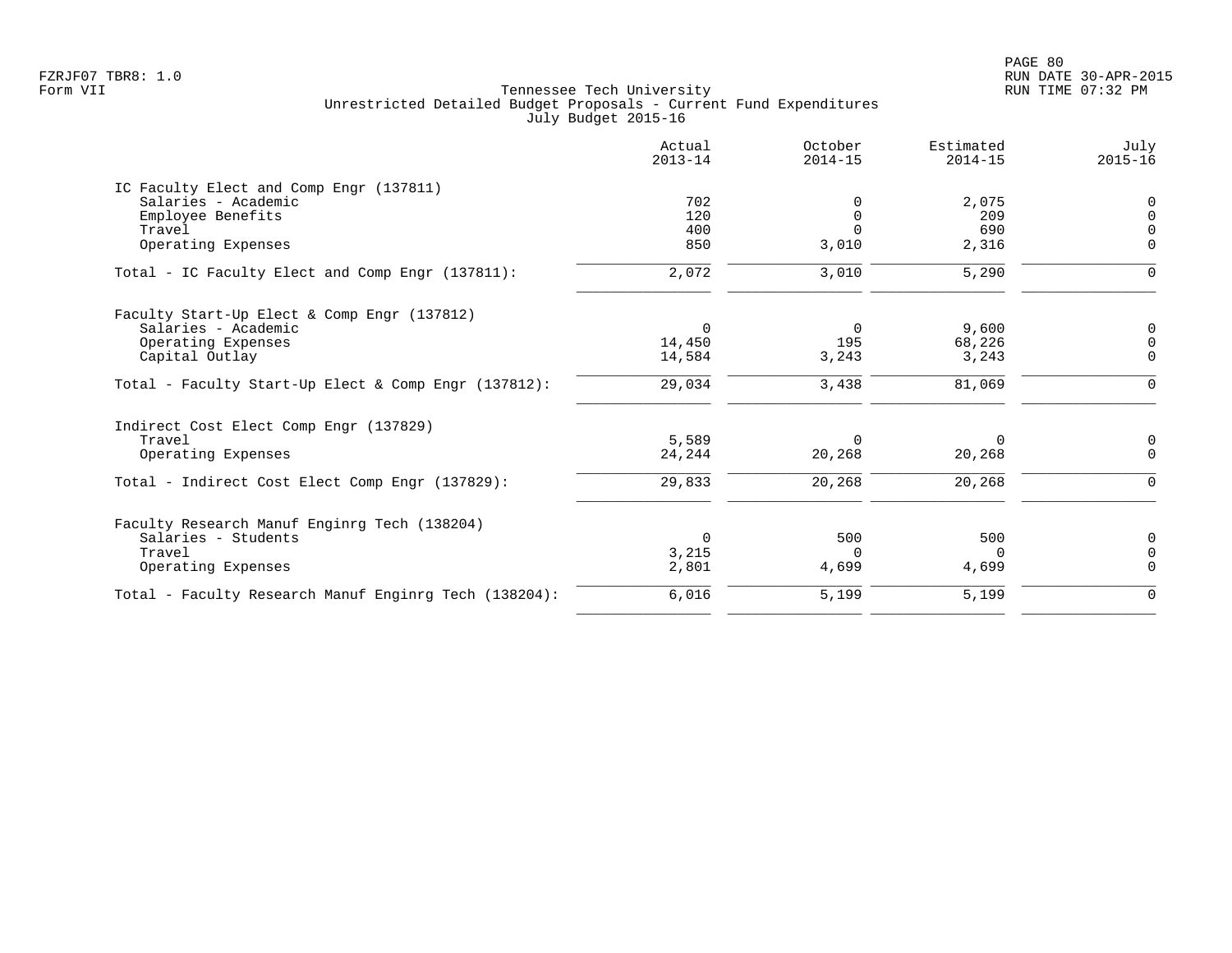PAGE 80 FZRJF07 TBR8: 1.0 RUN DATE 30-APR-2015

| Actual<br>$2013 - 14$ | October<br>$2014 - 15$       | Estimated<br>$2014 - 15$ | July<br>$2015 - 16$   |
|-----------------------|------------------------------|--------------------------|-----------------------|
|                       |                              |                          |                       |
| 702                   |                              | 2,075                    | 0                     |
| 120                   | $\Omega$                     | 209                      | $\Omega$              |
|                       | $\Omega$                     |                          | $\Omega$              |
|                       |                              |                          | $\Omega$              |
| 2,072                 | 3,010                        | 5,290                    | ∩                     |
|                       |                              |                          |                       |
| $\Omega$              | $\Omega$                     | 9,600                    | $\mathbf 0$           |
| 14,450                | 195                          | 68,226                   | $\Omega$              |
| 14,584                | 3,243                        | 3,243                    | $\Omega$              |
| 29,034                | 3,438                        | 81,069                   | $\Omega$              |
|                       |                              |                          |                       |
| 5,589                 | $\Omega$                     | $\Omega$                 | 0                     |
| 24,244                |                              | 20,268                   | $\mathbf 0$           |
| 29,833                | 20,268                       | 20,268                   | $\Omega$              |
|                       |                              |                          |                       |
| $\Omega$              | 500                          | 500                      | $\Omega$              |
|                       | <sup>n</sup>                 | $\Omega$                 | $\Omega$              |
|                       |                              |                          | $\Omega$              |
| 6,016                 | 5,199                        | 5,199                    | $\mathbf 0$           |
|                       | 400<br>850<br>3,215<br>2,801 | 3,010<br>20,268<br>4,699 | 690<br>2,316<br>4,699 |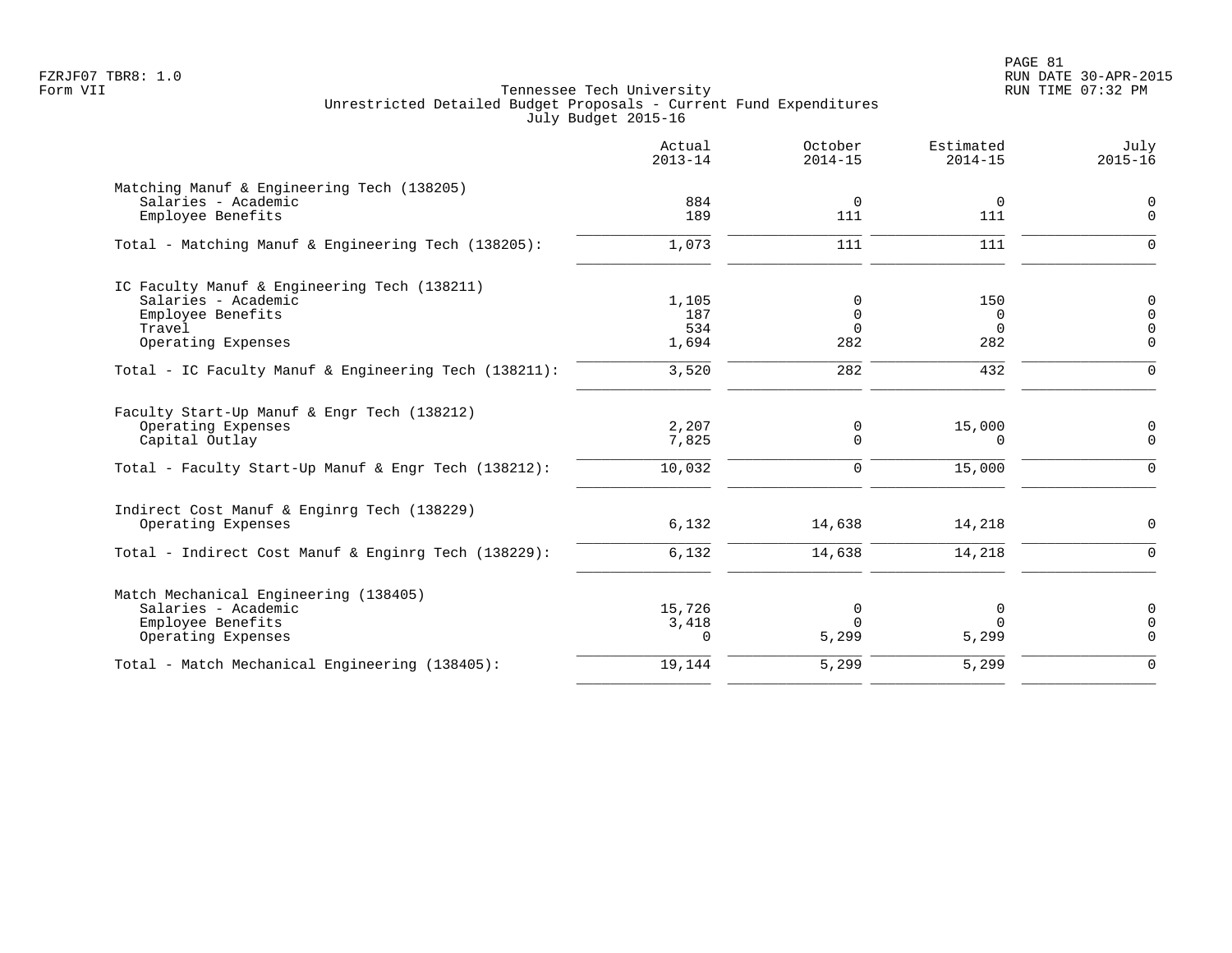PAGE 81 FZRJF07 TBR8: 1.0 RUN DATE 30-APR-2015

|                                                       | Actual<br>$2013 - 14$ | October<br>$2014 - 15$ | Estimated<br>$2014 - 15$ | July<br>$2015 - 16$           |
|-------------------------------------------------------|-----------------------|------------------------|--------------------------|-------------------------------|
| Matching Manuf & Engineering Tech (138205)            |                       |                        |                          |                               |
| Salaries - Academic                                   | 884                   | 0                      | $\overline{0}$           | $\mathbf 0$                   |
| Employee Benefits                                     | 189                   | 111                    | 111                      | $\Omega$                      |
| Total - Matching Manuf & Engineering Tech (138205):   | 1,073                 | 111                    | 111                      | $\Omega$                      |
| IC Faculty Manuf & Engineering Tech (138211)          |                       |                        |                          |                               |
| Salaries - Academic                                   | 1,105                 | 0                      | 150                      | $\mathbf 0$                   |
| Employee Benefits<br>Travel                           | 187<br>534            | 0<br>$\Omega$          | 0<br>$\Omega$            | $\overline{0}$<br>$\mathbf 0$ |
| Operating Expenses                                    | 1,694                 | 282                    | 282                      | $\mathbf 0$                   |
|                                                       |                       |                        |                          |                               |
| Total - IC Faculty Manuf & Engineering Tech (138211): | 3,520                 | 282                    | 432                      | $\Omega$                      |
| Faculty Start-Up Manuf & Engr Tech (138212)           |                       |                        |                          |                               |
| Operating Expenses                                    | 2,207                 | 0                      | 15,000                   | 0                             |
| Capital Outlay                                        | 7,825                 | $\Omega$               | $\Omega$                 | $\mathbf 0$                   |
| Total - Faculty Start-Up Manuf & Engr Tech (138212):  | 10,032                | $\mathbf 0$            | 15,000                   | $\Omega$                      |
| Indirect Cost Manuf & Enginrg Tech (138229)           |                       |                        |                          |                               |
| Operating Expenses                                    | 6,132                 | 14,638                 | 14,218                   | $\Omega$                      |
| Total - Indirect Cost Manuf & Enginrg Tech (138229):  | 6,132                 | 14,638                 | 14,218                   | $\Omega$                      |
| Match Mechanical Engineering (138405)                 |                       |                        |                          |                               |
| Salaries - Academic                                   | 15,726                | 0                      | 0                        | 0                             |
| Employee Benefits                                     | 3,418                 | $\Omega$               | $\Omega$                 | $\mathbf 0$                   |
| Operating Expenses                                    | $\Omega$              | 5,299                  | 5,299                    | $\Omega$                      |
| Total - Match Mechanical Engineering (138405):        | 19,144                | 5,299                  | 5,299                    | $\Omega$                      |
|                                                       |                       |                        |                          |                               |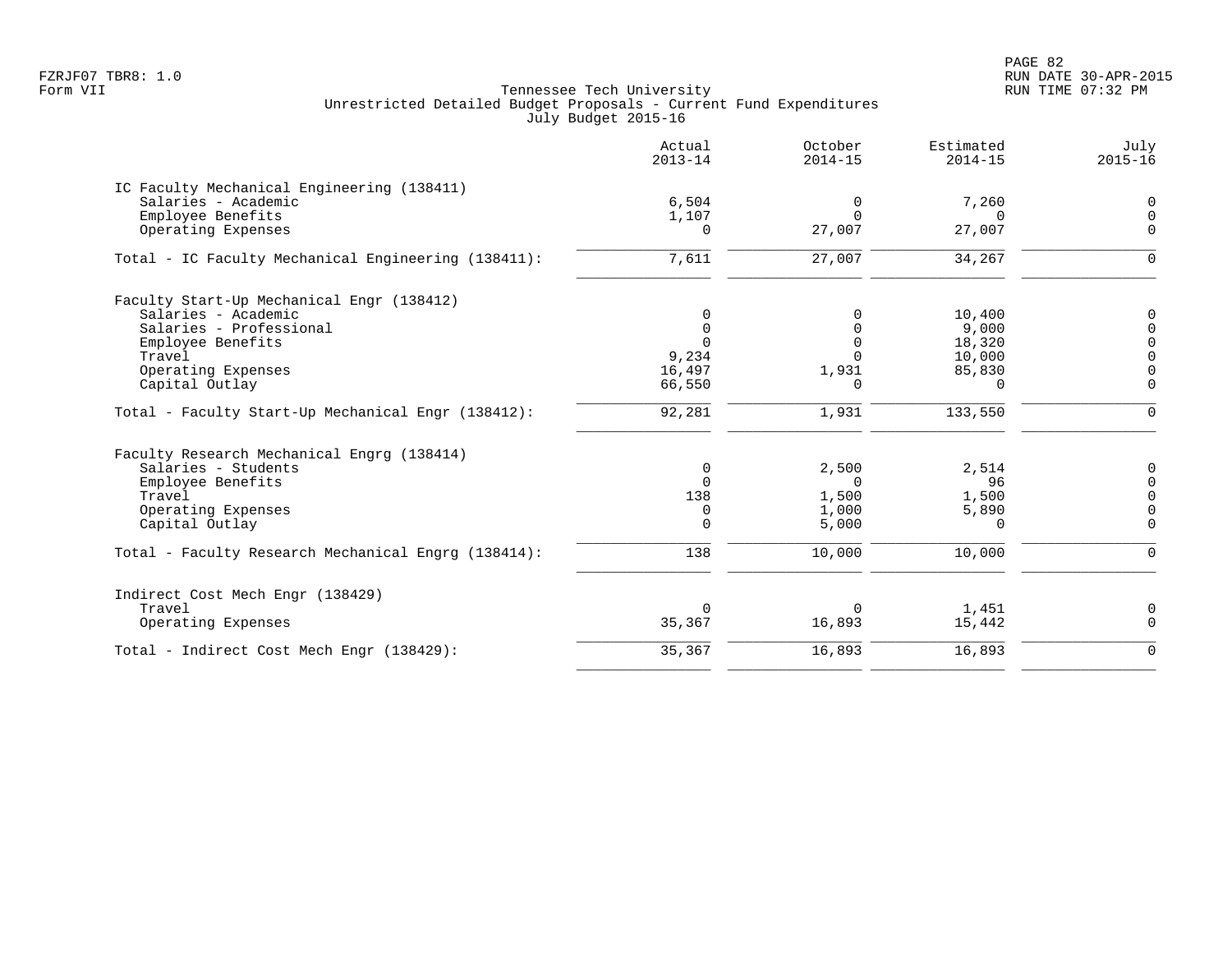PAGE 82 FZRJF07 TBR8: 1.0 RUN DATE 30-APR-2015

|                                                     | Actual<br>$2013 - 14$ | October<br>$2014 - 15$ | Estimated<br>$2014 - 15$ | July<br>$2015 - 16$     |
|-----------------------------------------------------|-----------------------|------------------------|--------------------------|-------------------------|
| IC Faculty Mechanical Engineering (138411)          |                       |                        |                          |                         |
| Salaries - Academic                                 | 6,504                 | $\mathbf 0$            | 7,260                    | 0                       |
| Employee Benefits<br>Operating Expenses             | 1,107<br>$\Omega$     | $\Omega$<br>27,007     | $\cap$<br>27,007         | $\mathbf 0$<br>$\Omega$ |
| Total - IC Faculty Mechanical Engineering (138411): | 7,611                 | 27,007                 | 34,267                   | 0                       |
|                                                     |                       |                        |                          |                         |
| Faculty Start-Up Mechanical Engr (138412)           |                       |                        |                          |                         |
| Salaries - Academic                                 | 0                     | $\Omega$               | 10,400                   | 0                       |
| Salaries - Professional                             | $\Omega$              | $\Omega$               | 9,000                    | $\mathbf 0$             |
| Employee Benefits                                   | $\Omega$              | $\Omega$               | 18,320                   | $\mathbf 0$             |
| Travel                                              | 9,234                 | $\Omega$               | 10,000                   | $\mathsf{O}\xspace$     |
| Operating Expenses                                  | 16,497                | 1,931                  | 85,830                   | $\mathsf{O}\xspace$     |
| Capital Outlay                                      | 66,550                | $\Omega$               | $\Omega$                 | $\mathbf 0$             |
| Total - Faculty Start-Up Mechanical Engr (138412):  | 92,281                | 1,931                  | 133,550                  | $\Omega$                |
| Faculty Research Mechanical Engrg (138414)          |                       |                        |                          |                         |
| Salaries - Students                                 | 0                     | 2,500                  | 2,514                    | 0                       |
| Employee Benefits                                   | $\Omega$              | $\Omega$               | 96                       | $\mathsf 0$             |
| Travel                                              | 138                   | 1,500                  | 1,500                    | $\mathsf{O}\xspace$     |
| Operating Expenses                                  | 0                     | 1,000                  | 5,890                    | 0                       |
| Capital Outlay                                      | $\Omega$              | 5,000                  | $\Omega$                 | $\Omega$                |
| Total - Faculty Research Mechanical Engrg (138414): | 138                   | 10,000                 | 10,000                   | $\Omega$                |
| Indirect Cost Mech Engr (138429)                    |                       |                        |                          |                         |
| Travel                                              | $\Omega$              | 0                      | 1,451                    | 0                       |
| Operating Expenses                                  | 35,367                | 16,893                 | 15,442                   | $\mathbf 0$             |
| Total - Indirect Cost Mech Engr (138429):           | 35,367                | 16,893                 | 16,893                   | $\mathbf 0$             |
|                                                     |                       |                        |                          |                         |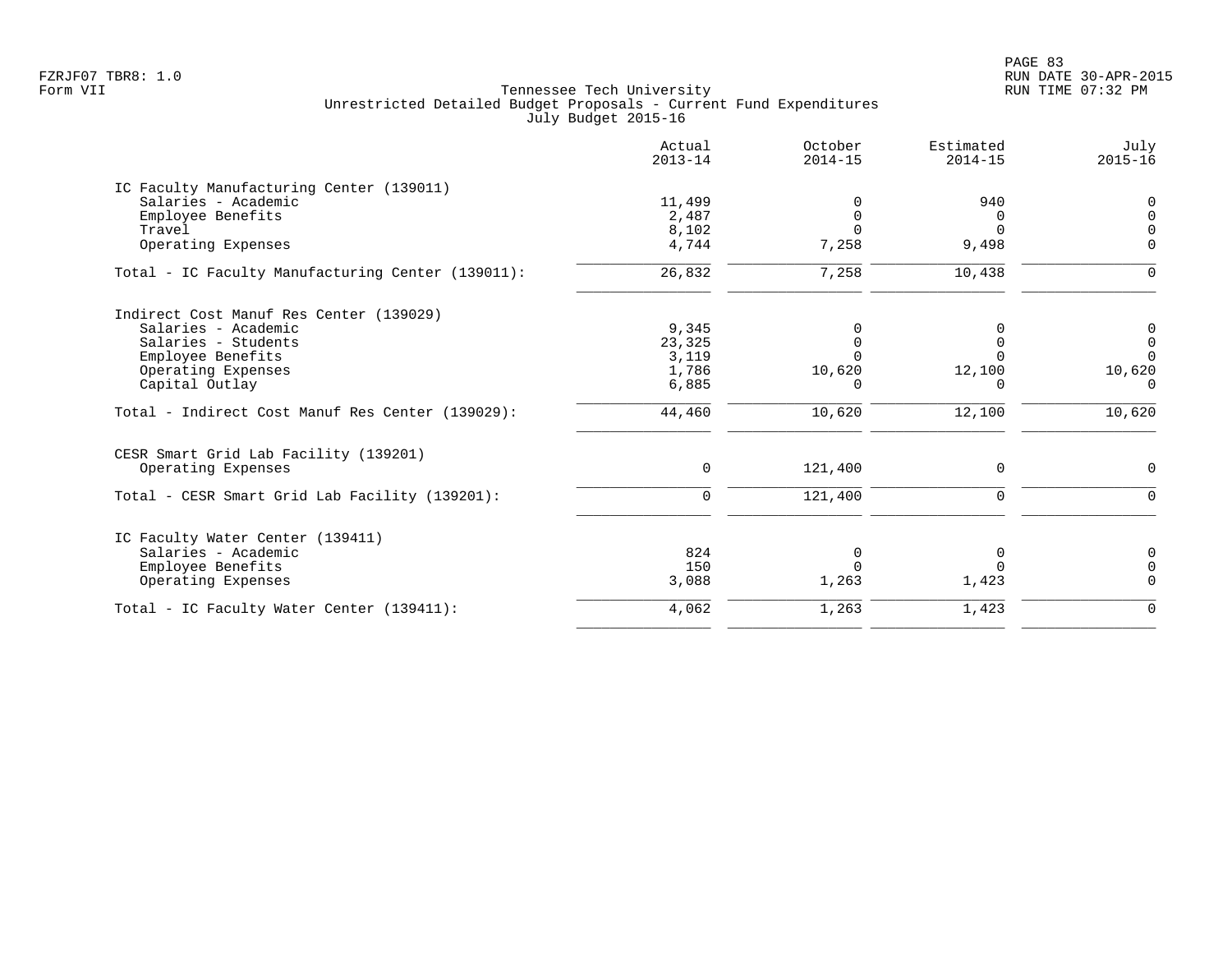|                                                   | Actual<br>$2013 - 14$ | October<br>$2014 - 15$ | Estimated<br>$2014 - 15$ | July<br>$2015 - 16$ |
|---------------------------------------------------|-----------------------|------------------------|--------------------------|---------------------|
| IC Faculty Manufacturing Center (139011)          |                       |                        |                          |                     |
| Salaries - Academic                               | 11,499                |                        | 940                      | $\Omega$            |
| Employee Benefits                                 | 2,487                 | $\Omega$               | $\Omega$                 | $\Omega$            |
| Travel                                            | 8,102                 |                        | $\Omega$                 |                     |
| Operating Expenses                                | 4,744                 | 7,258                  | 9,498                    | $\Omega$            |
| Total - IC Faculty Manufacturing Center (139011): | 26,832                | 7,258                  | 10,438                   | $\Omega$            |
| Indirect Cost Manuf Res Center (139029)           |                       |                        |                          |                     |
| Salaries - Academic                               | 9,345                 |                        |                          | 0                   |
| Salaries - Students                               | 23,325                |                        | O                        | $\mathbf 0$         |
| Employee Benefits                                 | 3,119                 |                        |                          | $\Omega$            |
| Operating Expenses                                | 1,786                 | 10,620                 | 12,100                   | 10,620              |
| Capital Outlay                                    | 6,885                 | O                      | $\Omega$                 | $\Omega$            |
| Total - Indirect Cost Manuf Res Center (139029):  | 44,460                | 10,620                 | 12,100                   | 10,620              |
| CESR Smart Grid Lab Facility (139201)             |                       |                        |                          |                     |
| Operating Expenses                                | $\Omega$              | 121,400                | $\Omega$                 | $\Omega$            |
| Total - CESR Smart Grid Lab Facility (139201):    | $\Omega$              | 121,400                | $\Omega$                 | $\Omega$            |
| IC Faculty Water Center (139411)                  |                       |                        |                          |                     |
| Salaries - Academic                               | 824                   | $\Omega$               | 0                        |                     |
| Employee Benefits                                 | 150                   | $\Omega$               | $\Omega$                 | $\Omega$            |
| Operating Expenses                                | 3,088                 | 1,263                  | 1,423                    | $\Omega$            |
| Total - IC Faculty Water Center (139411):         | 4,062                 | 1,263                  | 1,423                    | $\mathbf 0$         |
|                                                   |                       |                        |                          |                     |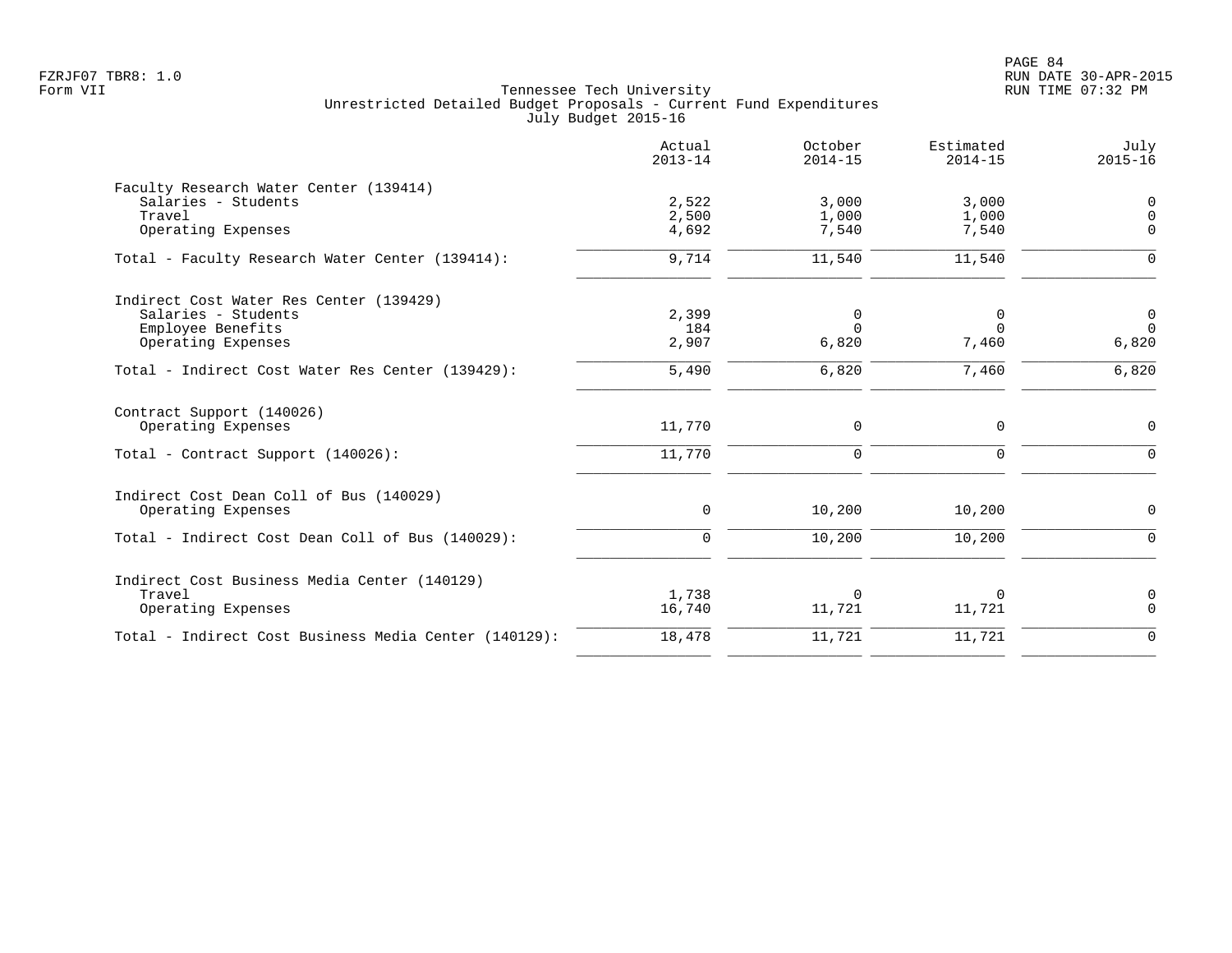PAGE 84 FZRJF07 TBR8: 1.0 RUN DATE 30-APR-2015

|                                                                                                           | Actual<br>$2013 - 14$   | October<br>$2014 - 15$     | Estimated<br>$2014 - 15$   | July<br>$2015 - 16$                 |
|-----------------------------------------------------------------------------------------------------------|-------------------------|----------------------------|----------------------------|-------------------------------------|
| Faculty Research Water Center (139414)<br>Salaries - Students<br>Travel<br>Operating Expenses             | 2,522<br>2,500<br>4,692 | 3,000<br>1,000<br>7,540    | 3,000<br>1,000<br>7,540    | 0<br>$\mathbf 0$<br>$\Omega$        |
| Total - Faculty Research Water Center (139414):                                                           | 9,714                   | 11,540                     | 11,540                     | $\Omega$                            |
| Indirect Cost Water Res Center (139429)<br>Salaries - Students<br>Employee Benefits<br>Operating Expenses | 2,399<br>184<br>2,907   | 0<br>$\Omega$<br>6,820     | 0<br>$\Omega$<br>7,460     | $\overline{0}$<br>$\Omega$<br>6,820 |
| Total - Indirect Cost Water Res Center (139429):                                                          | 5,490                   | 6,820                      | 7,460                      | 6,820                               |
| Contract Support (140026)<br>Operating Expenses<br>Total - Contract Support (140026):                     | 11,770<br>11,770        | $\mathbf 0$<br>$\mathbf 0$ | $\mathbf 0$<br>$\mathbf 0$ | 0<br>$\mathbf 0$                    |
| Indirect Cost Dean Coll of Bus (140029)<br>Operating Expenses                                             | 0                       | 10,200                     | 10,200                     | 0                                   |
| Total - Indirect Cost Dean Coll of Bus (140029):                                                          | $\mathbf 0$             | 10,200                     | 10,200                     | 0                                   |
| Indirect Cost Business Media Center (140129)<br>Travel<br>Operating Expenses                              | 1,738<br>16,740         | $\mathbf 0$<br>11,721      | $\Omega$<br>11,721         | 0<br>$\mathbf 0$                    |
| Total - Indirect Cost Business Media Center (140129):                                                     | 18,478                  | 11,721                     | 11,721                     | $\mathbf 0$                         |
|                                                                                                           |                         |                            |                            |                                     |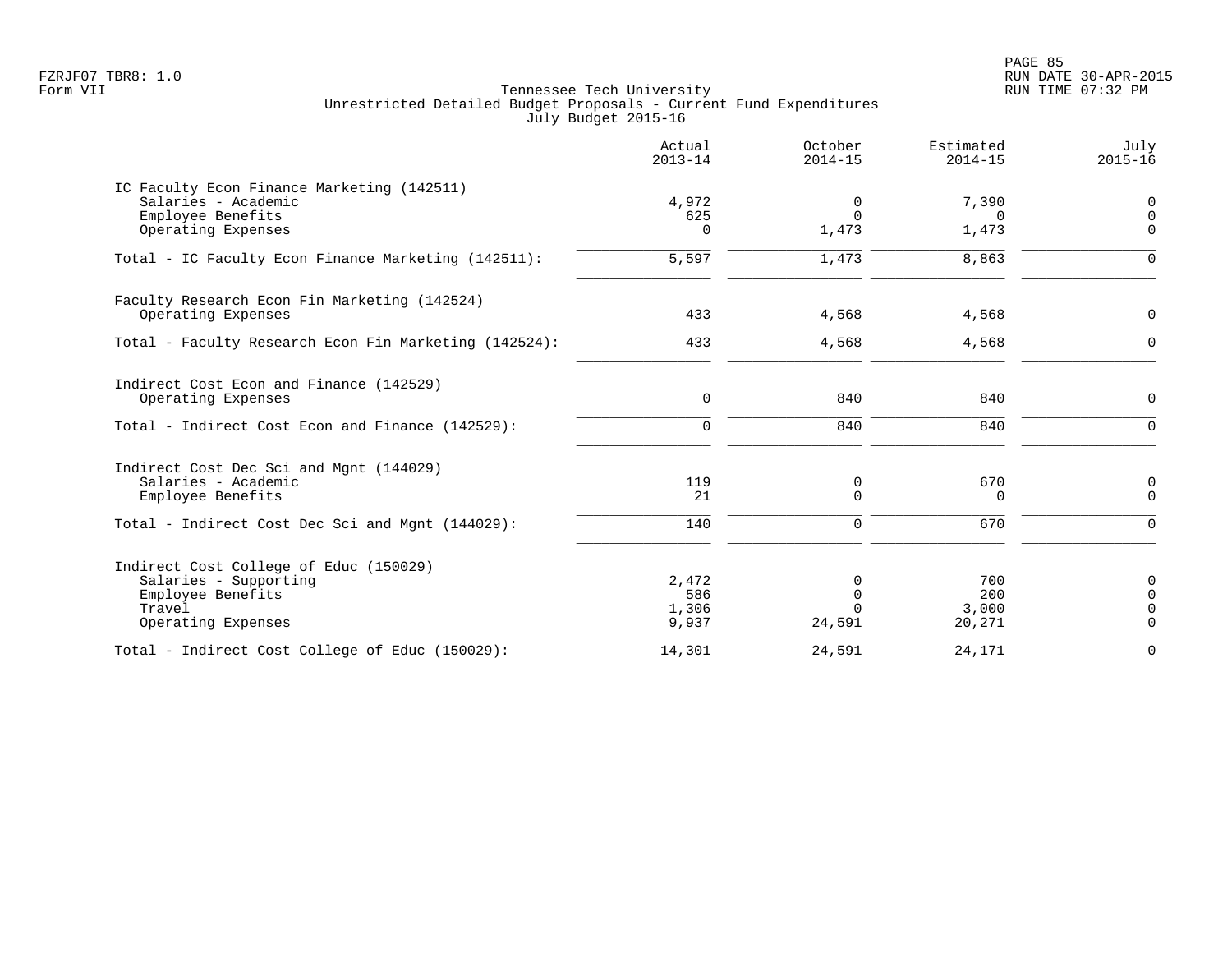PAGE 85 FZRJF07 TBR8: 1.0 RUN DATE 30-APR-2015

| Actual<br>$2013 - 14$ | October<br>$2014 - 15$                     | Estimated<br>$2014 - 15$             | July<br>$2015 - 16$                          |
|-----------------------|--------------------------------------------|--------------------------------------|----------------------------------------------|
|                       |                                            |                                      | $\mathbf 0$                                  |
| 625<br>$\Omega$       | $\Omega$<br>1,473                          | <sup>n</sup><br>1,473                | $\mathbf 0$<br>$\Omega$                      |
| 5,597                 | 1,473                                      | 8,863                                | $\Omega$                                     |
|                       |                                            |                                      | $\mathbf 0$                                  |
|                       |                                            |                                      | $\Omega$                                     |
|                       |                                            |                                      |                                              |
| $\mathbf 0$           | 840                                        | 840                                  | $\mathbf 0$                                  |
| $\Omega$              | 840                                        | 840                                  | $\Omega$                                     |
|                       |                                            |                                      |                                              |
| 21                    | $\Omega$                                   | $\Omega$                             | 0<br>$\Omega$                                |
| 140                   | $\Omega$                                   | 670                                  | $\Omega$                                     |
|                       |                                            |                                      |                                              |
|                       | $\Omega$                                   |                                      | 0<br>$\mathbf 0$                             |
| 1,306<br>9,937        | $\Omega$<br>24,591                         | 3,000<br>20,271                      | $\mathbf 0$<br>$\overline{0}$                |
| 14,301                | 24,591                                     | 24,171                               | $\Omega$                                     |
|                       | 4,972<br>433<br>433<br>119<br>2,472<br>586 | 0<br>4,568<br>4,568<br>0<br>$\Omega$ | 7,390<br>4,568<br>4,568<br>670<br>700<br>200 |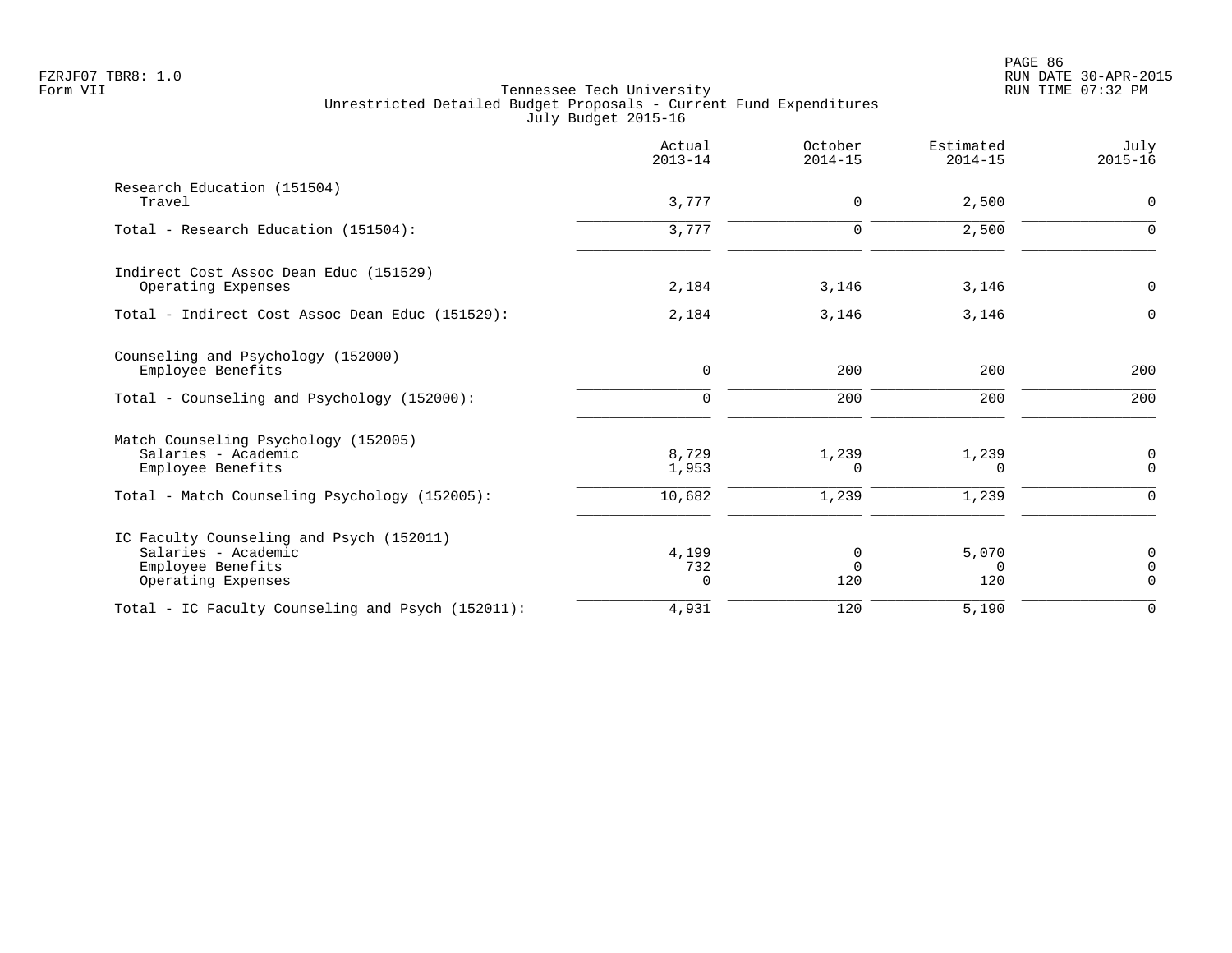|                                                                                                            | Actual<br>$2013 - 14$      | October<br>$2014 - 15$ | Estimated<br>$2014 - 15$ | July<br>$2015 - 16$                 |
|------------------------------------------------------------------------------------------------------------|----------------------------|------------------------|--------------------------|-------------------------------------|
| Research Education (151504)<br>Travel                                                                      | 3,777                      | $\mathbf 0$            | 2,500                    | $\mathbf 0$                         |
| Total - Research Education (151504):                                                                       | 3,777                      | $\Omega$               | 2,500                    | $\Omega$                            |
| Indirect Cost Assoc Dean Educ (151529)<br>Operating Expenses                                               | 2,184                      | 3,146                  | 3,146                    | $\mathbf 0$                         |
| Total - Indirect Cost Assoc Dean Educ (151529):                                                            | 2,184                      | 3,146                  | 3,146                    | ∩                                   |
| Counseling and Psychology (152000)<br>Employee Benefits<br>Total - Counseling and Psychology (152000):     | $\mathbf 0$<br>$\mathbf 0$ | 200<br>200             | 200<br>200               | 200<br>200                          |
| Match Counseling Psychology (152005)<br>Salaries - Academic<br>Employee Benefits                           | 8,729<br>1,953             | 1,239<br>0             | 1,239<br>$\Omega$        | 0<br>$\Omega$                       |
| Total - Match Counseling Psychology (152005):                                                              | 10,682                     | 1,239                  | 1,239                    | $\Omega$                            |
| IC Faculty Counseling and Psych (152011)<br>Salaries - Academic<br>Employee Benefits<br>Operating Expenses | 4,199<br>732<br>$\Omega$   | 0<br>$\Omega$<br>120   | 5,070<br>$\Omega$<br>120 | $\mathbf 0$<br>$\Omega$<br>$\Omega$ |
| Total - IC Faculty Counseling and Psych (152011):                                                          | 4,931                      | 120                    | 5,190                    | $\Omega$                            |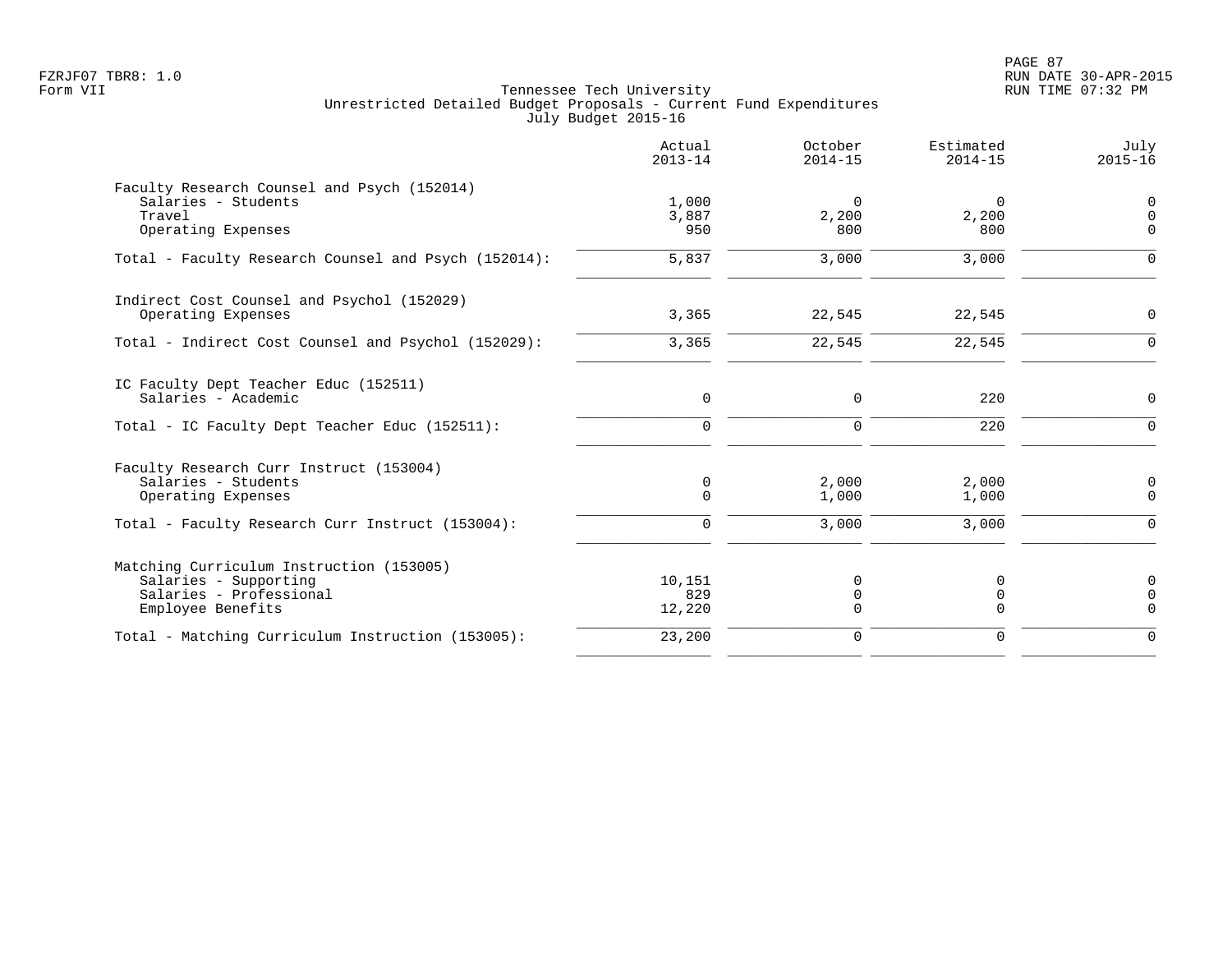PAGE 87 FZRJF07 TBR8: 1.0 RUN DATE 30-APR-2015

|                                                                              | Actual<br>$2013 - 14$ | October<br>$2014 - 15$ | Estimated<br>$2014 - 15$ | July<br>$2015 - 16$     |
|------------------------------------------------------------------------------|-----------------------|------------------------|--------------------------|-------------------------|
| Faculty Research Counsel and Psych (152014)<br>Salaries - Students<br>Travel | 1,000<br>3,887        | $\Omega$<br>2,200      | 0<br>2,200               | 0<br>$\mathbf 0$        |
| Operating Expenses                                                           | 950                   | 800                    | 800                      | $\Omega$                |
| Total - Faculty Research Counsel and Psych (152014):                         | 5,837                 | 3,000                  | 3,000                    | $\Omega$                |
| Indirect Cost Counsel and Psychol (152029)                                   |                       |                        |                          |                         |
| Operating Expenses                                                           | 3,365                 | 22,545                 | 22,545                   | $\mathbf 0$             |
| Total - Indirect Cost Counsel and Psychol (152029):                          | 3,365                 | 22,545                 | 22,545                   | $\mathbf 0$             |
| IC Faculty Dept Teacher Educ (152511)<br>Salaries - Academic                 | 0                     | 0                      | 220                      | 0                       |
| Total - IC Faculty Dept Teacher Educ (152511):                               | $\mathbf 0$           | 0                      | 220                      | $\overline{0}$          |
| Faculty Research Curr Instruct (153004)                                      |                       |                        |                          |                         |
| Salaries - Students<br>Operating Expenses                                    | 0<br>$\mathbf 0$      | 2,000<br>1,000         | 2,000<br>1,000           | $\mathbf 0$<br>0        |
| Total - Faculty Research Curr Instruct (153004):                             | 0                     | 3,000                  | 3,000                    | $\mathbf 0$             |
| Matching Curriculum Instruction (153005)                                     |                       |                        |                          |                         |
| Salaries - Supporting                                                        | 10,151                | 0                      | 0                        | $\mathbf 0$             |
| Salaries - Professional<br>Employee Benefits                                 | 829<br>12,220         | 0<br>0                 | 0<br>0                   | $\mathbf 0$<br>$\Omega$ |
| Total - Matching Curriculum Instruction (153005):                            | 23,200                | $\mathbf 0$            | $\mathbf 0$              | $\Omega$                |
|                                                                              |                       |                        |                          |                         |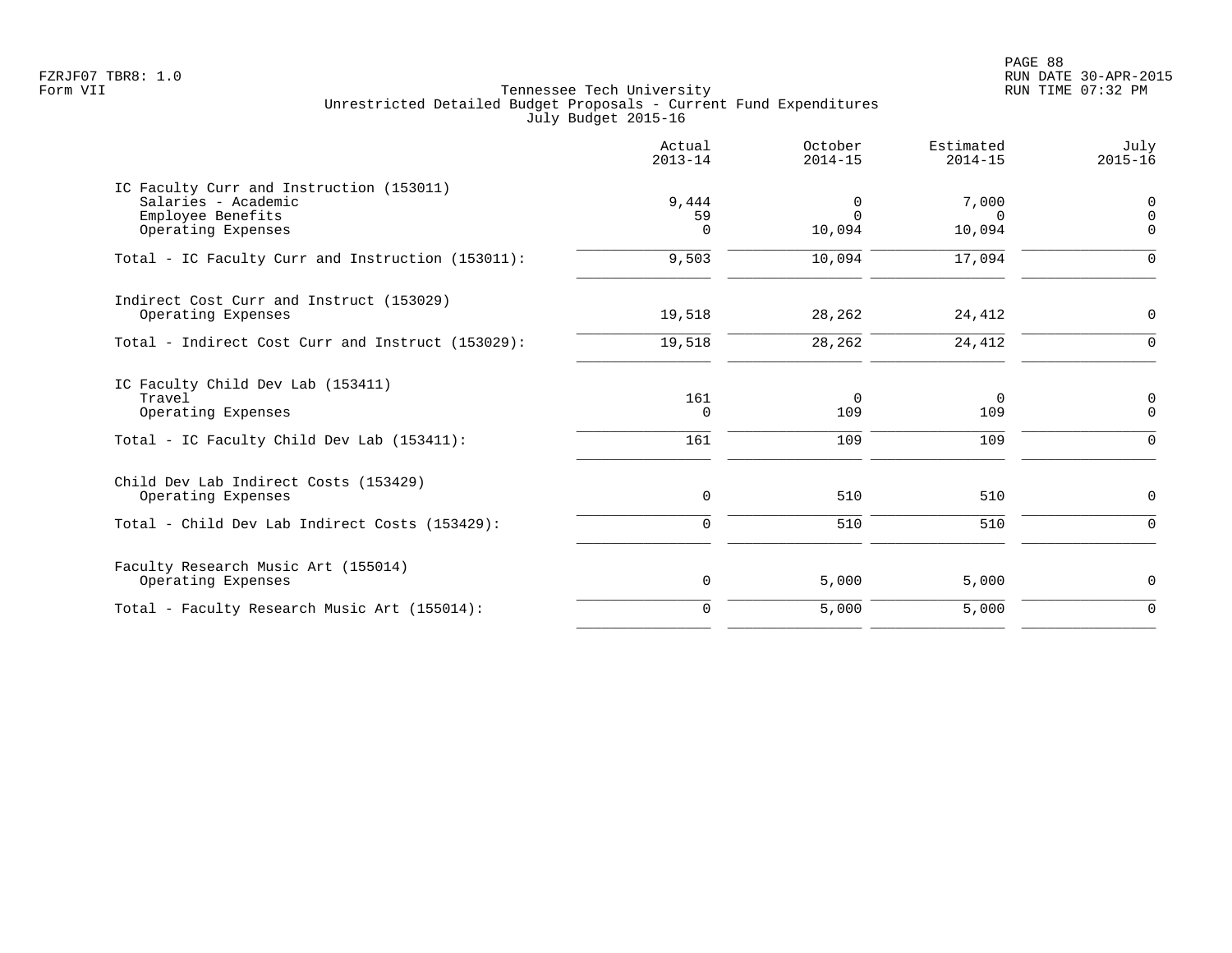PAGE 88 FZRJF07 TBR8: 1.0 RUN DATE 30-APR-2015

|                                                                                                            | Actual<br>$2013 - 14$   | October<br>$2014 - 15$  | Estimated<br>$2014 - 15$    | July<br>$2015 - 16$ |
|------------------------------------------------------------------------------------------------------------|-------------------------|-------------------------|-----------------------------|---------------------|
| IC Faculty Curr and Instruction (153011)<br>Salaries - Academic<br>Employee Benefits<br>Operating Expenses | 9,444<br>59<br>$\Omega$ | 0<br>$\Omega$<br>10,094 | 7,000<br>$\Omega$<br>10,094 | 0<br>0<br>$\Omega$  |
| Total - IC Faculty Curr and Instruction (153011):                                                          | 9,503                   | 10,094                  | 17,094                      | $\Omega$            |
| Indirect Cost Curr and Instruct (153029)<br>Operating Expenses                                             | 19,518                  | 28,262                  | 24,412                      | 0                   |
| Total - Indirect Cost Curr and Instruct (153029):                                                          | 19,518                  | 28,262                  | 24,412                      | $\Omega$            |
| IC Faculty Child Dev Lab (153411)<br>Travel<br>Operating Expenses                                          | 161<br>$\Omega$         | $\mathbf 0$<br>109      | $\Omega$<br>109             | 0<br>$\Omega$       |
| Total - IC Faculty Child Dev Lab (153411):                                                                 | 161                     | 109                     | 109                         | 0                   |
| Child Dev Lab Indirect Costs (153429)<br>Operating Expenses                                                | 0                       | 510                     | 510                         | 0                   |
| Total - Child Dev Lab Indirect Costs (153429):                                                             | $\Omega$                | 510                     | 510                         | $\Omega$            |
| Faculty Research Music Art (155014)<br>Operating Expenses                                                  | 0                       | 5,000                   | 5,000                       | 0                   |
| Total - Faculty Research Music Art (155014):                                                               | $\Omega$                | 5,000                   | 5,000                       | $\Omega$            |
|                                                                                                            |                         |                         |                             |                     |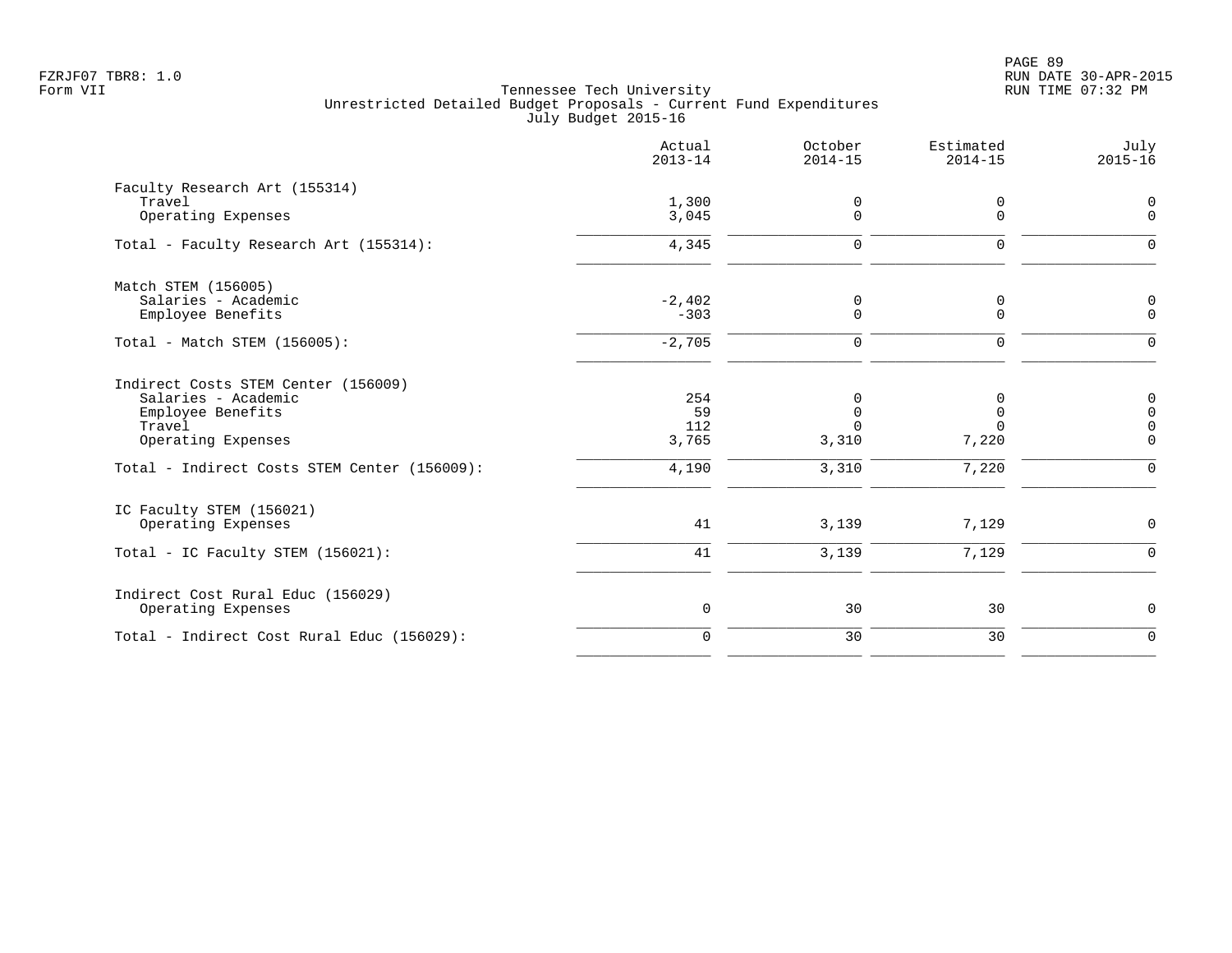|                                                                                                                                                                 | Actual<br>$2013 - 14$              | October<br>$2014 - 15$                         | Estimated<br>$2014 - 15$        | July<br>$2015 - 16$                                           |
|-----------------------------------------------------------------------------------------------------------------------------------------------------------------|------------------------------------|------------------------------------------------|---------------------------------|---------------------------------------------------------------|
| Faculty Research Art (155314)<br>Travel<br>Operating Expenses                                                                                                   | 1,300<br>3,045                     | 0<br>$\Omega$                                  | 0<br>$\Omega$                   | 0<br>$\mathbf 0$                                              |
| Total - Faculty Research Art (155314):                                                                                                                          | 4,345                              | $\mathbf 0$                                    | 0                               | $\Omega$                                                      |
| Match STEM (156005)<br>Salaries - Academic<br>Employee Benefits                                                                                                 | $-2,402$<br>$-303$                 | 0<br>$\mathbf 0$                               | 0<br>0                          | $\mathbf 0$<br>$\mathbf 0$                                    |
| Total - Match STEM (156005):                                                                                                                                    | $-2,705$                           | $\mathbf 0$                                    | 0                               | $\mathbf 0$                                                   |
| Indirect Costs STEM Center (156009)<br>Salaries - Academic<br>Employee Benefits<br>Travel<br>Operating Expenses<br>Total - Indirect Costs STEM Center (156009): | 254<br>59<br>112<br>3,765<br>4,190 | 0<br>$\mathbf 0$<br>$\Omega$<br>3,310<br>3,310 | $\Omega$<br>0<br>7,220<br>7,220 | 0<br>$\mathsf 0$<br>$\mathbf 0$<br>$\mathbf 0$<br>$\mathbf 0$ |
| IC Faculty STEM (156021)<br>Operating Expenses<br>Total - IC Faculty STEM (156021):                                                                             | 41<br>41                           | 3,139<br>3,139                                 | 7,129<br>7,129                  | $\mathbf 0$<br>$\mathbf 0$                                    |
| Indirect Cost Rural Educ (156029)<br>Operating Expenses                                                                                                         | $\mathsf{O}$                       | 30                                             | 30                              | 0                                                             |
| Total - Indirect Cost Rural Educ (156029):                                                                                                                      | $\mathbf 0$                        | 30                                             | 30                              | $\overline{0}$                                                |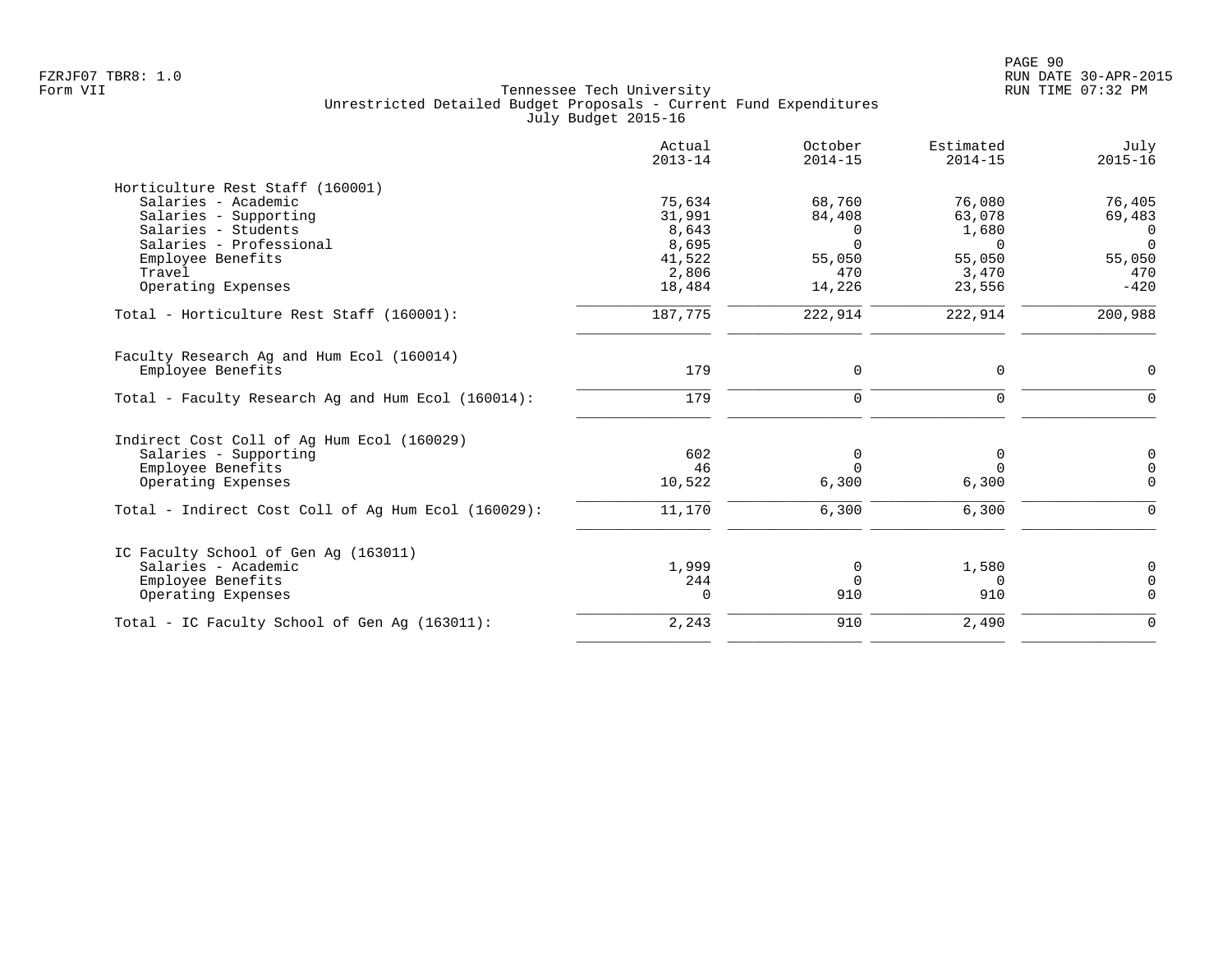|                                                     | Actual<br>$2013 - 14$ | October<br>$2014 - 15$ | Estimated<br>$2014 - 15$ | July<br>$2015 - 16$ |
|-----------------------------------------------------|-----------------------|------------------------|--------------------------|---------------------|
| Horticulture Rest Staff (160001)                    |                       |                        |                          |                     |
| Salaries - Academic                                 | 75,634                | 68,760                 | 76,080                   | 76,405              |
| Salaries - Supporting                               | 31,991                | 84,408                 | 63,078                   | 69,483              |
| Salaries - Students                                 | 8,643                 | 0                      | 1,680                    | $\Omega$            |
| Salaries - Professional                             | 8,695                 | $\Omega$               | $\Omega$                 | $\Omega$            |
| Employee Benefits                                   | 41,522                | 55,050                 | 55,050                   | 55,050              |
| Travel                                              | 2,806                 | 470                    | 3,470                    | 470                 |
| Operating Expenses                                  | 18,484                | 14,226                 | 23,556                   | $-420$              |
| Total - Horticulture Rest Staff (160001):           | 187,775               | 222,914                | 222,914                  | 200,988             |
| Faculty Research Ag and Hum Ecol (160014)           |                       |                        |                          |                     |
| Employee Benefits                                   | 179                   | $\mathbf 0$            | 0                        | 0                   |
| Total - Faculty Research Aq and Hum Ecol (160014):  | 179                   | $\mathbf 0$            | 0                        | $\Omega$            |
| Indirect Cost Coll of Ag Hum Ecol (160029)          |                       |                        |                          |                     |
| Salaries - Supporting                               | 602                   | 0                      | 0                        | $\mathbf 0$         |
| Employee Benefits                                   | 46                    | $\Omega$               | $\Omega$                 | $\overline{0}$      |
| Operating Expenses                                  | 10,522                | 6,300                  | 6,300                    | $\Omega$            |
| Total - Indirect Cost Coll of Aq Hum Ecol (160029): | 11,170                | 6,300                  | 6,300                    | ∩                   |
| IC Faculty School of Gen Aq (163011)                |                       |                        |                          |                     |
| Salaries - Academic                                 | 1,999                 | 0                      | 1,580                    | 0                   |
| Employee Benefits                                   | 244                   | $\Omega$               | $\Omega$                 | $\overline{0}$      |
| Operating Expenses                                  | 0                     | 910                    | 910                      | $\Omega$            |
| Total - IC Faculty School of Gen Aq (163011):       | 2,243                 | 910                    | 2,490                    | $\Omega$            |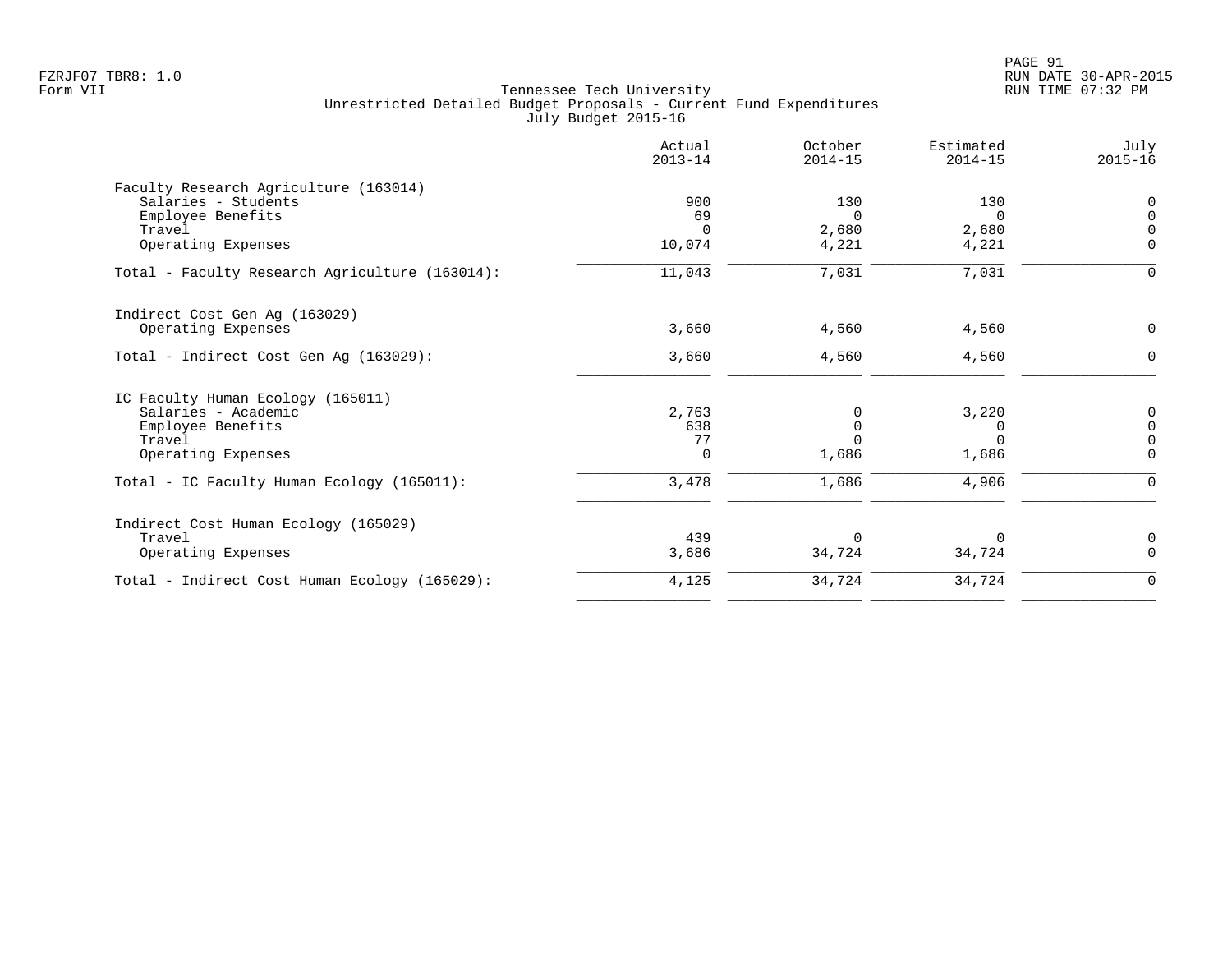| Estimated<br>July<br>$2014 - 15$<br>$2015 - 16$ | October<br>$2014 - 15$ | Actual<br>$2013 - 14$ |                                                |
|-------------------------------------------------|------------------------|-----------------------|------------------------------------------------|
|                                                 |                        |                       | Faculty Research Agriculture (163014)          |
| 130<br>$\Omega$                                 | 130                    | 900                   | Salaries - Students                            |
| $\Omega$<br>$\Omega$                            | $\Omega$               | 69                    | Employee Benefits                              |
| 2,680<br>$\Omega$                               | 2,680                  | $\Omega$              | Travel                                         |
| 4,221<br>0                                      | 4,221                  | 10,074                | Operating Expenses                             |
| 7,031<br>$\Omega$                               | 7,031                  | 11,043                | Total - Faculty Research Agriculture (163014): |
|                                                 |                        |                       | Indirect Cost Gen Ag (163029)                  |
| 4,560<br>0                                      | 4,560                  | 3,660                 | Operating Expenses                             |
| 4,560<br>$\mathbf 0$                            | 4,560                  | 3,660                 | Total - Indirect Cost Gen Ag (163029):         |
|                                                 |                        |                       | IC Faculty Human Ecology (165011)              |
| 3,220<br>0                                      | 0                      | 2,763                 | Salaries - Academic                            |
| 0<br>0                                          | $\mathbf 0$            | 638                   | Employee Benefits                              |
| $\cap$<br>$\Omega$                              | $\Omega$               | 77                    | Travel                                         |
| 1,686<br>$\mathbf 0$                            | 1,686                  | $\mathbf 0$           | Operating Expenses                             |
| 4,906<br>$\mathbf 0$                            | 1,686                  | 3,478                 | Total - IC Faculty Human Ecology (165011):     |
|                                                 |                        |                       | Indirect Cost Human Ecology (165029)           |
| 0<br>$\Omega$                                   | $\Omega$               | 439                   | Travel                                         |
| $\Omega$<br>34,724                              | 34,724                 | 3,686                 | Operating Expenses                             |
| 34,724<br>$\mathbf 0$                           | 34,724                 | 4,125                 | Total - Indirect Cost Human Ecology (165029):  |
|                                                 |                        |                       |                                                |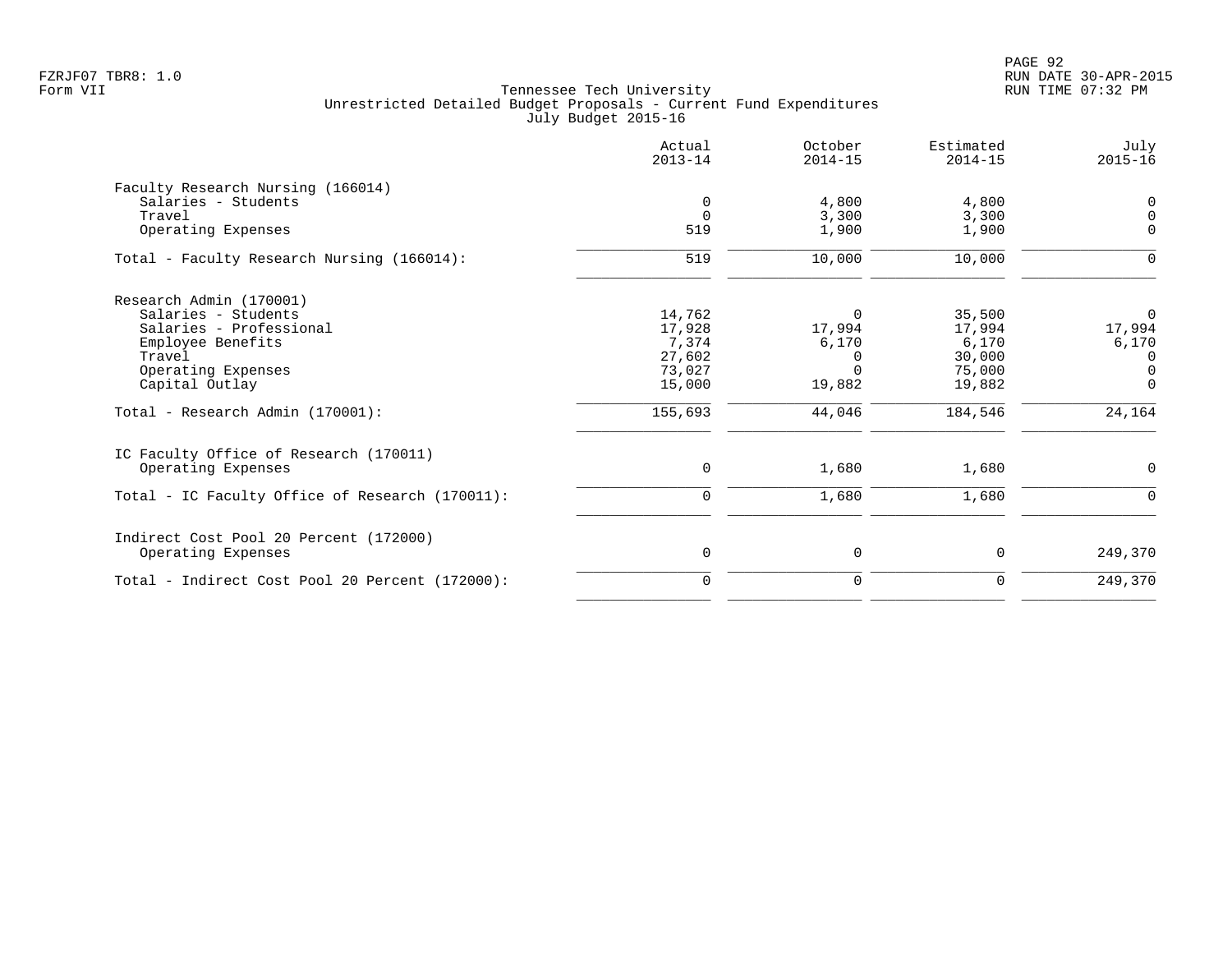PAGE 92 FZRJF07 TBR8: 1.0 RUN DATE 30-APR-2015

|                                                 | Actual<br>$2013 - 14$ | October<br>$2014 - 15$ | Estimated<br>$2014 - 15$ | July<br>$2015 - 16$ |
|-------------------------------------------------|-----------------------|------------------------|--------------------------|---------------------|
| Faculty Research Nursing (166014)               |                       |                        |                          |                     |
| Salaries - Students                             | $\mathbf 0$           | 4,800                  | 4,800                    | 0                   |
| Travel                                          | $\Omega$              | 3,300                  | 3,300                    | $\Omega$            |
| Operating Expenses                              | 519                   | 1,900                  | 1,900                    | $\Omega$            |
| Total - Faculty Research Nursing (166014):      | 519                   | 10,000                 | 10,000                   | 0                   |
| Research Admin (170001)                         |                       |                        |                          |                     |
| Salaries - Students                             | 14,762                | 0                      | 35,500                   | 0                   |
| Salaries - Professional                         | 17,928                | 17,994                 | 17,994                   | 17,994              |
| Employee Benefits                               | 7,374                 | 6,170                  | 6,170                    | 6,170               |
| Travel                                          | 27,602                | $\Omega$               | 30,000                   | $\Omega$            |
| Operating Expenses                              | 73,027                | $\Omega$               | 75,000                   | $\mathbf 0$         |
| Capital Outlay                                  | 15,000                | 19,882                 | 19,882                   | $\Omega$            |
| Total - Research Admin (170001):                | 155,693               | 44,046                 | 184,546                  | 24,164              |
| IC Faculty Office of Research (170011)          |                       |                        |                          |                     |
| Operating Expenses                              | $\mathbf 0$           | 1,680                  | 1,680                    | 0                   |
| Total - IC Faculty Office of Research (170011): | $\mathbf 0$           | 1,680                  | 1,680                    | $\Omega$            |
| Indirect Cost Pool 20 Percent (172000)          |                       |                        |                          |                     |
| Operating Expenses                              | 0                     | 0                      | $\mathbf 0$              | 249,370             |
| Total - Indirect Cost Pool 20 Percent (172000): | $\mathbf 0$           | $\mathbf 0$            | $\mathbf 0$              | 249,370             |
|                                                 |                       |                        |                          |                     |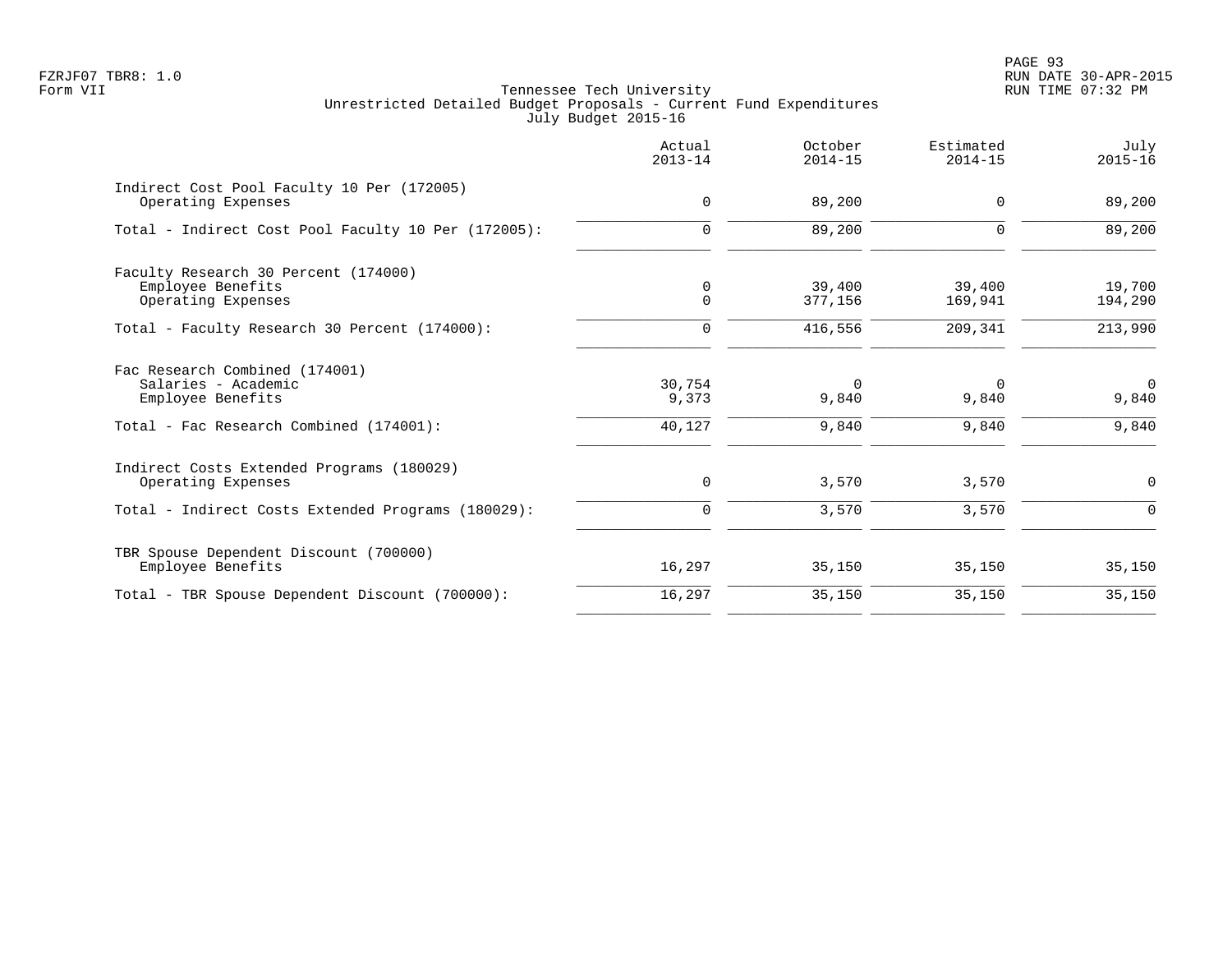PAGE 93 FZRJF07 TBR8: 1.0 RUN DATE 30-APR-2015

|                                                                                                                       | Actual<br>$2013 - 14$     | October<br>$2014 - 15$     | Estimated<br>$2014 - 15$   | July<br>$2015 - 16$        |
|-----------------------------------------------------------------------------------------------------------------------|---------------------------|----------------------------|----------------------------|----------------------------|
| Indirect Cost Pool Faculty 10 Per (172005)<br>Operating Expenses                                                      | 0                         | 89,200                     | $\Omega$                   | 89,200                     |
| Total - Indirect Cost Pool Faculty 10 Per (172005):                                                                   | $\mathbf 0$               | 89,200                     | $\Omega$                   | 89,200                     |
| Faculty Research 30 Percent (174000)<br>Employee Benefits<br>Operating Expenses                                       | 0<br>$\mathbf 0$          | 39,400<br>377,156          | 39,400<br>169,941          | 19,700<br>194,290          |
| Total - Faculty Research 30 Percent (174000):                                                                         | $\mathbf 0$               | 416,556                    | 209,341                    | 213,990                    |
| Fac Research Combined (174001)<br>Salaries - Academic<br>Employee Benefits<br>Total - Fac Research Combined (174001): | 30,754<br>9,373<br>40,127 | $\Omega$<br>9,840<br>9,840 | $\Omega$<br>9,840<br>9,840 | $\Omega$<br>9,840<br>9,840 |
| Indirect Costs Extended Programs (180029)<br>Operating Expenses<br>Total - Indirect Costs Extended Programs (180029): | 0<br>$\mathbf 0$          | 3,570<br>3,570             | 3,570<br>3,570             | 0<br>$\Omega$              |
| TBR Spouse Dependent Discount (700000)<br>Employee Benefits                                                           | 16,297                    | 35,150                     | 35,150                     | 35,150                     |
| Total - TBR Spouse Dependent Discount (700000):                                                                       | 16,297                    | 35,150                     | 35,150                     | 35,150                     |
|                                                                                                                       |                           |                            |                            |                            |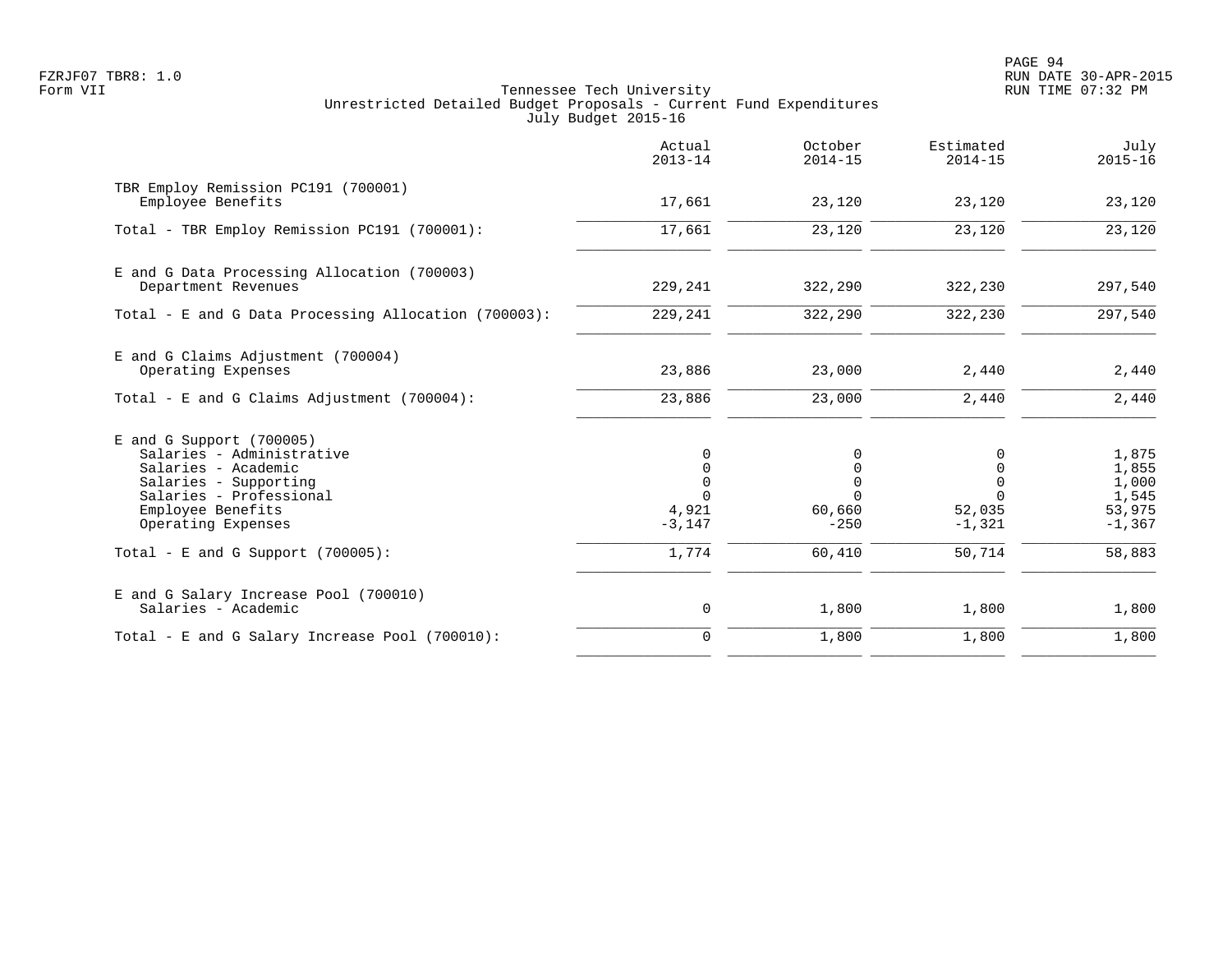PAGE 94 FZRJF07 TBR8: 1.0 RUN DATE 30-APR-2015

|                                                                                                                                                                               | Actual<br>$2013 - 14$                                            | October<br>$2014 - 15$                                          | Estimated<br>$2014 - 15$                                | July<br>$2015 - 16$                                    |
|-------------------------------------------------------------------------------------------------------------------------------------------------------------------------------|------------------------------------------------------------------|-----------------------------------------------------------------|---------------------------------------------------------|--------------------------------------------------------|
| TBR Employ Remission PC191 (700001)<br>Employee Benefits                                                                                                                      | 17,661                                                           | 23,120                                                          | 23,120                                                  | 23,120                                                 |
| Total - TBR Employ Remission PC191 (700001):                                                                                                                                  | 17,661                                                           | 23,120                                                          | 23,120                                                  | 23,120                                                 |
| E and G Data Processing Allocation (700003)<br>Department Revenues                                                                                                            | 229,241                                                          | 322,290                                                         | 322,230                                                 | 297,540                                                |
| Total - E and G Data Processing Allocation (700003):                                                                                                                          | 229,241                                                          | 322,290                                                         | 322,230                                                 | 297,540                                                |
| E and G Claims Adjustment (700004)<br>Operating Expenses                                                                                                                      | 23,886                                                           | 23,000                                                          | 2,440                                                   | 2,440                                                  |
| Total - E and G Claims Adjustment (700004):                                                                                                                                   | 23,886                                                           | 23,000                                                          | 2,440                                                   | 2,440                                                  |
| $E$ and G Support (700005)<br>Salaries - Administrative<br>Salaries - Academic<br>Salaries - Supporting<br>Salaries - Professional<br>Employee Benefits<br>Operating Expenses | 0<br>$\mathbf 0$<br>$\mathbf 0$<br>$\Omega$<br>4,921<br>$-3,147$ | 0<br>$\mathbf 0$<br>$\mathbf 0$<br>$\Omega$<br>60,660<br>$-250$ | 0<br>0<br>$\mathbf 0$<br>$\Omega$<br>52,035<br>$-1,321$ | 1,875<br>1,855<br>1,000<br>1,545<br>53,975<br>$-1,367$ |
| Total - E and G Support $(700005)$ :                                                                                                                                          | 1,774                                                            | 60,410                                                          | 50,714                                                  | 58,883                                                 |
| E and G Salary Increase Pool (700010)<br>Salaries - Academic                                                                                                                  | 0                                                                | 1,800                                                           | 1,800                                                   | 1,800                                                  |
| Total - E and G Salary Increase Pool (700010):                                                                                                                                | $\mathbf 0$                                                      | 1,800                                                           | 1,800                                                   | 1,800                                                  |
|                                                                                                                                                                               |                                                                  |                                                                 |                                                         |                                                        |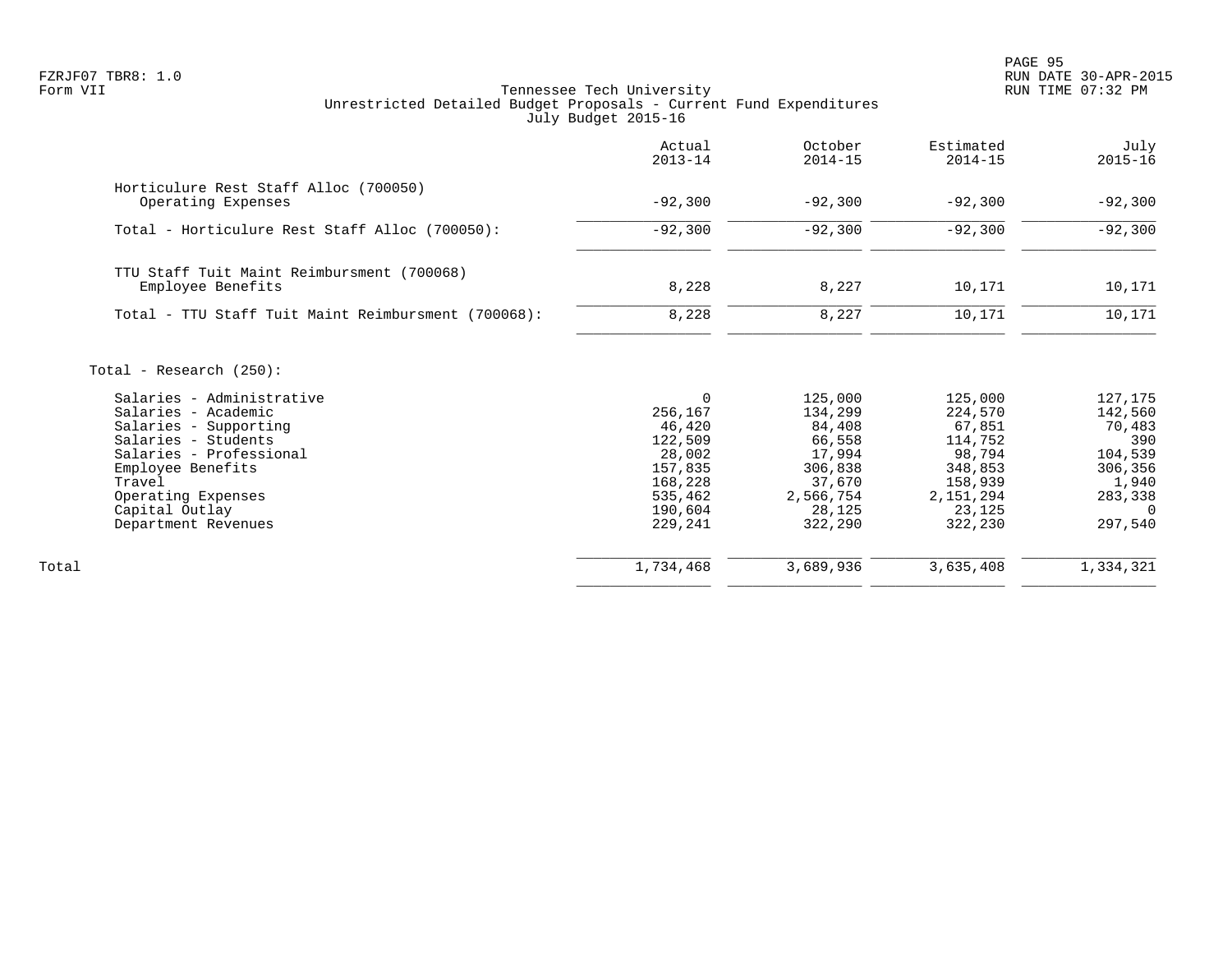PAGE 95 FZRJF07 TBR8: 1.0 RUN DATE 30-APR-2015

|                                                                 | Actual<br>$2013 - 14$ | October<br>$2014 - 15$ | Estimated<br>$2014 - 15$ | July<br>$2015 - 16$ |
|-----------------------------------------------------------------|-----------------------|------------------------|--------------------------|---------------------|
| Horticulure Rest Staff Alloc (700050)<br>Operating Expenses     | $-92,300$             | $-92,300$              | $-92,300$                | $-92,300$           |
| Total - Horticulure Rest Staff Alloc (700050):                  | $-92,300$             | $-92,300$              | $-92,300$                | $-92,300$           |
| TTU Staff Tuit Maint Reimbursment (700068)<br>Employee Benefits | 8,228                 | 8,227                  | 10,171                   | 10,171              |
| Total - TTU Staff Tuit Maint Reimbursment (700068):             | 8,228                 | 8,227                  | 10,171                   | 10,171              |
| Total - Research $(250)$ :                                      |                       |                        |                          |                     |
| Salaries - Administrative                                       | $\Omega$              | 125,000                | 125,000                  | 127,175             |
| Salaries - Academic                                             | 256,167               | 134,299                | 224,570                  | 142,560             |
| Salaries - Supporting                                           | 46,420                | 84,408                 | 67,851                   | 70,483              |
| Salaries - Students                                             | 122,509               | 66,558                 | 114,752                  | 390                 |
| Salaries - Professional                                         | 28,002                | 17,994                 | 98,794                   | 104,539             |
| Employee Benefits                                               | 157,835               | 306,838                | 348,853                  | 306,356             |
| Travel                                                          | 168,228               | 37,670                 | 158,939                  | 1,940               |
| Operating Expenses                                              | 535,462<br>190,604    | 2,566,754              | 2,151,294<br>23,125      | 283,338<br>$\Omega$ |
| Capital Outlay<br>Department Revenues                           | 229,241               | 28,125<br>322,290      | 322,230                  | 297,540             |
| Total                                                           | 1,734,468             | 3,689,936              | 3,635,408                | 1,334,321           |
|                                                                 |                       |                        |                          |                     |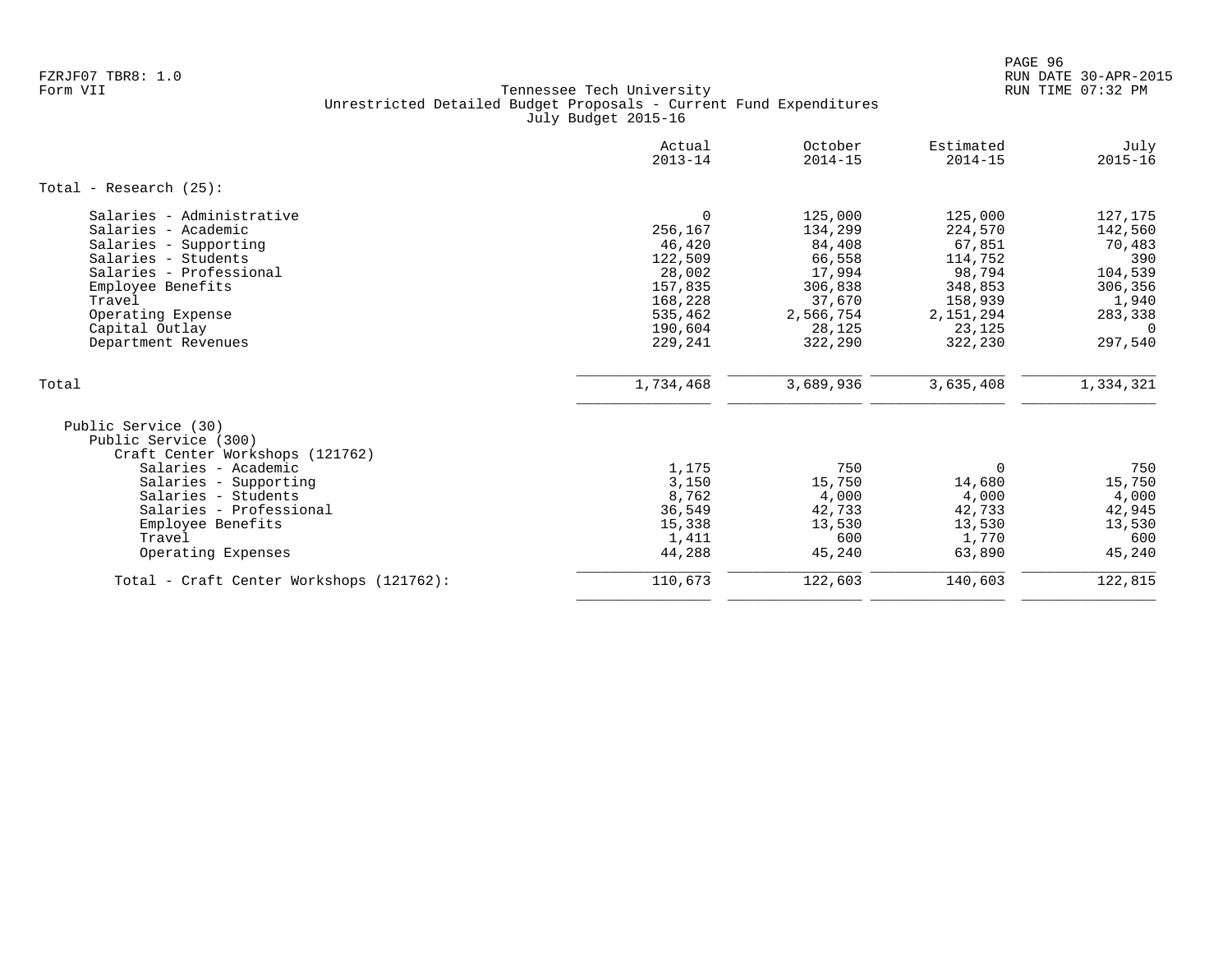|                                                                                                                                                                                                                          | Actual<br>$2013 - 14$                                                                                     | October<br>$2014 - 15$                                                                                  | Estimated<br>$2014 - 15$                                                                                    | July<br>$2015 - 16$                                                                                  |
|--------------------------------------------------------------------------------------------------------------------------------------------------------------------------------------------------------------------------|-----------------------------------------------------------------------------------------------------------|---------------------------------------------------------------------------------------------------------|-------------------------------------------------------------------------------------------------------------|------------------------------------------------------------------------------------------------------|
| Total - Research $(25)$ :                                                                                                                                                                                                |                                                                                                           |                                                                                                         |                                                                                                             |                                                                                                      |
| Salaries - Administrative<br>Salaries - Academic<br>Salaries - Supporting<br>Salaries - Students<br>Salaries - Professional<br>Employee Benefits<br>Travel<br>Operating Expense<br>Capital Outlay<br>Department Revenues | $\Omega$<br>256,167<br>46,420<br>122,509<br>28,002<br>157,835<br>168,228<br>535,462<br>190,604<br>229,241 | 125,000<br>134,299<br>84,408<br>66,558<br>17,994<br>306,838<br>37,670<br>2,566,754<br>28,125<br>322,290 | 125,000<br>224,570<br>67,851<br>114,752<br>98,794<br>348,853<br>158,939<br>2, 151, 294<br>23,125<br>322,230 | 127,175<br>142,560<br>70,483<br>390<br>104,539<br>306,356<br>1,940<br>283,338<br>$\Omega$<br>297,540 |
| Total                                                                                                                                                                                                                    | 1,734,468                                                                                                 | 3,689,936                                                                                               | 3,635,408                                                                                                   | 1,334,321                                                                                            |
| Public Service (30)<br>Public Service (300)<br>Craft Center Workshops (121762)<br>Salaries - Academic<br>Salaries - Supporting<br>Salaries - Students<br>Salaries - Professional<br>Employee Benefits<br>Travel          | 1,175<br>3,150<br>8,762<br>36,549<br>15,338<br>1,411                                                      | 750<br>15,750<br>4,000<br>42,733<br>13,530<br>600                                                       | $\Omega$<br>14,680<br>4,000<br>42,733<br>13,530<br>1,770                                                    | 750<br>15,750<br>4,000<br>42,945<br>13,530<br>600                                                    |
| Operating Expenses                                                                                                                                                                                                       | 44,288                                                                                                    | 45,240                                                                                                  | 63,890                                                                                                      | 45,240                                                                                               |
| Total - Craft Center Workshops (121762):                                                                                                                                                                                 | 110,673                                                                                                   | 122,603                                                                                                 | 140,603                                                                                                     | 122,815                                                                                              |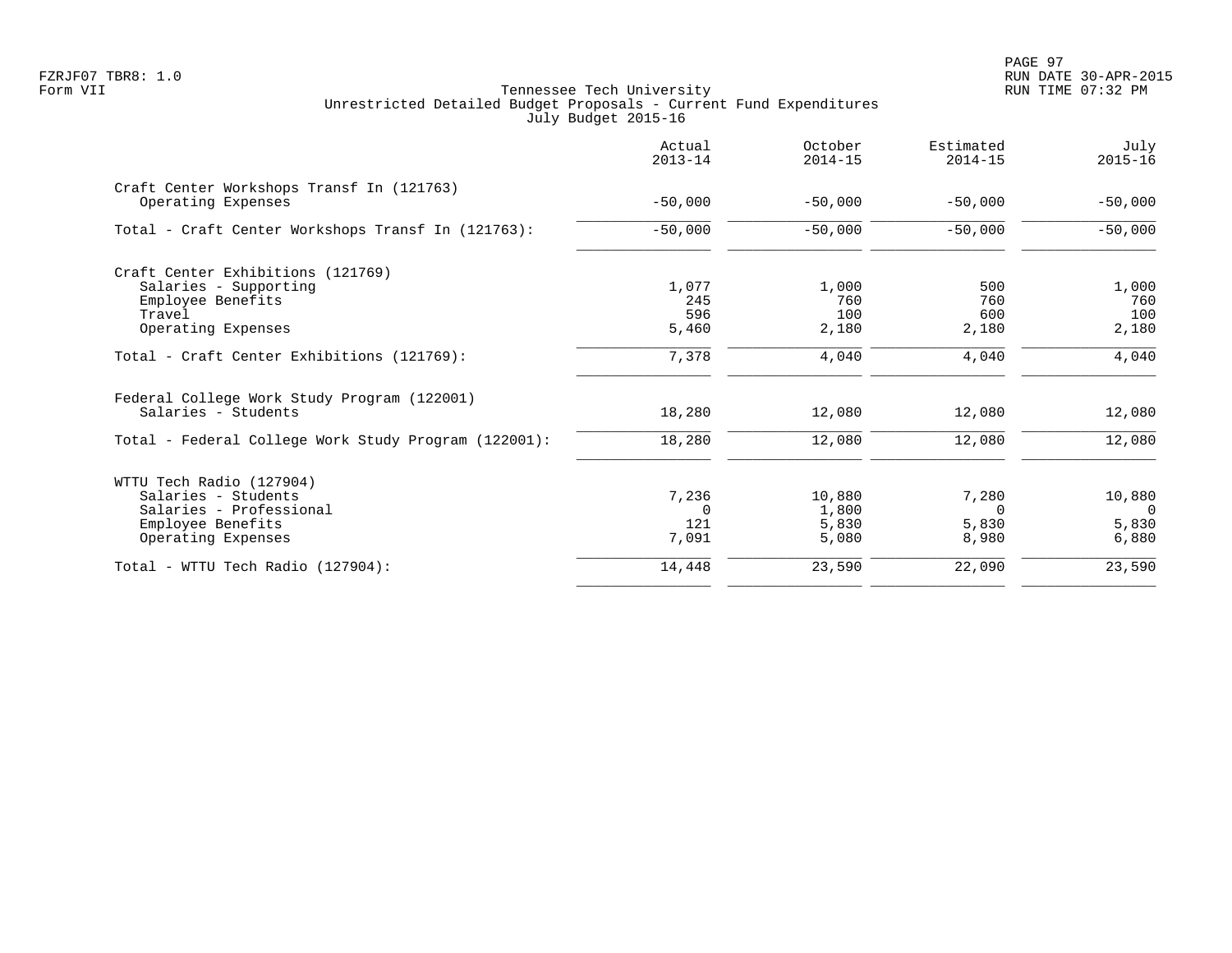PAGE 97 FZRJF07 TBR8: 1.0 RUN DATE 30-APR-2015

|                                                                                                                            | Actual<br>$2013 - 14$             | October<br>$2014 - 15$            | Estimated<br>$2014 - 15$            | July<br>$2015 - 16$                  |
|----------------------------------------------------------------------------------------------------------------------------|-----------------------------------|-----------------------------------|-------------------------------------|--------------------------------------|
| Craft Center Workshops Transf In (121763)<br>Operating Expenses                                                            | $-50,000$                         | $-50,000$                         | $-50,000$                           | $-50,000$                            |
| Total - Craft Center Workshops Transf In (121763):                                                                         | $-50,000$                         | $-50,000$                         | $-50,000$                           | $-50,000$                            |
| Craft Center Exhibitions (121769)<br>Salaries - Supporting<br>Employee Benefits<br>Travel<br>Operating Expenses            | 1,077<br>245<br>596<br>5,460      | 1,000<br>760<br>100<br>2,180      | 500<br>760<br>600<br>2,180          | 1,000<br>760<br>100<br>2,180         |
| Total - Craft Center Exhibitions (121769):                                                                                 | 7,378                             | 4,040                             | 4,040                               | 4,040                                |
| Federal College Work Study Program (122001)<br>Salaries - Students<br>Total - Federal College Work Study Program (122001): | 18,280<br>18,280                  | 12,080<br>12,080                  | 12,080<br>12,080                    | 12,080<br>12,080                     |
|                                                                                                                            |                                   |                                   |                                     |                                      |
| WTTU Tech Radio (127904)<br>Salaries - Students<br>Salaries - Professional<br>Employee Benefits<br>Operating Expenses      | 7,236<br>$\Omega$<br>121<br>7,091 | 10,880<br>1,800<br>5,830<br>5,080 | 7,280<br>$\Omega$<br>5,830<br>8,980 | 10,880<br>$\Omega$<br>5,830<br>6,880 |
| Total - WTTU Tech Radio (127904):                                                                                          | 14,448                            | 23,590                            | 22,090                              | 23,590                               |
|                                                                                                                            |                                   |                                   |                                     |                                      |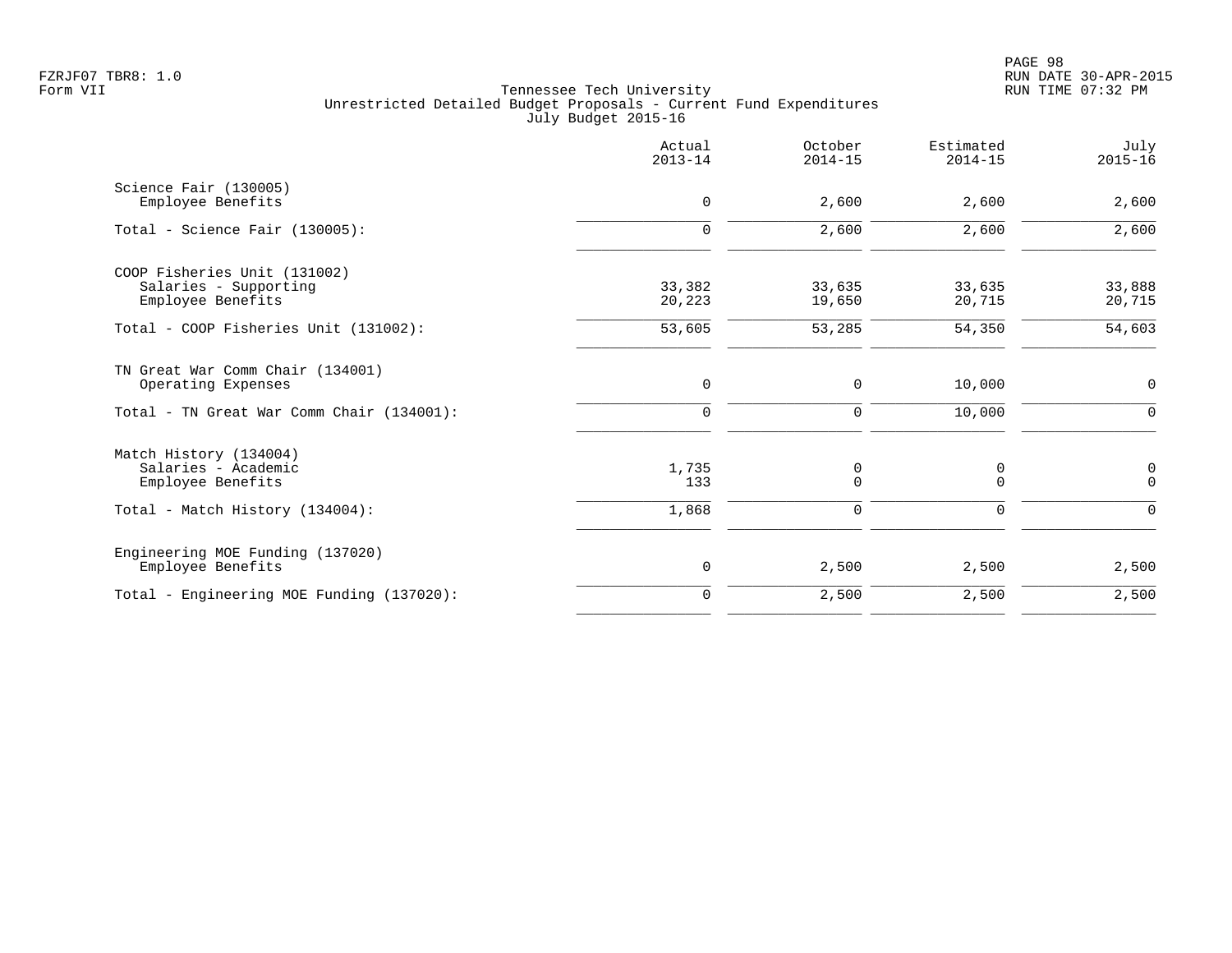|                                                                            | Actual<br>$2013 - 14$ | October<br>$2014 - 15$ | Estimated<br>$2014 - 15$ | July<br>$2015 - 16$   |
|----------------------------------------------------------------------------|-----------------------|------------------------|--------------------------|-----------------------|
| Science Fair (130005)<br>Employee Benefits                                 | 0                     | 2,600                  | 2,600                    | 2,600                 |
| Total - Science Fair $(130005)$ :                                          | $\mathbf 0$           | 2,600                  | 2,600                    | 2,600                 |
| COOP Fisheries Unit (131002)<br>Salaries - Supporting<br>Employee Benefits | 33,382<br>20,223      | 33,635<br>19,650       | 33,635<br>20,715         | 33,888<br>20,715      |
| Total - COOP Fisheries Unit (131002):                                      | 53,605                | 53,285                 | 54,350                   | 54,603                |
| TN Great War Comm Chair (134001)<br>Operating Expenses                     | $\mathbf 0$           | 0                      | 10,000                   | 0                     |
| Total - TN Great War Comm Chair (134001):                                  | 0                     | 0                      | 10,000                   | $\Omega$              |
| Match History (134004)<br>Salaries - Academic<br>Employee Benefits         | 1,735<br>133          | 0<br>$\mathbf 0$       | 0<br>$\Omega$            | $\pmb{0}$<br>$\Omega$ |
| Total - Match History (134004):                                            | 1,868                 | 0                      | $\mathbf 0$              | $\Omega$              |
| Engineering MOE Funding (137020)<br>Employee Benefits                      | $\mathbf 0$           | 2,500                  | 2,500                    | 2,500                 |
| Total - Engineering MOE Funding (137020):                                  | $\mathbf 0$           | 2,500                  | 2,500                    | 2,500                 |
|                                                                            |                       |                        |                          |                       |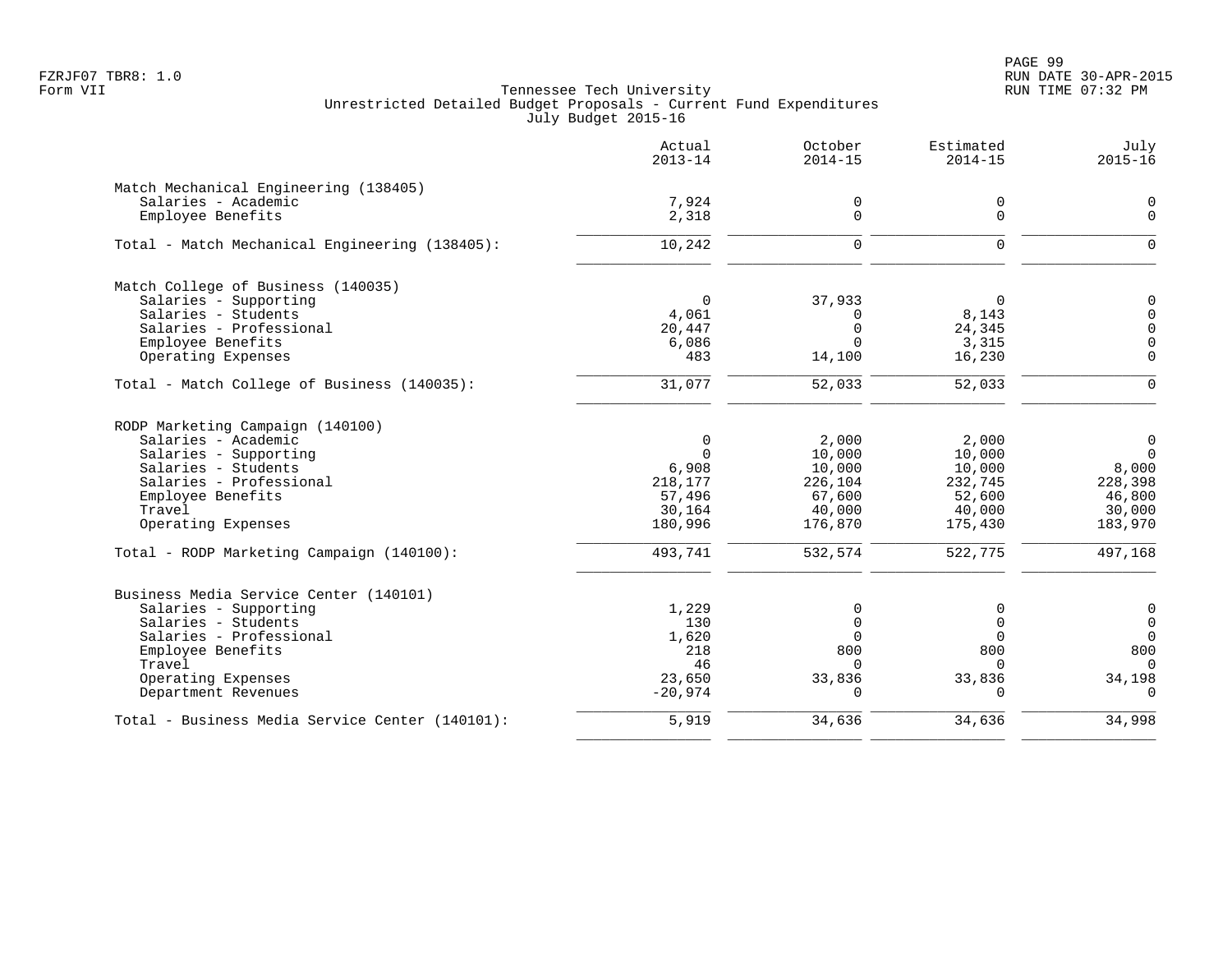PAGE 99 FZRJF07 TBR8: 1.0 RUN DATE 30-APR-2015

|                                                 | Actual<br>$2013 - 14$ | October<br>$2014 - 15$ | Estimated<br>$2014 - 15$ | July<br>$2015 - 16$  |
|-------------------------------------------------|-----------------------|------------------------|--------------------------|----------------------|
| Match Mechanical Engineering (138405)           |                       |                        |                          |                      |
| Salaries - Academic                             | 7,924                 | 0                      | 0                        | 0                    |
| Employee Benefits                               | 2,318                 | $\mathbf 0$            | $\mathbf 0$              | $\mathbf 0$          |
| Total - Match Mechanical Engineering (138405):  | 10,242                | $\mathbf 0$            | $\mathbf 0$              | $\Omega$             |
| Match College of Business (140035)              |                       |                        |                          |                      |
| Salaries - Supporting                           | $\Omega$              | 37,933                 | $\Omega$                 | $\mathbf 0$          |
| Salaries - Students<br>Salaries - Professional  | 4,061<br>20,447       | $\Omega$<br>$\Omega$   | 8,143                    | $\Omega$<br>$\Omega$ |
| Employee Benefits                               | 6,086                 | $\Omega$               | 24,345<br>3,315          | $\overline{0}$       |
| Operating Expenses                              | 483                   | 14,100                 | 16,230                   | $\Omega$             |
| Total - Match College of Business (140035):     | 31,077                | 52,033                 | 52,033                   | $\Omega$             |
| RODP Marketing Campaign (140100)                |                       |                        |                          |                      |
| Salaries - Academic                             | $\mathbf 0$           | 2,000                  | 2,000                    | $\mathbf 0$          |
| Salaries - Supporting                           | $\Omega$              | 10,000                 | 10,000                   | $\Omega$             |
| Salaries - Students                             | 6,908                 | 10,000                 | 10,000                   | 8,000                |
| Salaries - Professional                         | 218,177               | 226,104                | 232,745                  | 228,398              |
| Employee Benefits<br>Travel                     | 57,496<br>30,164      | 67,600<br>40,000       | 52,600<br>40,000         | 46,800<br>30,000     |
| Operating Expenses                              | 180,996               | 176,870                | 175,430                  | 183,970              |
| Total - RODP Marketing Campaign (140100):       | 493,741               | 532,574                | 522,775                  | 497,168              |
| Business Media Service Center (140101)          |                       |                        |                          |                      |
| Salaries - Supporting                           | 1,229                 | 0                      | 0                        | 0                    |
| Salaries - Students                             | 130                   | $\mathbf 0$            | $\Omega$                 | $\overline{0}$       |
| Salaries - Professional                         | 1,620                 | $\Omega$               | $\Omega$                 | $\Omega$             |
| Employee Benefits<br>Travel                     | 218<br>46             | 800<br>$\Omega$        | 800<br>$\Omega$          | 800<br>$\Omega$      |
| Operating Expenses                              | 23,650                | 33,836                 | 33,836                   | 34,198               |
| Department Revenues                             | $-20,974$             | $\Omega$               | $\cap$                   | $\Omega$             |
| Total - Business Media Service Center (140101): | 5,919                 | 34,636                 | 34,636                   | 34,998               |
|                                                 |                       |                        |                          |                      |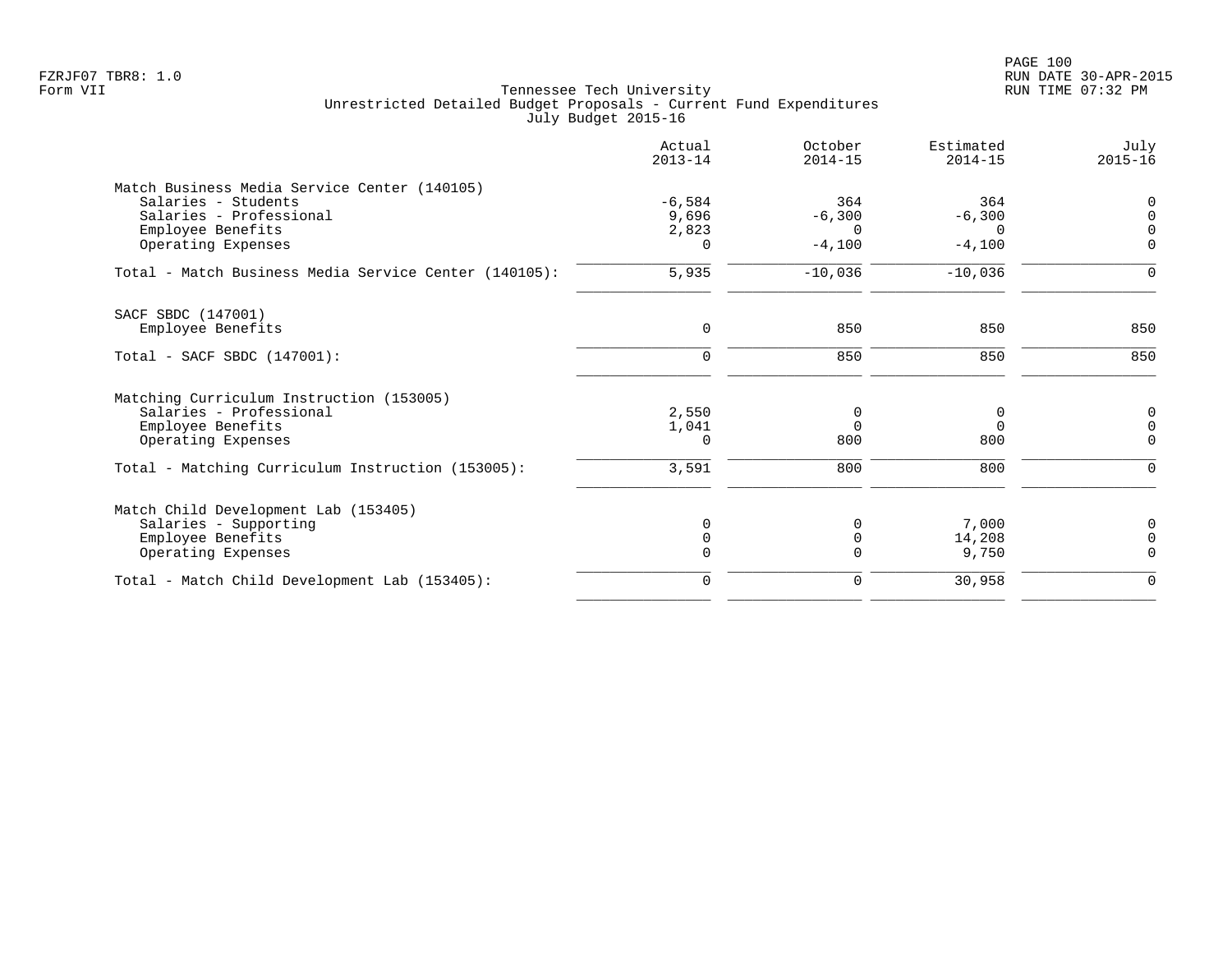| Actual<br>$2013 - 14$ | October<br>$2014 - 15$   | Estimated<br>$2014 - 15$          | July<br>$2015 - 16$              |
|-----------------------|--------------------------|-----------------------------------|----------------------------------|
|                       |                          |                                   |                                  |
| $-6,584$              | 364                      | 364                               | $\overline{0}$                   |
| 9,696                 | $-6,300$                 | $-6,300$                          | $\Omega$                         |
| 2,823                 | $\Omega$                 | $\Omega$                          | $\Omega$                         |
| $\Omega$              | $-4,100$                 | $-4,100$                          | $\mathbf 0$                      |
| 5,935                 | $-10,036$                | $-10,036$                         | $\mathbf 0$                      |
|                       |                          |                                   |                                  |
| $\mathbf 0$           | 850                      | 850                               | 850                              |
| $\mathbf 0$           | 850                      | 850                               | 850                              |
|                       |                          |                                   |                                  |
|                       |                          |                                   | 0                                |
|                       |                          |                                   | $\mathbf 0$                      |
| $\Omega$              | 800                      | 800                               | $\Omega$                         |
| 3,591                 | 800                      | 800                               | $\mathbf 0$                      |
|                       |                          |                                   |                                  |
|                       |                          |                                   | 0                                |
|                       |                          |                                   | $\overline{0}$                   |
| $\mathbf 0$           | $\Omega$                 | 9,750                             | $\overline{0}$                   |
| $\mathbf 0$           | $\mathbf 0$              | 30,958                            | $\mathbf 0$                      |
|                       | 2,550<br>1,041<br>0<br>0 | 0<br>$\Omega$<br>0<br>$\mathbf 0$ | 0<br>$\Omega$<br>7,000<br>14,208 |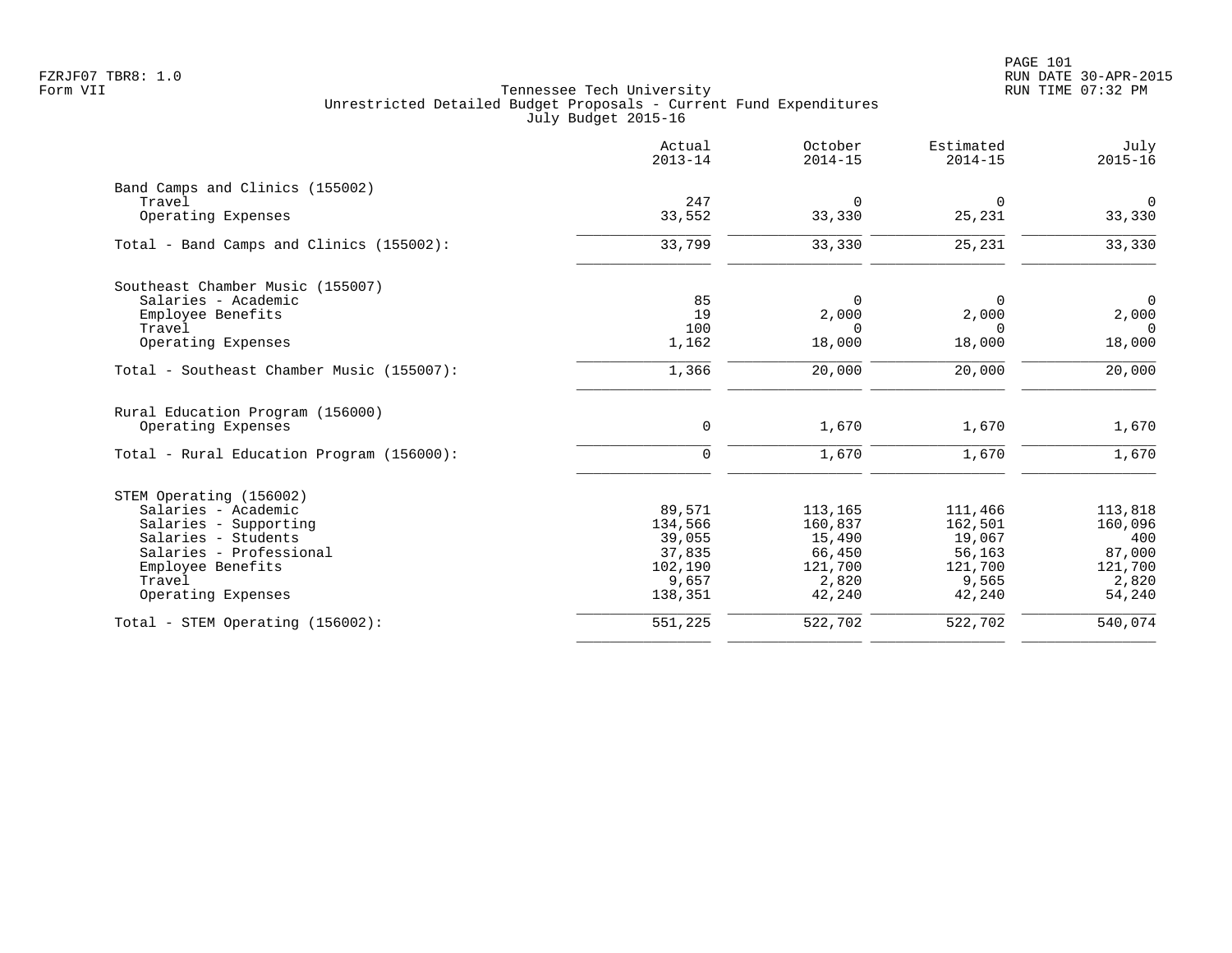|                                           | Actual<br>$2013 - 14$ | October<br>$2014 - 15$ | Estimated<br>$2014 - 15$ | July<br>$2015 - 16$ |
|-------------------------------------------|-----------------------|------------------------|--------------------------|---------------------|
| Band Camps and Clinics (155002)           |                       |                        |                          |                     |
| Travel                                    | 247                   | $\Omega$               | $\Omega$                 | $\mathbf 0$         |
| Operating Expenses                        | 33,552                | 33,330                 | 25,231                   | 33,330              |
| Total - Band Camps and Clinics (155002):  | 33,799                | 33,330                 | 25,231                   | 33,330              |
| Southeast Chamber Music (155007)          |                       |                        |                          |                     |
| Salaries - Academic                       | 85                    | $\Omega$               | $\Omega$                 | $\overline{0}$      |
| Employee Benefits                         | 19                    | 2,000                  | 2,000                    | 2,000               |
| Travel                                    | 100                   | $\Omega$               | $\Omega$                 | $\Omega$            |
| Operating Expenses                        | 1,162                 | 18,000                 | 18,000                   | 18,000              |
| Total - Southeast Chamber Music (155007): | 1,366                 | 20,000                 | 20,000                   | 20,000              |
| Rural Education Program (156000)          |                       |                        |                          |                     |
| Operating Expenses                        | $\mathbf 0$           | 1,670                  | 1,670                    | 1,670               |
| Total - Rural Education Program (156000): | $\mathbf 0$           | 1,670                  | 1,670                    | 1,670               |
| STEM Operating (156002)                   |                       |                        |                          |                     |
| Salaries - Academic                       | 89,571                | 113,165                | 111,466                  | 113,818             |
| Salaries - Supporting                     | 134,566               | 160,837                | 162,501                  | 160,096             |
| Salaries - Students                       | 39,055                | 15,490                 | 19,067                   | 400                 |
| Salaries - Professional                   | 37,835                | 66,450                 | 56,163                   | 87,000              |
| Employee Benefits                         | 102,190               | 121,700                | 121,700                  | 121,700             |
| Travel                                    | 9,657                 | 2,820                  | 9,565                    | 2,820               |
| Operating Expenses                        | 138,351               | 42,240                 | 42,240                   | 54,240              |
| Total - STEM Operating (156002):          | 551,225               | 522,702                | 522,702                  | 540,074             |
|                                           |                       |                        |                          |                     |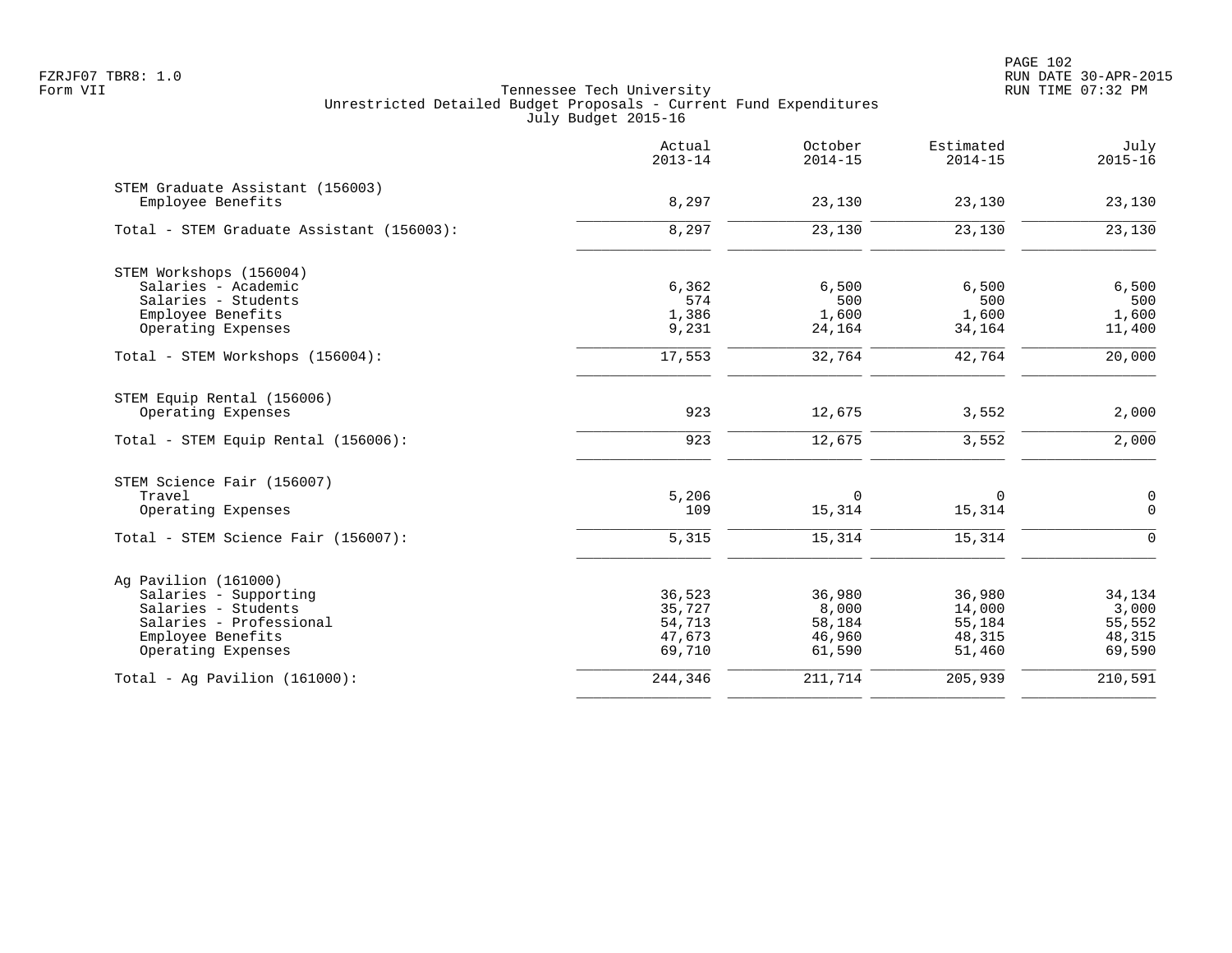|                                           | Actual<br>$2013 - 14$ | October<br>$2014 - 15$ | Estimated<br>$2014 - 15$ | July<br>$2015 - 16$ |
|-------------------------------------------|-----------------------|------------------------|--------------------------|---------------------|
| STEM Graduate Assistant (156003)          |                       |                        |                          |                     |
| Employee Benefits                         | 8,297                 | 23,130                 | 23,130                   | 23,130              |
| Total - STEM Graduate Assistant (156003): | 8,297                 | 23,130                 | 23,130                   | 23,130              |
| STEM Workshops (156004)                   |                       |                        |                          |                     |
| Salaries - Academic                       | 6,362                 | 6,500                  | 6,500                    | 6,500               |
| Salaries - Students                       | 574                   | 500                    | 500                      | 500                 |
| Employee Benefits                         | 1,386                 | 1,600                  | 1,600                    | 1,600               |
| Operating Expenses                        | 9,231                 | 24,164                 | 34,164                   | 11,400              |
| Total - STEM Workshops (156004):          | 17,553                | 32,764                 | 42,764                   | 20,000              |
| STEM Equip Rental (156006)                |                       |                        |                          |                     |
| Operating Expenses                        | 923                   | 12,675                 | 3,552                    | 2,000               |
| Total - STEM Equip Rental (156006):       | 923                   | 12,675                 | 3,552                    | 2,000               |
| STEM Science Fair (156007)                |                       |                        |                          |                     |
| Travel                                    | 5,206                 | $\Omega$               | $\mathbf 0$              | $\mathsf 0$         |
| Operating Expenses                        | 109                   | 15,314                 | 15,314                   | $\mathsf{O}$        |
| Total - STEM Science Fair (156007):       | 5,315                 | 15,314                 | 15,314                   | $\Omega$            |
| Ag Pavilion (161000)                      |                       |                        |                          |                     |
| Salaries - Supporting                     | 36,523                | 36,980                 | 36,980                   | 34,134              |
| Salaries - Students                       | 35,727                | 8,000                  | 14,000                   | 3,000               |
| Salaries - Professional                   | 54,713                | 58,184                 | 55,184                   | 55,552              |
| Employee Benefits                         | 47,673                | 46,960                 | 48,315                   | 48,315              |
| Operating Expenses                        | 69,710                | 61,590                 | 51,460                   | 69,590              |
| Total - Ag Pavilion $(161000)$ :          | 244,346               | 211,714                | 205,939                  | 210,591             |
|                                           |                       |                        |                          |                     |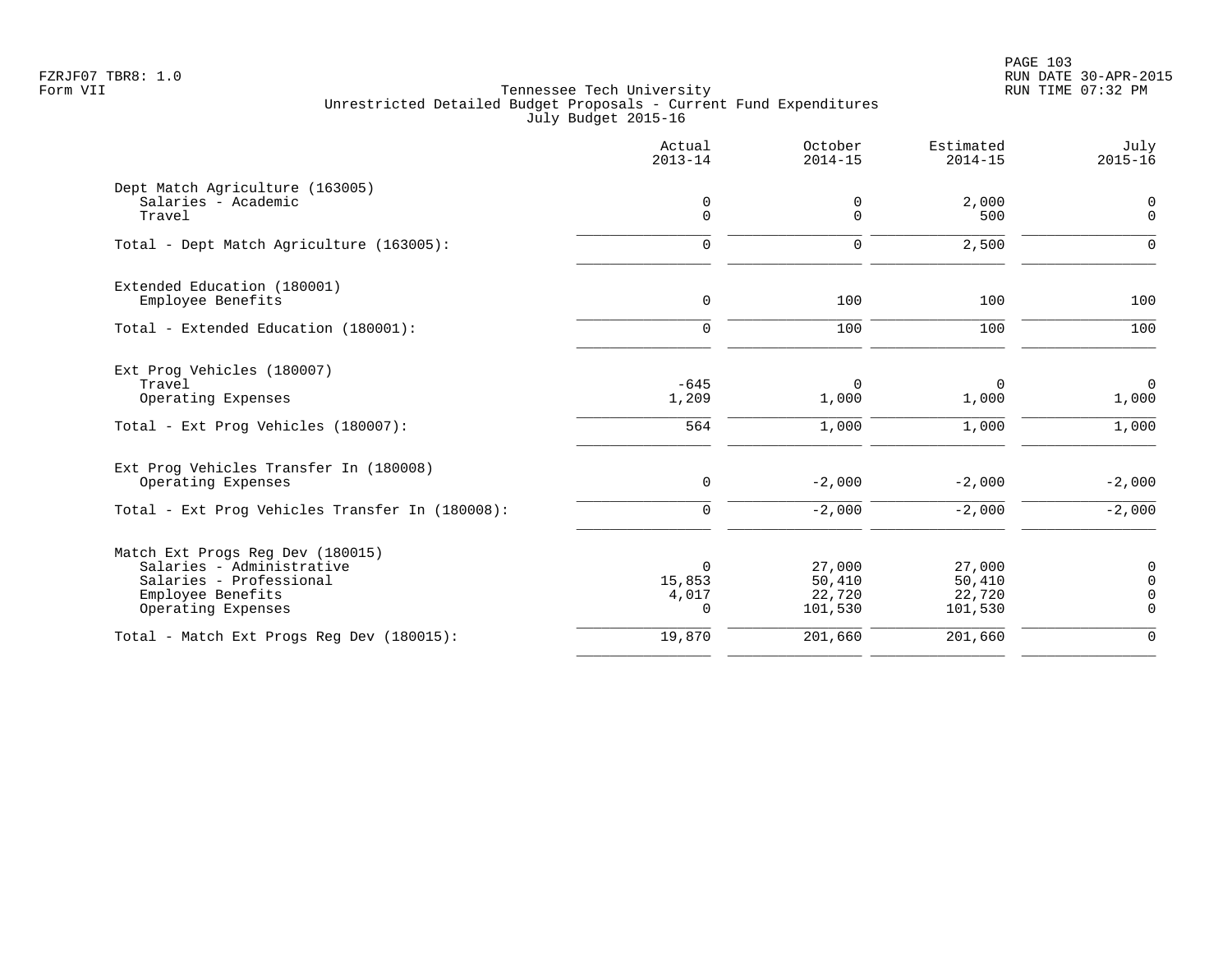|                                                                                                                                     | Actual<br>$2013 - 14$                         | October<br>$2014 - 15$                | Estimated<br>$2014 - 15$              | July<br>$2015 - 16$                            |
|-------------------------------------------------------------------------------------------------------------------------------------|-----------------------------------------------|---------------------------------------|---------------------------------------|------------------------------------------------|
| Dept Match Agriculture (163005)<br>Salaries - Academic<br>Travel                                                                    | 0<br>$\mathbf 0$                              | 0<br>$\Omega$                         | 2,000<br>500                          | 0<br>$\mathsf{O}$                              |
| Total - Dept Match Agriculture (163005):                                                                                            | $\mathbf 0$                                   | $\mathbf 0$                           | 2,500                                 | $\mathbf 0$                                    |
| Extended Education (180001)<br>Employee Benefits                                                                                    | $\mathbf 0$                                   | 100                                   | 100                                   | 100                                            |
| Total - Extended Education (180001):                                                                                                | $\mathbf 0$                                   | 100                                   | 100                                   | 100                                            |
| Ext Prog Vehicles (180007)<br>Travel<br>Operating Expenses<br>Total - Ext Prog Vehicles (180007):                                   | $-645$<br>1,209<br>564                        | 0<br>1,000<br>1,000                   | 0<br>1,000<br>1,000                   | $\mathsf{O}$<br>1,000<br>1,000                 |
| Ext Prog Vehicles Transfer In (180008)<br>Operating Expenses                                                                        | $\mathsf{O}$                                  | $-2,000$                              | $-2,000$                              | $-2,000$                                       |
| Total - Ext Prog Vehicles Transfer In (180008):                                                                                     | $\mathbf 0$                                   | $-2,000$                              | $-2,000$                              | $-2,000$                                       |
| Match Ext Progs Reg Dev (180015)<br>Salaries - Administrative<br>Salaries - Professional<br>Employee Benefits<br>Operating Expenses | $\mathbf 0$<br>15,853<br>4,017<br>$\mathbf 0$ | 27,000<br>50,410<br>22,720<br>101,530 | 27,000<br>50,410<br>22,720<br>101,530 | 0<br>$\mathbf 0$<br>$\mathbf 0$<br>$\mathbf 0$ |
| Total - Match Ext Progs Reg Dev (180015):                                                                                           | 19,870                                        | 201,660                               | 201,660                               | $\mathbf 0$                                    |
|                                                                                                                                     |                                               |                                       |                                       |                                                |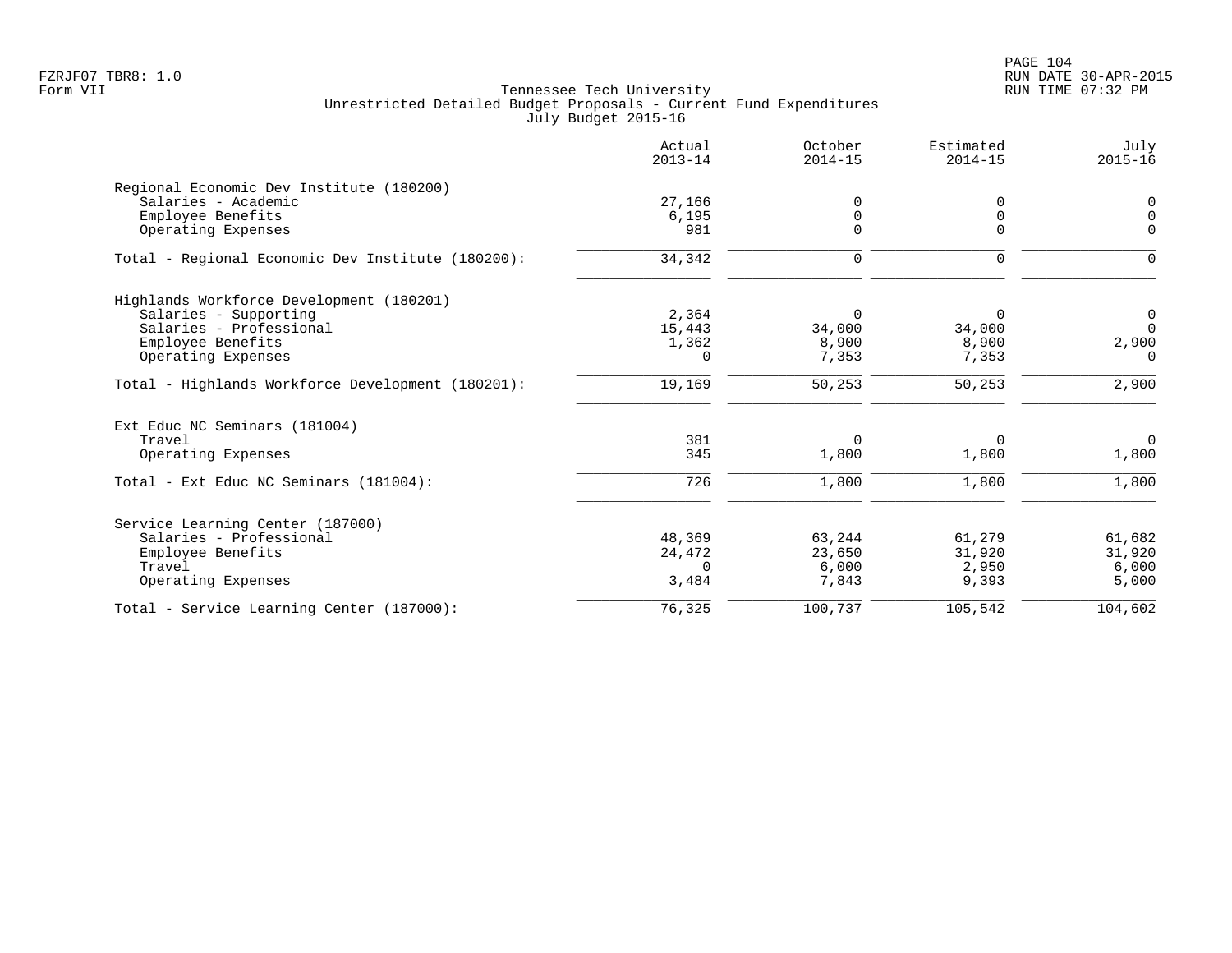PAGE 104 FZRJF07 TBR8: 1.0 RUN DATE 30-APR-2015

|                                                                                  | Actual<br>$2013 - 14$ | October<br>$2014 - 15$    | Estimated<br>$2014 - 15$  | July<br>$2015 - 16$ |
|----------------------------------------------------------------------------------|-----------------------|---------------------------|---------------------------|---------------------|
| Regional Economic Dev Institute (180200)                                         |                       |                           |                           |                     |
| Salaries - Academic                                                              | 27,166                | 0                         | 0                         | 0                   |
| Employee Benefits                                                                | 6,195                 | $\Omega$                  | 0                         | $\mathsf 0$         |
| Operating Expenses                                                               | 981                   | $\Omega$                  | $\Omega$                  | $\Omega$            |
| Total - Regional Economic Dev Institute (180200):                                | 34,342                | $\mathbf 0$               | $\mathbf 0$               | $\Omega$            |
| Highlands Workforce Development (180201)                                         |                       |                           |                           |                     |
| Salaries - Supporting                                                            | 2,364                 | 0                         | $\Omega$                  | $\overline{0}$      |
| Salaries - Professional                                                          | 15,443                | 34,000                    | 34,000                    | $\Omega$            |
| Employee Benefits                                                                | 1,362                 | 8,900                     | 8,900                     | 2,900               |
| Operating Expenses                                                               | $\Omega$              | 7,353                     | 7,353                     | $\Omega$            |
| Total - Highlands Workforce Development (180201):                                | 19,169                | 50,253                    | 50,253                    | 2,900               |
| Ext Educ NC Seminars (181004)                                                    |                       |                           |                           |                     |
| Travel                                                                           | 381                   | $\mathbf 0$               | $\Omega$                  | $\Omega$            |
| Operating Expenses                                                               | 345                   | 1,800                     | 1,800                     | 1,800               |
| Total - Ext Educ NC Seminars (181004):                                           | 726                   | 1,800                     | 1,800                     | 1,800               |
|                                                                                  |                       |                           |                           |                     |
|                                                                                  |                       |                           |                           | 61,682              |
|                                                                                  |                       |                           |                           | 31,920              |
| Travel                                                                           | $\Omega$              |                           |                           | 6,000               |
| Operating Expenses                                                               | 3,484                 | 7,843                     | 9,393                     | 5,000               |
| Total - Service Learning Center (187000):                                        | 76,325                | 100,737                   | 105,542                   | 104,602             |
| Service Learning Center (187000)<br>Salaries - Professional<br>Employee Benefits | 48,369<br>24,472      | 63,244<br>23,650<br>6,000 | 61,279<br>31,920<br>2,950 |                     |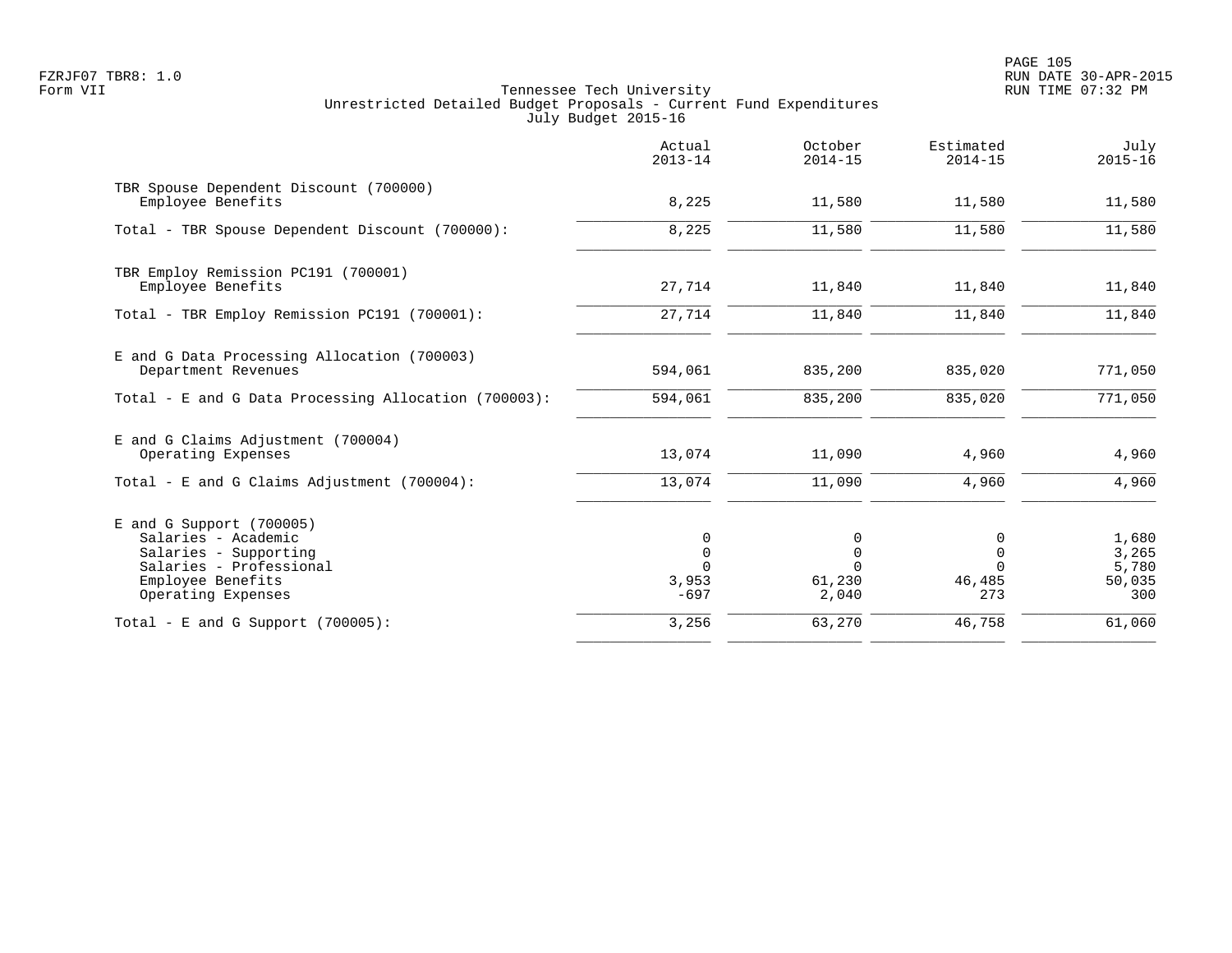PAGE 105 FZRJF07 TBR8: 1.0 RUN DATE 30-APR-2015

|                                                                                                                                                  | Actual<br>$2013 - 14$               | October<br>$2014 - 15$    | Estimated<br>$2014 - 15$                         | July<br>$2015 - 16$                      |
|--------------------------------------------------------------------------------------------------------------------------------------------------|-------------------------------------|---------------------------|--------------------------------------------------|------------------------------------------|
| TBR Spouse Dependent Discount (700000)<br>Employee Benefits                                                                                      | 8,225                               | 11,580                    | 11,580                                           | 11,580                                   |
| Total - TBR Spouse Dependent Discount (700000):                                                                                                  | 8,225                               | 11,580                    | 11,580                                           | 11,580                                   |
| TBR Employ Remission PC191 (700001)<br>Employee Benefits                                                                                         | 27,714                              | 11,840                    | 11,840                                           | 11,840                                   |
| Total - TBR Employ Remission PC191 (700001):                                                                                                     | 27,714                              | 11,840                    | 11,840                                           | 11,840                                   |
| E and G Data Processing Allocation (700003)<br>Department Revenues                                                                               | 594,061                             | 835,200                   | 835,020                                          | 771,050                                  |
| Total - E and G Data Processing Allocation (700003):                                                                                             | 594,061                             | 835,200                   | 835,020                                          | 771,050                                  |
| E and G Claims Adjustment (700004)<br>Operating Expenses                                                                                         | 13,074                              | 11,090                    | 4,960                                            | 4,960                                    |
| Total - E and G Claims Adjustment $(700004)$ :                                                                                                   | 13,074                              | 11,090                    | 4,960                                            | 4,960                                    |
| $E$ and G Support (700005)<br>Salaries - Academic<br>Salaries - Supporting<br>Salaries - Professional<br>Employee Benefits<br>Operating Expenses | 0<br>$\mathbf 0$<br>3,953<br>$-697$ | 0<br>0<br>61,230<br>2,040 | 0<br>$\overline{0}$<br>$\Omega$<br>46,485<br>273 | 1,680<br>3,265<br>5,780<br>50,035<br>300 |
| Total - E and G Support $(700005)$ :                                                                                                             | 3,256                               | 63,270                    | 46,758                                           | 61,060                                   |
|                                                                                                                                                  |                                     |                           |                                                  |                                          |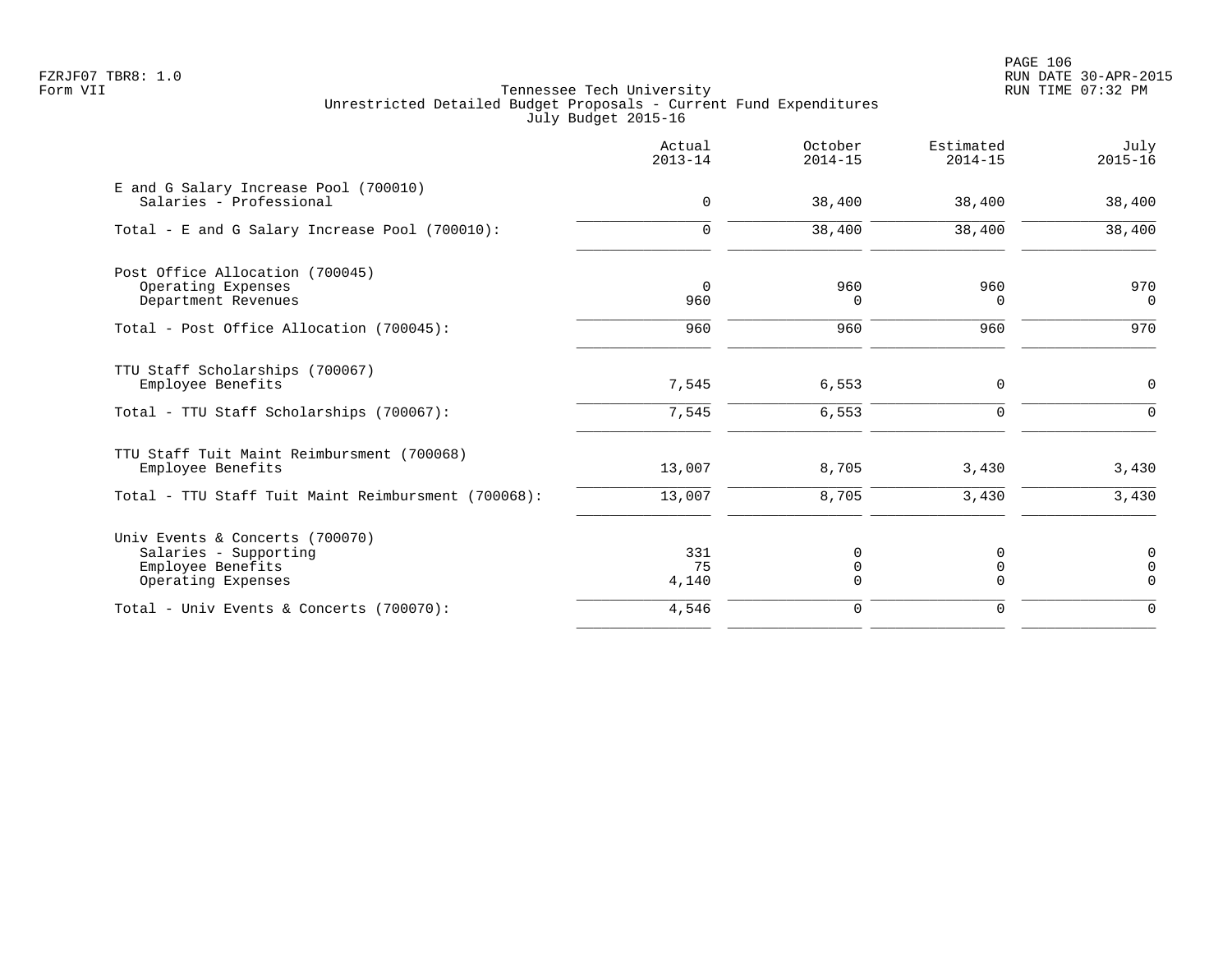|                                                                                                     | Actual<br>$2013 - 14$ | October<br>$2014 - 15$ | Estimated<br>$2014 - 15$ | July<br>$2015 - 16$                       |
|-----------------------------------------------------------------------------------------------------|-----------------------|------------------------|--------------------------|-------------------------------------------|
| E and G Salary Increase Pool (700010)<br>Salaries - Professional                                    | $\mathbf 0$           | 38,400                 | 38,400                   | 38,400                                    |
| Total - E and G Salary Increase Pool (700010):                                                      | $\mathbf 0$           | 38,400                 | 38,400                   | 38,400                                    |
| Post Office Allocation (700045)<br>Operating Expenses<br>Department Revenues                        | $\Omega$<br>960       | 960<br>0               | 960<br>0                 | 970<br>$\Omega$                           |
| Total - Post Office Allocation (700045):                                                            | 960                   | 960                    | 960                      | 970                                       |
| TTU Staff Scholarships (700067)<br>Employee Benefits<br>Total - TTU Staff Scholarships (700067):    | 7,545<br>7,545        | 6,553<br>6,553         | 0<br>$\mathbf 0$         | 0<br>$\mathbf 0$                          |
|                                                                                                     |                       |                        |                          |                                           |
| TTU Staff Tuit Maint Reimbursment (700068)<br>Employee Benefits                                     | 13,007                | 8,705                  | 3,430                    | 3,430                                     |
| Total - TTU Staff Tuit Maint Reimbursment (700068):                                                 | 13,007                | 8,705                  | 3,430                    | 3,430                                     |
| Univ Events & Concerts (700070)<br>Salaries - Supporting<br>Employee Benefits<br>Operating Expenses | 331<br>75<br>4,140    | 0<br>0<br>$\Omega$     | 0<br>0<br>$\Omega$       | $\mathbf 0$<br>$\overline{0}$<br>$\Omega$ |
| Total - Univ Events & Concerts (700070):                                                            | 4,546                 | $\mathbf 0$            | $\mathbf 0$              | $\mathbf 0$                               |
|                                                                                                     |                       |                        |                          |                                           |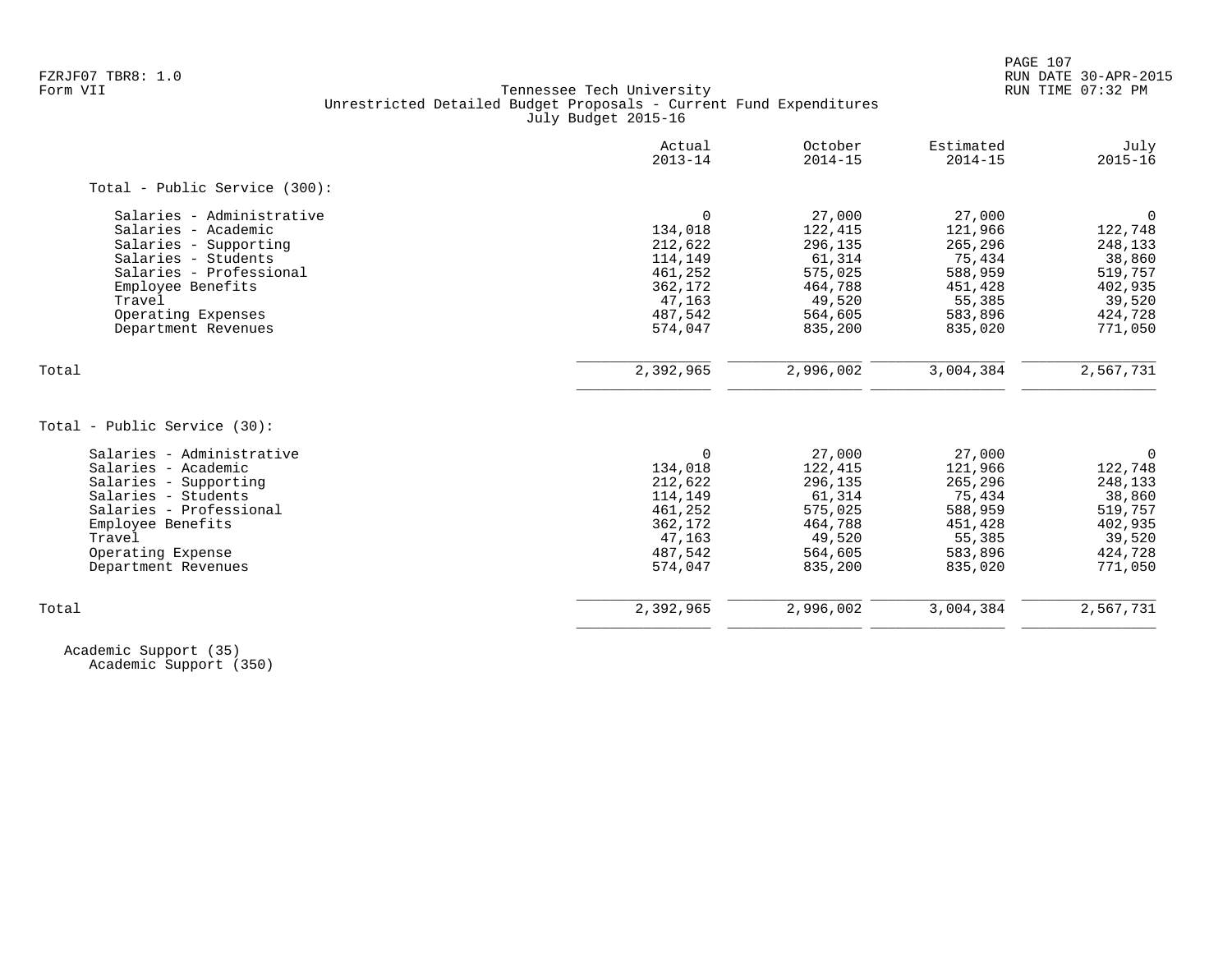| $\Omega$  |                                            |           |             |
|-----------|--------------------------------------------|-----------|-------------|
|           |                                            |           |             |
|           | 27,000                                     | 27,000    | $\Omega$    |
| 134,018   | 122,415                                    | 121,966   | 122,748     |
| 212,622   | 296,135                                    | 265,296   | 248,133     |
| 114,149   | 61,314                                     | 75,434    | 38,860      |
| 461,252   | 575,025                                    | 588,959   | 519,757     |
|           | 464,788                                    | 451,428   | 402,935     |
| 47,163    | 49,520                                     | 55,385    | 39,520      |
| 487,542   | 564,605                                    | 583,896   | 424,728     |
|           | 835,200                                    | 835,020   | 771,050     |
|           |                                            |           | 2,567,731   |
|           |                                            |           |             |
|           |                                            |           |             |
| $\Omega$  | 27,000                                     | 27,000    | $\mathbf 0$ |
| 134,018   | 122,415                                    | 121,966   | 122,748     |
| 212,622   | 296,135                                    | 265,296   | 248,133     |
| 114,149   | 61,314                                     | 75,434    | 38,860      |
| 461,252   | 575,025                                    | 588,959   | 519,757     |
| 362,172   | 464,788                                    | 451,428   | 402,935     |
| 47,163    | 49,520                                     | 55,385    | 39,520      |
|           | 564,605                                    | 583,896   | 424,728     |
| 574,047   | 835,200                                    | 835,020   | 771,050     |
| 2,392,965 | 2,996,002                                  | 3,004,384 | 2,567,731   |
|           | 362,172<br>574,047<br>2,392,965<br>487,542 | 2,996,002 | 3,004,384   |

 Academic Support (35) Academic Support (350)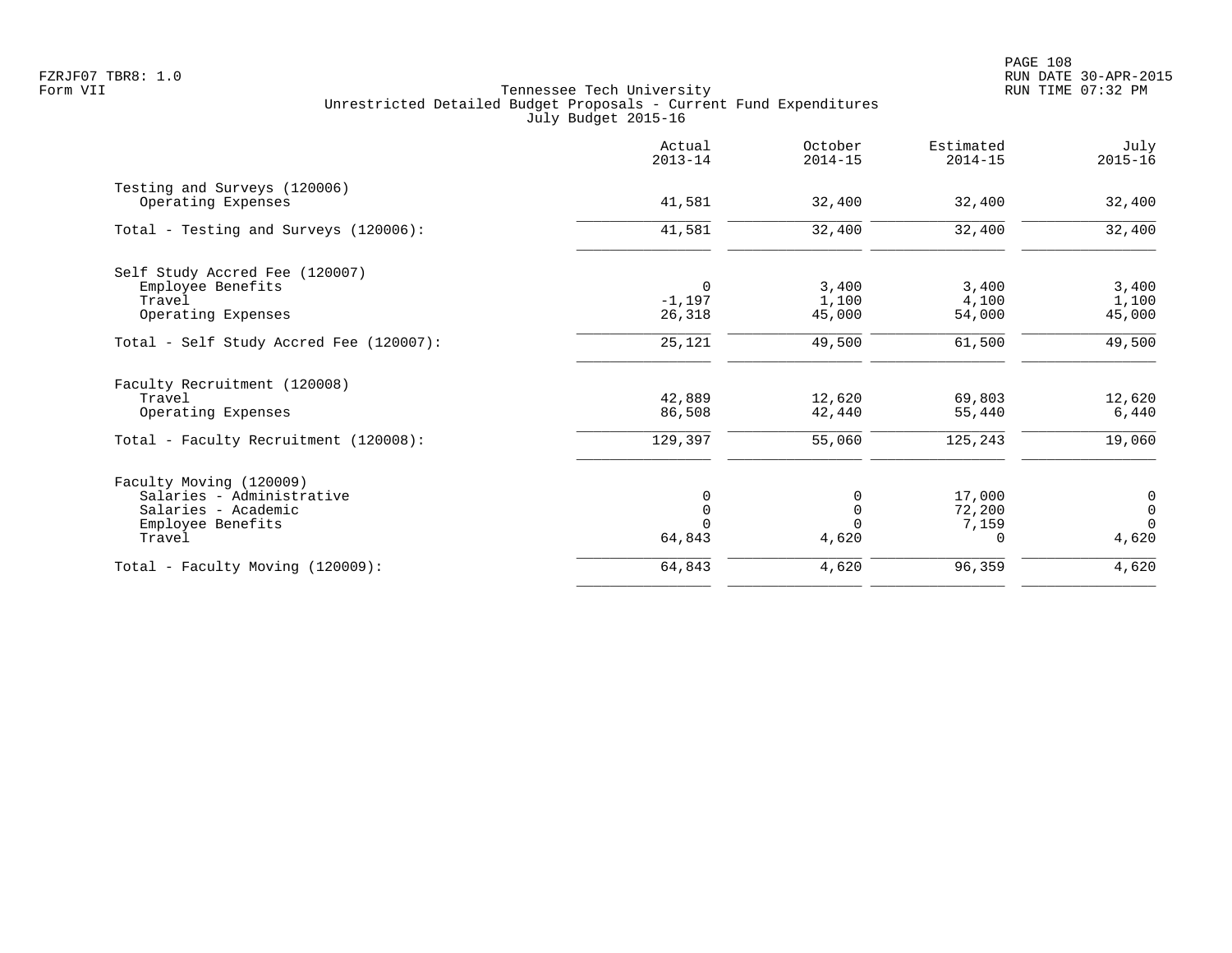|                                                    | Actual<br>$2013 - 14$ | October<br>$2014 - 15$ | Estimated<br>$2014 - 15$ | July<br>$2015 - 16$ |
|----------------------------------------------------|-----------------------|------------------------|--------------------------|---------------------|
| Testing and Surveys (120006)<br>Operating Expenses | 41,581                | 32,400                 | 32,400                   | 32,400              |
| Total - Testing and Surveys (120006):              | 41,581                | 32,400                 | 32,400                   | 32,400              |
| Self Study Accred Fee (120007)                     |                       |                        |                          |                     |
| Employee Benefits                                  | 0                     | 3,400                  | 3,400                    | 3,400               |
| Travel                                             | $-1,197$              | 1,100                  | 4,100                    | 1,100               |
| Operating Expenses                                 | 26,318                | 45,000                 | 54,000                   | 45,000              |
| Total - Self Study Accred Fee (120007):            | 25,121                | 49,500                 | 61,500                   | 49,500              |
| Faculty Recruitment (120008)                       |                       |                        |                          |                     |
| Travel                                             | 42,889                | 12,620                 | 69,803                   | 12,620              |
| Operating Expenses                                 | 86,508                | 42,440                 | 55,440                   | 6,440               |
| Total - Faculty Recruitment (120008):              | 129,397               | 55,060                 | 125,243                  | 19,060              |
| Faculty Moving (120009)                            |                       |                        |                          |                     |
| Salaries - Administrative                          |                       | 0                      | 17,000                   | $\boldsymbol{0}$    |
| Salaries - Academic                                |                       | $\Omega$               | 72,200                   | $\mathsf{O}\xspace$ |
| Employee Benefits                                  |                       |                        | 7,159                    | $\Omega$            |
| Travel                                             | 64,843                | 4,620                  | $\Omega$                 | 4,620               |
| Total - Faculty Moving (120009):                   | 64,843                | 4,620                  | 96,359                   | 4,620               |
|                                                    |                       |                        |                          |                     |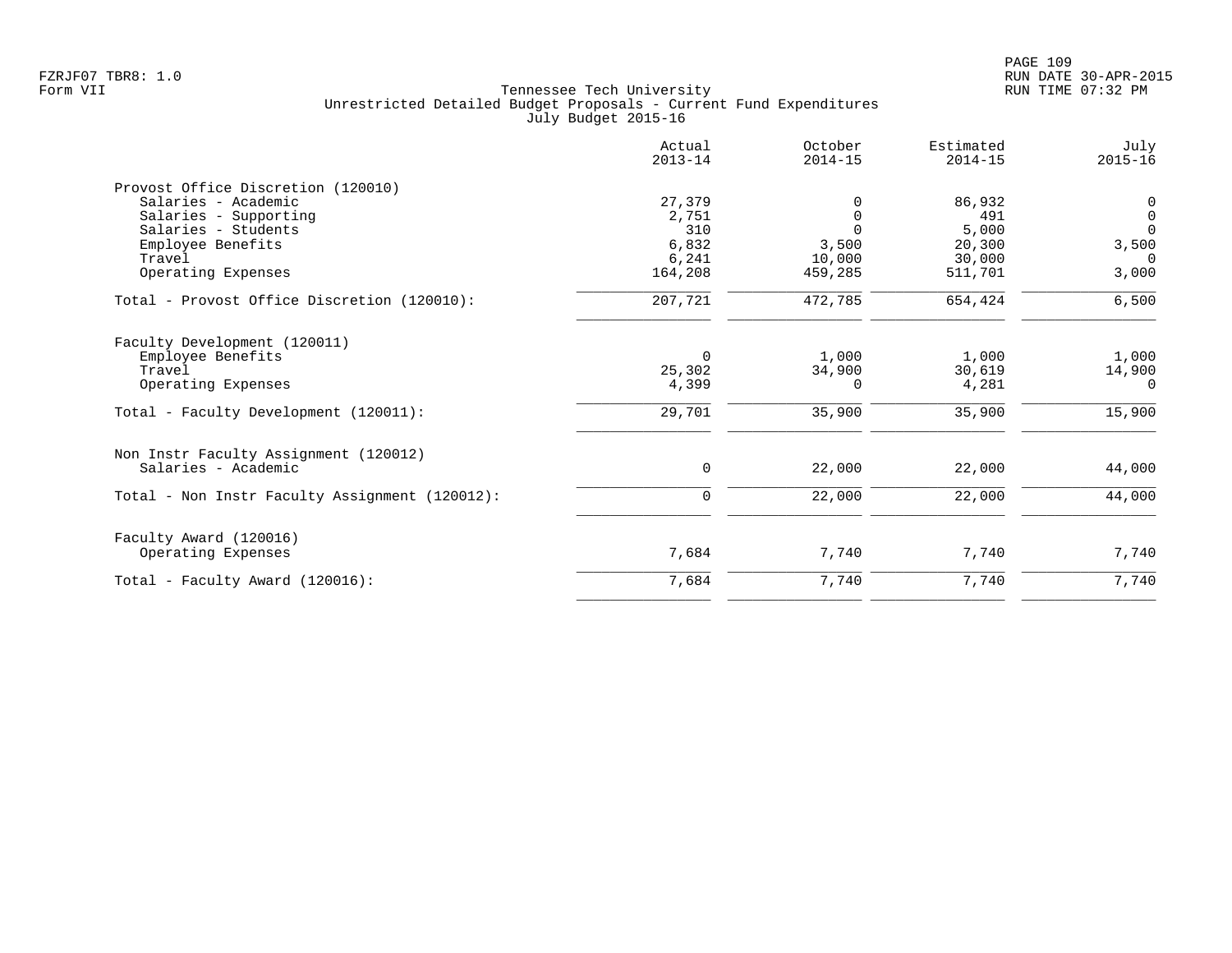|                                                | Actual<br>$2013 - 14$ | October<br>$2014 - 15$ | Estimated<br>$2014 - 15$ | July<br>$2015 - 16$ |
|------------------------------------------------|-----------------------|------------------------|--------------------------|---------------------|
| Provost Office Discretion (120010)             |                       |                        |                          |                     |
| Salaries - Academic                            | 27,379                | $\Omega$               | 86,932                   | 0                   |
| Salaries - Supporting                          | 2,751                 | $\Omega$               | 491                      | $\mathsf{O}$        |
| Salaries - Students                            | 310                   | $\Omega$               | 5,000                    | $\overline{0}$      |
| Employee Benefits                              | 6,832                 | 3,500                  | 20,300                   | 3,500               |
| Travel                                         | 6,241                 | 10,000                 | 30,000                   | $\Omega$            |
| Operating Expenses                             | 164,208               | 459,285                | 511,701                  | 3,000               |
| Total - Provost Office Discretion (120010):    | 207,721               | 472,785                | 654,424                  | 6,500               |
| Faculty Development (120011)                   |                       |                        |                          |                     |
| Employee Benefits                              | $\Omega$              | 1,000                  | 1,000                    | 1,000               |
| Travel                                         | 25,302                | 34,900                 | 30,619                   | 14,900              |
| Operating Expenses                             | 4,399                 | $\Omega$               | 4,281                    | $\Omega$            |
| Total - Faculty Development (120011):          | 29,701                | 35,900                 | 35,900                   | 15,900              |
| Non Instr Faculty Assignment (120012)          |                       |                        |                          |                     |
| Salaries - Academic                            | 0                     | 22,000                 | 22,000                   | 44,000              |
| Total - Non Instr Faculty Assignment (120012): | $\mathbf 0$           | 22,000                 | 22,000                   | 44,000              |
| Faculty Award (120016)                         |                       |                        |                          |                     |
| Operating Expenses                             | 7,684                 | 7,740                  | 7,740                    | 7,740               |
| Total - Faculty Award (120016):                | 7,684                 | 7,740                  | 7,740                    | 7,740               |
|                                                |                       |                        |                          |                     |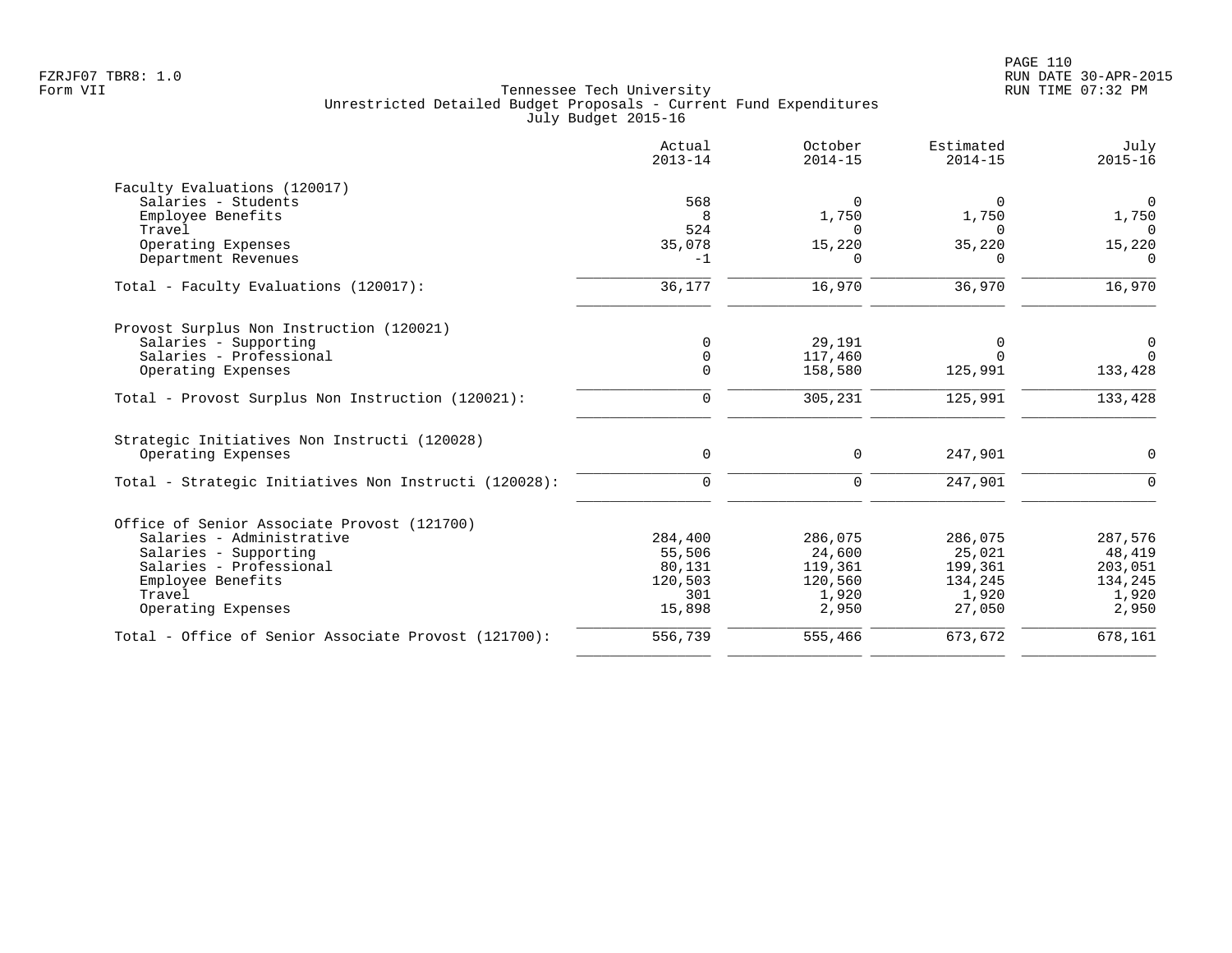|                                                       | Actual<br>$2013 - 14$ | October<br>$2014 - 15$ | Estimated<br>$2014 - 15$ | July<br>$2015 - 16$ |
|-------------------------------------------------------|-----------------------|------------------------|--------------------------|---------------------|
| Faculty Evaluations (120017)                          |                       |                        |                          |                     |
| Salaries - Students                                   | 568                   | $\Omega$               | $\Omega$                 | $\Omega$            |
| Employee Benefits                                     | 8                     | 1,750                  | 1,750                    | 1,750               |
| Travel                                                | 524                   | <sup>n</sup>           | ∩                        | $\Omega$            |
| Operating Expenses                                    | 35,078                | 15,220                 | 35,220                   | 15,220              |
| Department Revenues                                   | $-1$                  | $\Omega$               | O                        | $\Omega$            |
| Total - Faculty Evaluations (120017):                 | 36,177                | 16,970                 | 36,970                   | 16,970              |
| Provost Surplus Non Instruction (120021)              |                       |                        |                          |                     |
| Salaries - Supporting                                 | $\mathbf 0$           | 29,191                 | 0                        | $\mathbf 0$         |
| Salaries - Professional                               | $\mathbf 0$           | 117,460                | $\Omega$                 | $\Omega$            |
| Operating Expenses                                    | $\mathbf 0$           | 158,580                | 125,991                  | 133,428             |
| Total - Provost Surplus Non Instruction (120021):     | 0                     | 305,231                | 125,991                  | 133,428             |
| Strategic Initiatives Non Instructi (120028)          |                       |                        |                          |                     |
| Operating Expenses                                    | 0                     | 0                      | 247,901                  | 0                   |
| Total - Strategic Initiatives Non Instructi (120028): | $\mathbf 0$           | 0                      | 247,901                  | $\mathbf 0$         |
| Office of Senior Associate Provost (121700)           |                       |                        |                          |                     |
| Salaries - Administrative                             | 284,400               | 286,075                | 286,075                  | 287,576             |
| Salaries - Supporting                                 | 55,506                | 24,600                 | 25,021                   | 48,419              |
| Salaries - Professional                               | 80,131                | 119,361                | 199,361                  | 203,051             |
| Employee Benefits                                     | 120,503               | 120,560                | 134,245                  | 134,245             |
| Travel                                                | 301                   | 1,920                  | 1,920                    | 1,920               |
| Operating Expenses                                    | 15,898                | 2,950                  | 27,050                   | 2,950               |
| Total - Office of Senior Associate Provost (121700):  | 556,739               | 555,466                | 673,672                  | 678,161             |
|                                                       |                       |                        |                          |                     |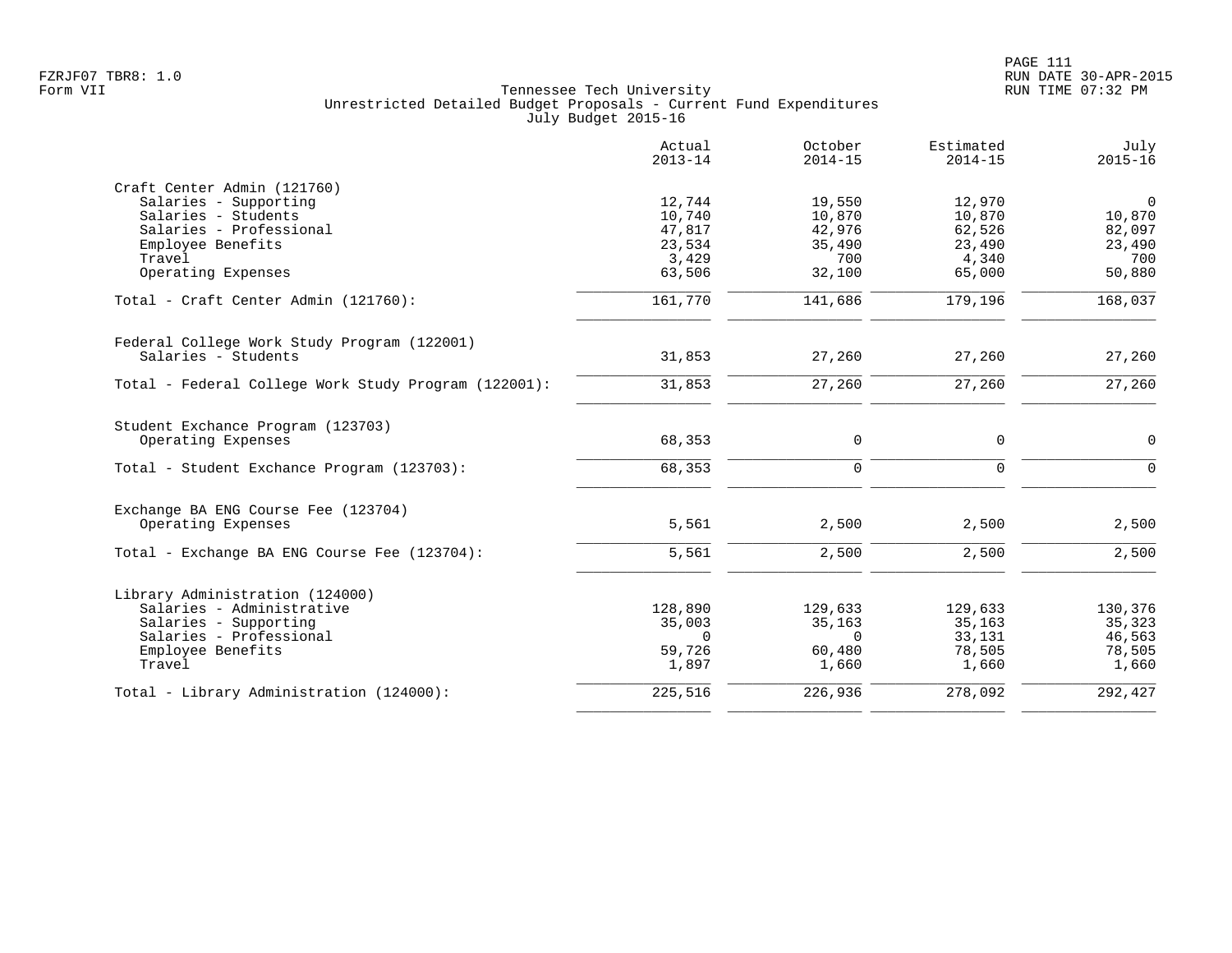|                                                      | Actual<br>$2013 - 14$ | October<br>$2014 - 15$ | Estimated<br>$2014 - 15$ | July<br>$2015 - 16$ |
|------------------------------------------------------|-----------------------|------------------------|--------------------------|---------------------|
| Craft Center Admin (121760)                          |                       |                        |                          |                     |
| Salaries - Supporting                                | 12,744                | 19,550                 | 12,970                   | $\mathbf 0$         |
| Salaries - Students                                  | 10,740                | 10,870                 | 10,870                   | 10,870              |
| Salaries - Professional                              | 47,817                | 42,976                 | 62,526                   | 82,097              |
| Employee Benefits                                    | 23,534                | 35,490                 | 23,490                   | 23,490              |
| Travel                                               | 3,429                 | 700                    | 4,340<br>65,000          | 700                 |
| Operating Expenses                                   | 63,506                | 32,100                 |                          | 50,880              |
| Total - Craft Center Admin (121760):                 | 161,770               | 141,686                | 179,196                  | 168,037             |
| Federal College Work Study Program (122001)          |                       |                        |                          |                     |
| Salaries - Students                                  | 31,853                | 27,260                 | 27,260                   | 27,260              |
| Total - Federal College Work Study Program (122001): | 31,853                | 27,260                 | 27,260                   | 27,260              |
| Student Exchance Program (123703)                    |                       |                        |                          |                     |
| Operating Expenses                                   | 68,353                | 0                      | 0                        | $\mathbf 0$         |
| Total - Student Exchance Program (123703):           | 68,353                | $\mathbf 0$            | $\Omega$                 | $\Omega$            |
| Exchange BA ENG Course Fee (123704)                  |                       |                        |                          |                     |
| Operating Expenses                                   | 5,561                 | 2,500                  | 2,500                    | 2,500               |
| Total - Exchange BA ENG Course Fee (123704):         | 5,561                 | 2,500                  | 2,500                    | 2,500               |
| Library Administration (124000)                      |                       |                        |                          |                     |
| Salaries - Administrative                            | 128,890               | 129,633                | 129,633                  | 130,376             |
| Salaries - Supporting                                | 35,003                | 35,163                 | 35,163                   | 35,323              |
| Salaries - Professional                              | $\Omega$              | $\Omega$               | 33,131                   | 46,563              |
| Employee Benefits                                    | 59,726                | 60,480                 | 78,505                   | 78,505              |
| Travel                                               | 1,897                 | 1,660                  | 1,660                    | 1,660               |
| Total - Library Administration (124000):             | 225,516               | 226,936                | 278,092                  | 292,427             |
|                                                      |                       |                        |                          |                     |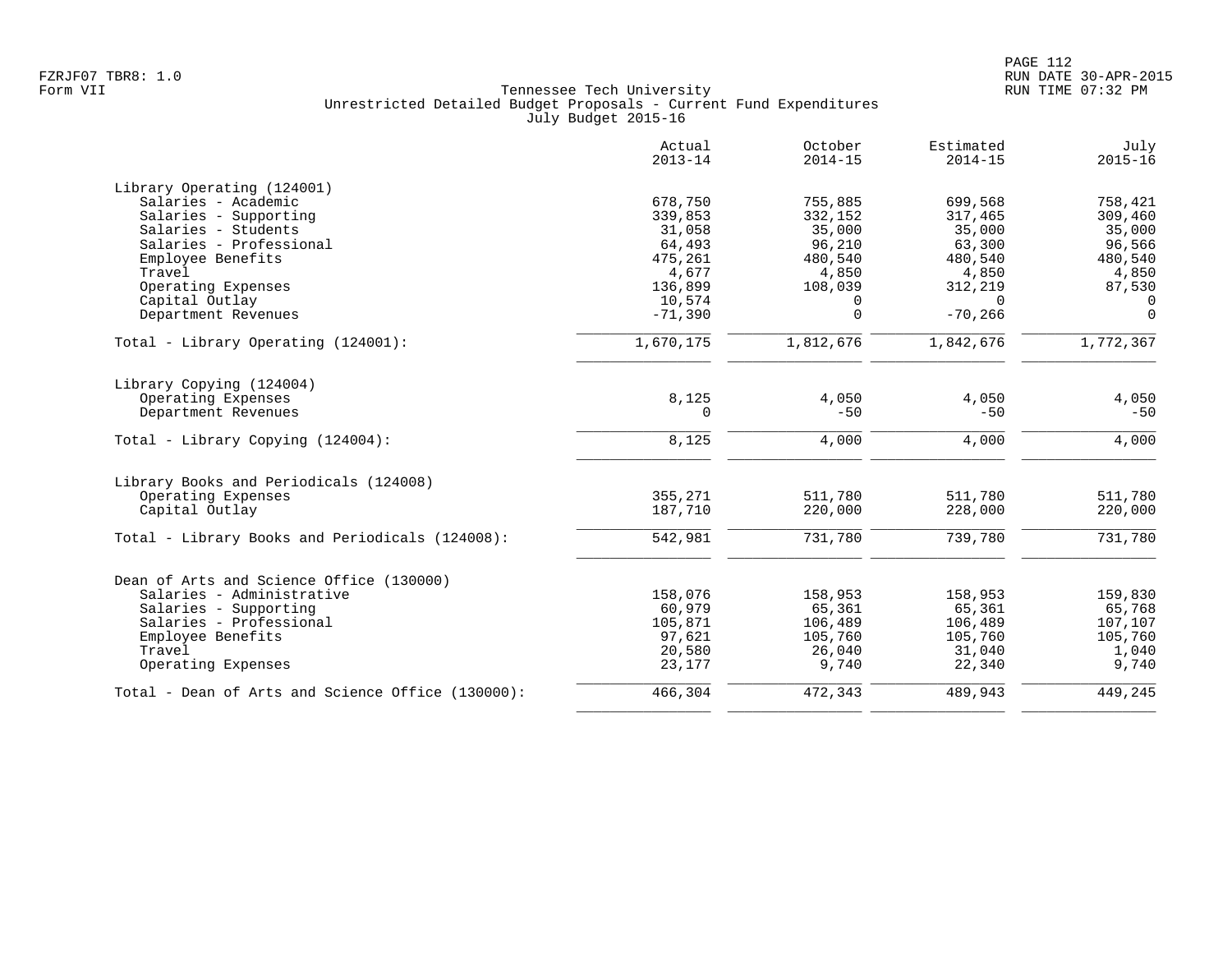|                                                   | Actual<br>$2013 - 14$ | October<br>$2014 - 15$ | Estimated<br>$2014 - 15$ | July<br>$2015 - 16$ |
|---------------------------------------------------|-----------------------|------------------------|--------------------------|---------------------|
|                                                   |                       |                        |                          |                     |
| Library Operating (124001)                        |                       |                        |                          |                     |
| Salaries - Academic                               | 678,750               | 755,885                | 699,568<br>317,465       | 758,421             |
| Salaries - Supporting<br>Salaries - Students      | 339,853<br>31,058     | 332,152<br>35,000      | 35,000                   | 309,460<br>35,000   |
| Salaries - Professional                           | 64,493                | 96,210                 | 63,300                   | 96,566              |
| Employee Benefits                                 | 475,261               | 480,540                | 480,540                  | 480,540             |
| Travel                                            | 4,677                 | 4,850                  | 4,850                    | 4,850               |
|                                                   | 136,899               | 108,039                |                          |                     |
| Operating Expenses                                |                       | $\Omega$               | 312,219<br>$\Omega$      | 87,530<br>$\Omega$  |
| Capital Outlay                                    | 10,574                | 0                      | $-70, 266$               | $\Omega$            |
| Department Revenues                               | $-71,390$             |                        |                          |                     |
| Total - Library Operating (124001):               | 1,670,175             | 1,812,676              | 1,842,676                | 1,772,367           |
| Library Copying (124004)                          |                       |                        |                          |                     |
| Operating Expenses                                | 8,125                 | 4,050                  | 4,050                    | 4,050               |
| Department Revenues                               | 0                     | $-50$                  | $-50$                    | $-50$               |
| Total - Library Copying (124004):                 | 8,125                 | 4,000                  | 4,000                    | 4,000               |
| Library Books and Periodicals (124008)            |                       |                        |                          |                     |
| Operating Expenses                                | 355,271               | 511,780                | 511,780                  | 511,780             |
| Capital Outlay                                    | 187,710               | 220,000                | 228,000                  | 220,000             |
| Total - Library Books and Periodicals (124008):   | 542,981               | 731,780                | 739,780                  | 731,780             |
| Dean of Arts and Science Office (130000)          |                       |                        |                          |                     |
| Salaries - Administrative                         | 158,076               | 158,953                | 158,953                  | 159,830             |
| Salaries - Supporting                             | 60,979                | 65,361                 | 65,361                   | 65,768              |
| Salaries - Professional                           | 105,871               | 106,489                | 106,489                  | 107,107             |
| Employee Benefits                                 | 97,621                | 105,760                | 105,760                  | 105,760             |
| Travel                                            | 20,580                | 26,040                 | 31,040                   | 1,040               |
| Operating Expenses                                | 23,177                | 9,740                  | 22,340                   | 9,740               |
| Total - Dean of Arts and Science Office (130000): | 466,304               | 472,343                | 489,943                  | 449,245             |
|                                                   |                       |                        |                          |                     |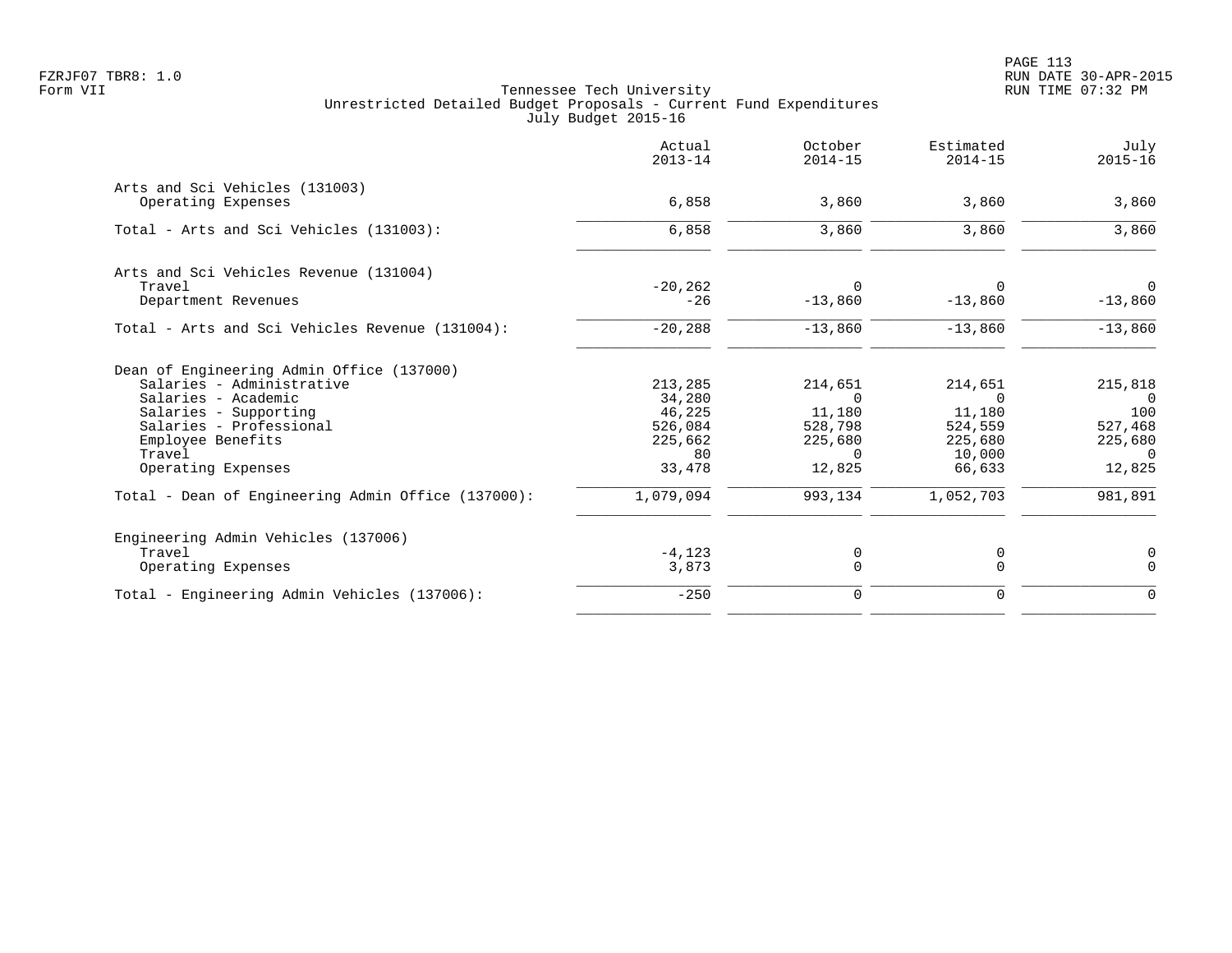| Actual<br>$2013 - 14$ | October<br>$2014 - 15$                                         | Estimated<br>$2014 - 15$                                       | July<br>$2015 - 16$                                          |
|-----------------------|----------------------------------------------------------------|----------------------------------------------------------------|--------------------------------------------------------------|
|                       |                                                                |                                                                |                                                              |
|                       |                                                                |                                                                | 3,860                                                        |
| 6,858                 | 3,860                                                          | 3,860                                                          | 3,860                                                        |
|                       |                                                                |                                                                |                                                              |
| $-20, 262$            | $\Omega$                                                       | $\Omega$                                                       | $\mathbf 0$                                                  |
|                       |                                                                |                                                                | $-13,860$                                                    |
| $-20,288$             | $-13,860$                                                      | $-13,860$                                                      | $-13,860$                                                    |
|                       |                                                                |                                                                |                                                              |
| 213,285               | 214,651                                                        | 214,651                                                        | 215,818                                                      |
|                       | $\Omega$                                                       | $\Omega$                                                       | $\Omega$                                                     |
|                       |                                                                |                                                                | 100                                                          |
|                       |                                                                |                                                                | 527,468                                                      |
|                       |                                                                |                                                                | 225,680                                                      |
| 33,478                | 12,825                                                         | 66,633                                                         | 0<br>12,825                                                  |
| 1,079,094             | 993,134                                                        | 1,052,703                                                      | 981,891                                                      |
|                       |                                                                |                                                                |                                                              |
| $-4, 123$             | 0                                                              | 0                                                              | 0                                                            |
| 3,873                 | $\Omega$                                                       | $\Omega$                                                       | $\Omega$                                                     |
| $-250$                | 0                                                              | 0                                                              | $\mathbf 0$                                                  |
|                       | 6,858<br>$-26$<br>34,280<br>46,225<br>526,084<br>225,662<br>80 | 3,860<br>$-13,860$<br>11,180<br>528,798<br>225,680<br>$\Omega$ | 3,860<br>$-13,860$<br>11,180<br>524,559<br>225,680<br>10,000 |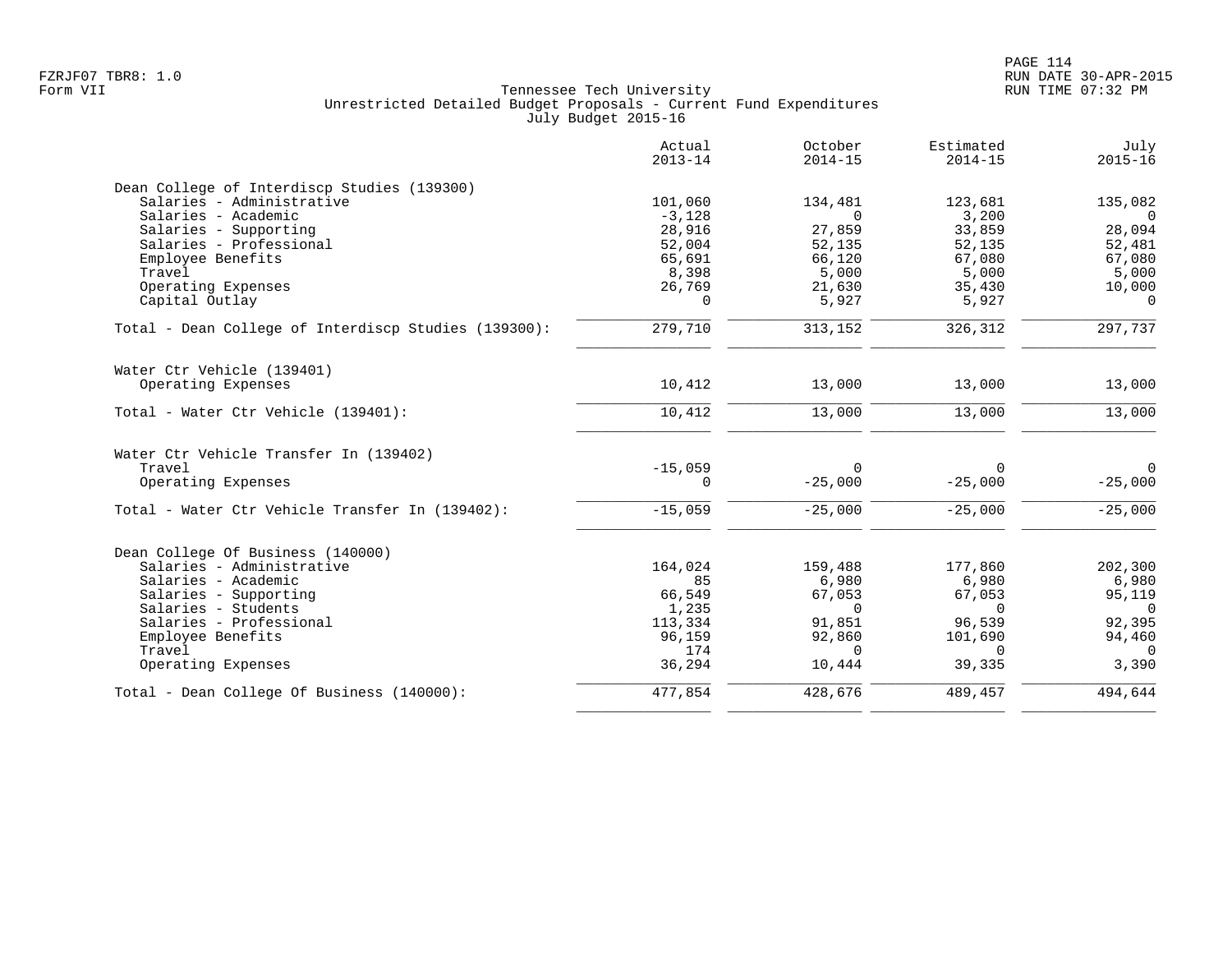|                                                      | Actual<br>$2013 - 14$ | October<br>$2014 - 15$ | Estimated<br>$2014 - 15$ | July<br>$2015 - 16$ |
|------------------------------------------------------|-----------------------|------------------------|--------------------------|---------------------|
| Dean College of Interdiscp Studies (139300)          |                       |                        |                          |                     |
| Salaries - Administrative                            | 101,060               | 134,481                | 123,681                  | 135,082             |
| Salaries - Academic                                  | $-3,128$              | $\Omega$               | 3,200                    | $\Omega$            |
| Salaries - Supporting                                | 28,916                | 27,859                 | 33,859                   | 28,094              |
| Salaries - Professional                              | 52,004                | 52,135                 | 52,135                   | 52,481              |
| Employee Benefits                                    | 65,691                | 66,120                 | 67,080                   | 67,080              |
| Travel                                               | 8,398                 | 5,000                  | 5,000                    | 5,000               |
| Operating Expenses                                   | 26,769                | 21,630                 | 35,430                   | 10,000              |
| Capital Outlay                                       | $\Omega$              | 5,927                  | 5,927                    | $\Omega$            |
| Total - Dean College of Interdiscp Studies (139300): | 279,710               | 313,152                | 326,312                  | 297,737             |
| Water Ctr Vehicle (139401)                           |                       |                        |                          |                     |
| Operating Expenses                                   | 10,412                | 13,000                 | 13,000                   | 13,000              |
| Total - Water Ctr Vehicle (139401):                  | 10,412                | 13,000                 | 13,000                   | 13,000              |
| Water Ctr Vehicle Transfer In (139402)               |                       |                        |                          |                     |
| Travel                                               | $-15,059$             | $\Omega$               | 0                        | $\overline{0}$      |
| Operating Expenses                                   | 0                     | $-25,000$              | $-25,000$                | $-25,000$           |
| Total - Water Ctr Vehicle Transfer In (139402):      | $-15,059$             | $-25,000$              | $-25,000$                | $-25,000$           |
| Dean College Of Business (140000)                    |                       |                        |                          |                     |
| Salaries - Administrative                            | 164,024               | 159,488                | 177,860                  | 202,300             |
| Salaries - Academic                                  | 85                    | 6,980                  | 6,980                    | 6,980               |
| Salaries - Supporting                                | 66,549                | 67,053                 | 67,053                   | 95,119              |
| Salaries - Students                                  | 1,235                 | $\Omega$               | 0                        | $\Omega$            |
| Salaries - Professional                              | 113,334               | 91,851                 | 96,539                   | 92,395              |
| Employee Benefits                                    | 96,159                | 92,860                 | 101,690                  | 94,460              |
| Travel                                               | 174                   | $\Omega$               | $\Omega$                 | $\bigcap$           |
| Operating Expenses                                   | 36,294                | 10,444                 | 39,335                   | 3,390               |
| Total - Dean College Of Business (140000):           | 477,854               | 428,676                | 489,457                  | 494,644             |
|                                                      |                       |                        |                          |                     |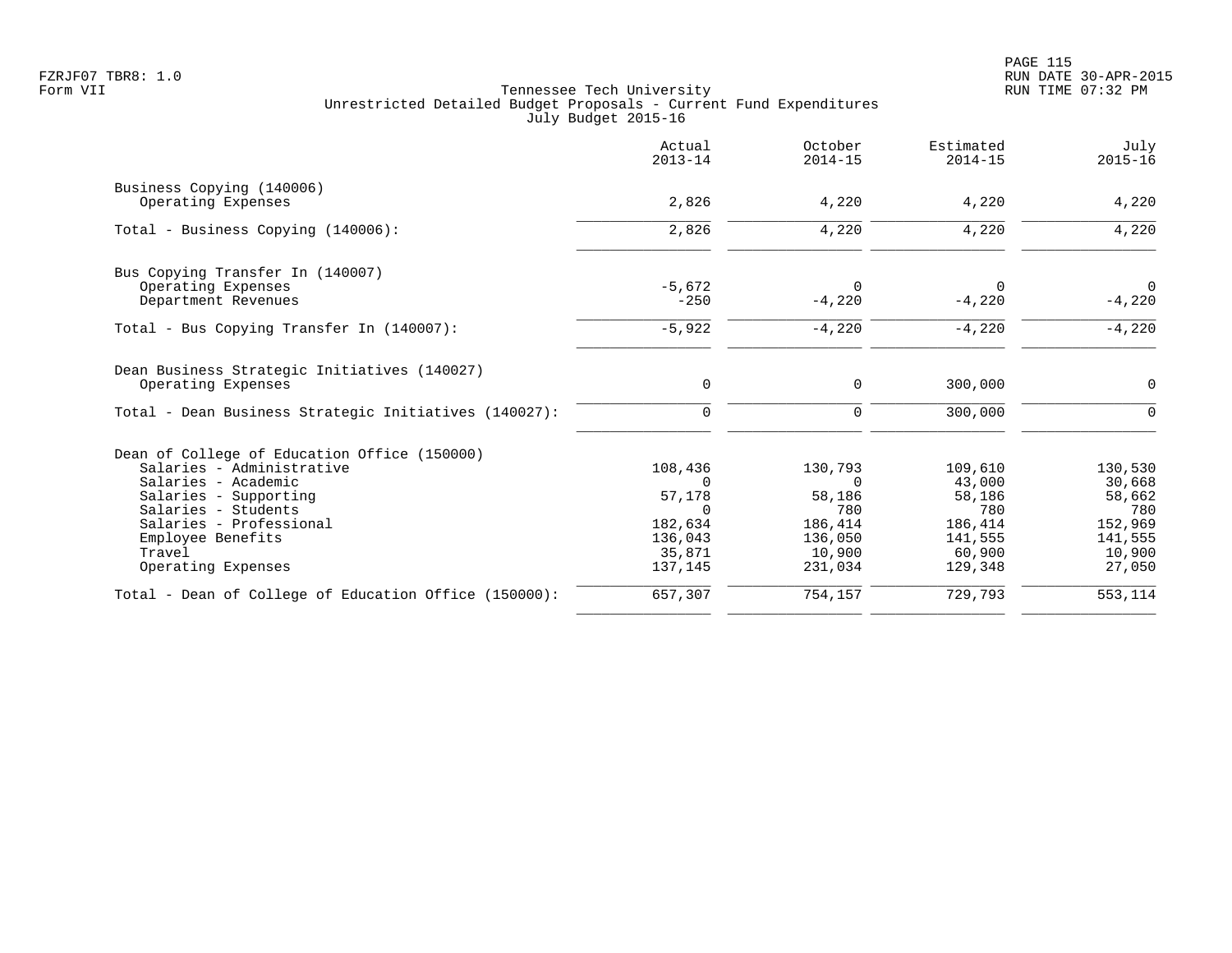|                                                       | Actual<br>$2013 - 14$ | October<br>$2014 - 15$ | Estimated<br>$2014 - 15$ | July<br>$2015 - 16$ |
|-------------------------------------------------------|-----------------------|------------------------|--------------------------|---------------------|
| Business Copying (140006)                             |                       |                        |                          |                     |
| Operating Expenses                                    | 2,826                 | 4,220                  | 4,220                    | 4,220               |
| Total - Business Copying (140006):                    | 2,826                 | 4,220                  | 4,220                    | 4,220               |
| Bus Copying Transfer In (140007)                      |                       |                        |                          |                     |
| Operating Expenses                                    | $-5.672$              | $\Omega$               | $\Omega$                 | $\overline{0}$      |
| Department Revenues                                   | $-250$                | $-4,220$               | $-4,220$                 | $-4,220$            |
| Total - Bus Copying Transfer In (140007):             | $-5,922$              | $-4,220$               | $-4,220$                 | $-4,220$            |
| Dean Business Strategic Initiatives (140027)          |                       |                        |                          |                     |
| Operating Expenses                                    | $\mathbf 0$           | 0                      | 300,000                  | $\mathbf 0$         |
| Total - Dean Business Strategic Initiatives (140027): | 0                     | $\mathbf 0$            | 300,000                  | $\Omega$            |
| Dean of College of Education Office (150000)          |                       |                        |                          |                     |
| Salaries - Administrative                             | 108,436               | 130,793                | 109,610                  | 130,530             |
| Salaries - Academic                                   | $\Omega$              | $\Omega$               | 43,000                   | 30,668              |
| Salaries - Supporting                                 | 57,178                | 58,186                 | 58,186                   | 58,662              |
| Salaries - Students                                   | $\Omega$              | 780                    | 780                      | 780                 |
| Salaries - Professional                               | 182,634               | 186,414                | 186,414                  | 152,969             |
| Employee Benefits<br>Travel                           | 136,043<br>35,871     | 136,050<br>10,900      | 141,555<br>60,900        | 141,555<br>10,900   |
| Operating Expenses                                    | 137,145               | 231,034                | 129,348                  | 27,050              |
| Total - Dean of College of Education Office (150000): | 657,307               | 754,157                | 729,793                  | 553,114             |
|                                                       |                       |                        |                          |                     |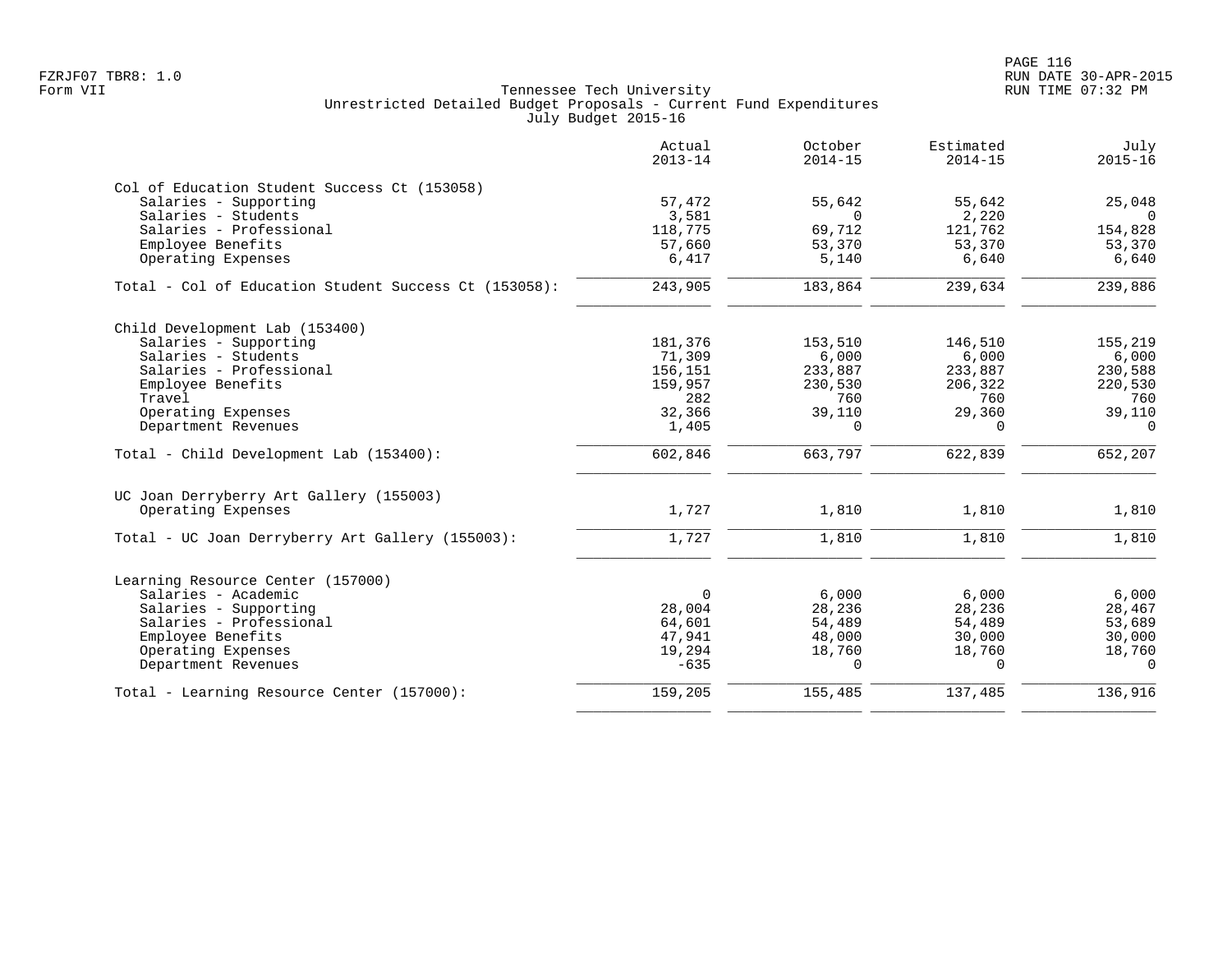|                                                       | Actual<br>$2013 - 14$ | October<br>$2014 - 15$ | Estimated<br>$2014 - 15$ | July<br>$2015 - 16$ |
|-------------------------------------------------------|-----------------------|------------------------|--------------------------|---------------------|
| Col of Education Student Success Ct (153058)          |                       |                        |                          |                     |
| Salaries - Supporting                                 | 57,472                | 55,642                 | 55,642                   | 25,048              |
| Salaries - Students                                   | 3,581                 | $\Omega$               | 2,220                    | $\Omega$            |
| Salaries - Professional                               | 118,775               | 69,712                 | 121,762                  | 154,828             |
| Employee Benefits                                     | 57,660                | 53,370                 | 53,370                   | 53,370              |
| Operating Expenses                                    | 6,417                 | 5,140                  | 6,640                    | 6,640               |
| Total - Col of Education Student Success Ct (153058): | 243,905               | 183,864                | 239,634                  | 239,886             |
| Child Development Lab (153400)                        |                       |                        |                          |                     |
| Salaries - Supporting                                 | 181,376               | 153,510                | 146,510                  | 155,219             |
| Salaries - Students                                   | 71,309                | 6,000                  | 6,000                    | 6,000               |
| Salaries - Professional                               | 156,151               | 233,887                | 233,887                  | 230,588             |
| Employee Benefits                                     | 159,957               | 230,530                | 206,322                  | 220,530             |
| Travel                                                | 282                   | 760                    | 760                      | 760                 |
| Operating Expenses                                    | 32,366                | 39,110                 | 29,360                   | 39,110              |
| Department Revenues                                   | 1,405                 | $\Omega$               | $\Omega$                 | $\overline{0}$      |
| Total - Child Development Lab (153400):               | 602,846               | 663,797                | 622,839                  | 652,207             |
| UC Joan Derryberry Art Gallery (155003)               |                       |                        |                          |                     |
| Operating Expenses                                    | 1,727                 | 1,810                  | 1,810                    | 1,810               |
| Total - UC Joan Derryberry Art Gallery (155003):      | 1,727                 | 1,810                  | 1,810                    | 1,810               |
| Learning Resource Center (157000)                     |                       |                        |                          |                     |
| Salaries - Academic                                   | $\mathbf 0$           | 6.000                  | 6,000                    | 6,000               |
| Salaries - Supporting                                 | 28,004                | 28,236                 | 28,236                   | 28,467              |
| Salaries - Professional                               | 64,601                | 54,489                 | 54,489                   | 53,689              |
| Employee Benefits                                     | 47,941                | 48,000                 | 30,000                   | 30,000              |
| Operating Expenses                                    | 19,294                | 18,760                 | 18,760                   | 18,760              |
| Department Revenues                                   | $-635$                | $\Omega$               | $\Omega$                 | $\Omega$            |
| Total - Learning Resource Center (157000):            | 159,205               | 155,485                | 137,485                  | 136,916             |
|                                                       |                       |                        |                          |                     |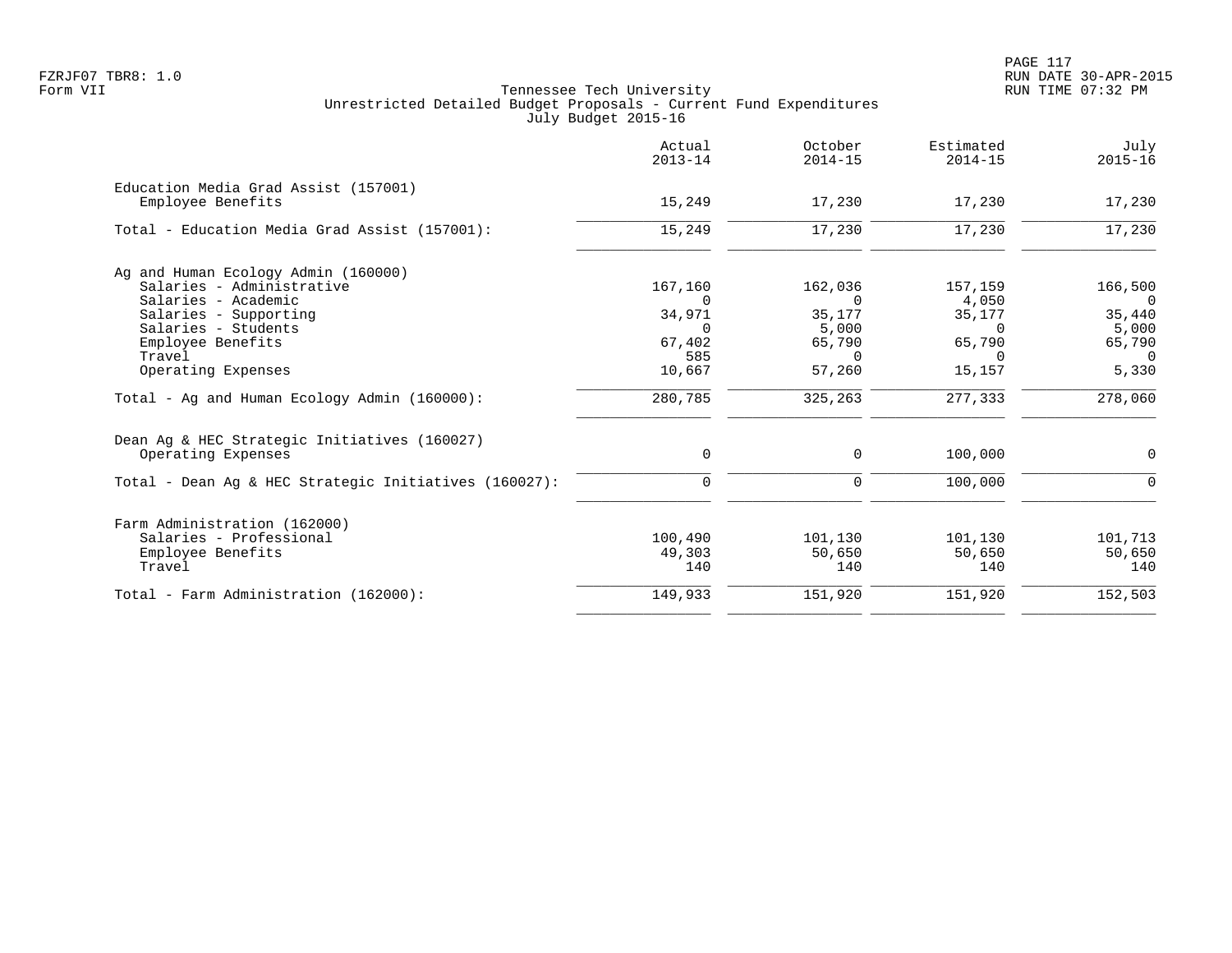PAGE 117 FZRJF07 TBR8: 1.0 RUN DATE 30-APR-2015

|                                                       | Actual<br>$2013 - 14$ | October<br>$2014 - 15$ | Estimated<br>$2014 - 15$ | July<br>$2015 - 16$ |
|-------------------------------------------------------|-----------------------|------------------------|--------------------------|---------------------|
| Education Media Grad Assist (157001)                  |                       |                        |                          |                     |
| Employee Benefits                                     | 15,249                | 17,230                 | 17,230                   | 17,230              |
| Total - Education Media Grad Assist (157001):         | 15,249                | 17,230                 | 17,230                   | 17,230              |
| Ag and Human Ecology Admin (160000)                   |                       |                        |                          |                     |
| Salaries - Administrative                             | 167,160               | 162,036                | 157,159                  | 166,500             |
| Salaries - Academic                                   | $\Omega$              | 0                      | 4,050                    | $\overline{0}$      |
| Salaries - Supporting                                 | 34,971                | 35,177                 | 35,177                   | 35,440              |
| Salaries - Students                                   | $\Omega$              | 5,000                  | $\Omega$                 | 5,000               |
| Employee Benefits                                     | 67,402                | 65,790                 | 65,790                   | 65,790              |
| Travel                                                | 585                   | $\Omega$               | $\Omega$                 | $\Omega$            |
| Operating Expenses                                    | 10,667                | 57,260                 | 15,157                   | 5,330               |
| Total - Ag and Human Ecology Admin (160000):          | 280,785               | 325,263                | 277,333                  | 278,060             |
| Dean Ag & HEC Strategic Initiatives (160027)          |                       |                        |                          |                     |
| Operating Expenses                                    | 0                     | 0                      | 100,000                  | $\mathbf 0$         |
| Total - Dean Aq & HEC Strategic Initiatives (160027): | $\Omega$              | $\mathbf 0$            | 100,000                  | $\Omega$            |
| Farm Administration (162000)                          |                       |                        |                          |                     |
| Salaries - Professional                               | 100,490               | 101,130                | 101,130                  | 101,713             |
| Employee Benefits                                     | 49,303                | 50,650                 | 50,650                   | 50,650              |
| Travel                                                | 140                   | 140                    | 140                      | 140                 |
| Total - Farm Administration (162000):                 | 149,933               | 151,920                | 151,920                  | 152,503             |
|                                                       |                       |                        |                          |                     |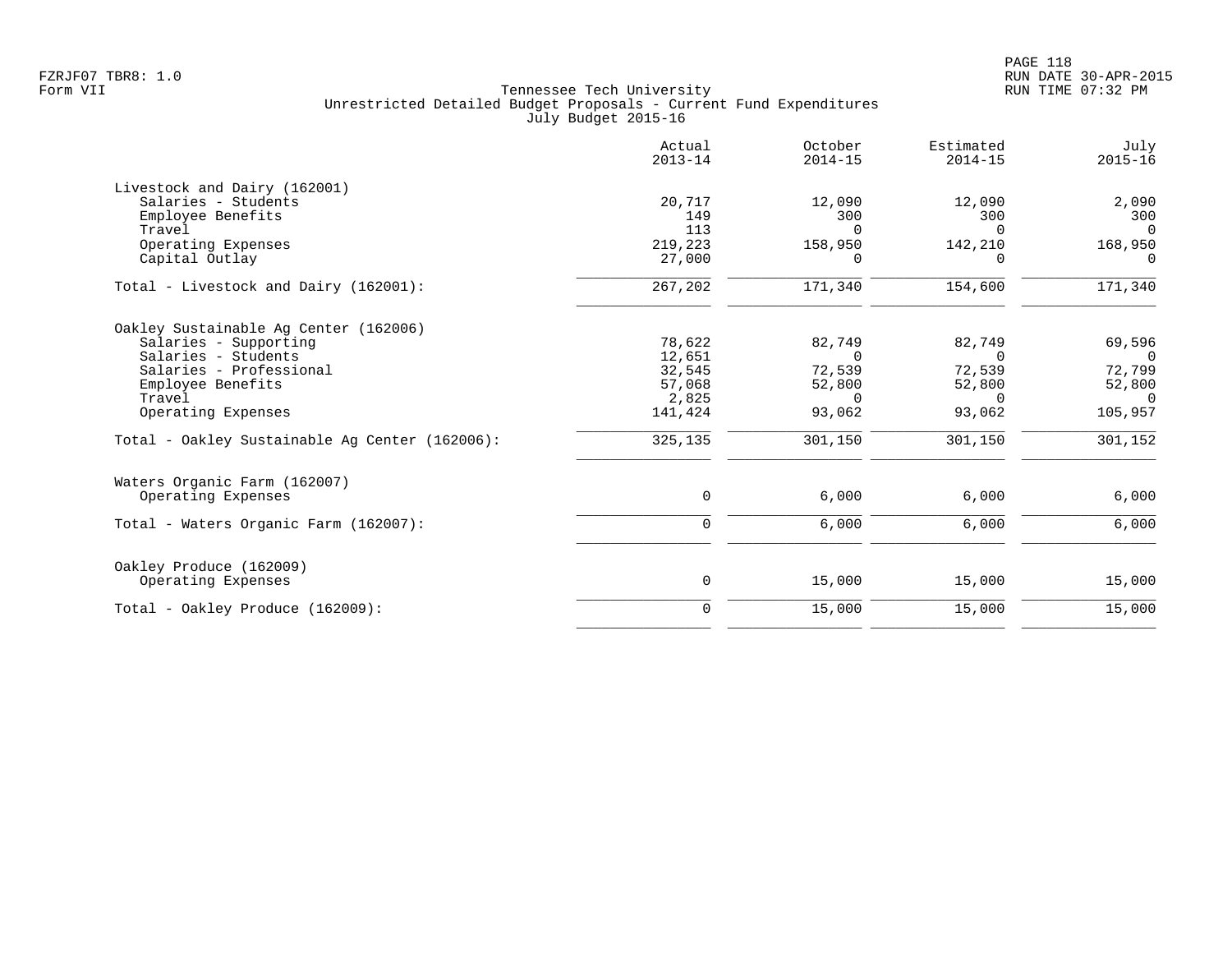| Actual<br>$2013 - 14$ | October<br>$2014 - 15$            | Estimated<br>$2014 - 15$ | July<br>$2015 - 16$ |
|-----------------------|-----------------------------------|--------------------------|---------------------|
|                       |                                   |                          |                     |
| 20,717                | 12,090                            | 12,090                   | 2,090               |
| 149                   | 300                               | 300                      | 300                 |
|                       | $\Omega$                          | $\Omega$                 | $\Omega$            |
|                       |                                   |                          | 168,950             |
|                       | $\Omega$                          | ∩                        | $\Omega$            |
| 267,202               | 171,340                           | 154,600                  | 171,340             |
|                       |                                   |                          |                     |
| 78,622                | 82,749                            | 82,749                   | 69,596              |
| 12,651                | $\Omega$                          | $\Omega$                 | $\Omega$            |
| 32,545                | 72,539                            | 72,539                   | 72,799              |
| 57,068                | 52,800                            | 52,800                   | 52,800              |
|                       | $\Omega$                          | 0                        | $\overline{0}$      |
| 141,424               | 93,062                            | 93,062                   | 105,957             |
| 325,135               | 301,150                           | 301,150                  | 301,152             |
|                       |                                   |                          |                     |
| 0                     | 6,000                             | 6,000                    | 6,000               |
| $\mathbf 0$           | 6,000                             | 6,000                    | 6,000               |
|                       |                                   |                          |                     |
| 0                     | 15,000                            | 15,000                   | 15,000              |
| $\mathbf 0$           | 15,000                            | 15,000                   | 15,000              |
|                       | 113<br>219,223<br>27,000<br>2,825 | 158,950                  | 142,210             |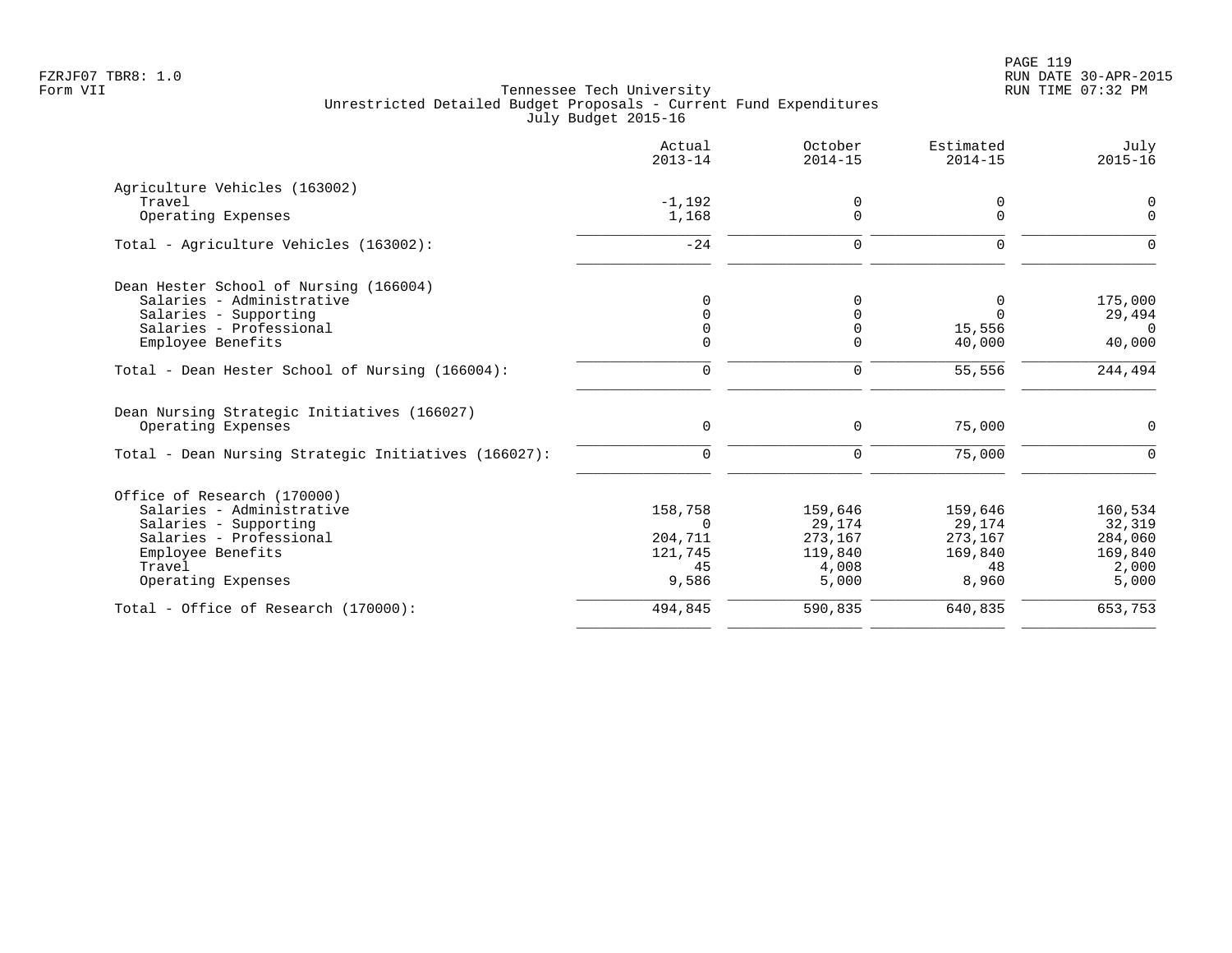|                                                                   | Actual<br>$2013 - 14$ | October<br>$2014 - 15$ | Estimated<br>$2014 - 15$ | July<br>$2015 - 16$ |
|-------------------------------------------------------------------|-----------------------|------------------------|--------------------------|---------------------|
| Agriculture Vehicles (163002)                                     |                       |                        |                          |                     |
| Travel                                                            | $-1,192$              | 0                      | 0                        | 0                   |
| Operating Expenses                                                | 1,168                 | $\Omega$               | $\Omega$                 | $\Omega$            |
| Total - Agriculture Vehicles (163002):                            | $-24$                 | $\Omega$               | $\Omega$                 | $\Omega$            |
| Dean Hester School of Nursing (166004)                            |                       |                        |                          |                     |
| Salaries - Administrative                                         | $\Omega$              | $\Omega$               | 0                        | 175,000             |
| Salaries - Supporting                                             | $\Omega$              | $\Omega$               | $\Omega$                 | 29,494              |
| Salaries - Professional                                           | $\Omega$              | $\Omega$               | 15,556                   | $\cap$              |
| Employee Benefits                                                 | $\Omega$              | $\Omega$               | 40,000                   | 40,000              |
| Total - Dean Hester School of Nursing (166004):                   | $\mathbf 0$           | 0                      | 55,556                   | 244,494             |
| Dean Nursing Strategic Initiatives (166027)<br>Operating Expenses | 0                     | 0                      | 75,000                   | $\mathbf 0$         |
| Total - Dean Nursing Strategic Initiatives (166027):              | $\Omega$              | 0                      | 75,000                   | $\Omega$            |
| Office of Research (170000)                                       |                       |                        |                          |                     |
| Salaries - Administrative                                         | 158,758               | 159,646                | 159,646                  | 160,534             |
| Salaries - Supporting                                             | $\Omega$              | 29,174                 | 29,174                   | 32,319              |
| Salaries - Professional                                           | 204,711               | 273,167                | 273,167                  | 284,060             |
| Employee Benefits                                                 | 121,745               | 119,840                | 169,840                  | 169,840             |
| Travel                                                            | 45                    | 4,008                  | 48                       | 2,000               |
| Operating Expenses                                                | 9,586                 | 5,000                  | 8,960                    | 5,000               |
| Total - Office of Research (170000):                              | 494,845               | 590,835                | 640,835                  | 653,753             |
|                                                                   |                       |                        |                          |                     |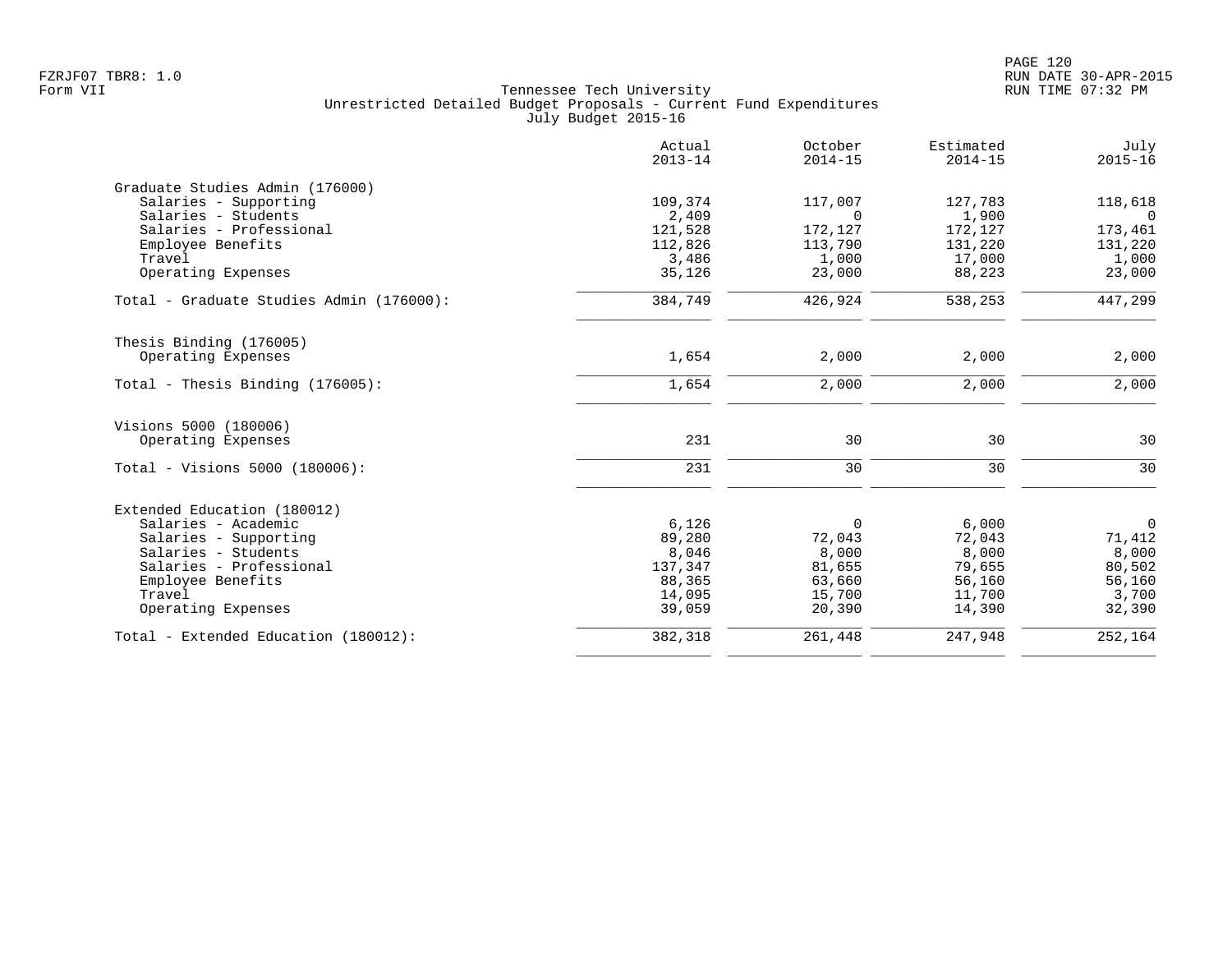|                                          | Actual<br>$2013 - 14$ | October<br>$2014 - 15$ | Estimated<br>$2014 - 15$ | July<br>$2015 - 16$ |
|------------------------------------------|-----------------------|------------------------|--------------------------|---------------------|
| Graduate Studies Admin (176000)          |                       |                        |                          |                     |
| Salaries - Supporting                    | 109,374               | 117,007                | 127,783                  | 118,618             |
| Salaries - Students                      | 2,409                 | $\Omega$               | 1,900                    | $\Omega$            |
| Salaries - Professional                  | 121,528               | 172,127                | 172,127                  | 173,461             |
| Employee Benefits                        | 112,826               | 113,790                | 131,220                  | 131,220             |
| Travel                                   | 3,486                 | 1,000                  | 17,000                   | 1,000               |
| Operating Expenses                       | 35,126                | 23,000                 | 88,223                   | 23,000              |
| Total - Graduate Studies Admin (176000): | 384,749               | 426,924                | 538,253                  | 447,299             |
| Thesis Binding (176005)                  |                       |                        |                          |                     |
| Operating Expenses                       | 1,654                 | 2,000                  | 2,000                    | 2,000               |
| Total - Thesis Binding $(176005)$ :      | 1,654                 | 2,000                  | 2,000                    | 2,000               |
| Visions 5000 (180006)                    |                       |                        |                          |                     |
| Operating Expenses                       | 231                   | 30                     | 30                       | 30                  |
| Total - Visions 5000 (180006):           | 231                   | 30                     | 30                       | 30                  |
|                                          |                       |                        |                          |                     |
| Extended Education (180012)              |                       |                        |                          |                     |
| Salaries - Academic                      | 6,126                 | $\Omega$               | 6,000                    | $\overline{0}$      |
| Salaries - Supporting                    | 89,280                | 72,043                 | 72,043                   | 71,412              |
| Salaries - Students                      | 8,046                 | 8,000                  | 8,000                    | 8,000               |
| Salaries - Professional                  | 137,347               | 81,655                 | 79,655                   | 80,502              |
| Employee Benefits                        | 88,365                | 63,660                 | 56,160                   | 56,160              |
| Travel                                   | 14,095                | 15,700                 | 11,700                   | 3,700               |
| Operating Expenses                       | 39,059                | 20,390                 | 14,390                   | 32,390              |
| Total - Extended Education (180012):     | 382,318               | 261,448                | 247,948                  | 252,164             |
|                                          |                       |                        |                          |                     |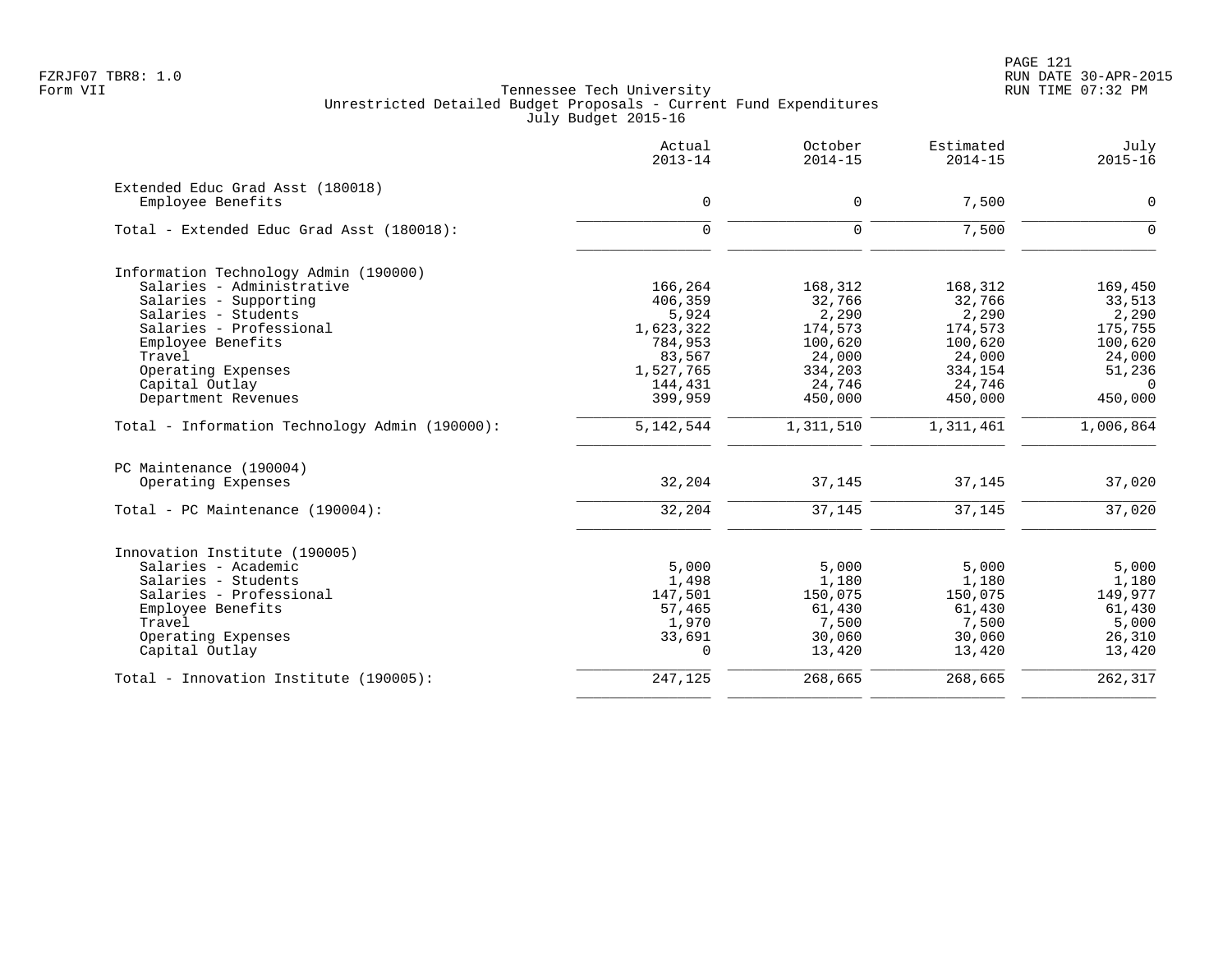PAGE 121 FZRJF07 TBR8: 1.0 RUN DATE 30-APR-2015

|                                                | Actual<br>$2013 - 14$ | October<br>$2014 - 15$ | Estimated<br>$2014 - 15$ | July<br>$2015 - 16$ |
|------------------------------------------------|-----------------------|------------------------|--------------------------|---------------------|
| Extended Educ Grad Asst (180018)               |                       |                        |                          |                     |
| Employee Benefits                              | $\mathbf 0$           | 0                      | 7,500                    | $\mathbf 0$         |
| Total - Extended Educ Grad Asst (180018):      | $\Omega$              | $\Omega$               | 7,500                    | $\Omega$            |
| Information Technology Admin (190000)          |                       |                        |                          |                     |
| Salaries - Administrative                      | 166,264               | 168,312                | 168,312                  | 169,450             |
| Salaries - Supporting                          | 406,359               | 32,766                 | 32,766                   | 33,513              |
| Salaries - Students                            | 5,924                 | 2,290                  | 2,290                    | 2,290               |
| Salaries - Professional                        | 1,623,322             | 174,573                | 174,573                  | 175,755             |
| Employee Benefits                              | 784,953               | 100,620                | 100,620                  | 100,620             |
| Travel                                         | 83,567                | 24,000                 | 24,000                   | 24,000              |
| Operating Expenses                             | 1,527,765             | 334,203                | 334,154                  | 51,236              |
| Capital Outlay                                 | 144,431               | 24,746                 | 24,746                   | $\Omega$            |
| Department Revenues                            | 399,959               | 450,000                | 450,000                  | 450,000             |
| Total - Information Technology Admin (190000): | 5, 142, 544           | 1,311,510              | 1,311,461                | 1,006,864           |
| PC Maintenance (190004)                        |                       |                        |                          |                     |
| Operating Expenses                             | 32,204                | 37,145                 | 37,145                   | 37,020              |
| Total - PC Maintenance (190004):               | 32,204                | 37,145                 | 37,145                   | 37,020              |
| Innovation Institute (190005)                  |                       |                        |                          |                     |
| Salaries - Academic                            | 5,000                 | 5,000                  | 5,000                    | 5,000               |
| Salaries - Students                            | 1,498                 | 1,180                  | 1,180                    | 1,180               |
| Salaries - Professional                        | 147,501               | 150,075                | 150,075                  | 149,977             |
| Employee Benefits                              | 57,465                | 61,430                 | 61,430                   | 61,430              |
| Travel                                         | 1,970                 | 7,500                  | 7,500                    | 5,000               |
| Operating Expenses                             | 33,691                | 30,060                 | 30,060                   | 26,310              |
| Capital Outlay                                 | $\Omega$              | 13,420                 | 13,420                   | 13,420              |
| Total - Innovation Institute (190005):         | 247,125               | 268,665                | 268,665                  | 262,317             |
|                                                |                       |                        |                          |                     |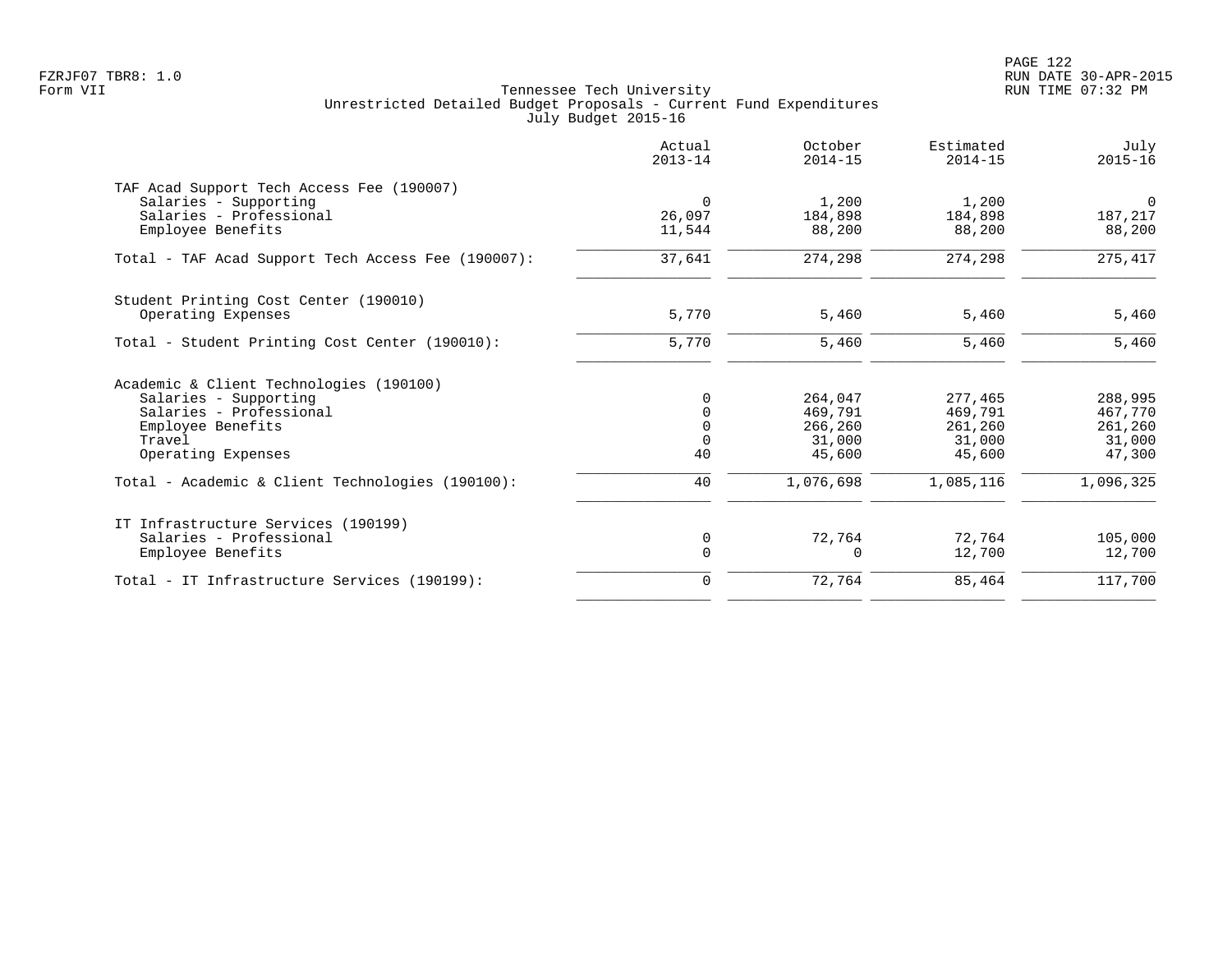PAGE 122 FZRJF07 TBR8: 1.0 RUN DATE 30-APR-2015

|                                                    | Actual<br>$2013 - 14$ | October<br>$2014 - 15$ | Estimated<br>$2014 - 15$ | July<br>$2015 - 16$ |
|----------------------------------------------------|-----------------------|------------------------|--------------------------|---------------------|
| TAF Acad Support Tech Access Fee (190007)          |                       |                        |                          |                     |
| Salaries - Supporting                              | $\Omega$              | 1,200                  | 1,200                    | $\overline{0}$      |
| Salaries - Professional                            | 26,097                | 184,898                | 184,898                  | 187,217             |
| Employee Benefits                                  | 11,544                | 88,200                 | 88,200                   | 88,200              |
| Total - TAF Acad Support Tech Access Fee (190007): | 37,641                | 274,298                | 274,298                  | 275,417             |
| Student Printing Cost Center (190010)              |                       |                        |                          |                     |
| Operating Expenses                                 | 5,770                 | 5,460                  | 5,460                    | 5,460               |
| Total - Student Printing Cost Center (190010):     | 5,770                 | 5,460                  | 5,460                    | 5,460               |
| Academic & Client Technologies (190100)            |                       |                        |                          |                     |
| Salaries - Supporting                              | $\Omega$              | 264,047                | 277,465                  | 288,995             |
| Salaries - Professional                            | $\Omega$              | 469,791                | 469,791                  | 467,770             |
| Employee Benefits                                  | $\mathbf 0$           | 266,260                | 261,260                  | 261,260             |
| Travel                                             | $\mathbf 0$           | 31,000                 | 31,000                   | 31,000              |
| Operating Expenses                                 | 40                    | 45,600                 | 45,600                   | 47,300              |
| Total - Academic & Client Technologies (190100):   | 40                    | 1,076,698              | 1,085,116                | 1,096,325           |
| IT Infrastructure Services (190199)                |                       |                        |                          |                     |
| Salaries - Professional                            | $\mathbf 0$           | 72,764                 | 72,764                   | 105,000             |
| Employee Benefits                                  | $\mathbf 0$           | 0                      | 12,700                   | 12,700              |
| Total - IT Infrastructure Services (190199):       | $\mathbf 0$           | 72,764                 | 85,464                   | 117,700             |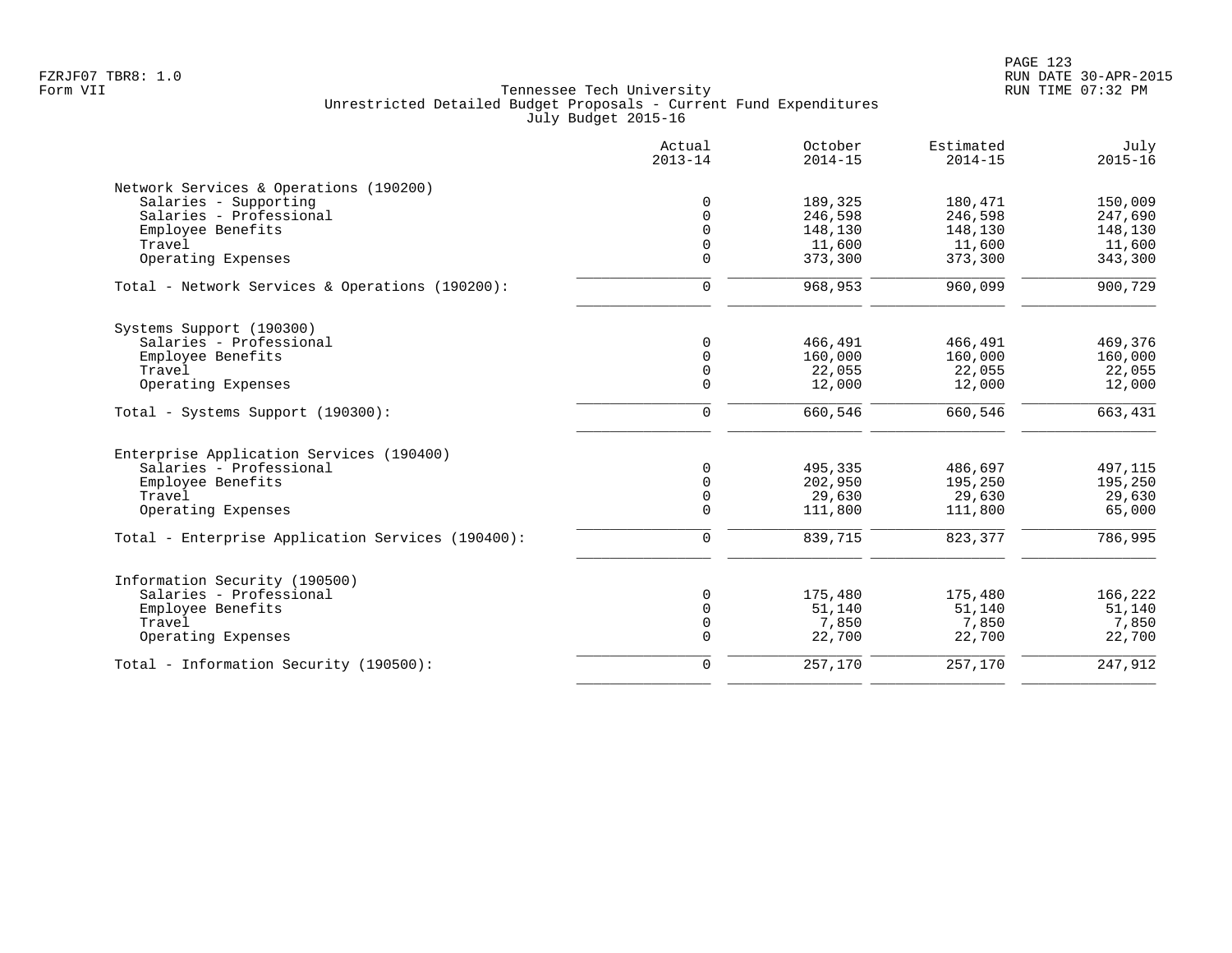|                                                   | Actual<br>$2013 - 14$ | October<br>$2014 - 15$ | Estimated<br>$2014 - 15$ | July<br>$2015 - 16$ |
|---------------------------------------------------|-----------------------|------------------------|--------------------------|---------------------|
| Network Services & Operations (190200)            |                       |                        |                          |                     |
| Salaries - Supporting                             | $\mathbf 0$           | 189,325                | 180,471                  | 150,009             |
| Salaries - Professional                           | $\mathbf 0$           | 246,598                | 246,598                  | 247,690             |
| Employee Benefits                                 | $\Omega$              | 148,130                | 148,130                  | 148,130             |
| Travel                                            | $\mathbf 0$           | 11,600                 | 11,600                   | 11,600              |
| Operating Expenses                                | $\Omega$              | 373,300                | 373,300                  | 343,300             |
| Total - Network Services & Operations (190200):   | $\mathbf 0$           | 968,953                | 960,099                  | 900,729             |
|                                                   |                       |                        |                          |                     |
| Systems Support (190300)                          |                       |                        |                          |                     |
| Salaries - Professional                           | $\Omega$              | 466,491                | 466,491                  | 469,376             |
| Employee Benefits                                 | $\mathbf 0$           | 160,000                | 160,000                  | 160,000             |
| Travel                                            | $\mathbf 0$           | 22,055                 | 22,055                   | 22,055              |
| Operating Expenses                                | $\mathbf 0$           | 12,000                 | 12,000                   | 12,000              |
| Total - Systems Support (190300):                 | $\mathbf 0$           | 660,546                | 660,546                  | 663,431             |
| Enterprise Application Services (190400)          |                       |                        |                          |                     |
| Salaries - Professional                           | $\mathbf 0$           | 495,335                | 486,697                  | 497,115             |
| Employee Benefits                                 | $\mathbf 0$           | 202,950                | 195,250                  | 195,250             |
| Travel                                            | $\mathbf 0$           | 29,630                 | 29,630                   | 29,630              |
| Operating Expenses                                | $\mathbf 0$           | 111,800                | 111,800                  | 65,000              |
| Total - Enterprise Application Services (190400): | $\mathbf 0$           | 839,715                | 823,377                  | 786,995             |
| Information Security (190500)                     |                       |                        |                          |                     |
| Salaries - Professional                           | 0                     | 175,480                | 175,480                  | 166,222             |
| Employee Benefits                                 | $\Omega$              | 51,140                 | 51,140                   | 51,140              |
| Travel                                            | $\mathbf 0$           | 7,850                  | 7,850                    | 7,850               |
| Operating Expenses                                | $\Omega$              | 22,700                 | 22,700                   | 22,700              |
|                                                   |                       |                        |                          |                     |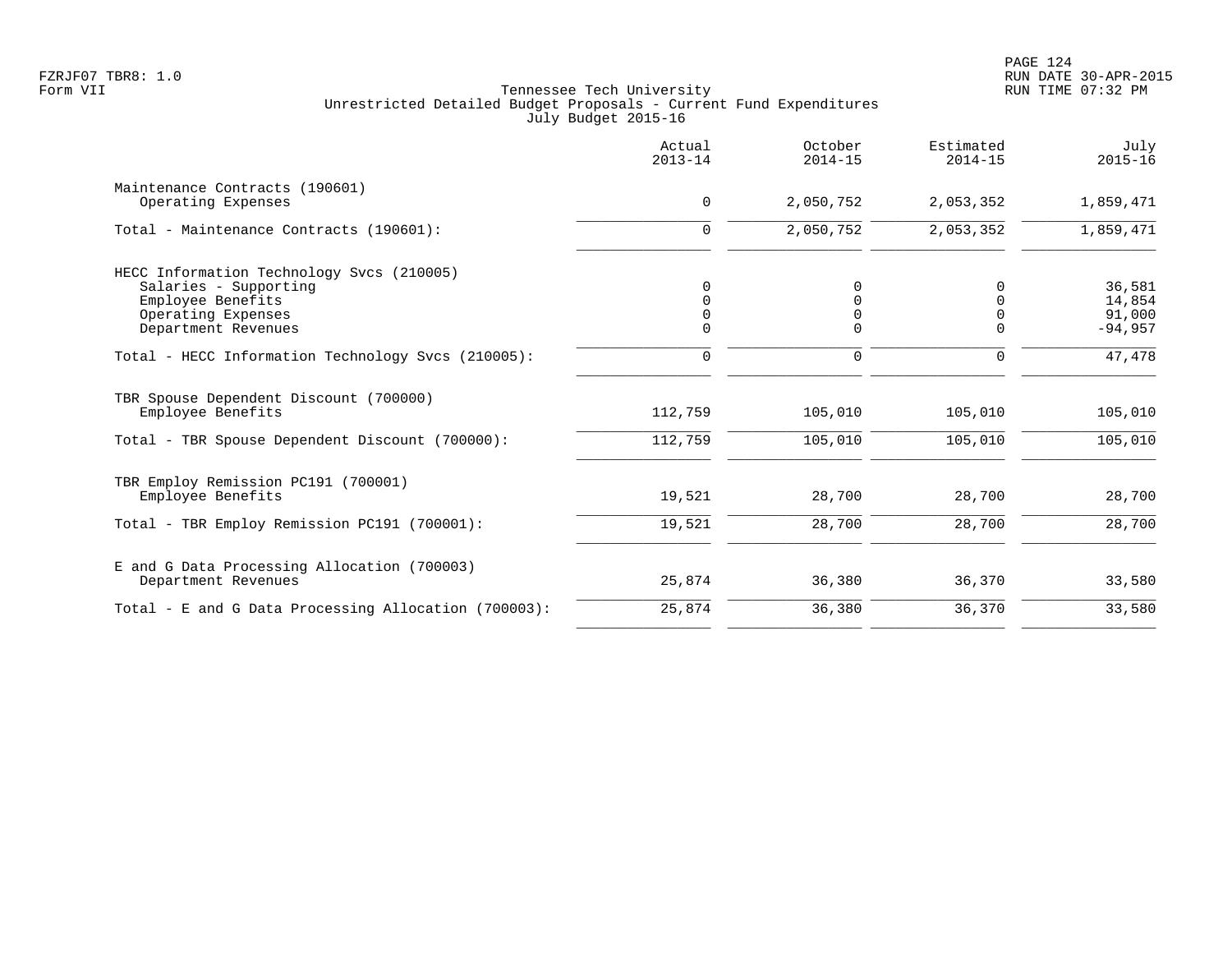|                                                                                                                                      | Actual<br>$2013 - 14$                       | October<br>$2014 - 15$                   | Estimated<br>$2014 - 15$                       | July<br>$2015 - 16$                     |
|--------------------------------------------------------------------------------------------------------------------------------------|---------------------------------------------|------------------------------------------|------------------------------------------------|-----------------------------------------|
| Maintenance Contracts (190601)<br>Operating Expenses                                                                                 | $\mathbf 0$                                 | 2,050,752                                | 2,053,352                                      | 1,859,471                               |
| Total - Maintenance Contracts (190601):                                                                                              | $\mathbf 0$                                 | 2,050,752                                | 2,053,352                                      | 1,859,471                               |
| HECC Information Technology Svcs (210005)<br>Salaries - Supporting<br>Employee Benefits<br>Operating Expenses<br>Department Revenues | 0<br>$\mathbf 0$<br>$\mathbf 0$<br>$\Omega$ | 0<br>$\mathbf 0$<br>$\Omega$<br>$\Omega$ | 0<br>$\overline{0}$<br>$\mathbf 0$<br>$\Omega$ | 36,581<br>14,854<br>91,000<br>$-94,957$ |
| Total - HECC Information Technology Svcs (210005):                                                                                   | $\mathbf 0$                                 | $\mathbf 0$                              | $\mathbf 0$                                    | 47,478                                  |
| TBR Spouse Dependent Discount (700000)<br>Employee Benefits                                                                          | 112,759                                     | 105,010                                  | 105,010                                        | 105,010                                 |
| Total - TBR Spouse Dependent Discount (700000):                                                                                      | 112,759                                     | 105,010                                  | 105,010                                        | 105,010                                 |
| TBR Employ Remission PC191 (700001)<br>Employee Benefits                                                                             | 19,521                                      | 28,700                                   | 28,700                                         | 28,700                                  |
| Total - TBR Employ Remission PC191 (700001):                                                                                         | 19,521                                      | 28,700                                   | 28,700                                         | 28,700                                  |
| E and G Data Processing Allocation (700003)<br>Department Revenues                                                                   | 25,874                                      | 36,380                                   | 36,370                                         | 33,580                                  |
| Total - E and G Data Processing Allocation (700003):                                                                                 | 25,874                                      | 36,380                                   | 36,370                                         | 33,580                                  |
|                                                                                                                                      |                                             |                                          |                                                |                                         |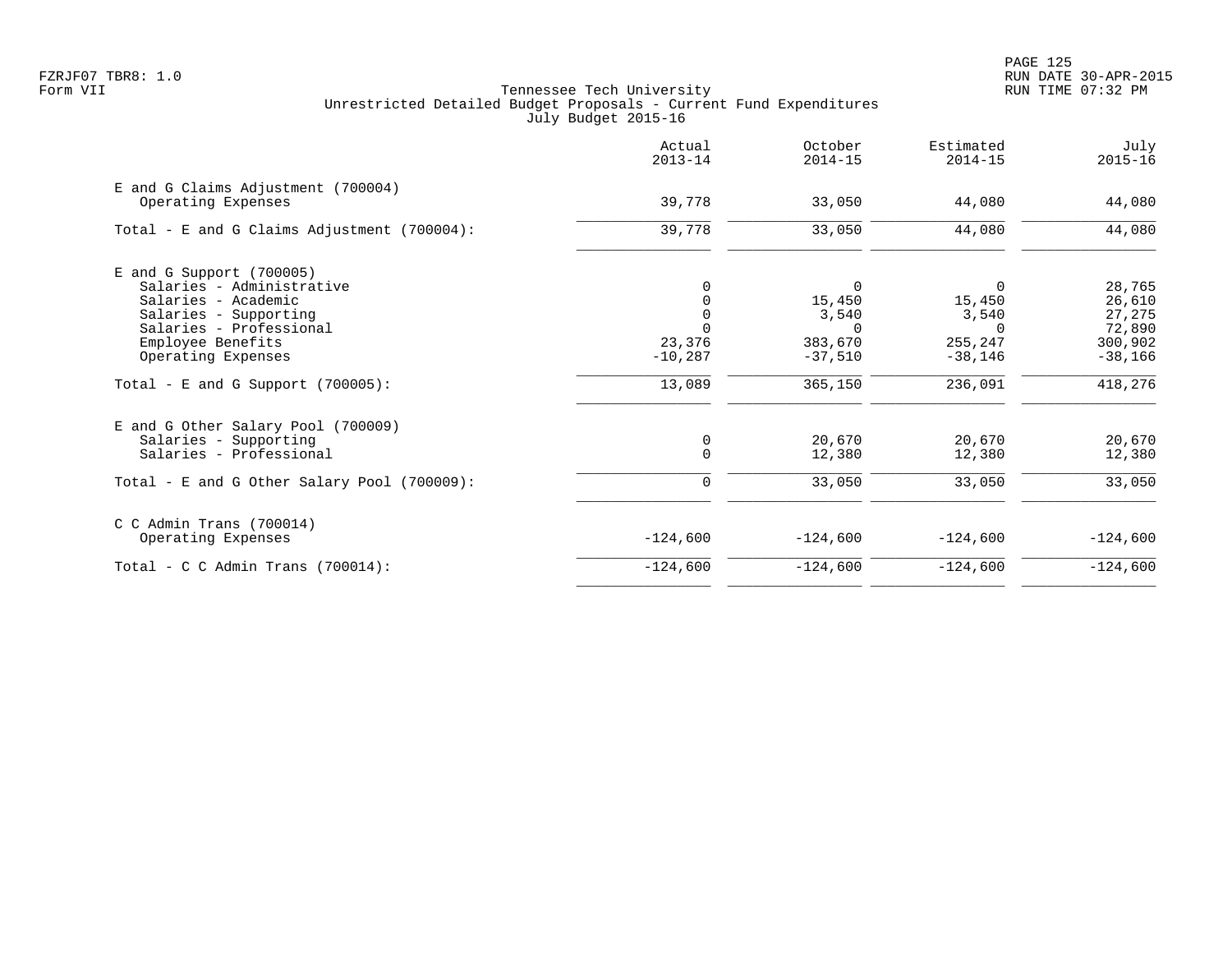|                                                          | Actual<br>$2013 - 14$ | October<br>$2014 - 15$ | Estimated<br>$2014 - 15$ | July<br>$2015 - 16$ |
|----------------------------------------------------------|-----------------------|------------------------|--------------------------|---------------------|
| E and G Claims Adjustment (700004)<br>Operating Expenses | 39,778                | 33,050                 | 44,080                   | 44,080              |
| Total - E and G Claims Adjustment $(700004)$ :           | 39,778                | 33,050                 | 44,080                   | 44,080              |
| $E$ and G Support (700005)                               |                       |                        |                          |                     |
| Salaries - Administrative                                |                       | 0                      | $\Omega$                 | 28,765              |
| Salaries - Academic                                      |                       | 15,450                 | 15,450                   | 26,610              |
| Salaries - Supporting                                    |                       | 3,540                  | 3,540                    | 27,275              |
| Salaries - Professional                                  | $\Omega$              | $\Omega$               | $\Omega$                 | 72,890              |
| Employee Benefits                                        | 23,376                | 383,670                | 255,247                  | 300,902             |
| Operating Expenses                                       | $-10,287$             | $-37,510$              | $-38,146$                | $-38,166$           |
| Total - E and G Support $(700005)$ :                     | 13,089                | 365,150                | 236,091                  | 418,276             |
| E and G Other Salary Pool (700009)                       |                       |                        |                          |                     |
| Salaries - Supporting                                    | 0                     | 20,670                 | 20,670                   | 20,670              |
| Salaries - Professional                                  | $\mathbf 0$           | 12,380                 | 12,380                   | 12,380              |
| Total - E and G Other Salary Pool (700009):              | 0                     | 33,050                 | 33,050                   | 33,050              |
| $C$ C Admin Trans (700014)                               |                       |                        |                          |                     |
| Operating Expenses                                       | $-124,600$            | $-124,600$             | $-124,600$               | $-124,600$          |
| Total - C C Admin Trans $(700014)$ :                     | $-124,600$            | $-124,600$             | $-124,600$               | $-124,600$          |
|                                                          |                       |                        |                          |                     |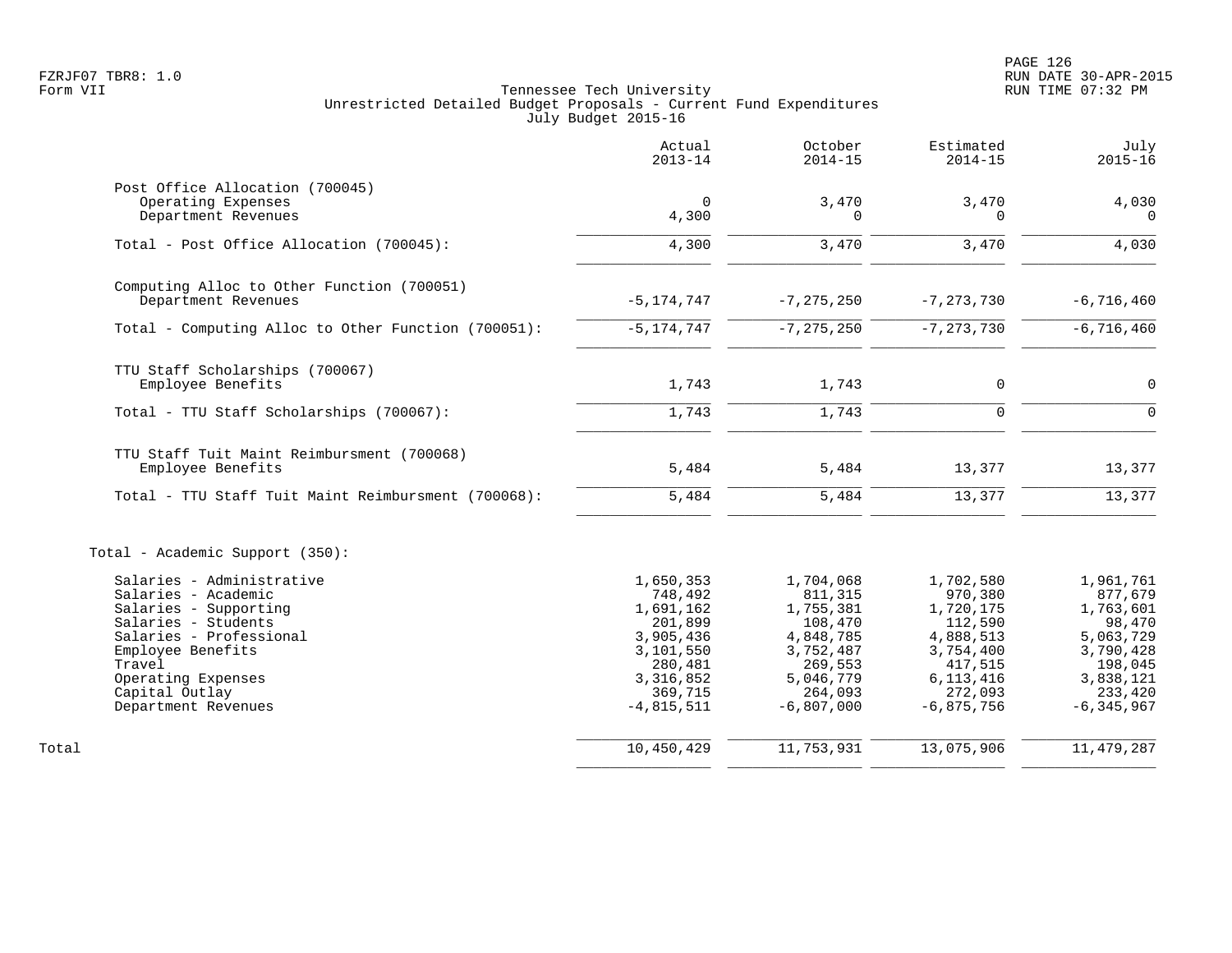|                                                     | Actual<br>$2013 - 14$ | October<br>$2014 - 15$ | Estimated<br>$2014 - 15$ | July<br>$2015 - 16$  |
|-----------------------------------------------------|-----------------------|------------------------|--------------------------|----------------------|
| Post Office Allocation (700045)                     |                       |                        |                          |                      |
| Operating Expenses                                  | $\Omega$              | 3,470                  | 3,470                    | 4,030                |
| Department Revenues                                 | 4,300                 | 0                      | $\Omega$                 | $\Omega$             |
| Total - Post Office Allocation (700045):            | 4,300                 | 3,470                  | 3,470                    | 4,030                |
| Computing Alloc to Other Function (700051)          |                       |                        |                          |                      |
| Department Revenues                                 | $-5, 174, 747$        | $-7, 275, 250$         | $-7, 273, 730$           | $-6,716,460$         |
| Total - Computing Alloc to Other Function (700051): | $-5, 174, 747$        | $-7, 275, 250$         | $-7, 273, 730$           | $-6,716,460$         |
| TTU Staff Scholarships (700067)                     |                       |                        |                          |                      |
| Employee Benefits                                   | 1,743                 | 1,743                  | $\mathbf 0$              | $\mathbf 0$          |
| Total - TTU Staff Scholarships (700067):            | 1,743                 | 1,743                  | 0                        | $\Omega$             |
| TTU Staff Tuit Maint Reimbursment (700068)          |                       |                        |                          |                      |
| Employee Benefits                                   | 5,484                 | 5,484                  | 13,377                   | 13,377               |
| Total - TTU Staff Tuit Maint Reimbursment (700068): | 5,484                 | 5,484                  | 13,377                   | 13,377               |
| Total - Academic Support (350):                     |                       |                        |                          |                      |
| Salaries - Administrative                           | 1,650,353             | 1,704,068              | 1,702,580                | 1,961,761            |
| Salaries - Academic                                 | 748,492               | 811,315                | 970,380                  | 877,679              |
| Salaries - Supporting                               | 1,691,162             | 1,755,381              | 1,720,175                | 1,763,601            |
| Salaries - Students                                 | 201,899               | 108,470                | 112,590                  | 98,470               |
| Salaries - Professional                             | 3,905,436             | 4,848,785              | 4,888,513                | 5,063,729            |
| Employee Benefits<br>Travel                         | 3,101,550             | 3,752,487              | 3,754,400<br>417,515     | 3,790,428            |
| Operating Expenses                                  | 280,481<br>3,316,852  | 269,553<br>5,046,779   | 6, 113, 416              | 198,045<br>3,838,121 |
| Capital Outlay                                      | 369,715               | 264,093                | 272,093                  | 233,420              |
| Department Revenues                                 | $-4,815,511$          | $-6,807,000$           | $-6,875,756$             | $-6, 345, 967$       |
|                                                     | 10,450,429            | 11,753,931             | 13,075,906               |                      |
| Total                                               |                       |                        |                          | 11, 479, 287         |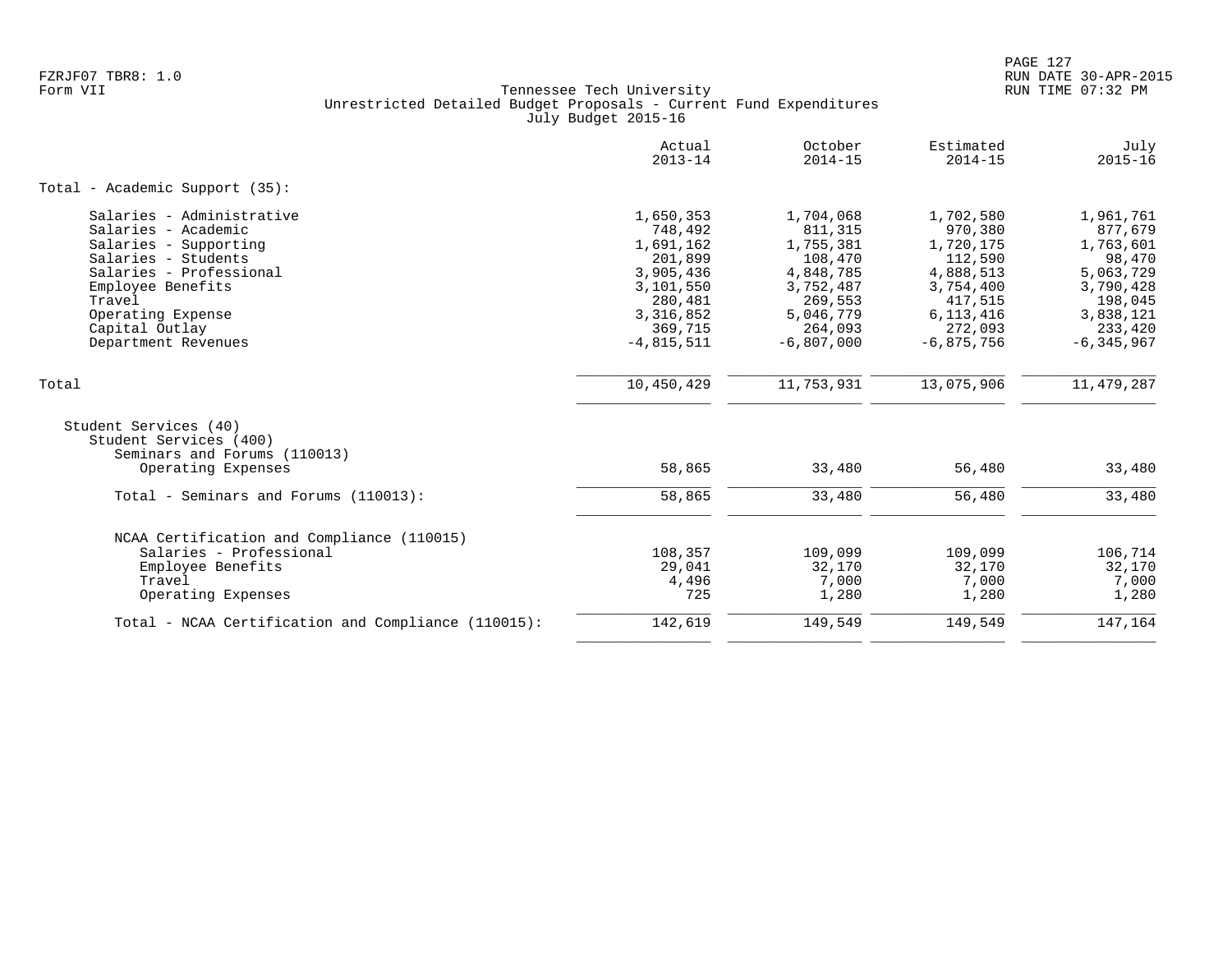|                                                                                                  | Actual<br>$2013 - 14$                        | October<br>$2014 - 15$                       | Estimated<br>$2014 - 15$                     | July<br>$2015 - 16$                         |
|--------------------------------------------------------------------------------------------------|----------------------------------------------|----------------------------------------------|----------------------------------------------|---------------------------------------------|
| Total - Academic Support (35):                                                                   |                                              |                                              |                                              |                                             |
| Salaries - Administrative<br>Salaries - Academic<br>Salaries - Supporting<br>Salaries - Students | 1,650,353<br>748,492<br>1,691,162<br>201,899 | 1,704,068<br>811,315<br>1,755,381<br>108,470 | 1,702,580<br>970,380<br>1,720,175<br>112,590 | 1,961,761<br>877,679<br>1,763,601<br>98,470 |
| Salaries - Professional<br>Employee Benefits<br>Travel                                           | 3,905,436<br>3,101,550<br>280,481            | 4,848,785<br>3,752,487<br>269,553            | 4,888,513<br>3,754,400<br>417,515            | 5,063,729<br>3,790,428<br>198,045           |
| Operating Expense<br>Capital Outlay<br>Department Revenues                                       | 3,316,852<br>369,715<br>$-4,815,511$         | 5,046,779<br>264,093<br>$-6,807,000$         | 6, 113, 416<br>272,093<br>$-6,875,756$       | 3,838,121<br>233,420<br>$-6, 345, 967$      |
| Total                                                                                            | 10,450,429                                   | 11,753,931                                   | 13,075,906                                   | 11,479,287                                  |
| Student Services (40)<br>Student Services (400)<br>Seminars and Forums (110013)                  |                                              |                                              |                                              |                                             |
| Operating Expenses                                                                               | 58,865                                       | 33,480                                       | 56,480                                       | 33,480                                      |
| Total - Seminars and Forums (110013):                                                            | 58,865                                       | 33,480                                       | 56,480                                       | 33,480                                      |
| NCAA Certification and Compliance (110015)                                                       |                                              |                                              |                                              |                                             |
| Salaries - Professional<br>Employee Benefits<br>Travel<br>Operating Expenses                     | 108,357<br>29,041<br>4,496<br>725            | 109,099<br>32,170<br>7,000<br>1,280          | 109,099<br>32,170<br>7,000<br>1,280          | 106,714<br>32,170<br>7,000<br>1,280         |
| Total - NCAA Certification and Compliance (110015):                                              | 142,619                                      | 149,549                                      | 149,549                                      | 147,164                                     |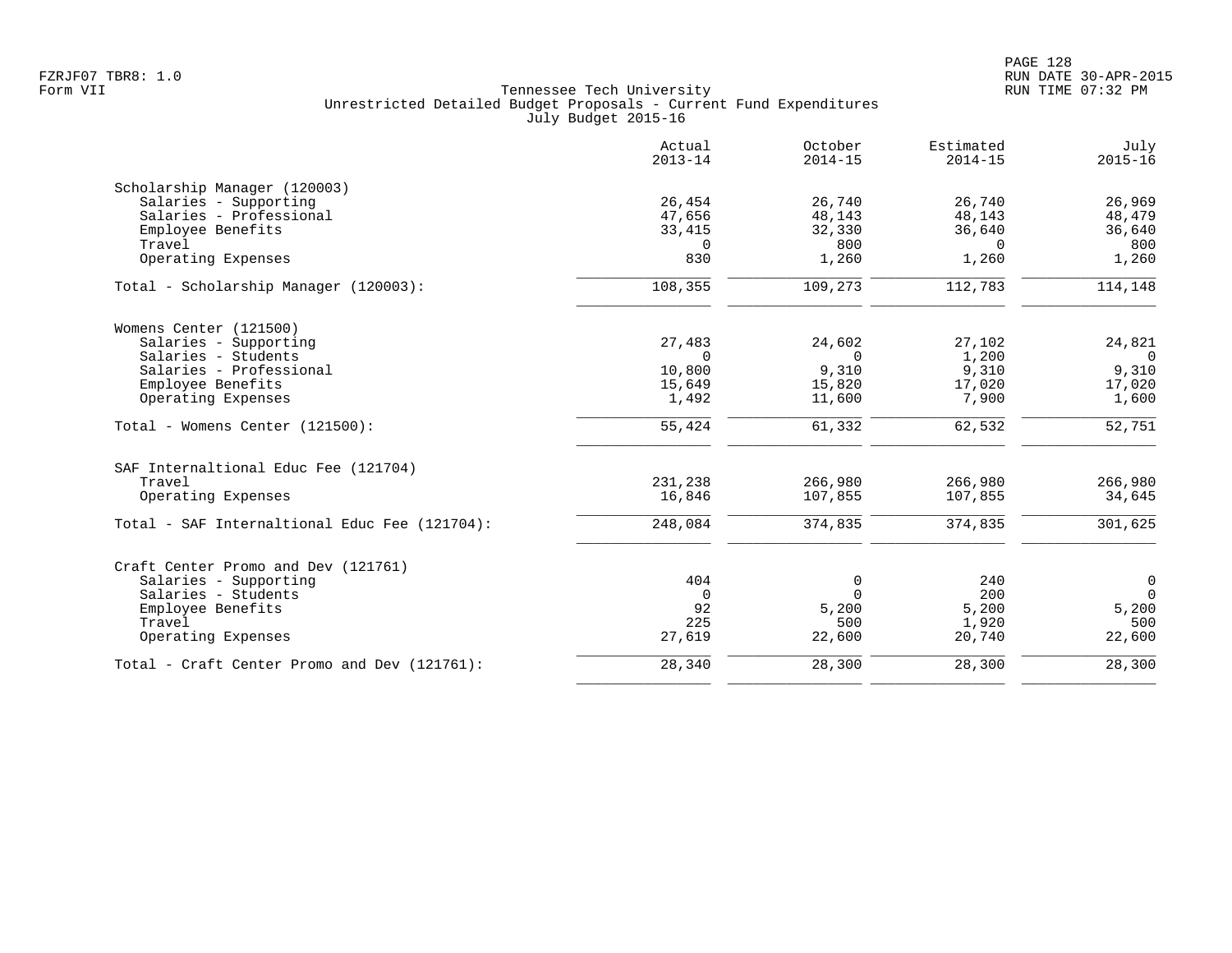|                                               | Actual<br>$2013 - 14$ | October<br>$2014 - 15$ | Estimated<br>$2014 - 15$ | July<br>$2015 - 16$ |
|-----------------------------------------------|-----------------------|------------------------|--------------------------|---------------------|
| Scholarship Manager (120003)                  |                       |                        |                          |                     |
| Salaries - Supporting                         | 26,454                | 26,740                 | 26,740                   | 26,969              |
| Salaries - Professional                       | 47,656                | 48,143                 | 48,143                   | 48,479              |
| Employee Benefits                             | 33,415                | 32,330                 | 36,640                   | 36,640              |
| Travel                                        | 0                     | 800                    | $\Omega$                 | 800                 |
| Operating Expenses                            | 830                   | 1,260                  | 1,260                    | 1,260               |
| Total - Scholarship Manager (120003):         | 108,355               | 109,273                | 112,783                  | 114,148             |
| Womens Center (121500)                        |                       |                        |                          |                     |
| Salaries - Supporting                         | 27,483                | 24,602                 | 27,102                   | 24,821              |
| Salaries - Students                           | $\Omega$              | $\Omega$               | 1,200                    | $\Omega$            |
| Salaries - Professional                       | 10,800                | 9,310                  | 9,310                    | 9,310               |
| Employee Benefits                             | 15,649                | 15,820                 | 17,020                   | 17,020              |
| Operating Expenses                            | 1,492                 | 11,600                 | 7,900                    | 1,600               |
| Total - Womens Center (121500):               | 55,424                | 61,332                 | 62,532                   | 52,751              |
| SAF Internaltional Educ Fee (121704)          |                       |                        |                          |                     |
| Travel                                        | 231,238               | 266,980                | 266,980                  | 266,980             |
| Operating Expenses                            | 16,846                | 107,855                | 107,855                  | 34,645              |
| Total - SAF Internaltional Educ Fee (121704): | 248,084               | 374,835                | 374,835                  | 301,625             |
| Craft Center Promo and Dev (121761)           |                       |                        |                          |                     |
| Salaries - Supporting                         | 404                   | 0                      | 240                      | $\mathsf{O}$        |
| Salaries - Students                           | $\mathbf 0$           | $\Omega$               | 200                      | $\overline{0}$      |
| Employee Benefits                             | 92                    | 5,200                  | 5,200                    | 5,200               |
| Travel                                        | 225                   | 500                    | 1,920                    | 500                 |
| Operating Expenses                            | 27,619                | 22,600                 | 20,740                   | 22,600              |
| Total - Craft Center Promo and Dev (121761):  | 28,340                | 28,300                 | 28,300                   | 28,300              |
|                                               |                       |                        |                          |                     |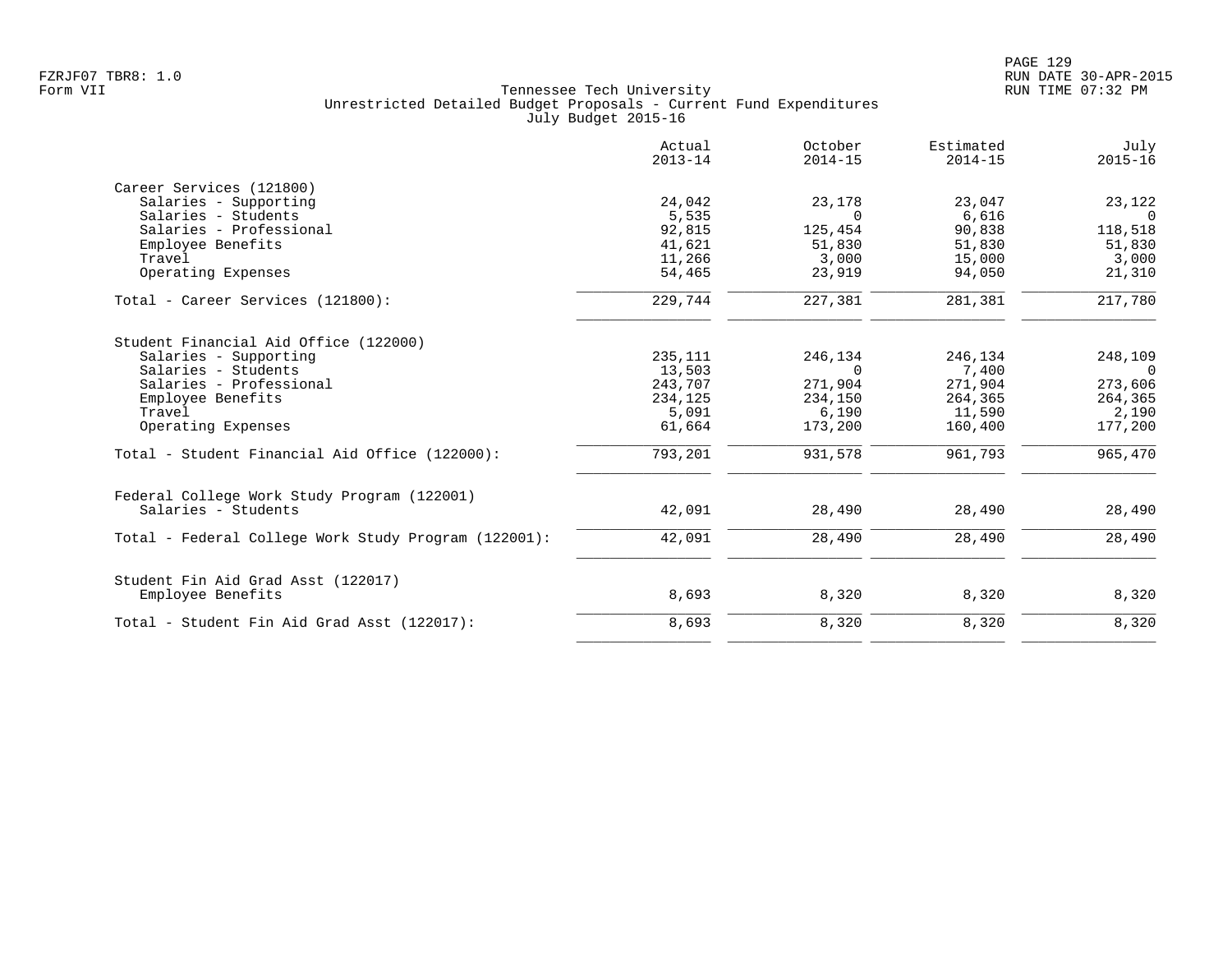|                                                      | Actual<br>$2013 - 14$ | October<br>$2014 - 15$ | Estimated<br>$2014 - 15$ | July<br>$2015 - 16$ |
|------------------------------------------------------|-----------------------|------------------------|--------------------------|---------------------|
| Career Services (121800)                             |                       |                        |                          |                     |
| Salaries - Supporting                                | 24,042                | 23,178                 | 23,047                   | 23,122              |
| Salaries - Students                                  | 5,535                 | $\Omega$               | 6,616                    | $\overline{0}$      |
| Salaries - Professional                              | 92,815                | 125,454                | 90,838                   | 118,518             |
| Employee Benefits                                    | 41,621                | 51,830                 | 51,830                   | 51,830              |
| Travel                                               | 11,266                | 3,000                  | 15,000                   | 3,000               |
| Operating Expenses                                   | 54,465                | 23,919                 | 94,050                   | 21,310              |
| Total - Career Services (121800):                    | 229,744               | 227,381                | 281,381                  | 217,780             |
| Student Financial Aid Office (122000)                |                       |                        |                          |                     |
| Salaries - Supporting                                | 235,111               | 246,134                | 246,134                  | 248,109             |
| Salaries - Students                                  | 13,503                | $\Omega$               | 7,400                    | $\overline{0}$      |
| Salaries - Professional                              | 243,707               | 271,904                | 271,904                  | 273,606             |
| Employee Benefits                                    | 234,125               | 234,150                | 264,365                  | 264,365             |
| Travel                                               | 5,091                 | 6,190                  | 11,590                   | 2,190               |
| Operating Expenses                                   | 61,664                | 173,200                | 160,400                  | 177,200             |
| Total - Student Financial Aid Office (122000):       | 793,201               | 931,578                | 961,793                  | 965,470             |
| Federal College Work Study Program (122001)          |                       |                        |                          |                     |
| Salaries - Students                                  | 42,091                | 28,490                 | 28,490                   | 28,490              |
| Total - Federal College Work Study Program (122001): | 42,091                | 28,490                 | 28,490                   | 28,490              |
| Student Fin Aid Grad Asst (122017)                   |                       |                        |                          |                     |
| Employee Benefits                                    | 8,693                 | 8,320                  | 8,320                    | 8,320               |
| Total - Student Fin Aid Grad Asst (122017):          | 8,693                 | 8,320                  | 8,320                    | 8,320               |
|                                                      |                       |                        |                          |                     |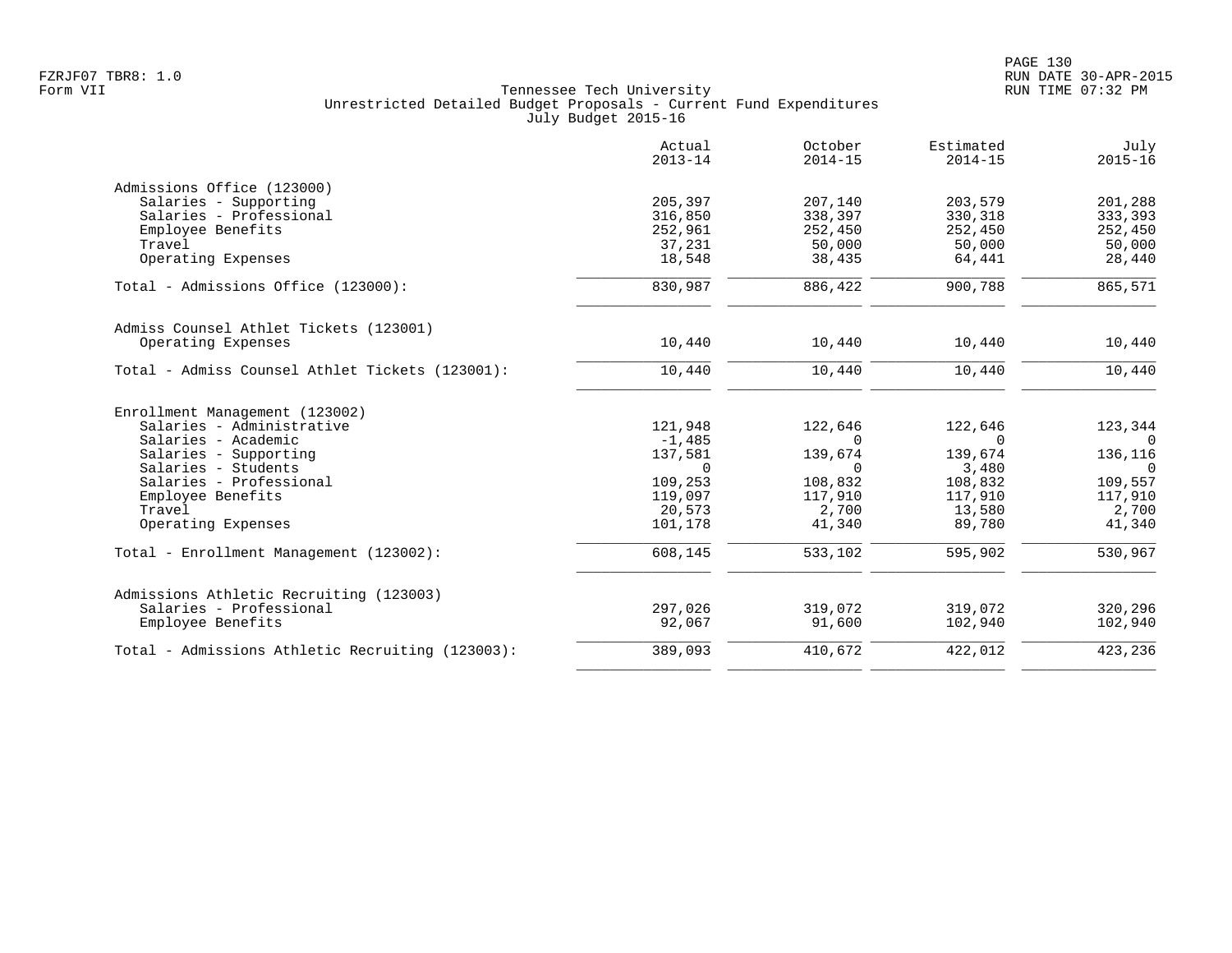|                                                  | Actual<br>$2013 - 14$ | October<br>$2014 - 15$ | Estimated<br>$2014 - 15$ | July<br>$2015 - 16$ |
|--------------------------------------------------|-----------------------|------------------------|--------------------------|---------------------|
| Admissions Office (123000)                       |                       |                        |                          |                     |
| Salaries - Supporting                            | 205,397               | 207,140                | 203,579                  | 201,288             |
| Salaries - Professional                          | 316,850               | 338,397                | 330,318                  | 333,393             |
| Employee Benefits                                | 252,961               | 252,450                | 252,450                  | 252,450             |
| Travel                                           | 37,231                | 50,000                 | 50,000                   | 50,000              |
| Operating Expenses                               | 18,548                | 38,435                 | 64,441                   | 28,440              |
| Total - Admissions Office (123000):              | 830,987               | 886,422                | 900,788                  | 865,571             |
| Admiss Counsel Athlet Tickets (123001)           |                       |                        |                          |                     |
| Operating Expenses                               | 10,440                | 10,440                 | 10,440                   | 10,440              |
| Total - Admiss Counsel Athlet Tickets (123001):  | 10,440                | 10,440                 | 10,440                   | 10,440              |
| Enrollment Management (123002)                   |                       |                        |                          |                     |
| Salaries - Administrative                        | 121,948               | 122,646                | 122,646                  | 123,344             |
| Salaries - Academic                              | $-1,485$              | $\Omega$               | $\Omega$                 | $\overline{0}$      |
| Salaries - Supporting                            | 137,581               | 139,674                | 139,674                  | 136,116             |
| Salaries - Students                              | $\Omega$              | $\Omega$               | 3,480                    | $\overline{0}$      |
| Salaries - Professional                          | 109,253               | 108,832                | 108,832                  | 109,557             |
| Employee Benefits                                | 119,097               | 117,910                | 117,910                  | 117,910             |
| Travel                                           | 20,573                | 2,700                  | 13,580                   | 2,700               |
| Operating Expenses                               | 101,178               | 41,340                 | 89,780                   | 41,340              |
| Total - Enrollment Management (123002):          | 608,145               | 533,102                | 595,902                  | 530,967             |
| Admissions Athletic Recruiting (123003)          |                       |                        |                          |                     |
| Salaries - Professional                          | 297,026               | 319,072                | 319,072                  | 320,296             |
| Employee Benefits                                | 92,067                | 91,600                 | 102,940                  | 102,940             |
| Total - Admissions Athletic Recruiting (123003): | 389,093               | 410,672                | 422,012                  | 423,236             |
|                                                  |                       |                        |                          |                     |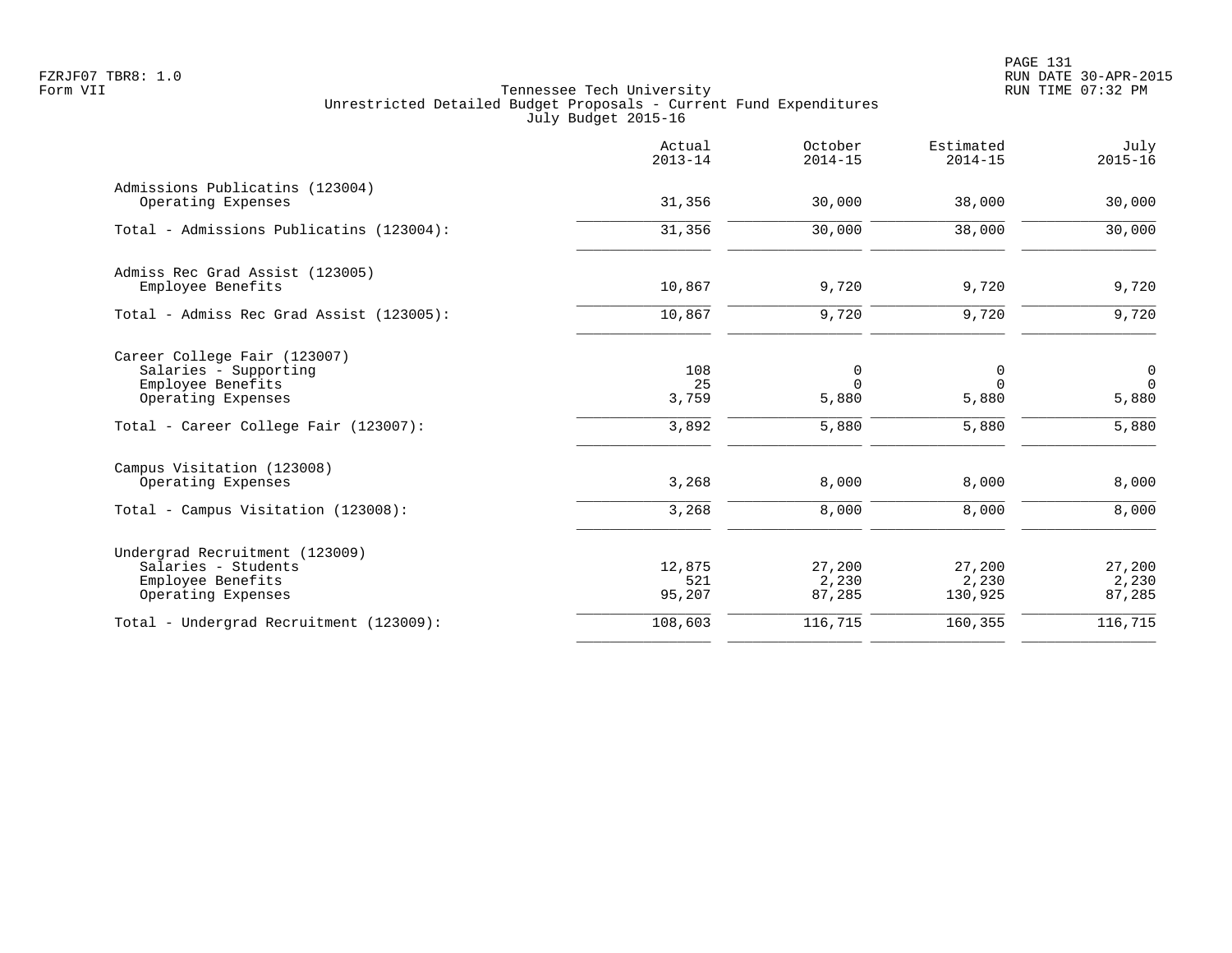|                                                                                                  | Actual<br>$2013 - 14$   | October<br>$2014 - 15$    | Estimated<br>$2014 - 15$   | July<br>$2015 - 16$          |
|--------------------------------------------------------------------------------------------------|-------------------------|---------------------------|----------------------------|------------------------------|
| Admissions Publicatins (123004)<br>Operating Expenses                                            | 31,356                  | 30,000                    | 38,000                     | 30,000                       |
| Total - Admissions Publicatins (123004):                                                         | 31,356                  | 30,000                    | 38,000                     | 30,000                       |
| Admiss Rec Grad Assist (123005)<br>Employee Benefits                                             | 10,867                  | 9,720                     | 9,720                      | 9,720                        |
| Total - Admiss Rec Grad Assist (123005):                                                         | 10,867                  | 9,720                     | 9,720                      | 9,720                        |
| Career College Fair (123007)<br>Salaries - Supporting<br>Employee Benefits<br>Operating Expenses | 108<br>25<br>3,759      | 0<br>$\Omega$<br>5,880    | 0<br>$\Omega$<br>5,880     | 0<br>$\overline{0}$<br>5,880 |
| Total - Career College Fair (123007):                                                            | 3,892                   | 5,880                     | 5,880                      | 5,880                        |
| Campus Visitation (123008)<br>Operating Expenses                                                 | 3,268                   | 8,000                     | 8,000                      | 8,000                        |
| Total - Campus Visitation (123008):                                                              | 3,268                   | 8,000                     | 8,000                      | 8,000                        |
| Undergrad Recruitment (123009)<br>Salaries - Students<br>Employee Benefits<br>Operating Expenses | 12,875<br>521<br>95,207 | 27,200<br>2,230<br>87,285 | 27,200<br>2,230<br>130,925 | 27,200<br>2,230<br>87,285    |
| Total - Undergrad Recruitment (123009):                                                          | 108,603                 | 116,715                   | 160,355                    | 116,715                      |
|                                                                                                  |                         |                           |                            |                              |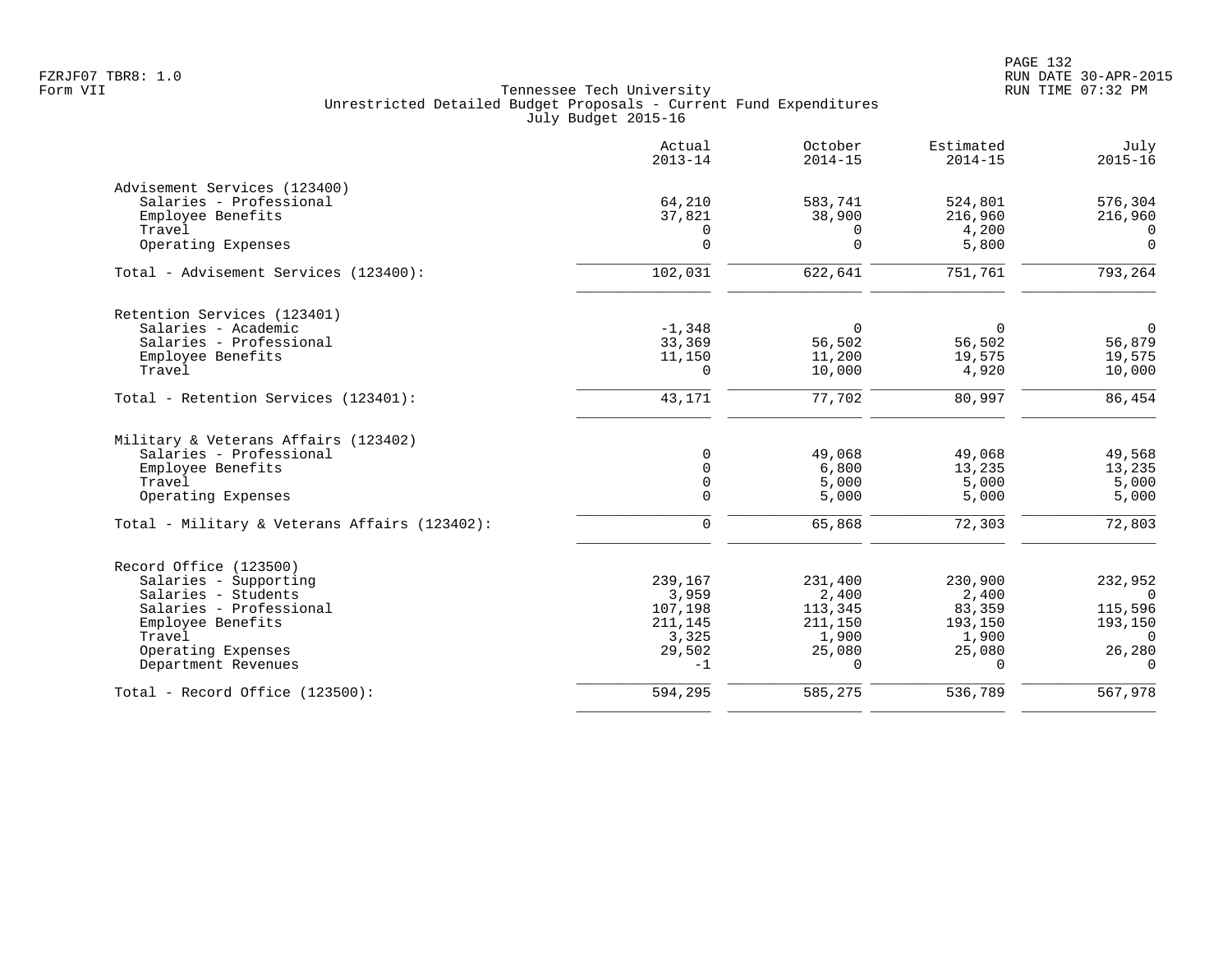PAGE 132 FZRJF07 TBR8: 1.0 RUN DATE 30-APR-2015

|                                               | Actual<br>$2013 - 14$ | October<br>$2014 - 15$ | Estimated<br>$2014 - 15$ | July<br>$2015 - 16$ |
|-----------------------------------------------|-----------------------|------------------------|--------------------------|---------------------|
| Advisement Services (123400)                  |                       |                        |                          |                     |
| Salaries - Professional                       | 64,210                | 583,741                | 524,801                  | 576,304             |
| Employee Benefits                             | 37,821                | 38,900                 | 216,960                  | 216,960             |
| Travel                                        | 0                     | 0                      | 4,200                    | $\overline{0}$      |
| Operating Expenses                            | $\overline{0}$        | $\Omega$               | 5,800                    | $\mathbf 0$         |
| Total - Advisement Services (123400):         | 102,031               | 622,641                | 751,761                  | 793,264             |
| Retention Services (123401)                   |                       |                        |                          |                     |
| Salaries - Academic                           | $-1,348$              | $\Omega$               | $\Omega$                 | $\overline{0}$      |
| Salaries - Professional                       | 33,369                | 56,502                 | 56,502                   | 56,879              |
| Employee Benefits                             | 11,150                | 11,200                 | 19,575                   | 19,575              |
| Travel                                        | $\Omega$              | 10,000                 | 4,920                    | 10,000              |
| Total - Retention Services (123401):          | 43,171                | 77,702                 | 80,997                   | 86,454              |
| Military & Veterans Affairs (123402)          |                       |                        |                          |                     |
| Salaries - Professional                       | $\Omega$              | 49,068                 | 49,068                   | 49,568              |
| Employee Benefits                             | $\Omega$              | 6,800                  | 13,235                   | 13,235              |
| Travel                                        | $\mathsf{O}$          | 5,000                  | 5,000                    | 5,000               |
| Operating Expenses                            | $\mathbf 0$           | 5,000                  | 5,000                    | 5,000               |
| Total - Military & Veterans Affairs (123402): | $\mathbf 0$           | 65,868                 | 72,303                   | 72,803              |
| Record Office (123500)                        |                       |                        |                          |                     |
| Salaries - Supporting                         | 239,167               | 231,400                | 230,900                  | 232,952             |
| Salaries - Students                           | 3,959                 | 2,400                  | 2,400                    | $\overline{0}$      |
| Salaries - Professional                       | 107,198               | 113,345                | 83,359                   | 115,596             |
| Employee Benefits                             | 211,145               | 211,150                | 193,150                  | 193,150             |
| Travel                                        | 3,325                 | 1,900                  | 1,900                    | $\Omega$            |
| Operating Expenses                            | 29,502                | 25,080                 | 25,080                   | 26,280              |
| Department Revenues                           | $-1$                  | $\Omega$               | $\Omega$                 | $\Omega$            |
| Total - Record Office (123500):               | 594,295               | 585,275                | 536,789                  | 567,978             |
|                                               |                       |                        |                          |                     |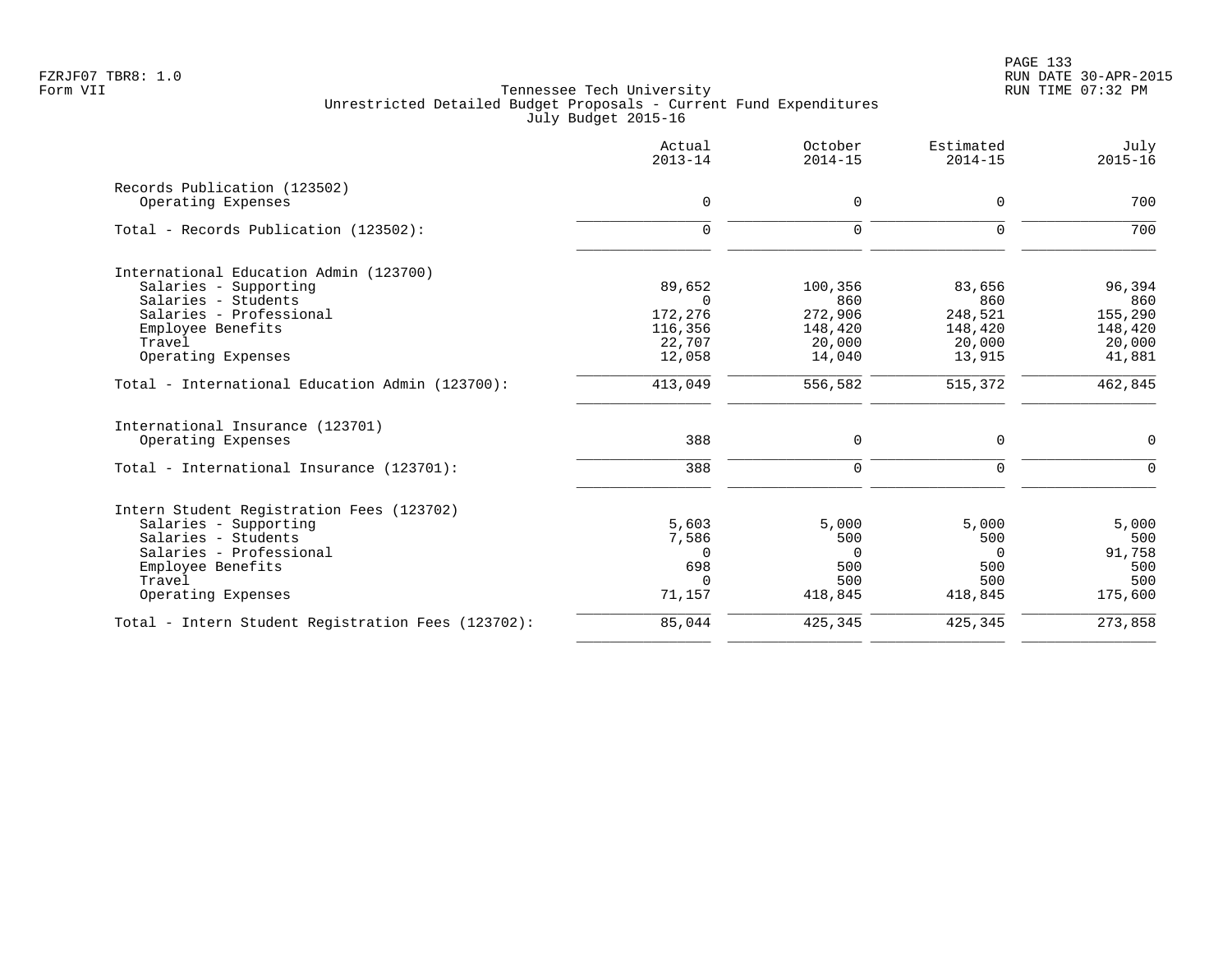|                                                    | Actual<br>$2013 - 14$ | October<br>$2014 - 15$ | Estimated<br>$2014 - 15$ | July<br>$2015 - 16$ |
|----------------------------------------------------|-----------------------|------------------------|--------------------------|---------------------|
| Records Publication (123502)                       |                       |                        |                          |                     |
| Operating Expenses                                 | $\mathbf 0$           | 0                      | $\mathbf 0$              | 700                 |
| Total - Records Publication (123502):              | $\mathbf 0$           | $\mathbf 0$            | $\mathbf 0$              | 700                 |
| International Education Admin (123700)             |                       |                        |                          |                     |
| Salaries - Supporting                              | 89,652                | 100,356                | 83,656                   | 96,394              |
| Salaries - Students<br>Salaries - Professional     | $\Omega$              | 860                    | 860                      | 860                 |
| Employee Benefits                                  | 172,276<br>116,356    | 272,906<br>148,420     | 248,521<br>148,420       | 155,290<br>148,420  |
| Travel                                             | 22,707                | 20,000                 | 20,000                   | 20,000              |
| Operating Expenses                                 | 12,058                | 14,040                 | 13,915                   | 41,881              |
| Total - International Education Admin (123700):    | 413,049               | 556,582                | 515,372                  | 462,845             |
| International Insurance (123701)                   |                       |                        |                          |                     |
| Operating Expenses                                 | 388                   | 0                      | $\mathbf 0$              | $\mathbf 0$         |
| Total - International Insurance (123701):          | 388                   | $\mathbf 0$            | $\mathbf 0$              | $\Omega$            |
| Intern Student Registration Fees (123702)          |                       |                        |                          |                     |
| Salaries - Supporting                              | 5,603                 | 5,000                  | 5,000                    | 5,000               |
| Salaries - Students                                | 7,586                 | 500                    | 500                      | 500                 |
| Salaries - Professional                            | $\Omega$              | $\Omega$               | $\Omega$                 | 91,758              |
| Employee Benefits<br>Travel                        | 698<br>$\Omega$       | 500<br>500             | 500<br>500               | 500<br>500          |
| Operating Expenses                                 | 71,157                | 418,845                | 418,845                  | 175,600             |
| Total - Intern Student Registration Fees (123702): | 85,044                | 425,345                | 425,345                  | 273,858             |
|                                                    |                       |                        |                          |                     |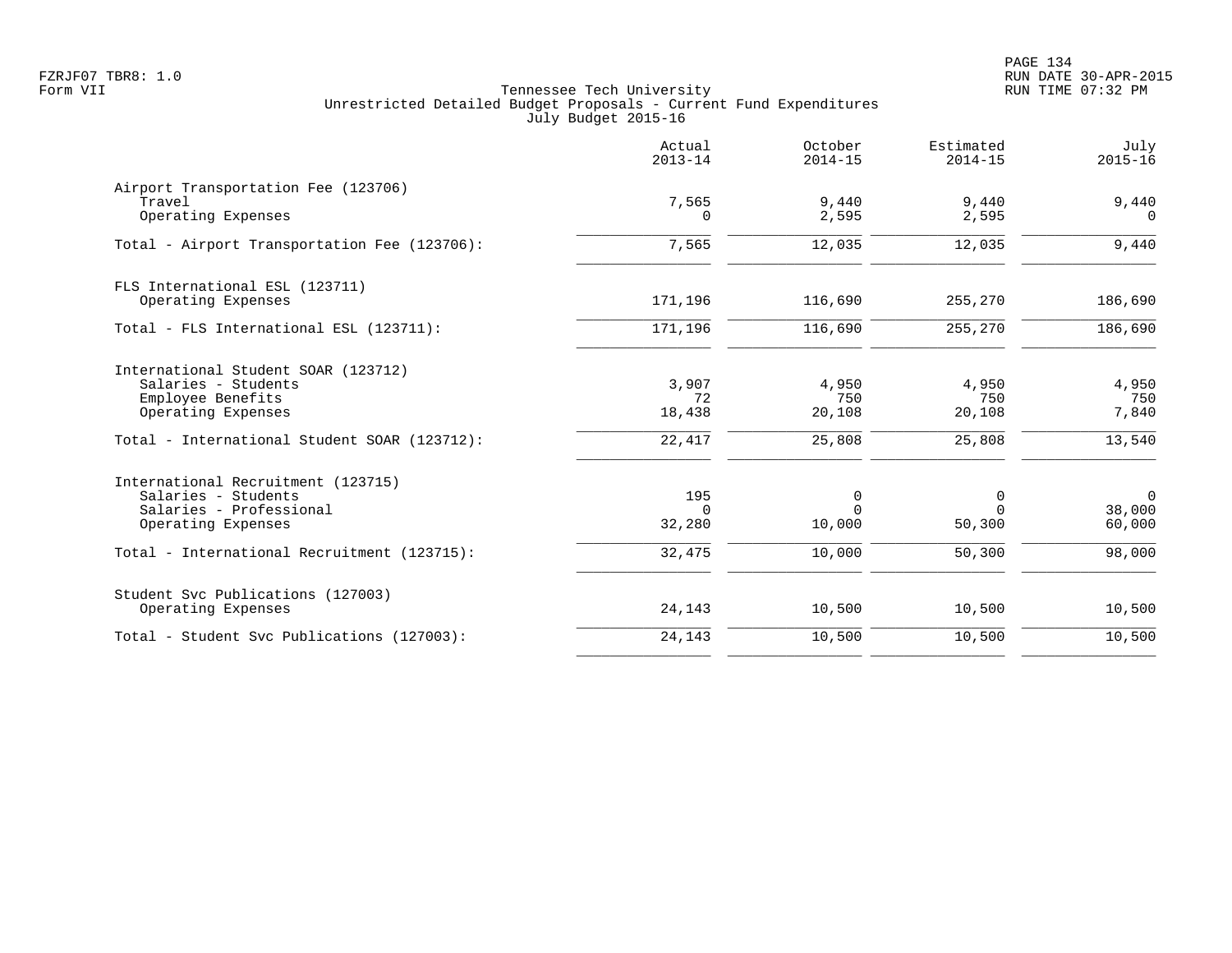|                                                                                                                                                       | Actual<br>$2013 - 14$           | October<br>$2014 - 15$            | Estimated<br>$2014 - 15$          | July<br>$2015 - 16$              |
|-------------------------------------------------------------------------------------------------------------------------------------------------------|---------------------------------|-----------------------------------|-----------------------------------|----------------------------------|
| Airport Transportation Fee (123706)<br>Travel<br>Operating Expenses                                                                                   | 7,565<br>$\Omega$               | 9,440<br>2,595                    | 9,440<br>2,595                    | 9,440<br>$\Omega$                |
| Total - Airport Transportation Fee (123706):                                                                                                          | 7,565                           | 12,035                            | 12,035                            | 9,440                            |
| FLS International ESL (123711)<br>Operating Expenses                                                                                                  | 171,196                         | 116,690                           | 255,270                           | 186,690                          |
| Total - FLS International ESL (123711):                                                                                                               | 171,196                         | 116,690                           | 255,270                           | 186,690                          |
| International Student SOAR (123712)<br>Salaries - Students<br>Employee Benefits<br>Operating Expenses<br>Total - International Student SOAR (123712): | 3,907<br>72<br>18,438<br>22,417 | 4,950<br>750<br>20,108<br>25,808  | 4,950<br>750<br>20,108<br>25,808  | 4,950<br>750<br>7,840<br>13,540  |
| International Recruitment (123715)<br>Salaries - Students<br>Salaries - Professional<br>Operating Expenses                                            | 195<br>$\Omega$<br>32,280       | $\mathbf 0$<br>$\Omega$<br>10,000 | $\mathbf 0$<br>$\Omega$<br>50,300 | $\mathsf{O}$<br>38,000<br>60,000 |
| Total - International Recruitment (123715):                                                                                                           | 32,475                          | 10,000                            | 50,300                            | 98,000                           |
| Student Svc Publications (127003)<br>Operating Expenses                                                                                               | 24,143                          | 10,500                            | 10,500                            | 10,500                           |
| Total - Student Svc Publications (127003):                                                                                                            | 24,143                          | 10,500                            | 10,500                            | 10,500                           |
|                                                                                                                                                       |                                 |                                   |                                   |                                  |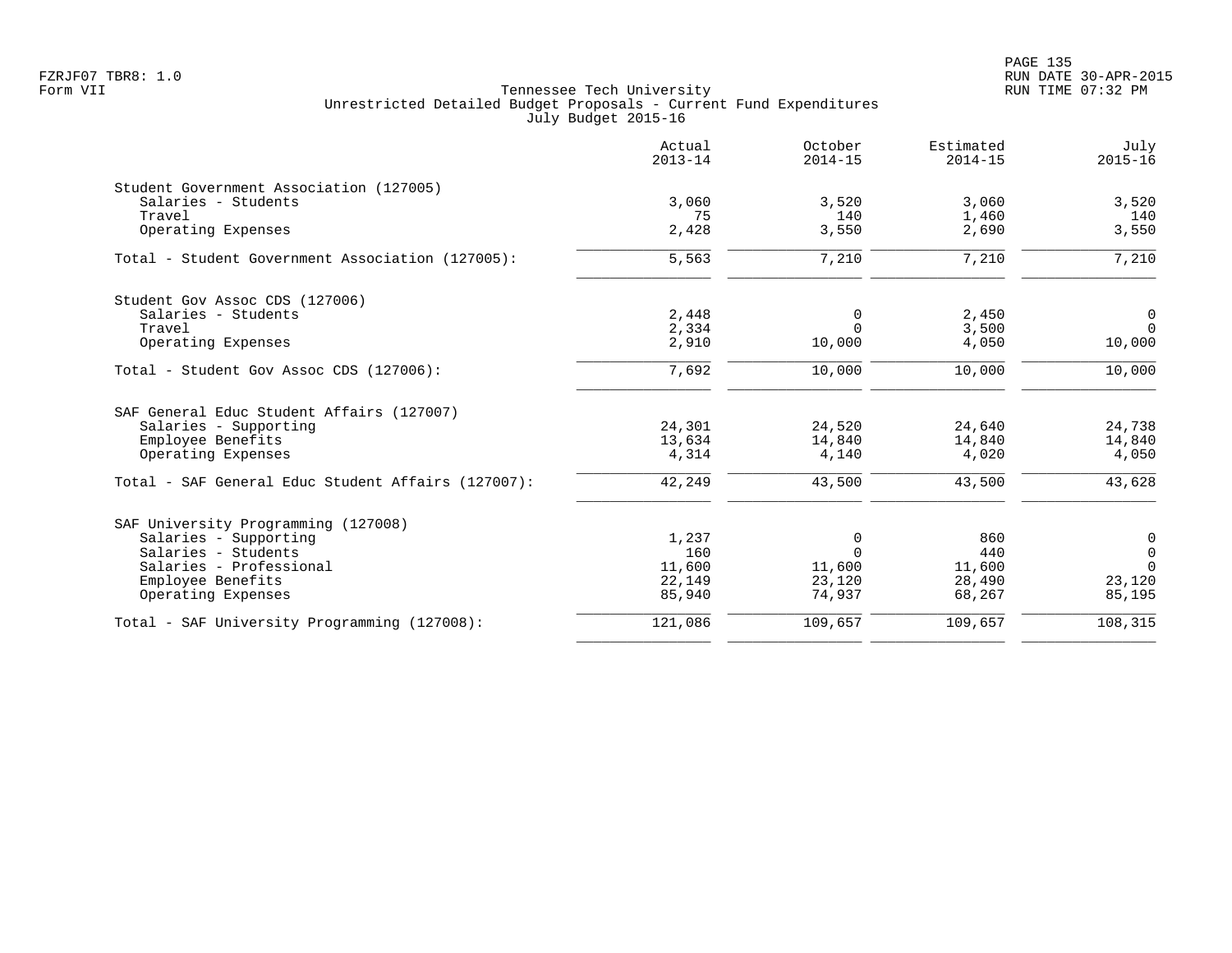PAGE 135 FZRJF07 TBR8: 1.0 RUN DATE 30-APR-2015

|                                                    | Actual<br>$2013 - 14$ | October<br>$2014 - 15$ | Estimated<br>$2014 - 15$ | July<br>$2015 - 16$ |
|----------------------------------------------------|-----------------------|------------------------|--------------------------|---------------------|
| Student Government Association (127005)            |                       |                        |                          |                     |
| Salaries - Students                                | 3,060                 | 3,520                  | 3,060                    | 3,520               |
| Travel                                             | 75                    | 140                    | 1,460                    | 140<br>3,550        |
| Operating Expenses                                 | 2,428                 | 3,550                  | 2,690                    |                     |
| Total - Student Government Association (127005):   | 5,563                 | 7,210                  | 7,210                    | 7,210               |
| Student Gov Assoc CDS (127006)                     |                       |                        |                          |                     |
| Salaries - Students                                | 2,448                 | 0                      | 2,450                    | 0                   |
| Travel                                             | 2,334                 | $\Omega$               | 3,500                    | $\Omega$            |
| Operating Expenses                                 | 2,910                 | 10,000                 | 4,050                    | 10,000              |
| Total - Student Gov Assoc CDS (127006):            | 7,692                 | 10,000                 | 10,000                   | 10,000              |
| SAF General Educ Student Affairs (127007)          |                       |                        |                          |                     |
| Salaries - Supporting                              | 24,301                | 24,520                 | 24,640                   | 24,738              |
| Employee Benefits                                  | 13,634                | 14,840                 | 14,840                   | 14,840              |
| Operating Expenses                                 | 4,314                 | 4,140                  | 4,020                    | 4,050               |
| Total - SAF General Educ Student Affairs (127007): | 42,249                | 43,500                 | 43,500                   | 43,628              |
| SAF University Programming (127008)                |                       |                        |                          |                     |
| Salaries - Supporting                              | 1,237                 | 0                      | 860                      | 0                   |
| Salaries - Students                                | 160                   | $\Omega$               | 440                      | $\overline{0}$      |
| Salaries - Professional                            | 11,600                | 11,600                 | 11,600                   | $\Omega$            |
| Employee Benefits                                  | 22,149                | 23,120                 | 28,490                   | 23,120              |
| Operating Expenses                                 | 85,940                | 74,937                 | 68,267                   | 85,195              |
| Total - SAF University Programming (127008):       | 121,086               | 109,657                | 109,657                  | 108,315             |
|                                                    |                       |                        |                          |                     |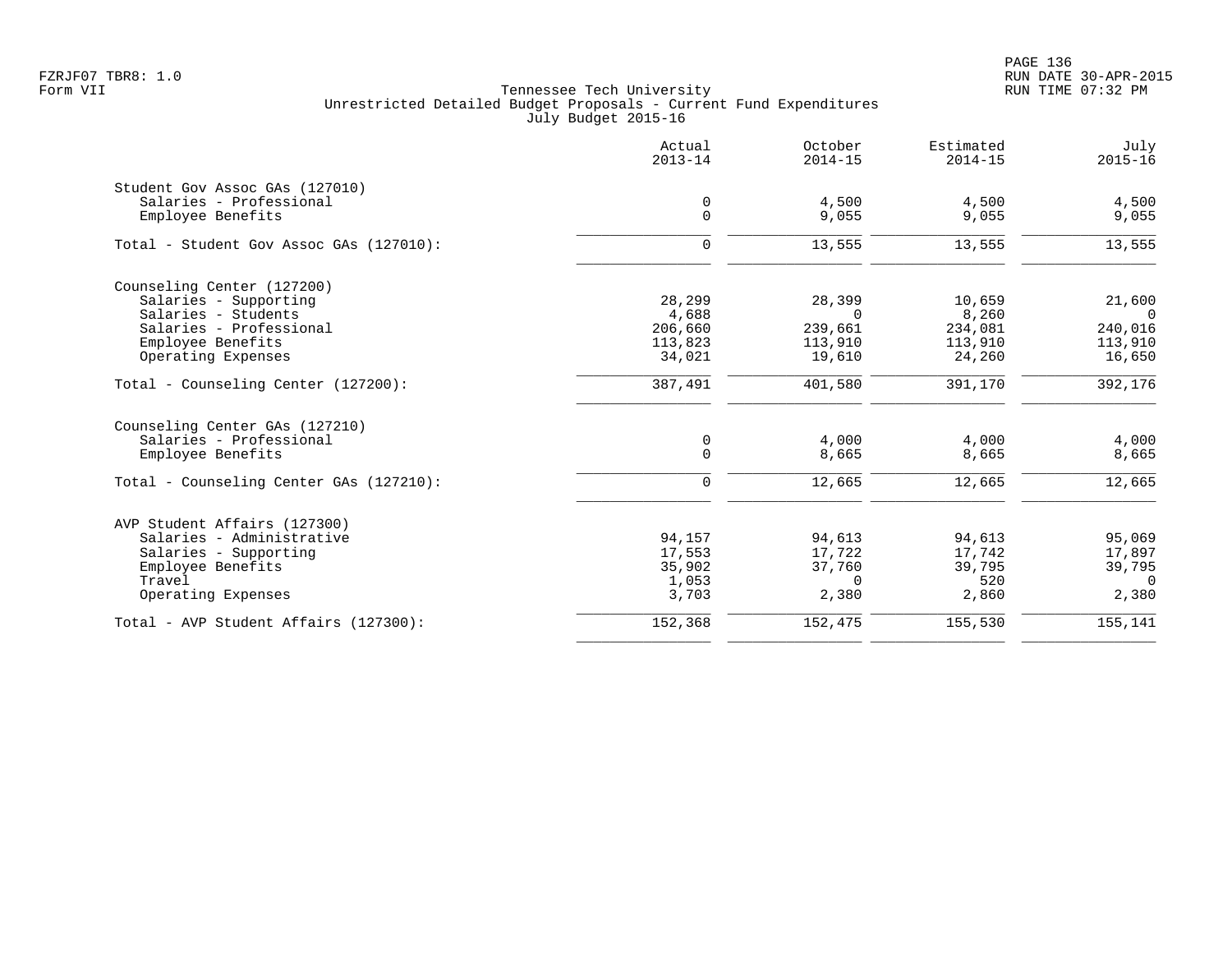PAGE 136 FZRJF07 TBR8: 1.0 RUN DATE 30-APR-2015

|                                         | Actual<br>$2013 - 14$ | October<br>$2014 - 15$ | Estimated<br>$2014 - 15$ | July<br>$2015 - 16$ |
|-----------------------------------------|-----------------------|------------------------|--------------------------|---------------------|
| Student Gov Assoc GAs (127010)          |                       |                        |                          |                     |
| Salaries - Professional                 | 0                     | 4,500                  | 4,500                    | 4,500               |
| Employee Benefits                       | $\mathbf 0$           | 9,055                  | 9,055                    | 9,055               |
| Total - Student Gov Assoc GAs (127010): | $\mathbf 0$           | 13,555                 | 13,555                   | 13,555              |
| Counseling Center (127200)              |                       |                        |                          |                     |
| Salaries - Supporting                   | 28,299                | 28,399                 | 10,659                   | 21,600              |
| Salaries - Students                     | 4,688                 | $\Omega$               | 8,260                    | $\overline{0}$      |
| Salaries - Professional                 | 206,660               | 239,661                | 234,081                  | 240,016             |
| Employee Benefits                       | 113,823               | 113,910                | 113,910                  | 113,910             |
| Operating Expenses                      | 34,021                | 19,610                 | 24,260                   | 16,650              |
| Total - Counseling Center (127200):     | 387,491               | 401,580                | 391,170                  | 392,176             |
| Counseling Center GAs (127210)          |                       |                        |                          |                     |
| Salaries - Professional                 | $\mathbf 0$           | 4,000                  | 4,000                    | 4,000               |
| Employee Benefits                       | $\mathbf 0$           | 8,665                  | 8,665                    | 8,665               |
| Total - Counseling Center GAs (127210): | $\mathbf 0$           | 12,665                 | 12,665                   | 12,665              |
| AVP Student Affairs (127300)            |                       |                        |                          |                     |
| Salaries - Administrative               | 94,157                | 94,613                 | 94,613                   | 95,069              |
| Salaries - Supporting                   | 17,553                | 17,722                 | 17,742                   | 17,897              |
| Employee Benefits                       | 35,902                | 37,760                 | 39,795                   | 39,795              |
| Travel                                  | 1,053                 | $\Omega$               | 520                      | $\Omega$            |
| Operating Expenses                      | 3,703                 | 2,380                  | 2,860                    | 2,380               |
| Total - AVP Student Affairs (127300):   | 152,368               | 152,475                | 155,530                  | 155,141             |
|                                         |                       |                        |                          |                     |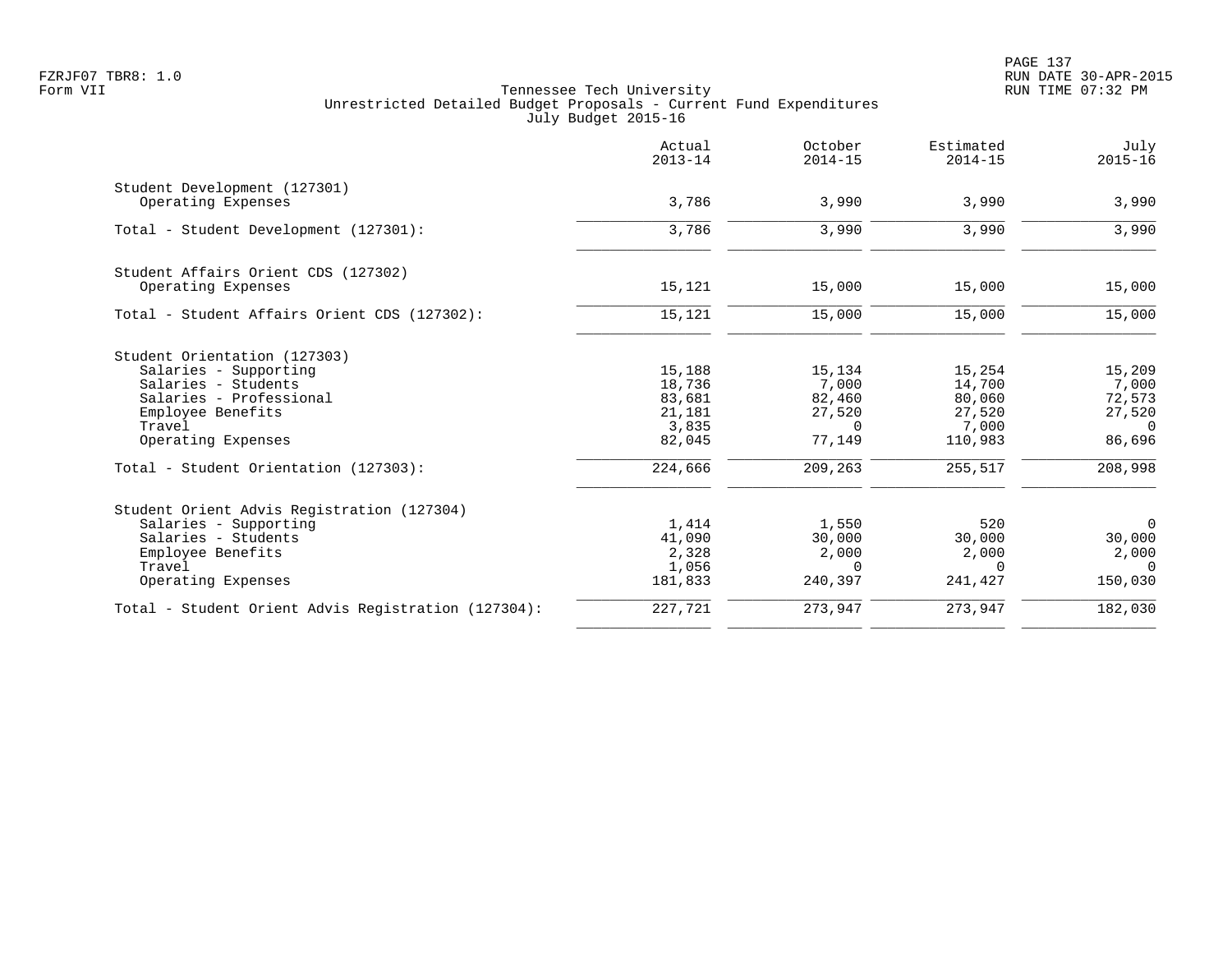|                                                     | Actual<br>$2013 - 14$ | October<br>$2014 - 15$ | Estimated<br>$2014 - 15$ | July<br>$2015 - 16$ |
|-----------------------------------------------------|-----------------------|------------------------|--------------------------|---------------------|
| Student Development (127301)                        |                       |                        |                          |                     |
| Operating Expenses                                  | 3,786                 | 3,990                  | 3,990                    | 3,990               |
| Total - Student Development (127301):               | 3,786                 | 3,990                  | 3,990                    | 3,990               |
| Student Affairs Orient CDS (127302)                 |                       |                        |                          |                     |
| Operating Expenses                                  | 15,121                | 15,000                 | 15,000                   | 15,000              |
| Total - Student Affairs Orient CDS (127302):        | 15,121                | 15,000                 | 15,000                   | 15,000              |
| Student Orientation (127303)                        |                       |                        |                          |                     |
| Salaries - Supporting                               | 15,188                | 15,134                 | 15,254                   | 15,209              |
| Salaries - Students                                 | 18,736                | 7,000                  | 14,700                   | 7,000               |
| Salaries - Professional<br>Employee Benefits        | 83,681<br>21,181      | 82,460<br>27,520       | 80,060<br>27,520         | 72,573<br>27,520    |
| Travel                                              | 3,835                 | $\Omega$               | 7,000                    | $\Omega$            |
| Operating Expenses                                  | 82,045                | 77,149                 | 110,983                  | 86,696              |
| Total - Student Orientation (127303):               | 224,666               | 209,263                | 255,517                  | 208,998             |
| Student Orient Advis Registration (127304)          |                       |                        |                          |                     |
| Salaries - Supporting                               | 1,414                 | 1,550                  | 520                      | $\mathbf 0$         |
| Salaries - Students                                 | 41,090                | 30,000                 | 30,000                   | 30,000              |
| Employee Benefits                                   | 2,328                 | 2,000                  | 2,000                    | 2,000               |
| Travel                                              | 1,056                 | $\Omega$               | $\Omega$                 | $\Omega$            |
| Operating Expenses                                  | 181,833               | 240,397                | 241,427                  | 150,030             |
| Total - Student Orient Advis Registration (127304): | 227,721               | 273,947                | 273,947                  | 182,030             |
|                                                     |                       |                        |                          |                     |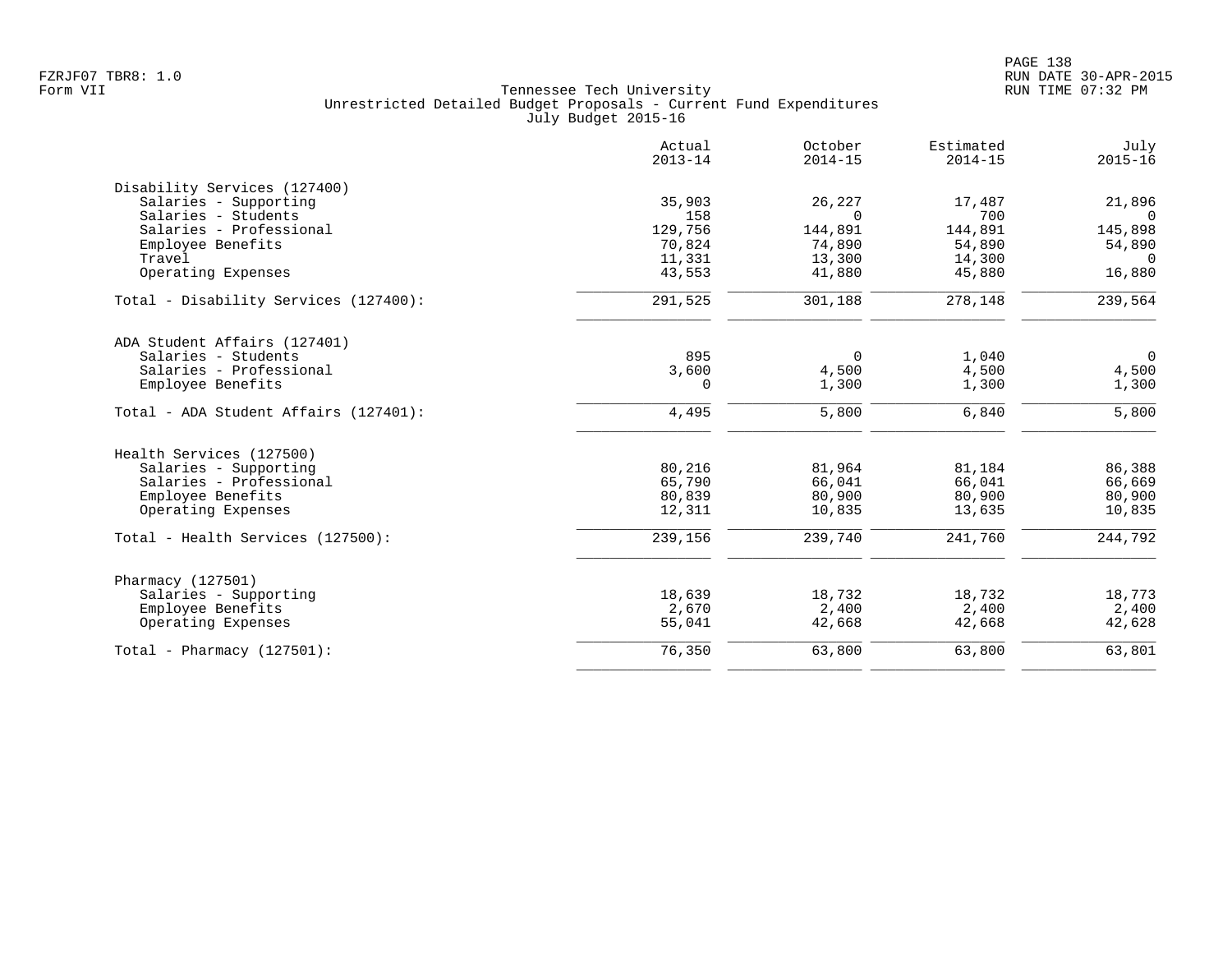|                                       | Actual<br>$2013 - 14$ | October<br>$2014 - 15$ | Estimated<br>$2014 - 15$ | July<br>$2015 - 16$ |
|---------------------------------------|-----------------------|------------------------|--------------------------|---------------------|
| Disability Services (127400)          |                       |                        |                          |                     |
| Salaries - Supporting                 | 35,903                | 26,227                 | 17,487                   | 21,896              |
| Salaries - Students                   | 158                   | $\Omega$               | 700                      | $\Omega$            |
| Salaries - Professional               | 129,756               | 144,891                | 144,891                  | 145,898             |
| Employee Benefits                     | 70,824                | 74,890                 | 54,890                   | 54,890              |
| Travel                                | 11,331                | 13,300                 | 14,300                   | $\Omega$            |
| Operating Expenses                    | 43,553                | 41,880                 | 45,880                   | 16,880              |
| Total - Disability Services (127400): | 291,525               | 301,188                | 278,148                  | 239,564             |
| ADA Student Affairs (127401)          |                       |                        |                          |                     |
| Salaries - Students                   | 895                   | $\Omega$               | 1,040                    | $\overline{0}$      |
| Salaries - Professional               | 3,600                 | 4,500                  | 4,500                    | 4,500               |
| Employee Benefits                     | 0                     | 1,300                  | 1,300                    | 1,300               |
| Total - ADA Student Affairs (127401): | 4,495                 | 5,800                  | 6,840                    | 5,800               |
| Health Services (127500)              |                       |                        |                          |                     |
| Salaries - Supporting                 | 80,216                | 81,964                 | 81,184                   | 86,388              |
| Salaries - Professional               | 65,790                | 66,041                 | 66,041                   | 66,669              |
| Employee Benefits                     | 80,839                | 80,900                 | 80,900                   | 80,900              |
| Operating Expenses                    | 12,311                | 10,835                 | 13,635                   | 10,835              |
| Total - Health Services (127500):     | 239,156               | 239,740                | 241,760                  | 244,792             |
| Pharmacy (127501)                     |                       |                        |                          |                     |
| Salaries - Supporting                 | 18,639                | 18,732                 | 18,732                   | 18,773              |
| Employee Benefits                     | 2,670                 | 2,400                  | 2,400                    | 2,400               |
| Operating Expenses                    | 55,041                | 42,668                 | 42,668                   | 42,628              |
| Total - Pharmacy $(127501)$ :         | 76,350                | 63,800                 | 63,800                   | 63,801              |
|                                       |                       |                        |                          |                     |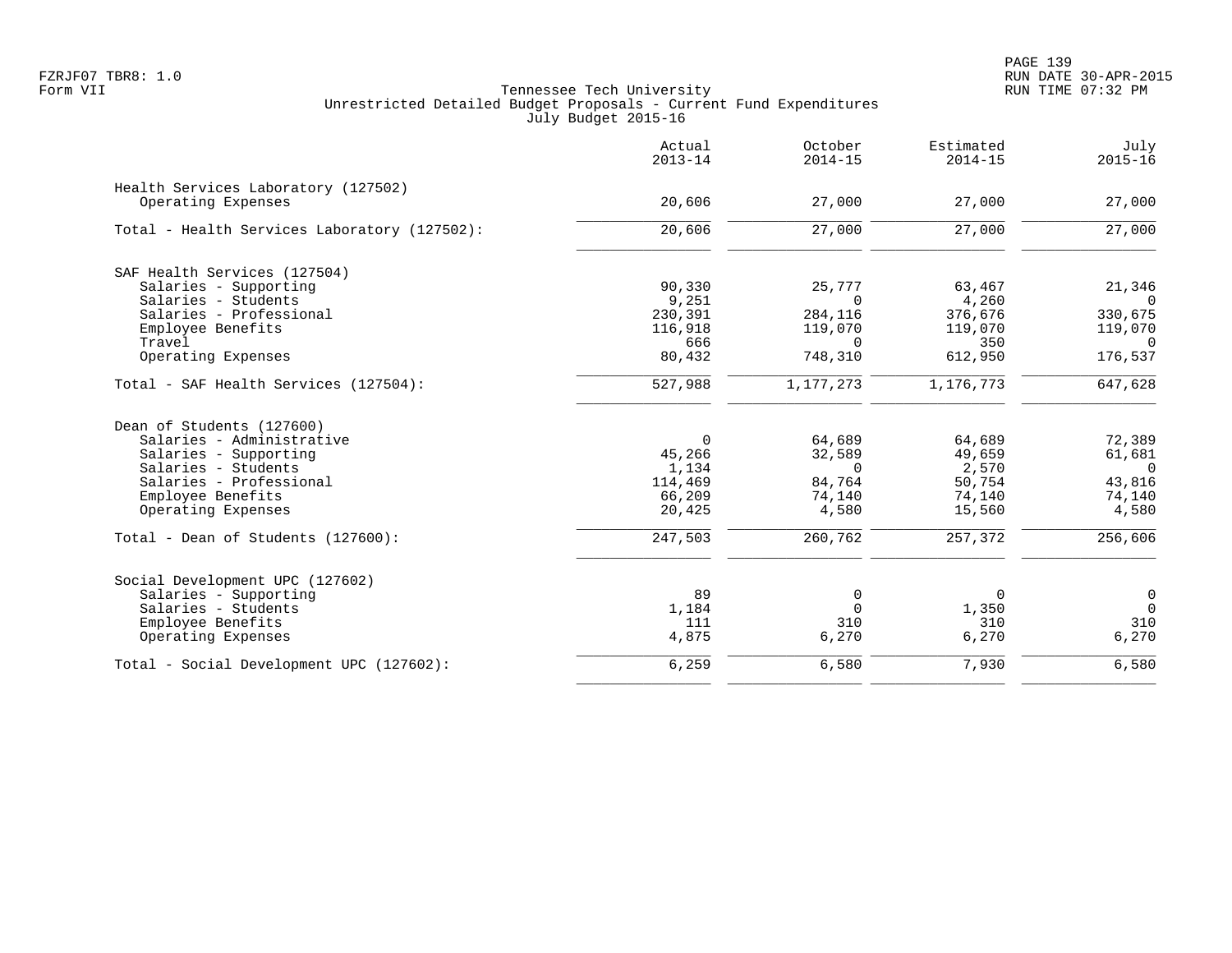|                                              | Actual<br>$2013 - 14$ | October<br>$2014 - 15$ | Estimated<br>$2014 - 15$ | July<br>$2015 - 16$ |
|----------------------------------------------|-----------------------|------------------------|--------------------------|---------------------|
| Health Services Laboratory (127502)          |                       |                        |                          |                     |
| Operating Expenses                           | 20,606                | 27,000                 | 27,000                   | 27,000              |
| Total - Health Services Laboratory (127502): | 20,606                | 27,000                 | 27,000                   | 27,000              |
| SAF Health Services (127504)                 |                       |                        |                          |                     |
| Salaries - Supporting                        | 90,330                | 25,777                 | 63,467                   | 21,346              |
| Salaries - Students                          | 9,251                 | $\Omega$               | 4,260                    | $\Omega$            |
| Salaries - Professional                      | 230,391               | 284,116                | 376,676                  | 330,675             |
| Employee Benefits                            | 116,918               | 119,070                | 119,070                  | 119,070             |
| Travel                                       | 666                   | $\Omega$               | 350                      | $\overline{0}$      |
| Operating Expenses                           | 80,432                | 748,310                | 612,950                  | 176,537             |
| Total - SAF Health Services (127504):        | $\frac{1}{527,988}$   | 1,177,273              | 1,176,773                | 647,628             |
| Dean of Students (127600)                    |                       |                        |                          |                     |
| Salaries - Administrative                    | $\Omega$              | 64,689                 | 64,689                   | 72,389              |
| Salaries - Supporting                        | 45,266                | 32,589                 | 49,659                   | 61,681              |
| Salaries - Students                          | 1,134                 | $\Omega$               | 2,570                    | $\Omega$            |
| Salaries - Professional                      | 114,469               | 84,764                 | 50,754                   | 43,816              |
| Employee Benefits                            | 66,209                | 74,140                 | 74,140                   | 74,140              |
| Operating Expenses                           | 20,425                | 4,580                  | 15,560                   | 4,580               |
| Total - Dean of Students (127600):           | 247,503               | 260,762                | 257,372                  | 256,606             |
| Social Development UPC (127602)              |                       |                        |                          |                     |
| Salaries - Supporting                        | 89                    | 0                      | 0                        | $\overline{0}$      |
| Salaries - Students                          | 1,184                 | $\Omega$               | 1,350                    | $\overline{0}$      |
| Employee Benefits                            | 111                   | 310                    | 310                      | 310                 |
| Operating Expenses                           | 4,875                 | 6,270                  | 6,270                    | 6,270               |
| Total - Social Development UPC (127602):     | 6,259                 | 6,580                  | 7,930                    | 6,580               |
|                                              |                       |                        |                          |                     |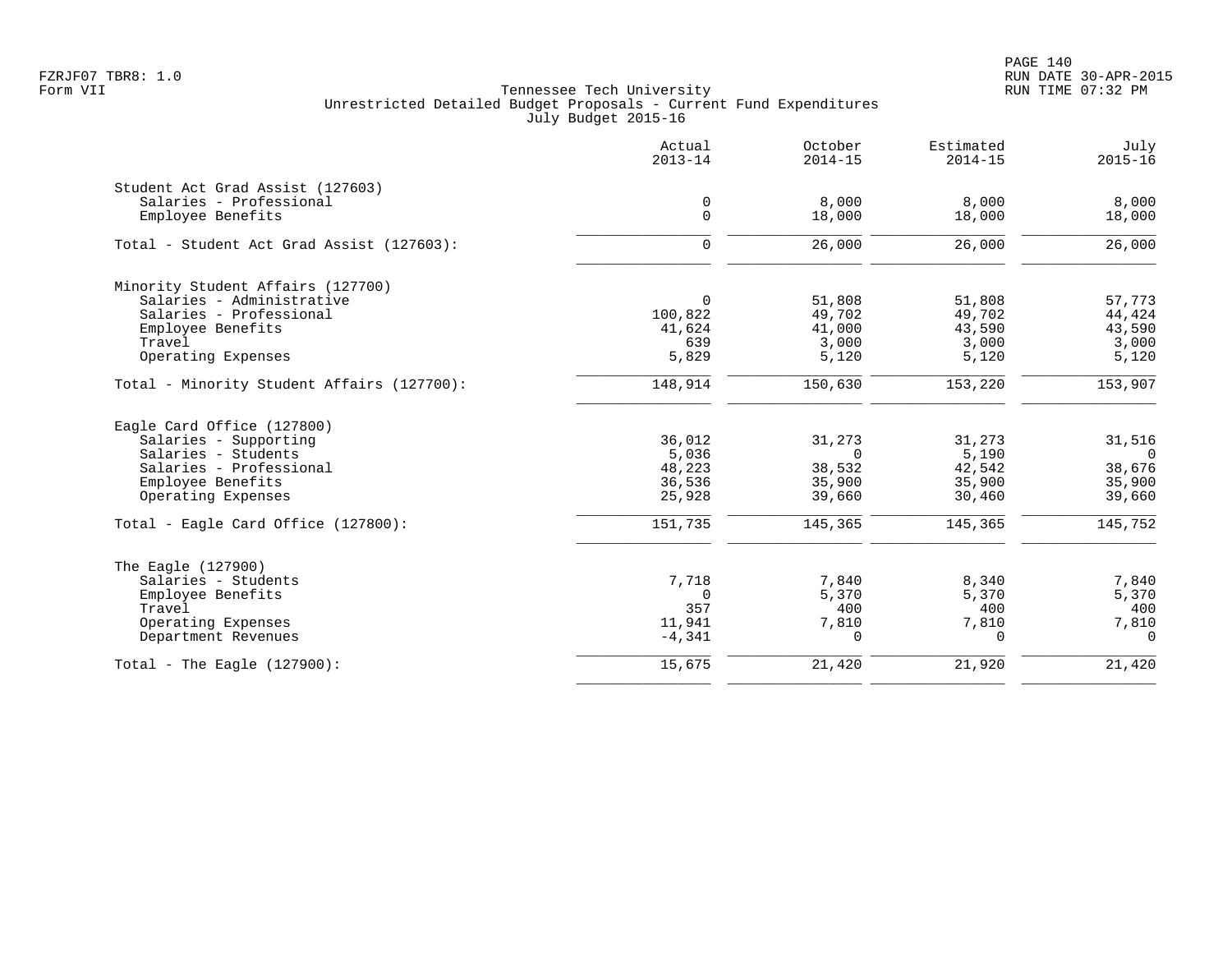PAGE 140 FZRJF07 TBR8: 1.0 RUN DATE 30-APR-2015

|                                            | Actual<br>$2013 - 14$ | October<br>$2014 - 15$ | Estimated<br>$2014 - 15$ | July<br>$2015 - 16$ |
|--------------------------------------------|-----------------------|------------------------|--------------------------|---------------------|
| Student Act Grad Assist (127603)           |                       |                        |                          |                     |
| Salaries - Professional                    | $\mathbf 0$           | 8,000                  | 8,000                    | 8,000               |
| Employee Benefits                          | $\Omega$              | 18,000                 | 18,000                   | 18,000              |
| Total - Student Act Grad Assist (127603):  | $\mathbf 0$           | 26,000                 | 26,000                   | 26,000              |
| Minority Student Affairs (127700)          |                       |                        |                          |                     |
| Salaries - Administrative                  | $\Omega$              | 51,808                 | 51,808                   | 57,773              |
| Salaries - Professional                    | 100,822               | 49,702                 | 49,702                   | 44,424              |
| Employee Benefits                          | 41,624                | 41,000                 | 43,590                   | 43,590              |
| Travel                                     | 639                   | 3,000                  | 3,000                    | 3,000               |
| Operating Expenses                         | 5,829                 | 5,120                  | 5,120                    | 5,120               |
| Total - Minority Student Affairs (127700): | 148,914               | 150,630                | 153,220                  | 153,907             |
| Eagle Card Office (127800)                 |                       |                        |                          |                     |
| Salaries - Supporting                      | 36,012                | 31,273                 | 31,273                   | 31,516              |
| Salaries - Students                        | 5,036                 | $\Omega$               | 5,190                    | $\overline{0}$      |
| Salaries - Professional                    | 48,223                | 38,532                 | 42,542                   | 38,676              |
| Employee Benefits                          | 36,536                | 35,900                 | 35,900                   | 35,900              |
| Operating Expenses                         | 25,928                | 39,660                 | 30,460                   | 39,660              |
| Total - Eagle Card Office (127800):        | 151,735               | 145,365                | 145,365                  | 145,752             |
| The Eagle (127900)                         |                       |                        |                          |                     |
| Salaries - Students                        | 7,718                 | 7,840                  | 8,340                    | 7,840               |
| Employee Benefits                          | $\Omega$              | 5,370                  | 5,370                    | 5,370               |
| Travel                                     | 357                   | 400                    | 400                      | 400                 |
| Operating Expenses                         | 11,941                | 7,810                  | 7,810                    | 7,810               |
| Department Revenues                        | $-4,341$              | $\Omega$               | $\Omega$                 | $\Omega$            |
| Total - The Eagle $(127900)$ :             | 15,675                | 21,420                 | 21,920                   | 21,420              |
|                                            |                       |                        |                          |                     |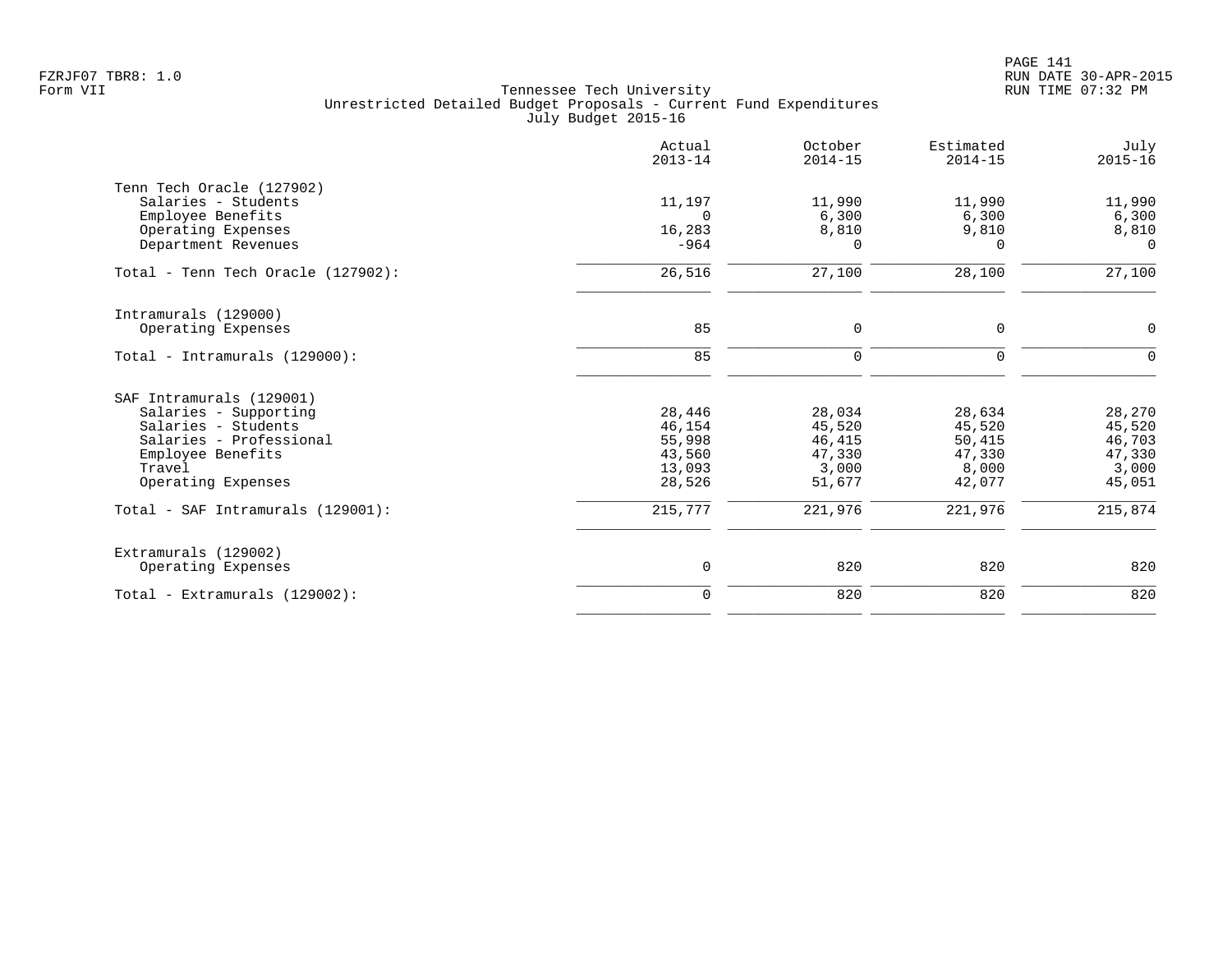|                                    | Actual<br>$2013 - 14$ | October<br>$2014 - 15$ | Estimated<br>$2014 - 15$ | July<br>$2015 - 16$ |
|------------------------------------|-----------------------|------------------------|--------------------------|---------------------|
| Tenn Tech Oracle (127902)          |                       |                        |                          |                     |
| Salaries - Students                | 11,197                | 11,990                 | 11,990                   | 11,990              |
| Employee Benefits                  | $\Omega$              | 6,300                  | 6,300                    | 6,300               |
| Operating Expenses                 | 16,283                | 8,810                  | 9,810                    | 8,810               |
| Department Revenues                | $-964$                | $\Omega$               | $\Omega$                 | $\Omega$            |
| Total - Tenn Tech Oracle (127902): | 26,516                | 27,100                 | 28,100                   | 27,100              |
| Intramurals (129000)               |                       |                        |                          |                     |
| Operating Expenses                 | 85                    | 0                      | $\mathbf 0$              | $\mathbf 0$         |
| Total - Intramurals $(129000)$ :   | 85                    | 0                      | $\mathbf 0$              | $\Omega$            |
| SAF Intramurals (129001)           |                       |                        |                          |                     |
| Salaries - Supporting              | 28,446                | 28,034                 | 28,634                   | 28,270              |
| Salaries - Students                | 46,154                | 45,520                 | 45,520                   | 45,520              |
| Salaries - Professional            | 55,998                | 46,415                 | 50,415                   | 46,703              |
| Employee Benefits                  | 43,560                | 47,330                 | 47,330                   | 47,330              |
| Travel                             | 13,093                | 3,000                  | 8,000                    | 3,000               |
| Operating Expenses                 | 28,526                | 51,677                 | 42,077                   | 45,051              |
| Total - SAF Intramurals (129001):  | 215,777               | 221,976                | 221,976                  | 215,874             |
| Extramurals (129002)               |                       |                        |                          |                     |
| Operating Expenses                 | 0                     | 820                    | 820                      | 820                 |
| Total - Extramurals (129002):      | $\mathbf 0$           | 820                    | 820                      | 820                 |
|                                    |                       |                        |                          |                     |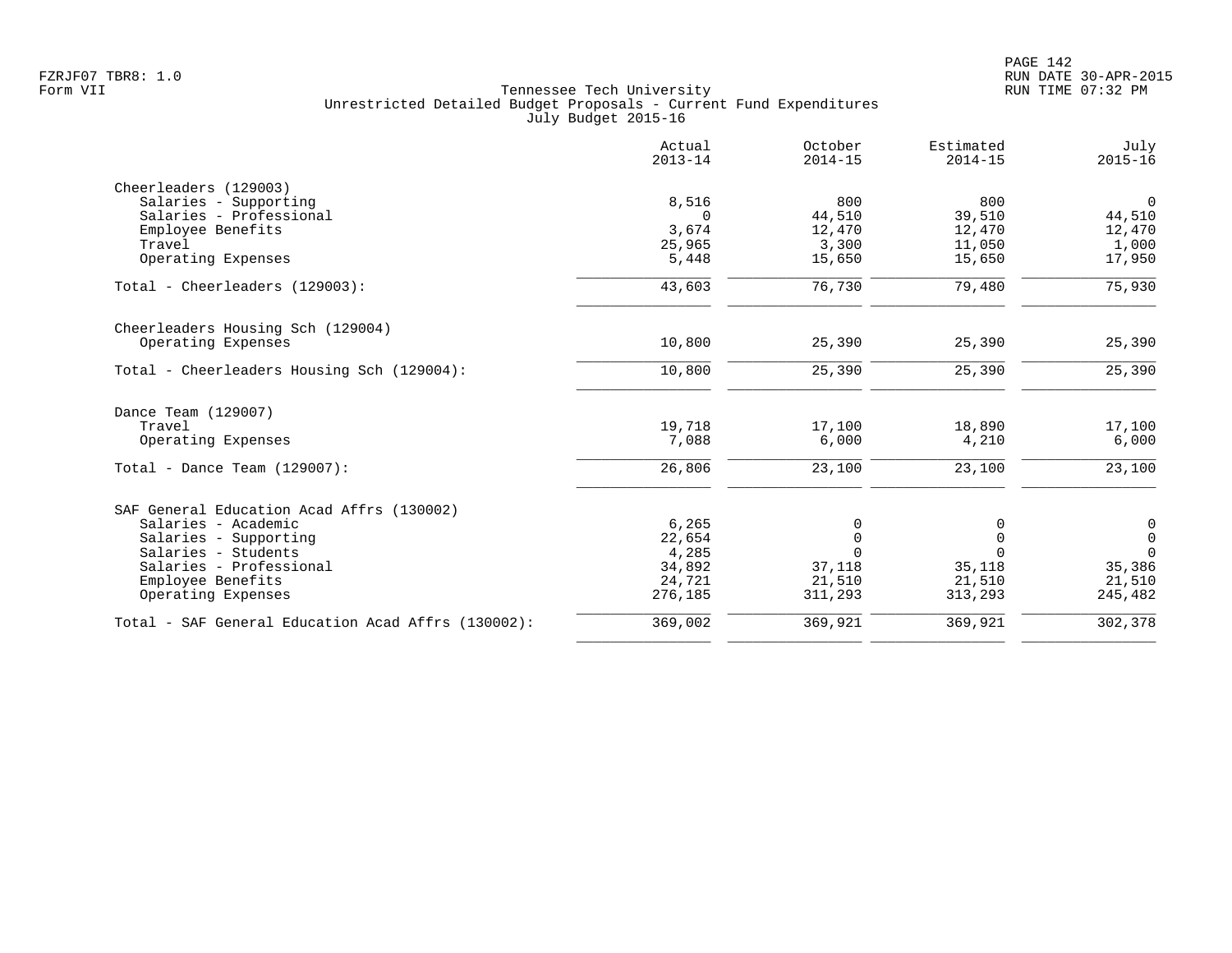|                                                    | Actual<br>$2013 - 14$ | October<br>$2014 - 15$ | Estimated<br>$2014 - 15$ | July<br>$2015 - 16$ |
|----------------------------------------------------|-----------------------|------------------------|--------------------------|---------------------|
| Cheerleaders (129003)                              |                       |                        |                          |                     |
| Salaries - Supporting                              | 8,516                 | 800                    | 800                      | $\mathbf 0$         |
| Salaries - Professional                            | 0                     | 44,510                 | 39,510                   | 44,510              |
| Employee Benefits                                  | 3,674                 | 12,470                 | 12,470                   | 12,470              |
| Travel                                             | 25,965                | 3,300                  | 11,050                   | 1,000               |
| Operating Expenses                                 | 5,448                 | 15,650                 | 15,650                   | 17,950              |
| Total - Cheerleaders (129003):                     | 43,603                | 76,730                 | 79,480                   | 75,930              |
| Cheerleaders Housing Sch (129004)                  |                       |                        |                          |                     |
| Operating Expenses                                 | 10,800                | 25,390                 | 25,390                   | 25,390              |
| Total - Cheerleaders Housing Sch (129004):         | 10,800                | 25,390                 | 25,390                   | 25,390              |
| Dance Team (129007)                                |                       |                        |                          |                     |
| Travel                                             | 19,718                | 17,100                 | 18,890                   | 17,100              |
| Operating Expenses                                 | 7,088                 | 6,000                  | 4,210                    | 6,000               |
| Total - Dance Team $(129007)$ :                    | 26,806                | 23,100                 | 23,100                   | 23,100              |
| SAF General Education Acad Affrs (130002)          |                       |                        |                          |                     |
| Salaries - Academic                                | 6,265                 | 0                      |                          | $\mathsf{O}$        |
| Salaries - Supporting                              | 22,654                | $\mathbf 0$            | $\Omega$                 | $\mathsf{O}$        |
| Salaries - Students                                | 4,285                 | $\Omega$               |                          | $\Omega$            |
| Salaries - Professional                            | 34,892                | 37,118                 | 35,118                   | 35,386              |
| Employee Benefits                                  | 24,721<br>276,185     | 21,510<br>311,293      | 21,510<br>313,293        | 21,510<br>245,482   |
| Operating Expenses                                 |                       |                        |                          |                     |
| Total - SAF General Education Acad Affrs (130002): | 369,002               | 369,921                | 369,921                  | 302,378             |
|                                                    |                       |                        |                          |                     |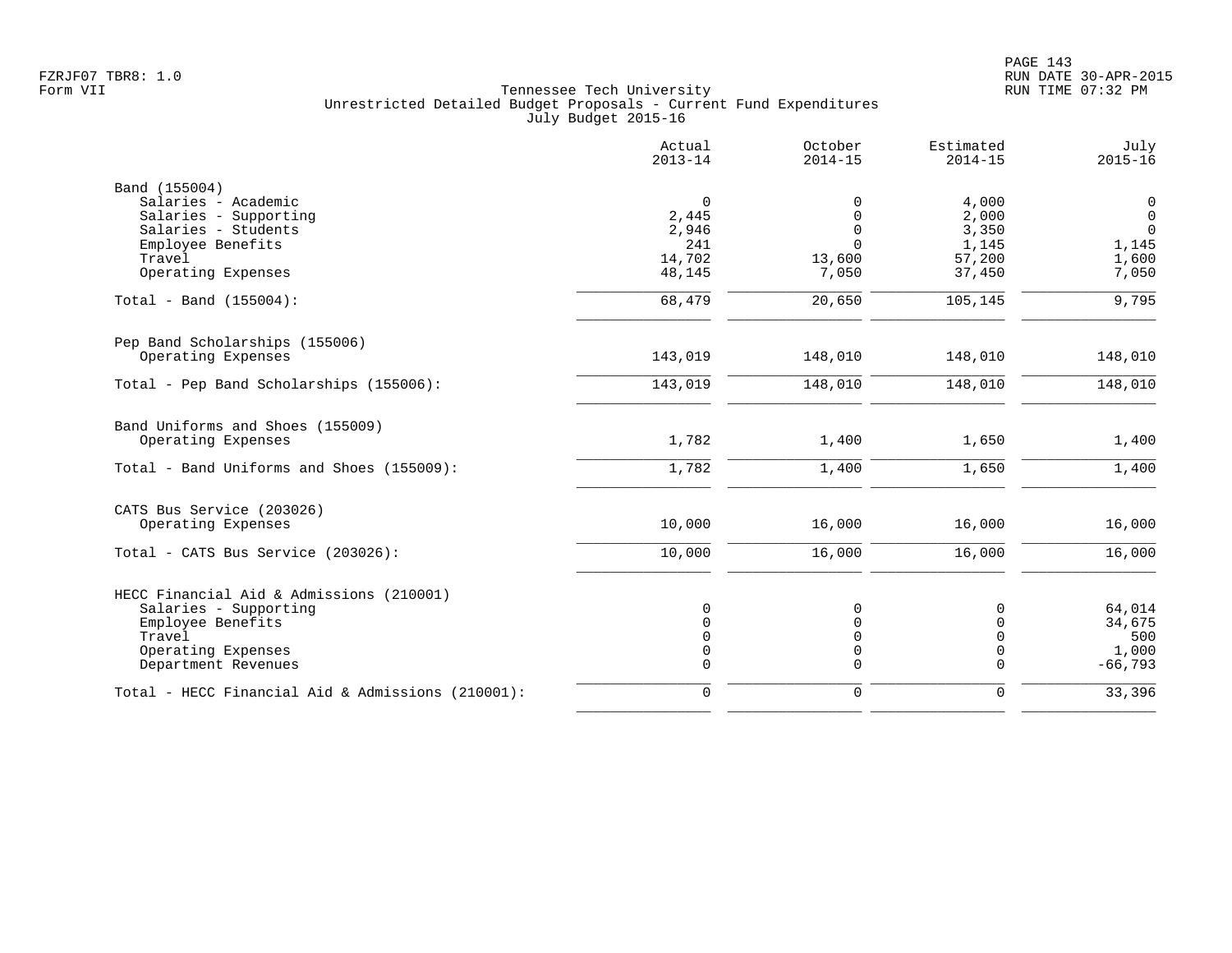|                                                   | Actual<br>$2013 - 14$ | October<br>$2014 - 15$ | Estimated<br>$2014 - 15$ | July<br>$2015 - 16$ |
|---------------------------------------------------|-----------------------|------------------------|--------------------------|---------------------|
| Band (155004)                                     |                       |                        |                          |                     |
| Salaries - Academic                               | $\mathbf 0$           | $\Omega$               | 4,000                    | 0                   |
| Salaries - Supporting                             | 2,445                 | $\Omega$               | 2,000                    | $\overline{0}$      |
| Salaries - Students                               | 2,946                 | 0                      | 3,350                    | $\mathbf 0$         |
| Employee Benefits                                 | 241                   | $\Omega$               | 1,145                    | 1,145               |
| Travel                                            | 14,702                | 13,600                 | 57,200                   | 1,600               |
| Operating Expenses                                | 48,145                | 7,050                  | 37,450                   | 7,050               |
| Total - Band (155004):                            | 68,479                | 20,650                 | 105,145                  | 9,795               |
| Pep Band Scholarships (155006)                    |                       |                        |                          |                     |
| Operating Expenses                                | 143,019               | 148,010                | 148,010                  | 148,010             |
| Total - Pep Band Scholarships (155006):           | 143,019               | 148,010                | 148,010                  | 148,010             |
| Band Uniforms and Shoes (155009)                  |                       |                        |                          |                     |
| Operating Expenses                                | 1,782                 | 1,400                  | 1,650                    | 1,400               |
| Total - Band Uniforms and Shoes (155009):         | 1,782                 | 1,400                  | 1,650                    | 1,400               |
| CATS Bus Service (203026)                         |                       |                        |                          |                     |
| Operating Expenses                                | 10,000                | 16,000                 | 16,000                   | 16,000              |
| Total - CATS Bus Service (203026):                | 10,000                | 16,000                 | 16,000                   | 16,000              |
| HECC Financial Aid & Admissions (210001)          |                       |                        |                          |                     |
| Salaries - Supporting                             | $\Omega$              | $\Omega$               | 0                        | 64,014              |
| Employee Benefits                                 | $\Omega$              | $\Omega$               | $\mathbf 0$              | 34,675              |
| Travel                                            | $\Omega$              | O                      | 0                        | 500                 |
| Operating Expenses                                | 0                     | 0                      | 0                        | 1,000               |
| Department Revenues                               | $\Omega$              | $\Omega$               | $\Omega$                 | $-66,793$           |
| Total - HECC Financial Aid & Admissions (210001): | $\mathbf 0$           | 0                      | 0                        | 33,396              |
|                                                   |                       |                        |                          |                     |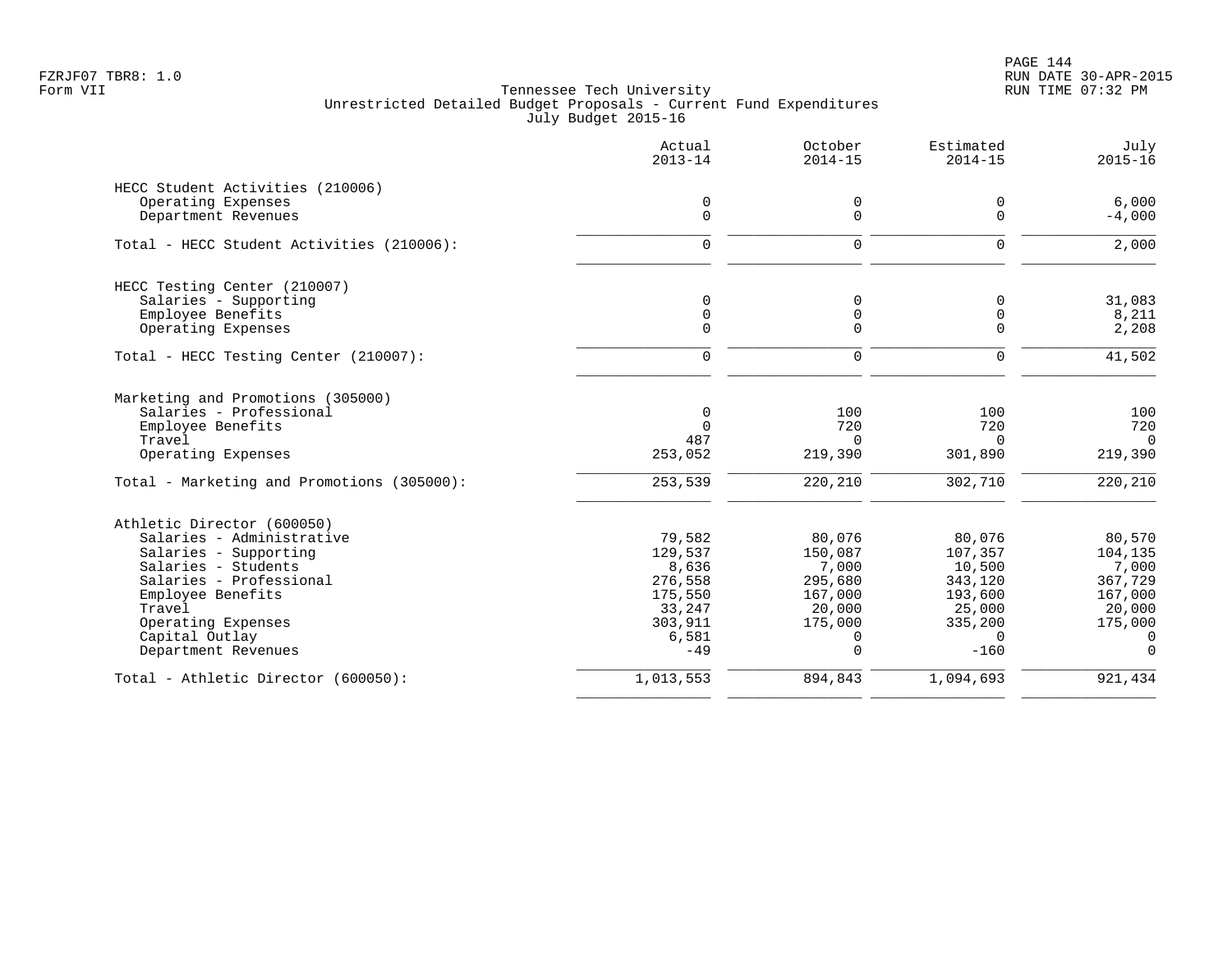|                                            | Actual<br>$2013 - 14$ | October<br>$2014 - 15$ | Estimated<br>$2014 - 15$ | July<br>$2015 - 16$       |
|--------------------------------------------|-----------------------|------------------------|--------------------------|---------------------------|
| HECC Student Activities (210006)           |                       |                        |                          |                           |
| Operating Expenses                         | 0                     | 0                      | 0                        | 6,000                     |
| Department Revenues                        | $\mathbf 0$           | $\mathbf 0$            | $\mathbf 0$              | $-4,000$                  |
| Total - HECC Student Activities (210006):  | $\mathbf 0$           | $\mathbf 0$            | $\mathbf 0$              | 2,000                     |
| HECC Testing Center (210007)               |                       |                        |                          |                           |
| Salaries - Supporting                      | 0                     | 0                      | $\mathbf 0$              | 31,083                    |
| Employee Benefits                          | 0                     | 0                      | $\mathbf 0$              | 8,211                     |
| Operating Expenses                         | $\Omega$              | $\Omega$               | $\Omega$                 | 2,208                     |
| Total - HECC Testing Center (210007):      | $\mathbf 0$           | $\mathbf 0$            | $\Omega$                 | 41,502                    |
| Marketing and Promotions (305000)          |                       |                        |                          |                           |
| Salaries - Professional                    | $\mathbf 0$           | 100                    | 100                      | 100                       |
| Employee Benefits                          | $\Omega$              | 720                    | 720                      | 720                       |
| Travel                                     | 487                   | $\Omega$               | $\Omega$                 | $\overline{0}$            |
| Operating Expenses                         | 253,052               | 219,390                | 301,890                  | 219,390                   |
| Total - Marketing and Promotions (305000): | 253,539               | 220,210                | 302,710                  | 220,210                   |
| Athletic Director (600050)                 |                       |                        |                          |                           |
| Salaries - Administrative                  | 79,582                | 80,076                 | 80,076                   | 80,570                    |
| Salaries - Supporting                      | 129,537               | 150,087                | 107,357                  | 104,135                   |
| Salaries - Students                        | 8,636                 | 7,000                  | 10,500                   | 7,000                     |
| Salaries - Professional                    | 276,558               | 295,680                | 343,120                  | 367,729                   |
| Employee Benefits                          | 175,550               | 167,000                | 193,600                  | 167,000                   |
| Travel                                     | 33,247                | 20,000                 | 25,000                   | 20,000                    |
| Operating Expenses<br>Capital Outlay       | 303,911<br>6,581      | 175,000<br>0           | 335,200<br>$\Omega$      | 175,000<br>$\overline{0}$ |
| Department Revenues                        | $-49$                 | $\Omega$               | $-160$                   | $\Omega$                  |
| Total - Athletic Director (600050):        | 1,013,553             | 894,843                | 1,094,693                | 921,434                   |
|                                            |                       |                        |                          |                           |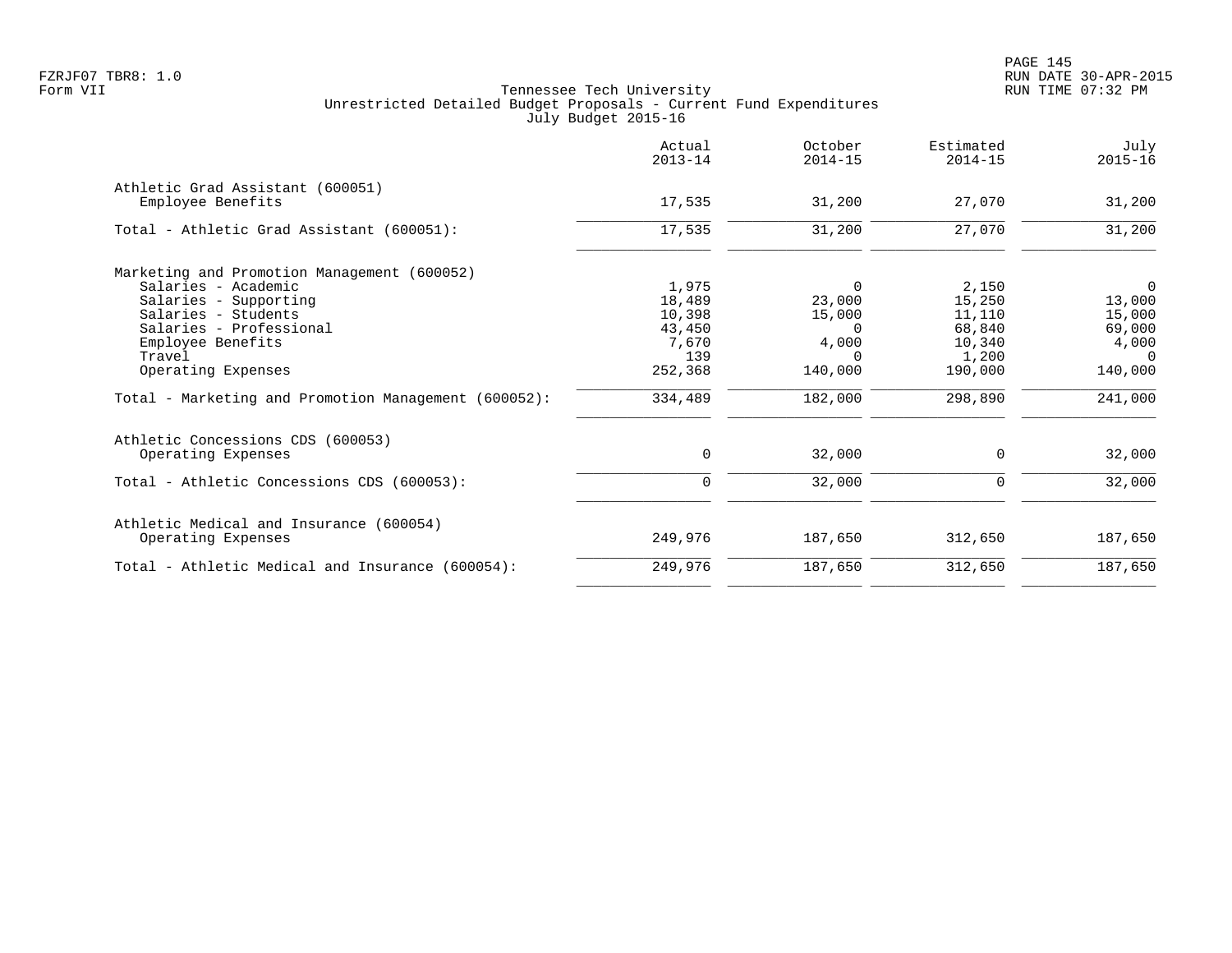|                                                      | Actual<br>$2013 - 14$ | October<br>$2014 - 15$ | Estimated<br>$2014 - 15$ | July<br>$2015 - 16$ |
|------------------------------------------------------|-----------------------|------------------------|--------------------------|---------------------|
| Athletic Grad Assistant (600051)                     |                       |                        |                          |                     |
| Employee Benefits                                    | 17,535                | 31,200                 | 27,070                   | 31,200              |
| Total - Athletic Grad Assistant (600051):            | 17,535                | 31,200                 | 27,070                   | 31,200              |
| Marketing and Promotion Management (600052)          |                       |                        |                          |                     |
| Salaries - Academic                                  | 1,975                 | 0                      | 2,150                    | $\overline{0}$      |
| Salaries - Supporting                                | 18,489                | 23,000                 | 15,250                   | 13,000              |
| Salaries - Students                                  | 10,398                | 15,000                 | 11,110                   | 15,000              |
| Salaries - Professional                              | 43,450                | $\Omega$               | 68,840                   | 69,000              |
| Employee Benefits                                    | 7,670                 | 4,000                  | 10,340                   | 4,000               |
| Travel                                               | 139                   | $\Omega$               | 1,200                    | $\Omega$            |
| Operating Expenses                                   | 252,368               | 140,000                | 190,000                  | 140,000             |
| Total - Marketing and Promotion Management (600052): | 334,489               | 182,000                | 298,890                  | 241,000             |
| Athletic Concessions CDS (600053)                    |                       |                        |                          |                     |
| Operating Expenses                                   | 0                     | 32,000                 | $\mathbf 0$              | 32,000              |
| Total - Athletic Concessions CDS (600053):           | 0                     | 32,000                 | 0                        | 32,000              |
| Athletic Medical and Insurance (600054)              |                       |                        |                          |                     |
| Operating Expenses                                   | 249,976               | 187,650                | 312,650                  | 187,650             |
| Total - Athletic Medical and Insurance (600054):     | 249,976               | 187,650                | 312,650                  | 187,650             |
|                                                      |                       |                        |                          |                     |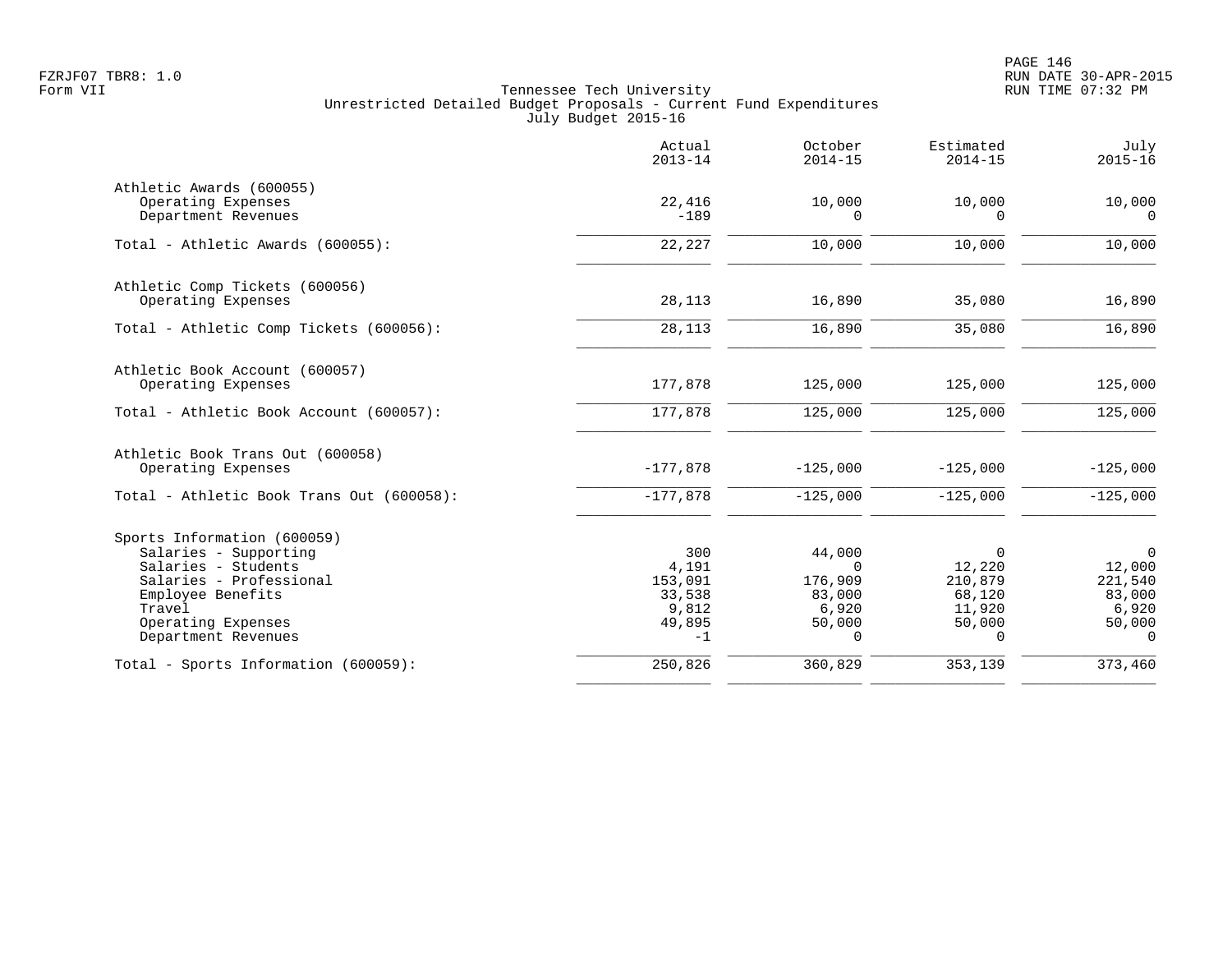PAGE 146 FZRJF07 TBR8: 1.0 RUN DATE 30-APR-2015

|                                                | Actual<br>$2013 - 14$ | October<br>$2014 - 15$ | Estimated<br>$2014 - 15$ | July<br>$2015 - 16$ |
|------------------------------------------------|-----------------------|------------------------|--------------------------|---------------------|
| Athletic Awards (600055)                       |                       |                        |                          |                     |
| Operating Expenses<br>Department Revenues      | 22,416<br>$-189$      | 10,000<br>$\Omega$     | 10,000<br>$\Omega$       | 10,000<br>$\cap$    |
|                                                |                       |                        |                          |                     |
| Total - Athletic Awards (600055):              | 22,227                | 10,000                 | 10,000                   | 10,000              |
| Athletic Comp Tickets (600056)                 |                       |                        |                          |                     |
| Operating Expenses                             | 28,113                | 16,890                 | 35,080                   | 16,890              |
| Total - Athletic Comp Tickets (600056):        | 28,113                | 16,890                 | 35,080                   | 16,890              |
| Athletic Book Account (600057)                 |                       |                        |                          |                     |
| Operating Expenses                             | 177,878               | 125,000                | 125,000                  | 125,000             |
| Total - Athletic Book Account (600057):        | 177,878               | 125,000                | 125,000                  | 125,000             |
| Athletic Book Trans Out (600058)               |                       |                        |                          |                     |
| Operating Expenses                             | $-177,878$            | $-125,000$             | $-125,000$               | $-125,000$          |
| Total - Athletic Book Trans Out (600058):      | $-177,878$            | $-125,000$             | $-125,000$               | $-125,000$          |
| Sports Information (600059)                    |                       |                        |                          |                     |
| Salaries - Supporting                          | 300                   | 44,000                 | 0                        | $\mathbf 0$         |
| Salaries - Students<br>Salaries - Professional | 4,191<br>153,091      | $\Omega$<br>176,909    | 12,220<br>210,879        | 12,000<br>221,540   |
| Employee Benefits                              | 33,538                | 83,000                 | 68,120                   | 83,000              |
| Travel                                         | 9,812                 | 6,920                  | 11,920                   | 6,920               |
| Operating Expenses                             | 49,895                | 50,000                 | 50,000                   | 50,000              |
| Department Revenues                            | $-1$                  | $\Omega$               | $\Omega$                 | $\Omega$            |
| Total - Sports Information (600059):           | 250,826               | 360,829                | 353,139                  | 373,460             |
|                                                |                       |                        |                          |                     |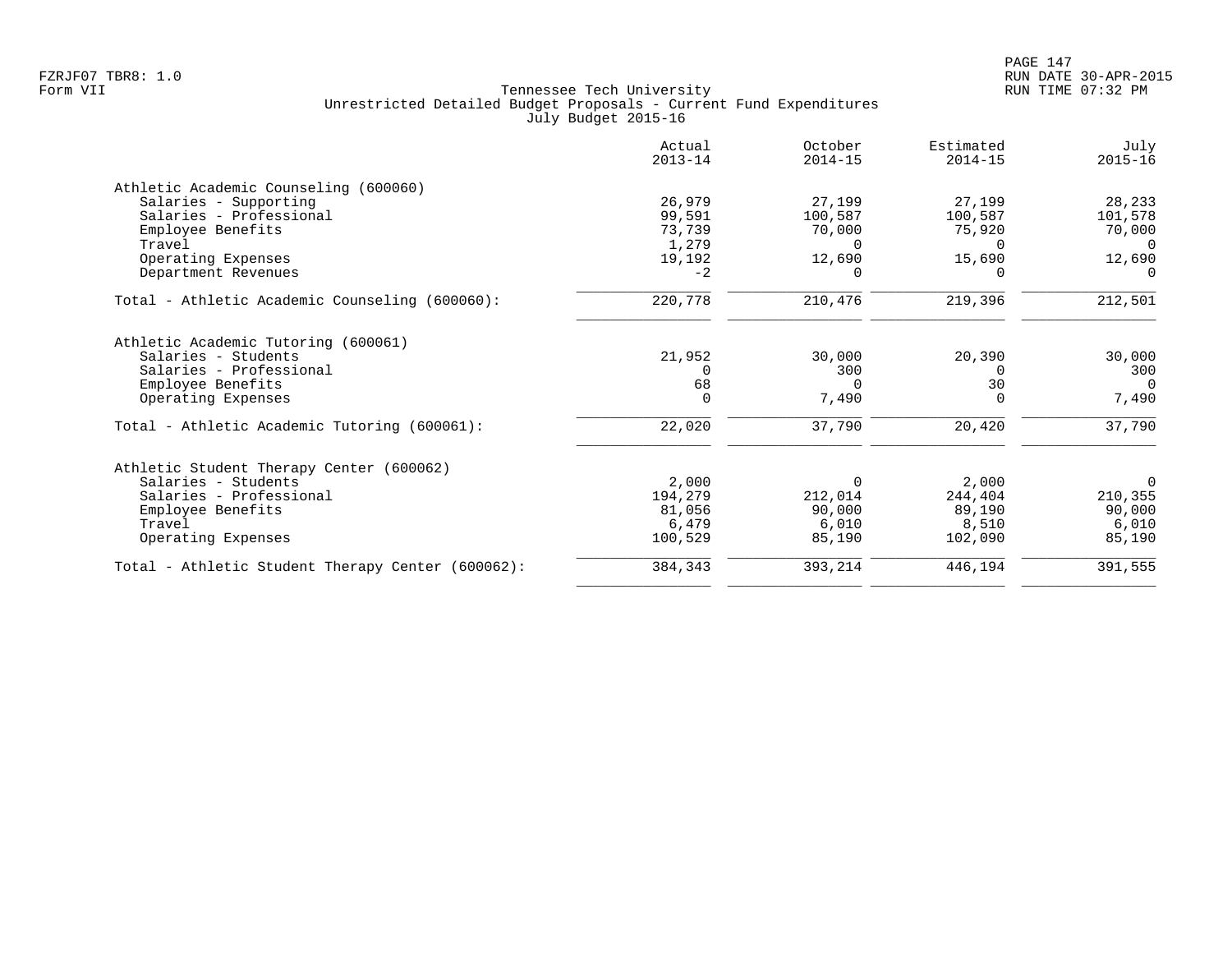|                                                   | Actual<br>$2013 - 14$ | October<br>$2014 - 15$ | Estimated<br>$2014 - 15$ | July<br>$2015 - 16$ |
|---------------------------------------------------|-----------------------|------------------------|--------------------------|---------------------|
| Athletic Academic Counseling (600060)             |                       |                        |                          |                     |
| Salaries - Supporting                             | 26,979                | 27,199                 | 27,199                   | 28,233              |
| Salaries - Professional                           | 99,591                | 100,587                | 100,587                  | 101,578             |
| Employee Benefits                                 | 73,739                | 70,000                 | 75,920                   | 70,000              |
| Travel                                            | 1,279                 | $\Omega$               | $\Omega$                 | $\Omega$            |
| Operating Expenses                                | 19,192                | 12,690                 | 15,690                   | 12,690              |
| Department Revenues                               | $-2$                  | <sup>n</sup>           |                          | $\Omega$            |
| Total - Athletic Academic Counseling (600060):    | 220,778               | 210,476                | 219,396                  | 212,501             |
| Athletic Academic Tutoring (600061)               |                       |                        |                          |                     |
| Salaries - Students                               | 21,952                | 30,000                 | 20,390                   | 30,000              |
| Salaries - Professional                           |                       | 300                    | $\Omega$                 | 300                 |
| Employee Benefits                                 | 68                    | $\Omega$               | 30                       | $\Omega$            |
| Operating Expenses                                | $\mathbf 0$           | 7,490                  | $\Omega$                 | 7,490               |
| Total - Athletic Academic Tutoring (600061):      | 22,020                | 37,790                 | 20,420                   | 37,790              |
| Athletic Student Therapy Center (600062)          |                       |                        |                          |                     |
| Salaries - Students                               | 2,000                 | 0                      | 2,000                    | 0                   |
| Salaries - Professional                           | 194,279               | 212,014                | 244,404                  | 210,355             |
| Employee Benefits                                 | 81,056                | 90,000                 | 89,190                   | 90,000              |
| Travel                                            | 6,479                 | 6,010                  | 8,510                    | 6,010               |
| Operating Expenses                                | 100,529               | 85,190                 | 102,090                  | 85,190              |
| Total - Athletic Student Therapy Center (600062): | 384,343               | 393,214                | 446,194                  | 391,555             |
|                                                   |                       |                        |                          |                     |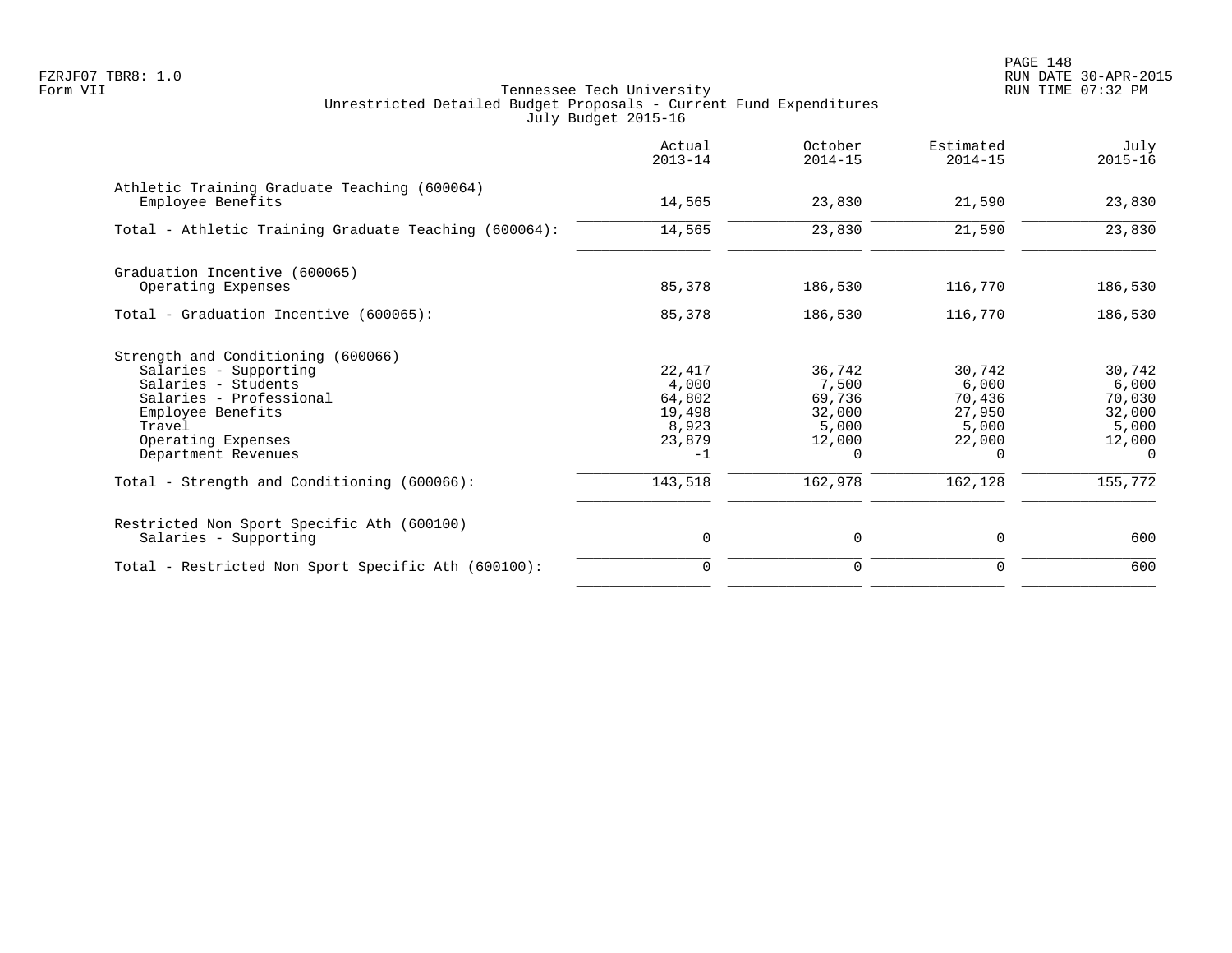|                                                                                                                                                                                           | Actual<br>$2013 - 14$                                          | October<br>$2014 - 15$                                             | Estimated<br>$2014 - 15$                                           | July<br>$2015 - 16$                                                |
|-------------------------------------------------------------------------------------------------------------------------------------------------------------------------------------------|----------------------------------------------------------------|--------------------------------------------------------------------|--------------------------------------------------------------------|--------------------------------------------------------------------|
| Athletic Training Graduate Teaching (600064)<br>Employee Benefits                                                                                                                         | 14,565                                                         | 23,830                                                             | 21,590                                                             | 23,830                                                             |
| Total - Athletic Training Graduate Teaching (600064):                                                                                                                                     | 14,565                                                         | 23,830                                                             | 21,590                                                             | 23,830                                                             |
| Graduation Incentive (600065)<br>Operating Expenses                                                                                                                                       | 85,378                                                         | 186,530                                                            | 116,770                                                            | 186,530                                                            |
| Total - Graduation Incentive (600065):                                                                                                                                                    | 85,378                                                         | 186,530                                                            | 116,770                                                            | 186,530                                                            |
|                                                                                                                                                                                           |                                                                |                                                                    |                                                                    |                                                                    |
| Strength and Conditioning (600066)<br>Salaries - Supporting<br>Salaries - Students<br>Salaries - Professional<br>Employee Benefits<br>Travel<br>Operating Expenses<br>Department Revenues | 22,417<br>4,000<br>64,802<br>19,498<br>8,923<br>23,879<br>$-1$ | 36,742<br>7,500<br>69,736<br>32,000<br>5,000<br>12,000<br>$\Omega$ | 30,742<br>6,000<br>70,436<br>27,950<br>5,000<br>22,000<br>$\Omega$ | 30,742<br>6,000<br>70,030<br>32,000<br>5,000<br>12,000<br>$\Omega$ |
| Total - Strength and Conditioning (600066):                                                                                                                                               | 143,518                                                        | 162,978                                                            | 162,128                                                            | 155,772                                                            |
| Restricted Non Sport Specific Ath (600100)<br>Salaries - Supporting                                                                                                                       | 0                                                              | 0                                                                  | $\mathbf 0$                                                        | 600                                                                |
| Total - Restricted Non Sport Specific Ath (600100):                                                                                                                                       | $\Omega$                                                       | $\mathbf 0$                                                        | $\mathbf 0$                                                        | 600                                                                |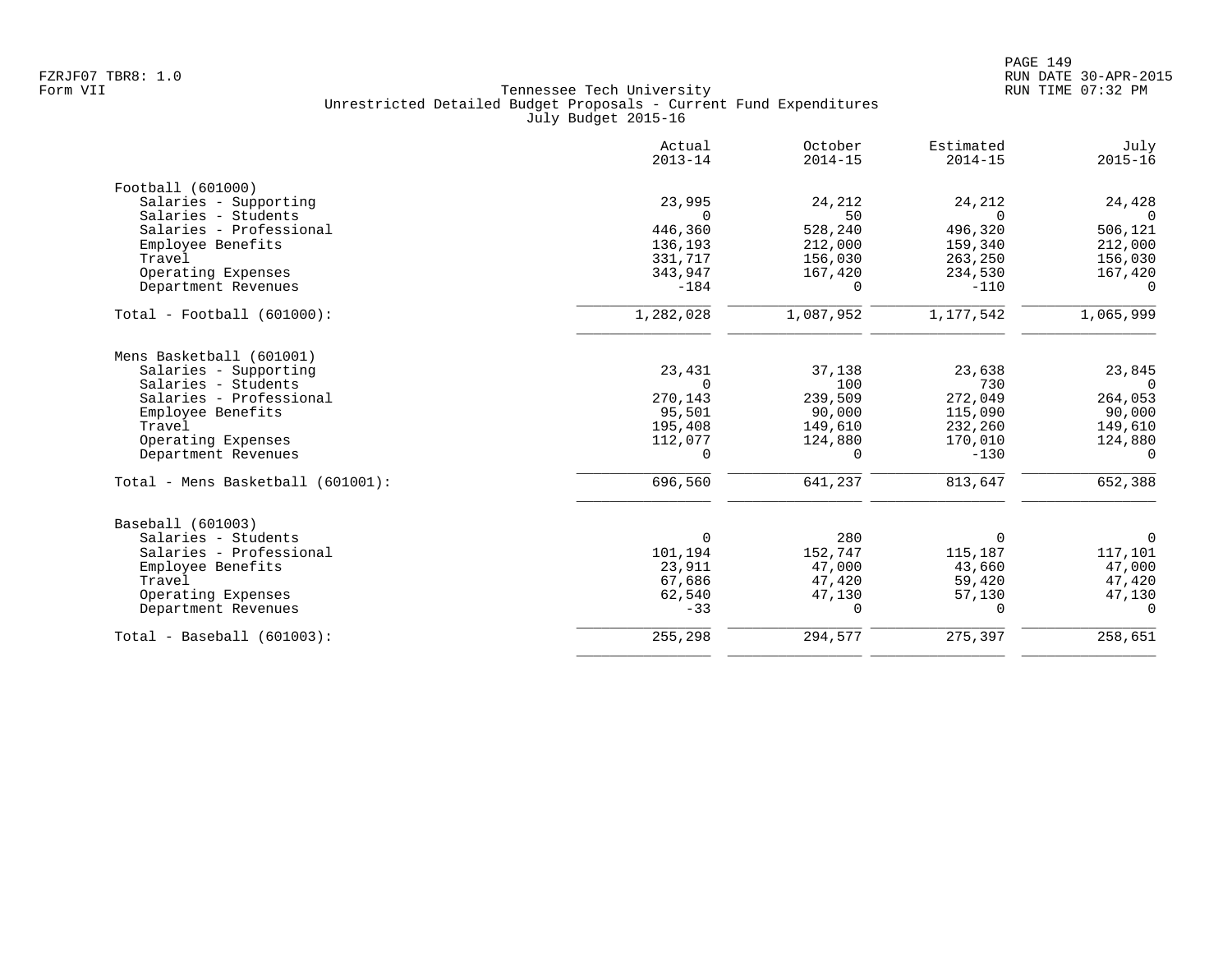|                                   | Actual<br>$2013 - 14$ | October<br>$2014 - 15$ | Estimated<br>$2014 - 15$ | July<br>$2015 - 16$ |
|-----------------------------------|-----------------------|------------------------|--------------------------|---------------------|
| Football (601000)                 |                       |                        |                          |                     |
| Salaries - Supporting             | 23,995                | 24,212                 | 24,212                   | 24,428              |
| Salaries - Students               |                       | 50                     |                          |                     |
| Salaries - Professional           | 446,360               | 528,240                | 496,320                  | 506,121             |
| Employee Benefits                 | 136,193               | 212,000                | 159,340                  | 212,000             |
| Travel                            | 331,717               | 156,030                | 263,250                  | 156,030             |
| Operating Expenses                | 343,947               | 167,420                | 234,530                  | 167,420             |
| Department Revenues               | $-184$                | $\Omega$               | $-110$                   | $\Omega$            |
| $Total - Football (601000):$      | 1,282,028             | 1,087,952              | 1,177,542                | 1,065,999           |
| Mens Basketball (601001)          |                       |                        |                          |                     |
| Salaries - Supporting             | 23,431                | 37,138                 | 23,638                   | 23,845              |
| Salaries - Students               |                       | 100                    | 730                      | $\Omega$            |
| Salaries - Professional           | 270,143               | 239,509                | 272,049                  | 264,053             |
| Employee Benefits                 | 95,501                | 90,000                 | 115,090                  | 90,000              |
| Travel                            | 195,408               | 149,610                | 232,260                  | 149,610             |
| Operating Expenses                | 112,077               | 124,880                | 170,010                  | 124,880             |
| Department Revenues               | $\Omega$              | $\Omega$               | $-130$                   | $\Omega$            |
| Total - Mens Basketball (601001): | 696,560               | 641,237                | 813,647                  | 652,388             |
| Baseball (601003)                 |                       |                        |                          |                     |
| Salaries - Students               | $\Omega$              | 280                    | 0                        | 0                   |
| Salaries - Professional           | 101,194               | 152,747                | 115,187                  | 117,101             |
| Employee Benefits                 | 23,911                | 47,000                 | 43,660                   | 47,000              |
| Travel                            | 67,686                | 47,420                 | 59,420                   | 47,420              |
| Operating Expenses                | 62,540                | 47,130                 | 57,130                   | 47,130              |
| Department Revenues               | $-33$                 | 0                      | 0                        | 0                   |
| $Total - Baseball (601003):$      | 255,298               | 294,577                | 275,397                  | 258,651             |
|                                   |                       |                        |                          |                     |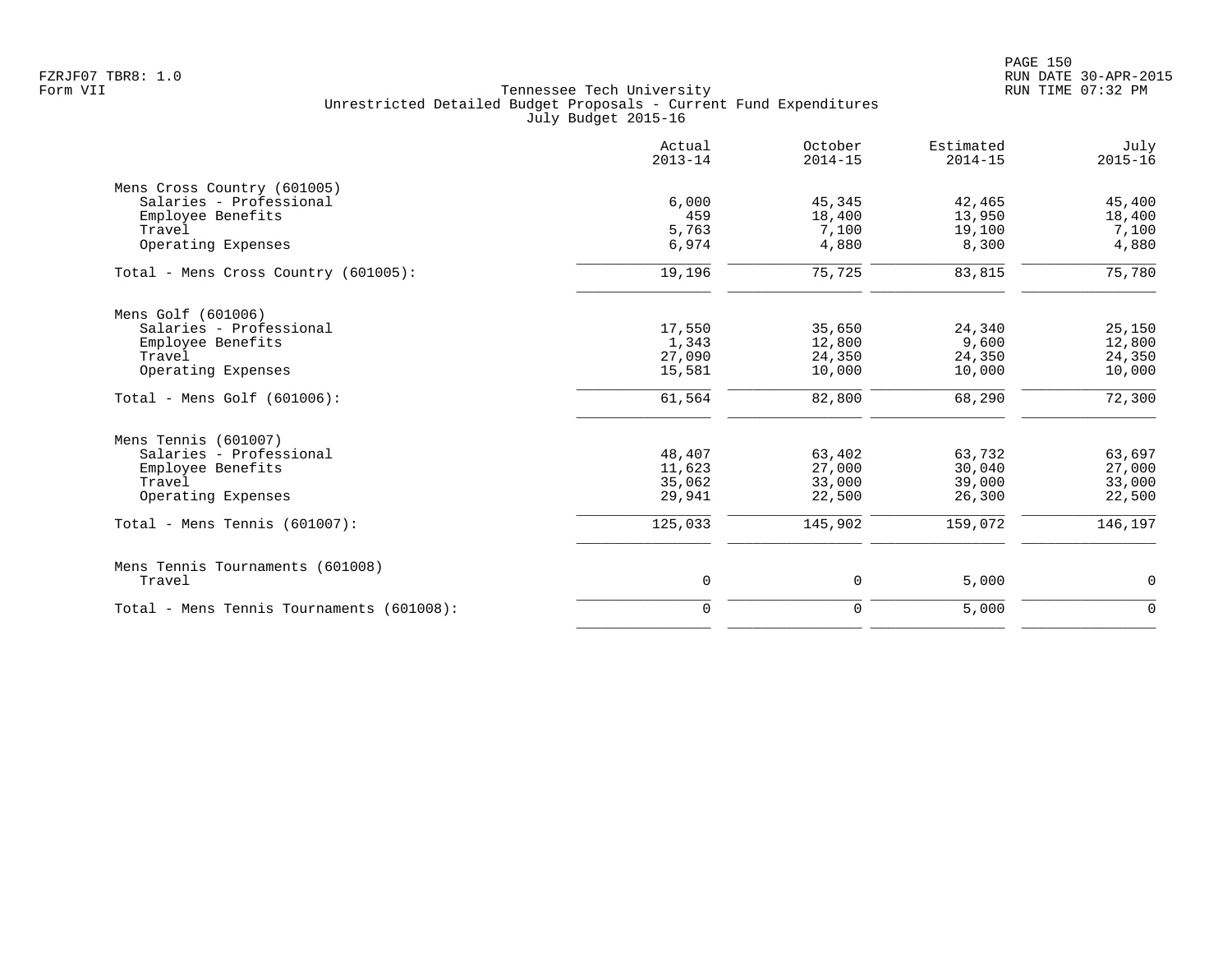|                                           | Actual<br>$2013 - 14$ | October<br>$2014 - 15$ | Estimated<br>$2014 - 15$ | July<br>$2015 - 16$ |
|-------------------------------------------|-----------------------|------------------------|--------------------------|---------------------|
| Mens Cross Country (601005)               |                       |                        |                          |                     |
| Salaries - Professional                   | 6.000                 | 45,345                 | 42,465                   | 45,400              |
| Employee Benefits                         | 459                   | 18,400                 | 13,950                   | 18,400              |
| Travel                                    | 5,763                 | 7,100                  | 19,100                   | 7,100               |
| Operating Expenses                        | 6,974                 | 4,880                  | 8,300                    | 4,880               |
| Total - Mens Cross Country (601005):      | 19,196                | 75,725                 | 83,815                   | 75,780              |
| Mens Golf (601006)                        |                       |                        |                          |                     |
| Salaries - Professional                   | 17,550                | 35,650                 | 24,340                   | 25,150              |
| Employee Benefits                         | 1,343                 | 12,800                 | 9,600                    | 12,800              |
| Travel                                    | 27,090                | 24,350                 | 24,350                   | 24,350              |
| Operating Expenses                        | 15,581                | 10,000                 | 10,000                   | 10,000              |
| Total - Mens Golf $(601006)$ :            | 61,564                | 82,800                 | 68,290                   | 72,300              |
| Mens Tennis (601007)                      |                       |                        |                          |                     |
| Salaries - Professional                   | 48,407                | 63,402                 | 63,732                   | 63,697              |
| Employee Benefits                         | 11,623                | 27,000                 | 30,040                   | 27,000              |
| Travel                                    | 35,062                | 33,000                 | 39,000                   | 33,000              |
| Operating Expenses                        | 29,941                | 22,500                 | 26,300                   | 22,500              |
| Total - Mens Tennis $(601007)$ :          | 125,033               | 145,902                | 159,072                  | 146,197             |
| Mens Tennis Tournaments (601008)          |                       |                        |                          |                     |
| Travel                                    | 0                     | 0                      | 5,000                    | 0                   |
| Total - Mens Tennis Tournaments (601008): | $\Omega$              | $\Omega$               | 5,000                    | $\Omega$            |
|                                           |                       |                        |                          |                     |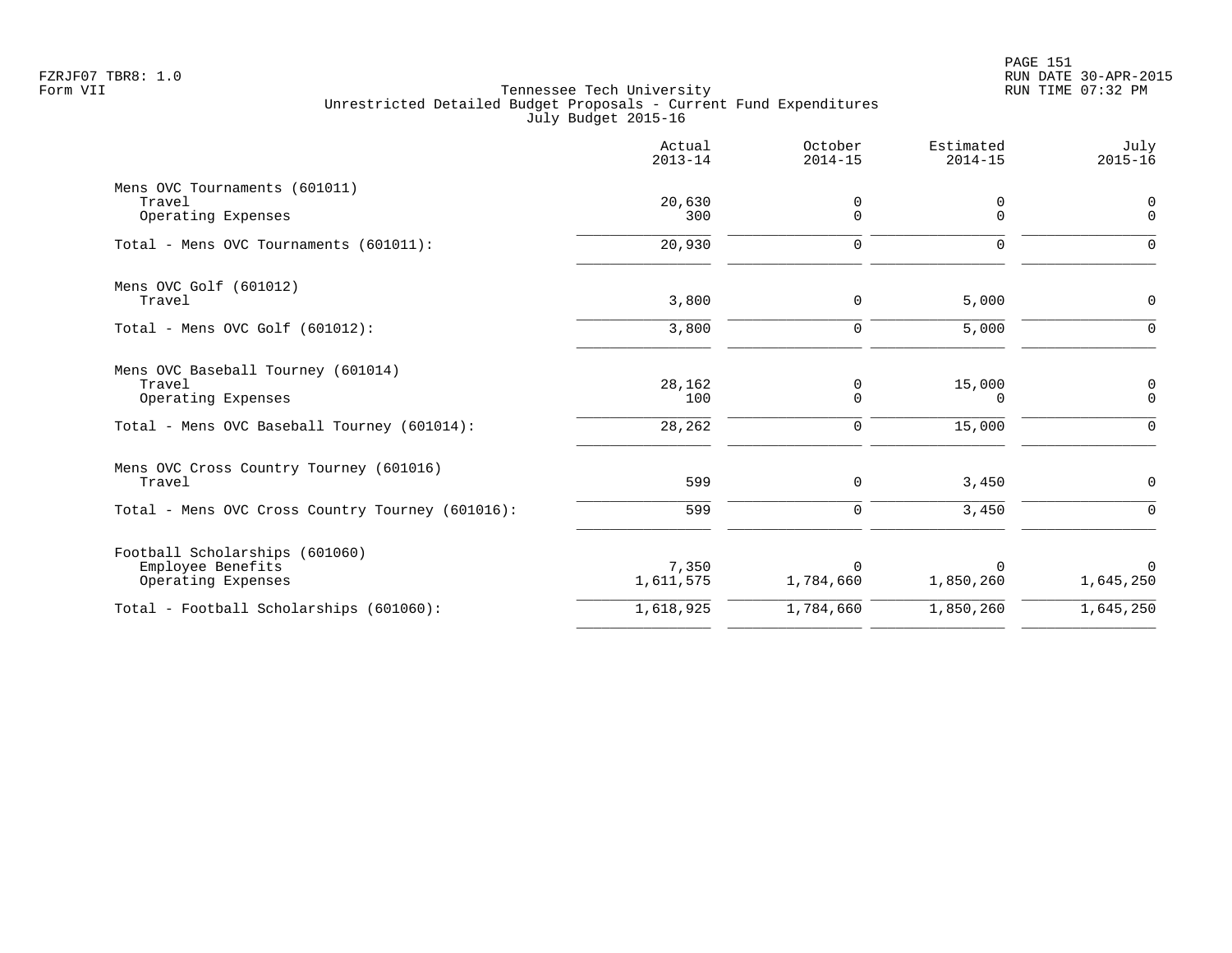|                                                                           | Actual<br>$2013 - 14$ | October<br>$2014 - 15$ | Estimated<br>$2014 - 15$ | July<br>$2015 - 16$        |
|---------------------------------------------------------------------------|-----------------------|------------------------|--------------------------|----------------------------|
| Mens OVC Tournaments (601011)<br>Travel<br>Operating Expenses             | 20,630<br>300         | 0<br>$\Omega$          | 0<br>$\Omega$            | 0<br>$\Omega$              |
| Total - Mens OVC Tournaments (601011):                                    | 20,930                | $\Omega$               | $\Omega$                 | $\Omega$                   |
| Mens OVC Golf (601012)<br>Travel                                          | 3,800                 | 0                      | 5,000                    | $\mathbf 0$                |
| Total - Mens OVC Golf $(601012)$ :                                        | 3,800                 | $\mathbf 0$            | 5,000                    | ∩                          |
| Mens OVC Baseball Tourney (601014)<br>Travel<br>Operating Expenses        | 28,162<br>100         | 0<br>0                 | 15,000<br>0              | $\mathbf 0$<br>$\mathbf 0$ |
| Total - Mens OVC Baseball Tourney (601014):                               | 28,262                | 0                      | 15,000                   | $\Omega$                   |
| Mens OVC Cross Country Tourney (601016)<br>Travel                         | 599                   | $\Omega$               | 3,450                    | $\Omega$                   |
| Total - Mens OVC Cross Country Tourney (601016):                          | 599                   | $\mathbf 0$            | 3,450                    | $\Omega$                   |
| Football Scholarships (601060)<br>Employee Benefits<br>Operating Expenses | 7,350<br>1,611,575    | $\Omega$<br>1,784,660  | $\Omega$<br>1,850,260    | $\Omega$<br>1,645,250      |
| Total - Football Scholarships (601060):                                   | 1,618,925             | 1,784,660              | 1,850,260                | 1,645,250                  |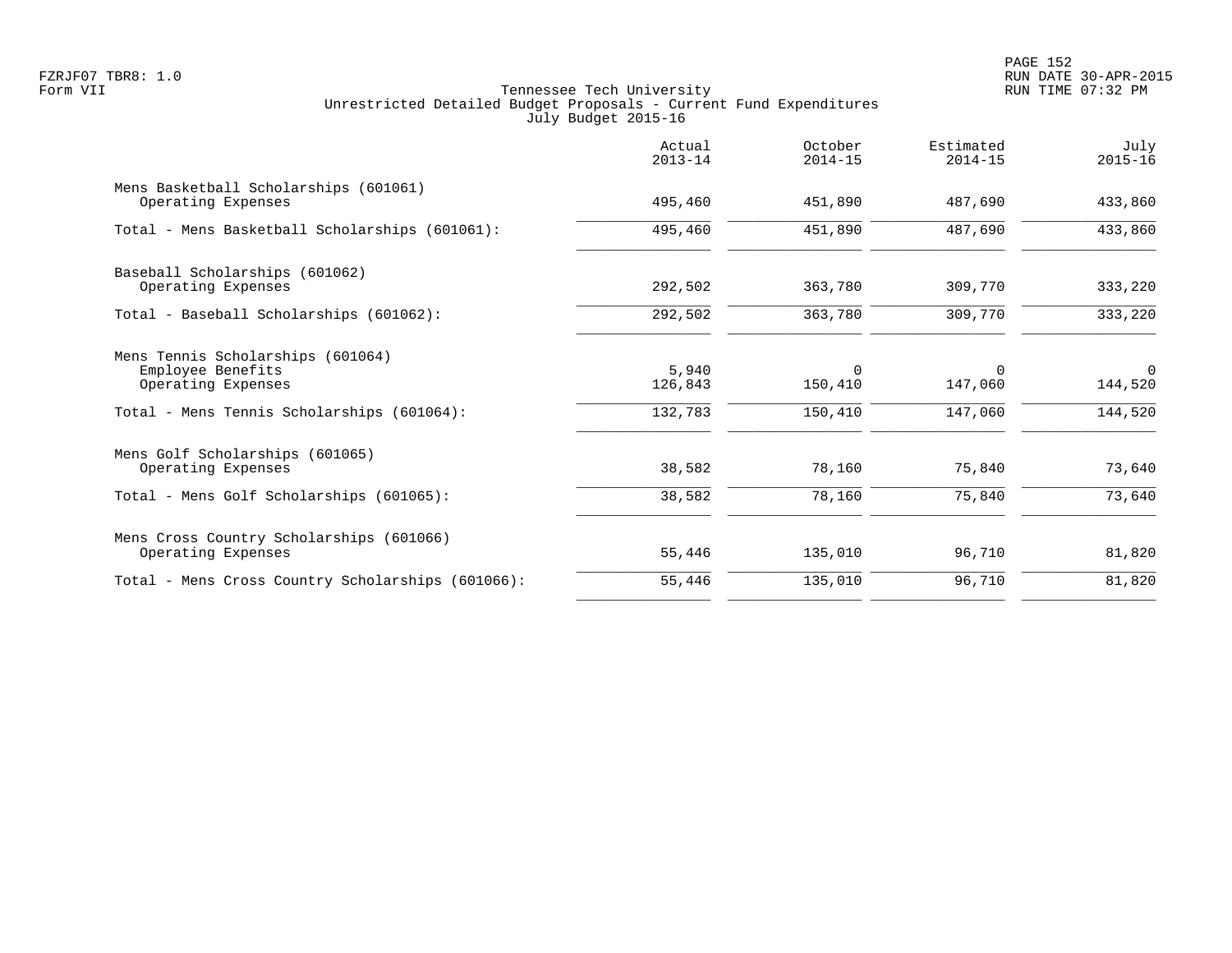PAGE 152 FZRJF07 TBR8: 1.0 RUN DATE 30-APR-2015

|                                                                                                                            | Actual<br>$2013 - 14$       | October<br>$2014 - 15$         | Estimated<br>$2014 - 15$       | July<br>$2015 - 16$            |
|----------------------------------------------------------------------------------------------------------------------------|-----------------------------|--------------------------------|--------------------------------|--------------------------------|
| Mens Basketball Scholarships (601061)<br>Operating Expenses                                                                | 495,460                     | 451,890                        | 487,690                        | 433,860                        |
| Total - Mens Basketball Scholarships (601061):                                                                             | 495,460                     | 451,890                        | 487,690                        | 433,860                        |
| Baseball Scholarships (601062)<br>Operating Expenses                                                                       | 292,502                     | 363,780                        | 309,770                        | 333,220                        |
| Total - Baseball Scholarships (601062):                                                                                    | 292,502                     | 363,780                        | 309,770                        | 333,220                        |
| Mens Tennis Scholarships (601064)<br>Employee Benefits<br>Operating Expenses<br>Total - Mens Tennis Scholarships (601064): | 5,940<br>126,843<br>132,783 | $\Omega$<br>150,410<br>150,410 | $\Omega$<br>147,060<br>147,060 | $\Omega$<br>144,520<br>144,520 |
| Mens Golf Scholarships (601065)<br>Operating Expenses                                                                      | 38,582                      | 78,160                         | 75,840                         | 73,640                         |
| Total - Mens Golf Scholarships (601065):                                                                                   | 38,582                      | 78,160                         | 75,840                         | 73,640                         |
| Mens Cross Country Scholarships (601066)<br>Operating Expenses                                                             | 55,446                      | 135,010                        | 96,710                         | 81,820                         |
| Total - Mens Cross Country Scholarships (601066):                                                                          | 55,446                      | 135,010                        | 96,710                         | 81,820                         |
|                                                                                                                            |                             |                                |                                |                                |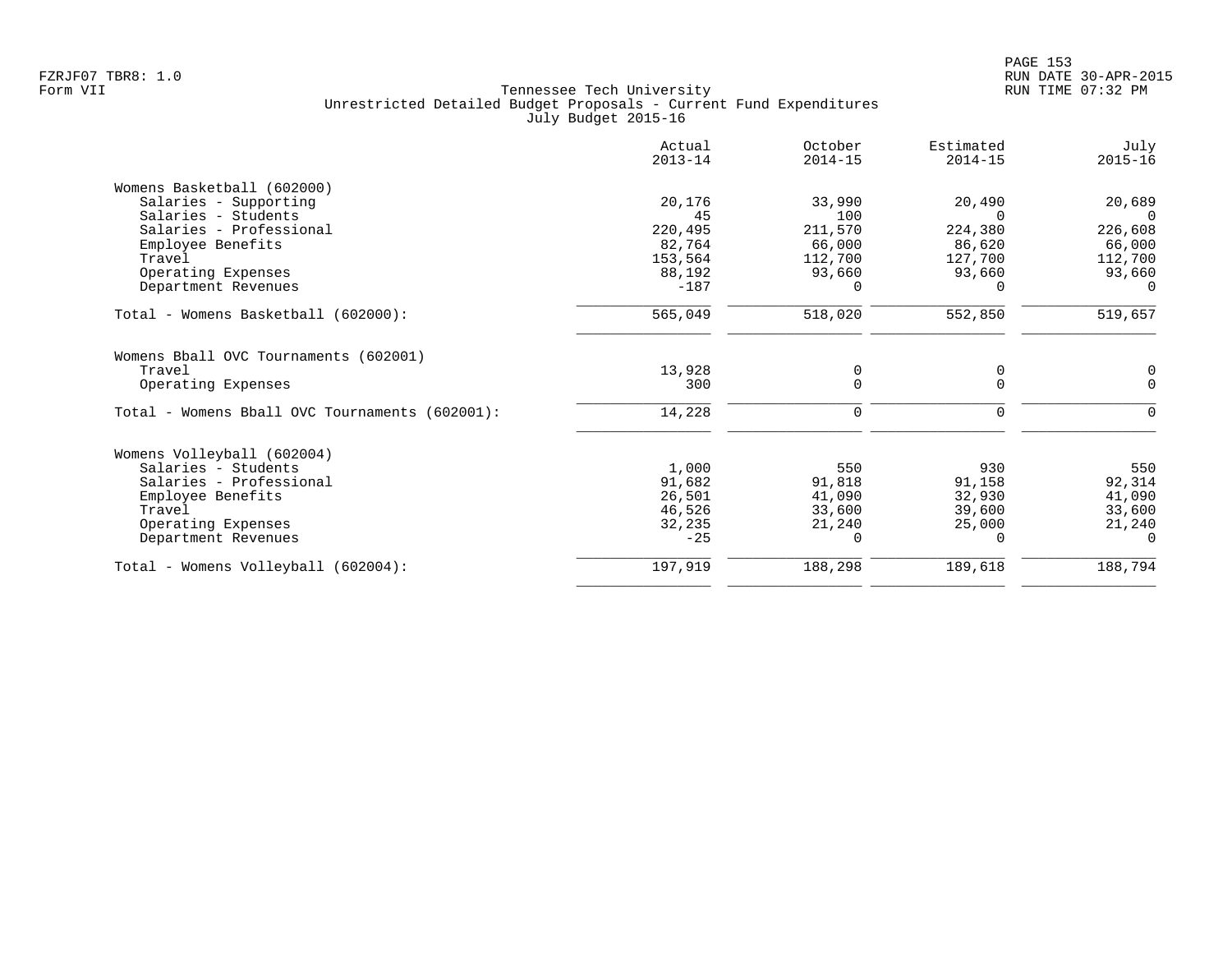|                                                | Actual<br>$2013 - 14$ | October<br>$2014 - 15$ | Estimated<br>$2014 - 15$ | July<br>$2015 - 16$ |
|------------------------------------------------|-----------------------|------------------------|--------------------------|---------------------|
| Womens Basketball (602000)                     |                       |                        |                          |                     |
| Salaries - Supporting                          | 20,176                | 33,990                 | 20,490                   | 20,689              |
| Salaries - Students                            | 45                    | 100                    |                          | $\cap$              |
| Salaries - Professional                        | 220,495               | 211,570                | 224,380                  | 226,608             |
| Employee Benefits                              | 82,764                | 66,000                 | 86,620                   | 66,000              |
| Travel                                         | 153,564               | 112,700                | 127,700                  | 112,700             |
| Operating Expenses                             | 88,192                | 93,660                 | 93,660                   | 93,660              |
| Department Revenues                            | $-187$                | $\Omega$               |                          | $\Omega$            |
| Total - Womens Basketball (602000):            | 565,049               | 518,020                | 552,850                  | 519,657             |
| Womens Bball OVC Tournaments (602001)          |                       |                        |                          |                     |
| Travel                                         | 13,928                | $\mathbf 0$            | 0                        | 0                   |
| Operating Expenses                             | 300                   | $\Omega$               | $\Omega$                 | $\Omega$            |
| Total - Womens Bball OVC Tournaments (602001): | 14,228                | 0                      | 0                        | $\mathbf 0$         |
| Womens Volleyball (602004)                     |                       |                        |                          |                     |
| Salaries - Students                            | 1,000                 | 550                    | 930                      | 550                 |
| Salaries - Professional                        | 91,682                | 91,818                 | 91,158                   | 92,314              |
| Employee Benefits                              | 26,501                | 41,090                 | 32,930                   | 41,090              |
| Travel                                         | 46,526                | 33,600                 | 39,600                   | 33,600              |
| Operating Expenses                             | 32,235                | 21,240                 | 25,000                   | 21,240              |
| Department Revenues                            | $-25$                 | $\Omega$               | 0                        | $\Omega$            |
| Total - Womens Volleyball (602004):            | 197,919               | 188,298                | 189,618                  | 188,794             |
|                                                |                       |                        |                          |                     |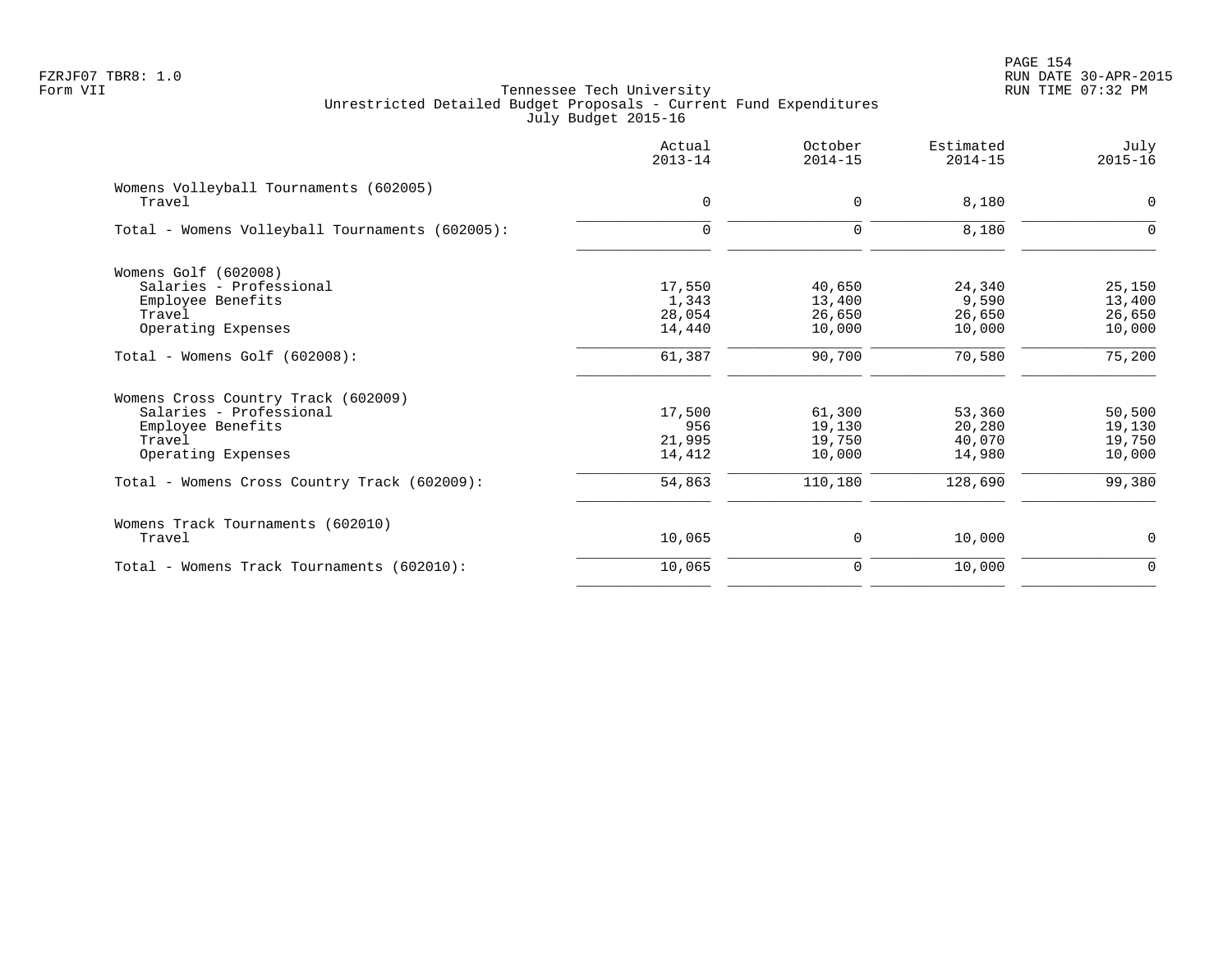PAGE 154 FZRJF07 TBR8: 1.0 RUN DATE 30-APR-2015

|                                                 | Actual<br>$2013 - 14$ | October<br>$2014 - 15$ | Estimated<br>$2014 - 15$ | July<br>$2015 - 16$ |
|-------------------------------------------------|-----------------------|------------------------|--------------------------|---------------------|
| Womens Volleyball Tournaments (602005)          |                       |                        |                          |                     |
| Travel                                          | $\mathbf 0$           | 0                      | 8,180                    | $\mathbf 0$         |
| Total - Womens Volleyball Tournaments (602005): | $\mathbf 0$           | 0                      | 8,180                    | $\Omega$            |
| Womens Golf (602008)                            |                       |                        |                          |                     |
| Salaries - Professional                         | 17,550                | 40,650                 | 24,340                   | 25,150              |
| Employee Benefits                               | 1,343                 | 13,400                 | 9,590                    | 13,400              |
| Travel                                          | 28,054                | 26,650                 | 26,650                   | 26,650              |
| Operating Expenses                              | 14,440                | 10,000                 | 10,000                   | 10,000              |
| $Total - Womens Golf (602008):$                 | 61,387                | 90,700                 | 70,580                   | 75,200              |
| Womens Cross Country Track (602009)             |                       |                        |                          |                     |
| Salaries - Professional                         | 17,500                | 61,300                 | 53,360                   | 50,500              |
| Employee Benefits                               | 956                   | 19,130                 | 20,280                   | 19,130              |
| Travel                                          | 21,995                | 19,750                 | 40,070                   | 19,750              |
| Operating Expenses                              | 14,412                | 10,000                 | 14,980                   | 10,000              |
| Total - Womens Cross Country Track (602009):    | 54,863                | 110,180                | 128,690                  | 99,380              |
| Womens Track Tournaments (602010)               |                       |                        |                          |                     |
| Travel                                          | 10,065                | 0                      | 10,000                   | 0                   |
| Total - Womens Track Tournaments (602010):      | 10,065                | 0                      | 10,000                   | $\Omega$            |
|                                                 |                       |                        |                          |                     |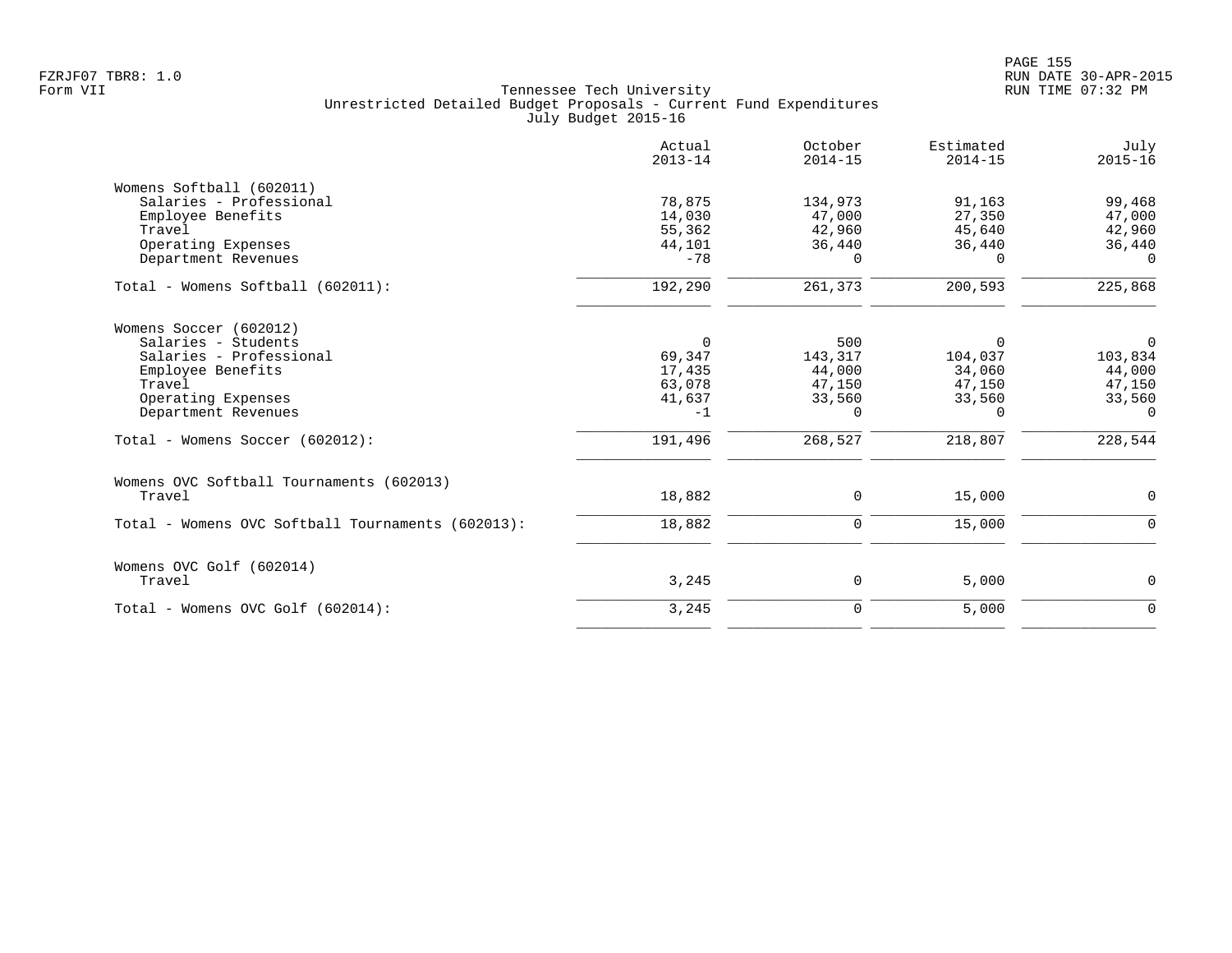|                                                                                                                                                      | Actual<br>$2013 - 14$                                       | October<br>$2014 - 15$                                   | Estimated<br>$2014 - 15$                                      | July<br>$2015 - 16$                                                 |
|------------------------------------------------------------------------------------------------------------------------------------------------------|-------------------------------------------------------------|----------------------------------------------------------|---------------------------------------------------------------|---------------------------------------------------------------------|
| Womens Softball (602011)<br>Salaries - Professional<br>Employee Benefits<br>Travel<br>Operating Expenses                                             | 78,875<br>14,030<br>55,362<br>44,101                        | 134,973<br>47,000<br>42,960<br>36,440                    | 91,163<br>27,350<br>45,640<br>36,440                          | 99,468<br>47,000<br>42,960<br>36,440                                |
| Department Revenues<br>Total - Womens Softball (602011):                                                                                             | $-78$<br>192,290                                            | $\Omega$<br>261,373                                      | $\Omega$<br>200,593                                           | $\Omega$<br>225,868                                                 |
|                                                                                                                                                      |                                                             |                                                          |                                                               |                                                                     |
| Womens Soccer (602012)<br>Salaries - Students<br>Salaries - Professional<br>Employee Benefits<br>Travel<br>Operating Expenses<br>Department Revenues | $\mathbf 0$<br>69,347<br>17,435<br>63,078<br>41,637<br>$-1$ | 500<br>143,317<br>44,000<br>47,150<br>33,560<br>$\Omega$ | $\Omega$<br>104,037<br>34,060<br>47,150<br>33,560<br>$\Omega$ | $\overline{0}$<br>103,834<br>44,000<br>47,150<br>33,560<br>$\Omega$ |
| Total - Womens Soccer (602012):                                                                                                                      | 191,496                                                     | 268,527                                                  | 218,807                                                       | 228,544                                                             |
| Womens OVC Softball Tournaments (602013)<br>Travel                                                                                                   | 18,882                                                      | $\mathbf 0$                                              | 15,000                                                        | $\mathbf 0$                                                         |
| Total - Womens OVC Softball Tournaments (602013):                                                                                                    | 18,882                                                      | $\mathbf 0$                                              | 15,000                                                        | $\Omega$                                                            |
| Womens OVC Golf (602014)<br>Travel                                                                                                                   | 3,245                                                       | 0                                                        | 5,000                                                         | 0                                                                   |
| Total - Womens OVC Golf (602014):                                                                                                                    | 3,245                                                       | $\mathbf 0$                                              | 5,000                                                         | $\mathbf 0$                                                         |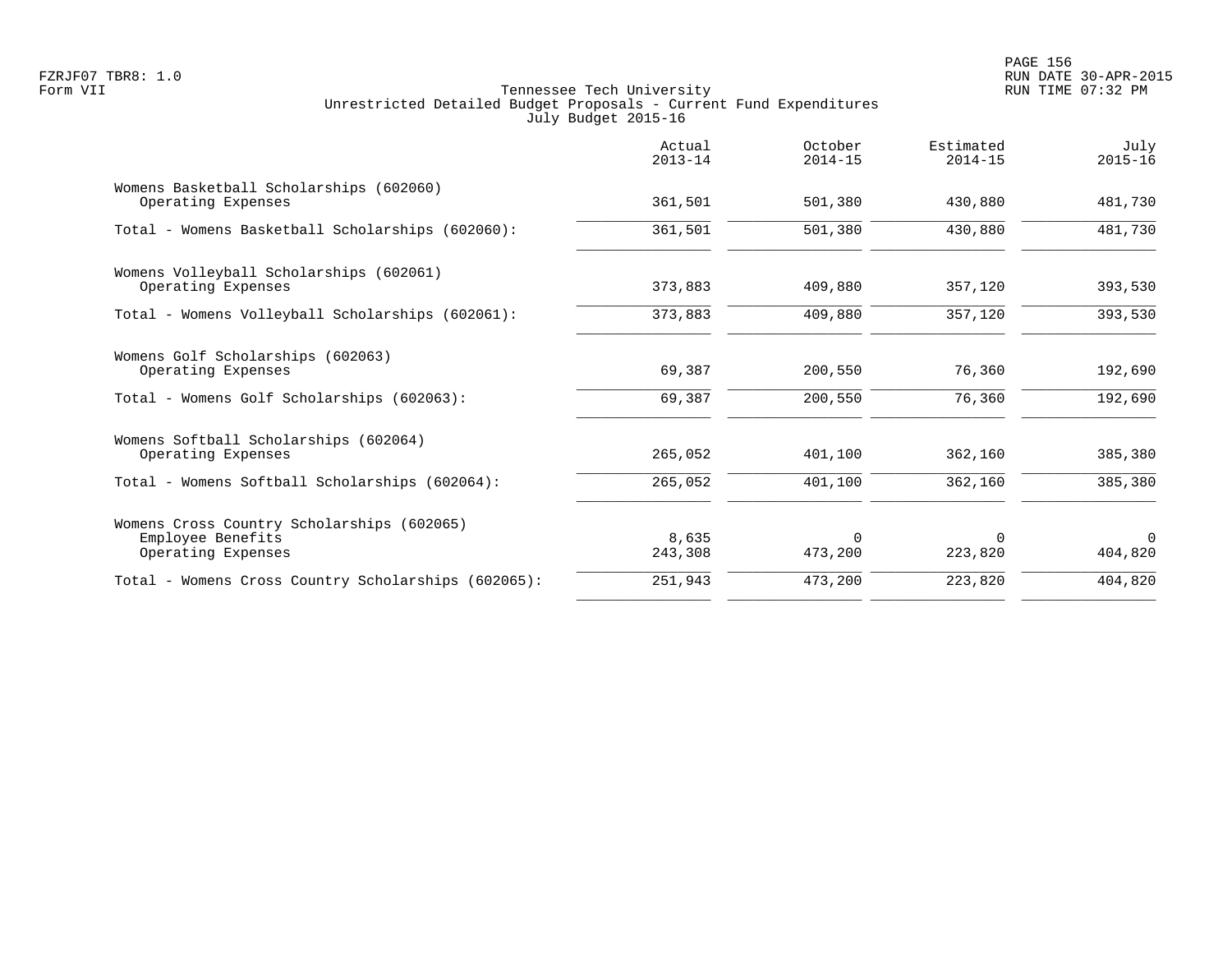|                                                                                       | Actual<br>$2013 - 14$ | October<br>$2014 - 15$ | Estimated<br>$2014 - 15$ | July<br>$2015 - 16$ |
|---------------------------------------------------------------------------------------|-----------------------|------------------------|--------------------------|---------------------|
| Womens Basketball Scholarships (602060)<br>Operating Expenses                         | 361,501               | 501,380                | 430,880                  | 481,730             |
| Total - Womens Basketball Scholarships (602060):                                      | 361,501               | 501,380                | 430,880                  | 481,730             |
| Womens Volleyball Scholarships (602061)<br>Operating Expenses                         | 373,883               | 409,880                | 357,120                  | 393,530             |
| Total - Womens Volleyball Scholarships (602061):                                      | 373,883               | 409,880                | 357,120                  | 393,530             |
| Womens Golf Scholarships (602063)<br>Operating Expenses                               | 69,387                | 200,550                | 76,360                   | 192,690             |
| Total - Womens Golf Scholarships (602063):                                            | 69,387                | 200,550                | 76,360                   | 192,690             |
| Womens Softball Scholarships (602064)<br>Operating Expenses                           | 265,052               | 401,100                | 362,160                  | 385,380             |
| Total - Womens Softball Scholarships (602064):                                        | 265,052               | 401,100                | 362,160                  | 385,380             |
| Womens Cross Country Scholarships (602065)<br>Employee Benefits<br>Operating Expenses | 8,635<br>243,308      | $\Omega$<br>473,200    | $\Omega$<br>223,820      | $\Omega$<br>404,820 |
| Total - Womens Cross Country Scholarships (602065):                                   | 251,943               | 473,200                | 223,820                  | 404,820             |
|                                                                                       |                       |                        |                          |                     |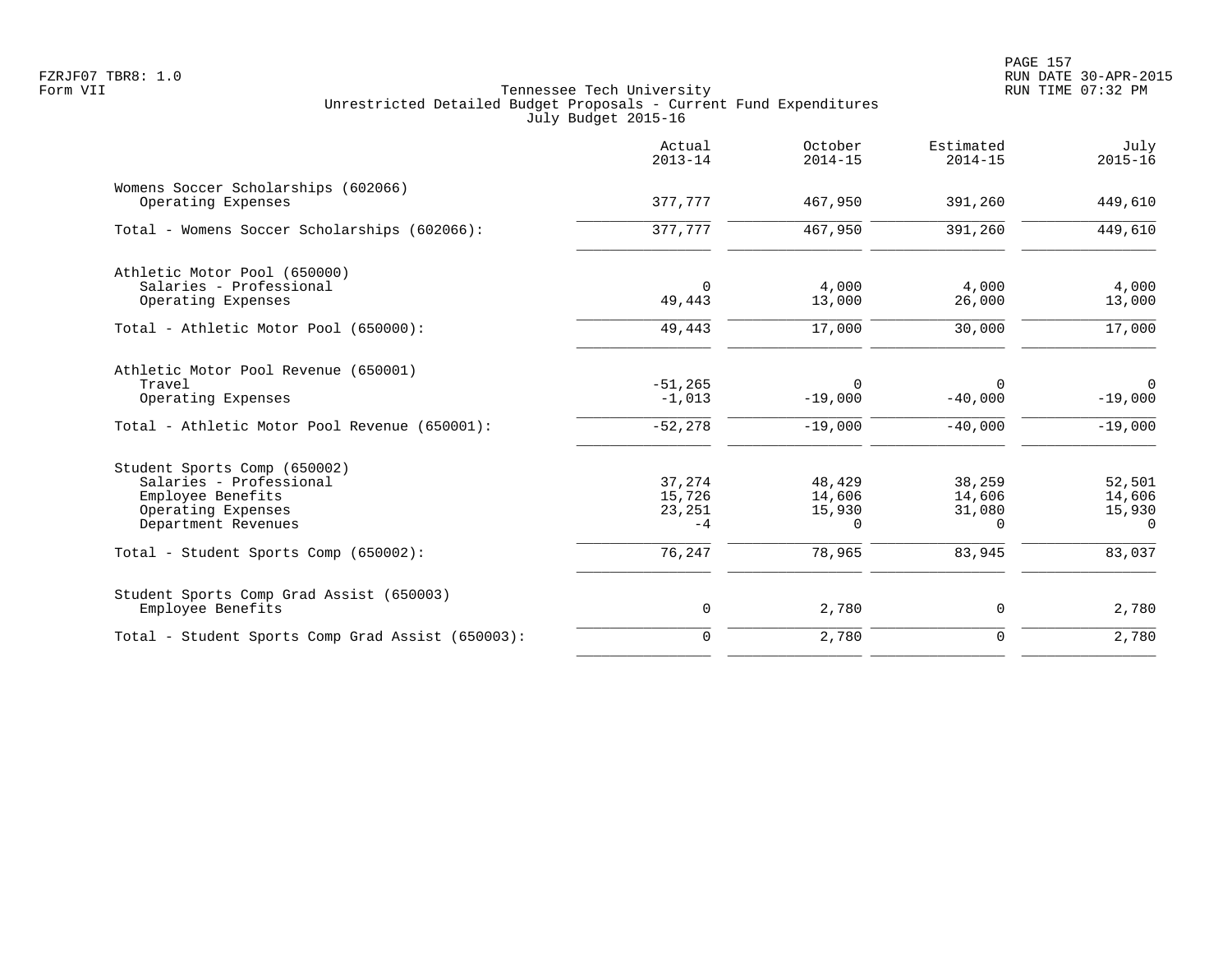|                                                                                                                           | Actual<br>$2013 - 14$              | October<br>$2014 - 15$          | Estimated<br>$2014 - 15$               | July<br>$2015 - 16$                    |
|---------------------------------------------------------------------------------------------------------------------------|------------------------------------|---------------------------------|----------------------------------------|----------------------------------------|
| Womens Soccer Scholarships (602066)<br>Operating Expenses                                                                 | 377,777                            | 467,950                         | 391,260                                | 449,610                                |
| Total - Womens Soccer Scholarships (602066):                                                                              | 377,777                            | 467,950                         | 391,260                                | 449,610                                |
| Athletic Motor Pool (650000)<br>Salaries - Professional<br>Operating Expenses                                             | $\Omega$<br>49,443                 | 4,000<br>13,000                 | 4,000<br>26,000                        | 4,000<br>13,000                        |
| Total - Athletic Motor Pool (650000):                                                                                     | 49,443                             | 17,000                          | 30,000                                 | 17,000                                 |
| Athletic Motor Pool Revenue (650001)<br>Travel<br>Operating Expenses                                                      | $-51, 265$<br>$-1,013$             | $\Omega$<br>$-19,000$           | $\Omega$<br>$-40,000$                  | $\Omega$<br>$-19,000$                  |
| Total - Athletic Motor Pool Revenue (650001):                                                                             | $-52,278$                          | $-19,000$                       | $-40,000$                              | $-19,000$                              |
| Student Sports Comp (650002)<br>Salaries - Professional<br>Employee Benefits<br>Operating Expenses<br>Department Revenues | 37,274<br>15,726<br>23,251<br>$-4$ | 48,429<br>14,606<br>15,930<br>0 | 38,259<br>14,606<br>31,080<br>$\Omega$ | 52,501<br>14,606<br>15,930<br>$\Omega$ |
| Total - Student Sports Comp (650002):                                                                                     | 76, 247                            | 78,965                          | 83,945                                 | 83,037                                 |
| Student Sports Comp Grad Assist (650003)<br>Employee Benefits                                                             | $\mathsf{O}$                       | 2,780                           | 0                                      | 2,780                                  |
| Total - Student Sports Comp Grad Assist (650003):                                                                         | $\mathbf 0$                        | 2,780                           | $\mathbf 0$                            | 2,780                                  |
|                                                                                                                           |                                    |                                 |                                        |                                        |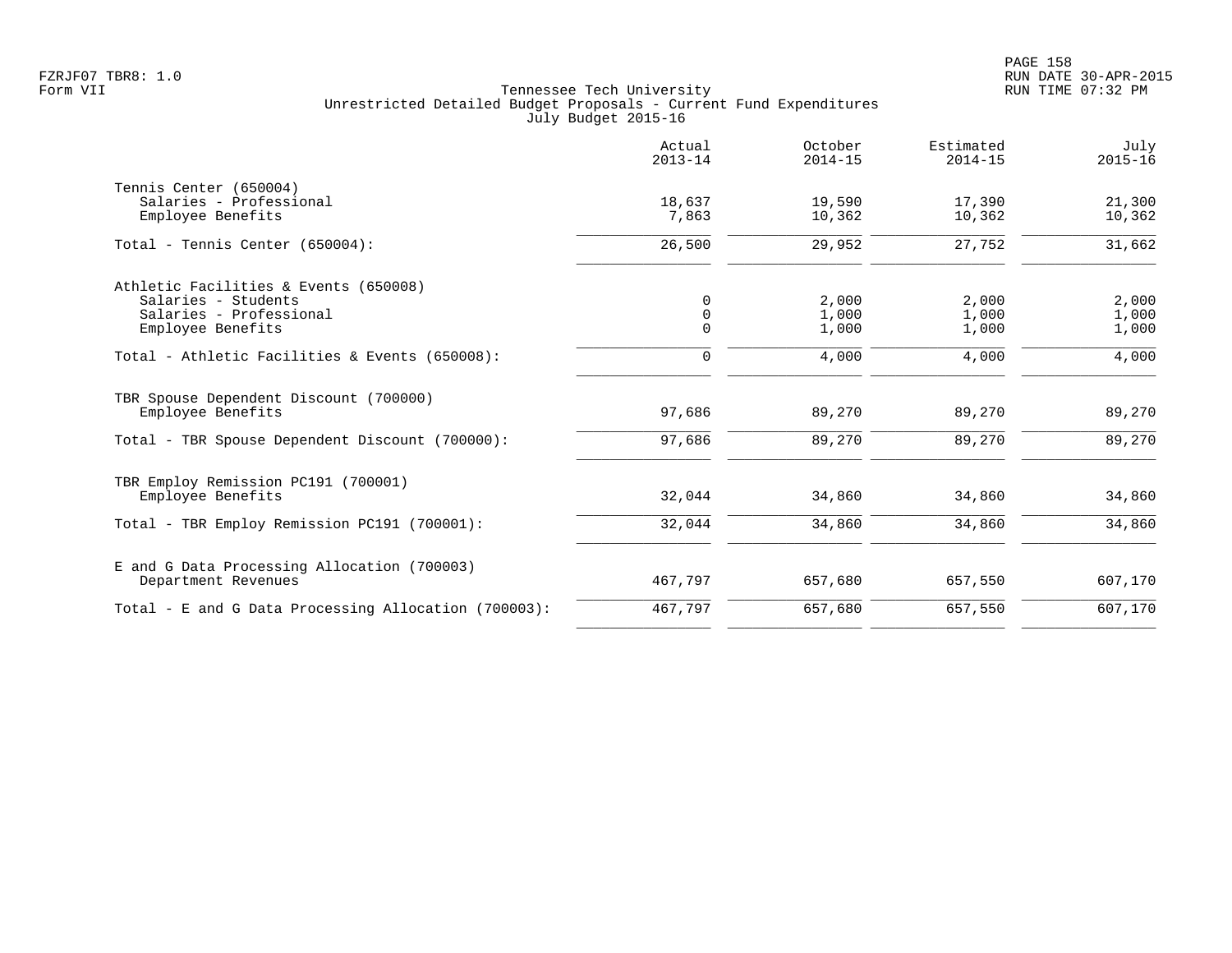|                                                                                                              | Actual<br>$2013 - 14$        | October<br>$2014 - 15$  | Estimated<br>$2014 - 15$ | July<br>$2015 - 16$     |
|--------------------------------------------------------------------------------------------------------------|------------------------------|-------------------------|--------------------------|-------------------------|
| Tennis Center (650004)<br>Salaries - Professional<br>Employee Benefits                                       | 18,637<br>7,863              | 19,590<br>10,362        | 17,390<br>10,362         | 21,300<br>10,362        |
| Total - Tennis Center (650004):                                                                              | 26,500                       | 29,952                  | 27,752                   | 31,662                  |
| Athletic Facilities & Events (650008)<br>Salaries - Students<br>Salaries - Professional<br>Employee Benefits | 0<br>$\mathbf 0$<br>$\Omega$ | 2,000<br>1,000<br>1,000 | 2,000<br>1,000<br>1,000  | 2,000<br>1,000<br>1,000 |
| Total - Athletic Facilities & Events (650008):                                                               | 0                            | 4,000                   | 4,000                    | 4,000                   |
| TBR Spouse Dependent Discount (700000)<br>Employee Benefits                                                  | 97,686                       | 89,270                  | 89,270                   | 89,270                  |
| Total - TBR Spouse Dependent Discount (700000):                                                              | 97,686                       | 89,270                  | 89,270                   | 89,270                  |
| TBR Employ Remission PC191 (700001)<br>Employee Benefits                                                     | 32,044                       | 34,860                  | 34,860                   | 34,860                  |
| Total - TBR Employ Remission PC191 (700001):                                                                 | 32,044                       | 34,860                  | 34,860                   | 34,860                  |
| E and G Data Processing Allocation (700003)<br>Department Revenues                                           | 467,797                      | 657,680                 | 657,550                  | 607,170                 |
| Total - E and G Data Processing Allocation (700003):                                                         | 467,797                      | 657,680                 | 657,550                  | 607,170                 |
|                                                                                                              |                              |                         |                          |                         |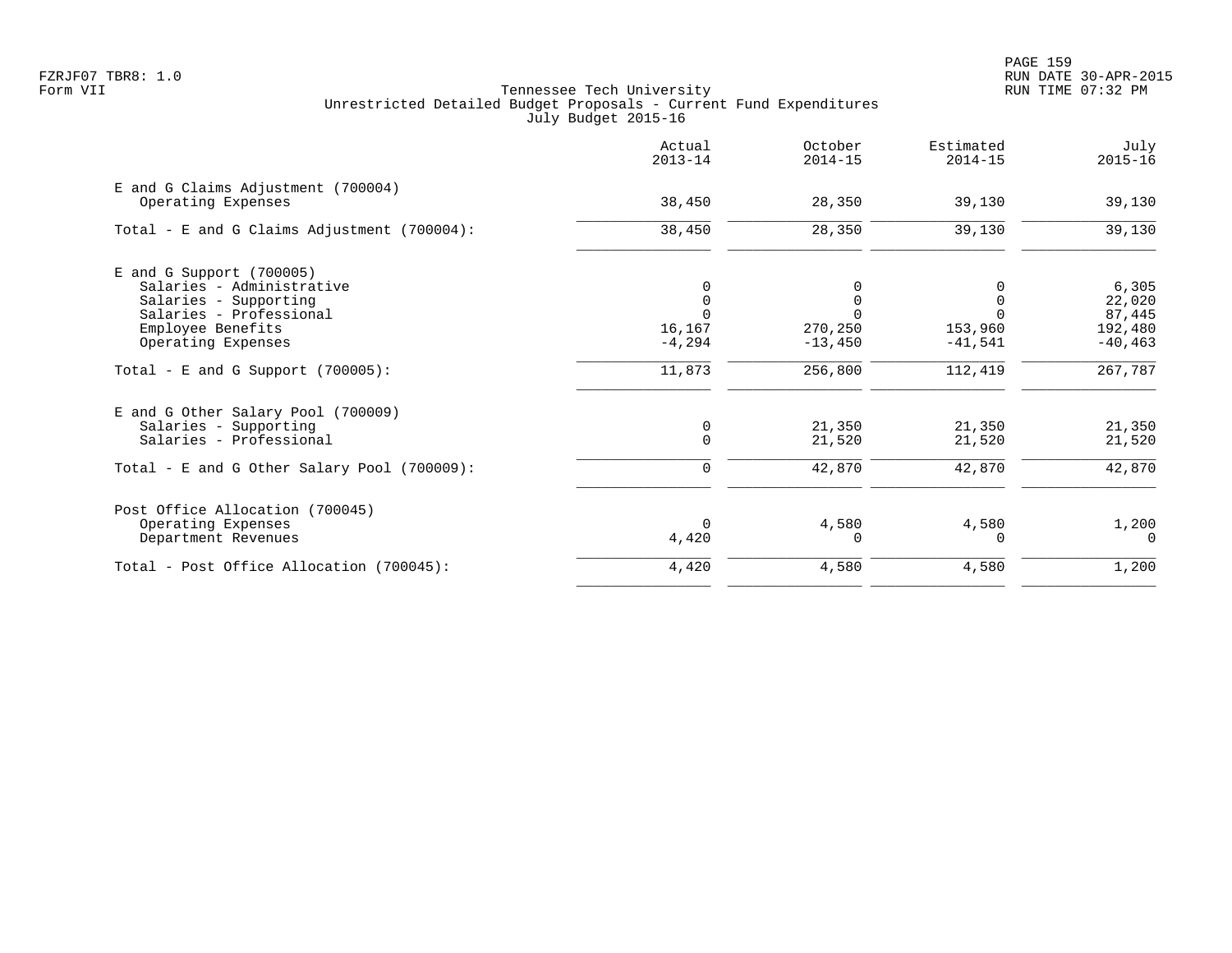|                                                | Actual<br>$2013 - 14$ | October<br>$2014 - 15$ | Estimated<br>$2014 - 15$ | July<br>$2015 - 16$ |
|------------------------------------------------|-----------------------|------------------------|--------------------------|---------------------|
| E and G Claims Adjustment (700004)             | 38,450                | 28,350                 | 39,130                   |                     |
| Operating Expenses                             |                       |                        |                          | 39,130              |
| Total - E and G Claims Adjustment $(700004)$ : | 38,450                | 28,350                 | 39,130                   | 39,130              |
| E and G Support (700005)                       |                       |                        |                          |                     |
| Salaries - Administrative                      |                       |                        |                          | 6,305               |
| Salaries - Supporting                          |                       | 0                      |                          | 22,020              |
| Salaries - Professional                        |                       |                        |                          | 87,445              |
| Employee Benefits                              | 16,167                | 270,250                | 153,960                  | 192,480             |
| Operating Expenses                             | $-4, 294$             | $-13,450$              | $-41,541$                | $-40, 463$          |
| Total - E and G Support $(700005)$ :           | 11,873                | 256,800                | 112,419                  | 267,787             |
| E and G Other Salary Pool (700009)             |                       |                        |                          |                     |
| Salaries - Supporting                          | 0                     | 21,350                 | 21,350                   | 21,350              |
| Salaries - Professional                        | $\Omega$              | 21,520                 | 21,520                   | 21,520              |
| Total - E and G Other Salary Pool (700009):    | $\Omega$              | 42,870                 | 42,870                   | 42,870              |
| Post Office Allocation (700045)                |                       |                        |                          |                     |
| Operating Expenses                             |                       | 4,580                  | 4,580                    | 1,200               |
| Department Revenues                            | 4,420                 | $\Omega$               | O                        | $\Omega$            |
| Total - Post Office Allocation (700045):       | 4,420                 | 4,580                  | 4,580                    | 1,200               |
|                                                |                       |                        |                          |                     |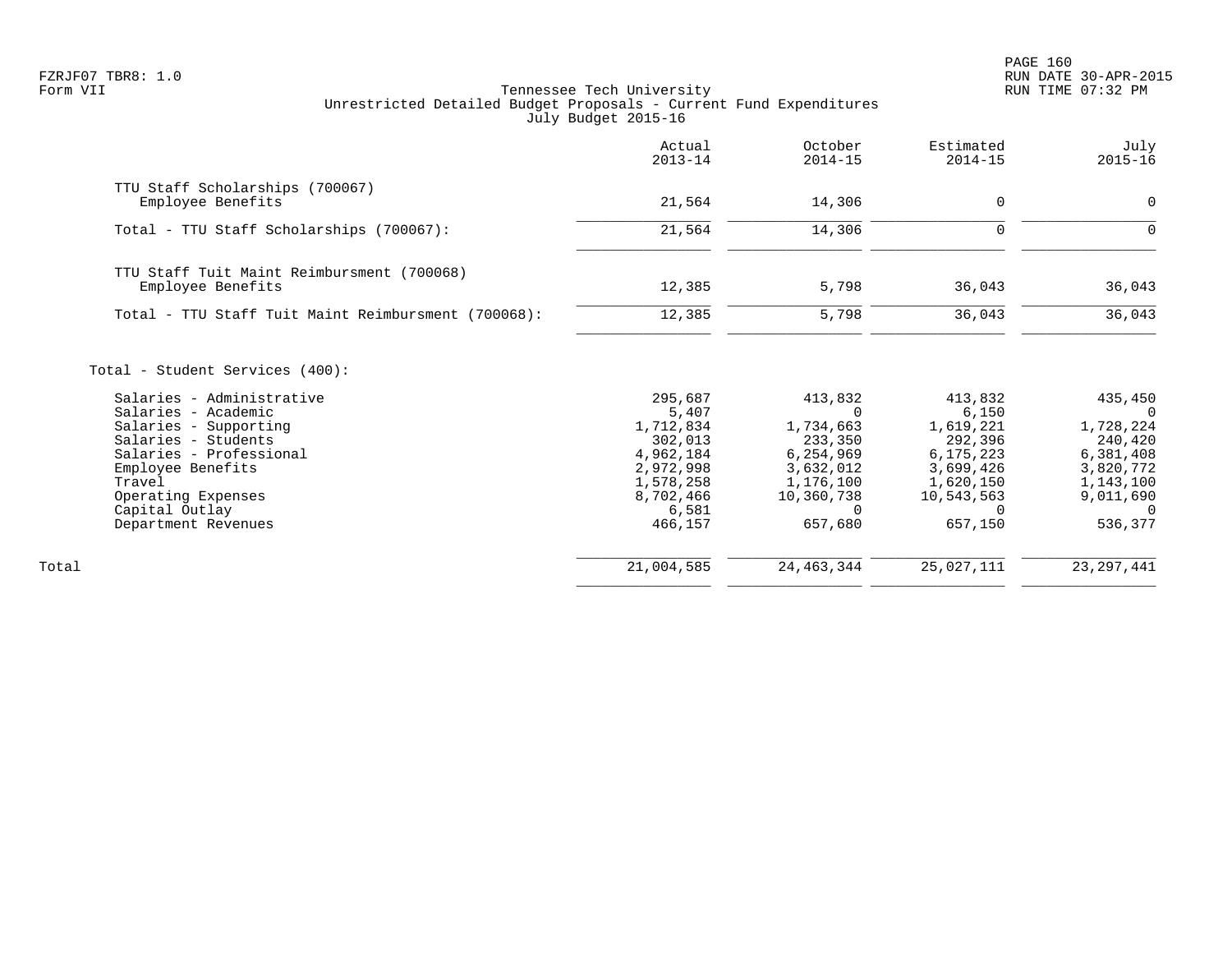PAGE 160 FZRJF07 TBR8: 1.0 RUN DATE 30-APR-2015

| TTU Staff Scholarships (700067)<br>Employee Benefits<br>21,564<br>14,306<br>$\Omega$<br>21,564<br>14,306<br>$\mathbf 0$<br>Total - TTU Staff Scholarships (700067):<br>TTU Staff Tuit Maint Reimbursment (700068)<br>Employee Benefits<br>12,385<br>5,798<br>36,043<br>12,385<br>5,798<br>36,043<br>Total - TTU Staff Tuit Maint Reimbursment (700068):<br>Total - Student Services (400):<br>Salaries - Administrative<br>295,687<br>413,832<br>413,832<br>Salaries - Academic<br>5,407<br>6,150<br>$\Omega$<br>1,712,834<br>1,734,663<br>1,619,221<br>Salaries - Supporting<br>Salaries - Students<br>292,396<br>302,013<br>233,350<br>4,962,184<br>6,254,969<br>6,175,223<br>Salaries - Professional<br>2,972,998<br>3,632,012<br>3,699,426<br>Employee Benefits<br>1,176,100<br>1,620,150<br>Travel<br>1,578,258<br>8,702,466<br>Operating Expenses<br>10,360,738<br>10,543,563<br>Capital Outlay<br>6,581<br>0<br>$\Omega$<br>657,150<br>466,157<br>657,680<br>Department Revenues | Actual<br>$2013 - 14$ | October<br>$2014 - 15$ | Estimated<br>$2014 - 15$ | July<br>$2015 - 16$                                                                                                    |
|-----------------------------------------------------------------------------------------------------------------------------------------------------------------------------------------------------------------------------------------------------------------------------------------------------------------------------------------------------------------------------------------------------------------------------------------------------------------------------------------------------------------------------------------------------------------------------------------------------------------------------------------------------------------------------------------------------------------------------------------------------------------------------------------------------------------------------------------------------------------------------------------------------------------------------------------------------------------------------------------|-----------------------|------------------------|--------------------------|------------------------------------------------------------------------------------------------------------------------|
|                                                                                                                                                                                                                                                                                                                                                                                                                                                                                                                                                                                                                                                                                                                                                                                                                                                                                                                                                                                         |                       |                        |                          | 0                                                                                                                      |
|                                                                                                                                                                                                                                                                                                                                                                                                                                                                                                                                                                                                                                                                                                                                                                                                                                                                                                                                                                                         |                       |                        |                          |                                                                                                                        |
|                                                                                                                                                                                                                                                                                                                                                                                                                                                                                                                                                                                                                                                                                                                                                                                                                                                                                                                                                                                         |                       |                        |                          | $\Omega$                                                                                                               |
|                                                                                                                                                                                                                                                                                                                                                                                                                                                                                                                                                                                                                                                                                                                                                                                                                                                                                                                                                                                         |                       |                        |                          |                                                                                                                        |
|                                                                                                                                                                                                                                                                                                                                                                                                                                                                                                                                                                                                                                                                                                                                                                                                                                                                                                                                                                                         |                       |                        |                          | 36,043                                                                                                                 |
|                                                                                                                                                                                                                                                                                                                                                                                                                                                                                                                                                                                                                                                                                                                                                                                                                                                                                                                                                                                         |                       |                        |                          | 36,043                                                                                                                 |
|                                                                                                                                                                                                                                                                                                                                                                                                                                                                                                                                                                                                                                                                                                                                                                                                                                                                                                                                                                                         |                       |                        |                          | 435,450<br>$\Omega$<br>1,728,224<br>240,420<br>6,381,408<br>3,820,772<br>1,143,100<br>9,011,690<br>$\Omega$<br>536,377 |
|                                                                                                                                                                                                                                                                                                                                                                                                                                                                                                                                                                                                                                                                                                                                                                                                                                                                                                                                                                                         |                       |                        |                          |                                                                                                                        |
| 21,004,585<br>24, 463, 344<br>25,027,111<br>Total                                                                                                                                                                                                                                                                                                                                                                                                                                                                                                                                                                                                                                                                                                                                                                                                                                                                                                                                       |                       |                        |                          | 23, 297, 441                                                                                                           |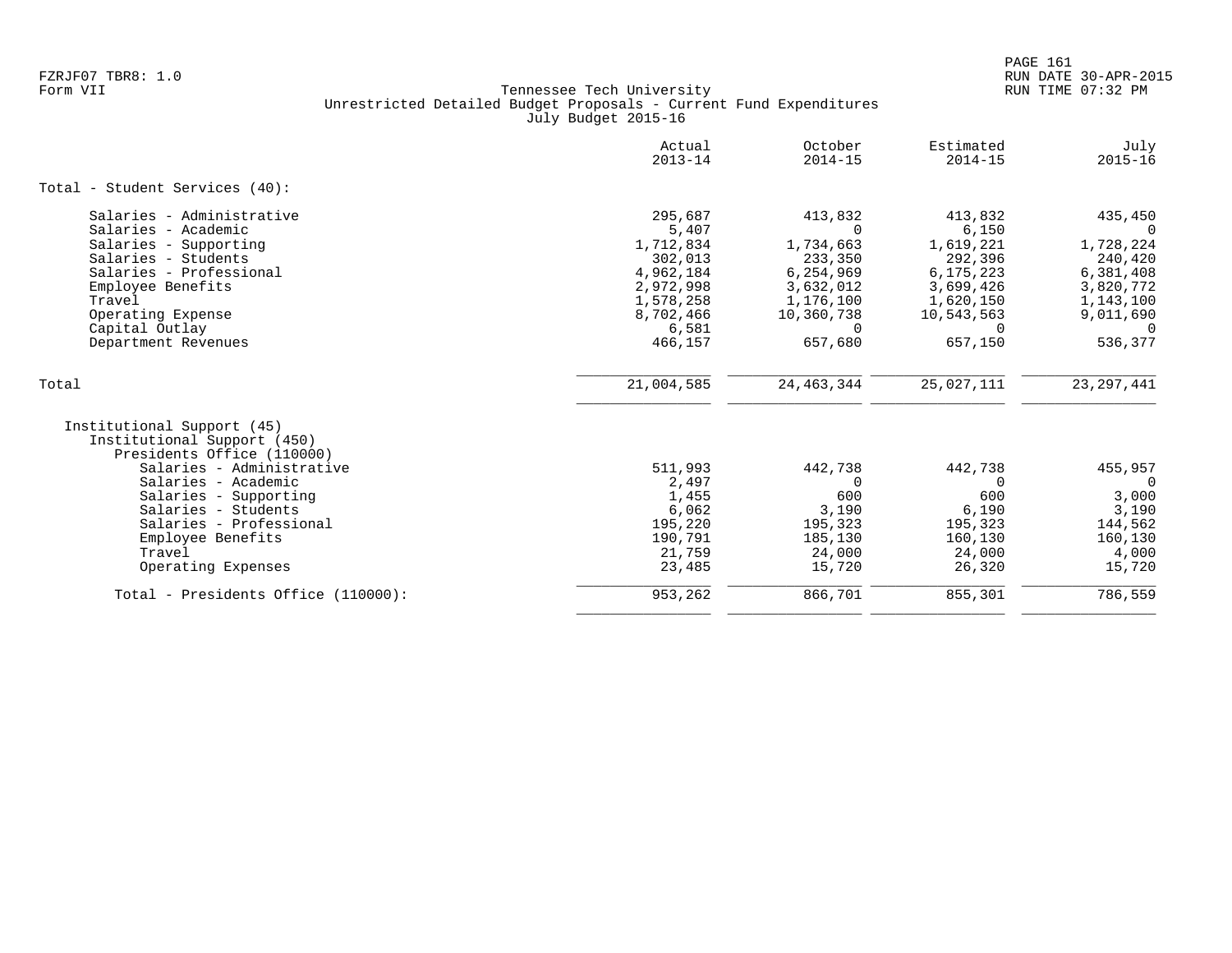|                                                                                                                                                                                                                                                                             | Actual<br>$2013 - 14$                                                                                            | October<br>$2014 - 15$                                                                                                  | Estimated<br>$2014 - 15$                                                                                             | July<br>$2015 - 16$                                                                                                    |
|-----------------------------------------------------------------------------------------------------------------------------------------------------------------------------------------------------------------------------------------------------------------------------|------------------------------------------------------------------------------------------------------------------|-------------------------------------------------------------------------------------------------------------------------|----------------------------------------------------------------------------------------------------------------------|------------------------------------------------------------------------------------------------------------------------|
| Total - Student Services (40):                                                                                                                                                                                                                                              |                                                                                                                  |                                                                                                                         |                                                                                                                      |                                                                                                                        |
| Salaries - Administrative<br>Salaries - Academic<br>Salaries - Supporting<br>Salaries - Students<br>Salaries - Professional<br>Employee Benefits<br>Travel<br>Operating Expense<br>Capital Outlay<br>Department Revenues                                                    | 295,687<br>5,407<br>1,712,834<br>302,013<br>4,962,184<br>2,972,998<br>1,578,258<br>8,702,466<br>6,581<br>466,157 | 413,832<br>$\Omega$<br>1,734,663<br>233,350<br>6,254,969<br>3,632,012<br>1,176,100<br>10,360,738<br>$\Omega$<br>657,680 | 413,832<br>6,150<br>1,619,221<br>292,396<br>6,175,223<br>3,699,426<br>1,620,150<br>10,543,563<br>$\Omega$<br>657,150 | 435,450<br>$\Omega$<br>1,728,224<br>240,420<br>6,381,408<br>3,820,772<br>1,143,100<br>9,011,690<br>$\Omega$<br>536,377 |
| Total                                                                                                                                                                                                                                                                       | 21,004,585                                                                                                       | 24, 463, 344                                                                                                            | 25,027,111                                                                                                           | 23, 297, 441                                                                                                           |
| Institutional Support (45)<br>Institutional Support (450)<br>Presidents Office (110000)<br>Salaries - Administrative<br>Salaries - Academic<br>Salaries - Supporting<br>Salaries - Students<br>Salaries - Professional<br>Employee Benefits<br>Travel<br>Operating Expenses | 511,993<br>2,497<br>1,455<br>6,062<br>195,220<br>190,791<br>21,759<br>23,485                                     | 442,738<br>$\Omega$<br>600<br>3,190<br>195,323<br>185,130<br>24,000<br>15,720                                           | 442,738<br>$\Omega$<br>600<br>6,190<br>195,323<br>160,130<br>24,000<br>26,320                                        | 455,957<br>$\Omega$<br>3,000<br>3,190<br>144,562<br>160,130<br>4,000<br>15,720                                         |
| Total - Presidents Office (110000):                                                                                                                                                                                                                                         | 953,262                                                                                                          | 866,701                                                                                                                 | 855,301                                                                                                              | 786,559                                                                                                                |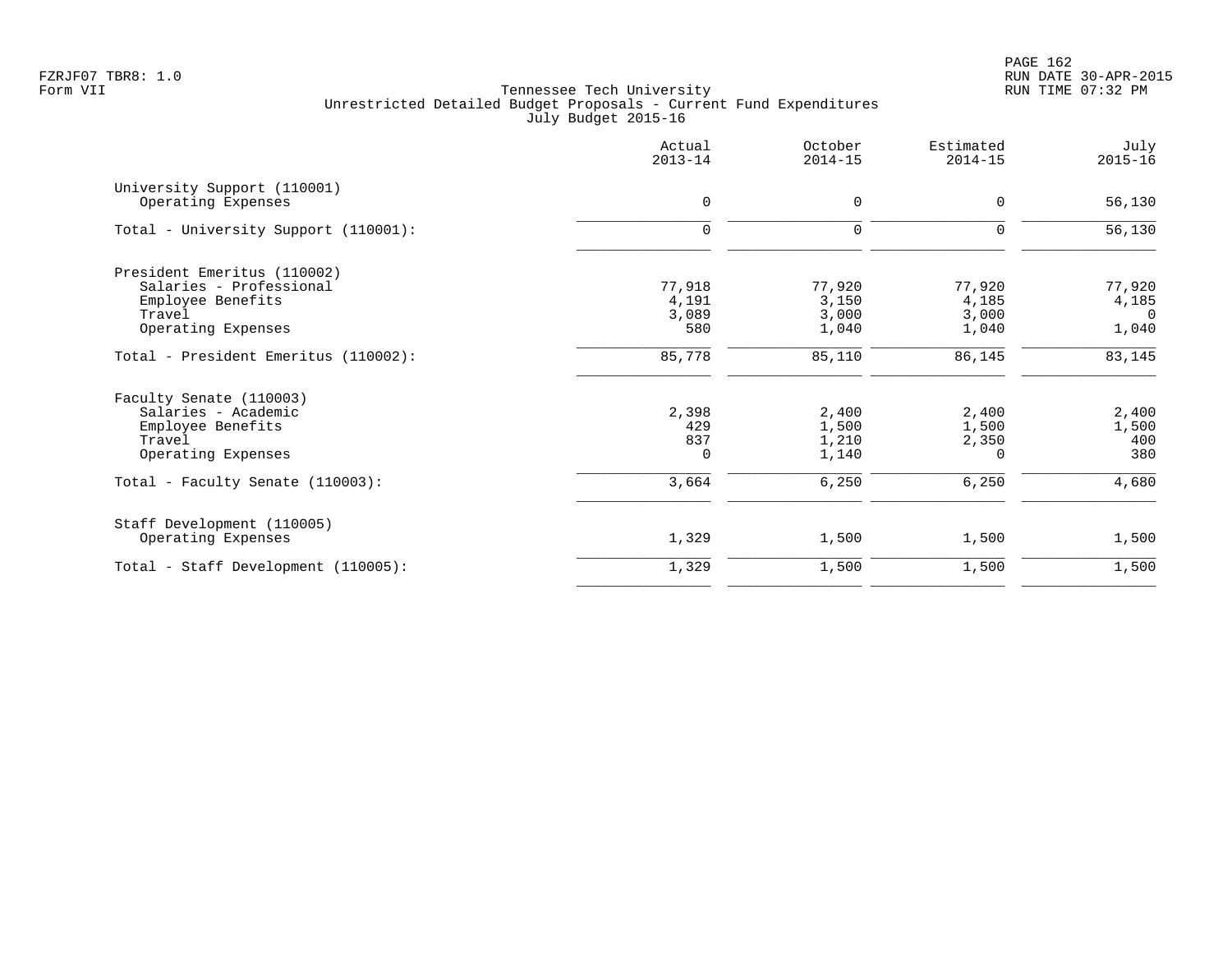PAGE 162 FZRJF07 TBR8: 1.0 RUN DATE 30-APR-2015

| Actual<br>$2013 - 14$           | October<br>$2014 - 15$            | Estimated<br>$2014 - 15$          | July<br>$2015 - 16$                  |
|---------------------------------|-----------------------------------|-----------------------------------|--------------------------------------|
| $\mathbf 0$                     | $\mathbf 0$                       | 0                                 | 56,130                               |
| $\mathbf 0$                     | $\mathbf 0$                       | 0                                 | 56,130                               |
| 77,918<br>4,191<br>3,089<br>580 | 77,920<br>3,150<br>3,000<br>1,040 | 77,920<br>4,185<br>3,000<br>1,040 | 77,920<br>4,185<br>$\Omega$<br>1,040 |
| 85,778                          | 85,110                            | 86,145                            | 83,145                               |
| 2,398<br>429<br>837<br>$\Omega$ | 2,400<br>1,500<br>1,210<br>1,140  | 2,400<br>1,500<br>2,350<br>0      | 2,400<br>1,500<br>400<br>380         |
|                                 |                                   |                                   | 4,680                                |
| 1,329                           | 1,500                             | 1,500                             | 1,500                                |
| 1,329                           | 1,500                             | 1,500                             | 1,500                                |
|                                 | 3,664                             | 6,250                             | 6,250                                |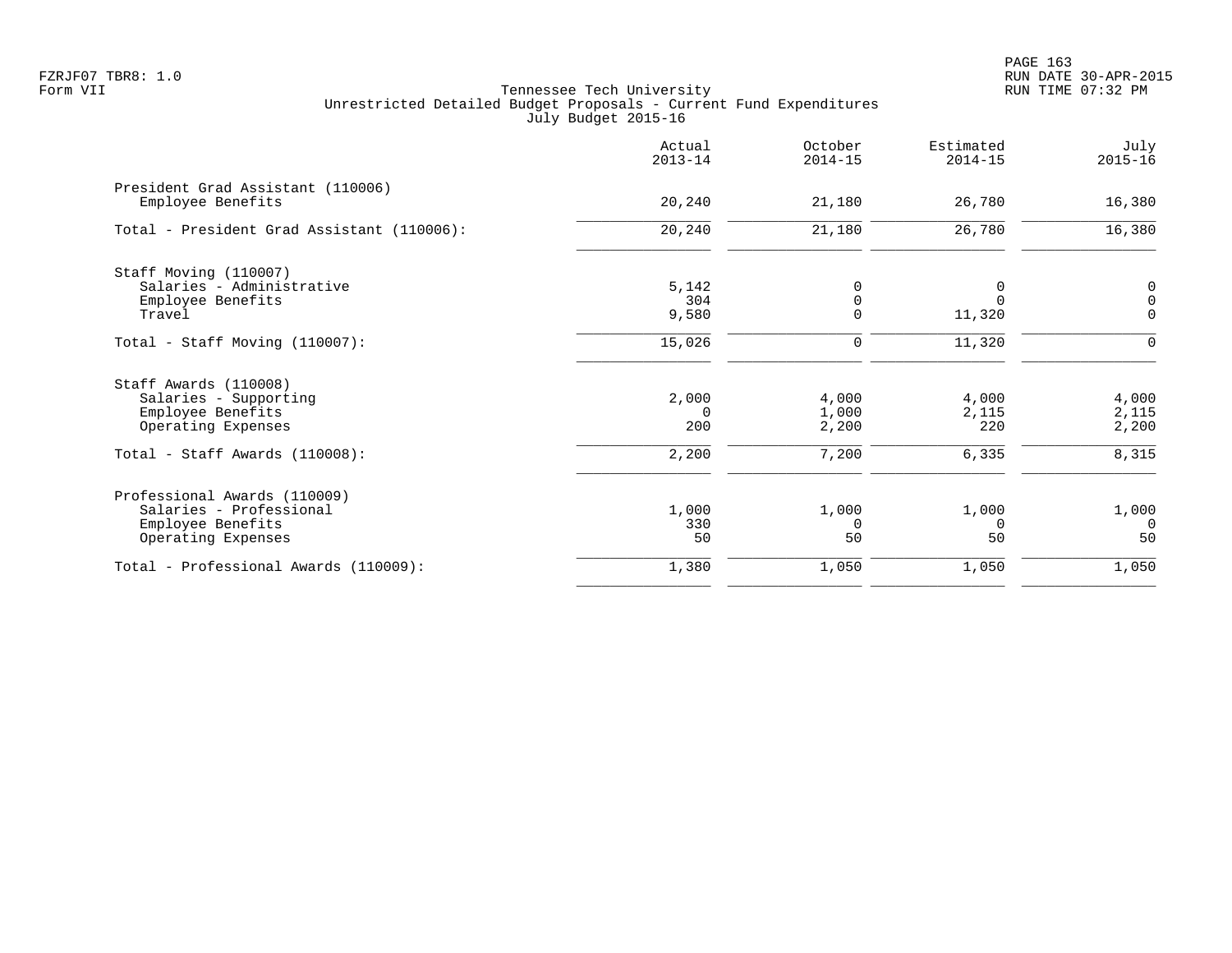|                                                        | Actual<br>$2013 - 14$ | October<br>$2014 - 15$ | Estimated<br>$2014 - 15$ | July<br>$2015 - 16$ |
|--------------------------------------------------------|-----------------------|------------------------|--------------------------|---------------------|
| President Grad Assistant (110006)<br>Employee Benefits | 20,240                | 21,180                 | 26,780                   | 16,380              |
| Total - President Grad Assistant (110006):             | 20,240                | 21,180                 | 26,780                   | 16,380              |
| Staff Moving (110007)                                  |                       |                        |                          |                     |
| Salaries - Administrative                              | 5,142                 | $\Omega$               |                          | $\mathsf 0$         |
| Employee Benefits                                      | 304                   | 0                      |                          | $\mathsf{O}\xspace$ |
| Travel                                                 | 9,580                 | $\mathbf 0$            | 11,320                   | $\mathbf 0$         |
| Total - Staff Moving $(110007)$ :                      | 15,026                | $\mathbf 0$            | 11,320                   | $\mathbf 0$         |
| Staff Awards (110008)                                  |                       |                        |                          |                     |
| Salaries - Supporting                                  | 2,000                 | 4,000                  | 4,000                    | 4,000               |
| Employee Benefits                                      | $\Omega$              | 1,000                  | 2,115                    | 2,115               |
| Operating Expenses                                     | 200                   | 2,200                  | 220                      | 2,200               |
| Total - Staff Awards (110008):                         | 2,200                 | 7,200                  | 6,335                    | 8,315               |
| Professional Awards (110009)                           |                       |                        |                          |                     |
| Salaries - Professional                                | 1,000                 | 1,000                  | 1,000                    | 1,000               |
| Employee Benefits                                      | 330                   | $\Omega$               | $\Omega$                 | $\Omega$            |
| Operating Expenses                                     | 50                    | 50                     | 50                       | 50                  |
| Total - Professional Awards (110009):                  | 1,380                 | 1,050                  | 1,050                    | 1,050               |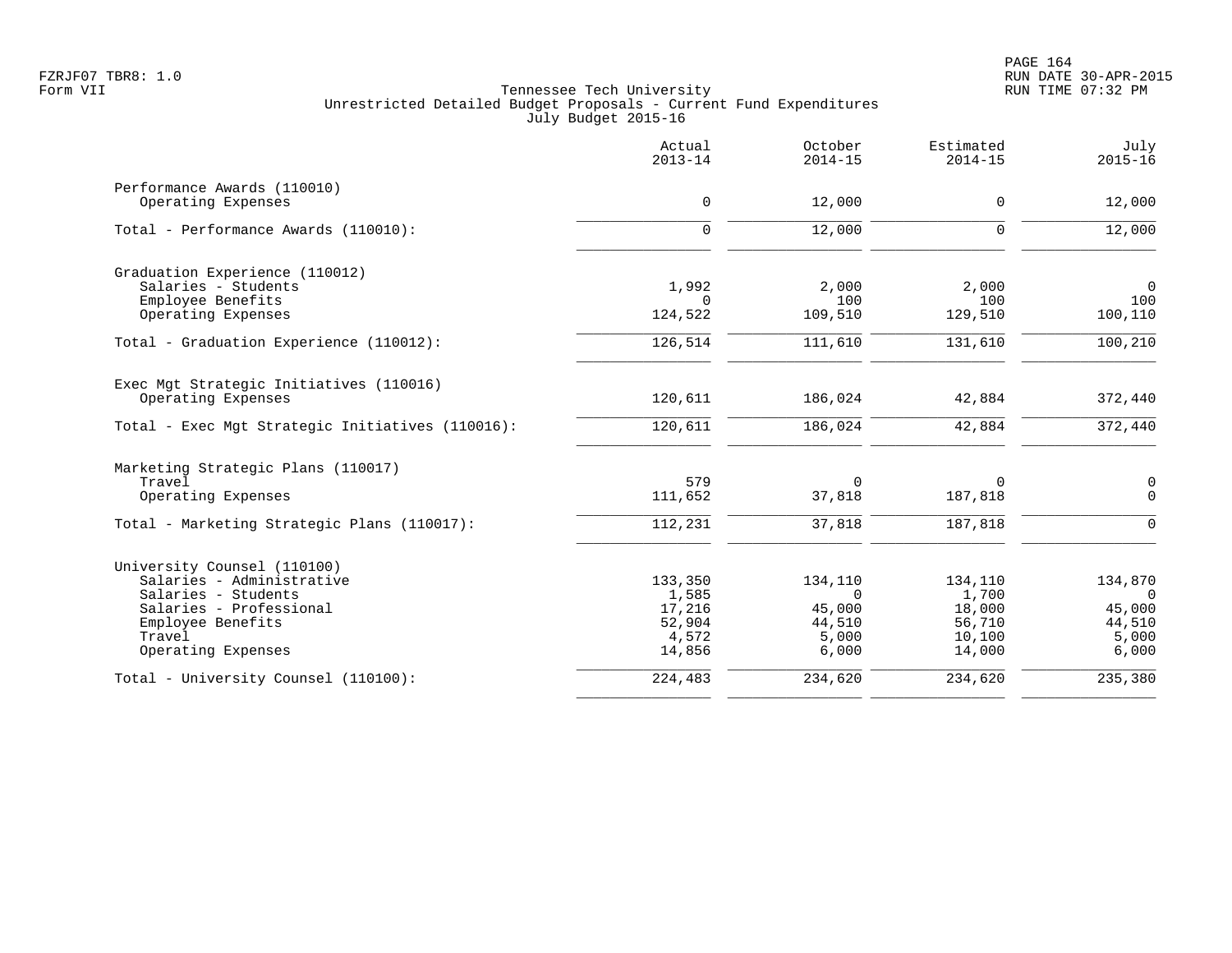| Actual<br>$2013 - 14$ | October<br>$2014 - 15$                                          | Estimated<br>$2014 - 15$                              | July<br>$2015 - 16$                               |
|-----------------------|-----------------------------------------------------------------|-------------------------------------------------------|---------------------------------------------------|
|                       |                                                                 |                                                       | 12,000                                            |
|                       |                                                                 |                                                       |                                                   |
| $\Omega$              | 12,000                                                          | $\Omega$                                              | 12,000                                            |
|                       |                                                                 |                                                       |                                                   |
| 1,992                 | 2,000                                                           | 2,000                                                 | $\mathbf 0$                                       |
|                       |                                                                 |                                                       | 100                                               |
|                       |                                                                 |                                                       | 100,110                                           |
| 126,514               | 111,610                                                         | 131,610                                               | 100,210                                           |
|                       |                                                                 |                                                       |                                                   |
| 120,611               | 186,024                                                         | 42,884                                                | 372,440                                           |
| 120,611               | 186,024                                                         | 42,884                                                | 372,440                                           |
|                       |                                                                 |                                                       |                                                   |
| 579                   | $\mathbf 0$                                                     | 0                                                     | $\mathsf 0$                                       |
| 111,652               | 37,818                                                          | 187,818                                               | $\overline{0}$                                    |
| 112,231               | 37,818                                                          | 187,818                                               | $\Omega$                                          |
|                       |                                                                 |                                                       |                                                   |
| 133,350               | 134,110                                                         | 134,110                                               | 134,870                                           |
| 1,585                 | $\Omega$                                                        | 1,700                                                 | $\Omega$                                          |
|                       |                                                                 |                                                       | 45,000                                            |
|                       |                                                                 |                                                       | 44,510                                            |
| 14,856                | 6,000                                                           | 14,000                                                | 5,000<br>6,000                                    |
| 224,483               | 234,620                                                         | 234,620                                               | 235,380                                           |
|                       | $\mathbf 0$<br>$\Omega$<br>124,522<br>17,216<br>52,904<br>4,572 | 12,000<br>100<br>109,510<br>45,000<br>44,510<br>5,000 | 0<br>100<br>129,510<br>18,000<br>56,710<br>10,100 |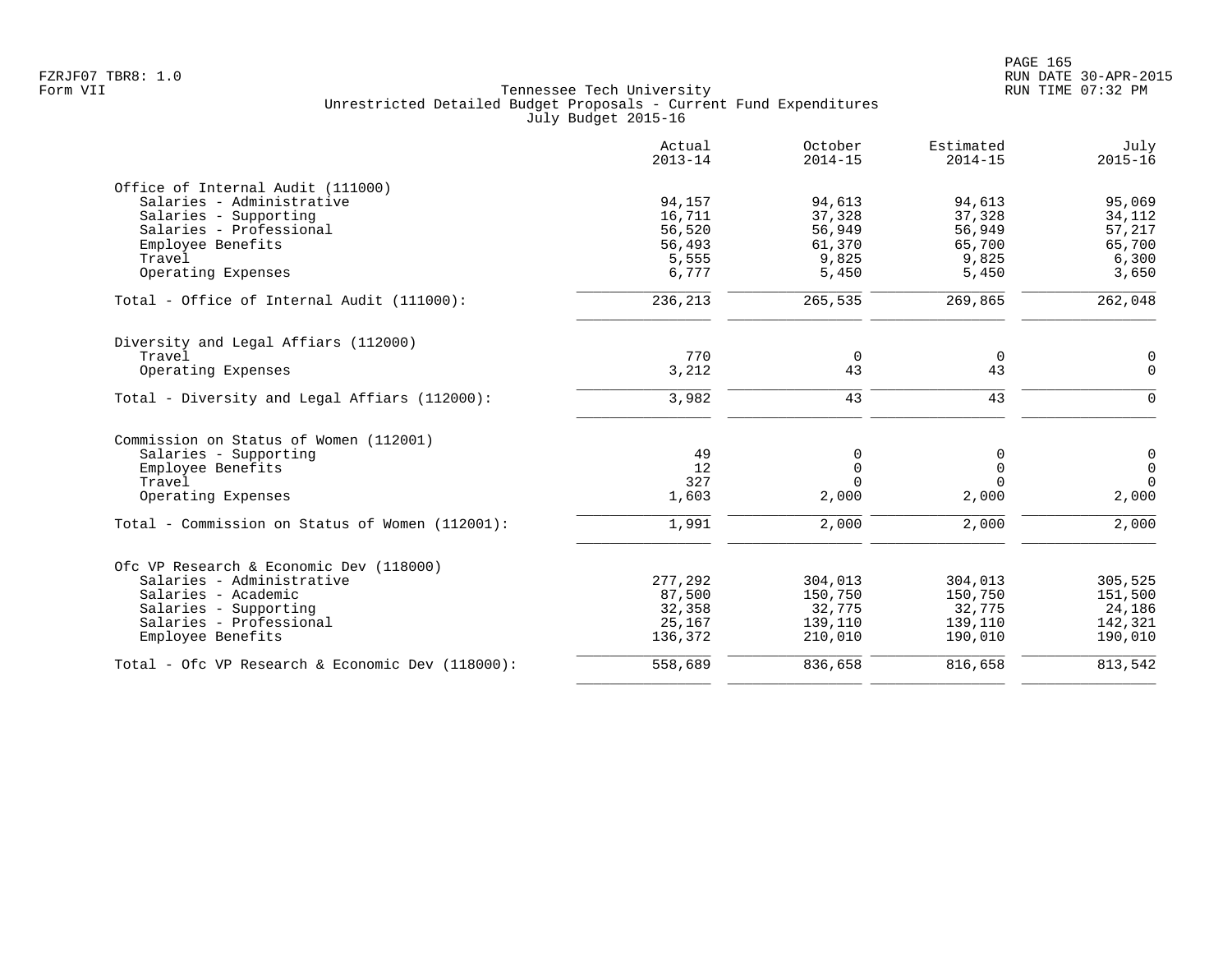|                                                                | Actual<br>$2013 - 14$ | October<br>$2014 - 15$ | Estimated<br>$2014 - 15$ | July<br>$2015 - 16$ |
|----------------------------------------------------------------|-----------------------|------------------------|--------------------------|---------------------|
| Office of Internal Audit (111000)<br>Salaries - Administrative | 94,157                | 94,613                 | 94,613                   | 95,069              |
| Salaries - Supporting                                          | 16,711                | 37,328                 | 37,328                   | 34,112              |
| Salaries - Professional                                        | 56,520                | 56,949                 | 56,949                   | 57,217              |
| Employee Benefits<br>Travel                                    | 56,493<br>5,555       | 61,370<br>9,825        | 65,700<br>9,825          | 65,700<br>6,300     |
| Operating Expenses                                             | 6,777                 | 5,450                  | 5,450                    | 3,650               |
| Total - Office of Internal Audit (111000):                     | 236,213               | 265,535                | 269,865                  | 262,048             |
| Diversity and Legal Affiars (112000)                           |                       |                        |                          |                     |
| Travel                                                         | 770                   | 0                      | $\mathbf 0$              | 0                   |
| Operating Expenses                                             | 3,212                 | 43                     | 43                       | $\Omega$            |
| Total - Diversity and Legal Affiars (112000):                  | 3,982                 | 43                     | 43                       | $\Omega$            |
| Commission on Status of Women (112001)                         |                       |                        |                          |                     |
| Salaries - Supporting                                          | 49                    | 0                      | 0                        | $\mathsf{O}$        |
| Employee Benefits                                              | 12                    | $\Omega$               | $\Omega$                 | $\mathbf 0$         |
| Travel                                                         | 327                   | $\Omega$               | $\Omega$                 | $\Omega$            |
| Operating Expenses                                             | 1,603                 | 2,000                  | 2,000                    | 2,000               |
| Total - Commission on Status of Women (112001):                | 1,991                 | 2,000                  | 2,000                    | 2,000               |
| Ofc VP Research & Economic Dev (118000)                        |                       |                        |                          |                     |
| Salaries - Administrative                                      | 277,292               | 304,013                | 304,013                  | 305,525             |
| Salaries - Academic                                            | 87,500                | 150,750                | 150,750                  | 151,500             |
| Salaries - Supporting                                          | 32,358                | 32,775                 | 32,775                   | 24,186              |
| Salaries - Professional                                        | 25,167                | 139,110                | 139,110                  | 142,321             |
| Employee Benefits                                              | 136,372               | 210,010                | 190,010                  | 190,010             |
| Total - Ofc VP Research & Economic Dev $(118000)$ :            | 558,689               | 836,658                | 816,658                  | 813,542             |
|                                                                |                       |                        |                          |                     |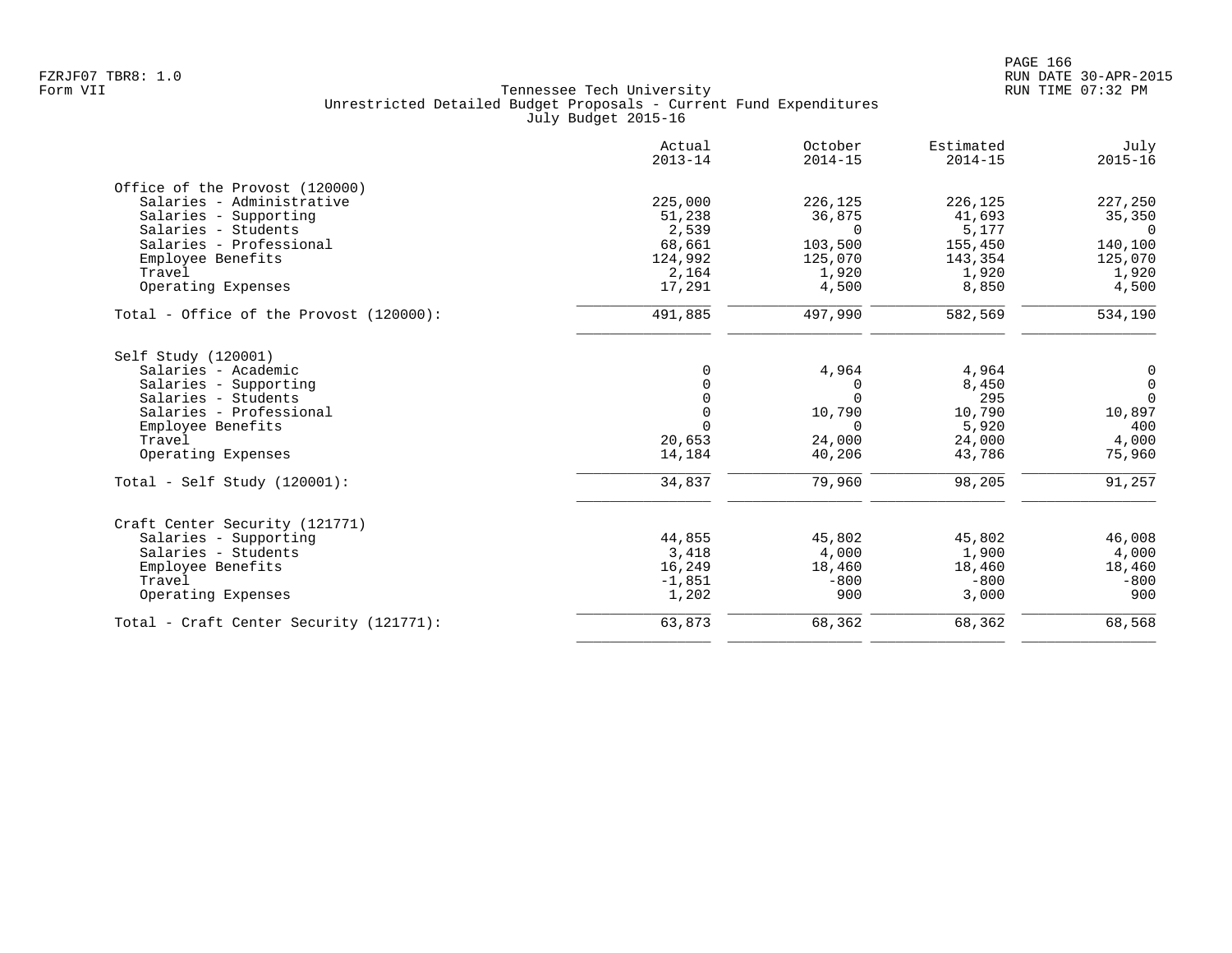|                                         | Actual<br>$2013 - 14$ | October<br>$2014 - 15$ | Estimated<br>$2014 - 15$ | July<br>$2015 - 16$ |
|-----------------------------------------|-----------------------|------------------------|--------------------------|---------------------|
| Office of the Provost (120000)          |                       |                        |                          |                     |
| Salaries - Administrative               | 225,000               | 226,125                | 226,125                  | 227,250             |
| Salaries - Supporting                   | 51,238                | 36,875                 | 41,693                   | 35,350              |
| Salaries - Students                     | 2,539                 | $\Omega$               | 5,177                    | $\Omega$            |
| Salaries - Professional                 | 68,661                | 103,500                | 155,450                  | 140,100             |
| Employee Benefits                       | 124,992               | 125,070                | 143,354                  | 125,070             |
| Travel                                  | 2,164                 | 1,920                  | 1,920                    | 1,920               |
| Operating Expenses                      | 17,291                | 4,500                  | 8,850                    | 4,500               |
| Total - Office of the Provost (120000): | 491,885               | 497,990                | 582,569                  | 534,190             |
| Self Study (120001)                     |                       |                        |                          |                     |
| Salaries - Academic                     | $\Omega$              | 4,964                  | 4,964                    | 0                   |
| Salaries - Supporting                   | $\Omega$              | $\Omega$               | 8,450                    | $\overline{0}$      |
| Salaries - Students                     | $\mathbf 0$           | $\Omega$               | 295                      | $\Omega$            |
| Salaries - Professional                 | $\mathbf 0$           | 10,790                 | 10,790                   | 10,897              |
| Employee Benefits                       | $\Omega$              | $\Omega$               | 5,920                    | 400                 |
| Travel                                  | 20,653                | 24,000                 | 24,000                   | 4,000               |
| Operating Expenses                      | 14,184                | 40,206                 | 43,786                   | 75,960              |
| Total - Self Study $(120001)$ :         | 34,837                | 79,960                 | 98,205                   | 91,257              |
| Craft Center Security (121771)          |                       |                        |                          |                     |
| Salaries - Supporting                   | 44,855                | 45,802                 | 45,802                   | 46,008              |
| Salaries - Students                     | 3,418                 | 4,000                  | 1,900                    | 4,000               |
| Employee Benefits                       | 16,249                | 18,460                 | 18,460                   | 18,460              |
| Travel                                  | $-1,851$              | $-800$                 | $-800$                   | $-800$              |
| Operating Expenses                      | 1,202                 | 900                    | 3,000                    | 900                 |
| Total - Craft Center Security (121771): | 63,873                | 68,362                 | 68,362                   | 68,568              |
|                                         |                       |                        |                          |                     |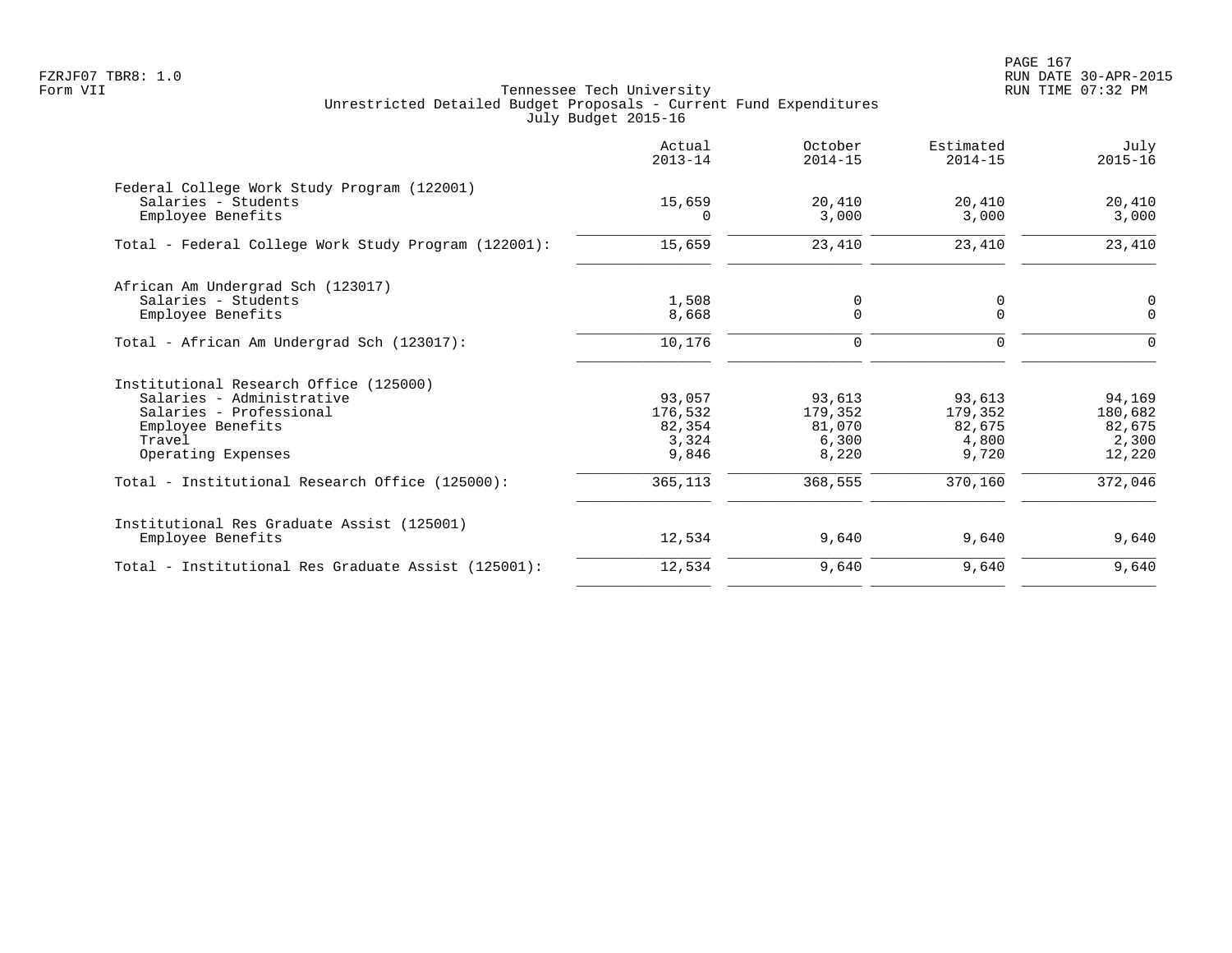PAGE 167 FZRJF07 TBR8: 1.0 RUN DATE 30-APR-2015

|                                                      | Actual<br>$2013 - 14$ | October<br>$2014 - 15$ | Estimated<br>$2014 - 15$ | July<br>$2015 - 16$ |
|------------------------------------------------------|-----------------------|------------------------|--------------------------|---------------------|
| Federal College Work Study Program (122001)          |                       |                        |                          |                     |
| Salaries - Students<br>Employee Benefits             | 15,659<br>$\Omega$    | 20,410<br>3,000        | 20,410<br>3,000          | 20,410<br>3,000     |
| Total - Federal College Work Study Program (122001): | 15,659                | 23,410                 | 23,410                   | 23,410              |
| African Am Undergrad Sch (123017)                    |                       |                        |                          |                     |
| Salaries - Students                                  | 1,508                 | 0                      | 0                        | 0                   |
| Employee Benefits                                    | 8,668                 | $\mathbf 0$            | $\mathbf 0$              | $\mathbf 0$         |
| Total - African Am Undergrad Sch (123017):           | 10,176                | $\mathbf 0$            | $\Omega$                 | $\Omega$            |
| Institutional Research Office (125000)               |                       |                        |                          |                     |
| Salaries - Administrative                            | 93,057                | 93,613                 | 93,613                   | 94,169              |
| Salaries - Professional                              | 176,532               | 179,352                | 179,352                  | 180,682             |
| Employee Benefits                                    | 82,354                | 81,070                 | 82,675                   | 82,675              |
| Travel                                               | 3,324                 | 6,300                  | 4,800                    | 2,300               |
| Operating Expenses                                   | 9,846                 | 8,220                  | 9,720                    | 12,220              |
| Total - Institutional Research Office (125000):      | 365,113               | 368,555                | 370,160                  | 372,046             |
| Institutional Res Graduate Assist (125001)           |                       |                        |                          |                     |
| Employee Benefits                                    | 12,534                | 9,640                  | 9,640                    | 9,640               |
| Total - Institutional Res Graduate Assist (125001):  | 12,534                | 9,640                  | 9,640                    | 9,640               |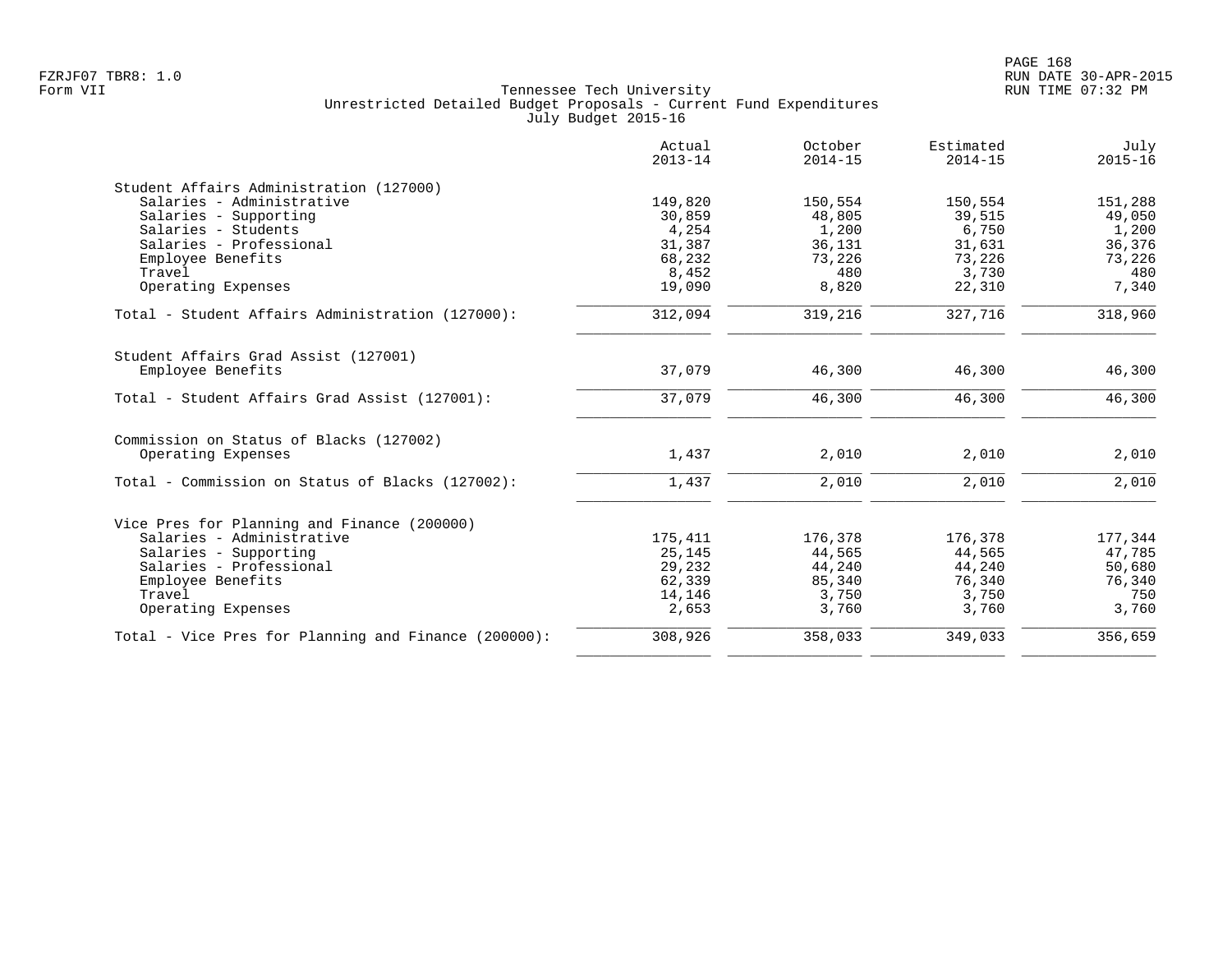|                                                      | Actual<br>$2013 - 14$ | October<br>$2014 - 15$ | Estimated<br>$2014 - 15$ | July<br>$2015 - 16$ |
|------------------------------------------------------|-----------------------|------------------------|--------------------------|---------------------|
| Student Affairs Administration (127000)              |                       |                        |                          |                     |
| Salaries - Administrative                            | 149,820               | 150,554                | 150,554                  | 151,288             |
| Salaries - Supporting                                | 30,859                | 48,805                 | 39,515                   | 49,050              |
| Salaries - Students                                  | 4,254                 | 1,200                  | 6,750                    | 1,200               |
| Salaries - Professional                              | 31,387                | 36,131                 | 31,631                   | 36,376              |
| Employee Benefits                                    | 68,232                | 73,226                 | 73,226                   | 73,226              |
| Travel<br>Operating Expenses                         | 8,452<br>19,090       | 480<br>8,820           | 3,730<br>22,310          | 480<br>7,340        |
|                                                      |                       |                        |                          |                     |
| Total - Student Affairs Administration (127000):     | 312,094               | 319,216                | 327,716                  | 318,960             |
| Student Affairs Grad Assist (127001)                 |                       |                        |                          |                     |
| Employee Benefits                                    | 37,079                | 46,300                 | 46,300                   | 46,300              |
| Total - Student Affairs Grad Assist (127001):        | 37,079                | 46,300                 | 46,300                   | 46,300              |
| Commission on Status of Blacks (127002)              |                       |                        |                          |                     |
| Operating Expenses                                   | 1,437                 | 2,010                  | 2,010                    | 2,010               |
| Total - Commission on Status of Blacks (127002):     | 1,437                 | 2,010                  | 2,010                    | 2,010               |
| Vice Pres for Planning and Finance (200000)          |                       |                        |                          |                     |
| Salaries - Administrative                            | 175,411               | 176,378                | 176,378                  | 177,344             |
| Salaries - Supporting                                | 25,145                | 44,565                 | 44,565                   | 47,785              |
| Salaries - Professional                              | 29,232                | 44,240                 | 44,240                   | 50,680              |
| Employee Benefits                                    | 62,339                | 85,340                 | 76,340                   | 76,340              |
| Travel                                               | 14,146                | 3,750                  | 3,750                    | 750                 |
| Operating Expenses                                   | 2,653                 | 3,760                  | 3,760                    | 3,760               |
| Total - Vice Pres for Planning and Finance (200000): | 308,926               | 358,033                | 349,033                  | 356,659             |
|                                                      |                       |                        |                          |                     |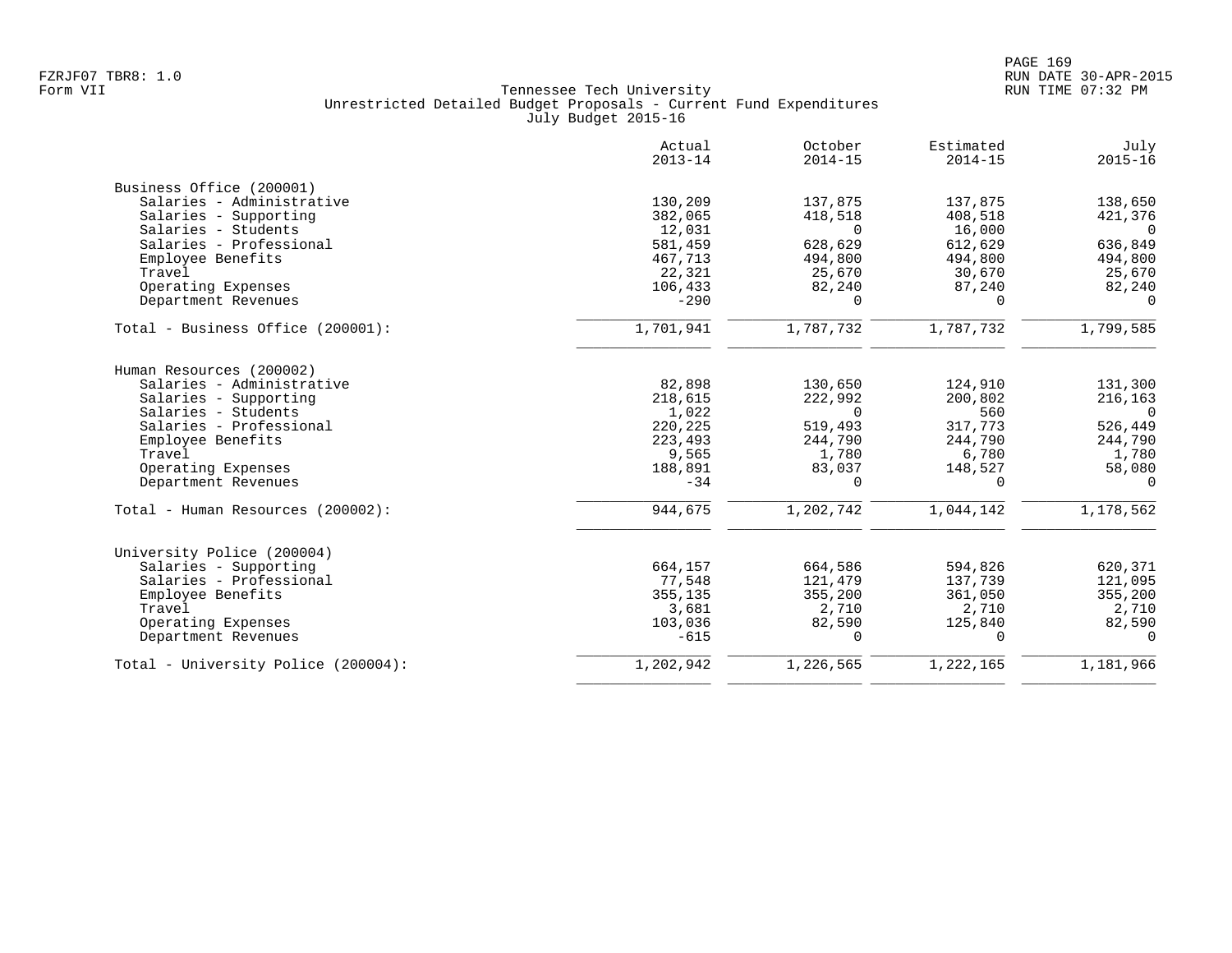|                                     | Actual<br>$2013 - 14$ | October<br>$2014 - 15$ | Estimated<br>$2014 - 15$ | July<br>$2015 - 16$ |
|-------------------------------------|-----------------------|------------------------|--------------------------|---------------------|
| Business Office (200001)            |                       |                        |                          |                     |
| Salaries - Administrative           | 130,209               | 137,875                | 137,875                  | 138,650             |
| Salaries - Supporting               | 382,065               | 418,518                | 408,518                  | 421,376             |
| Salaries - Students                 | 12,031                | $\Omega$               | 16,000                   | $\bigcap$           |
| Salaries - Professional             | 581,459               | 628,629                | 612,629                  | 636,849             |
| Employee Benefits                   | 467,713               | 494,800                | 494,800                  | 494,800             |
| Travel                              | 22,321                | 25,670                 | 30,670                   | 25,670              |
| Operating Expenses                  | 106,433               | 82,240                 | 87,240                   | 82,240              |
| Department Revenues                 | $-290$                | $\Omega$               | $\Omega$                 | $\Omega$            |
|                                     |                       |                        |                          |                     |
| Total - Business Office (200001):   | 1,701,941             | 1,787,732              | 1,787,732                | 1,799,585           |
| Human Resources (200002)            |                       |                        |                          |                     |
| Salaries - Administrative           | 82,898                | 130,650                | 124,910                  | 131,300             |
| Salaries - Supporting               | 218,615               | 222,992                | 200,802                  | 216,163             |
| Salaries - Students                 | 1,022                 | $\Omega$               | 560                      | $\overline{0}$      |
| Salaries - Professional             | 220,225               | 519,493                | 317,773                  | 526,449             |
| Employee Benefits                   | 223,493               | 244,790                | 244,790                  | 244,790             |
| Travel                              | 9,565                 | 1,780                  | 6,780                    | 1,780               |
| Operating Expenses                  | 188,891               | 83,037                 | 148,527                  | 58,080              |
| Department Revenues                 | $-34$                 | $\Omega$               | $\Omega$                 | $\Omega$            |
| Total - Human Resources (200002):   | 944,675               | 1,202,742              | 1,044,142                | 1,178,562           |
| University Police (200004)          |                       |                        |                          |                     |
| Salaries - Supporting               | 664,157               | 664,586                | 594,826                  | 620,371             |
| Salaries - Professional             | 77,548                | 121,479                | 137,739                  | 121,095             |
| Employee Benefits                   | 355,135               | 355,200                | 361,050                  | 355,200             |
| Travel                              | 3,681                 | 2,710                  | 2,710                    | 2,710               |
| Operating Expenses                  | 103,036               | 82,590                 | 125,840                  | 82,590              |
| Department Revenues                 | $-615$                | $\Omega$               | $\Omega$                 | $\Omega$            |
| Total - University Police (200004): | 1,202,942             | 1,226,565              | 1,222,165                | 1,181,966           |
|                                     |                       |                        |                          |                     |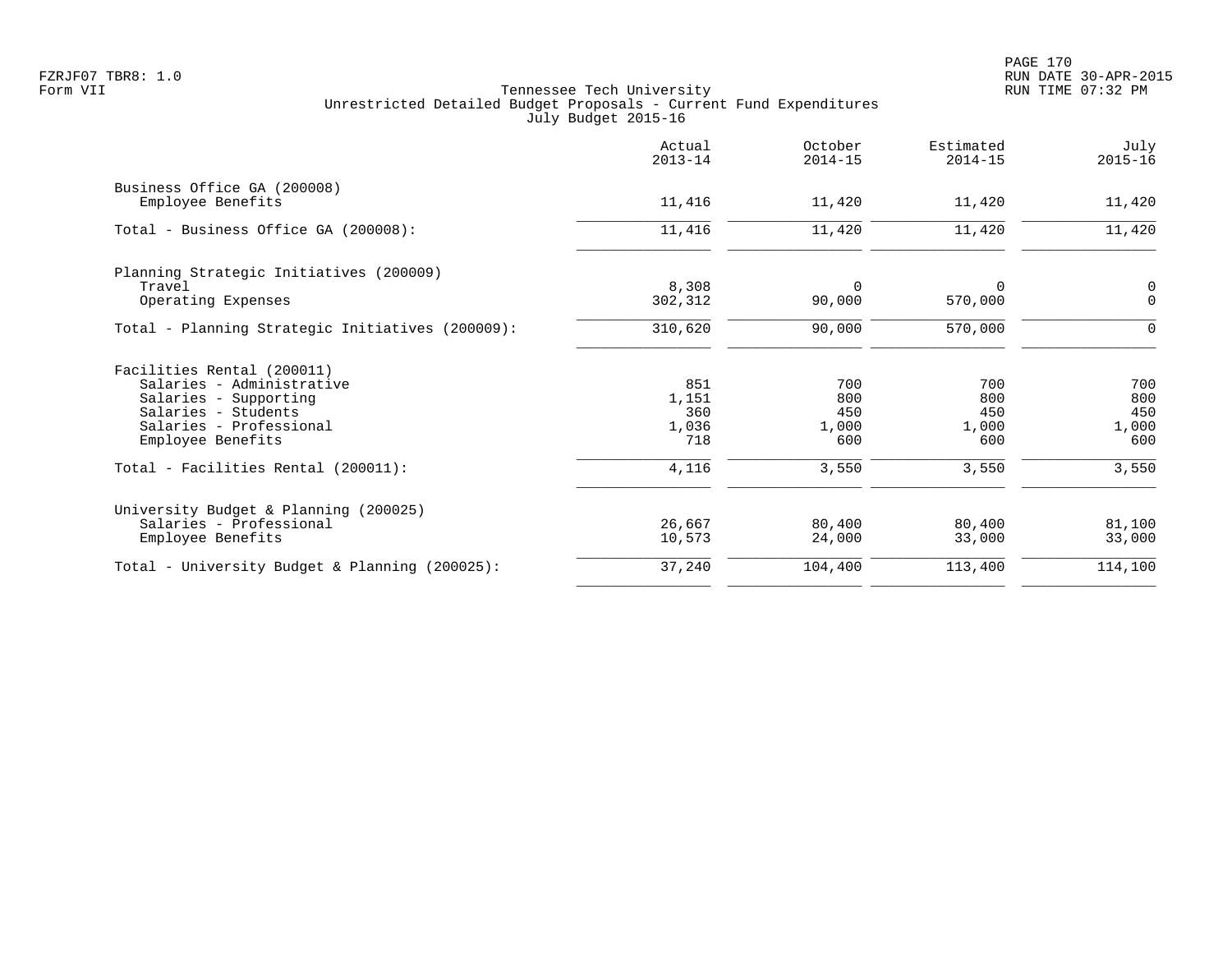|                                                                                                                                                         | Actual<br>$2013 - 14$               | October<br>$2014 - 15$            | Estimated<br>$2014 - 15$          | July<br>$2015 - 16$               |
|---------------------------------------------------------------------------------------------------------------------------------------------------------|-------------------------------------|-----------------------------------|-----------------------------------|-----------------------------------|
| Business Office GA (200008)<br>Employee Benefits                                                                                                        | 11,416                              | 11,420                            | 11,420                            | 11,420                            |
| Total - Business Office GA (200008):                                                                                                                    | 11,416                              | 11,420                            | 11,420                            | 11,420                            |
| Planning Strategic Initiatives (200009)<br>Travel<br>Operating Expenses                                                                                 | 8,308<br>302,312                    | 0<br>90,000                       | 0<br>570,000                      | $\mathbf 0$<br>$\mathbf 0$        |
| Total - Planning Strategic Initiatives (200009):                                                                                                        | 310,620                             | 90,000                            | 570,000                           | 0                                 |
| Facilities Rental (200011)<br>Salaries - Administrative<br>Salaries - Supporting<br>Salaries - Students<br>Salaries - Professional<br>Employee Benefits | 851<br>1,151<br>360<br>1,036<br>718 | 700<br>800<br>450<br>1,000<br>600 | 700<br>800<br>450<br>1,000<br>600 | 700<br>800<br>450<br>1,000<br>600 |
| Total - Facilities Rental (200011):                                                                                                                     | 4,116                               | 3,550                             | 3,550                             | 3,550                             |
| University Budget & Planning (200025)<br>Salaries - Professional<br>Employee Benefits                                                                   | 26,667<br>10,573                    | 80,400<br>24,000                  | 80,400<br>33,000                  | 81,100<br>33,000                  |
| Total - University Budget & Planning (200025):                                                                                                          | 37,240                              | 104,400                           | 113,400                           | 114,100                           |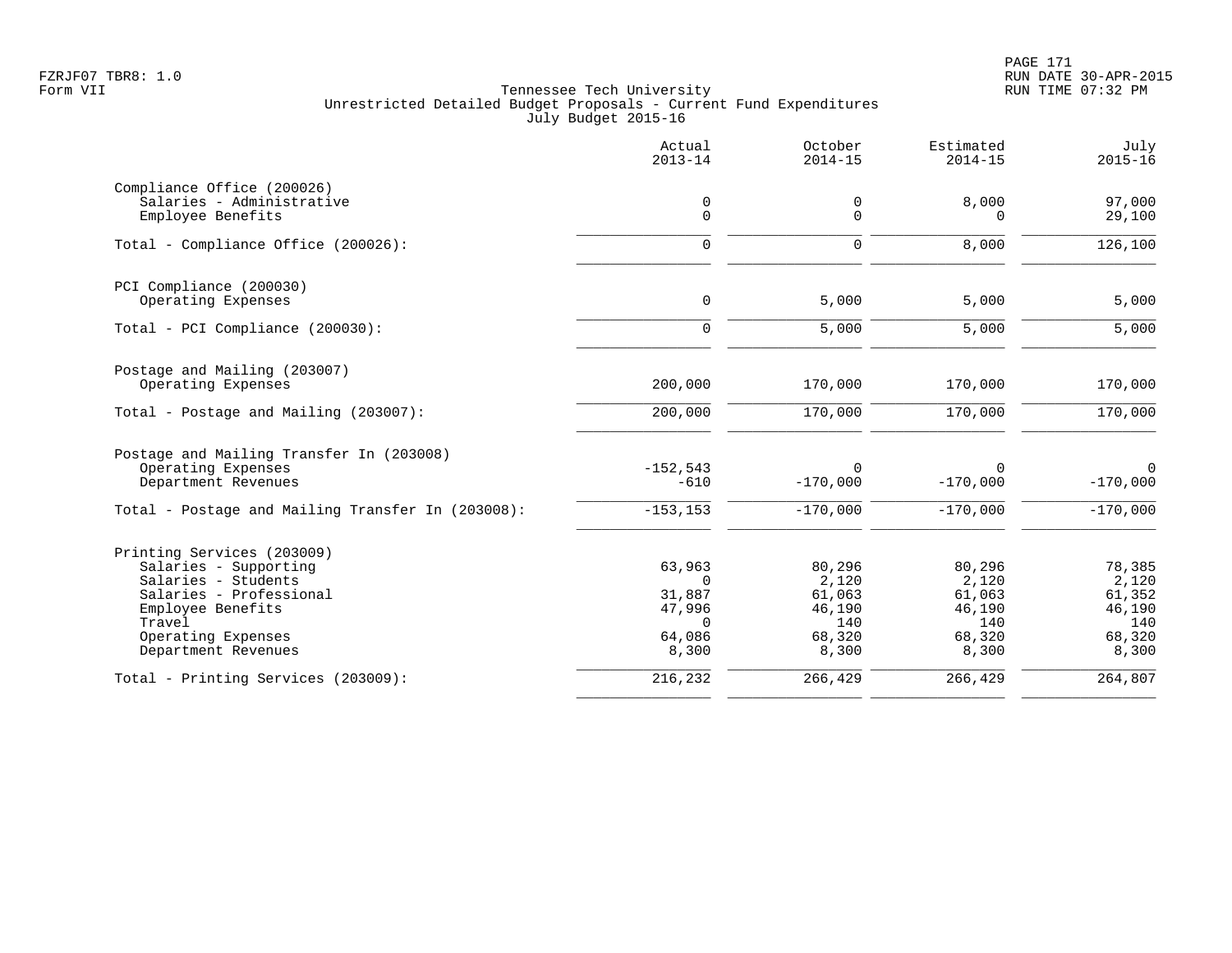|                                                   | Actual<br>$2013 - 14$ | October<br>$2014 - 15$ | Estimated<br>$2014 - 15$ | July<br>$2015 - 16$       |
|---------------------------------------------------|-----------------------|------------------------|--------------------------|---------------------------|
| Compliance Office (200026)                        |                       |                        |                          |                           |
| Salaries - Administrative<br>Employee Benefits    | 0<br>$\mathbf 0$      | 0<br>0                 | 8,000<br>$\Omega$        | 97,000<br>29,100          |
| Total - Compliance Office (200026):               | $\mathbf 0$           | $\mathbf 0$            | 8,000                    | 126,100                   |
| PCI Compliance (200030)                           |                       |                        |                          |                           |
| Operating Expenses                                | $\mathbf 0$           | 5,000                  | 5,000                    | 5,000                     |
| Total - PCI Compliance (200030):                  | $\Omega$              | 5,000                  | 5,000                    | 5,000                     |
| Postage and Mailing (203007)                      |                       |                        |                          |                           |
| Operating Expenses                                | 200,000               | 170,000                | 170,000                  | 170,000                   |
| Total - Postage and Mailing (203007):             | 200,000               | 170,000                | 170,000                  | 170,000                   |
| Postage and Mailing Transfer In (203008)          |                       |                        |                          |                           |
| Operating Expenses<br>Department Revenues         | $-152,543$<br>$-610$  | $\Omega$<br>$-170,000$ | $\Omega$<br>$-170,000$   | $\mathbf 0$<br>$-170,000$ |
| Total - Postage and Mailing Transfer In (203008): | $-153, 153$           | $-170,000$             | $-170,000$               | $-170,000$                |
| Printing Services (203009)                        |                       |                        |                          |                           |
| Salaries - Supporting                             | 63,963                | 80,296                 | 80,296                   | 78,385                    |
| Salaries - Students<br>Salaries - Professional    | $\Omega$<br>31,887    | 2,120<br>61,063        | 2,120<br>61,063          | 2,120<br>61,352           |
| Employee Benefits                                 | 47,996                | 46,190                 | 46,190                   | 46,190                    |
| Travel                                            | $\Omega$              | 140                    | 140                      | 140                       |
| Operating Expenses                                | 64,086                | 68,320                 | 68,320                   | 68,320                    |
| Department Revenues                               | 8,300                 | 8,300                  | 8,300                    | 8,300                     |
| Total - Printing Services (203009):               | 216,232               | 266,429                | 266,429                  | 264,807                   |
|                                                   |                       |                        |                          |                           |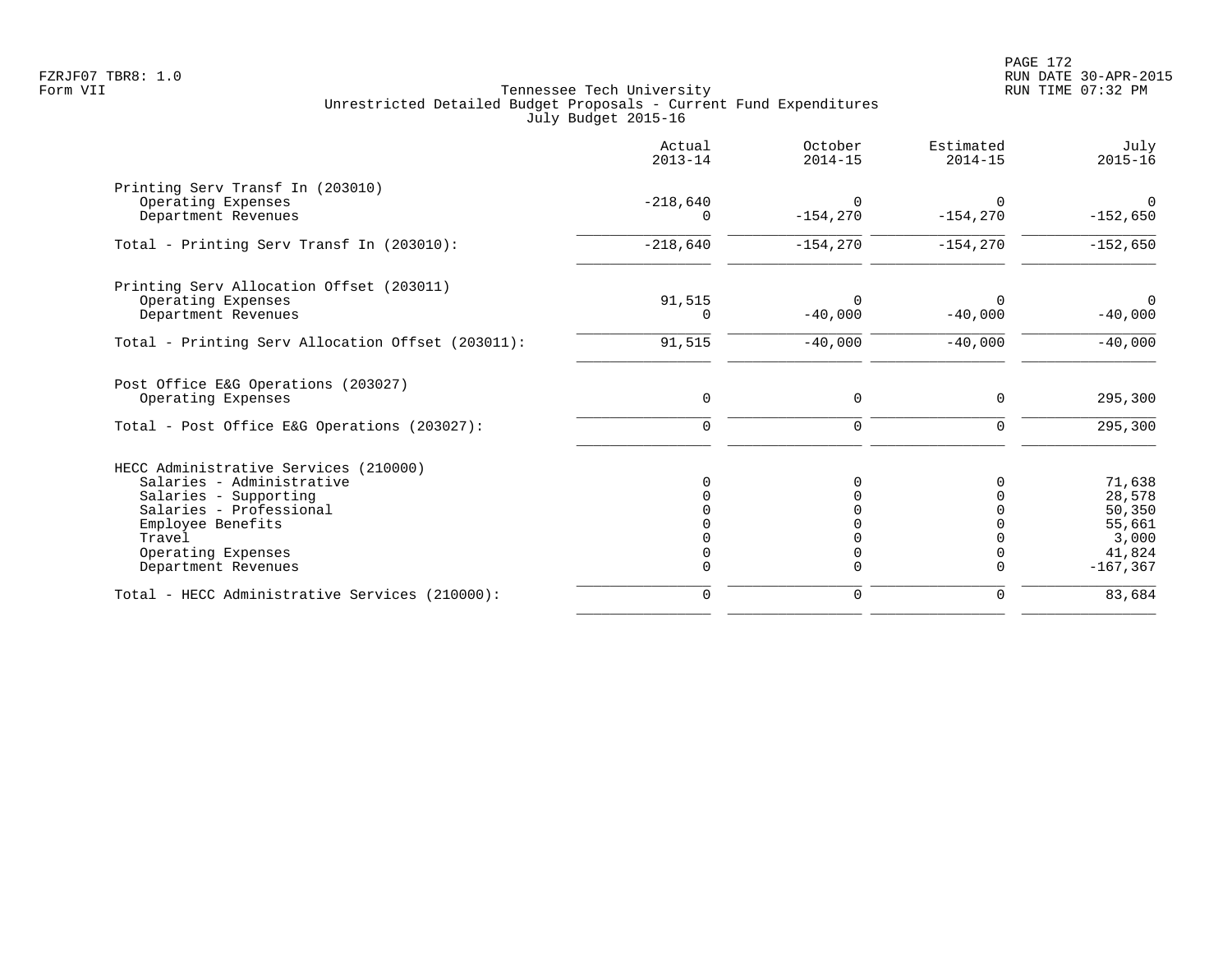|                                                   | Actual<br>$2013 - 14$ | October<br>$2014 - 15$ | Estimated<br>$2014 - 15$ | July<br>$2015 - 16$ |
|---------------------------------------------------|-----------------------|------------------------|--------------------------|---------------------|
| Printing Serv Transf In (203010)                  |                       |                        |                          |                     |
| Operating Expenses                                | $-218,640$            | $\Omega$               |                          | $\Omega$            |
| Department Revenues                               | $\Omega$              | $-154, 270$            | $-154,270$               | $-152,650$          |
| Total - Printing Serv Transf In (203010):         | $-218,640$            | $-154,270$             | $-154,270$               | $-152,650$          |
| Printing Serv Allocation Offset (203011)          |                       |                        |                          |                     |
| Operating Expenses                                | 91,515                | $\Omega$               |                          | $\Omega$            |
| Department Revenues                               | 0                     | $-40,000$              | $-40,000$                | $-40,000$           |
| Total - Printing Serv Allocation Offset (203011): | 91,515                | $-40,000$              | $-40,000$                | $-40,000$           |
| Post Office E&G Operations (203027)               |                       |                        |                          |                     |
| Operating Expenses                                | $\mathbf 0$           | 0                      | 0                        | 295,300             |
| Total - Post Office E&G Operations (203027):      | $\mathbf 0$           | 0                      | 0                        | 295,300             |
| HECC Administrative Services (210000)             |                       |                        |                          |                     |
| Salaries - Administrative                         |                       |                        | O                        | 71,638              |
| Salaries - Supporting                             |                       |                        |                          | 28,578              |
| Salaries - Professional                           |                       |                        |                          | 50,350              |
| Employee Benefits                                 |                       |                        |                          | 55,661              |
| Travel                                            |                       |                        |                          | 3,000               |
| Operating Expenses                                |                       |                        | 0                        | 41,824              |
| Department Revenues                               |                       | U                      | $\Omega$                 | $-167, 367$         |
| Total - HECC Administrative Services (210000):    | $\mathbf 0$           | 0                      | 0                        | 83,684              |
|                                                   |                       |                        |                          |                     |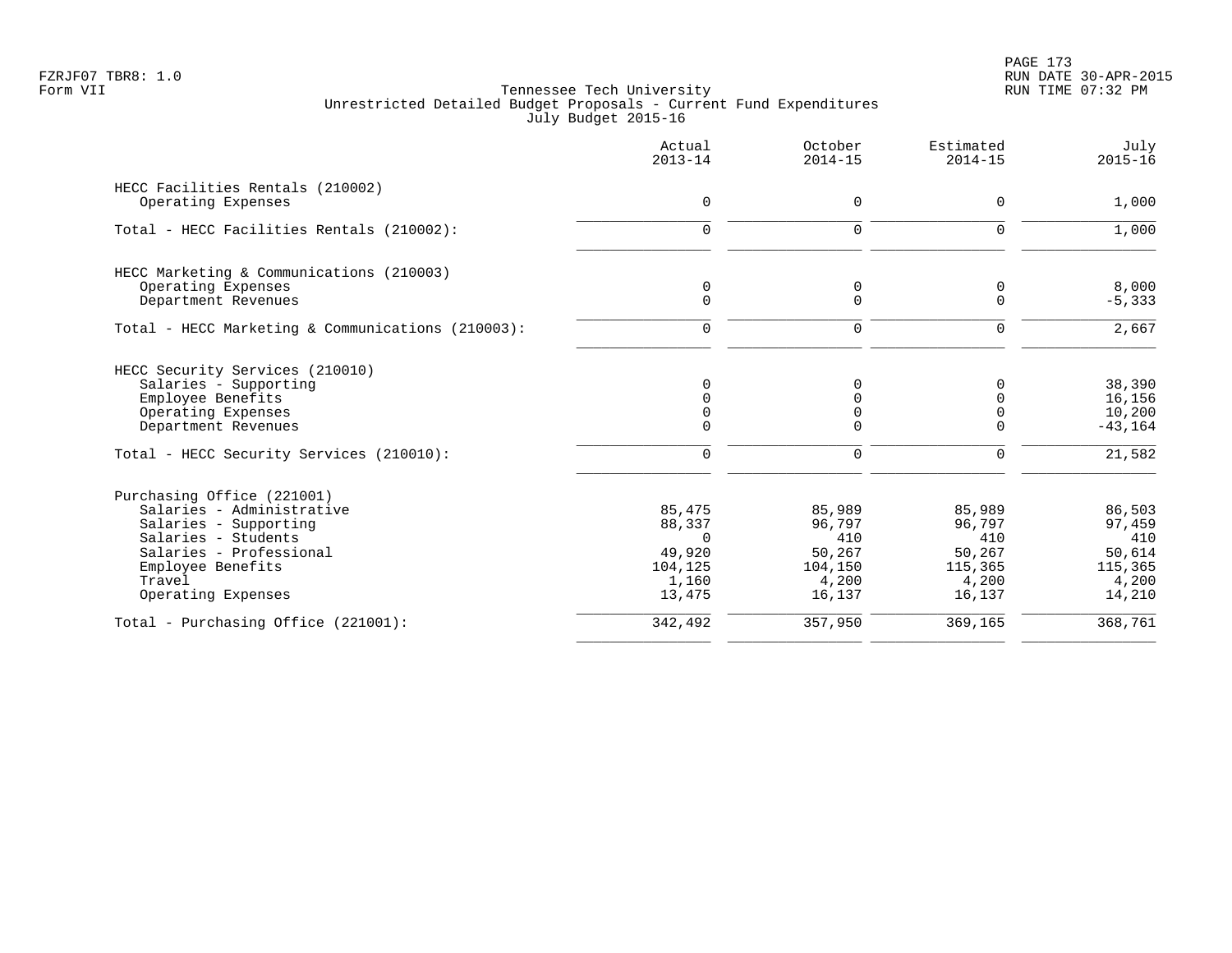|                                                                                                                                                                                         | Actual<br>$2013 - 14$                                                | October<br>$2014 - 15$                                          | Estimated<br>$2014 - 15$                                        | July<br>$2015 - 16$                                             |
|-----------------------------------------------------------------------------------------------------------------------------------------------------------------------------------------|----------------------------------------------------------------------|-----------------------------------------------------------------|-----------------------------------------------------------------|-----------------------------------------------------------------|
| HECC Facilities Rentals (210002)<br>Operating Expenses                                                                                                                                  | $\mathsf{O}$                                                         | 0                                                               | $\mathbf 0$                                                     | 1,000                                                           |
| Total - HECC Facilities Rentals (210002):                                                                                                                                               | $\mathbf 0$                                                          | 0                                                               | $\mathbf 0$                                                     | 1,000                                                           |
| HECC Marketing & Communications (210003)<br>Operating Expenses<br>Department Revenues                                                                                                   | 0<br>$\Omega$                                                        | 0<br>$\Omega$                                                   | 0<br>$\Omega$                                                   | 8,000<br>$-5, 333$                                              |
| Total - HECC Marketing & Communications (210003):                                                                                                                                       | $\mathbf 0$                                                          | $\mathbf 0$                                                     | 0                                                               | 2,667                                                           |
| HECC Security Services (210010)<br>Salaries - Supporting<br>Employee Benefits<br>Operating Expenses<br>Department Revenues<br>Total - HECC Security Services (210010):                  | $\Omega$<br>$\Omega$<br>$\mathbf 0$                                  | 0<br>0<br>0<br>0<br>0                                           | 0<br>0<br>$\mathbf 0$<br>$\mathbf 0$<br>$\Omega$                | 38,390<br>16,156<br>10,200<br>$-43, 164$<br>21,582              |
| Purchasing Office (221001)<br>Salaries - Administrative<br>Salaries - Supporting<br>Salaries - Students<br>Salaries - Professional<br>Employee Benefits<br>Travel<br>Operating Expenses | 85,475<br>88,337<br>$\Omega$<br>49,920<br>104,125<br>1,160<br>13,475 | 85,989<br>96,797<br>410<br>50,267<br>104,150<br>4,200<br>16,137 | 85,989<br>96,797<br>410<br>50,267<br>115,365<br>4,200<br>16,137 | 86,503<br>97,459<br>410<br>50,614<br>115,365<br>4,200<br>14,210 |
| Total - Purchasing Office (221001):                                                                                                                                                     | 342,492                                                              | 357,950                                                         | 369,165                                                         | 368,761                                                         |
|                                                                                                                                                                                         |                                                                      |                                                                 |                                                                 |                                                                 |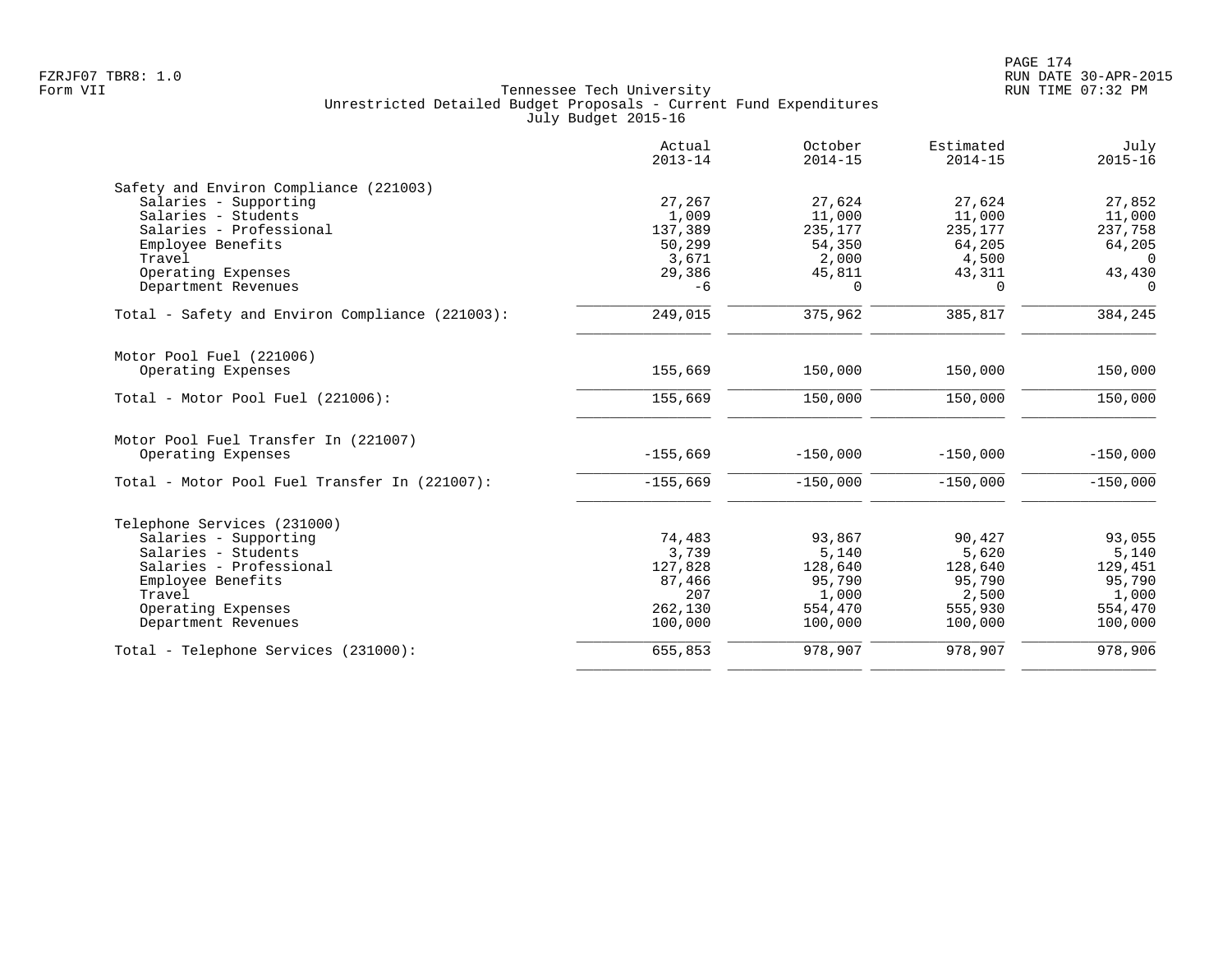|                                                 | Actual<br>$2013 - 14$ | October<br>$2014 - 15$ | Estimated<br>$2014 - 15$ | July<br>$2015 - 16$ |
|-------------------------------------------------|-----------------------|------------------------|--------------------------|---------------------|
| Safety and Environ Compliance (221003)          |                       |                        |                          |                     |
| Salaries - Supporting                           | 27,267                | 27,624                 | 27,624                   | 27,852              |
| Salaries - Students                             | 1,009                 | 11,000                 | 11,000                   | 11,000              |
| Salaries - Professional                         | 137,389               | 235,177                | 235,177                  | 237,758             |
| Employee Benefits                               | 50,299                | 54,350                 | 64,205                   | 64,205              |
| Travel                                          | 3,671                 | 2,000                  | 4,500                    | $\Omega$            |
| Operating Expenses<br>Department Revenues       | 29,386<br>$-6$        | 45,811<br>$\Omega$     | 43,311<br>$\Omega$       | 43,430<br>$\Omega$  |
|                                                 |                       |                        |                          |                     |
| Total - Safety and Environ Compliance (221003): | 249,015               | 375,962                | 385,817                  | 384,245             |
| Motor Pool Fuel (221006)                        |                       |                        |                          |                     |
| Operating Expenses                              | 155,669               | 150,000                | 150,000                  | 150,000             |
| Total - Motor Pool Fuel (221006):               | 155,669               | 150,000                | 150,000                  | 150,000             |
| Motor Pool Fuel Transfer In (221007)            |                       |                        |                          |                     |
| Operating Expenses                              | $-155,669$            | $-150,000$             | $-150,000$               | $-150,000$          |
| Total - Motor Pool Fuel Transfer In (221007):   | $-155,669$            | $-150,000$             | $-150,000$               | $-150,000$          |
| Telephone Services (231000)                     |                       |                        |                          |                     |
| Salaries - Supporting                           | 74,483                | 93,867                 | 90,427                   | 93,055              |
| Salaries - Students                             | 3,739                 | 5,140                  | 5,620                    | 5,140               |
| Salaries - Professional                         | 127,828               | 128,640                | 128,640                  | 129,451             |
| Employee Benefits                               | 87,466                | 95,790                 | 95,790                   | 95,790              |
| Travel                                          | 207                   | 1,000                  | 2,500                    | 1,000               |
| Operating Expenses                              | 262,130               | 554,470                | 555,930                  | 554,470             |
| Department Revenues                             | 100,000               | 100,000                | 100,000                  | 100,000             |
| Total - Telephone Services (231000):            | 655,853               | 978,907                | 978,907                  | 978,906             |
|                                                 |                       |                        |                          |                     |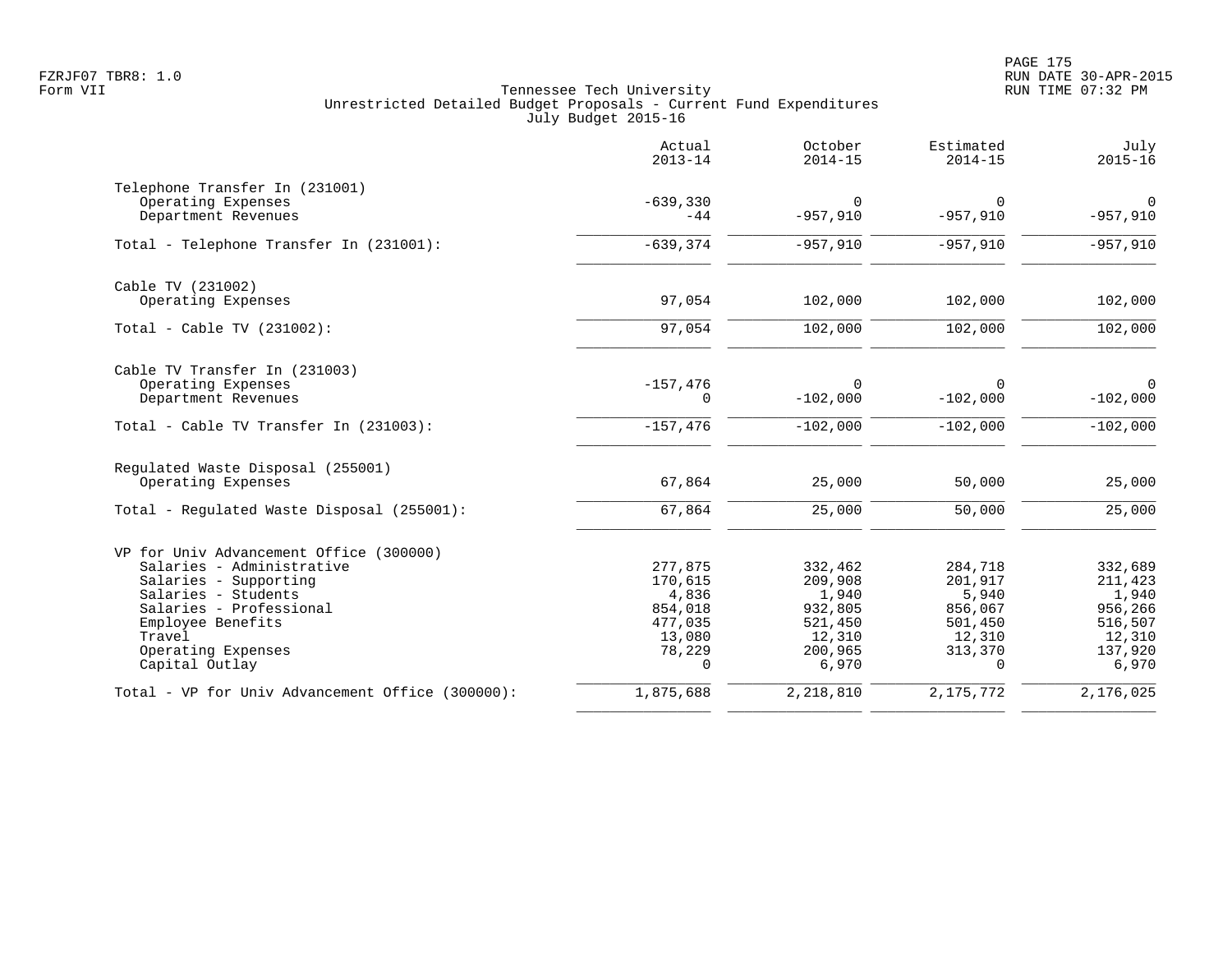|                                                  | Actual<br>$2013 - 14$ | October<br>$2014 - 15$ | Estimated<br>$2014 - 15$ | July<br>$2015 - 16$          |
|--------------------------------------------------|-----------------------|------------------------|--------------------------|------------------------------|
| Telephone Transfer In (231001)                   |                       |                        |                          |                              |
| Operating Expenses<br>Department Revenues        | $-639,330$<br>$-44$   | $\Omega$<br>$-957,910$ | $\Omega$<br>$-957,910$   | $\overline{0}$<br>$-957,910$ |
| Total - Telephone Transfer In (231001):          | $-639, 374$           | $-957,910$             | $-957,910$               | $-957,910$                   |
| Cable TV (231002)                                |                       |                        |                          |                              |
| Operating Expenses                               | 97,054                | 102,000                | 102,000                  | 102,000                      |
| Total - Cable TV $(231002)$ :                    | 97,054                | 102,000                | 102,000                  | 102,000                      |
| Cable TV Transfer In (231003)                    |                       |                        |                          |                              |
| Operating Expenses<br>Department Revenues        | $-157,476$<br>0       | 0<br>$-102,000$        | $\Omega$<br>$-102,000$   | $\overline{0}$<br>$-102,000$ |
| Total - Cable TV Transfer In (231003):           | $-157,476$            | $-102,000$             | $-102,000$               | $-102,000$                   |
| Regulated Waste Disposal (255001)                |                       |                        |                          |                              |
| Operating Expenses                               | 67,864                | 25,000                 | 50,000                   | 25,000                       |
| Total - Regulated Waste Disposal (255001):       | 67,864                | 25,000                 | 50,000                   | 25,000                       |
| VP for Univ Advancement Office (300000)          |                       |                        |                          |                              |
| Salaries - Administrative                        | 277,875               | 332,462                | 284,718                  | 332,689                      |
| Salaries - Supporting<br>Salaries - Students     | 170,615<br>4,836      | 209,908<br>1,940       | 201,917<br>5,940         | 211,423<br>1,940             |
| Salaries - Professional                          | 854,018               | 932,805                | 856,067                  | 956,266                      |
| Employee Benefits                                | 477,035               | 521,450                | 501,450                  | 516,507                      |
| Travel                                           | 13,080                | 12,310                 | 12,310                   | 12,310                       |
| Operating Expenses<br>Capital Outlay             | 78,229<br>$\Omega$    | 200,965<br>6,970       | 313,370<br>$\Omega$      | 137,920<br>6,970             |
| Total - VP for Univ Advancement Office (300000): | 1,875,688             | 2,218,810              | 2, 175, 772              | 2,176,025                    |
|                                                  |                       |                        |                          |                              |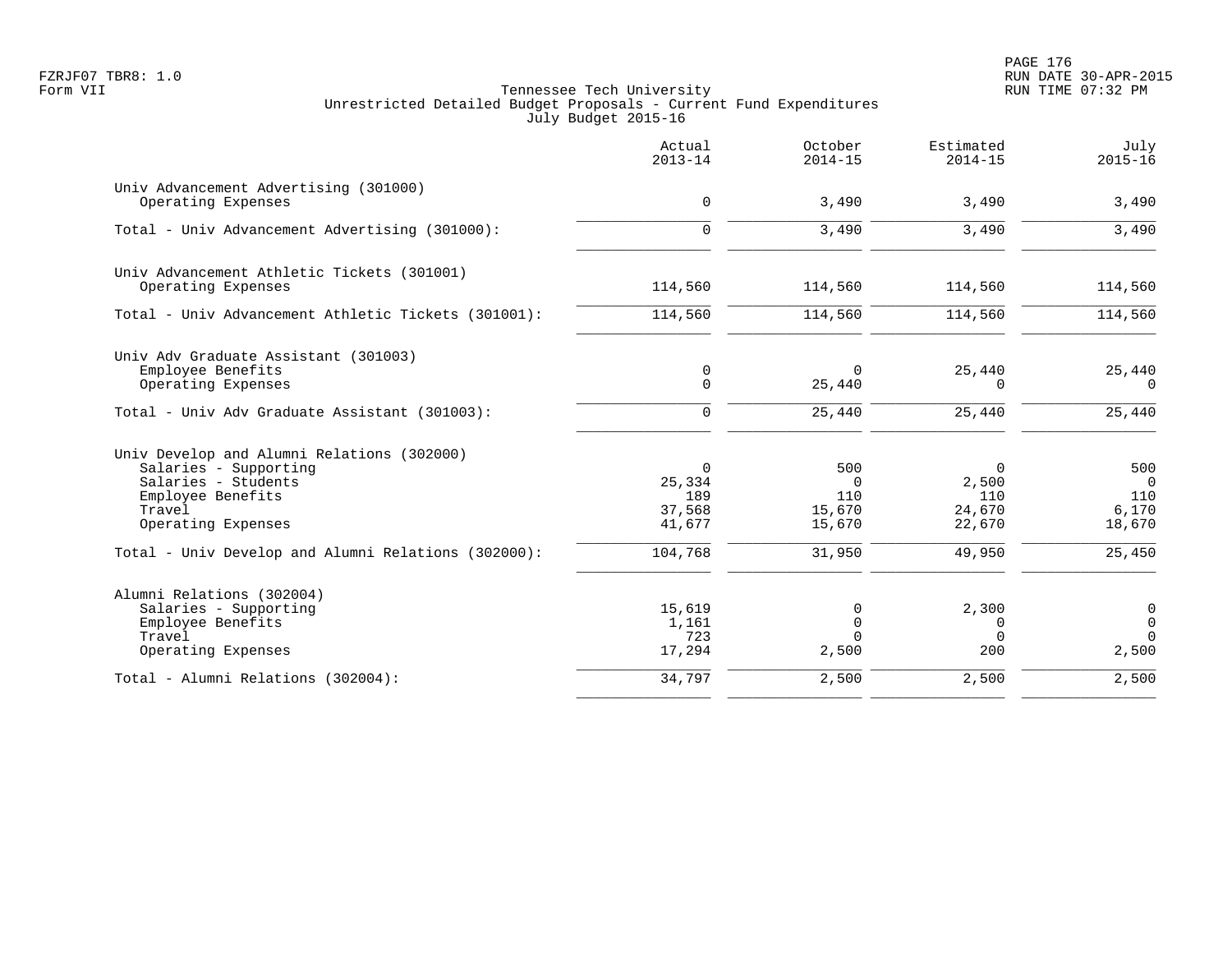PAGE 176 FZRJF07 TBR8: 1.0 RUN DATE 30-APR-2015

| July<br>$2015 - 16$ | Estimated<br>$2014 - 15$     | October<br>$2014 - 15$    | Actual<br>$2013 - 14$      |                                                                                                                  |
|---------------------|------------------------------|---------------------------|----------------------------|------------------------------------------------------------------------------------------------------------------|
| 3,490               | 3,490                        | 3,490                     | $\mathsf{O}$               | Univ Advancement Advertising (301000)<br>Operating Expenses                                                      |
| 3,490               | 3,490                        | 3,490                     | $\Omega$                   | Total - Univ Advancement Advertising (301000):                                                                   |
|                     |                              |                           |                            | Univ Advancement Athletic Tickets (301001)                                                                       |
| 114,560             | 114,560                      | 114,560                   | 114,560                    | Operating Expenses                                                                                               |
| 114,560             | 114,560                      | 114,560                   | 114,560                    | Total - Univ Advancement Athletic Tickets (301001):                                                              |
|                     |                              |                           |                            | Univ Adv Graduate Assistant (301003)                                                                             |
| 25,440<br>$\Omega$  | 25,440<br>$\Omega$           | $\Omega$<br>25,440        | $\mathbf 0$<br>$\mathbf 0$ | Employee Benefits<br>Operating Expenses                                                                          |
| 25,440              | 25,440                       | 25,440                    | $\Omega$                   | Total - Univ Adv Graduate Assistant (301003):                                                                    |
|                     |                              |                           |                            |                                                                                                                  |
| 500                 | 0                            | 500                       | $\mathbf 0$                | Salaries - Supporting                                                                                            |
| $\overline{0}$      | 2,500                        | $\Omega$                  | 25,334                     | Salaries - Students                                                                                              |
| 110                 |                              |                           |                            |                                                                                                                  |
| 6,170<br>18,670     | 22,670                       | 15,670                    | 41,677                     | Operating Expenses                                                                                               |
| 25,450              | 49,950                       | 31,950                    | 104,768                    | Total - Univ Develop and Alumni Relations (302000):                                                              |
|                     |                              |                           |                            |                                                                                                                  |
| 0                   | 2,300                        | 0                         | 15,619                     | Salaries - Supporting                                                                                            |
| $\mathbf 0$         | $\Omega$                     | $\Omega$                  | 1,161                      | Employee Benefits                                                                                                |
| $\Omega$<br>2,500   | 200                          | 2,500                     | 17,294                     | Operating Expenses                                                                                               |
| 2,500               | 2,500                        | 2,500                     | 34,797                     | Total - Alumni Relations (302004):                                                                               |
|                     | 110<br>24,670<br>$\mathbf 0$ | 110<br>15,670<br>$\Omega$ | 189<br>37,568<br>723       | Univ Develop and Alumni Relations (302000)<br>Employee Benefits<br>Travel<br>Alumni Relations (302004)<br>Travel |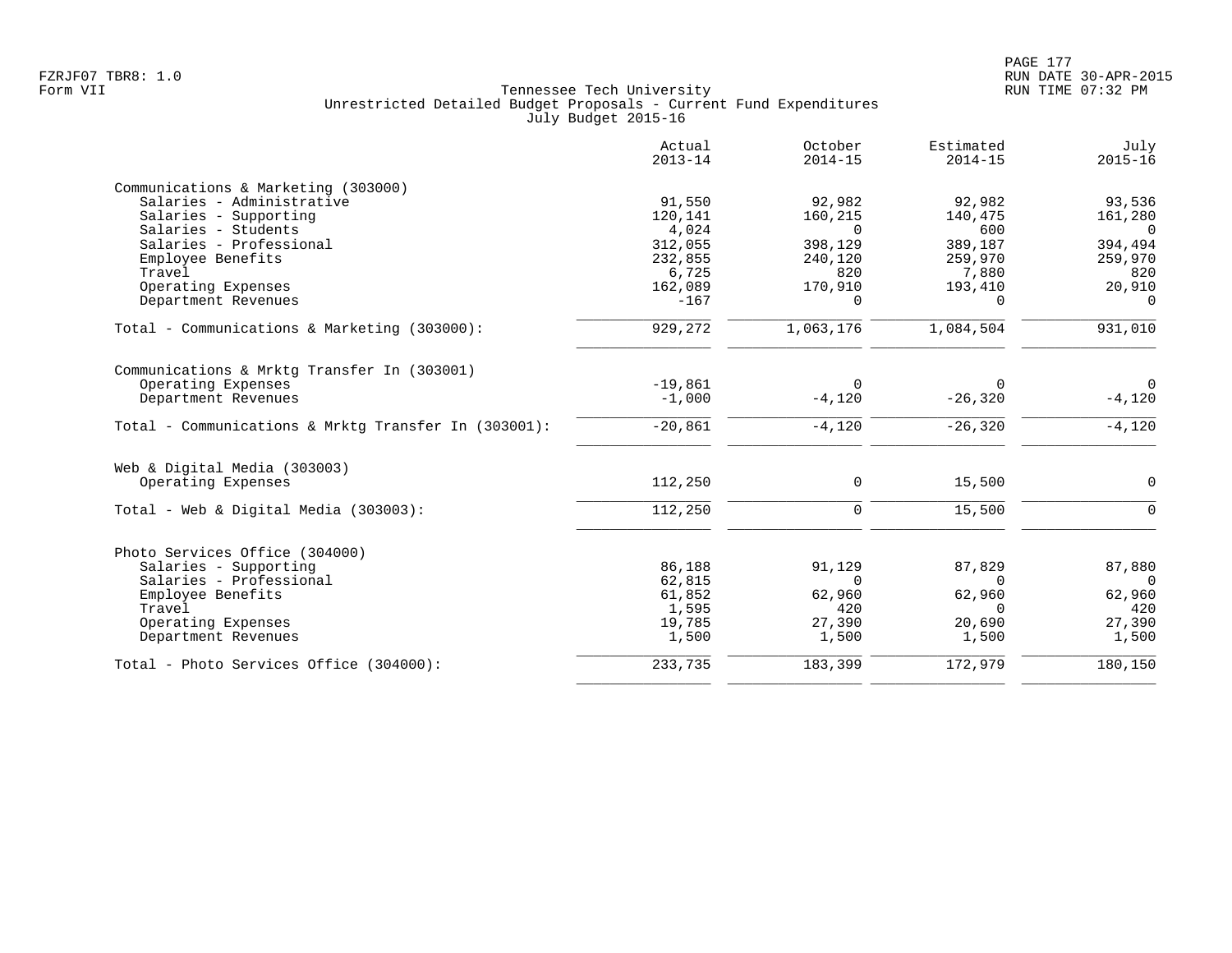|                                                      | Actual<br>$2013 - 14$ | October<br>$2014 - 15$ | Estimated<br>$2014 - 15$ | July<br>$2015 - 16$ |
|------------------------------------------------------|-----------------------|------------------------|--------------------------|---------------------|
| Communications & Marketing (303000)                  |                       |                        |                          |                     |
| Salaries - Administrative                            | 91,550                | 92,982                 | 92,982                   | 93,536              |
| Salaries - Supporting                                | 120,141               | 160,215                | 140,475                  | 161,280             |
| Salaries - Students                                  | 4,024                 | $\Omega$               | 600                      | $\bigcap$           |
| Salaries - Professional                              | 312,055               | 398,129                | 389,187                  | 394,494             |
| Employee Benefits                                    | 232,855               | 240,120                | 259,970                  | 259,970             |
| Travel                                               | 6,725                 | 820                    | 7,880                    | 820                 |
| Operating Expenses                                   | 162,089               | 170,910                | 193,410                  | 20,910              |
| Department Revenues                                  | $-167$                | $\Omega$               | $\Omega$                 | $\Omega$            |
| Total - Communications & Marketing (303000):         | 929,272               | 1,063,176              | 1,084,504                | 931,010             |
| Communications & Mrktg Transfer In (303001)          |                       |                        |                          |                     |
| Operating Expenses                                   | $-19,861$             | $\Omega$               | $\Omega$                 | $\overline{0}$      |
| Department Revenues                                  | $-1,000$              | $-4,120$               | $-26, 320$               | $-4,120$            |
| Total - Communications & Mrktq Transfer In (303001): | $-20,861$             | $-4,120$               | $-26, 320$               | $-4,120$            |
| Web & Digital Media (303003)                         |                       |                        |                          |                     |
| Operating Expenses                                   | 112,250               | 0                      | 15,500                   | $\Omega$            |
| Total - Web & Digital Media (303003):                | 112,250               | $\mathbf 0$            | 15,500                   | $\Omega$            |
| Photo Services Office (304000)                       |                       |                        |                          |                     |
| Salaries - Supporting                                | 86,188                | 91,129                 | 87,829                   | 87,880              |
| Salaries - Professional                              | 62,815                | $\Omega$               | $\Omega$                 | $\Omega$            |
| Employee Benefits                                    | 61,852                | 62,960                 | 62,960                   | 62,960              |
| Travel                                               | 1,595                 | 420                    | $\Omega$                 | 420                 |
| Operating Expenses                                   | 19,785                | 27,390                 | 20,690                   | 27,390              |
| Department Revenues                                  | 1,500                 | 1,500                  | 1,500                    | 1,500               |
| Total - Photo Services Office (304000):              | 233,735               | 183,399                | 172,979                  | 180,150             |
|                                                      |                       |                        |                          |                     |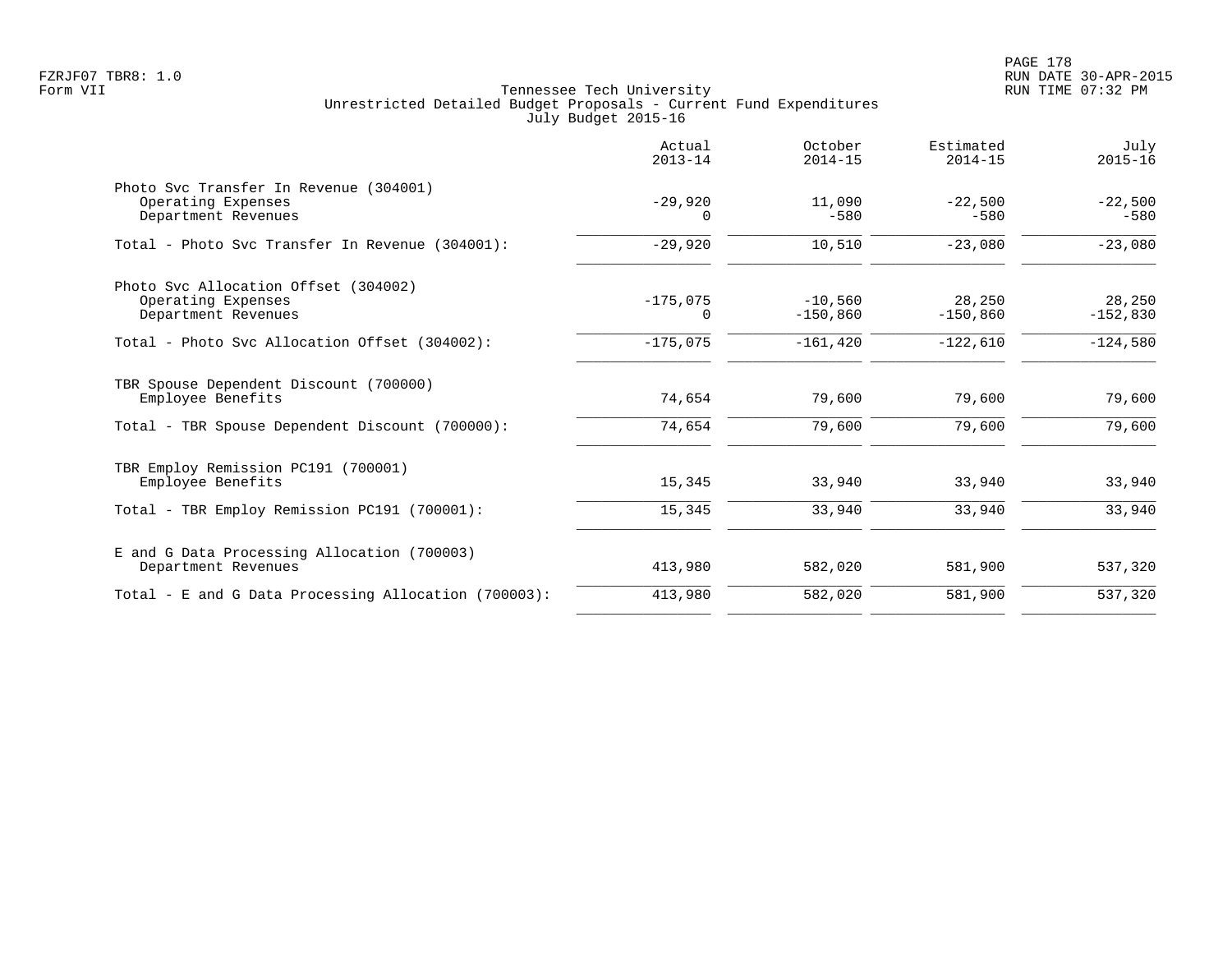|                                                                                     | Actual<br>$2013 - 14$ | October<br>$2014 - 15$  | Estimated<br>$2014 - 15$ | July<br>$2015 - 16$  |
|-------------------------------------------------------------------------------------|-----------------------|-------------------------|--------------------------|----------------------|
| Photo Svc Transfer In Revenue (304001)<br>Operating Expenses<br>Department Revenues | $-29,920$<br>$\Omega$ | 11,090<br>$-580$        | $-22,500$<br>$-580$      | $-22,500$<br>$-580$  |
| Total - Photo Svc Transfer In Revenue (304001):                                     | $-29,920$             | 10,510                  | $-23,080$                | $-23,080$            |
| Photo Svc Allocation Offset (304002)<br>Operating Expenses<br>Department Revenues   | $-175,075$<br>0       | $-10,560$<br>$-150,860$ | 28,250<br>$-150,860$     | 28,250<br>$-152,830$ |
| Total - Photo Syc Allocation Offset (304002):                                       | $-175,075$            | $-161, 420$             | $-122,610$               | $-124,580$           |
| TBR Spouse Dependent Discount (700000)<br>Employee Benefits                         | 74,654                | 79,600                  | 79,600                   | 79,600               |
| Total - TBR Spouse Dependent Discount (700000):                                     | 74,654                | 79,600                  | 79,600                   | 79,600               |
| TBR Employ Remission PC191 (700001)<br>Employee Benefits                            | 15,345                | 33,940                  | 33,940                   | 33,940               |
| Total - TBR Employ Remission PC191 (700001):                                        | 15,345                | 33,940                  | 33,940                   | 33,940               |
| E and G Data Processing Allocation (700003)<br>Department Revenues                  | 413,980               | 582,020                 | 581,900                  | 537,320              |
| Total - E and G Data Processing Allocation (700003):                                | 413,980               | 582,020                 | 581,900                  | 537,320              |
|                                                                                     |                       |                         |                          |                      |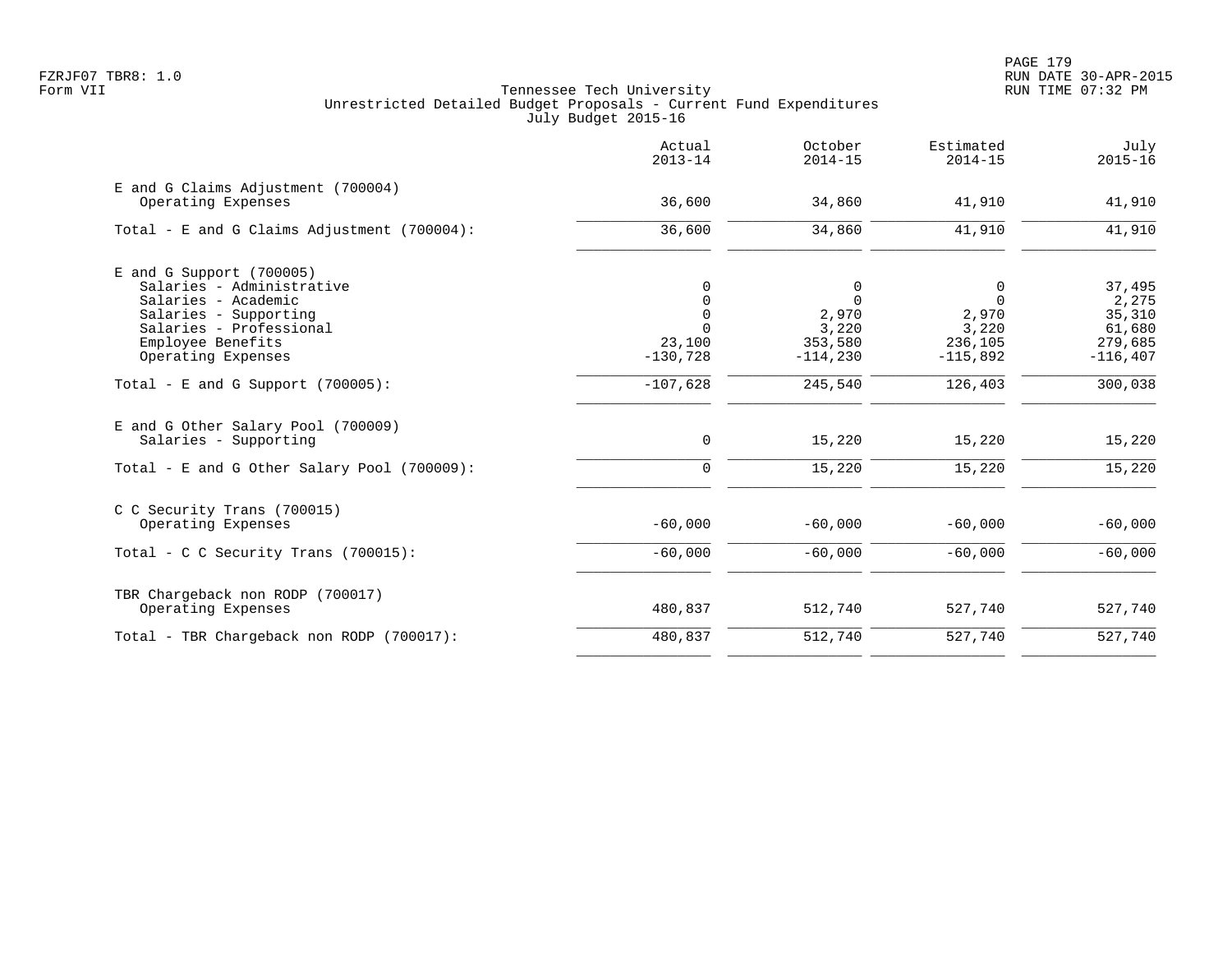|                                                             | Actual<br>$2013 - 14$ | October<br>$2014 - 15$ | Estimated<br>$2014 - 15$ | July<br>$2015 - 16$ |
|-------------------------------------------------------------|-----------------------|------------------------|--------------------------|---------------------|
| E and G Claims Adjustment (700004)<br>Operating Expenses    | 36,600                | 34,860                 | 41,910                   | 41,910              |
| Total - E and G Claims Adjustment (700004):                 | 36,600                | 34,860                 | 41,910                   | 41,910              |
| $E$ and G Support (700005)<br>Salaries - Administrative     | 0                     | 0                      | 0                        | 37,495              |
| Salaries - Academic                                         | $\mathbf 0$           | $\mathbf 0$            | $\Omega$                 | 2,275               |
| Salaries - Supporting                                       | $\mathbf 0$           | 2,970                  | 2,970                    | 35,310              |
| Salaries - Professional                                     |                       | 3,220                  | 3,220                    | 61,680              |
| Employee Benefits                                           | 23,100                | 353,580                | 236,105                  | 279,685             |
| Operating Expenses                                          | $-130,728$            | $-114,230$             | $-115,892$               | $-116, 407$         |
| Total - E and G Support $(700005)$ :                        | $-107,628$            | 245,540                | 126,403                  | 300,038             |
| E and G Other Salary Pool (700009)<br>Salaries - Supporting | $\mathbf 0$           | 15,220                 | 15,220                   | 15,220              |
|                                                             |                       |                        |                          |                     |
| Total - E and G Other Salary Pool (700009):                 | $\mathbf 0$           | 15,220                 | 15,220                   | 15,220              |
| C C Security Trans (700015)                                 |                       |                        |                          |                     |
| Operating Expenses                                          | $-60,000$             | $-60,000$              | $-60,000$                | $-60,000$           |
| Total - C C Security Trans $(700015)$ :                     | $-60,000$             | $-60,000$              | $-60,000$                | $-60,000$           |
| TBR Chargeback non RODP (700017)                            |                       |                        |                          |                     |
| Operating Expenses                                          | 480,837               | 512,740                | 527,740                  | 527,740             |
| Total - TBR Chargeback non RODP (700017):                   | 480,837               | 512,740                | 527,740                  | 527,740             |
|                                                             |                       |                        |                          |                     |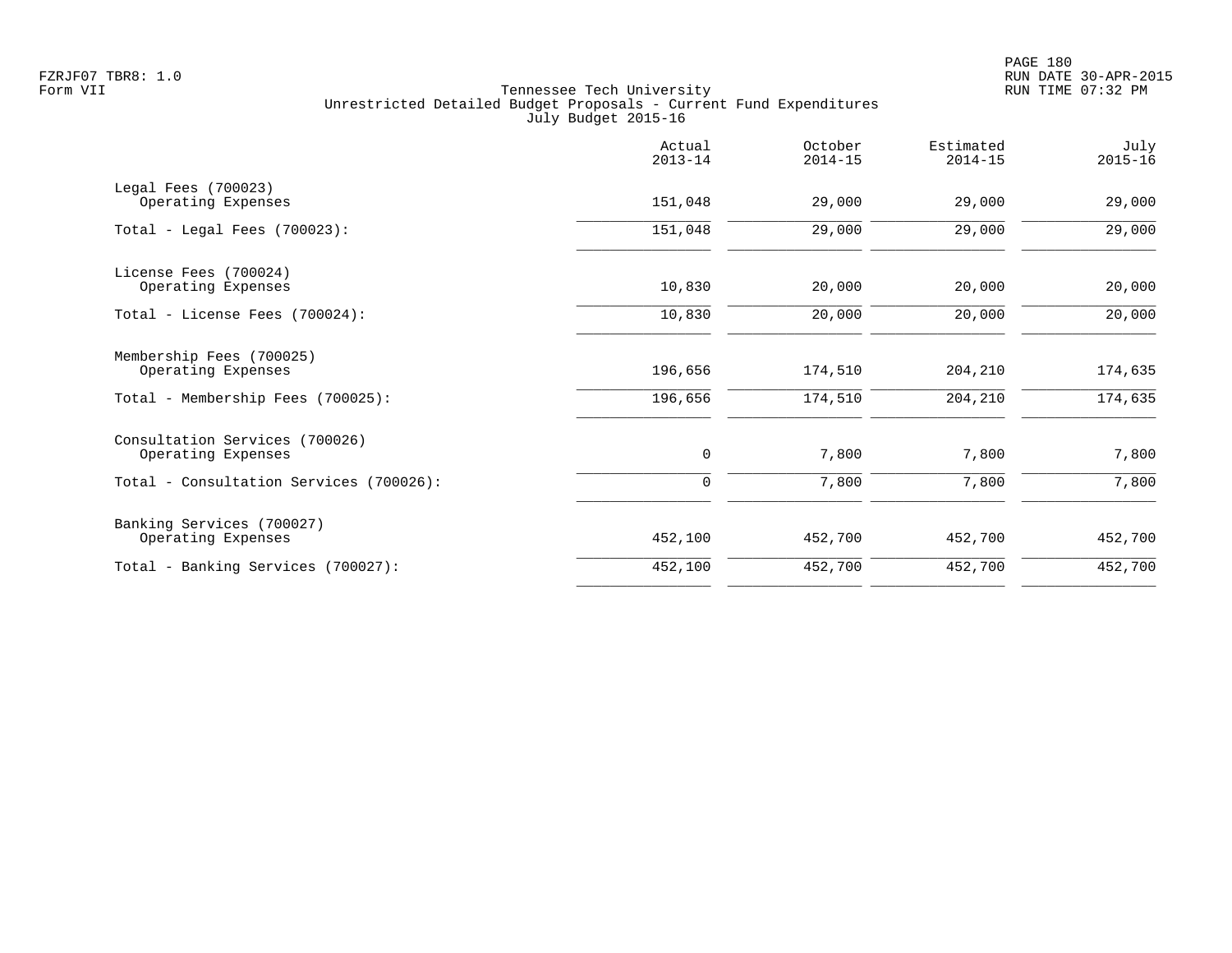| Actual<br>$2013 - 14$ | October<br>$2014 - 15$ | Estimated<br>$2014 - 15$ | July<br>$2015 - 16$ |
|-----------------------|------------------------|--------------------------|---------------------|
| 151,048               | 29,000                 | 29,000                   | 29,000              |
| 151,048               | 29,000                 | 29,000                   | 29,000              |
| 10,830                | 20,000                 | 20,000                   | 20,000              |
| 10,830                | 20,000                 | 20,000                   | 20,000              |
| 196,656               | 174,510                | 204,210                  | 174,635             |
| 196,656               | 174,510                | 204,210                  | 174,635             |
| 0                     | 7,800                  | 7,800                    | 7,800               |
| $\mathbf 0$           | 7,800                  | 7,800                    | 7,800               |
| 452,100               | 452,700                | 452,700                  | 452,700             |
| 452,100               | 452,700                | 452,700                  | 452,700             |
|                       |                        |                          |                     |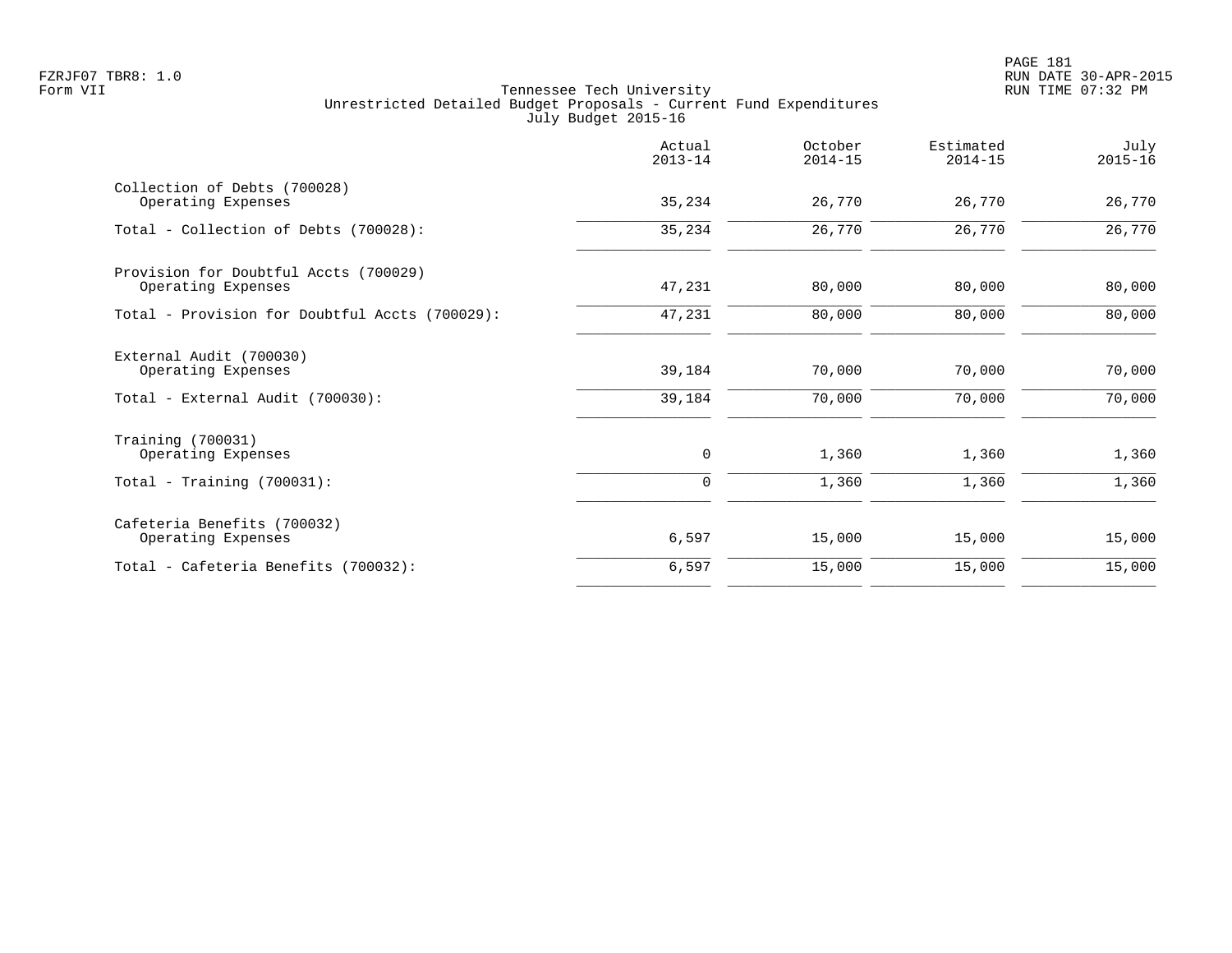|                                                                       | Actual<br>$2013 - 14$ | October<br>$2014 - 15$ | Estimated<br>$2014 - 15$ | July<br>$2015 - 16$ |
|-----------------------------------------------------------------------|-----------------------|------------------------|--------------------------|---------------------|
| Collection of Debts (700028)<br>Operating Expenses                    | 35,234                | 26,770                 | 26,770                   | 26,770              |
| Total - Collection of Debts (700028):                                 | 35,234                | 26,770                 | 26,770                   | 26,770              |
| Provision for Doubtful Accts (700029)<br>Operating Expenses           | 47,231                | 80,000                 | 80,000                   | 80,000              |
| Total - Provision for Doubtful Accts (700029):                        | 47,231                | 80,000                 | 80,000                   | 80,000              |
| External Audit (700030)<br>Operating Expenses                         | 39,184                | 70,000                 | 70,000                   | 70,000              |
| Total - External Audit (700030):                                      | 39,184                | 70,000                 | 70,000                   | 70,000              |
| Training (700031)<br>Operating Expenses<br>Total - Training (700031): | 0<br>$\Omega$         | 1,360<br>1,360         | 1,360<br>1,360           | 1,360<br>1,360      |
|                                                                       |                       |                        |                          |                     |
| Cafeteria Benefits (700032)<br>Operating Expenses                     | 6,597                 | 15,000                 | 15,000                   | 15,000              |
| Total - Cafeteria Benefits (700032):                                  | 6,597                 | 15,000                 | 15,000                   | 15,000              |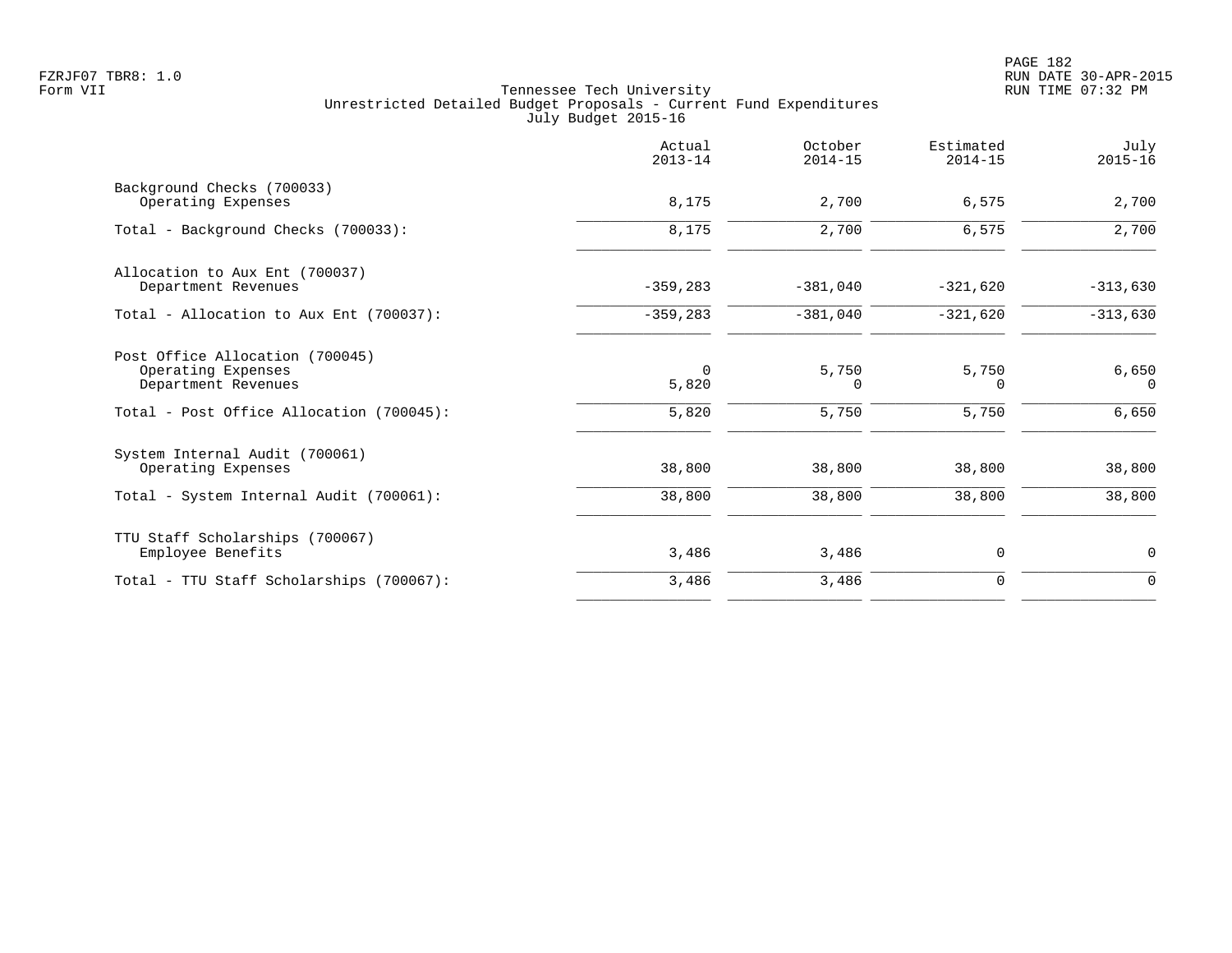|                                                                              | Actual<br>$2013 - 14$ | October<br>$2014 - 15$ | Estimated<br>$2014 - 15$ | July<br>$2015 - 16$ |
|------------------------------------------------------------------------------|-----------------------|------------------------|--------------------------|---------------------|
| Background Checks (700033)<br>Operating Expenses                             | 8,175                 | 2,700                  | 6,575                    | 2,700               |
| Total - Background Checks (700033):                                          | 8,175                 | 2,700                  | 6,575                    | 2,700               |
| Allocation to Aux Ent (700037)<br>Department Revenues                        | $-359, 283$           | $-381,040$             | $-321,620$               | $-313,630$          |
| Total - Allocation to Aux Ent (700037):                                      | $-359, 283$           | $-381,040$             | $-321,620$               | $-313,630$          |
| Post Office Allocation (700045)<br>Operating Expenses<br>Department Revenues | $\Omega$<br>5,820     | 5,750<br>0             | 5,750<br>$\Omega$        | 6,650<br>$\Omega$   |
| Total - Post Office Allocation (700045):                                     | 5,820                 | 5,750                  | 5,750                    | 6,650               |
| System Internal Audit (700061)<br>Operating Expenses                         | 38,800                | 38,800                 | 38,800                   | 38,800              |
| Total - System Internal Audit (700061):                                      | 38,800                | 38,800                 | 38,800                   | 38,800              |
| TTU Staff Scholarships (700067)<br>Employee Benefits                         | 3,486                 | 3,486                  | 0                        | 0                   |
| Total - TTU Staff Scholarships (700067):                                     | 3,486                 | 3,486                  | $\mathbf 0$              | $\mathbf 0$         |
|                                                                              |                       |                        |                          |                     |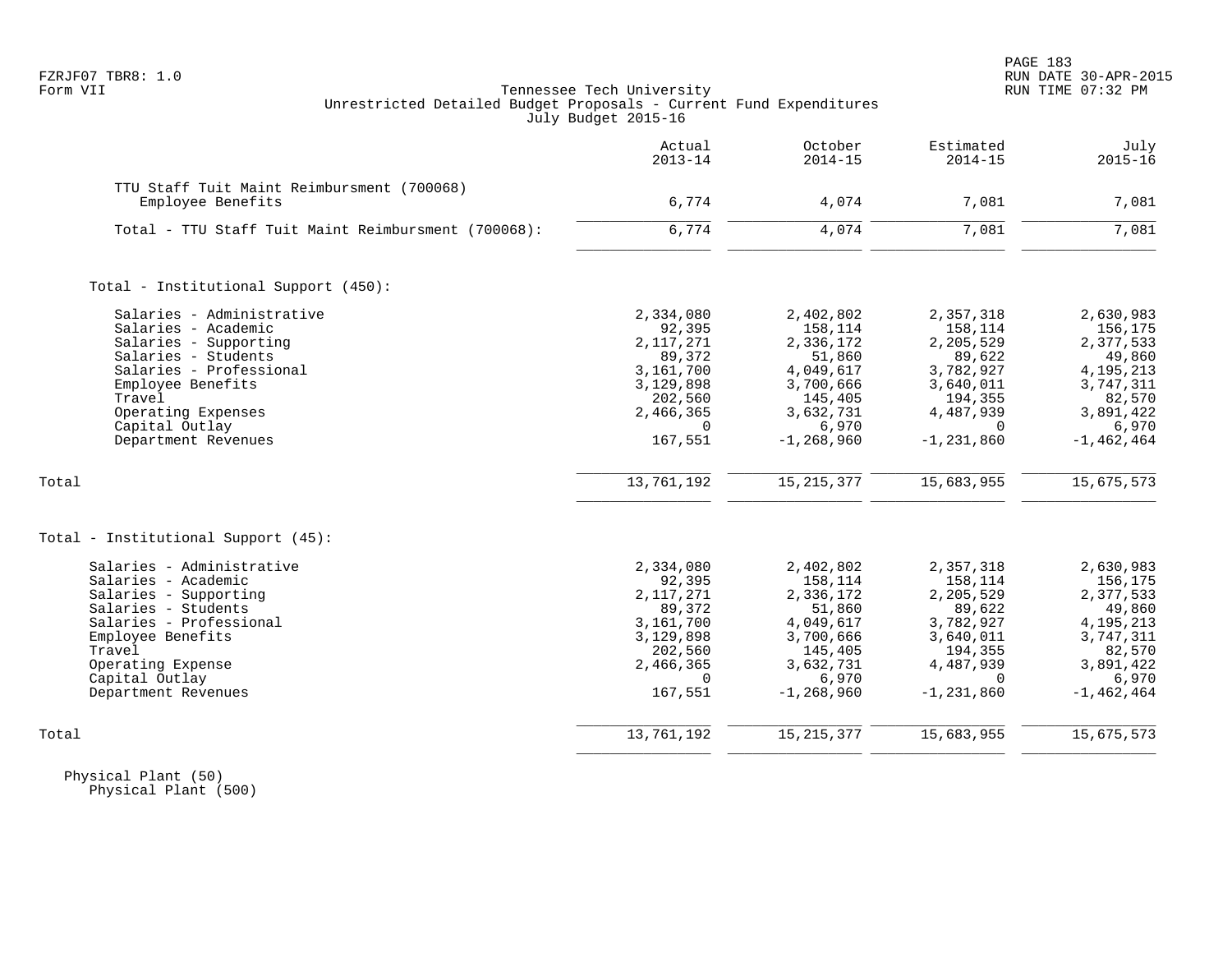## FZRJF07 TBR8: 1.0 RUN DATE 30-APR-2015 Tennessee Tech University Unrestricted Detailed Budget Proposals - Current Fund Expenditures July Budget 2015-16

| Estimated<br>$2014 - 15$ | October<br>$2014 - 15$                                                                                                                                                                                                               | Actual<br>$2013 - 14$                                                                                                                                                                                                          |                                                                                                                                                                                                                                          |
|--------------------------|--------------------------------------------------------------------------------------------------------------------------------------------------------------------------------------------------------------------------------------|--------------------------------------------------------------------------------------------------------------------------------------------------------------------------------------------------------------------------------|------------------------------------------------------------------------------------------------------------------------------------------------------------------------------------------------------------------------------------------|
|                          |                                                                                                                                                                                                                                      |                                                                                                                                                                                                                                | TTU Staff Tuit Maint Reimbursment (700068)<br>Employee Benefits                                                                                                                                                                          |
|                          |                                                                                                                                                                                                                                      |                                                                                                                                                                                                                                |                                                                                                                                                                                                                                          |
| 7,081                    | 4,074                                                                                                                                                                                                                                |                                                                                                                                                                                                                                | Total - TTU Staff Tuit Maint Reimbursment (700068):                                                                                                                                                                                      |
|                          |                                                                                                                                                                                                                                      |                                                                                                                                                                                                                                | Total - Institutional Support (450):                                                                                                                                                                                                     |
|                          |                                                                                                                                                                                                                                      |                                                                                                                                                                                                                                | Salaries - Administrative                                                                                                                                                                                                                |
|                          |                                                                                                                                                                                                                                      |                                                                                                                                                                                                                                | Salaries - Academic                                                                                                                                                                                                                      |
|                          |                                                                                                                                                                                                                                      |                                                                                                                                                                                                                                | Salaries - Supporting                                                                                                                                                                                                                    |
|                          |                                                                                                                                                                                                                                      |                                                                                                                                                                                                                                | Salaries - Students                                                                                                                                                                                                                      |
|                          |                                                                                                                                                                                                                                      |                                                                                                                                                                                                                                | Salaries - Professional                                                                                                                                                                                                                  |
|                          |                                                                                                                                                                                                                                      |                                                                                                                                                                                                                                | Employee Benefits                                                                                                                                                                                                                        |
|                          |                                                                                                                                                                                                                                      |                                                                                                                                                                                                                                | Travel                                                                                                                                                                                                                                   |
|                          |                                                                                                                                                                                                                                      |                                                                                                                                                                                                                                | Operating Expenses                                                                                                                                                                                                                       |
|                          |                                                                                                                                                                                                                                      |                                                                                                                                                                                                                                | Capital Outlay                                                                                                                                                                                                                           |
| $-1, 231, 860$           | $-1, 268, 960$                                                                                                                                                                                                                       | 167,551                                                                                                                                                                                                                        | Department Revenues                                                                                                                                                                                                                      |
|                          |                                                                                                                                                                                                                                      |                                                                                                                                                                                                                                |                                                                                                                                                                                                                                          |
| 15,683,955               | 15, 215, 377                                                                                                                                                                                                                         | 13,761,192                                                                                                                                                                                                                     | Total                                                                                                                                                                                                                                    |
|                          |                                                                                                                                                                                                                                      |                                                                                                                                                                                                                                | Total - Institutional Support (45):                                                                                                                                                                                                      |
| 2,357,318                | 2,402,802                                                                                                                                                                                                                            | 2,334,080                                                                                                                                                                                                                      | Salaries - Administrative                                                                                                                                                                                                                |
|                          |                                                                                                                                                                                                                                      |                                                                                                                                                                                                                                | Salaries - Academic                                                                                                                                                                                                                      |
|                          |                                                                                                                                                                                                                                      |                                                                                                                                                                                                                                | Salaries - Supporting                                                                                                                                                                                                                    |
|                          |                                                                                                                                                                                                                                      |                                                                                                                                                                                                                                | Salaries - Students                                                                                                                                                                                                                      |
|                          |                                                                                                                                                                                                                                      |                                                                                                                                                                                                                                | Salaries - Professional                                                                                                                                                                                                                  |
|                          |                                                                                                                                                                                                                                      |                                                                                                                                                                                                                                | Employee Benefits                                                                                                                                                                                                                        |
|                          |                                                                                                                                                                                                                                      |                                                                                                                                                                                                                                | Travel                                                                                                                                                                                                                                   |
|                          |                                                                                                                                                                                                                                      |                                                                                                                                                                                                                                | Operating Expense                                                                                                                                                                                                                        |
|                          |                                                                                                                                                                                                                                      |                                                                                                                                                                                                                                | Capital Outlay                                                                                                                                                                                                                           |
|                          |                                                                                                                                                                                                                                      |                                                                                                                                                                                                                                | Department Revenues                                                                                                                                                                                                                      |
| 15,683,955               | 15, 215, 377                                                                                                                                                                                                                         | 13,761,192                                                                                                                                                                                                                     | Total                                                                                                                                                                                                                                    |
|                          | 7,081<br>2,357,318<br>158,114<br>2,205,529<br>89,622<br>3,782,927<br>3,640,011<br>194,355<br>4,487,939<br>$\Omega$<br>158,114<br>2,205,529<br>89,622<br>3,782,927<br>3,640,011<br>194,355<br>4,487,939<br>$\Omega$<br>$-1, 231, 860$ | 4,074<br>2,402,802<br>158,114<br>2,336,172<br>51,860<br>4,049,617<br>3,700,666<br>145,405<br>3,632,731<br>6,970<br>158,114<br>2,336,172<br>51,860<br>4,049,617<br>3,700,666<br>145,405<br>3,632,731<br>6,970<br>$-1, 268, 960$ | 6,774<br>6,774<br>2,334,080<br>92,395<br>2, 117, 271<br>89,372<br>3,161,700<br>3,129,898<br>202,560<br>2,466,365<br>$\Omega$<br>92,395<br>2, 117, 271<br>89,372<br>3,161,700<br>3,129,898<br>202,560<br>2,466,365<br>$\Omega$<br>167,551 |

 Physical Plant (50) Physical Plant (500)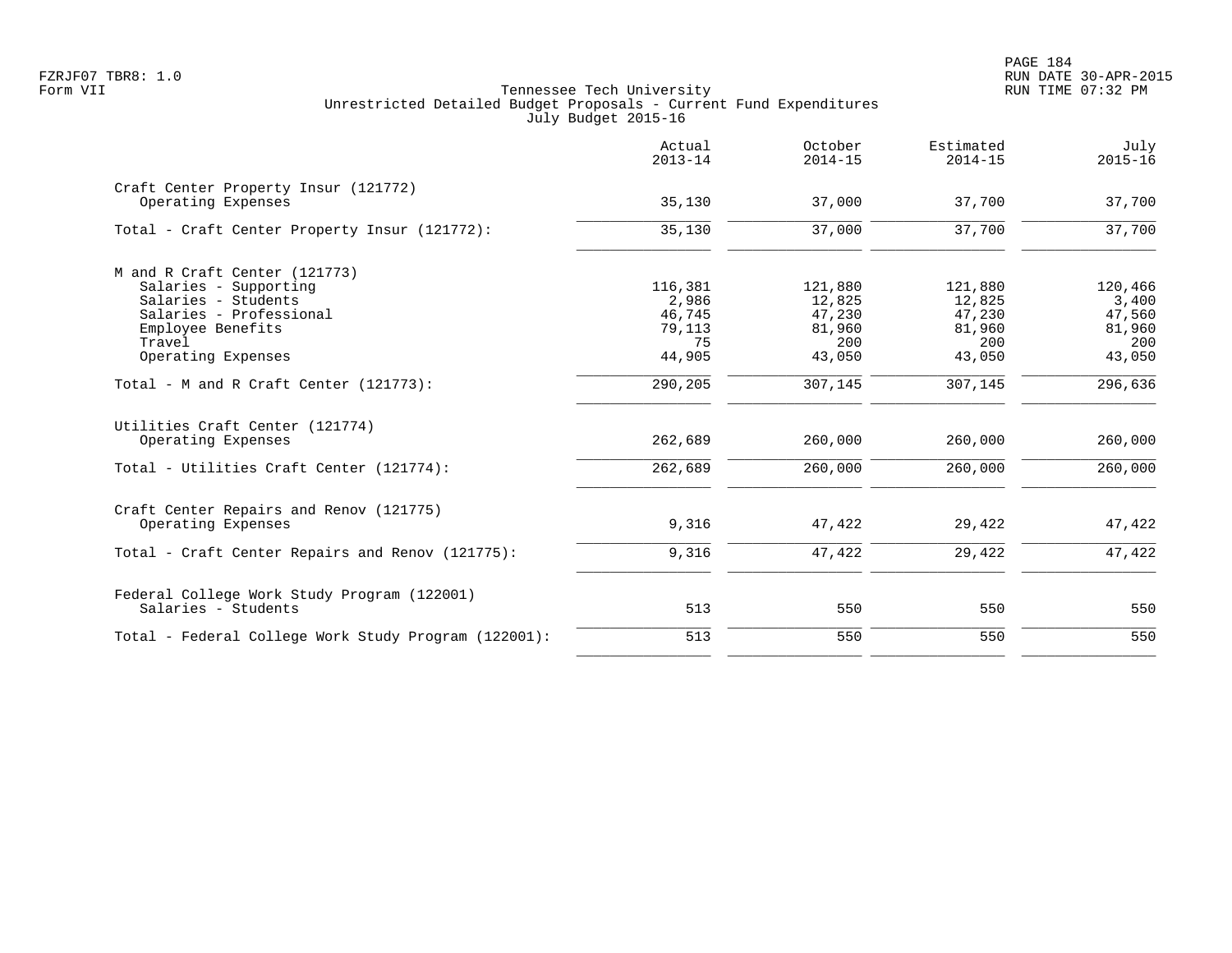|                                                            | Actual<br>$2013 - 14$ | October<br>$2014 - 15$ | Estimated<br>$2014 - 15$ | July<br>$2015 - 16$ |
|------------------------------------------------------------|-----------------------|------------------------|--------------------------|---------------------|
| Craft Center Property Insur (121772)<br>Operating Expenses | 35,130                | 37,000                 | 37,700                   | 37,700              |
| Total - Craft Center Property Insur (121772):              | 35,130                | 37,000                 | 37,700                   | 37,700              |
| M and R Craft Center (121773)                              |                       |                        |                          |                     |
| Salaries - Supporting                                      | 116,381               | 121,880                | 121,880                  | 120,466             |
| Salaries - Students                                        | 2,986                 | 12,825                 | 12,825                   | 3,400               |
| Salaries - Professional                                    | 46,745                | 47,230                 | 47,230                   | 47,560              |
| Employee Benefits                                          | 79,113                | 81,960                 | 81,960                   | 81,960              |
| Travel                                                     | 75                    | 200                    | 200                      | 200                 |
| Operating Expenses                                         | 44,905                | 43,050                 | 43,050                   | 43,050              |
| Total - M and R Craft Center $(121773)$ :                  | 290,205               | 307,145                | 307,145                  | 296,636             |
| Utilities Craft Center (121774)                            |                       |                        |                          |                     |
| Operating Expenses                                         | 262,689               | 260,000                | 260,000                  | 260,000             |
| Total - Utilities Craft Center (121774):                   | 262,689               | 260,000                | 260,000                  | 260,000             |
| Craft Center Repairs and Renov (121775)                    |                       |                        |                          |                     |
| Operating Expenses                                         | 9,316                 | 47,422                 | 29,422                   | 47,422              |
| Total - Craft Center Repairs and Renov (121775):           | 9,316                 | 47,422                 | 29,422                   | 47,422              |
| Federal College Work Study Program (122001)                |                       |                        |                          |                     |
| Salaries - Students                                        | 513                   | 550                    | 550                      | 550                 |
| Total - Federal College Work Study Program (122001):       | 513                   | 550                    | 550                      | 550                 |
|                                                            |                       |                        |                          |                     |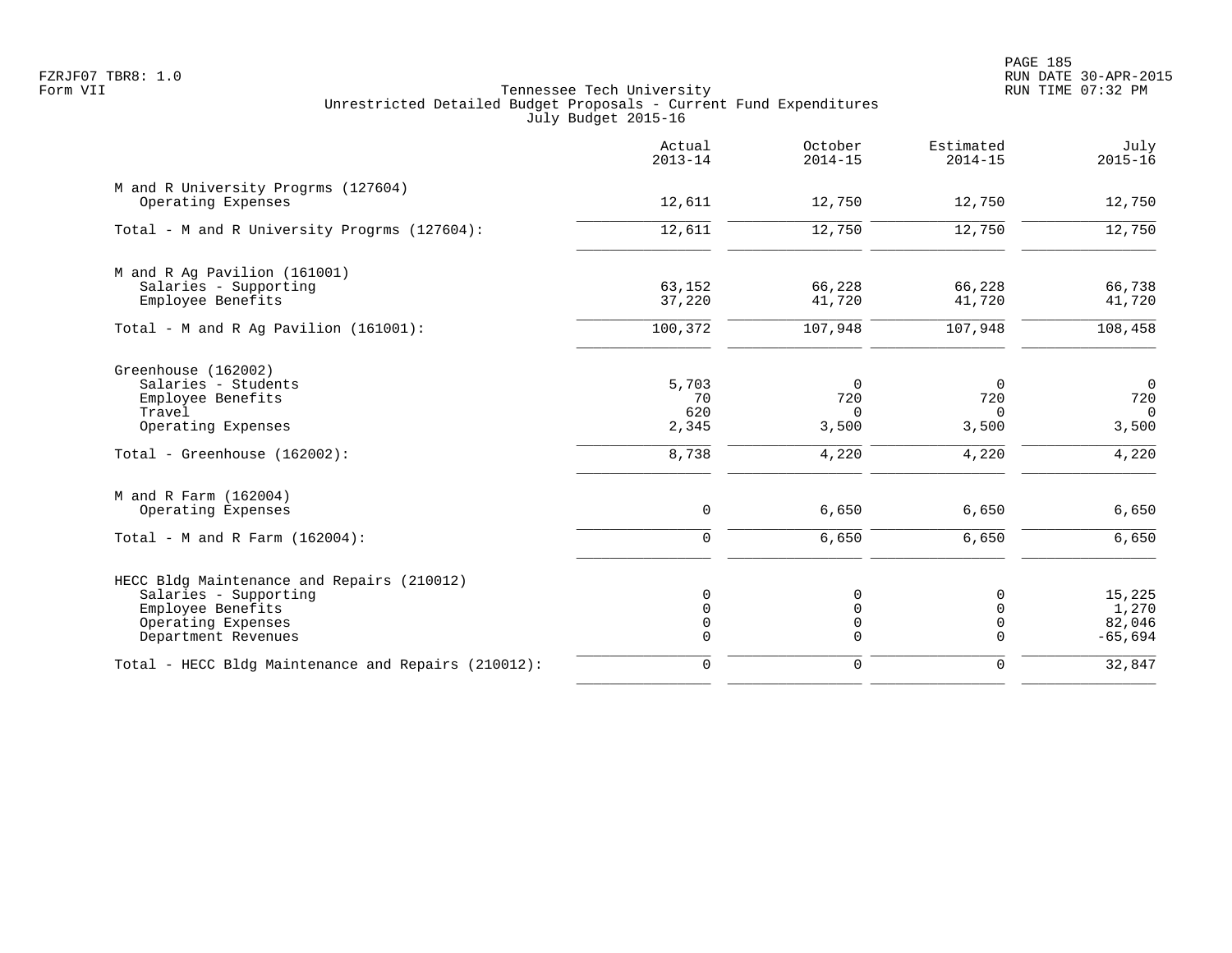PAGE 185 FZRJF07 TBR8: 1.0 RUN DATE 30-APR-2015

|                                                                                                                                       | Actual<br>$2013 - 14$                        | October<br>$2014 - 15$                                | Estimated<br>$2014 - 15$       | July<br>$2015 - 16$                        |
|---------------------------------------------------------------------------------------------------------------------------------------|----------------------------------------------|-------------------------------------------------------|--------------------------------|--------------------------------------------|
| M and R University Progrms (127604)<br>Operating Expenses                                                                             | 12,611                                       | 12,750                                                | 12,750                         | 12,750                                     |
| Total - M and R University Progrms (127604):                                                                                          | 12,611                                       | 12,750                                                | 12,750                         | 12,750                                     |
| M and R Ag Pavilion (161001)<br>Salaries - Supporting<br>Employee Benefits                                                            | 63,152<br>37,220                             | 66,228<br>41,720                                      | 66,228<br>41,720               | 66,738<br>41,720                           |
| Total - M and R Ag Pavilion $(161001)$ :                                                                                              | 100,372                                      | 107,948                                               | 107,948                        | 108,458                                    |
| Greenhouse (162002)<br>Salaries - Students<br>Employee Benefits<br>Travel<br>Operating Expenses                                       | 5,703<br>70<br>620<br>2,345                  | $\Omega$<br>720<br>$\Omega$<br>3,500                  | $\Omega$<br>720<br>0<br>3,500  | $\overline{0}$<br>720<br>$\Omega$<br>3,500 |
| Total - Greenhouse (162002):                                                                                                          | 8,738                                        | 4,220                                                 | 4,220                          | 4,220                                      |
| M and R Farm (162004)<br>Operating Expenses                                                                                           | $\mathsf 0$                                  | 6,650                                                 | 6,650                          | 6,650                                      |
| Total - M and R Farm $(162004)$ :                                                                                                     | $\Omega$                                     | 6,650                                                 | 6,650                          | 6,650                                      |
| HECC Bldg Maintenance and Repairs (210012)<br>Salaries - Supporting<br>Employee Benefits<br>Operating Expenses<br>Department Revenues | $\Omega$<br>$\Omega$<br>$\Omega$<br>$\Omega$ | $\mathbf 0$<br>$\mathbf 0$<br>$\mathbf 0$<br>$\Omega$ | 0<br>$\Omega$<br>0<br>$\Omega$ | 15,225<br>1,270<br>82,046<br>$-65,694$     |
| Total - HECC Bldg Maintenance and Repairs (210012):                                                                                   | 0                                            | $\mathbf 0$                                           | 0                              | 32,847                                     |
|                                                                                                                                       |                                              |                                                       |                                |                                            |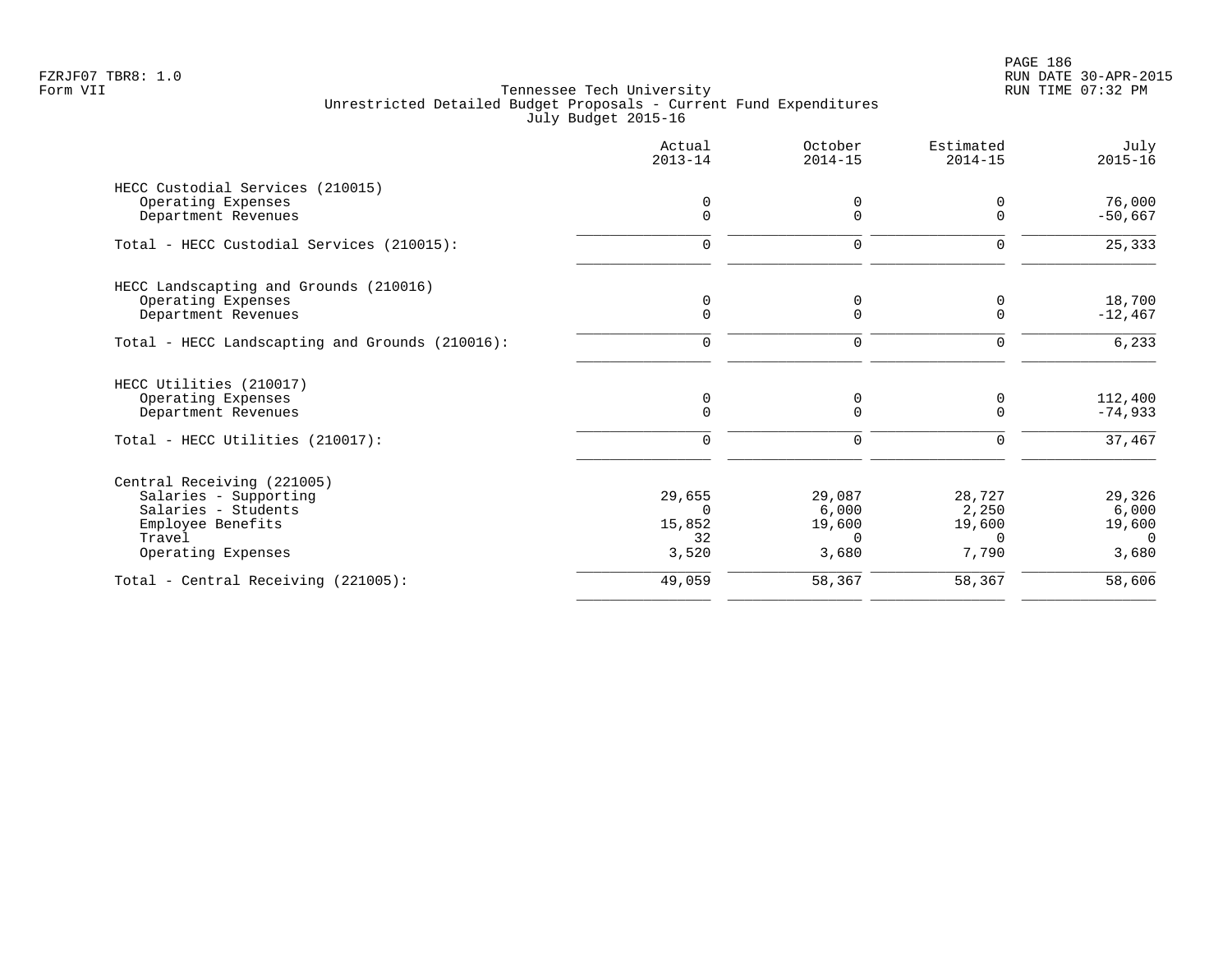|                                                 | Actual<br>$2013 - 14$ | October<br>$2014 - 15$ | Estimated<br>$2014 - 15$ | July<br>$2015 - 16$  |
|-------------------------------------------------|-----------------------|------------------------|--------------------------|----------------------|
| HECC Custodial Services (210015)                |                       |                        |                          |                      |
| Operating Expenses<br>Department Revenues       | ∩<br>$\Omega$         | $\Omega$<br>$\Omega$   | 0<br>$\Omega$            | 76,000<br>$-50,667$  |
| Total - HECC Custodial Services (210015):       | 0                     | 0                      | 0                        | 25,333               |
| HECC Landscapting and Grounds (210016)          |                       |                        |                          |                      |
| Operating Expenses<br>Department Revenues       | 0<br>$\Omega$         | 0<br>$\Omega$          | 0<br>$\mathbf 0$         | 18,700<br>$-12,467$  |
| Total - HECC Landscapting and Grounds (210016): | $\Omega$              | 0                      | 0                        | 6,233                |
| HECC Utilities (210017)                         |                       |                        |                          |                      |
| Operating Expenses<br>Department Revenues       | 0<br>$\Omega$         | 0<br>$\Omega$          | 0<br>$\Omega$            | 112,400<br>$-74,933$ |
| Total - HECC Utilities (210017):                | $\mathbf 0$           | 0                      | $\Omega$                 | 37,467               |
| Central Receiving (221005)                      |                       |                        |                          |                      |
| Salaries - Supporting                           | 29,655                | 29,087                 | 28,727                   | 29,326               |
| Salaries - Students                             | $\Omega$              | 6,000                  | 2,250                    | 6,000                |
| Employee Benefits<br>Travel                     | 15,852<br>32          | 19,600<br>$\Omega$     | 19,600<br>$\Omega$       | 19,600<br>$\Omega$   |
| Operating Expenses                              | 3,520                 | 3,680                  | 7,790                    | 3,680                |
| Total - Central Receiving (221005):             | 49,059                | 58,367                 | 58,367                   | 58,606               |
|                                                 |                       |                        |                          |                      |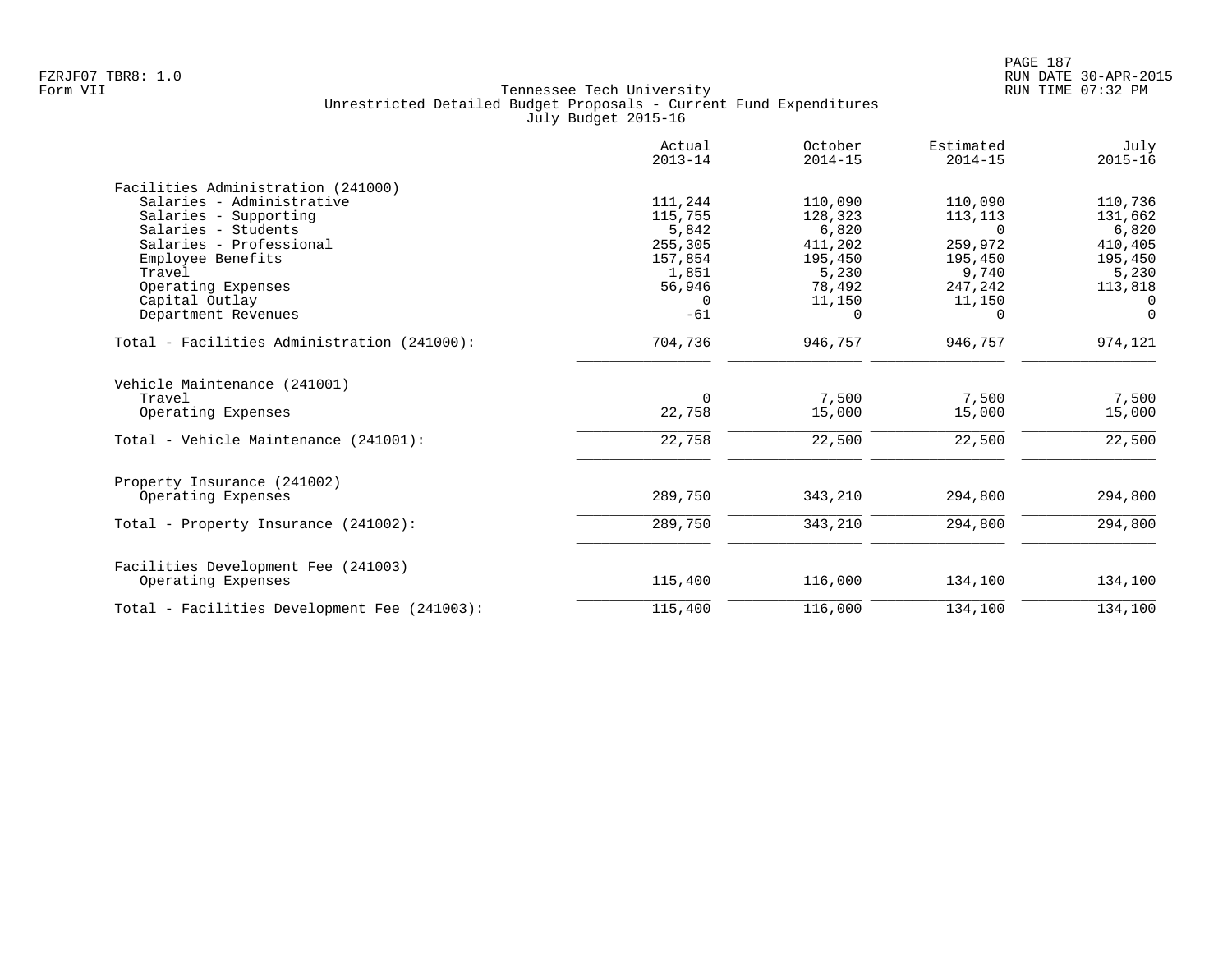|                                              | Actual<br>$2013 - 14$ | October<br>$2014 - 15$ | Estimated<br>$2014 - 15$ | July<br>$2015 - 16$ |
|----------------------------------------------|-----------------------|------------------------|--------------------------|---------------------|
| Facilities Administration (241000)           |                       |                        |                          |                     |
| Salaries - Administrative                    | 111,244               | 110,090                | 110,090                  | 110,736             |
| Salaries - Supporting                        | 115,755               | 128,323                | 113,113                  | 131,662             |
| Salaries - Students                          | 5,842                 | 6,820                  | $\Omega$                 | 6,820               |
| Salaries - Professional                      | 255,305               | 411,202                | 259,972                  | 410,405             |
| Employee Benefits                            | 157,854               | 195,450                | 195,450                  | 195,450             |
| Travel                                       | 1,851                 | 5,230                  | 9,740                    | 5,230               |
| Operating Expenses                           | 56,946                | 78,492                 | 247,242                  | 113,818             |
| Capital Outlay                               | $\Omega$              | 11,150                 | 11,150                   | $\Omega$            |
| Department Revenues                          | $-61$                 | $\Omega$               | 0                        | $\Omega$            |
| Total - Facilities Administration (241000):  | 704,736               | 946,757                | 946,757                  | 974,121             |
| Vehicle Maintenance (241001)<br>Travel       | $\Omega$              | 7,500                  | 7,500                    | 7,500               |
| Operating Expenses                           | 22,758                | 15,000                 | 15,000                   | 15,000              |
| Total - Vehicle Maintenance (241001):        | 22,758                | 22,500                 | 22,500                   | 22,500              |
| Property Insurance (241002)                  |                       |                        |                          |                     |
| Operating Expenses                           | 289,750               | 343,210                | 294,800                  | 294,800             |
| Total - Property Insurance (241002):         | 289,750               | 343,210                | 294,800                  | 294,800             |
| Facilities Development Fee (241003)          |                       |                        |                          |                     |
| Operating Expenses                           | 115,400               | 116,000                | 134,100                  | 134,100             |
| Total - Facilities Development Fee (241003): | 115,400               | 116,000                | 134,100                  | 134,100             |
|                                              |                       |                        |                          |                     |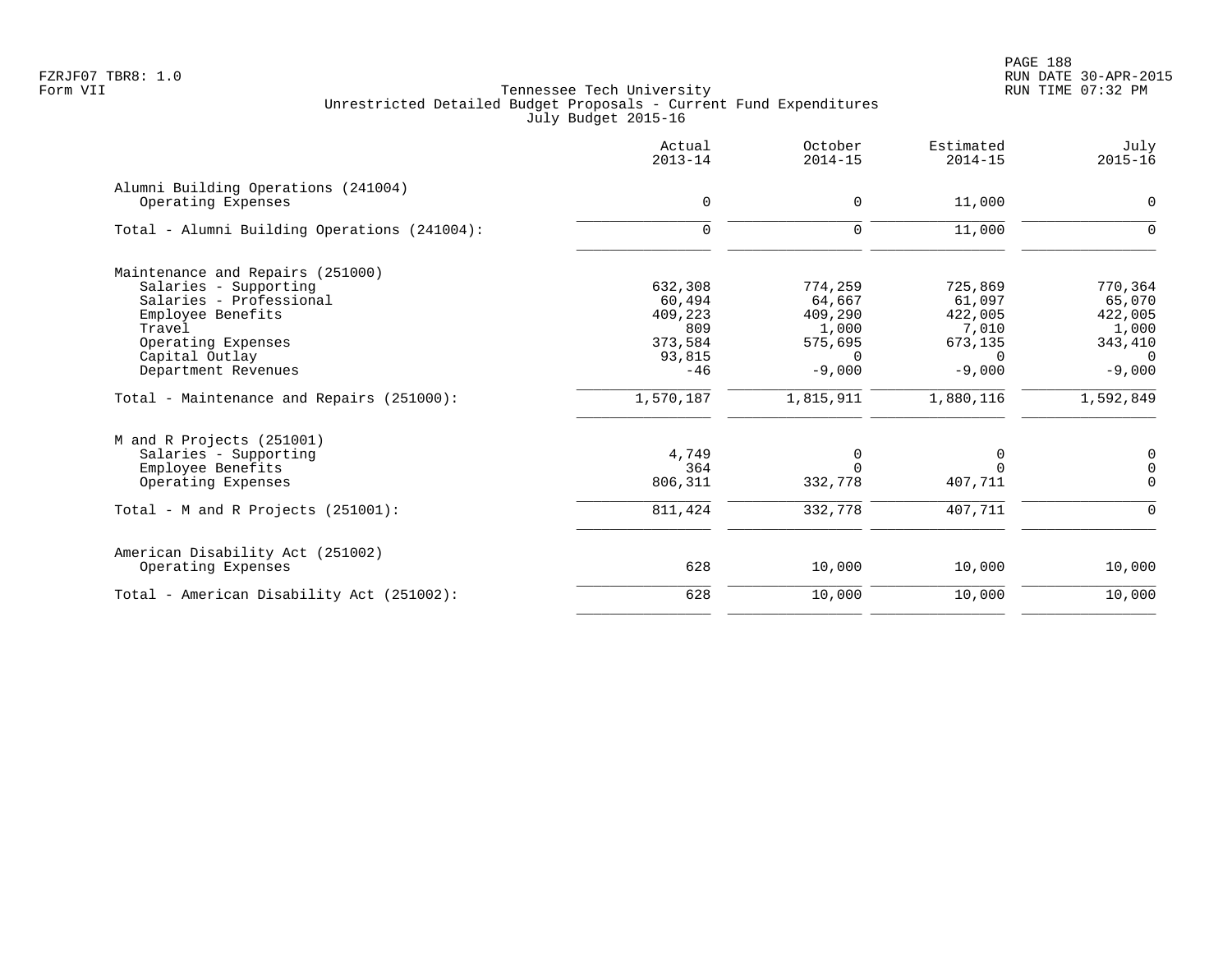PAGE 188 FZRJF07 TBR8: 1.0 RUN DATE 30-APR-2015

|                                              | Actual<br>$2013 - 14$ | October<br>$2014 - 15$ | Estimated<br>$2014 - 15$ | July<br>$2015 - 16$ |
|----------------------------------------------|-----------------------|------------------------|--------------------------|---------------------|
| Alumni Building Operations (241004)          |                       |                        |                          |                     |
| Operating Expenses                           | $\mathbf 0$           | $\mathbf 0$            | 11,000                   | 0                   |
| Total - Alumni Building Operations (241004): | $\Omega$              | $\mathbf 0$            | 11,000                   | $\Omega$            |
| Maintenance and Repairs (251000)             |                       |                        |                          |                     |
| Salaries - Supporting                        | 632,308               | 774,259                | 725,869                  | 770,364             |
| Salaries - Professional                      | 60,494                | 64,667                 | 61,097                   | 65,070              |
| Employee Benefits                            | 409,223               | 409,290                | 422,005                  | 422,005             |
| Travel                                       | 809                   | 1,000                  | 7,010                    | 1,000               |
| Operating Expenses                           | 373,584               | 575,695                | 673,135                  | 343,410             |
| Capital Outlay                               | 93,815                | $\Omega$               | $\Omega$                 | $\Omega$            |
| Department Revenues                          | $-46$                 | $-9,000$               | $-9,000$                 | $-9,000$            |
| Total - Maintenance and Repairs (251000):    | 1,570,187             | 1,815,911              | 1,880,116                | 1,592,849           |
| M and R Projects (251001)                    |                       |                        |                          |                     |
| Salaries - Supporting                        | 4,749                 | 0                      | 0                        | 0                   |
| Employee Benefits                            | 364                   | $\Omega$               | $\cap$                   | $\mathsf 0$         |
| Operating Expenses                           | 806,311               | 332,778                | 407,711                  | $\Omega$            |
| Total - M and R Projects $(251001)$ :        | 811,424               | 332,778                | 407,711                  | $\Omega$            |
| American Disability Act (251002)             |                       |                        |                          |                     |
| Operating Expenses                           | 628                   | 10,000                 | 10,000                   | 10,000              |
| Total - American Disability Act (251002):    | 628                   | 10,000                 | 10,000                   | 10,000              |
|                                              |                       |                        |                          |                     |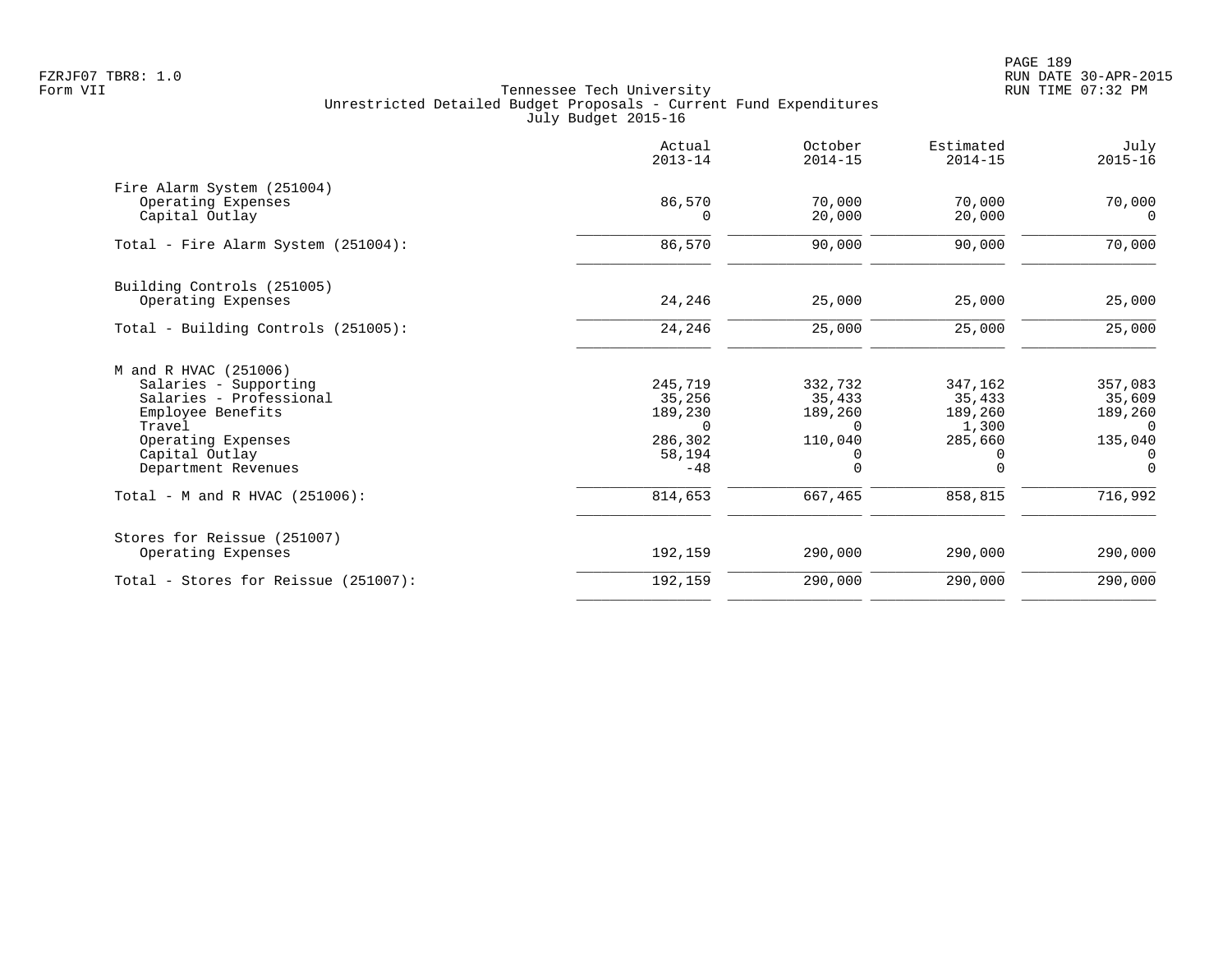|                                      | Actual<br>$2013 - 14$ | October<br>$2014 - 15$ | Estimated<br>$2014 - 15$ | July<br>$2015 - 16$ |
|--------------------------------------|-----------------------|------------------------|--------------------------|---------------------|
| Fire Alarm System (251004)           |                       |                        |                          |                     |
| Operating Expenses<br>Capital Outlay | 86,570<br>$\Omega$    | 70,000<br>20,000       | 70,000<br>20,000         | 70,000<br>$\Omega$  |
| Total - Fire Alarm System (251004):  | 86,570                | 90,000                 | 90,000                   | 70,000              |
| Building Controls (251005)           |                       |                        |                          |                     |
| Operating Expenses                   | 24,246                | 25,000                 | 25,000                   | 25,000              |
| Total - Building Controls (251005):  | 24,246                | 25,000                 | 25,000                   | 25,000              |
| M and R HVAC (251006)                |                       |                        |                          |                     |
| Salaries - Supporting                | 245,719               | 332,732                | 347,162                  | 357,083             |
| Salaries - Professional              | 35,256                | 35,433                 | 35,433                   | 35,609              |
| Employee Benefits<br>Travel          | 189,230<br>$\Omega$   | 189,260<br>$\Omega$    | 189,260<br>1,300         | 189,260<br>$\Omega$ |
| Operating Expenses                   | 286,302               | 110,040                | 285,660                  | 135,040             |
| Capital Outlay                       | 58,194                | 0                      | 0                        | 0                   |
| Department Revenues                  | $-48$                 | $\Omega$               | $\Omega$                 | $\Omega$            |
| Total - M and R HVAC (251006):       | 814,653               | 667,465                | 858,815                  | 716,992             |
| Stores for Reissue (251007)          |                       |                        |                          |                     |
| Operating Expenses                   | 192,159               | 290,000                | 290,000                  | 290,000             |
| Total - Stores for Reissue (251007): | 192,159               | 290,000                | 290,000                  | 290,000             |
|                                      |                       |                        |                          |                     |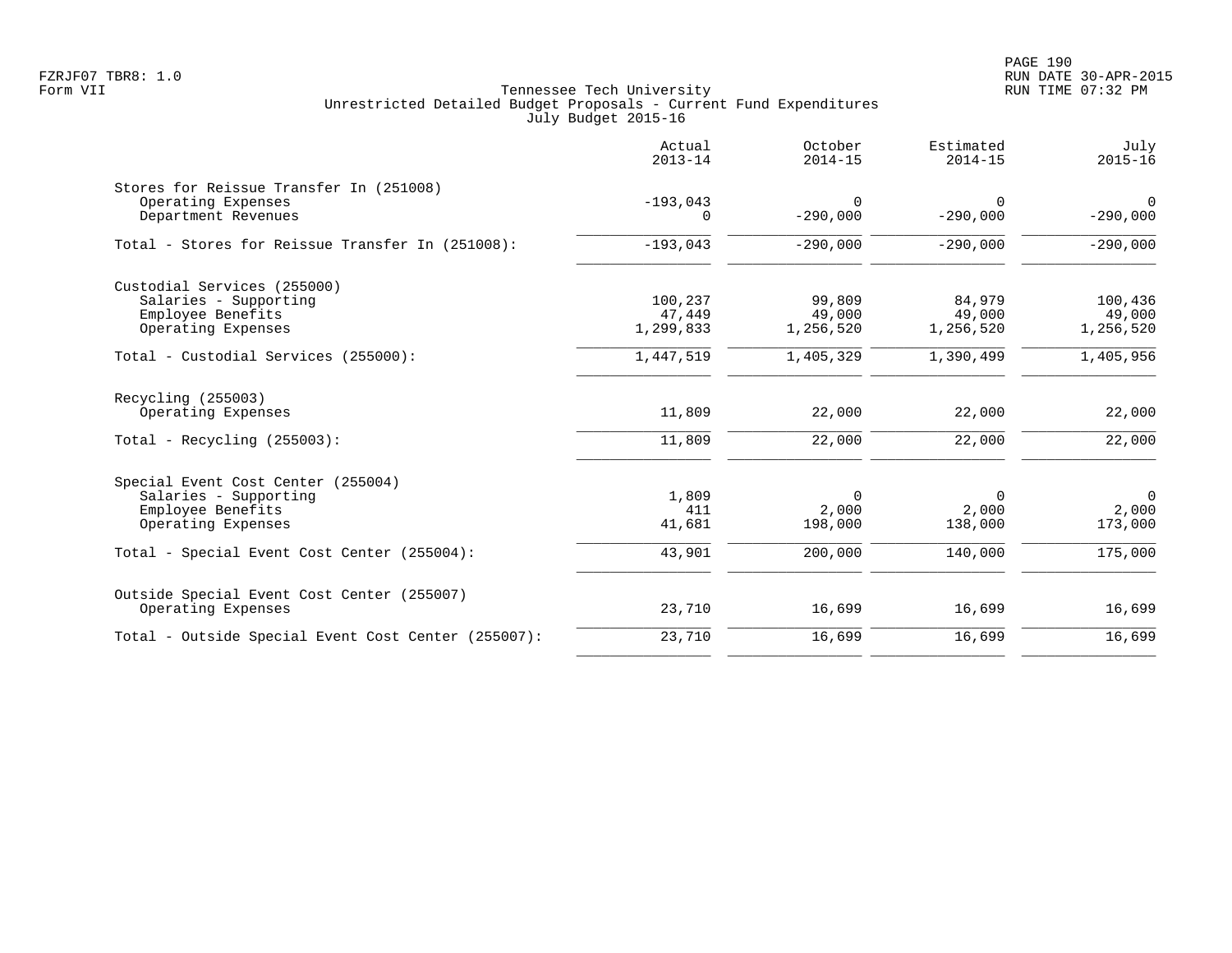PAGE 190 FZRJF07 TBR8: 1.0 RUN DATE 30-APR-2015

|                                                     | Actual<br>$2013 - 14$ | October<br>$2014 - 15$ | Estimated<br>$2014 - 15$ | July<br>$2015 - 16$       |
|-----------------------------------------------------|-----------------------|------------------------|--------------------------|---------------------------|
| Stores for Reissue Transfer In (251008)             |                       | $\Omega$               |                          |                           |
| Operating Expenses<br>Department Revenues           | $-193,043$<br>0       | $-290,000$             | $\Omega$<br>$-290,000$   | $\mathbf 0$<br>$-290,000$ |
| Total - Stores for Reissue Transfer In (251008):    | $-193,043$            | $-290,000$             | $-290,000$               | $-290,000$                |
| Custodial Services (255000)                         |                       |                        |                          |                           |
| Salaries - Supporting                               | 100,237               | 99,809                 | 84,979                   | 100,436                   |
| Employee Benefits                                   | 47,449                | 49,000                 | 49,000                   | 49,000                    |
| Operating Expenses                                  | 1,299,833             | 1,256,520              | 1,256,520                | 1,256,520                 |
| Total - Custodial Services (255000):                | 1,447,519             | 1,405,329              | 1,390,499                | 1,405,956                 |
| Recycling (255003)                                  |                       |                        |                          |                           |
| Operating Expenses                                  | 11,809                | 22,000                 | 22,000                   | 22,000                    |
| Total - Recycling $(255003)$ :                      | 11,809                | 22,000                 | 22,000                   | 22,000                    |
| Special Event Cost Center (255004)                  |                       |                        |                          |                           |
| Salaries - Supporting                               | 1,809                 | $\mathbf 0$            | 0                        | $\overline{0}$            |
| Employee Benefits                                   | 411                   | 2,000                  | 2,000                    | 2,000                     |
| Operating Expenses                                  | 41,681                | 198,000                | 138,000                  | 173,000                   |
| Total - Special Event Cost Center (255004):         | 43,901                | 200,000                | 140,000                  | 175,000                   |
| Outside Special Event Cost Center (255007)          |                       |                        |                          |                           |
| Operating Expenses                                  | 23,710                | 16,699                 | 16,699                   | 16,699                    |
| Total - Outside Special Event Cost Center (255007): | 23,710                | 16,699                 | 16,699                   | 16,699                    |
|                                                     |                       |                        |                          |                           |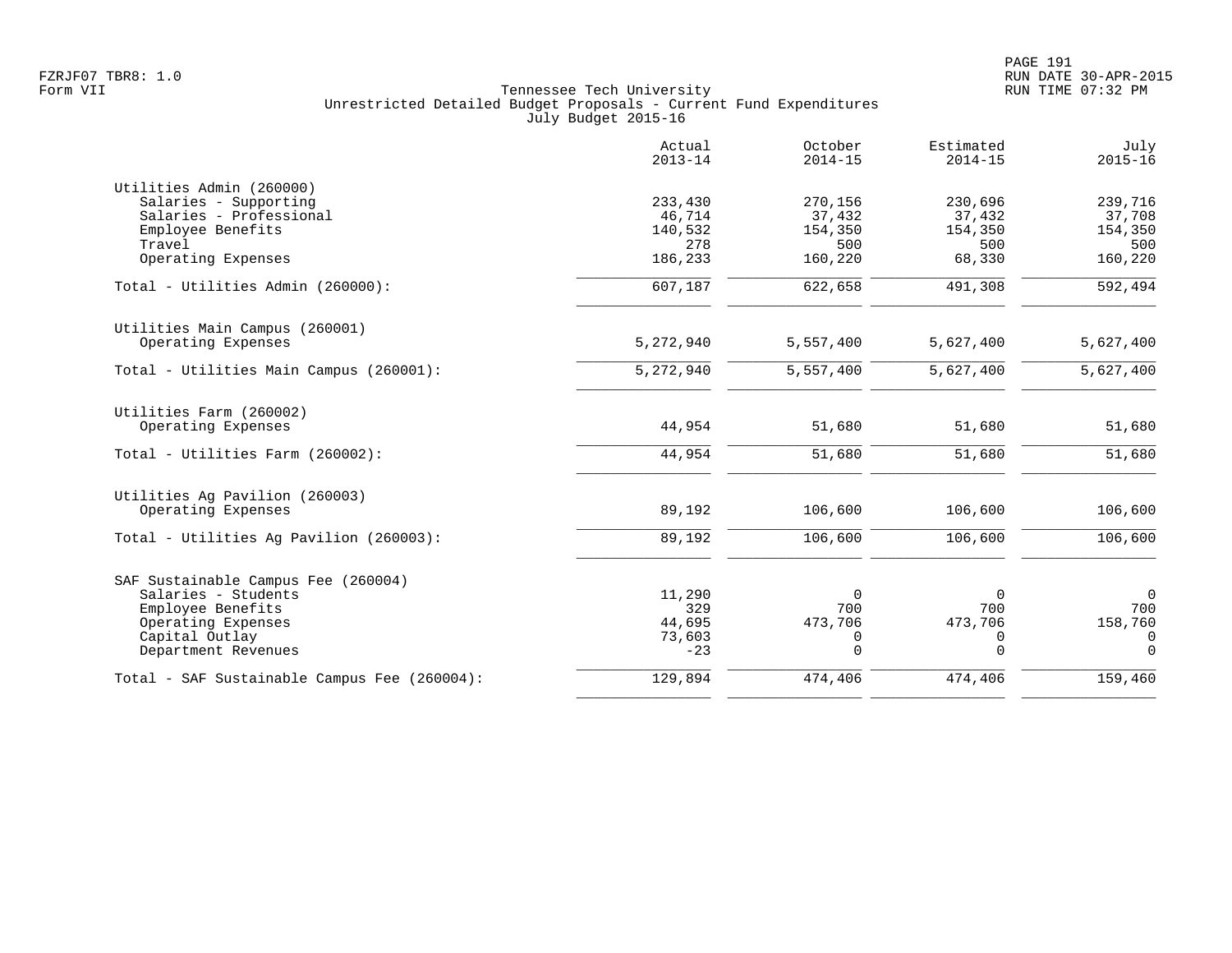|                                              | Actual<br>$2013 - 14$ | October<br>$2014 - 15$ | Estimated<br>$2014 - 15$ | July<br>$2015 - 16$   |
|----------------------------------------------|-----------------------|------------------------|--------------------------|-----------------------|
| Utilities Admin (260000)                     |                       |                        |                          |                       |
| Salaries - Supporting                        | 233,430               | 270,156                | 230,696                  | 239,716               |
| Salaries - Professional                      | 46,714                | 37,432                 | 37,432                   | 37,708                |
| Employee Benefits                            | 140,532               | 154,350                | 154,350                  | 154,350               |
| Travel                                       | 278                   | 500                    | 500                      | 500                   |
| Operating Expenses                           | 186,233               | 160,220                | 68,330                   | 160,220               |
| Total - Utilities Admin (260000):            | 607,187               | 622,658                | 491,308                  | $\overline{592, 494}$ |
| Utilities Main Campus (260001)               |                       |                        |                          |                       |
| Operating Expenses                           | 5,272,940             | 5,557,400              | 5,627,400                | 5,627,400             |
| Total - Utilities Main Campus (260001):      | 5,272,940             | 5,557,400              | 5,627,400                | 5,627,400             |
| Utilities Farm (260002)                      |                       |                        |                          |                       |
| Operating Expenses                           | 44,954                | 51,680                 | 51,680                   | 51,680                |
| Total - Utilities Farm (260002):             | 44,954                | 51,680                 | 51,680                   | 51,680                |
| Utilities Ag Pavilion (260003)               |                       |                        |                          |                       |
| Operating Expenses                           | 89,192                | 106,600                | 106,600                  | 106,600               |
| Total - Utilities Aq Pavilion (260003):      | 89,192                | 106,600                | 106,600                  | 106,600               |
| SAF Sustainable Campus Fee (260004)          |                       |                        |                          |                       |
| Salaries - Students                          | 11,290                | $\Omega$               | $\Omega$                 | $\overline{0}$        |
| Employee Benefits                            | 329                   | 700                    | 700                      | 700                   |
| Operating Expenses                           | 44,695                | 473,706                | 473,706                  | 158,760               |
| Capital Outlay                               | 73,603                | 0                      | 0                        | 0                     |
| Department Revenues                          | $-23$                 | $\Omega$               | $\Omega$                 | $\Omega$              |
| Total - SAF Sustainable Campus Fee (260004): | 129,894               | 474,406                | 474,406                  | 159,460               |
|                                              |                       |                        |                          |                       |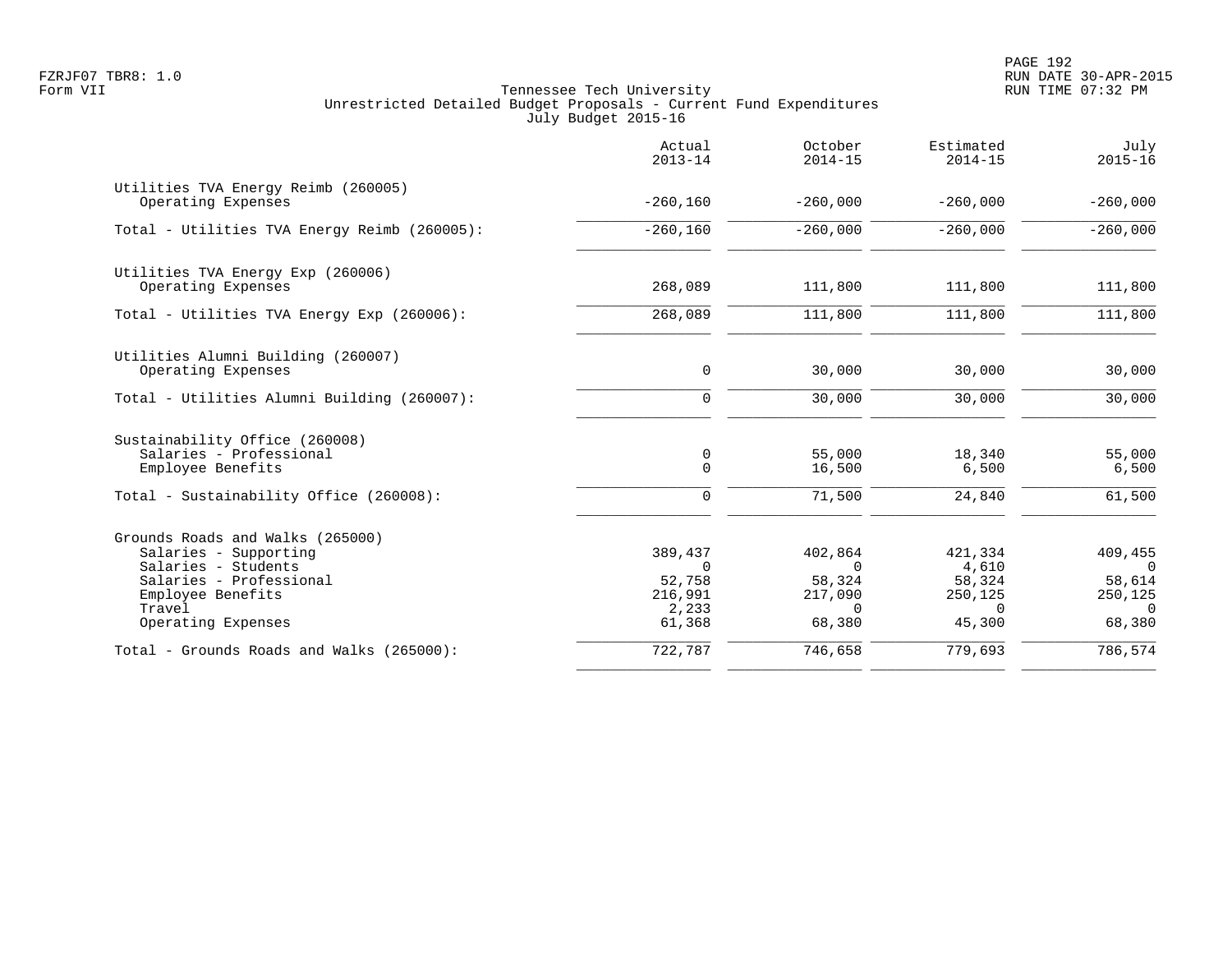PAGE 192 FZRJF07 TBR8: 1.0 RUN DATE 30-APR-2015

|                                                                                                                                                                  | Actual<br>$2013 - 14$                                       | October<br>$2014 - 15$                                         | Estimated<br>$2014 - 15$                                    | July<br>$2015 - 16$                                            |
|------------------------------------------------------------------------------------------------------------------------------------------------------------------|-------------------------------------------------------------|----------------------------------------------------------------|-------------------------------------------------------------|----------------------------------------------------------------|
| Utilities TVA Energy Reimb (260005)<br>Operating Expenses                                                                                                        | $-260,160$                                                  | $-260,000$                                                     | $-260,000$                                                  | $-260,000$                                                     |
| Total - Utilities TVA Energy Reimb (260005):                                                                                                                     | $-260,160$                                                  | $-260,000$                                                     | $-260,000$                                                  | $-260,000$                                                     |
| Utilities TVA Energy Exp (260006)<br>Operating Expenses                                                                                                          | 268,089                                                     | 111,800                                                        | 111,800                                                     | 111,800                                                        |
| Total - Utilities TVA Energy Exp (260006):                                                                                                                       | 268,089                                                     | 111,800                                                        | 111,800                                                     | 111,800                                                        |
| Utilities Alumni Building (260007)<br>Operating Expenses                                                                                                         | 0                                                           | 30,000                                                         | 30,000                                                      | 30,000                                                         |
| Total - Utilities Alumni Building (260007):                                                                                                                      | $\Omega$                                                    | 30,000                                                         | 30,000                                                      | 30,000                                                         |
| Sustainability Office (260008)<br>Salaries - Professional<br>Employee Benefits                                                                                   | 0<br>$\Omega$                                               | 55,000<br>16,500                                               | 18,340<br>6,500                                             | 55,000<br>6,500                                                |
| Total - Sustainability Office (260008):                                                                                                                          | $\Omega$                                                    | 71,500                                                         | 24,840                                                      | 61,500                                                         |
| Grounds Roads and Walks (265000)<br>Salaries - Supporting<br>Salaries - Students<br>Salaries - Professional<br>Employee Benefits<br>Travel<br>Operating Expenses | 389,437<br>$\Omega$<br>52,758<br>216,991<br>2,233<br>61,368 | 402,864<br>$\Omega$<br>58,324<br>217,090<br>$\Omega$<br>68,380 | 421,334<br>4,610<br>58,324<br>250,125<br>$\Omega$<br>45,300 | 409,455<br>$\Omega$<br>58,614<br>250,125<br>$\Omega$<br>68,380 |
| Total - Grounds Roads and Walks (265000):                                                                                                                        | 722,787                                                     | 746,658                                                        | 779,693                                                     | 786,574                                                        |
|                                                                                                                                                                  |                                                             |                                                                |                                                             |                                                                |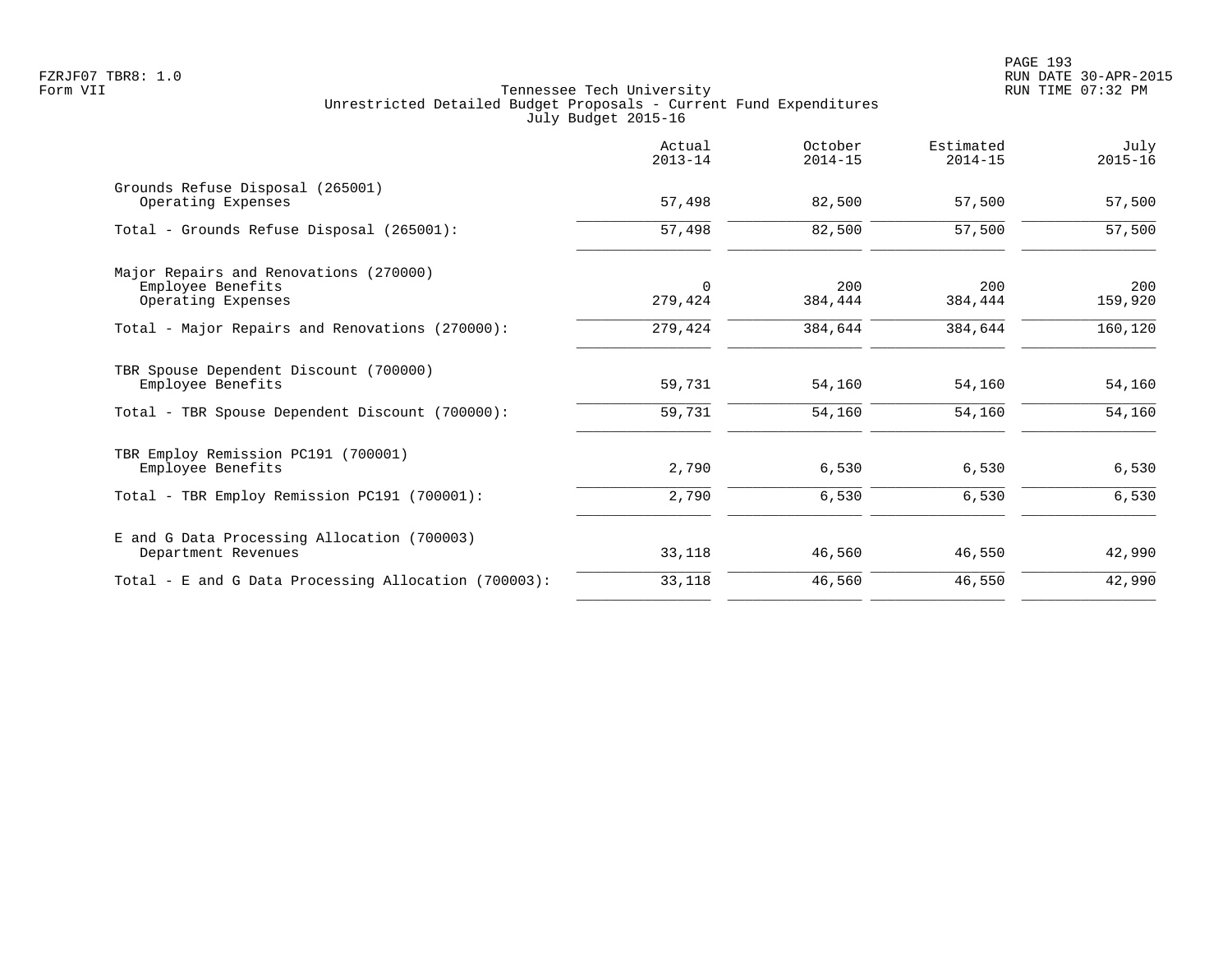|                                                                                   | Actual<br>$2013 - 14$ | October<br>$2014 - 15$ | Estimated<br>$2014 - 15$ | July<br>$2015 - 16$ |
|-----------------------------------------------------------------------------------|-----------------------|------------------------|--------------------------|---------------------|
| Grounds Refuse Disposal (265001)<br>Operating Expenses                            | 57,498                | 82,500                 | 57,500                   | 57,500              |
| Total - Grounds Refuse Disposal (265001):                                         | 57,498                | 82,500                 | 57,500                   | 57,500              |
| Major Repairs and Renovations (270000)<br>Employee Benefits<br>Operating Expenses | $\Omega$<br>279,424   | 200<br>384,444         | 200<br>384,444           | 200<br>159,920      |
| Total - Major Repairs and Renovations (270000):                                   | 279,424               | 384,644                | 384,644                  | 160,120             |
| TBR Spouse Dependent Discount (700000)<br>Employee Benefits                       | 59,731                | 54,160                 | 54,160                   | 54,160              |
| Total - TBR Spouse Dependent Discount (700000):                                   | 59,731                | 54,160                 | 54,160                   | 54,160              |
| TBR Employ Remission PC191 (700001)<br>Employee Benefits                          | 2,790                 | 6,530                  | 6,530                    | 6,530               |
| Total - TBR Employ Remission PC191 (700001):                                      | 2,790                 | 6,530                  | 6,530                    | 6,530               |
| E and G Data Processing Allocation (700003)<br>Department Revenues                | 33,118                | 46,560                 | 46,550                   | 42,990              |
| Total - E and G Data Processing Allocation (700003):                              | 33,118                | 46,560                 | 46,550                   | 42,990              |
|                                                                                   |                       |                        |                          |                     |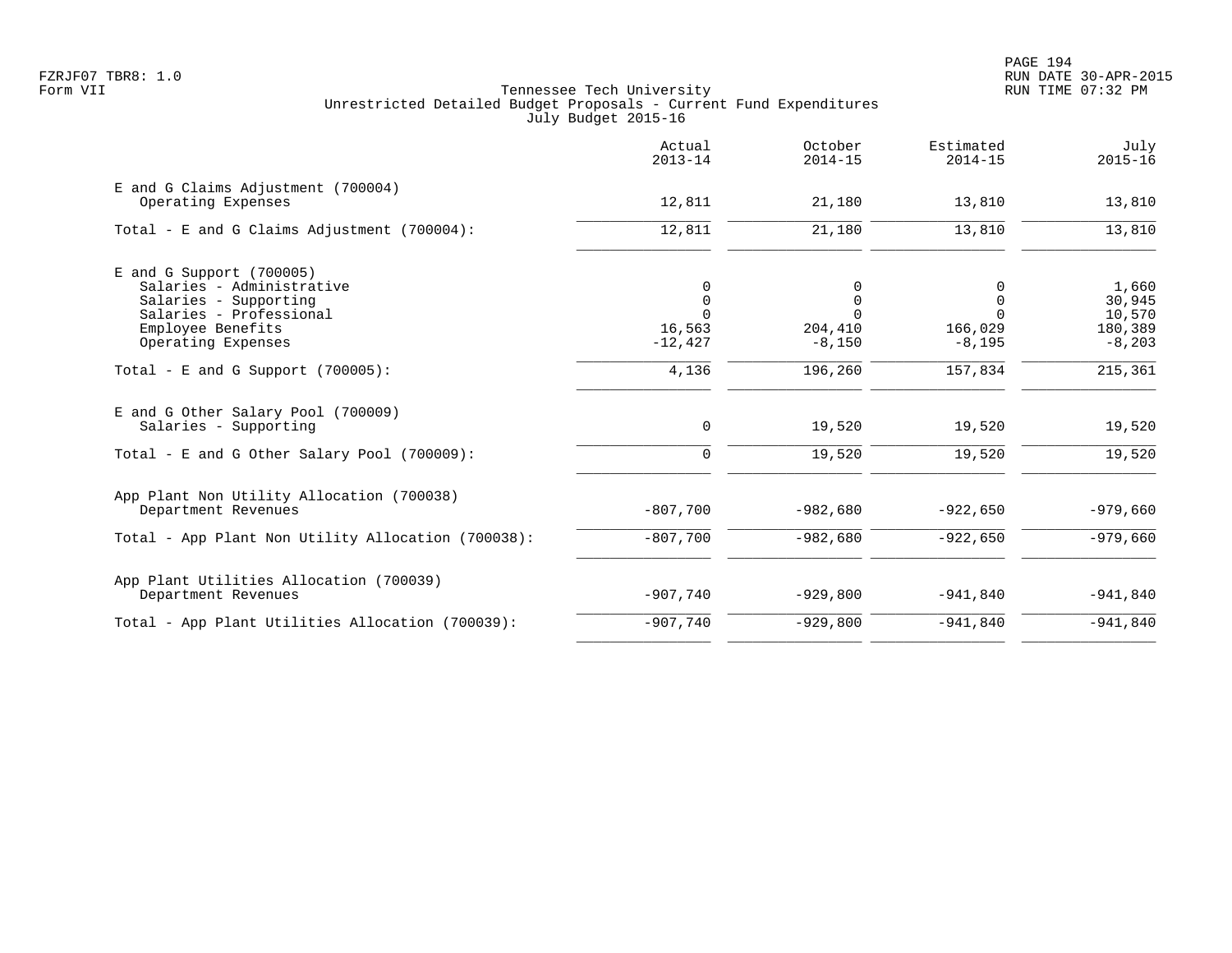|                                                                                                                                                        | Actual<br>$2013 - 14$                               | October<br>$2014 - 15$                    | Estimated<br>$2014 - 15$                         | July<br>$2015 - 16$                              |
|--------------------------------------------------------------------------------------------------------------------------------------------------------|-----------------------------------------------------|-------------------------------------------|--------------------------------------------------|--------------------------------------------------|
| E and G Claims Adjustment (700004)<br>Operating Expenses                                                                                               | 12,811                                              | 21,180                                    | 13,810                                           | 13,810                                           |
| Total - E and G Claims Adjustment $(700004)$ :                                                                                                         | 12,811                                              | 21,180                                    | 13,810                                           | 13,810                                           |
| $E$ and G Support (700005)<br>Salaries - Administrative<br>Salaries - Supporting<br>Salaries - Professional<br>Employee Benefits<br>Operating Expenses | 0<br>$\mathbf 0$<br>$\Omega$<br>16,563<br>$-12,427$ | 0<br>0<br>$\Omega$<br>204,410<br>$-8,150$ | 0<br>$\Omega$<br>$\Omega$<br>166,029<br>$-8,195$ | 1,660<br>30,945<br>10,570<br>180,389<br>$-8,203$ |
| Total - E and G Support $(700005)$ :                                                                                                                   | 4,136                                               | 196,260                                   | 157,834                                          | 215,361                                          |
| E and G Other Salary Pool (700009)<br>Salaries - Supporting                                                                                            | 0                                                   | 19,520                                    | 19,520                                           | 19,520                                           |
| Total - E and G Other Salary Pool (700009):                                                                                                            | $\mathbf 0$                                         | 19,520                                    | 19,520                                           | 19,520                                           |
| App Plant Non Utility Allocation (700038)<br>Department Revenues                                                                                       | $-807,700$                                          | $-982,680$                                | $-922,650$                                       | $-979,660$                                       |
| Total - App Plant Non Utility Allocation (700038):                                                                                                     | $-807,700$                                          | $-982,680$                                | $-922,650$                                       | $-979,660$                                       |
| App Plant Utilities Allocation (700039)<br>Department Revenues                                                                                         | $-907,740$                                          | $-929,800$                                | $-941,840$                                       | $-941,840$                                       |
| Total - App Plant Utilities Allocation (700039):                                                                                                       | $-907,740$                                          | $-929,800$                                | $-941,840$                                       | $-941,840$                                       |
|                                                                                                                                                        |                                                     |                                           |                                                  |                                                  |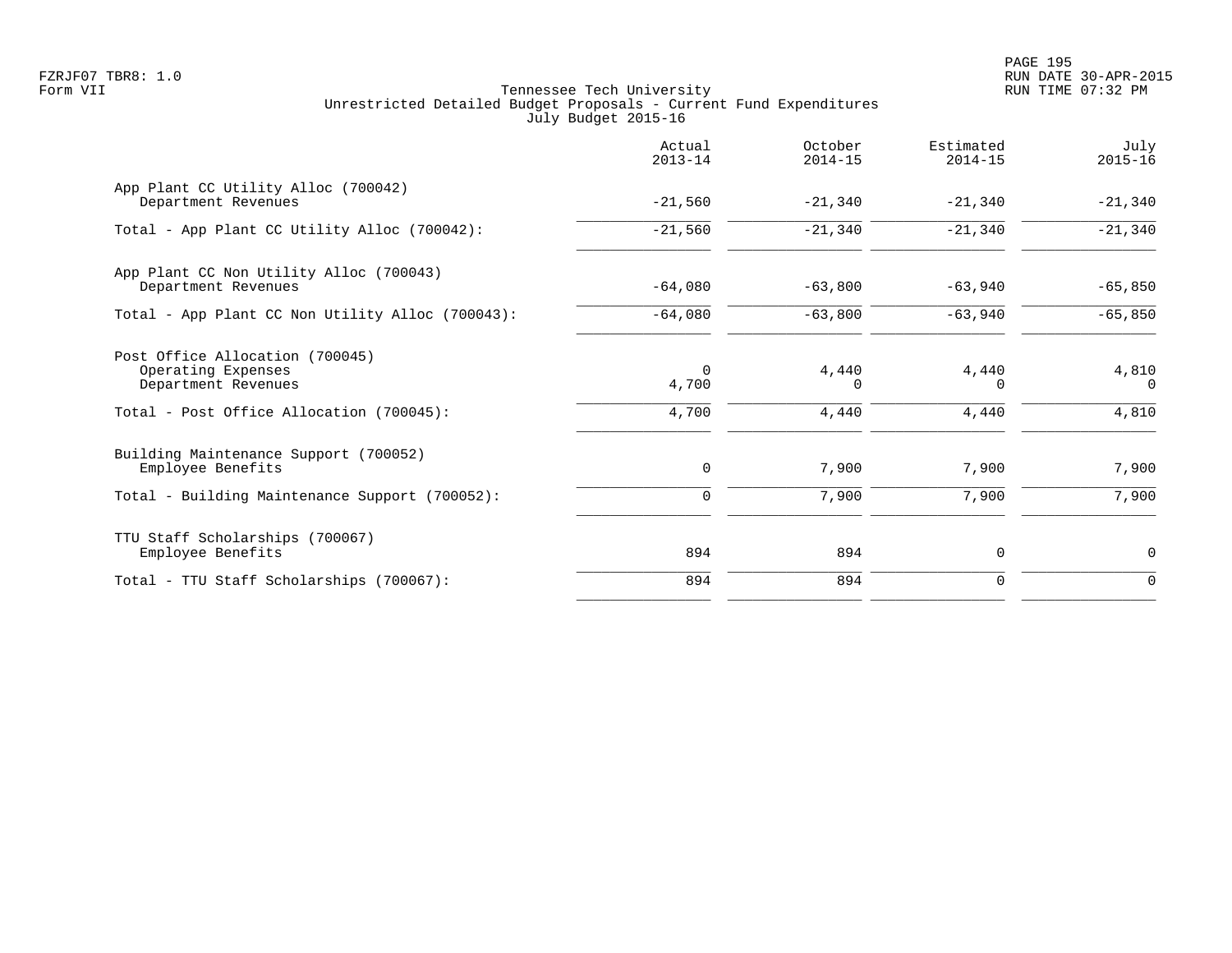PAGE 195 FZRJF07 TBR8: 1.0 RUN DATE 30-APR-2015

|                                                                              | Actual<br>$2013 - 14$ | October<br>$2014 - 15$ | Estimated<br>$2014 - 15$ | July<br>$2015 - 16$ |
|------------------------------------------------------------------------------|-----------------------|------------------------|--------------------------|---------------------|
| App Plant CC Utility Alloc (700042)<br>Department Revenues                   | $-21,560$             | $-21,340$              | $-21,340$                | $-21,340$           |
| Total - App Plant CC Utility Alloc (700042):                                 | $-21,560$             | $-21,340$              | $-21,340$                | $-21,340$           |
| App Plant CC Non Utility Alloc (700043)<br>Department Revenues               | $-64,080$             | $-63,800$              | $-63,940$                | $-65,850$           |
| Total - App Plant CC Non Utility Alloc (700043):                             | $-64,080$             | $-63,800$              | $-63,940$                | $-65,850$           |
| Post Office Allocation (700045)<br>Operating Expenses<br>Department Revenues | $\mathbf 0$<br>4,700  | 4,440<br>$\Omega$      | 4,440<br>$\Omega$        | 4,810<br>$\Omega$   |
| Total - Post Office Allocation (700045):                                     | 4,700                 | 4,440                  | 4,440                    | 4,810               |
| Building Maintenance Support (700052)<br>Employee Benefits                   | 0                     | 7,900                  | 7,900                    | 7,900               |
| Total - Building Maintenance Support (700052):                               | $\mathbf 0$           | 7,900                  | 7,900                    | 7,900               |
| TTU Staff Scholarships (700067)<br>Employee Benefits                         | 894                   | 894                    | $\mathbf 0$              | $\mathbf 0$         |
| Total - TTU Staff Scholarships (700067):                                     | 894                   | 894                    | $\mathbf 0$              | $\mathbf 0$         |
|                                                                              |                       |                        |                          |                     |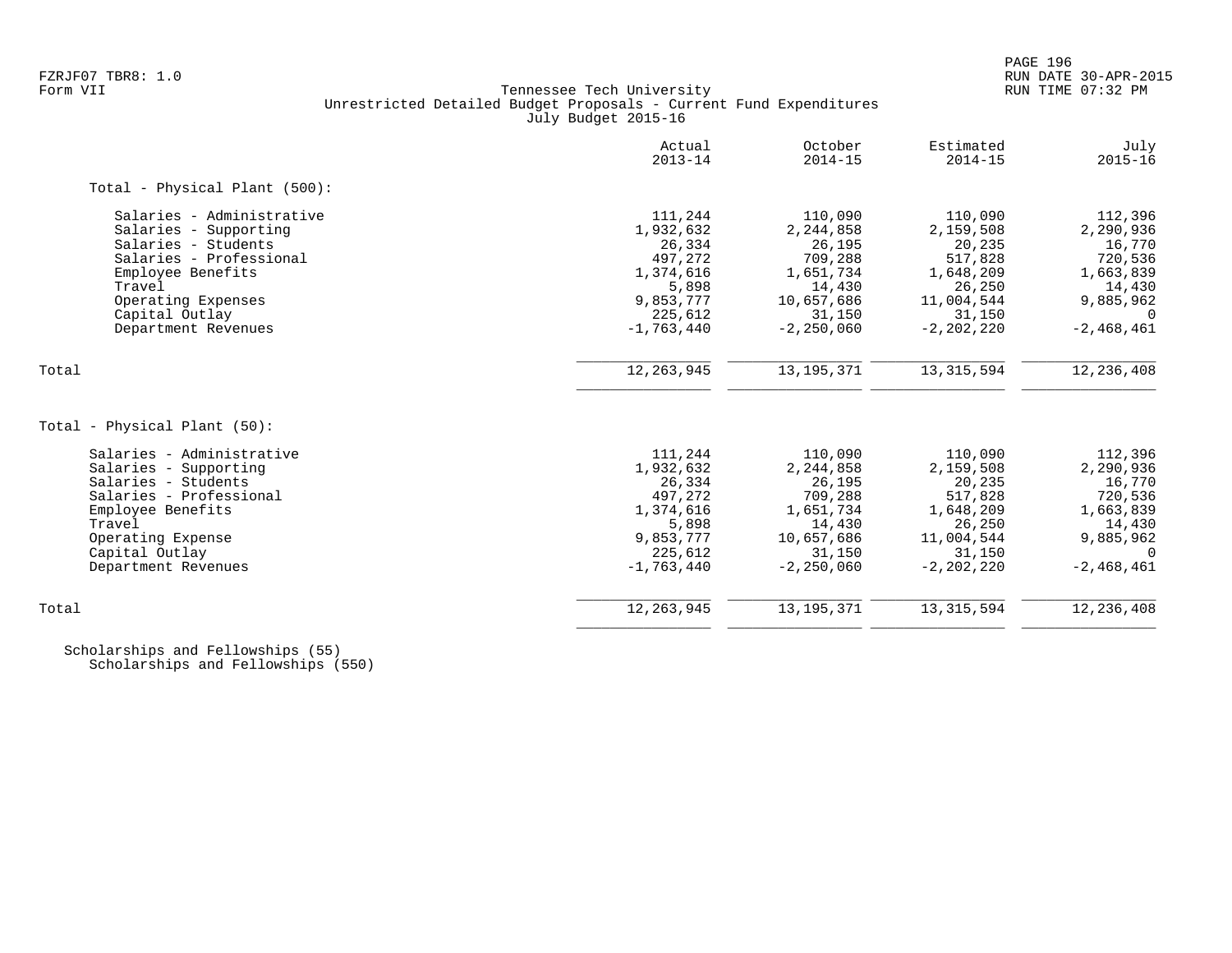# FZRJF07 TBR8: 1.0 RUN DATE 30-APR-2015 Tennessee Tech University Unrestricted Detailed Budget Proposals - Current Fund Expenditures July Budget 2015-16

|                               | Actual<br>$2013 - 14$ | October<br>$2014 - 15$ | Estimated<br>$2014 - 15$ | July<br>$2015 - 16$ |
|-------------------------------|-----------------------|------------------------|--------------------------|---------------------|
| Total - Physical Plant (500): |                       |                        |                          |                     |
| Salaries - Administrative     | 111,244               | 110,090                | 110,090                  | 112,396             |
| Salaries - Supporting         | 1,932,632             | 2,244,858              | 2,159,508                | 2,290,936           |
| Salaries - Students           | 26,334                | 26,195                 | 20,235                   | 16,770              |
| Salaries - Professional       | 497,272               | 709,288                | 517,828                  | 720,536             |
| Employee Benefits             | 1,374,616             | 1,651,734              | 1,648,209                | 1,663,839           |
| Travel                        | 5,898                 | 14,430                 | 26,250                   | 14,430              |
| Operating Expenses            | 9,853,777             | 10,657,686             | 11,004,544               | 9,885,962           |
| Capital Outlay                | 225,612               | 31,150                 | 31,150                   | $\Omega$            |
| Department Revenues           | $-1,763,440$          | $-2, 250, 060$         | $-2, 202, 220$           | $-2,468,461$        |
| Total                         | 12, 263, 945          | 13, 195, 371           | 13, 315, 594             | 12,236,408          |
|                               |                       |                        |                          |                     |
| Total - Physical Plant (50):  |                       |                        |                          |                     |
| Salaries - Administrative     | 111,244               | 110,090                | 110,090                  | 112,396             |
| Salaries - Supporting         | 1,932,632             | 2,244,858              | 2,159,508                | 2,290,936           |
| Salaries - Students           | 26,334                | 26,195                 | 20,235                   | 16,770              |
| Salaries - Professional       | 497,272               | 709,288                | 517,828                  | 720,536             |
| Employee Benefits             | 1,374,616             | 1,651,734              | 1,648,209                | 1,663,839           |
| Travel                        | 5,898                 | 14,430                 | 26,250                   | 14,430              |
| Operating Expense             | 9,853,777             | 10,657,686             | 11,004,544               | 9,885,962           |
| Capital Outlay                | 225,612               | 31,150                 | 31,150                   | $\Omega$            |
| Department Revenues           | $-1,763,440$          | $-2, 250, 060$         | $-2, 202, 220$           | $-2,468,461$        |
| Total                         | 12, 263, 945          | 13, 195, 371           | 13, 315, 594             | 12, 236, 408        |
|                               |                       |                        |                          |                     |

 Scholarships and Fellowships (55) Scholarships and Fellowships (550)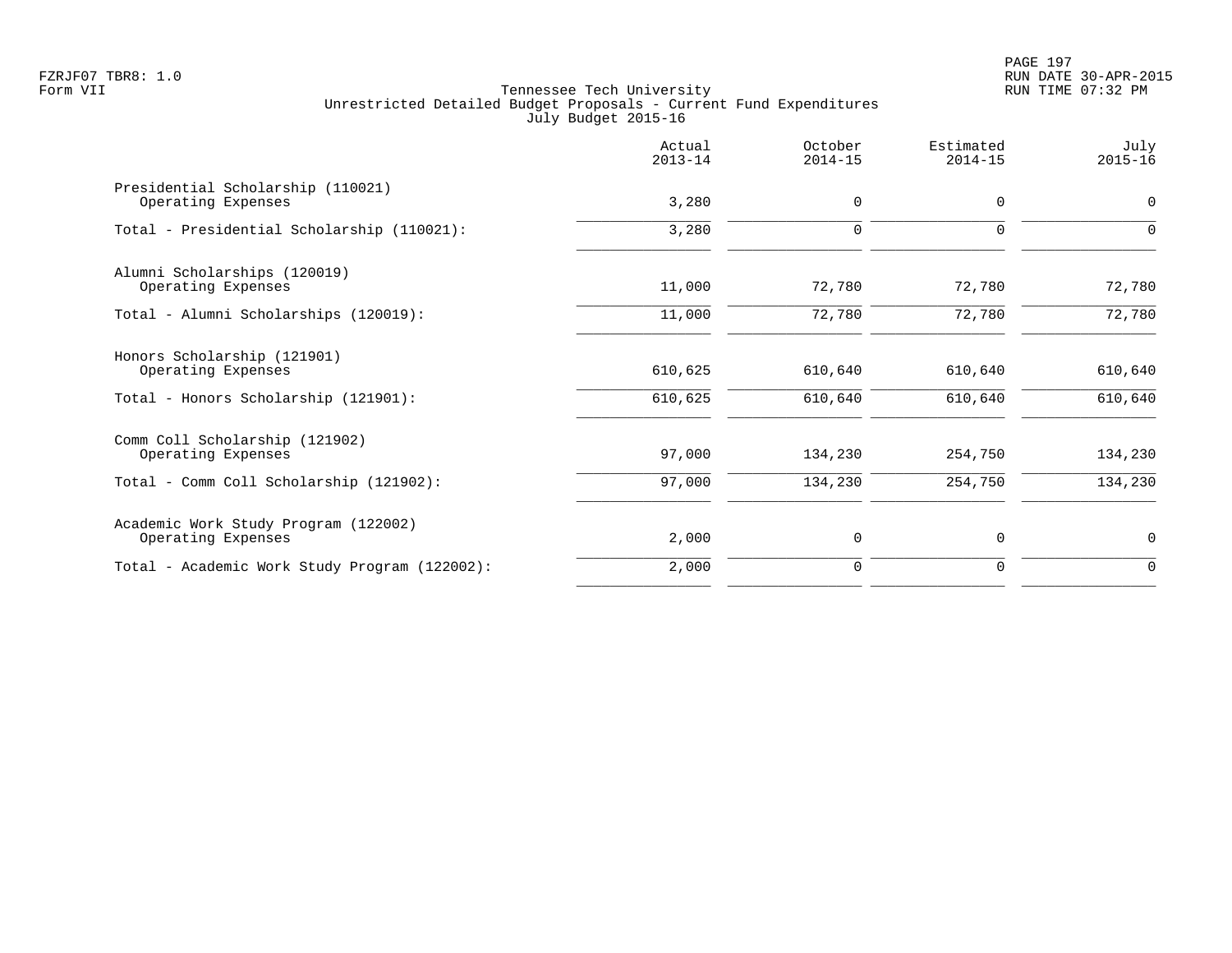PAGE 197 FZRJF07 TBR8: 1.0 RUN DATE 30-APR-2015

|                                                            | Actual<br>$2013 - 14$ | October<br>$2014 - 15$ | Estimated<br>$2014 - 15$ | July<br>$2015 - 16$ |
|------------------------------------------------------------|-----------------------|------------------------|--------------------------|---------------------|
| Presidential Scholarship (110021)<br>Operating Expenses    | 3,280                 | 0                      | $\mathbf{0}$             | 0                   |
| Total - Presidential Scholarship (110021):                 | 3,280                 | $\mathbf 0$            | $\Omega$                 | $\Omega$            |
| Alumni Scholarships (120019)<br>Operating Expenses         | 11,000                | 72,780                 | 72,780                   | 72,780              |
| Total - Alumni Scholarships (120019):                      | 11,000                | 72,780                 | 72,780                   | 72,780              |
| Honors Scholarship (121901)<br>Operating Expenses          | 610,625               | 610,640                | 610,640                  | 610,640             |
| Total - Honors Scholarship (121901):                       | 610,625               | 610,640                | 610,640                  | 610,640             |
| Comm Coll Scholarship (121902)<br>Operating Expenses       | 97,000                | 134,230                | 254,750                  | 134,230             |
| Total - Comm Coll Scholarship (121902):                    | 97,000                | 134,230                | 254,750                  | 134,230             |
| Academic Work Study Program (122002)<br>Operating Expenses | 2,000                 | 0                      | 0                        | 0                   |
| Total - Academic Work Study Program (122002):              | 2,000                 | $\mathbf 0$            | $\mathbf 0$              | $\mathbf 0$         |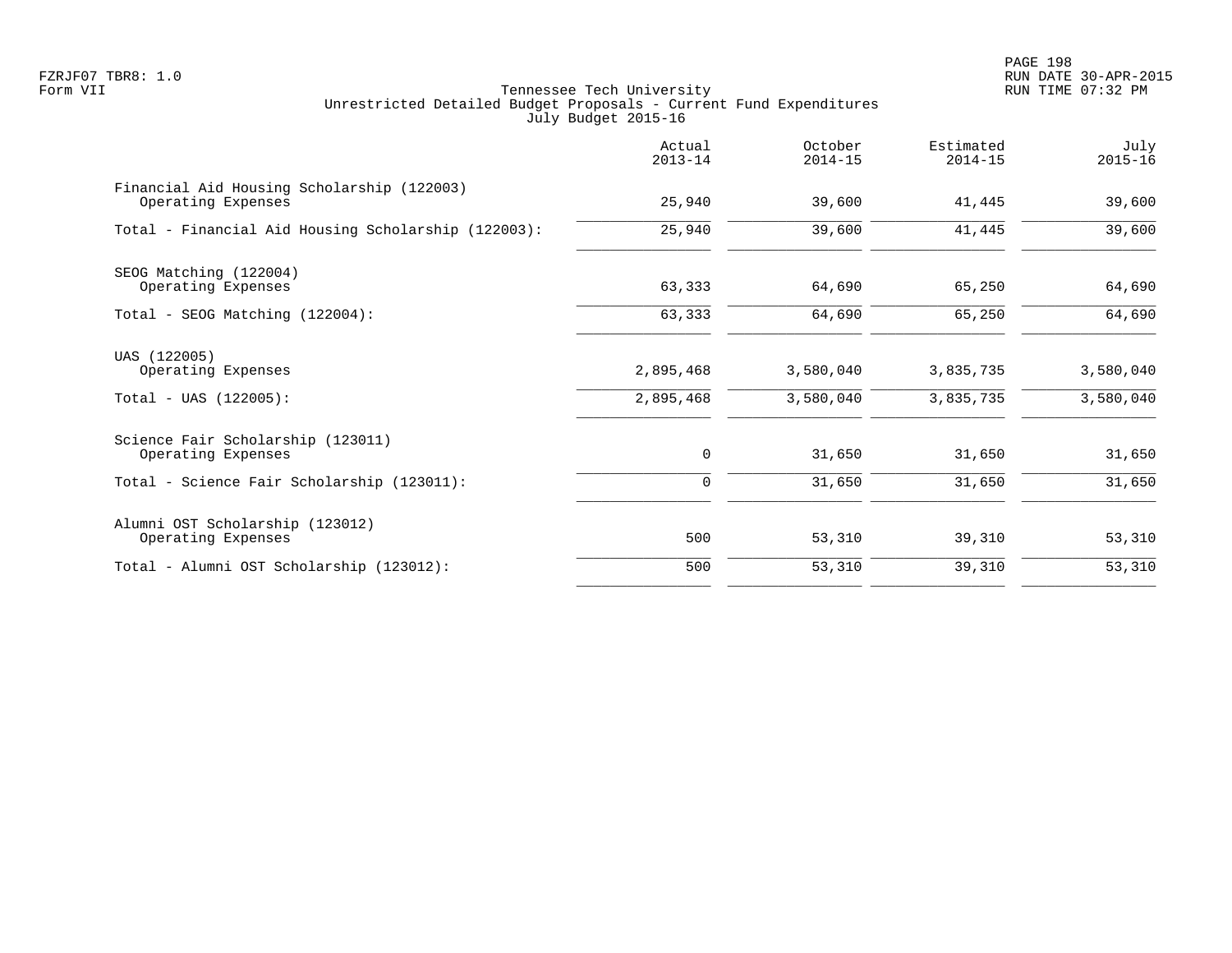PAGE 198 FZRJF07 TBR8: 1.0 RUN DATE 30-APR-2015

|                                                                  | Actual<br>$2013 - 14$ | October<br>$2014 - 15$ | Estimated<br>$2014 - 15$ | July<br>$2015 - 16$ |
|------------------------------------------------------------------|-----------------------|------------------------|--------------------------|---------------------|
| Financial Aid Housing Scholarship (122003)<br>Operating Expenses | 25,940                | 39,600                 | 41,445                   | 39,600              |
| Total - Financial Aid Housing Scholarship (122003):              | 25,940                | 39,600                 | 41,445                   | 39,600              |
| SEOG Matching (122004)<br>Operating Expenses                     | 63,333                | 64,690                 | 65,250                   | 64,690              |
| Total - SEOG Matching (122004):                                  | 63,333                | 64,690                 | 65,250                   | 64,690              |
| UAS (122005)<br>Operating Expenses                               | 2,895,468             | 3,580,040              | 3,835,735                | 3,580,040           |
| $Total - UAS (122005):$                                          | 2,895,468             | 3,580,040              | 3,835,735                | 3,580,040           |
| Science Fair Scholarship (123011)<br>Operating Expenses          | 0                     | 31,650                 | 31,650                   | 31,650              |
| Total - Science Fair Scholarship (123011):                       | 0                     | 31,650                 | 31,650                   | 31,650              |
| Alumni OST Scholarship (123012)<br>Operating Expenses            | 500                   | 53,310                 | 39,310                   | 53,310              |
| Total - Alumni OST Scholarship (123012):                         | 500                   | 53,310                 | 39,310                   | 53,310              |
|                                                                  |                       |                        |                          |                     |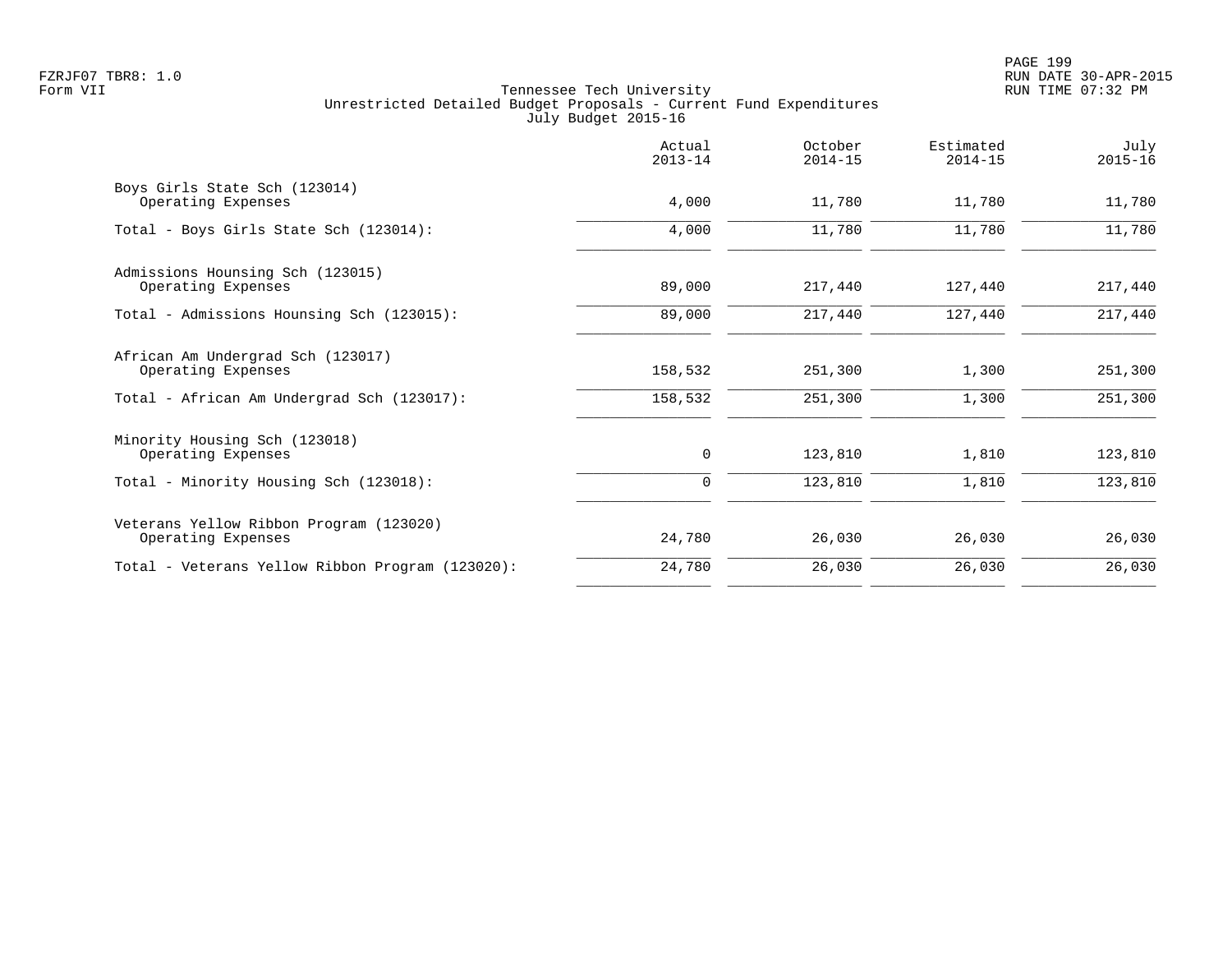| Actual<br>$2013 - 14$ | October<br>$2014 - 15$ | Estimated<br>$2014 - 15$ | July<br>$2015 - 16$ |
|-----------------------|------------------------|--------------------------|---------------------|
| 4,000                 | 11,780                 | 11,780                   | 11,780              |
| 4,000                 | 11,780                 | 11,780                   | 11,780              |
| 89,000                | 217,440                | 127,440                  | 217,440             |
| 89,000                | 217,440                | 127,440                  | 217,440             |
| 158,532               | 251,300                | 1,300                    | 251,300             |
| 158,532               | 251,300                | 1,300                    | 251,300             |
| 0                     | 123,810                | 1,810                    | 123,810             |
| $\Omega$              | 123,810                | 1,810                    | 123,810             |
| 24,780                | 26,030                 | 26,030                   | 26,030              |
| 24,780                | 26,030                 | 26,030                   | 26,030              |
|                       |                        |                          |                     |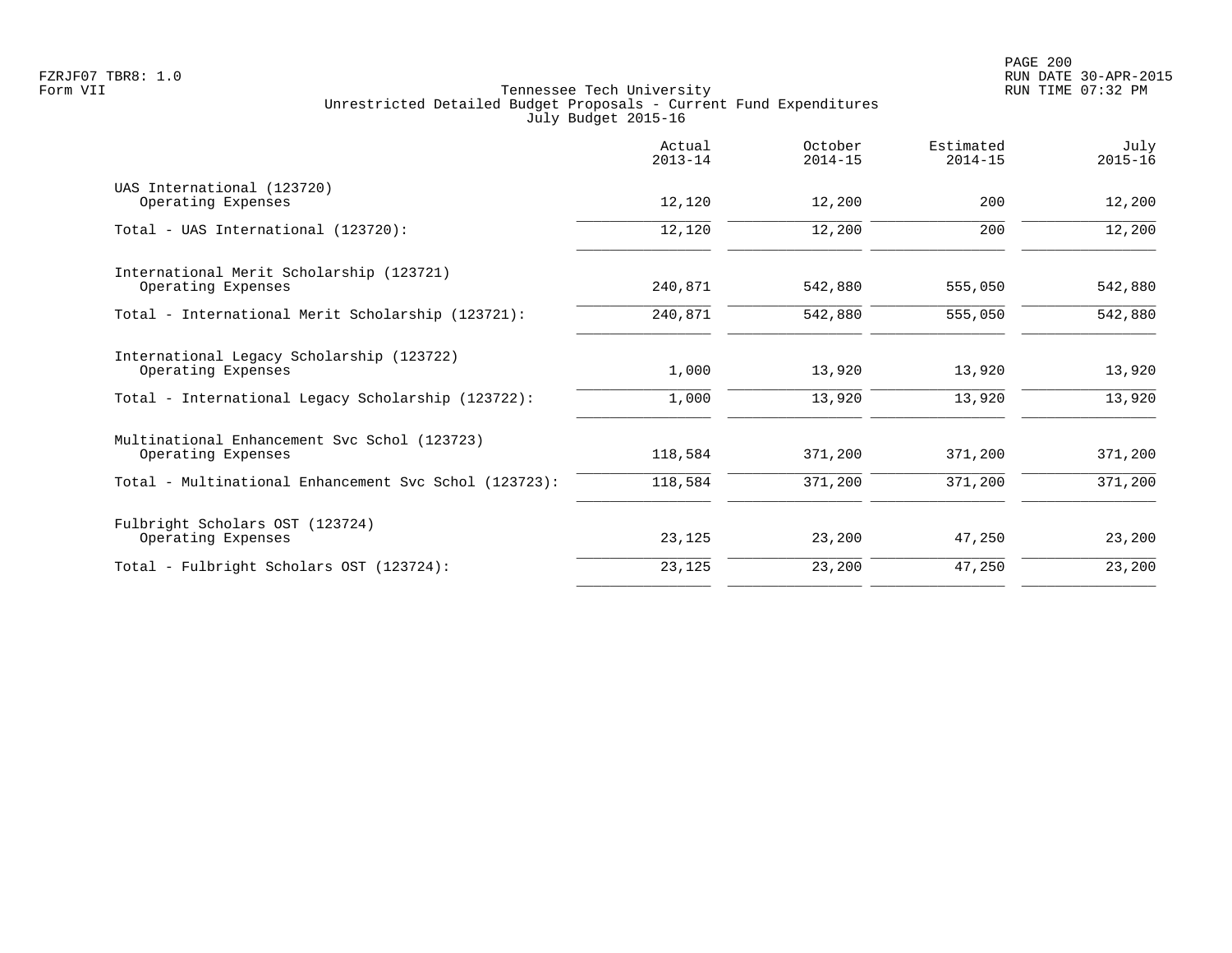|                                                                    | Actual<br>$2013 - 14$ | October<br>$2014 - 15$ | Estimated<br>$2014 - 15$ | July<br>$2015 - 16$ |
|--------------------------------------------------------------------|-----------------------|------------------------|--------------------------|---------------------|
| UAS International (123720)<br>Operating Expenses                   | 12,120                | 12,200                 | 200                      | 12,200              |
| Total - UAS International (123720):                                | 12,120                | 12,200                 | 200                      | 12,200              |
| International Merit Scholarship (123721)<br>Operating Expenses     | 240,871               | 542,880                | 555,050                  | 542,880             |
| Total - International Merit Scholarship (123721):                  | 240,871               | 542,880                | 555,050                  | 542,880             |
| International Legacy Scholarship (123722)<br>Operating Expenses    | 1,000                 | 13,920                 | 13,920                   | 13,920              |
| Total - International Legacy Scholarship (123722):                 | 1,000                 | 13,920                 | 13,920                   | 13,920              |
| Multinational Enhancement Svc Schol (123723)<br>Operating Expenses | 118,584               | 371,200                | 371,200                  | 371,200             |
| Total - Multinational Enhancement Svc Schol (123723):              | 118,584               | 371,200                | 371,200                  | 371,200             |
| Fulbright Scholars OST (123724)<br>Operating Expenses              | 23,125                | 23,200                 | 47,250                   | 23,200              |
| Total - Fulbright Scholars OST (123724):                           | 23,125                | 23,200                 | 47,250                   | 23,200              |
|                                                                    |                       |                        |                          |                     |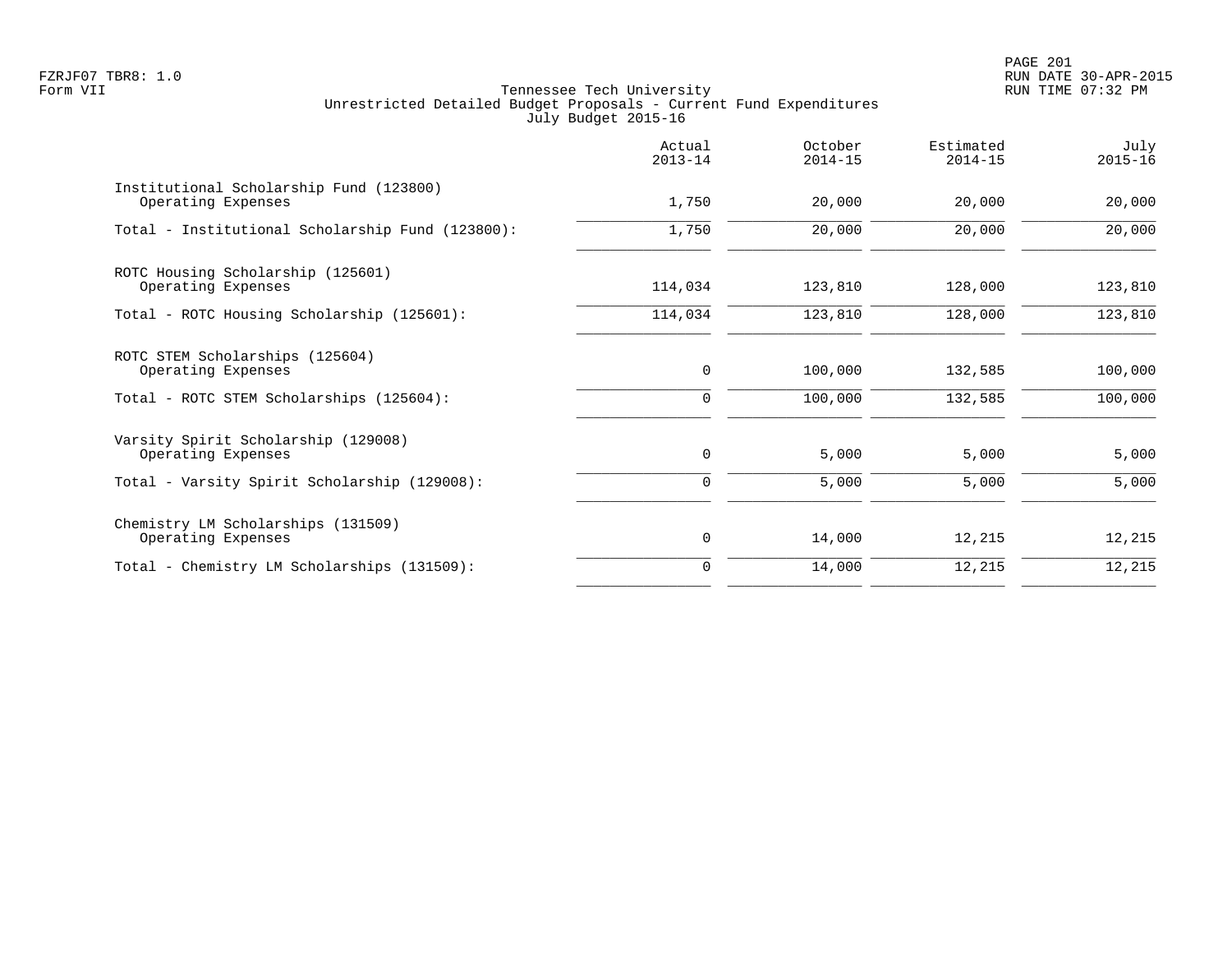PAGE 201 FZRJF07 TBR8: 1.0 RUN DATE 30-APR-2015

|                                                               | Actual<br>$2013 - 14$ | October<br>$2014 - 15$ | Estimated<br>$2014 - 15$ | July<br>$2015 - 16$ |
|---------------------------------------------------------------|-----------------------|------------------------|--------------------------|---------------------|
| Institutional Scholarship Fund (123800)<br>Operating Expenses | 1,750                 | 20,000                 | 20,000                   | 20,000              |
| Total - Institutional Scholarship Fund (123800):              | 1,750                 | 20,000                 | 20,000                   | 20,000              |
| ROTC Housing Scholarship (125601)<br>Operating Expenses       | 114,034               | 123,810                | 128,000                  | 123,810             |
| Total - ROTC Housing Scholarship (125601):                    | 114,034               | 123,810                | 128,000                  | 123,810             |
| ROTC STEM Scholarships (125604)<br>Operating Expenses         | $\mathbf 0$           | 100,000                | 132,585                  | 100,000             |
| Total - ROTC STEM Scholarships (125604):                      | $\mathbf 0$           | 100,000                | 132,585                  | 100,000             |
| Varsity Spirit Scholarship (129008)<br>Operating Expenses     | $\mathbf 0$           | 5,000                  | 5,000                    | 5,000               |
| Total - Varsity Spirit Scholarship (129008):                  | 0                     | 5,000                  | 5,000                    | 5,000               |
| Chemistry LM Scholarships (131509)<br>Operating Expenses      | 0                     | 14,000                 | 12,215                   | 12,215              |
| Total - Chemistry LM Scholarships (131509):                   | $\Omega$              | 14,000                 | 12,215                   | 12,215              |
|                                                               |                       |                        |                          |                     |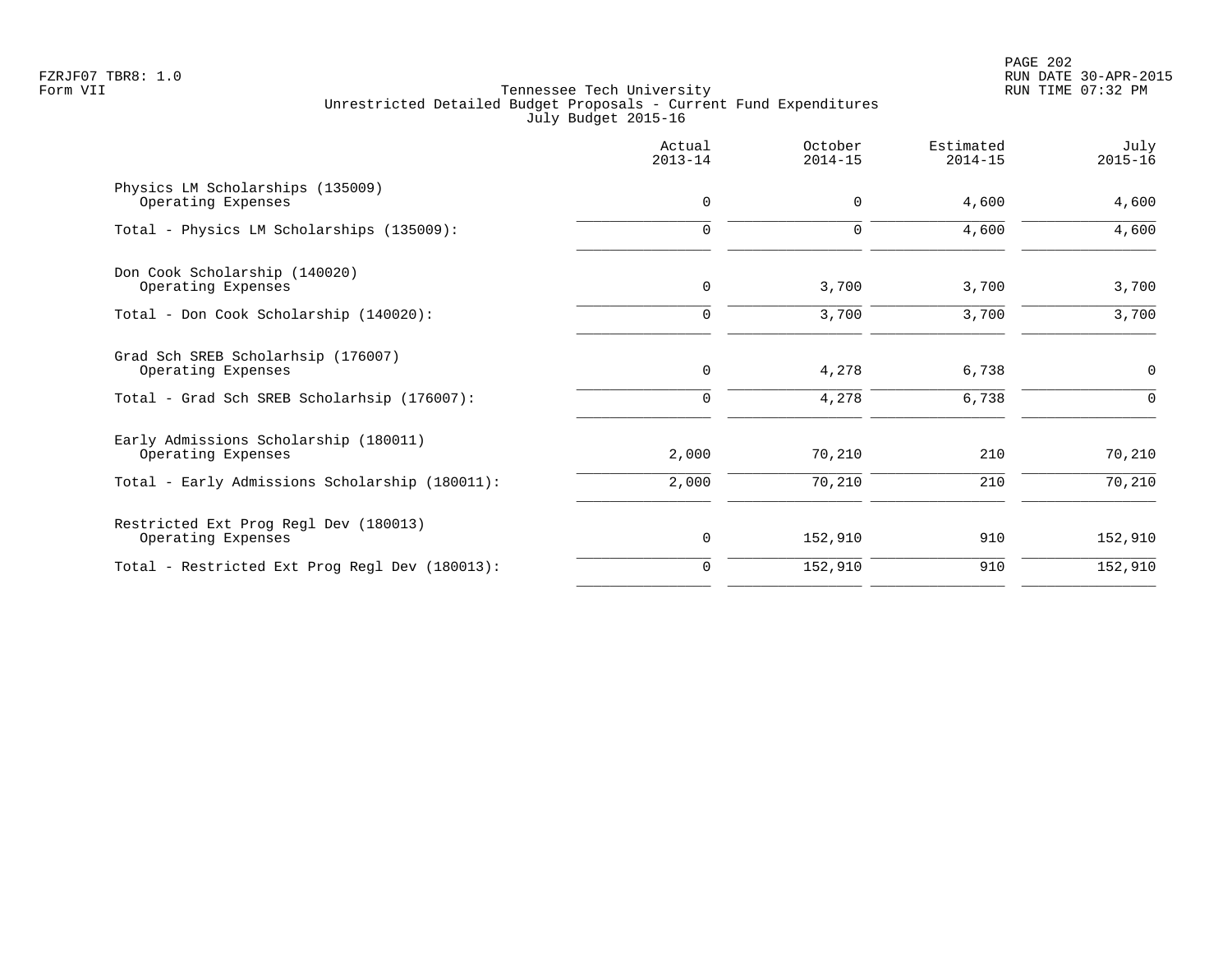|                                                             | Actual<br>$2013 - 14$ | October<br>$2014 - 15$ | Estimated<br>$2014 - 15$ | July<br>$2015 - 16$ |
|-------------------------------------------------------------|-----------------------|------------------------|--------------------------|---------------------|
| Physics LM Scholarships (135009)<br>Operating Expenses      | 0                     | 0                      | 4,600                    | 4,600               |
| Total - Physics LM Scholarships (135009):                   | $\Omega$              | $\Omega$               | 4,600                    | 4,600               |
| Don Cook Scholarship (140020)<br>Operating Expenses         | $\mathbf 0$           | 3,700                  | 3,700                    | 3,700               |
| Total - Don Cook Scholarship (140020):                      | $\mathbf 0$           | 3,700                  | 3,700                    | 3,700               |
| Grad Sch SREB Scholarhsip (176007)<br>Operating Expenses    | $\mathbf 0$           | 4,278                  | 6,738                    | $\mathbf 0$         |
| Total - Grad Sch SREB Scholarhsip (176007):                 | 0                     | 4,278                  | 6,738                    | $\Omega$            |
| Early Admissions Scholarship (180011)<br>Operating Expenses | 2,000                 | 70,210                 | 210                      | 70,210              |
| Total - Early Admissions Scholarship (180011):              | 2,000                 | 70,210                 | 210                      | 70,210              |
| Restricted Ext Prog Regl Dev (180013)<br>Operating Expenses | 0                     | 152,910                | 910                      | 152,910             |
| Total - Restricted Ext Prog Regl Dev (180013):              | $\Omega$              | 152,910                | 910                      | 152,910             |
|                                                             |                       |                        |                          |                     |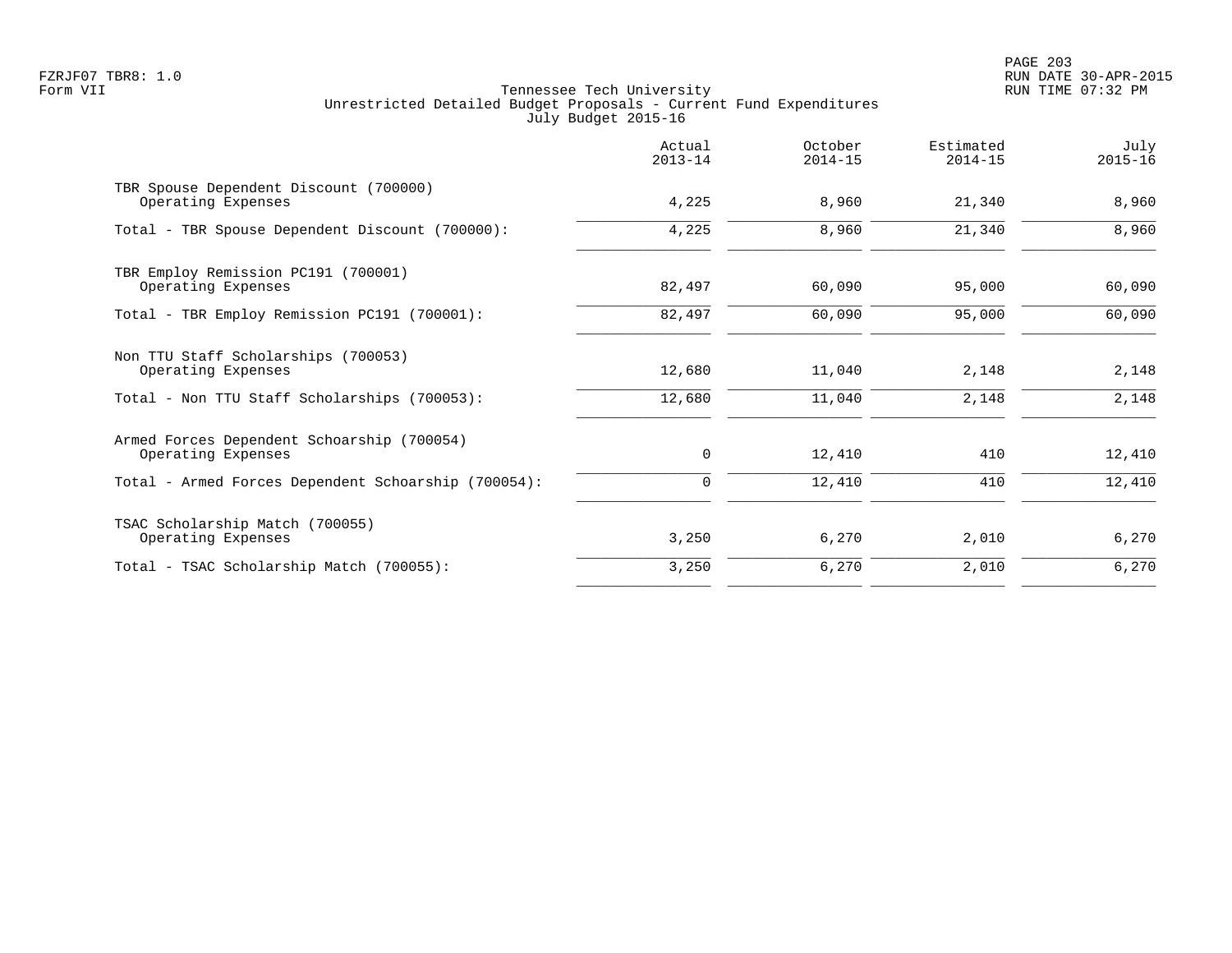PAGE 203 FZRJF07 TBR8: 1.0 RUN DATE 30-APR-2015

|                                                                  | Actual<br>$2013 - 14$ | October<br>$2014 - 15$ | Estimated<br>$2014 - 15$ | July<br>$2015 - 16$ |
|------------------------------------------------------------------|-----------------------|------------------------|--------------------------|---------------------|
| TBR Spouse Dependent Discount (700000)<br>Operating Expenses     | 4,225                 | 8,960                  | 21,340                   | 8,960               |
| Total - TBR Spouse Dependent Discount (700000):                  | 4,225                 | 8,960                  | 21,340                   | 8,960               |
| TBR Employ Remission PC191 (700001)<br>Operating Expenses        | 82,497                | 60,090                 | 95,000                   | 60,090              |
| Total - TBR Employ Remission PC191 (700001):                     | 82,497                | 60,090                 | 95,000                   | 60,090              |
| Non TTU Staff Scholarships (700053)<br>Operating Expenses        | 12,680                | 11,040                 | 2,148                    | 2,148               |
| Total - Non TTU Staff Scholarships (700053):                     | 12,680                | 11,040                 | 2,148                    | 2,148               |
| Armed Forces Dependent Schoarship (700054)<br>Operating Expenses | 0                     | 12,410                 | 410                      | 12,410              |
| Total - Armed Forces Dependent Schoarship (700054):              | 0                     | 12,410                 | 410                      | 12,410              |
| TSAC Scholarship Match (700055)<br>Operating Expenses            | 3,250                 | 6,270                  | 2,010                    | 6,270               |
| Total - TSAC Scholarship Match (700055):                         | 3,250                 | 6,270                  | 2,010                    | 6,270               |
|                                                                  |                       |                        |                          |                     |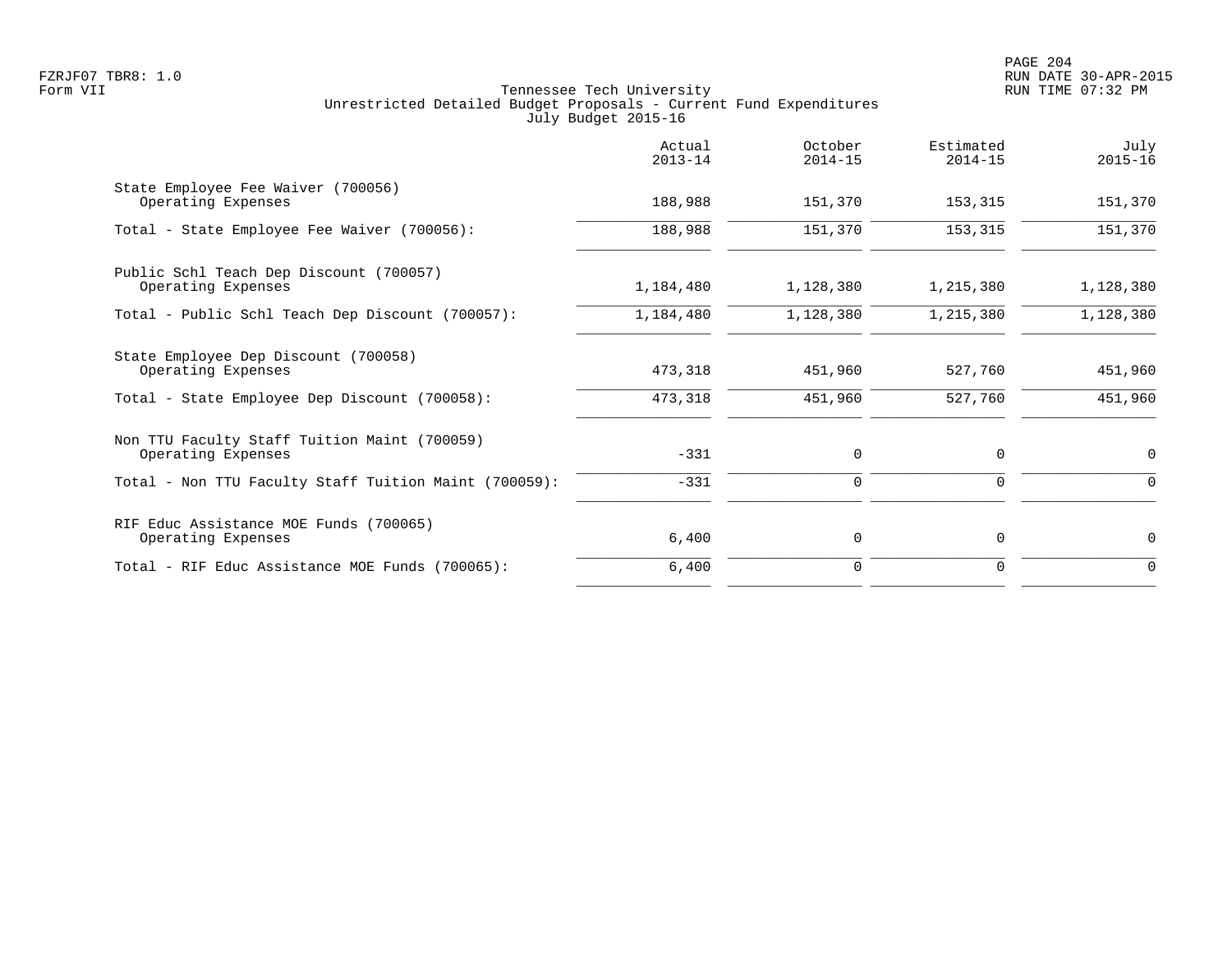|                                                                    | Actual<br>$2013 - 14$ | October<br>$2014 - 15$ | Estimated<br>$2014 - 15$ | July<br>$2015 - 16$ |
|--------------------------------------------------------------------|-----------------------|------------------------|--------------------------|---------------------|
| State Employee Fee Waiver (700056)<br>Operating Expenses           | 188,988               | 151,370                | 153,315                  | 151,370             |
| Total - State Employee Fee Waiver (700056):                        | 188,988               | 151,370                | 153,315                  | 151,370             |
| Public Schl Teach Dep Discount (700057)<br>Operating Expenses      | 1,184,480             | 1,128,380              | 1,215,380                | 1,128,380           |
| Total - Public Schl Teach Dep Discount (700057):                   | 1,184,480             | 1,128,380              | 1,215,380                | 1,128,380           |
| State Employee Dep Discount (700058)<br>Operating Expenses         | 473,318               | 451,960                | 527,760                  | 451,960             |
| Total - State Employee Dep Discount (700058):                      | 473,318               | 451,960                | 527,760                  | 451,960             |
| Non TTU Faculty Staff Tuition Maint (700059)<br>Operating Expenses | $-331$                | 0                      | 0                        | 0                   |
| Total - Non TTU Faculty Staff Tuition Maint (700059):              | $-331$                | $\mathbf 0$            | 0                        | 0                   |
| RIF Educ Assistance MOE Funds (700065)<br>Operating Expenses       | 6,400                 | 0                      | $\mathbf 0$              | 0                   |
| Total - RIF Educ Assistance MOE Funds (700065):                    | 6,400                 | $\mathbf 0$            | 0                        | $\mathbf 0$         |
|                                                                    |                       |                        |                          |                     |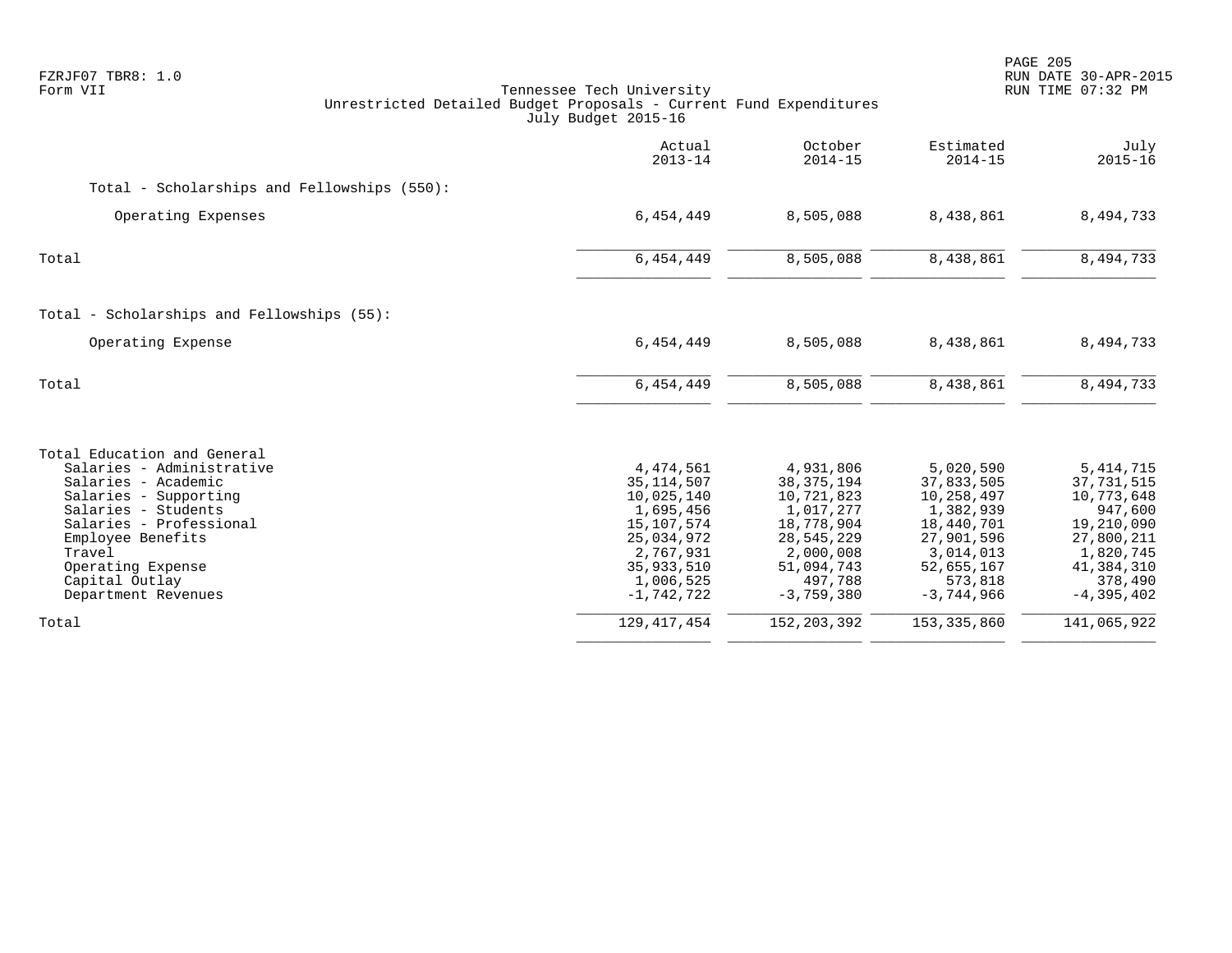| FZRJF07 TBR8: 1.0<br>Form VII<br>Unrestricted Detailed Budget Proposals - Current Fund Expenditures                                                                                                                                                     | Tennessee Tech University<br>July Budget 2015-16                                                                                         |                                                                                                                                        |                                                                                                                                      | PAGE 205<br>RUN DATE 30-APR-2015<br>RUN TIME 07:32 PM                                                                                  |
|---------------------------------------------------------------------------------------------------------------------------------------------------------------------------------------------------------------------------------------------------------|------------------------------------------------------------------------------------------------------------------------------------------|----------------------------------------------------------------------------------------------------------------------------------------|--------------------------------------------------------------------------------------------------------------------------------------|----------------------------------------------------------------------------------------------------------------------------------------|
|                                                                                                                                                                                                                                                         | Actual<br>$2013 - 14$                                                                                                                    | October<br>$2014 - 15$                                                                                                                 | Estimated<br>$2014 - 15$                                                                                                             | July<br>$2015 - 16$                                                                                                                    |
| Total - Scholarships and Fellowships (550):                                                                                                                                                                                                             |                                                                                                                                          |                                                                                                                                        |                                                                                                                                      |                                                                                                                                        |
| Operating Expenses                                                                                                                                                                                                                                      | 6,454,449                                                                                                                                | 8,505,088                                                                                                                              | 8,438,861                                                                                                                            | 8,494,733                                                                                                                              |
| Total                                                                                                                                                                                                                                                   | 6, 454, 449                                                                                                                              | 8,505,088                                                                                                                              | 8,438,861                                                                                                                            | 8,494,733                                                                                                                              |
| Total - Scholarships and Fellowships (55):                                                                                                                                                                                                              |                                                                                                                                          |                                                                                                                                        |                                                                                                                                      |                                                                                                                                        |
| Operating Expense                                                                                                                                                                                                                                       | 6,454,449                                                                                                                                | 8,505,088                                                                                                                              | 8,438,861                                                                                                                            | 8,494,733                                                                                                                              |
| Total                                                                                                                                                                                                                                                   | 6,454,449                                                                                                                                | 8,505,088                                                                                                                              | 8,438,861                                                                                                                            | 8,494,733                                                                                                                              |
| Total Education and General<br>Salaries - Administrative<br>Salaries - Academic<br>Salaries - Supporting<br>Salaries - Students<br>Salaries - Professional<br>Employee Benefits<br>Travel<br>Operating Expense<br>Capital Outlay<br>Department Revenues | 4,474,561<br>35, 114, 507<br>10,025,140<br>1,695,456<br>15,107,574<br>25,034,972<br>2,767,931<br>35,933,510<br>1,006,525<br>$-1,742,722$ | 4,931,806<br>38, 375, 194<br>10,721,823<br>1,017,277<br>18,778,904<br>28,545,229<br>2,000,008<br>51,094,743<br>497,788<br>$-3,759,380$ | 5,020,590<br>37,833,505<br>10,258,497<br>1,382,939<br>18,440,701<br>27,901,596<br>3,014,013<br>52,655,167<br>573,818<br>$-3,744,966$ | 5, 414, 715<br>37,731,515<br>10,773,648<br>947,600<br>19,210,090<br>27,800,211<br>1,820,745<br>41,384,310<br>378,490<br>$-4, 395, 402$ |
| Total                                                                                                                                                                                                                                                   | 129, 417, 454                                                                                                                            | 152, 203, 392                                                                                                                          | 153,335,860                                                                                                                          | 141,065,922                                                                                                                            |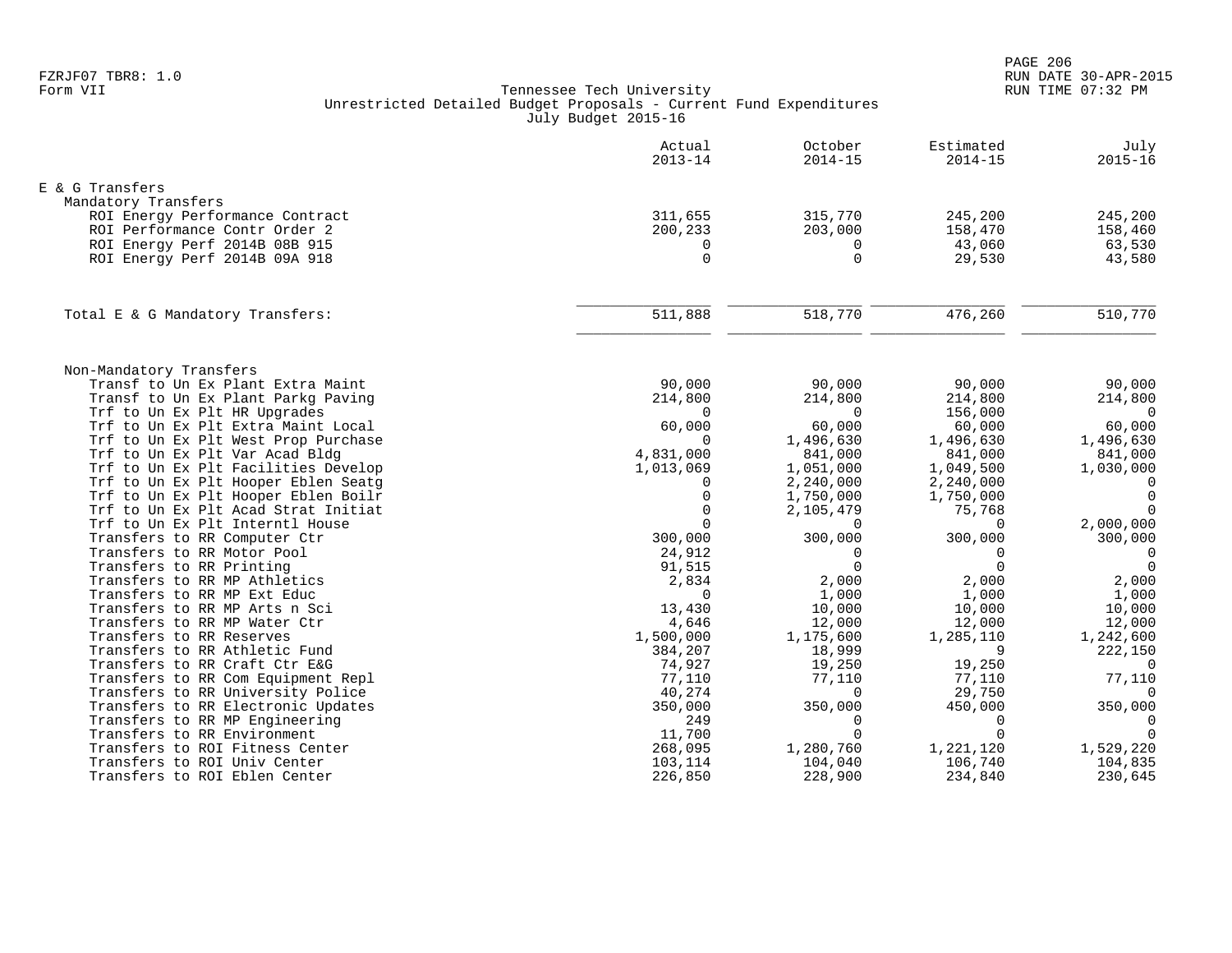| E & G Transfers<br>Mandatory Transfers<br>311,655<br>315,770<br>245,200<br>245,200<br>ROI Energy Performance Contract<br>ROI Performance Contr Order 2<br>200,233<br>158,470<br>158,460<br>203,000<br>63,530<br>ROI Energy Perf 2014B 08B 915<br>43,060<br>0<br>0<br>$\Omega$<br>$\Omega$<br>43,580<br>ROI Energy Perf 2014B 09A 918<br>29,530<br>$\overline{476,260}$<br>510,770<br>511,888<br>518,770<br>Total E & G Mandatory Transfers:<br>Non-Mandatory Transfers<br>Transf to Un Ex Plant Extra Maint<br>90,000<br>90,000<br>90,000<br>90,000<br>Transf to Un Ex Plant Parkg Paving<br>214,800<br>214,800<br>214,800<br>214,800<br>Trf to Un Ex Plt HR Upgrades<br>$\Omega$<br>156,000<br>$\overline{0}$<br>$\Omega$<br>60,000<br>Trf to Un Ex Plt Extra Maint Local<br>60,000<br>60,000<br>60,000<br>Trf to Un Ex Plt West Prop Purchase<br>$\Omega$<br>1,496,630<br>1,496,630<br>1,496,630<br>4,831,000<br>Trf to Un Ex Plt Var Acad Bldg<br>841,000<br>841,000<br>841,000<br>Trf to Un Ex Plt Facilities Develop<br>1,013,069<br>1,051,000<br>1,049,500<br>1,030,000<br>Trf to Un Ex Plt Hooper Eblen Seatq<br>2,240,000<br>2,240,000<br>0<br>0<br>$\overline{0}$<br>Trf to Un Ex Plt Hooper Eblen Boilr<br>$\mathbf 0$<br>1,750,000<br>1,750,000<br>Trf to Un Ex Plt Acad Strat Initiat<br>$\Omega$<br>75,768<br>$\Omega$<br>2,105,479<br>$\Omega$<br>Trf to Un Ex Plt Interntl House<br>2,000,000<br>$\Omega$<br>$\Omega$<br>Transfers to RR Computer Ctr<br>300,000<br>300,000<br>300,000<br>300,000<br>Transfers to RR Motor Pool<br>24,912<br>$\mathbf 0$<br>$\Omega$<br>$\overline{0}$<br>Transfers to RR Printing<br>91,515<br>$\Omega$<br>$\Omega$<br>$\Omega$<br>2,834<br>2,000<br>2,000<br>Transfers to RR MP Athletics<br>2,000<br>Transfers to RR MP Ext Educ<br>$\Omega$<br>1,000<br>1,000<br>1,000<br>Transfers to RR MP Arts n Sci<br>10,000<br>10,000<br>13,430<br>10,000<br>Transfers to RR MP Water Ctr<br>4,646<br>12,000<br>12,000<br>12,000<br>Transfers to RR Reserves<br>1,500,000<br>1,175,600<br>1,285,110<br>1,242,600<br>Transfers to RR Athletic Fund<br>9<br>222,150<br>384,207<br>18,999<br>19,250<br>Transfers to RR Craft Ctr E&G<br>74,927<br>19,250<br>$\Omega$<br>Transfers to RR Com Equipment Repl<br>77,110<br>77,110<br>77,110<br>77,110<br>Transfers to RR University Police<br>40,274<br>29,750<br>$\Omega$<br>$\Omega$<br>450,000<br>350,000<br>Transfers to RR Electronic Updates<br>350,000<br>350,000<br>249<br>Transfers to RR MP Engineering<br>$\Omega$<br>$\Omega$<br>$\overline{0}$<br>$\Omega$<br>$\Omega$<br>11,700<br>$\Omega$<br>Transfers to RR Environment<br>Transfers to ROI Fitness Center<br>268,095<br>1,280,760<br>1,221,120<br>1,529,220<br>Transfers to ROI Univ Center<br>103,114<br>104,040<br>106,740<br>104,835<br>Transfers to ROI Eblen Center<br>226,850<br>228,900<br>234,840<br>230,645 | Actual<br>$2013 - 14$ | October<br>$2014 - 15$ | Estimated<br>$2014 - 15$ | July<br>$2015 - 16$ |
|---------------------------------------------------------------------------------------------------------------------------------------------------------------------------------------------------------------------------------------------------------------------------------------------------------------------------------------------------------------------------------------------------------------------------------------------------------------------------------------------------------------------------------------------------------------------------------------------------------------------------------------------------------------------------------------------------------------------------------------------------------------------------------------------------------------------------------------------------------------------------------------------------------------------------------------------------------------------------------------------------------------------------------------------------------------------------------------------------------------------------------------------------------------------------------------------------------------------------------------------------------------------------------------------------------------------------------------------------------------------------------------------------------------------------------------------------------------------------------------------------------------------------------------------------------------------------------------------------------------------------------------------------------------------------------------------------------------------------------------------------------------------------------------------------------------------------------------------------------------------------------------------------------------------------------------------------------------------------------------------------------------------------------------------------------------------------------------------------------------------------------------------------------------------------------------------------------------------------------------------------------------------------------------------------------------------------------------------------------------------------------------------------------------------------------------------------------------------------------------------------------------------------------------------------------------------------------------------------------------------------------------------------------------------------------------------------------------------------------------------------------------------------------------------------------------------------------------------------------------------------|-----------------------|------------------------|--------------------------|---------------------|
|                                                                                                                                                                                                                                                                                                                                                                                                                                                                                                                                                                                                                                                                                                                                                                                                                                                                                                                                                                                                                                                                                                                                                                                                                                                                                                                                                                                                                                                                                                                                                                                                                                                                                                                                                                                                                                                                                                                                                                                                                                                                                                                                                                                                                                                                                                                                                                                                                                                                                                                                                                                                                                                                                                                                                                                                                                                                           |                       |                        |                          |                     |
|                                                                                                                                                                                                                                                                                                                                                                                                                                                                                                                                                                                                                                                                                                                                                                                                                                                                                                                                                                                                                                                                                                                                                                                                                                                                                                                                                                                                                                                                                                                                                                                                                                                                                                                                                                                                                                                                                                                                                                                                                                                                                                                                                                                                                                                                                                                                                                                                                                                                                                                                                                                                                                                                                                                                                                                                                                                                           |                       |                        |                          |                     |
|                                                                                                                                                                                                                                                                                                                                                                                                                                                                                                                                                                                                                                                                                                                                                                                                                                                                                                                                                                                                                                                                                                                                                                                                                                                                                                                                                                                                                                                                                                                                                                                                                                                                                                                                                                                                                                                                                                                                                                                                                                                                                                                                                                                                                                                                                                                                                                                                                                                                                                                                                                                                                                                                                                                                                                                                                                                                           |                       |                        |                          |                     |
|                                                                                                                                                                                                                                                                                                                                                                                                                                                                                                                                                                                                                                                                                                                                                                                                                                                                                                                                                                                                                                                                                                                                                                                                                                                                                                                                                                                                                                                                                                                                                                                                                                                                                                                                                                                                                                                                                                                                                                                                                                                                                                                                                                                                                                                                                                                                                                                                                                                                                                                                                                                                                                                                                                                                                                                                                                                                           |                       |                        |                          |                     |
|                                                                                                                                                                                                                                                                                                                                                                                                                                                                                                                                                                                                                                                                                                                                                                                                                                                                                                                                                                                                                                                                                                                                                                                                                                                                                                                                                                                                                                                                                                                                                                                                                                                                                                                                                                                                                                                                                                                                                                                                                                                                                                                                                                                                                                                                                                                                                                                                                                                                                                                                                                                                                                                                                                                                                                                                                                                                           |                       |                        |                          |                     |
|                                                                                                                                                                                                                                                                                                                                                                                                                                                                                                                                                                                                                                                                                                                                                                                                                                                                                                                                                                                                                                                                                                                                                                                                                                                                                                                                                                                                                                                                                                                                                                                                                                                                                                                                                                                                                                                                                                                                                                                                                                                                                                                                                                                                                                                                                                                                                                                                                                                                                                                                                                                                                                                                                                                                                                                                                                                                           |                       |                        |                          |                     |
|                                                                                                                                                                                                                                                                                                                                                                                                                                                                                                                                                                                                                                                                                                                                                                                                                                                                                                                                                                                                                                                                                                                                                                                                                                                                                                                                                                                                                                                                                                                                                                                                                                                                                                                                                                                                                                                                                                                                                                                                                                                                                                                                                                                                                                                                                                                                                                                                                                                                                                                                                                                                                                                                                                                                                                                                                                                                           |                       |                        |                          |                     |
|                                                                                                                                                                                                                                                                                                                                                                                                                                                                                                                                                                                                                                                                                                                                                                                                                                                                                                                                                                                                                                                                                                                                                                                                                                                                                                                                                                                                                                                                                                                                                                                                                                                                                                                                                                                                                                                                                                                                                                                                                                                                                                                                                                                                                                                                                                                                                                                                                                                                                                                                                                                                                                                                                                                                                                                                                                                                           |                       |                        |                          |                     |
|                                                                                                                                                                                                                                                                                                                                                                                                                                                                                                                                                                                                                                                                                                                                                                                                                                                                                                                                                                                                                                                                                                                                                                                                                                                                                                                                                                                                                                                                                                                                                                                                                                                                                                                                                                                                                                                                                                                                                                                                                                                                                                                                                                                                                                                                                                                                                                                                                                                                                                                                                                                                                                                                                                                                                                                                                                                                           |                       |                        |                          |                     |
|                                                                                                                                                                                                                                                                                                                                                                                                                                                                                                                                                                                                                                                                                                                                                                                                                                                                                                                                                                                                                                                                                                                                                                                                                                                                                                                                                                                                                                                                                                                                                                                                                                                                                                                                                                                                                                                                                                                                                                                                                                                                                                                                                                                                                                                                                                                                                                                                                                                                                                                                                                                                                                                                                                                                                                                                                                                                           |                       |                        |                          |                     |
|                                                                                                                                                                                                                                                                                                                                                                                                                                                                                                                                                                                                                                                                                                                                                                                                                                                                                                                                                                                                                                                                                                                                                                                                                                                                                                                                                                                                                                                                                                                                                                                                                                                                                                                                                                                                                                                                                                                                                                                                                                                                                                                                                                                                                                                                                                                                                                                                                                                                                                                                                                                                                                                                                                                                                                                                                                                                           |                       |                        |                          |                     |
|                                                                                                                                                                                                                                                                                                                                                                                                                                                                                                                                                                                                                                                                                                                                                                                                                                                                                                                                                                                                                                                                                                                                                                                                                                                                                                                                                                                                                                                                                                                                                                                                                                                                                                                                                                                                                                                                                                                                                                                                                                                                                                                                                                                                                                                                                                                                                                                                                                                                                                                                                                                                                                                                                                                                                                                                                                                                           |                       |                        |                          |                     |
|                                                                                                                                                                                                                                                                                                                                                                                                                                                                                                                                                                                                                                                                                                                                                                                                                                                                                                                                                                                                                                                                                                                                                                                                                                                                                                                                                                                                                                                                                                                                                                                                                                                                                                                                                                                                                                                                                                                                                                                                                                                                                                                                                                                                                                                                                                                                                                                                                                                                                                                                                                                                                                                                                                                                                                                                                                                                           |                       |                        |                          |                     |
|                                                                                                                                                                                                                                                                                                                                                                                                                                                                                                                                                                                                                                                                                                                                                                                                                                                                                                                                                                                                                                                                                                                                                                                                                                                                                                                                                                                                                                                                                                                                                                                                                                                                                                                                                                                                                                                                                                                                                                                                                                                                                                                                                                                                                                                                                                                                                                                                                                                                                                                                                                                                                                                                                                                                                                                                                                                                           |                       |                        |                          |                     |
|                                                                                                                                                                                                                                                                                                                                                                                                                                                                                                                                                                                                                                                                                                                                                                                                                                                                                                                                                                                                                                                                                                                                                                                                                                                                                                                                                                                                                                                                                                                                                                                                                                                                                                                                                                                                                                                                                                                                                                                                                                                                                                                                                                                                                                                                                                                                                                                                                                                                                                                                                                                                                                                                                                                                                                                                                                                                           |                       |                        |                          |                     |
|                                                                                                                                                                                                                                                                                                                                                                                                                                                                                                                                                                                                                                                                                                                                                                                                                                                                                                                                                                                                                                                                                                                                                                                                                                                                                                                                                                                                                                                                                                                                                                                                                                                                                                                                                                                                                                                                                                                                                                                                                                                                                                                                                                                                                                                                                                                                                                                                                                                                                                                                                                                                                                                                                                                                                                                                                                                                           |                       |                        |                          |                     |
|                                                                                                                                                                                                                                                                                                                                                                                                                                                                                                                                                                                                                                                                                                                                                                                                                                                                                                                                                                                                                                                                                                                                                                                                                                                                                                                                                                                                                                                                                                                                                                                                                                                                                                                                                                                                                                                                                                                                                                                                                                                                                                                                                                                                                                                                                                                                                                                                                                                                                                                                                                                                                                                                                                                                                                                                                                                                           |                       |                        |                          |                     |
|                                                                                                                                                                                                                                                                                                                                                                                                                                                                                                                                                                                                                                                                                                                                                                                                                                                                                                                                                                                                                                                                                                                                                                                                                                                                                                                                                                                                                                                                                                                                                                                                                                                                                                                                                                                                                                                                                                                                                                                                                                                                                                                                                                                                                                                                                                                                                                                                                                                                                                                                                                                                                                                                                                                                                                                                                                                                           |                       |                        |                          |                     |
|                                                                                                                                                                                                                                                                                                                                                                                                                                                                                                                                                                                                                                                                                                                                                                                                                                                                                                                                                                                                                                                                                                                                                                                                                                                                                                                                                                                                                                                                                                                                                                                                                                                                                                                                                                                                                                                                                                                                                                                                                                                                                                                                                                                                                                                                                                                                                                                                                                                                                                                                                                                                                                                                                                                                                                                                                                                                           |                       |                        |                          |                     |
|                                                                                                                                                                                                                                                                                                                                                                                                                                                                                                                                                                                                                                                                                                                                                                                                                                                                                                                                                                                                                                                                                                                                                                                                                                                                                                                                                                                                                                                                                                                                                                                                                                                                                                                                                                                                                                                                                                                                                                                                                                                                                                                                                                                                                                                                                                                                                                                                                                                                                                                                                                                                                                                                                                                                                                                                                                                                           |                       |                        |                          |                     |
|                                                                                                                                                                                                                                                                                                                                                                                                                                                                                                                                                                                                                                                                                                                                                                                                                                                                                                                                                                                                                                                                                                                                                                                                                                                                                                                                                                                                                                                                                                                                                                                                                                                                                                                                                                                                                                                                                                                                                                                                                                                                                                                                                                                                                                                                                                                                                                                                                                                                                                                                                                                                                                                                                                                                                                                                                                                                           |                       |                        |                          |                     |
|                                                                                                                                                                                                                                                                                                                                                                                                                                                                                                                                                                                                                                                                                                                                                                                                                                                                                                                                                                                                                                                                                                                                                                                                                                                                                                                                                                                                                                                                                                                                                                                                                                                                                                                                                                                                                                                                                                                                                                                                                                                                                                                                                                                                                                                                                                                                                                                                                                                                                                                                                                                                                                                                                                                                                                                                                                                                           |                       |                        |                          |                     |
|                                                                                                                                                                                                                                                                                                                                                                                                                                                                                                                                                                                                                                                                                                                                                                                                                                                                                                                                                                                                                                                                                                                                                                                                                                                                                                                                                                                                                                                                                                                                                                                                                                                                                                                                                                                                                                                                                                                                                                                                                                                                                                                                                                                                                                                                                                                                                                                                                                                                                                                                                                                                                                                                                                                                                                                                                                                                           |                       |                        |                          |                     |
|                                                                                                                                                                                                                                                                                                                                                                                                                                                                                                                                                                                                                                                                                                                                                                                                                                                                                                                                                                                                                                                                                                                                                                                                                                                                                                                                                                                                                                                                                                                                                                                                                                                                                                                                                                                                                                                                                                                                                                                                                                                                                                                                                                                                                                                                                                                                                                                                                                                                                                                                                                                                                                                                                                                                                                                                                                                                           |                       |                        |                          |                     |
|                                                                                                                                                                                                                                                                                                                                                                                                                                                                                                                                                                                                                                                                                                                                                                                                                                                                                                                                                                                                                                                                                                                                                                                                                                                                                                                                                                                                                                                                                                                                                                                                                                                                                                                                                                                                                                                                                                                                                                                                                                                                                                                                                                                                                                                                                                                                                                                                                                                                                                                                                                                                                                                                                                                                                                                                                                                                           |                       |                        |                          |                     |
|                                                                                                                                                                                                                                                                                                                                                                                                                                                                                                                                                                                                                                                                                                                                                                                                                                                                                                                                                                                                                                                                                                                                                                                                                                                                                                                                                                                                                                                                                                                                                                                                                                                                                                                                                                                                                                                                                                                                                                                                                                                                                                                                                                                                                                                                                                                                                                                                                                                                                                                                                                                                                                                                                                                                                                                                                                                                           |                       |                        |                          |                     |
|                                                                                                                                                                                                                                                                                                                                                                                                                                                                                                                                                                                                                                                                                                                                                                                                                                                                                                                                                                                                                                                                                                                                                                                                                                                                                                                                                                                                                                                                                                                                                                                                                                                                                                                                                                                                                                                                                                                                                                                                                                                                                                                                                                                                                                                                                                                                                                                                                                                                                                                                                                                                                                                                                                                                                                                                                                                                           |                       |                        |                          |                     |
|                                                                                                                                                                                                                                                                                                                                                                                                                                                                                                                                                                                                                                                                                                                                                                                                                                                                                                                                                                                                                                                                                                                                                                                                                                                                                                                                                                                                                                                                                                                                                                                                                                                                                                                                                                                                                                                                                                                                                                                                                                                                                                                                                                                                                                                                                                                                                                                                                                                                                                                                                                                                                                                                                                                                                                                                                                                                           |                       |                        |                          |                     |
|                                                                                                                                                                                                                                                                                                                                                                                                                                                                                                                                                                                                                                                                                                                                                                                                                                                                                                                                                                                                                                                                                                                                                                                                                                                                                                                                                                                                                                                                                                                                                                                                                                                                                                                                                                                                                                                                                                                                                                                                                                                                                                                                                                                                                                                                                                                                                                                                                                                                                                                                                                                                                                                                                                                                                                                                                                                                           |                       |                        |                          |                     |
|                                                                                                                                                                                                                                                                                                                                                                                                                                                                                                                                                                                                                                                                                                                                                                                                                                                                                                                                                                                                                                                                                                                                                                                                                                                                                                                                                                                                                                                                                                                                                                                                                                                                                                                                                                                                                                                                                                                                                                                                                                                                                                                                                                                                                                                                                                                                                                                                                                                                                                                                                                                                                                                                                                                                                                                                                                                                           |                       |                        |                          |                     |
|                                                                                                                                                                                                                                                                                                                                                                                                                                                                                                                                                                                                                                                                                                                                                                                                                                                                                                                                                                                                                                                                                                                                                                                                                                                                                                                                                                                                                                                                                                                                                                                                                                                                                                                                                                                                                                                                                                                                                                                                                                                                                                                                                                                                                                                                                                                                                                                                                                                                                                                                                                                                                                                                                                                                                                                                                                                                           |                       |                        |                          |                     |
|                                                                                                                                                                                                                                                                                                                                                                                                                                                                                                                                                                                                                                                                                                                                                                                                                                                                                                                                                                                                                                                                                                                                                                                                                                                                                                                                                                                                                                                                                                                                                                                                                                                                                                                                                                                                                                                                                                                                                                                                                                                                                                                                                                                                                                                                                                                                                                                                                                                                                                                                                                                                                                                                                                                                                                                                                                                                           |                       |                        |                          |                     |
|                                                                                                                                                                                                                                                                                                                                                                                                                                                                                                                                                                                                                                                                                                                                                                                                                                                                                                                                                                                                                                                                                                                                                                                                                                                                                                                                                                                                                                                                                                                                                                                                                                                                                                                                                                                                                                                                                                                                                                                                                                                                                                                                                                                                                                                                                                                                                                                                                                                                                                                                                                                                                                                                                                                                                                                                                                                                           |                       |                        |                          |                     |
|                                                                                                                                                                                                                                                                                                                                                                                                                                                                                                                                                                                                                                                                                                                                                                                                                                                                                                                                                                                                                                                                                                                                                                                                                                                                                                                                                                                                                                                                                                                                                                                                                                                                                                                                                                                                                                                                                                                                                                                                                                                                                                                                                                                                                                                                                                                                                                                                                                                                                                                                                                                                                                                                                                                                                                                                                                                                           |                       |                        |                          |                     |
|                                                                                                                                                                                                                                                                                                                                                                                                                                                                                                                                                                                                                                                                                                                                                                                                                                                                                                                                                                                                                                                                                                                                                                                                                                                                                                                                                                                                                                                                                                                                                                                                                                                                                                                                                                                                                                                                                                                                                                                                                                                                                                                                                                                                                                                                                                                                                                                                                                                                                                                                                                                                                                                                                                                                                                                                                                                                           |                       |                        |                          |                     |
|                                                                                                                                                                                                                                                                                                                                                                                                                                                                                                                                                                                                                                                                                                                                                                                                                                                                                                                                                                                                                                                                                                                                                                                                                                                                                                                                                                                                                                                                                                                                                                                                                                                                                                                                                                                                                                                                                                                                                                                                                                                                                                                                                                                                                                                                                                                                                                                                                                                                                                                                                                                                                                                                                                                                                                                                                                                                           |                       |                        |                          |                     |
|                                                                                                                                                                                                                                                                                                                                                                                                                                                                                                                                                                                                                                                                                                                                                                                                                                                                                                                                                                                                                                                                                                                                                                                                                                                                                                                                                                                                                                                                                                                                                                                                                                                                                                                                                                                                                                                                                                                                                                                                                                                                                                                                                                                                                                                                                                                                                                                                                                                                                                                                                                                                                                                                                                                                                                                                                                                                           |                       |                        |                          |                     |
|                                                                                                                                                                                                                                                                                                                                                                                                                                                                                                                                                                                                                                                                                                                                                                                                                                                                                                                                                                                                                                                                                                                                                                                                                                                                                                                                                                                                                                                                                                                                                                                                                                                                                                                                                                                                                                                                                                                                                                                                                                                                                                                                                                                                                                                                                                                                                                                                                                                                                                                                                                                                                                                                                                                                                                                                                                                                           |                       |                        |                          |                     |
|                                                                                                                                                                                                                                                                                                                                                                                                                                                                                                                                                                                                                                                                                                                                                                                                                                                                                                                                                                                                                                                                                                                                                                                                                                                                                                                                                                                                                                                                                                                                                                                                                                                                                                                                                                                                                                                                                                                                                                                                                                                                                                                                                                                                                                                                                                                                                                                                                                                                                                                                                                                                                                                                                                                                                                                                                                                                           |                       |                        |                          |                     |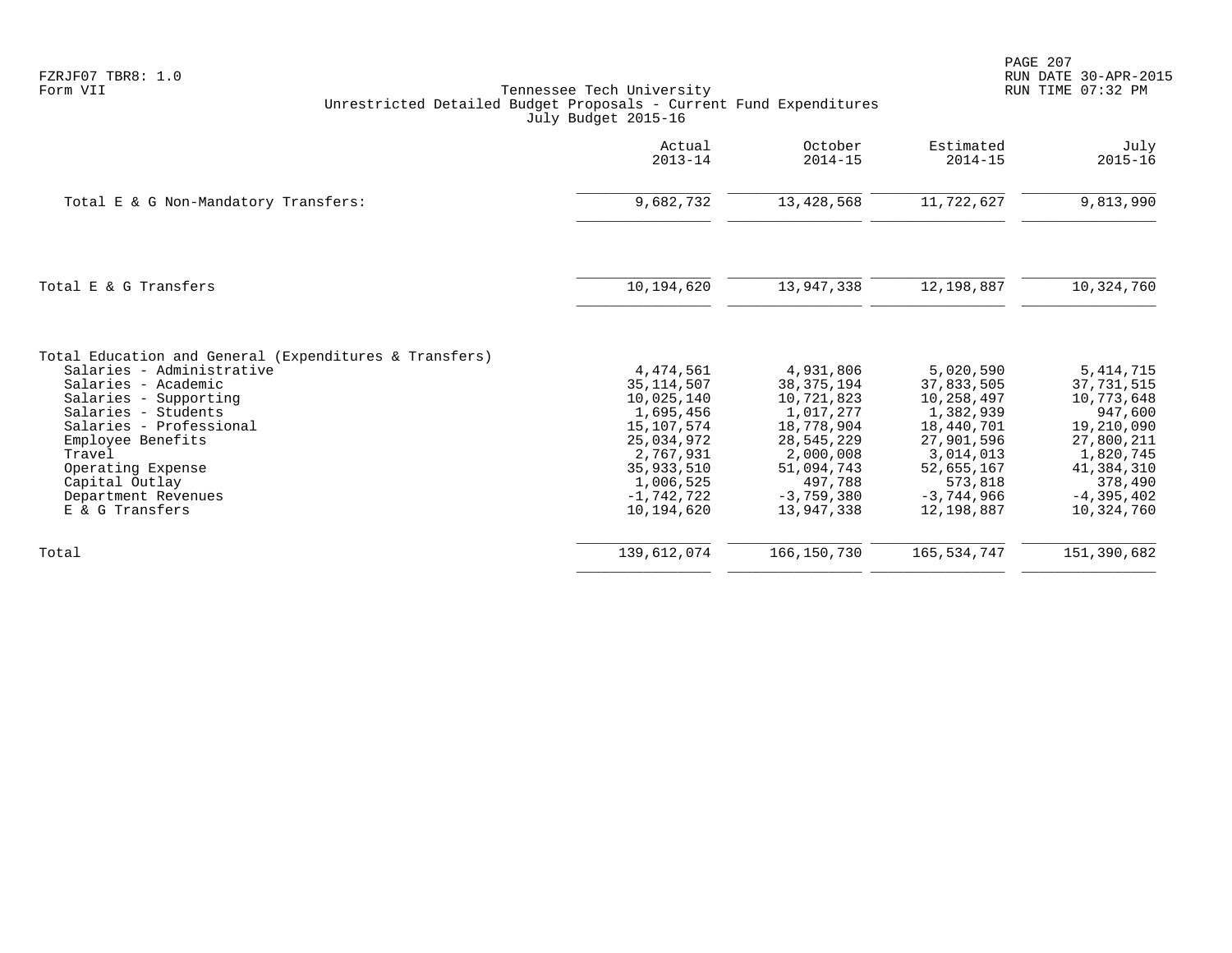| FZRJF07 TBR8: | 1.0 |
|---------------|-----|
| Form VII      |     |

|                                                        | Actual<br>$2013 - 14$      | October<br>$2014 - 15$     | Estimated<br>$2014 - 15$ | July<br>$2015 - 16$      |
|--------------------------------------------------------|----------------------------|----------------------------|--------------------------|--------------------------|
| Total E & G Non-Mandatory Transfers:                   | 9,682,732                  | 13, 428, 568               | 11,722,627               | 9,813,990                |
| Total E & G Transfers                                  | 10,194,620                 | 13,947,338                 | 12,198,887               | 10,324,760               |
| Total Education and General (Expenditures & Transfers) |                            |                            |                          |                          |
| Salaries - Administrative                              | 4,474,561                  | 4,931,806                  | 5,020,590                | 5, 414, 715              |
| Salaries - Academic<br>Salaries - Supporting           | 35, 114, 507<br>10,025,140 | 38, 375, 194<br>10,721,823 | 37,833,505<br>10,258,497 | 37,731,515<br>10,773,648 |
| Salaries - Students                                    | 1,695,456                  | 1,017,277                  | 1,382,939                | 947,600                  |
| Salaries - Professional                                | 15,107,574                 | 18,778,904                 | 18,440,701               | 19,210,090               |
| Employee Benefits                                      | 25,034,972                 | 28,545,229                 | 27,901,596               | 27,800,211               |
| Travel                                                 | 2,767,931                  | 2,000,008                  | 3,014,013                | 1,820,745                |
| Operating Expense                                      | 35,933,510                 | 51,094,743                 | 52,655,167               | 41,384,310               |
| Capital Outlay                                         | 1,006,525                  | 497,788                    | 573,818                  | 378,490                  |
| Department Revenues                                    | $-1.742.722$               | $-3,759,380$               | $-3,744,966$             | $-4,395,402$             |
| E & G Transfers                                        | 10,194,620                 | 13,947,338                 | 12,198,887               | 10,324,760               |
| Total                                                  | 139,612,074                | 166,150,730                | 165, 534, 747            | 151,390,682              |
|                                                        |                            |                            |                          |                          |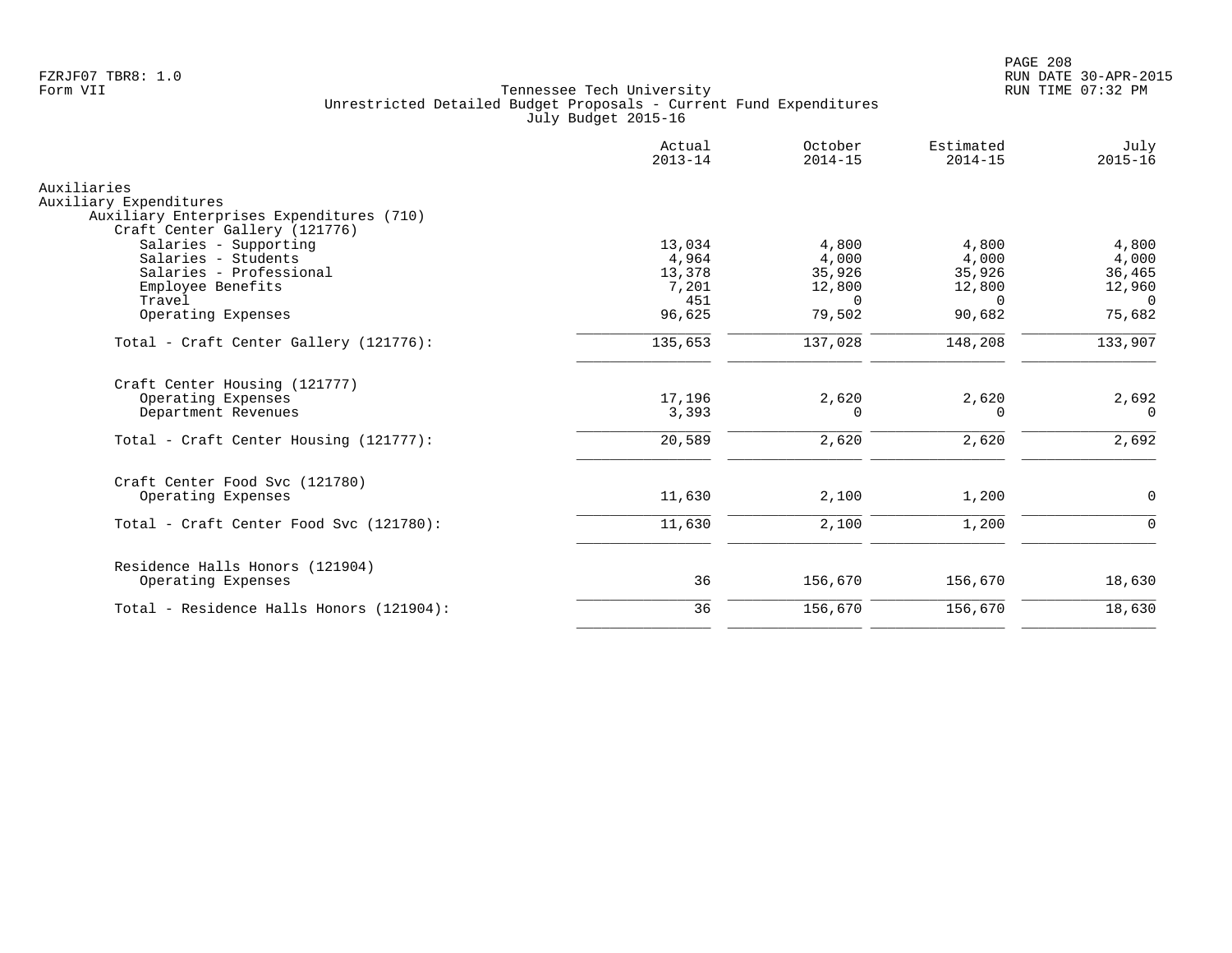|                                                       | Actual<br>$2013 - 14$ | October<br>$2014 - 15$ | Estimated<br>$2014 - 15$ | July<br>$2015 - 16$ |
|-------------------------------------------------------|-----------------------|------------------------|--------------------------|---------------------|
| Auxiliaries                                           |                       |                        |                          |                     |
| Auxiliary Expenditures                                |                       |                        |                          |                     |
| Auxiliary Enterprises Expenditures (710)              |                       |                        |                          |                     |
| Craft Center Gallery (121776)                         |                       |                        |                          |                     |
| Salaries - Supporting<br>Salaries - Students          | 13,034<br>4,964       | 4,800<br>4,000         | 4,800<br>4,000           | 4,800<br>4,000      |
| Salaries - Professional                               | 13,378                | 35,926                 | 35,926                   | 36,465              |
| Employee Benefits                                     | 7,201                 | 12,800                 | 12,800                   | 12,960              |
| Travel                                                | 451                   | $\Omega$               | $\Omega$                 | $\Omega$            |
| Operating Expenses                                    | 96,625                | 79,502                 | 90,682                   | 75,682              |
| Total - Craft Center Gallery (121776):                | 135,653               | 137,028                | 148,208                  | 133,907             |
| Craft Center Housing (121777)                         |                       |                        |                          |                     |
| Operating Expenses                                    | 17,196                | 2,620                  | 2,620                    | 2,692               |
| Department Revenues                                   | 3,393                 | 0                      | 0                        | $\Omega$            |
| Total - Craft Center Housing (121777):                | 20,589                | 2,620                  | 2,620                    | 2,692               |
| Craft Center Food Svc (121780)                        |                       |                        |                          |                     |
| Operating Expenses                                    | 11,630                | 2,100                  | 1,200                    | 0                   |
| Total - Craft Center Food Svc (121780):               | 11,630                | 2,100                  | 1,200                    | $\Omega$            |
|                                                       |                       |                        |                          |                     |
| Residence Halls Honors (121904)<br>Operating Expenses | 36                    | 156,670                | 156,670                  | 18,630              |
| Total - Residence Halls Honors (121904):              | 36                    | 156,670                | 156,670                  | 18,630              |
|                                                       |                       |                        |                          |                     |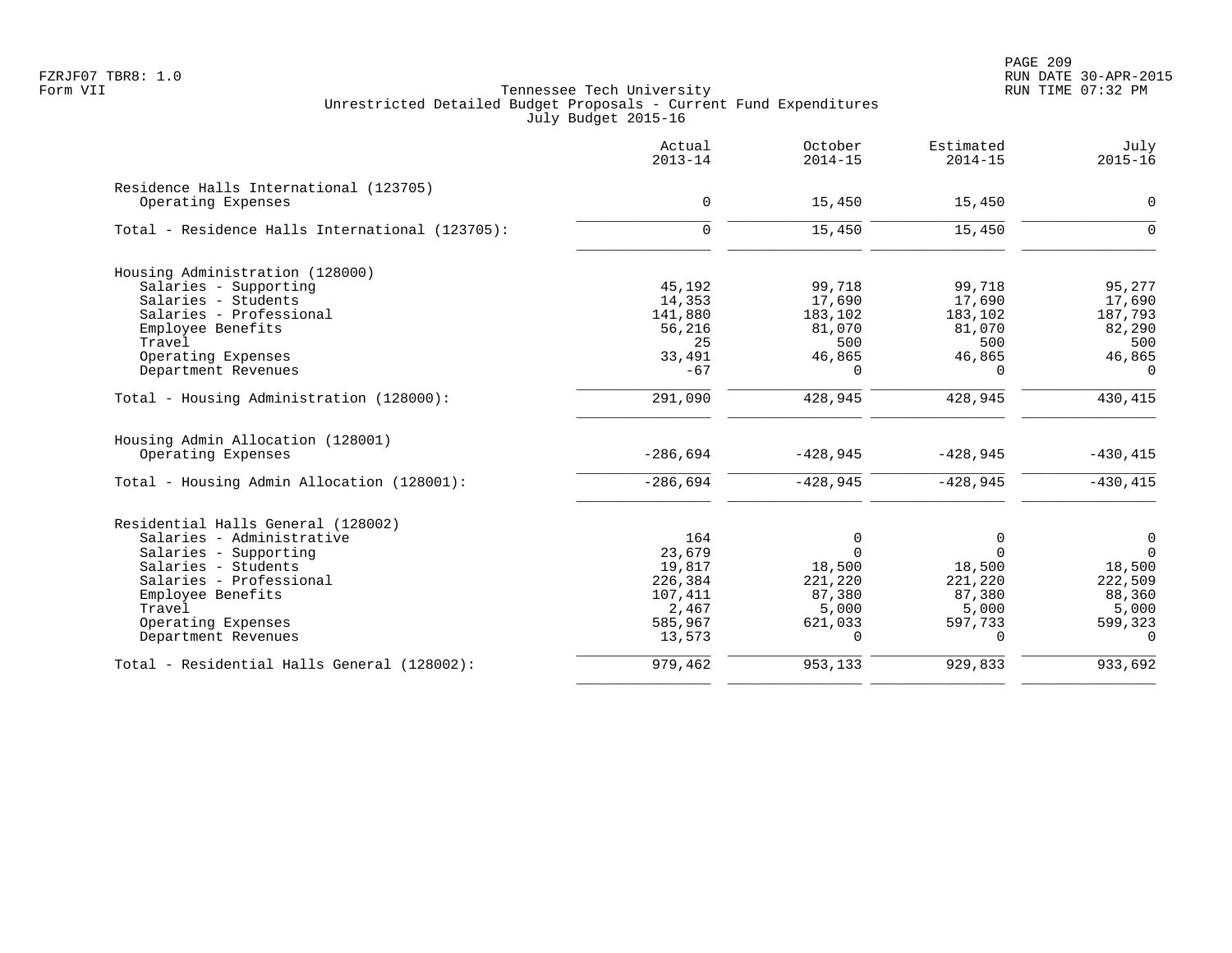PAGE 209 FZRJF07 TBR8: 1.0 RUN DATE 30-APR-2015

|                                                 | Actual<br>$2013 - 14$ | October<br>$2014 - 15$ | Estimated<br>$2014 - 15$ | July<br>$2015 - 16$ |
|-------------------------------------------------|-----------------------|------------------------|--------------------------|---------------------|
| Residence Halls International (123705)          |                       |                        |                          |                     |
| Operating Expenses                              | $\mathbf 0$           | 15,450                 | 15,450                   | $\Omega$            |
| Total - Residence Halls International (123705): | $\mathbf 0$           | 15,450                 | 15,450                   | $\Omega$            |
| Housing Administration (128000)                 |                       |                        |                          |                     |
| Salaries - Supporting                           | 45,192                | 99,718                 | 99,718                   | 95,277              |
| Salaries - Students                             | 14,353                | 17,690                 | 17,690                   | 17,690              |
| Salaries - Professional                         | 141,880               | 183,102                | 183,102                  | 187,793             |
| Employee Benefits                               | 56,216                | 81,070                 | 81,070                   | 82,290              |
| Travel                                          | 25                    | 500                    | 500                      | 500                 |
| Operating Expenses                              | 33,491                | 46,865                 | 46,865                   | 46,865              |
| Department Revenues                             | $-67$                 | $\Omega$               | $\Omega$                 | $\Omega$            |
| Total - Housing Administration (128000):        | 291,090               | 428,945                | 428,945                  | 430,415             |
| Housing Admin Allocation (128001)               |                       |                        |                          |                     |
| Operating Expenses                              | $-286,694$            | $-428,945$             | $-428,945$               | $-430, 415$         |
| Total - Housing Admin Allocation (128001):      | $-286,694$            | $-428,945$             | $-428,945$               | $-430, 415$         |
| Residential Halls General (128002)              |                       |                        |                          |                     |
| Salaries - Administrative                       | 164                   | 0                      | 0                        | $\mathbf 0$         |
| Salaries - Supporting                           | 23,679                | $\Omega$               | $\Omega$                 | $\Omega$            |
| Salaries - Students                             | 19,817                | 18,500                 | 18,500                   | 18,500              |
| Salaries - Professional                         | 226,384               | 221,220                | 221,220                  | 222,509             |
| Employee Benefits                               | 107,411               | 87,380                 | 87,380                   | 88,360              |
| Travel                                          | 2,467                 | 5,000                  | 5,000                    | 5,000               |
| Operating Expenses                              | 585,967               | 621,033                | 597,733                  | 599,323             |
| Department Revenues                             | 13,573                | $\Omega$               | $\Omega$                 | $\Omega$            |
| Total - Residential Halls General (128002):     | 979,462               | 953,133                | 929,833                  | 933,692             |
|                                                 |                       |                        |                          |                     |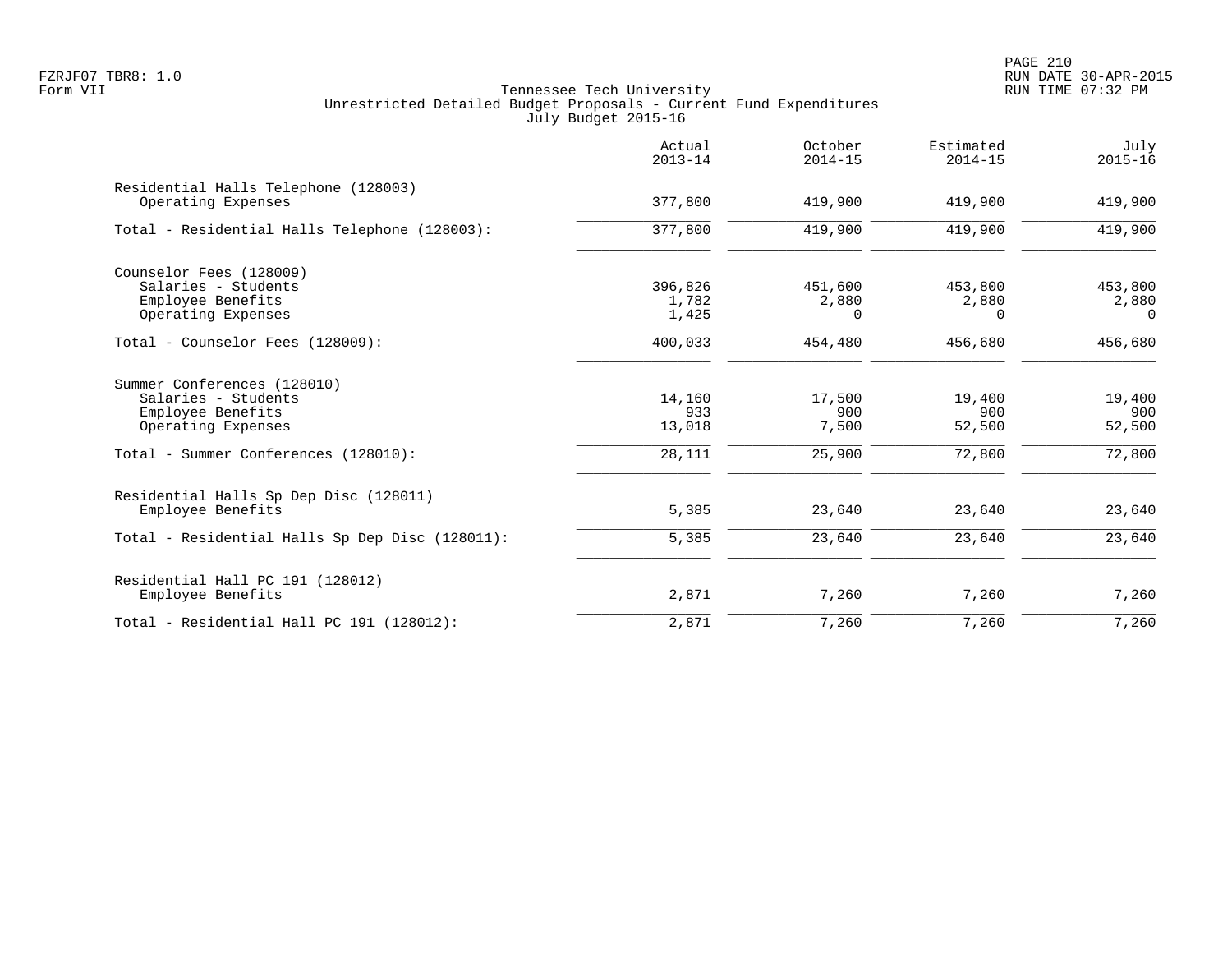|                                                                                               | Actual<br>$2013 - 14$     | October<br>$2014 - 15$       | Estimated<br>$2014 - 15$ | July<br>$2015 - 16$          |
|-----------------------------------------------------------------------------------------------|---------------------------|------------------------------|--------------------------|------------------------------|
| Residential Halls Telephone (128003)<br>Operating Expenses                                    | 377,800                   | 419,900                      | 419,900                  | 419,900                      |
| Total - Residential Halls Telephone (128003):                                                 | 377,800                   | 419,900                      | 419,900                  | 419,900                      |
| Counselor Fees (128009)<br>Salaries - Students<br>Employee Benefits<br>Operating Expenses     | 396,826<br>1,782<br>1,425 | 451,600<br>2,880<br>$\Omega$ | 453,800<br>2,880<br>0    | 453,800<br>2,880<br>$\Omega$ |
| Total - Counselor Fees (128009):                                                              | 400,033                   | 454,480                      | 456,680                  | 456,680                      |
| Summer Conferences (128010)<br>Salaries - Students<br>Employee Benefits<br>Operating Expenses | 14,160<br>933<br>13,018   | 17,500<br>900<br>7,500       | 19,400<br>900<br>52,500  | 19,400<br>900<br>52,500      |
| Total - Summer Conferences (128010):                                                          | 28,111                    | 25,900                       | 72,800                   | 72,800                       |
| Residential Halls Sp Dep Disc (128011)<br>Employee Benefits                                   | 5,385                     | 23,640                       | 23,640                   | 23,640                       |
| Total - Residential Halls Sp Dep Disc (128011):                                               | 5,385                     | 23,640                       | 23,640                   | 23,640                       |
| Residential Hall PC 191 (128012)<br>Employee Benefits                                         | 2,871                     | 7,260                        | 7,260                    | 7,260                        |
| Total - Residential Hall PC 191 (128012):                                                     | 2,871                     | 7,260                        | 7,260                    | 7,260                        |
|                                                                                               |                           |                              |                          |                              |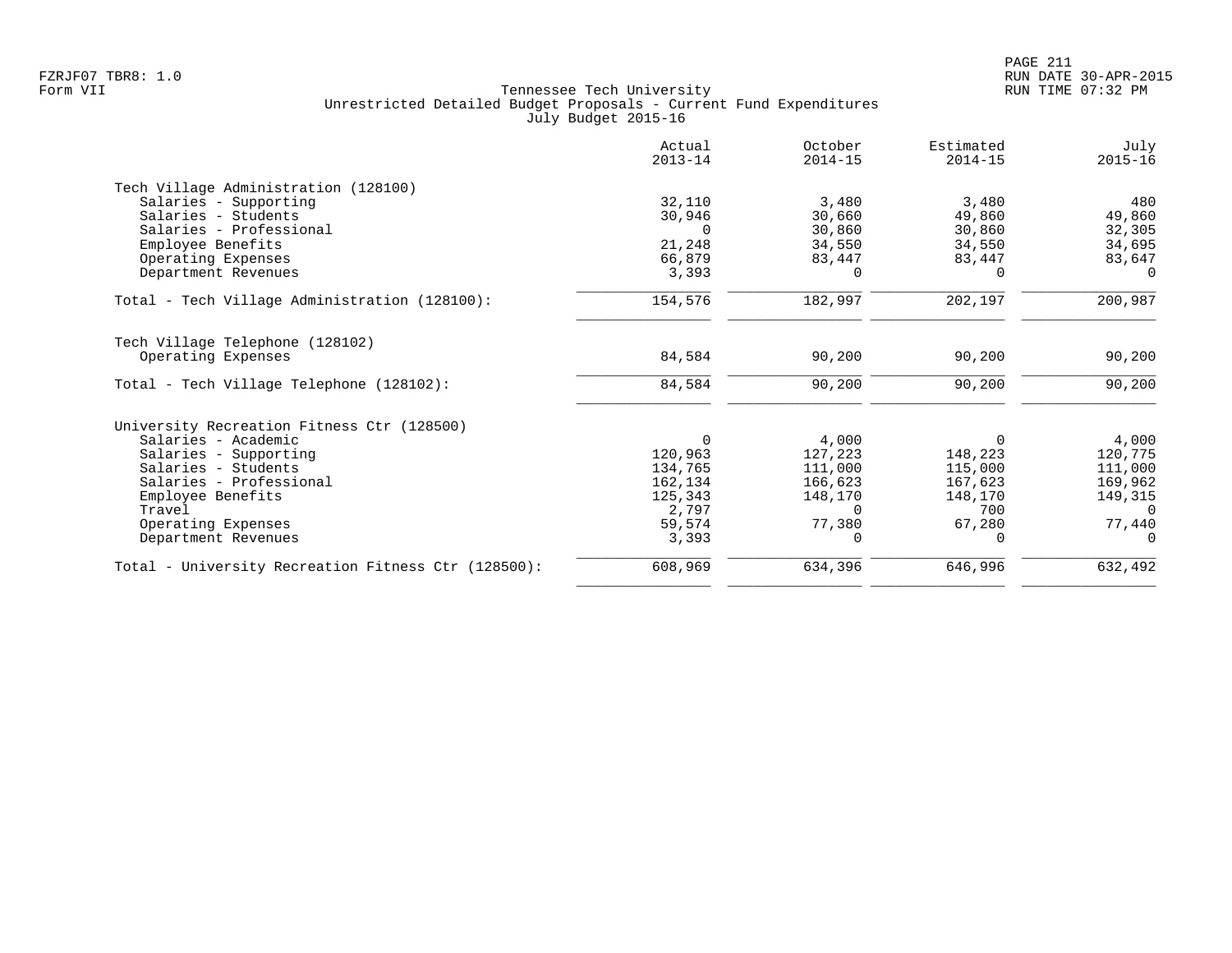|                                                     | Actual<br>$2013 - 14$ | October<br>$2014 - 15$ | Estimated<br>$2014 - 15$ | July<br>$2015 - 16$ |
|-----------------------------------------------------|-----------------------|------------------------|--------------------------|---------------------|
| Tech Village Administration (128100)                |                       |                        |                          |                     |
| Salaries - Supporting                               | 32,110                | 3,480                  | 3,480                    | 480                 |
| Salaries - Students                                 | 30,946                | 30,660                 | 49,860                   | 49,860              |
| Salaries - Professional                             | $\Omega$              | 30,860                 | 30,860                   | 32,305              |
| Employee Benefits                                   | 21,248                | 34,550                 | 34,550                   | 34,695              |
| Operating Expenses                                  | 66,879                | 83,447                 | 83,447                   | 83,647              |
| Department Revenues                                 | 3,393                 | 0                      | $\Omega$                 | $\Omega$            |
| Total - Tech Village Administration (128100):       | 154,576               | 182,997                | 202,197                  | 200,987             |
| Tech Village Telephone (128102)                     |                       |                        |                          |                     |
| Operating Expenses                                  | 84,584                | 90,200                 | 90,200                   | 90,200              |
| Total - Tech Village Telephone (128102):            | 84,584                | 90,200                 | 90,200                   | 90,200              |
| University Recreation Fitness Ctr (128500)          |                       |                        |                          |                     |
| Salaries - Academic                                 | $\Omega$              | 4,000                  | $\Omega$                 | 4,000               |
| Salaries - Supporting                               | 120,963               | 127,223                | 148,223                  | 120,775             |
| Salaries - Students                                 | 134,765               | 111,000                | 115,000                  | 111,000             |
| Salaries - Professional                             | 162,134               | 166,623                | 167,623                  | 169,962             |
| Employee Benefits                                   | 125,343               | 148,170                | 148,170                  | 149,315             |
| Travel                                              | 2,797                 | $\Omega$               | 700                      | $\Omega$            |
| Operating Expenses                                  | 59,574                | 77,380                 | 67,280                   | 77,440              |
| Department Revenues                                 | 3,393                 |                        | $\Omega$                 |                     |
| Total - University Recreation Fitness Ctr (128500): | 608,969               | 634,396                | 646,996                  | 632,492             |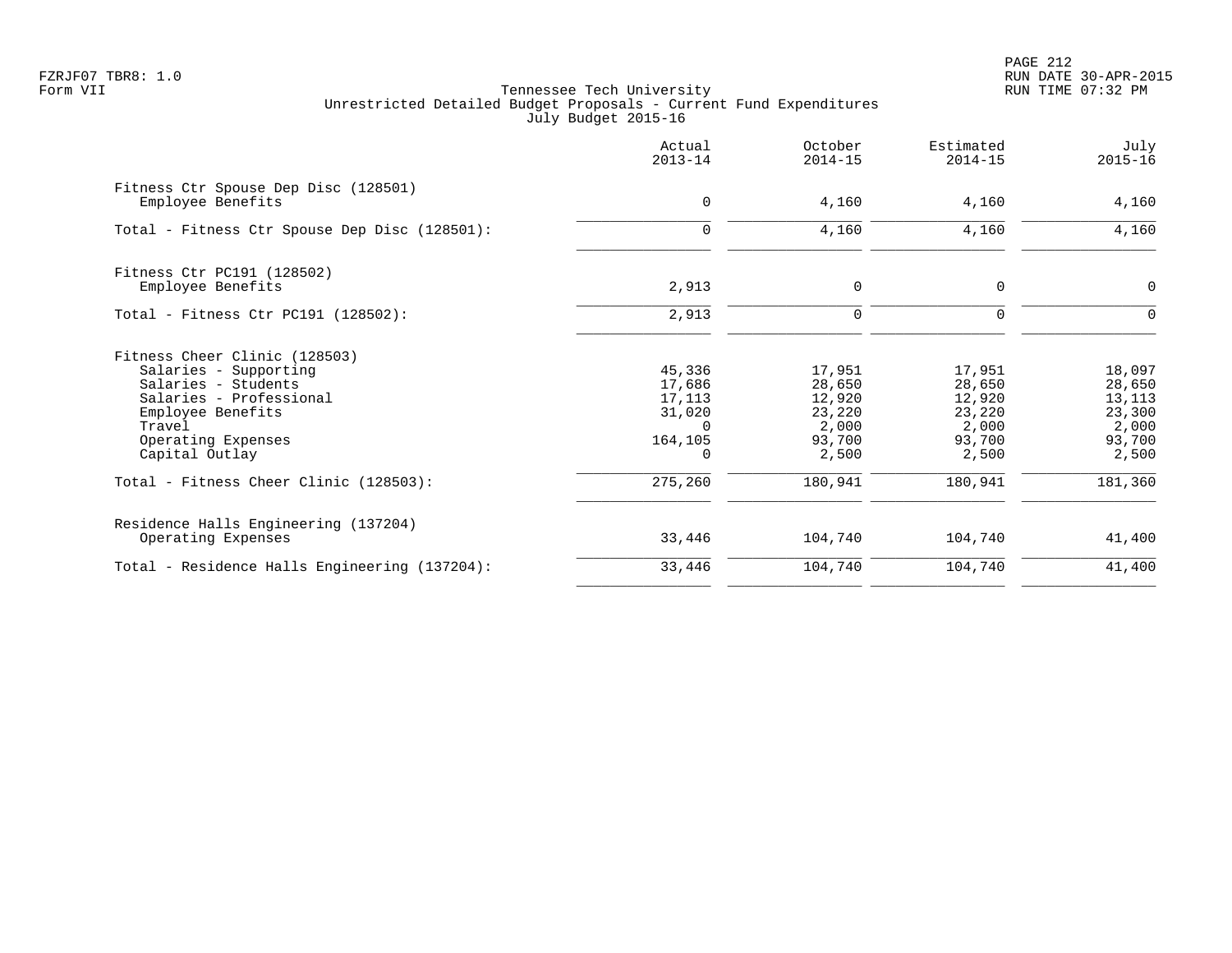PAGE 212 FZRJF07 TBR8: 1.0 RUN DATE 30-APR-2015

|                                                           | Actual<br>$2013 - 14$ | October<br>$2014 - 15$ | Estimated<br>$2014 - 15$ | July<br>$2015 - 16$ |
|-----------------------------------------------------------|-----------------------|------------------------|--------------------------|---------------------|
| Fitness Ctr Spouse Dep Disc (128501)<br>Employee Benefits | $\mathbf 0$           | 4,160                  | 4,160                    | 4,160               |
| Total - Fitness Ctr Spouse Dep Disc (128501):             | 0                     | 4,160                  | 4,160                    | 4,160               |
| Fitness Ctr PC191 (128502)                                |                       |                        |                          |                     |
| Employee Benefits                                         | 2,913                 | $\mathbf 0$            | $\mathbf 0$              | $\mathbf 0$         |
| Total - Fitness Ctr PC191 (128502):                       | 2,913                 | 0                      | $\Omega$                 | O                   |
| Fitness Cheer Clinic (128503)                             |                       |                        |                          |                     |
| Salaries - Supporting                                     | 45,336                | 17,951                 | 17,951                   | 18,097              |
| Salaries - Students                                       | 17,686                | 28,650                 | 28,650                   | 28,650              |
| Salaries - Professional                                   | 17,113                | 12,920                 | 12,920                   | 13,113              |
| Employee Benefits                                         | 31,020                | 23,220                 | 23,220                   | 23,300              |
| Travel                                                    | $\Omega$              | 2,000                  | 2,000                    | 2,000               |
| Operating Expenses<br>Capital Outlay                      | 164,105<br>$\Omega$   | 93,700<br>2,500        | 93,700<br>2,500          | 93,700<br>2,500     |
|                                                           |                       |                        |                          |                     |
| Total - Fitness Cheer Clinic (128503):                    | 275,260               | 180,941                | 180,941                  | 181,360             |
| Residence Halls Engineering (137204)                      |                       |                        |                          |                     |
| Operating Expenses                                        | 33,446                | 104,740                | 104,740                  | 41,400              |
| Total - Residence Halls Engineering (137204):             | 33,446                | 104,740                | 104,740                  | 41,400              |
|                                                           |                       |                        |                          |                     |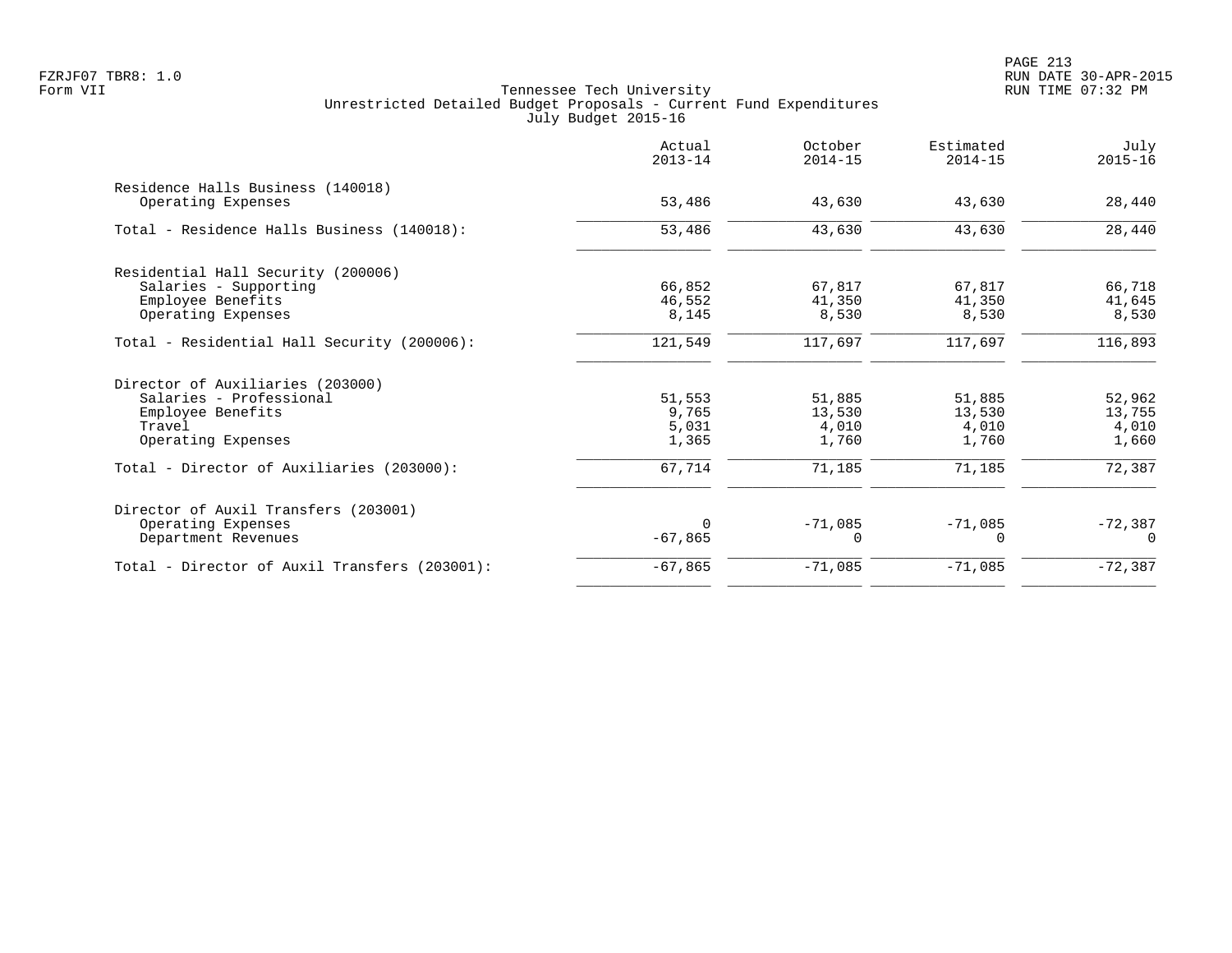| 43,630<br>43,630 | 43,630<br>43,630 | 28,440    |
|------------------|------------------|-----------|
|                  |                  |           |
|                  |                  |           |
|                  |                  | 28,440    |
|                  |                  |           |
| 67,817           | 67,817           | 66,718    |
| 41,350           | 41,350           | 41,645    |
| 8,530            | 8,530            | 8,530     |
| 117,697          | 117,697          | 116,893   |
|                  |                  |           |
| 51,885           | 51,885           | 52,962    |
| 13,530           | 13,530           | 13,755    |
| 4,010            | 4,010            | 4,010     |
| 1,760            | 1,760            | 1,660     |
| 71,185           | 71,185           | 72,387    |
|                  |                  |           |
|                  |                  | $-72,387$ |
| 0                | $\Omega$         | $\cap$    |
| $-71,085$        | $-71,085$        | $-72,387$ |
|                  | $-71,085$        | $-71,085$ |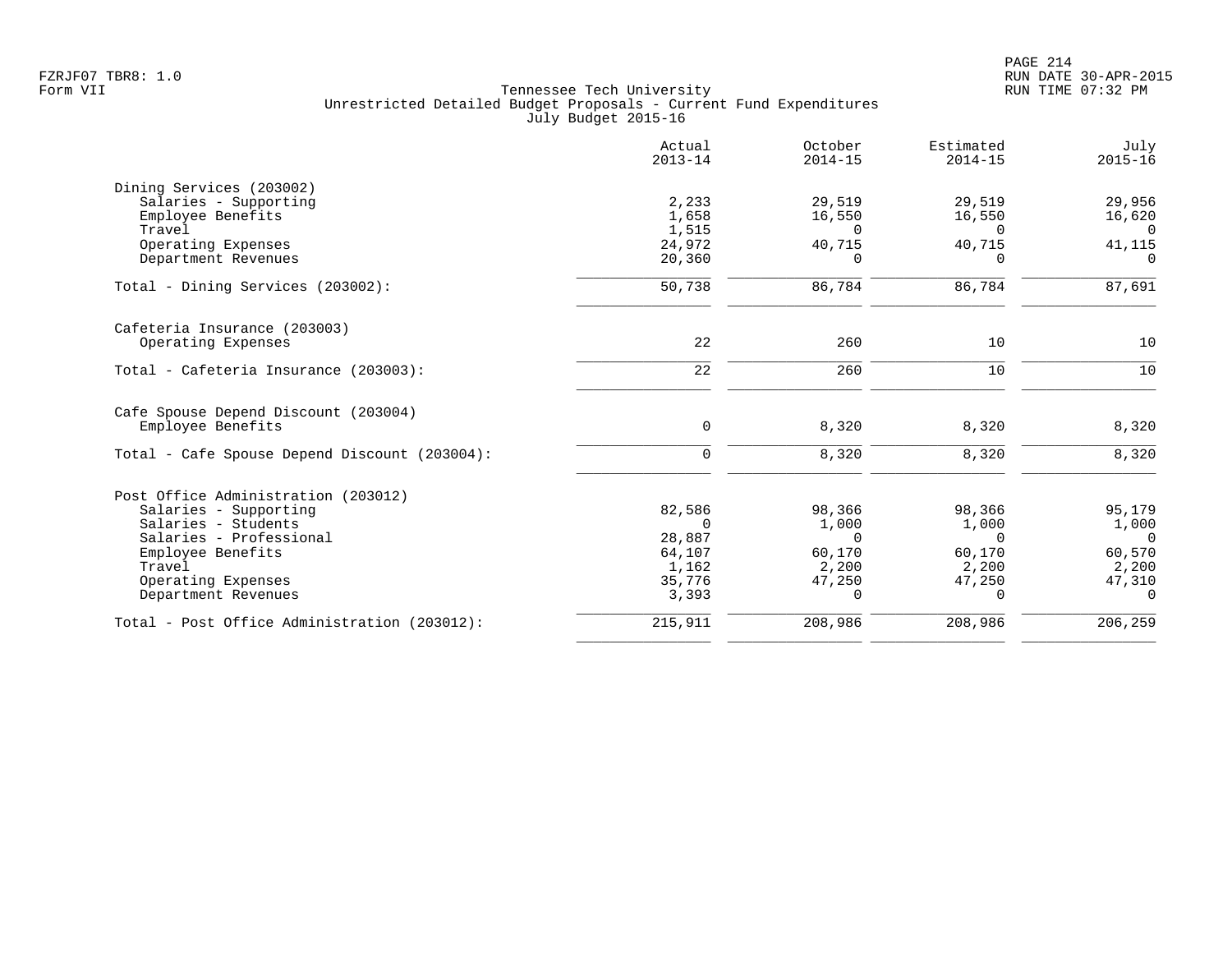|                                               | Actual<br>$2013 - 14$ | October<br>$2014 - 15$ | Estimated<br>$2014 - 15$ | July<br>$2015 - 16$ |
|-----------------------------------------------|-----------------------|------------------------|--------------------------|---------------------|
| Dining Services (203002)                      |                       |                        |                          |                     |
| Salaries - Supporting                         | 2,233                 | 29,519                 | 29,519                   | 29,956              |
| Employee Benefits                             | 1,658                 | 16,550                 | 16,550                   | 16,620              |
| Travel                                        | 1,515                 | $\Omega$               | $\Omega$                 | 0                   |
| Operating Expenses                            | 24,972                | 40,715                 | 40,715                   | 41,115              |
| Department Revenues                           | 20,360                | $\Omega$               | $\Omega$                 | $\Omega$            |
| Total - Dining Services (203002):             | 50,738                | 86,784                 | 86,784                   | 87,691              |
| Cafeteria Insurance (203003)                  |                       |                        |                          |                     |
| Operating Expenses                            | 22                    | 260                    | 10                       | 10                  |
| Total - Cafeteria Insurance (203003):         | 22                    | 260                    | 10                       | 10                  |
| Cafe Spouse Depend Discount (203004)          |                       |                        |                          |                     |
| Employee Benefits                             | $\mathbf 0$           | 8,320                  | 8,320                    | 8,320               |
| Total - Cafe Spouse Depend Discount (203004): | $\mathbf 0$           | 8,320                  | 8,320                    | 8,320               |
| Post Office Administration (203012)           |                       |                        |                          |                     |
| Salaries - Supporting                         | 82,586                | 98,366                 | 98,366                   | 95,179              |
| Salaries - Students                           | $\Omega$              | 1,000                  | 1,000                    | 1,000               |
| Salaries - Professional                       | 28,887                | $\Omega$               | $\Omega$                 | $\Omega$            |
| Employee Benefits                             | 64,107                | 60,170                 | 60,170                   | 60,570              |
| Travel                                        | 1,162                 | 2,200                  | 2,200                    | 2,200               |
| Operating Expenses                            | 35,776                | 47,250                 | 47,250                   | 47,310              |
| Department Revenues                           | 3,393                 | 0                      | $\Omega$                 | $\Omega$            |
| Total - Post Office Administration (203012):  | 215,911               | 208,986                | 208,986                  | 206,259             |
|                                               |                       |                        |                          |                     |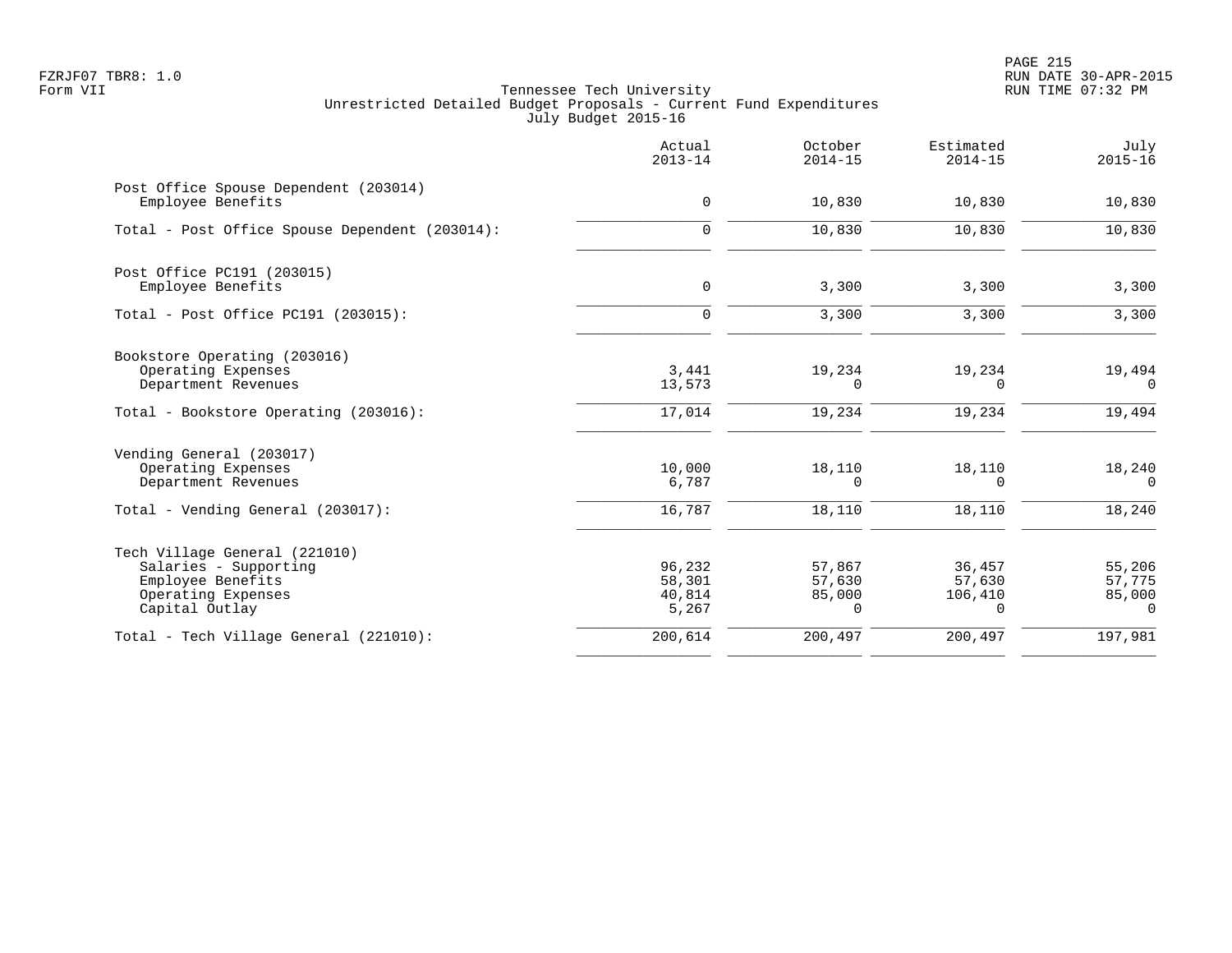PAGE 215 FZRJF07 TBR8: 1.0 RUN DATE 30-APR-2015

|                                                                                                                     | Actual<br>$2013 - 14$               | October<br>$2014 - 15$          | Estimated<br>$2014 - 15$         | July<br>$2015 - 16$                       |
|---------------------------------------------------------------------------------------------------------------------|-------------------------------------|---------------------------------|----------------------------------|-------------------------------------------|
| Post Office Spouse Dependent (203014)<br>Employee Benefits                                                          | $\mathbf 0$                         | 10,830                          | 10,830                           | 10,830                                    |
| Total - Post Office Spouse Dependent (203014):                                                                      | $\mathbf 0$                         | 10,830                          | 10,830                           | 10,830                                    |
| Post Office PC191 (203015)<br>Employee Benefits                                                                     | $\mathbf 0$                         | 3,300                           | 3,300                            | 3,300                                     |
| Total - Post Office PC191 (203015):                                                                                 | $\Omega$                            | 3,300                           | 3,300                            | 3,300                                     |
| Bookstore Operating (203016)<br>Operating Expenses<br>Department Revenues                                           | 3,441<br>13,573                     | 19,234<br>0                     | 19,234<br>$\Omega$               | 19,494<br>0                               |
| Total - Bookstore Operating (203016):                                                                               | 17,014                              | 19,234                          | 19,234                           | 19,494                                    |
| Vending General (203017)<br>Operating Expenses<br>Department Revenues                                               | 10,000<br>6,787                     | 18,110<br>0                     | 18,110<br>$\Omega$               | 18,240<br>$\Omega$                        |
| Total - Vending General (203017):                                                                                   | 16,787                              | 18,110                          | 18,110                           | 18,240                                    |
| Tech Village General (221010)<br>Salaries - Supporting<br>Employee Benefits<br>Operating Expenses<br>Capital Outlay | 96,232<br>58,301<br>40,814<br>5,267 | 57,867<br>57,630<br>85,000<br>0 | 36,457<br>57,630<br>106,410<br>0 | 55,206<br>57,775<br>85,000<br>$\mathbf 0$ |
| Total - Tech Village General (221010):                                                                              | 200,614                             | 200,497                         | 200,497                          | 197,981                                   |
|                                                                                                                     |                                     |                                 |                                  |                                           |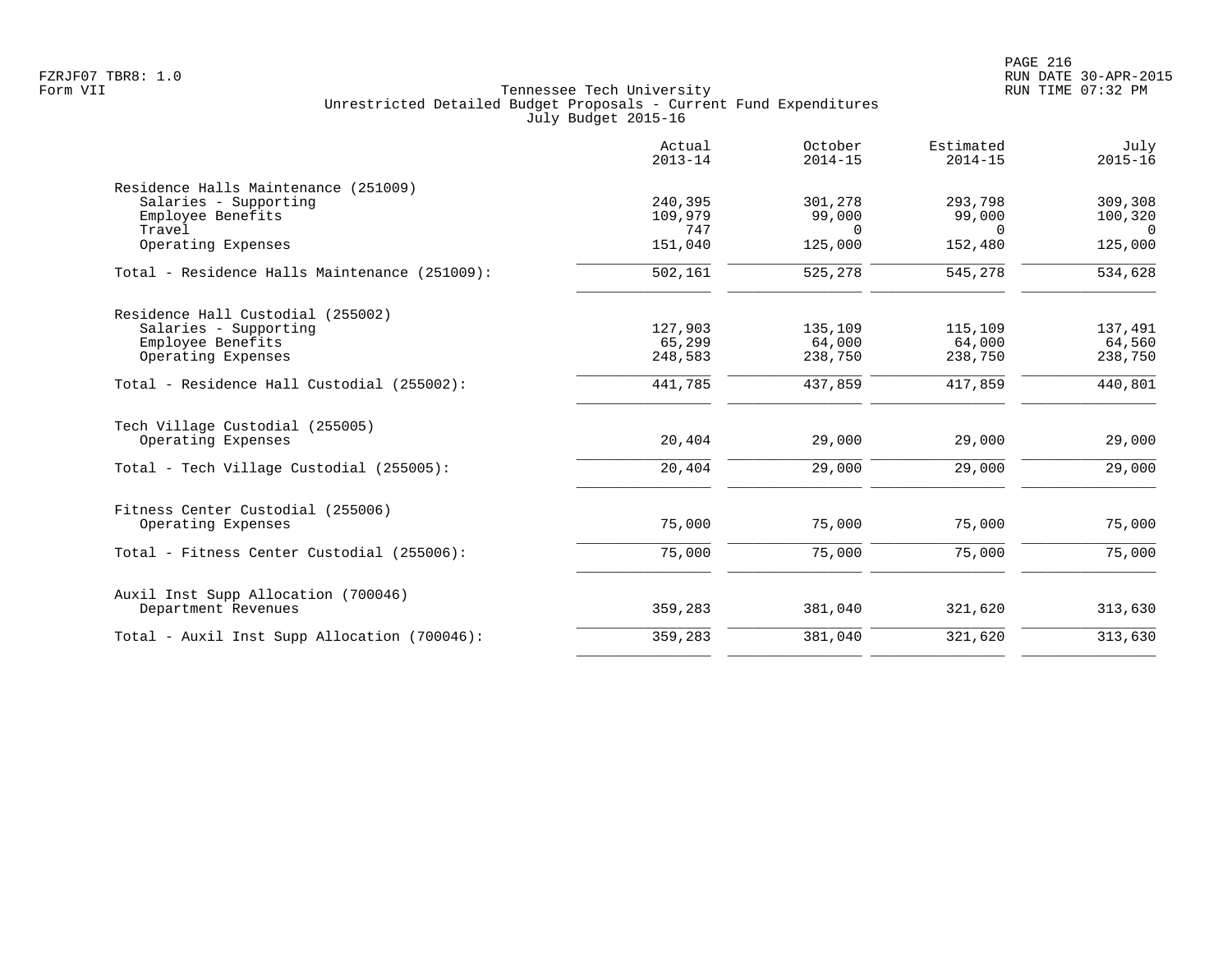|                                                            | Actual<br>$2013 - 14$ | October<br>$2014 - 15$ | Estimated<br>$2014 - 15$ | July<br>$2015 - 16$ |
|------------------------------------------------------------|-----------------------|------------------------|--------------------------|---------------------|
| Residence Halls Maintenance (251009)                       |                       |                        |                          |                     |
| Salaries - Supporting                                      | 240,395               | 301,278                | 293,798                  | 309,308             |
| Employee Benefits                                          | 109,979               | 99,000                 | 99,000                   | 100,320             |
| Travel                                                     | 747                   | $\Omega$               | $\Omega$                 | $\Omega$            |
| Operating Expenses                                         | 151,040               | 125,000                | 152,480                  | 125,000             |
| Total - Residence Halls Maintenance (251009):              | 502,161               | 525,278                | 545,278                  | 534,628             |
| Residence Hall Custodial (255002)                          |                       |                        |                          |                     |
| Salaries - Supporting                                      | 127,903               | 135,109                | 115,109                  | 137,491             |
| Employee Benefits                                          | 65,299                | 64,000                 | 64,000                   | 64,560              |
| Operating Expenses                                         | 248,583               | 238,750                | 238,750                  | 238,750             |
| Total - Residence Hall Custodial (255002):                 | 441,785               | 437,859                | 417,859                  | 440,801             |
| Tech Village Custodial (255005)                            |                       |                        |                          |                     |
| Operating Expenses                                         | 20,404                | 29,000                 | 29,000                   | 29,000              |
| Total - Tech Village Custodial (255005):                   | 20,404                | 29,000                 | 29,000                   | 29,000              |
| Fitness Center Custodial (255006)                          |                       |                        |                          |                     |
| Operating Expenses                                         | 75,000                | 75,000                 | 75,000                   | 75,000              |
| Total - Fitness Center Custodial (255006):                 | 75,000                | 75,000                 | 75,000                   | 75,000              |
|                                                            |                       |                        |                          |                     |
| Auxil Inst Supp Allocation (700046)<br>Department Revenues | 359,283               | 381,040                | 321,620                  | 313,630             |
| Total - Auxil Inst Supp Allocation (700046):               | 359,283               | 381,040                | 321,620                  | 313,630             |
|                                                            |                       |                        |                          |                     |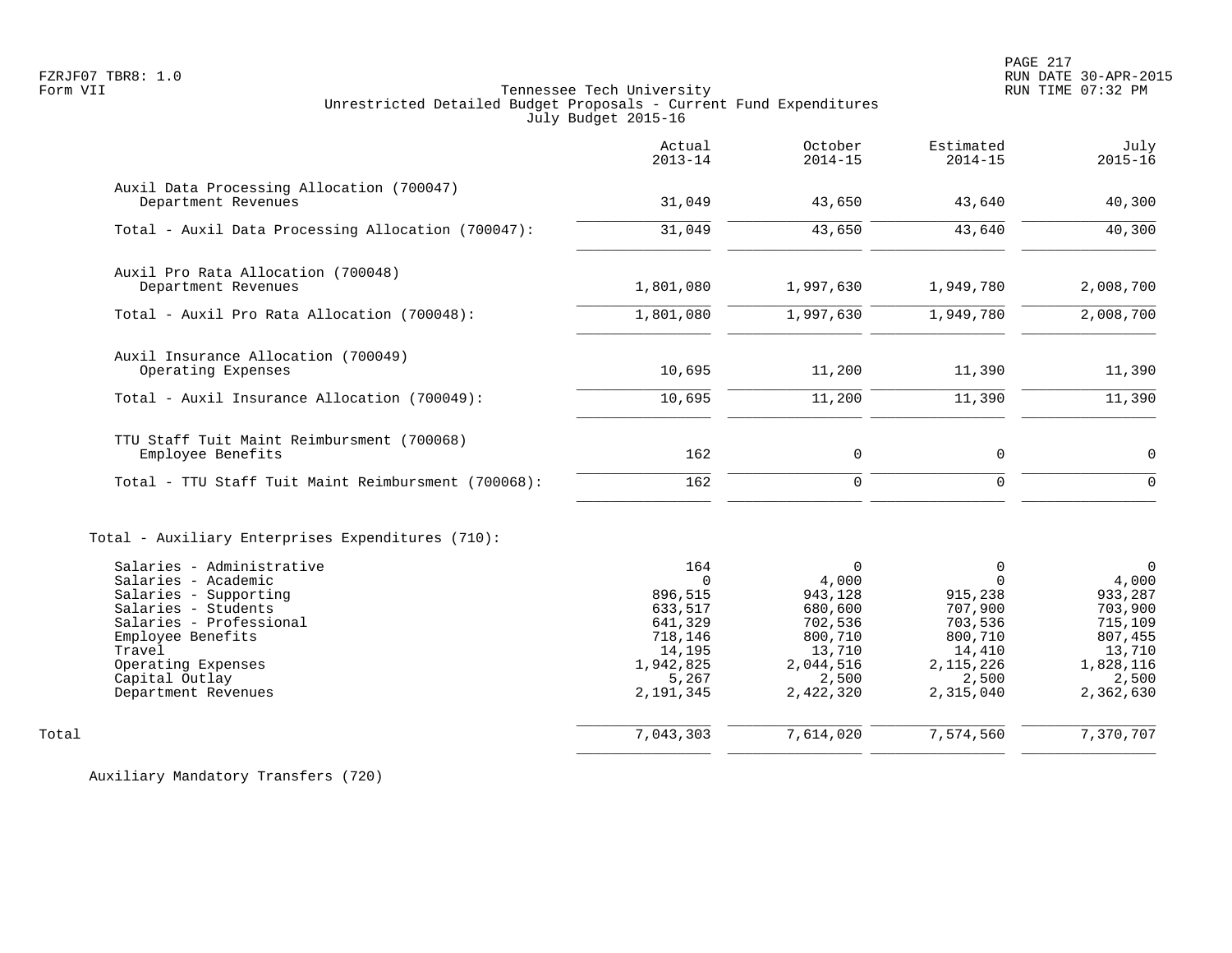PAGE 217

# FZRJF07 TBR8: 1.0 RUN DATE 30-APR-2015 Tennessee Tech University Unrestricted Detailed Budget Proposals - Current Fund Expenditures July Budget 2015-16

|                                                                                                                                                                                              | Actual<br>$2013 - 14$                                                                           | October<br>$2014 - 15$                                                                         | Estimated<br>$2014 - 15$                                                                            | July<br>$2015 - 16$                                                                            |
|----------------------------------------------------------------------------------------------------------------------------------------------------------------------------------------------|-------------------------------------------------------------------------------------------------|------------------------------------------------------------------------------------------------|-----------------------------------------------------------------------------------------------------|------------------------------------------------------------------------------------------------|
| Auxil Data Processing Allocation (700047)<br>Department Revenues                                                                                                                             | 31,049                                                                                          | 43,650                                                                                         | 43,640                                                                                              | 40,300                                                                                         |
| Total - Auxil Data Processing Allocation (700047):                                                                                                                                           | 31,049                                                                                          | 43,650                                                                                         | 43,640                                                                                              | 40,300                                                                                         |
| Auxil Pro Rata Allocation (700048)<br>Department Revenues                                                                                                                                    | 1,801,080                                                                                       | 1,997,630                                                                                      | 1,949,780                                                                                           | 2,008,700                                                                                      |
| Total - Auxil Pro Rata Allocation (700048):                                                                                                                                                  | 1,801,080                                                                                       | 1,997,630                                                                                      | 1,949,780                                                                                           | 2,008,700                                                                                      |
| Auxil Insurance Allocation (700049)<br>Operating Expenses                                                                                                                                    | 10,695                                                                                          | 11,200                                                                                         | 11,390                                                                                              | 11,390                                                                                         |
| Total - Auxil Insurance Allocation (700049):                                                                                                                                                 | 10,695                                                                                          | 11,200                                                                                         | 11,390                                                                                              | 11,390                                                                                         |
| TTU Staff Tuit Maint Reimbursment (700068)<br>Employee Benefits                                                                                                                              | 162                                                                                             | 0                                                                                              | 0                                                                                                   | 0                                                                                              |
| Total - TTU Staff Tuit Maint Reimbursment (700068):                                                                                                                                          | 162                                                                                             | $\mathbf 0$                                                                                    | 0                                                                                                   | $\mathbf 0$                                                                                    |
| Total - Auxiliary Enterprises Expenditures (710):<br>Salaries - Administrative                                                                                                               | 164                                                                                             | $\Omega$                                                                                       | 0                                                                                                   | $\Omega$                                                                                       |
| Salaries - Academic<br>Salaries - Supporting<br>Salaries - Students<br>Salaries - Professional<br>Employee Benefits<br>Travel<br>Operating Expenses<br>Capital Outlay<br>Department Revenues | $\cap$<br>896,515<br>633,517<br>641,329<br>718,146<br>14,195<br>1,942,825<br>5,267<br>2,191,345 | 4,000<br>943,128<br>680,600<br>702,536<br>800,710<br>13,710<br>2,044,516<br>2,500<br>2,422,320 | $\Omega$<br>915,238<br>707,900<br>703,536<br>800,710<br>14,410<br>2, 115, 226<br>2,500<br>2,315,040 | 4,000<br>933,287<br>703,900<br>715,109<br>807,455<br>13,710<br>1,828,116<br>2,500<br>2,362,630 |
| Total                                                                                                                                                                                        | 7,043,303                                                                                       | 7,614,020                                                                                      | 7,574,560                                                                                           | 7,370,707                                                                                      |
|                                                                                                                                                                                              |                                                                                                 |                                                                                                |                                                                                                     |                                                                                                |

Auxiliary Mandatory Transfers (720)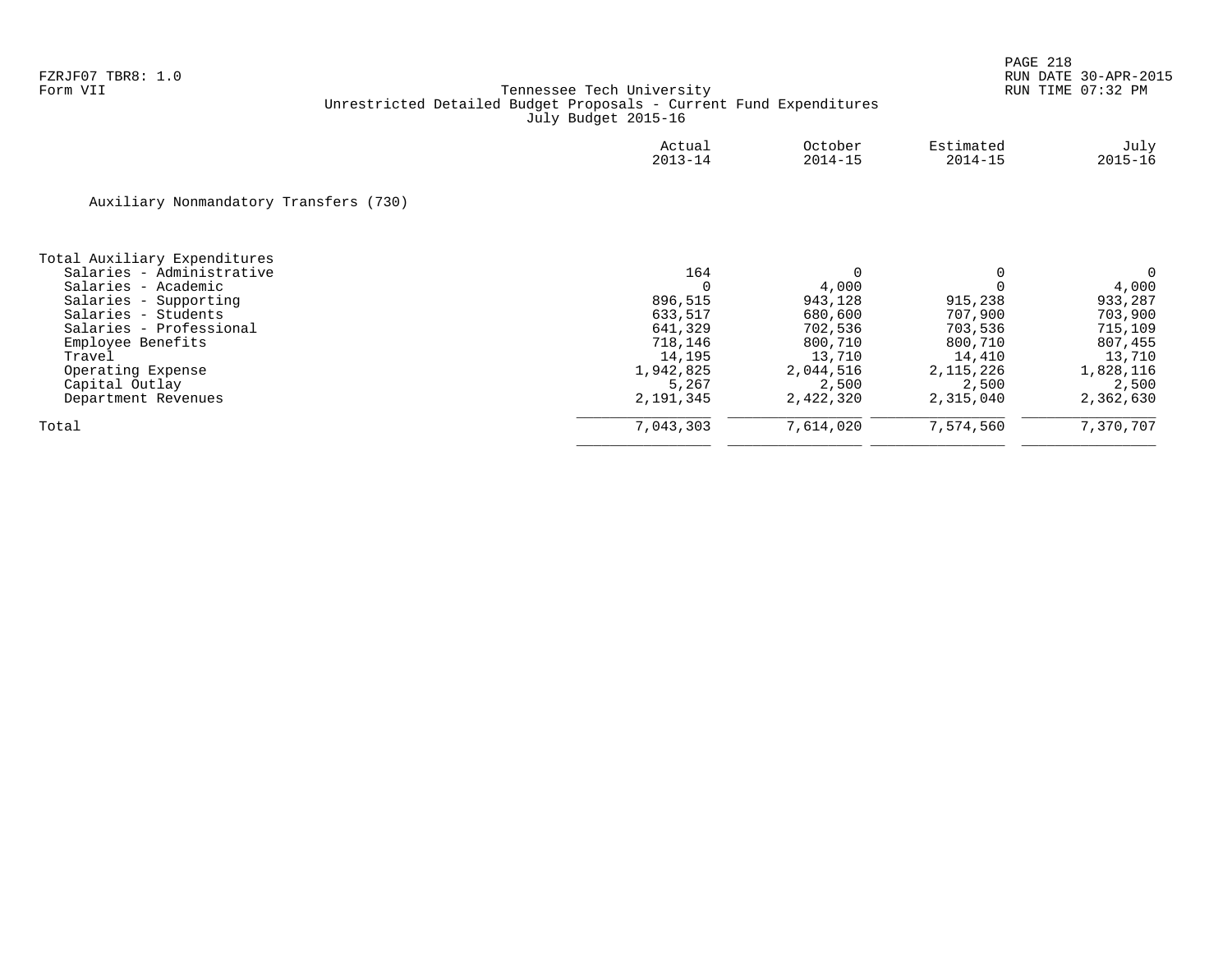|                                        | Actual<br>$2013 - 14$ | October<br>$2014 - 15$ | Estimated<br>$2014 - 15$ | July<br>$2015 - 16$ |
|----------------------------------------|-----------------------|------------------------|--------------------------|---------------------|
| Auxiliary Nonmandatory Transfers (730) |                       |                        |                          |                     |
| Total Auxiliary Expenditures           |                       |                        |                          |                     |
| Salaries - Administrative              | 164                   | 0                      |                          | 0                   |
| Salaries - Academic                    | $\Omega$              | 4,000                  |                          | 4,000               |
| Salaries - Supporting                  | 896,515               | 943,128                | 915,238                  | 933,287             |
| Salaries - Students                    | 633,517               | 680,600                | 707,900                  | 703,900             |
| Salaries - Professional                | 641,329               | 702,536                | 703,536                  | 715,109             |
| Employee Benefits                      | 718,146               | 800,710                | 800,710                  | 807,455             |
| Travel                                 | 14,195                | 13,710                 | 14,410                   | 13,710              |
| Operating Expense                      | 1,942,825             | 2,044,516              | 2, 115, 226              | 1,828,116           |
| Capital Outlay                         | 5,267                 | 2,500                  | 2,500                    | 2,500               |
| Department Revenues                    | 2,191,345             | 2,422,320              | 2,315,040                | 2,362,630           |
| Total                                  | 7,043,303             | 7,614,020              | 7,574,560                | 7,370,707           |
|                                        |                       |                        |                          |                     |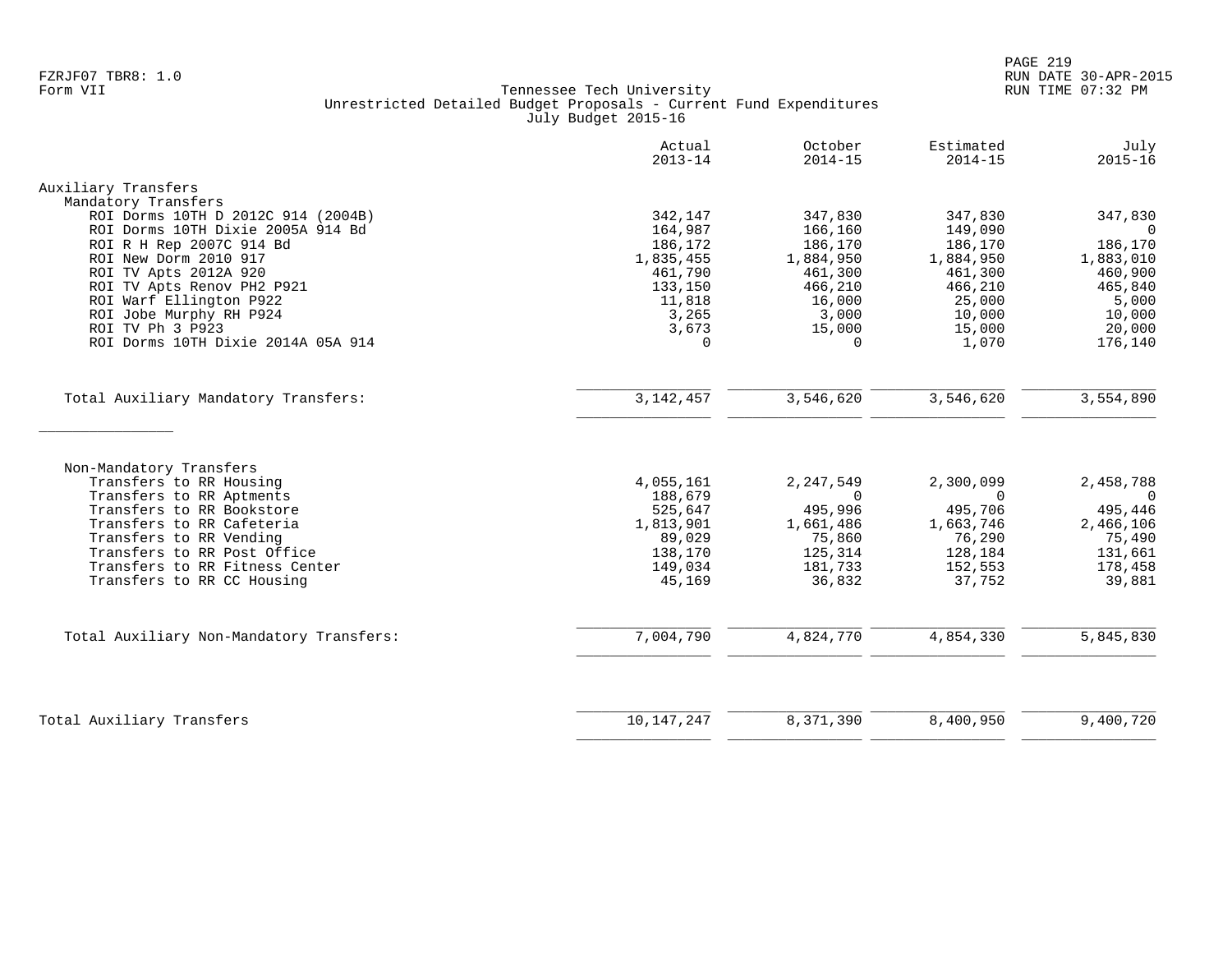|                                                               | Actual<br>$2013 - 14$ | October<br>$2014 - 15$ | Estimated<br>$2014 - 15$ | July<br>$2015 - 16$ |
|---------------------------------------------------------------|-----------------------|------------------------|--------------------------|---------------------|
| Auxiliary Transfers                                           |                       |                        |                          |                     |
| Mandatory Transfers                                           |                       |                        |                          |                     |
| ROI Dorms 10TH D 2012C 914 (2004B)                            | 342,147               | 347,830                | 347,830                  | 347,830             |
| ROI Dorms 10TH Dixie 2005A 914 Bd<br>ROI R H Rep 2007C 914 Bd | 164,987<br>186,172    | 166,160<br>186,170     | 149,090<br>186,170       | $\Omega$<br>186,170 |
| ROI New Dorm 2010 917                                         | 1,835,455             | 1,884,950              | 1,884,950                | 1,883,010           |
| ROI TV Apts 2012A 920                                         | 461,790               | 461,300                | 461,300                  | 460,900             |
| ROI TV Apts Renov PH2 P921                                    | 133,150               | 466,210                | 466,210                  | 465,840             |
| ROI Warf Ellington P922                                       | 11,818                | 16,000                 | 25,000                   | 5,000               |
| ROI Jobe Murphy RH P924                                       | 3,265                 | 3,000                  | 10,000                   | 10,000              |
| ROI TV Ph 3 P923                                              | 3,673                 | 15,000                 | 15,000                   | 20,000              |
| ROI Dorms 10TH Dixie 2014A 05A 914                            | $\Omega$              | $\Omega$               | 1,070                    | 176,140             |
| Total Auxiliary Mandatory Transfers:                          | 3, 142, 457           | 3,546,620              | 3,546,620                | 3,554,890           |
|                                                               |                       |                        |                          |                     |
|                                                               |                       |                        |                          |                     |
| Non-Mandatory Transfers                                       |                       |                        |                          |                     |
| Transfers to RR Housing                                       | 4,055,161             | 2,247,549              | 2,300,099                | 2,458,788           |
| Transfers to RR Aptments<br>Transfers to RR Bookstore         | 188,679<br>525,647    | $\Omega$<br>495,996    | $\Omega$<br>495,706      | $\Omega$<br>495,446 |
| Transfers to RR Cafeteria                                     | 1,813,901             | 1,661,486              | 1,663,746                | 2,466,106           |
| Transfers to RR Vending                                       | 89,029                | 75,860                 | 76,290                   | 75,490              |
| Transfers to RR Post Office                                   | 138,170               | 125,314                | 128,184                  | 131,661             |
| Transfers to RR Fitness Center                                | 149,034               | 181,733                | 152,553                  | 178,458             |
| Transfers to RR CC Housing                                    | 45,169                | 36,832                 | 37,752                   | 39,881              |
| Total Auxiliary Non-Mandatory Transfers:                      | 7,004,790             | 4,824,770              | 4,854,330                | 5,845,830           |
|                                                               |                       |                        |                          |                     |
|                                                               |                       |                        |                          |                     |
| Total Auxiliary Transfers                                     | 10, 147, 247          | 8,371,390              | 8,400,950                | 9,400,720           |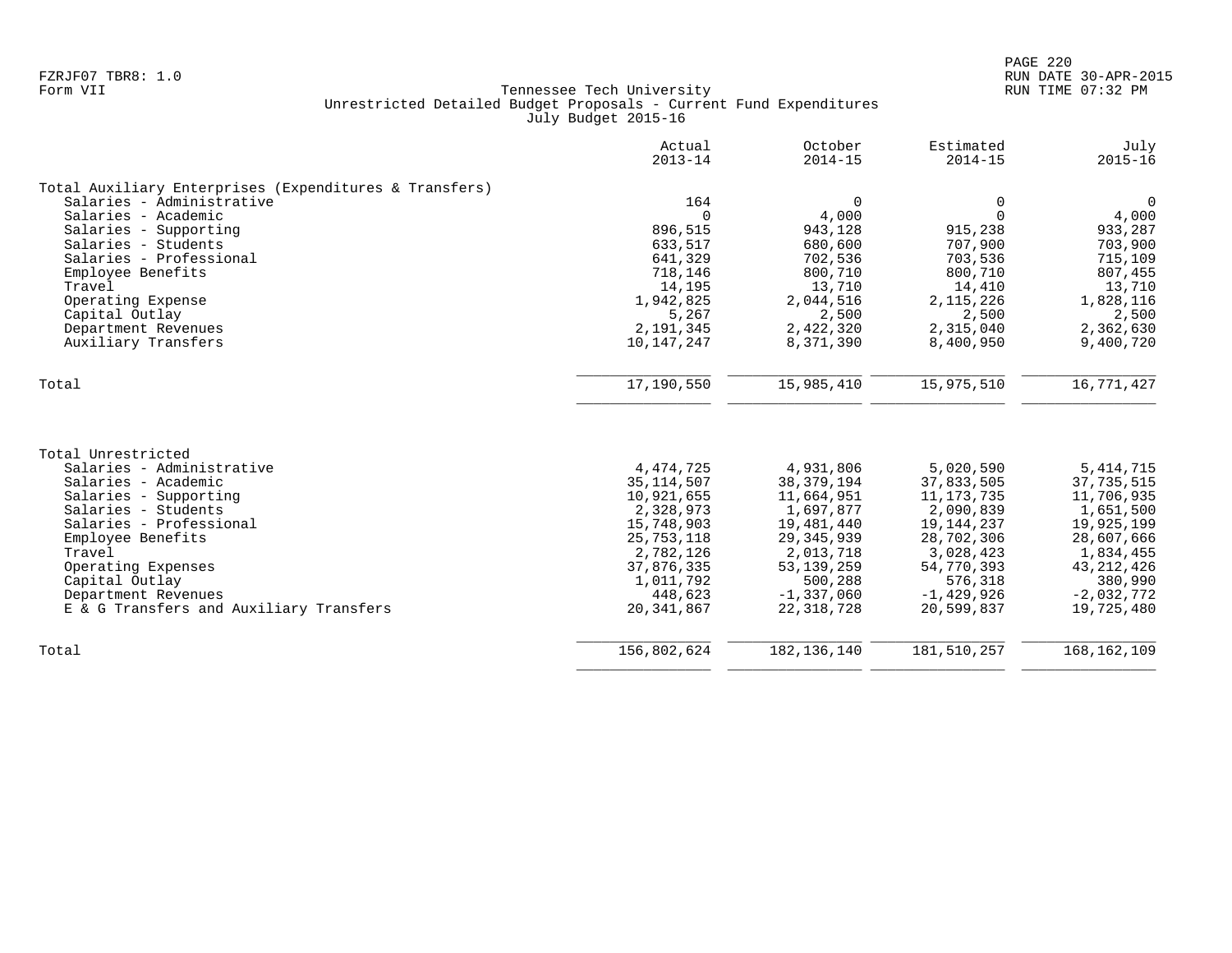|                                                        | Actual<br>$2013 - 14$ | October<br>$2014 - 15$ | Estimated<br>$2014 - 15$ | July<br>$2015 - 16$ |
|--------------------------------------------------------|-----------------------|------------------------|--------------------------|---------------------|
| Total Auxiliary Enterprises (Expenditures & Transfers) |                       |                        |                          |                     |
| Salaries - Administrative                              | 164                   | $\Omega$               | $\mathbf 0$              | $\overline{0}$      |
| Salaries - Academic                                    | $\Omega$              | 4,000                  | $\Omega$                 | 4,000               |
| Salaries - Supporting                                  | 896,515               | 943,128                | 915,238                  | 933,287             |
| Salaries - Students                                    | 633,517               | 680,600                | 707,900                  | 703,900             |
| Salaries - Professional                                | 641,329               | 702,536                | 703,536                  | 715,109             |
| Employee Benefits                                      | 718,146               | 800,710                | 800,710                  | 807,455             |
| Travel                                                 | 14,195                | 13,710                 | 14,410                   | 13,710              |
| Operating Expense                                      | 1,942,825             | 2,044,516              | 2, 115, 226              | 1,828,116           |
| Capital Outlay                                         | 5,267                 | 2,500                  | 2,500                    | 2,500               |
| Department Revenues                                    | 2,191,345             | 2,422,320              | 2,315,040                | 2,362,630           |
| Auxiliary Transfers                                    | 10,147,247            | 8,371,390              | 8,400,950                | 9,400,720           |
| Total                                                  | 17,190,550            | 15,985,410             | 15,975,510               | 16,771,427          |
|                                                        |                       |                        |                          |                     |
| Total Unrestricted                                     |                       |                        |                          |                     |
| Salaries - Administrative                              | 4, 474, 725           | 4,931,806              | 5,020,590                | 5, 414, 715         |
| Salaries - Academic                                    | 35, 114, 507          | 38, 379, 194           | 37,833,505               | 37,735,515          |
| Salaries - Supporting                                  | 10,921,655            | 11,664,951             | 11, 173, 735             | 11,706,935          |
| Salaries - Students                                    | 2,328,973             | 1,697,877              | 2,090,839                | 1,651,500           |
| Salaries - Professional                                | 15,748,903            | 19,481,440             | 19, 144, 237             | 19,925,199          |
| Employee Benefits                                      | 25,753,118            | 29, 345, 939           | 28,702,306               | 28,607,666          |
| Travel                                                 | 2,782,126             | 2,013,718              | 3,028,423                | 1,834,455           |
| Operating Expenses                                     | 37,876,335            | 53, 139, 259           | 54,770,393               | 43, 212, 426        |
| Capital Outlay                                         | 1,011,792             | 500,288                | 576,318                  | 380,990             |
| Department Revenues                                    | 448,623               | $-1,337,060$           | $-1,429,926$             | $-2,032,772$        |
| E & G Transfers and Auxiliary Transfers                | 20, 341, 867          | 22, 318, 728           | 20,599,837               | 19,725,480          |
| Total                                                  | 156,802,624           | 182, 136, 140          | 181,510,257              | 168, 162, 109       |
|                                                        |                       |                        |                          |                     |